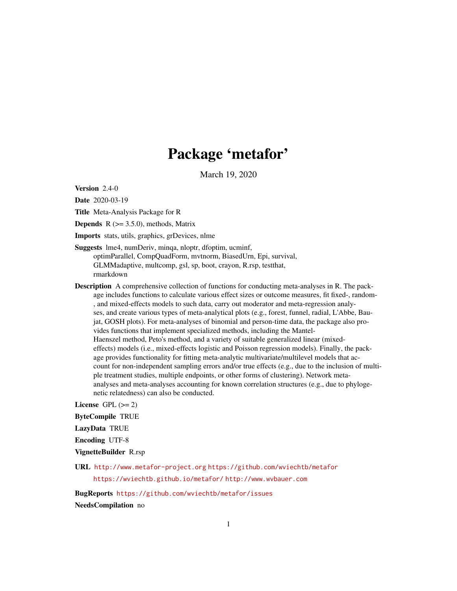# Package 'metafor'

March 19, 2020

<span id="page-0-0"></span>Version 2.4-0

Date 2020-03-19

Title Meta-Analysis Package for R

**Depends** R  $(>= 3.5.0)$ , methods, Matrix

Imports stats, utils, graphics, grDevices, nlme

Suggests lme4, numDeriv, minqa, nloptr, dfoptim, ucminf, optimParallel, CompQuadForm, mvtnorm, BiasedUrn, Epi, survival, GLMMadaptive, multcomp, gsl, sp, boot, crayon, R.rsp, testthat, rmarkdown

Description A comprehensive collection of functions for conducting meta-analyses in R. The package includes functions to calculate various effect sizes or outcome measures, fit fixed-, random- , and mixed-effects models to such data, carry out moderator and meta-regression analyses, and create various types of meta-analytical plots (e.g., forest, funnel, radial, L'Abbe, Baujat, GOSH plots). For meta-analyses of binomial and person-time data, the package also provides functions that implement specialized methods, including the Mantel-Haenszel method, Peto's method, and a variety of suitable generalized linear (mixedeffects) models (i.e., mixed-effects logistic and Poisson regression models). Finally, the package provides functionality for fitting meta-analytic multivariate/multilevel models that account for non-independent sampling errors and/or true effects (e.g., due to the inclusion of multiple treatment studies, multiple endpoints, or other forms of clustering). Network metaanalyses and meta-analyses accounting for known correlation structures (e.g., due to phylogenetic relatedness) can also be conducted.

License GPL  $(>= 2)$ 

ByteCompile TRUE

LazyData TRUE

Encoding UTF-8

VignetteBuilder R.rsp

URL <http://www.metafor-project.org> <https://github.com/wviechtb/metafor> <https://wviechtb.github.io/metafor/> <http://www.wvbauer.com>

BugReports <https://github.com/wviechtb/metafor/issues>

NeedsCompilation no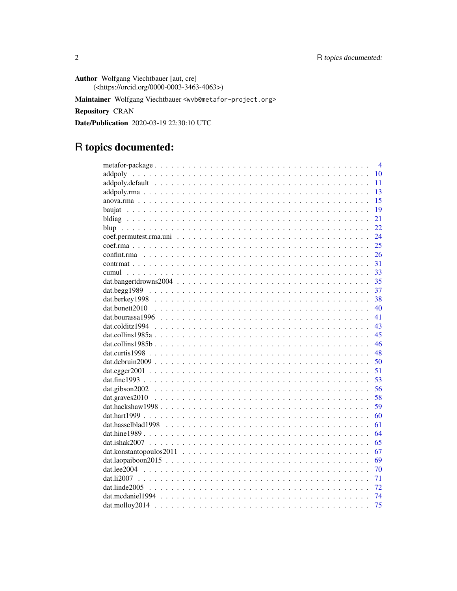Author Wolfgang Viechtbauer [aut, cre] (<https://orcid.org/0000-0003-3463-4063>)

Maintainer Wolfgang Viechtbauer <wvb@metafor-project.org>

Repository CRAN

Date/Publication 2020-03-19 22:30:10 UTC

# R topics documented:

|                       | $\overline{4}$ |
|-----------------------|----------------|
|                       | 10             |
|                       | 11             |
|                       | 13             |
|                       | 15             |
|                       | 19             |
|                       | 21             |
|                       | 22.            |
|                       | 24             |
|                       | 25             |
|                       | 26             |
|                       | 31             |
|                       | 33             |
|                       | 35             |
|                       | 37             |
|                       | 38             |
|                       | 40             |
|                       | 41             |
|                       | 43             |
|                       | 45             |
|                       | 46             |
|                       | 48             |
|                       | 50             |
|                       | 51             |
|                       | 53             |
|                       | 56             |
|                       | 58             |
|                       | 59             |
|                       | 60             |
| $dat. hasselblad1998$ | 61             |
|                       | 64             |
|                       | 65             |
|                       | 67             |
|                       | 69             |
|                       | 70             |
|                       | 71             |
|                       | 72             |
|                       | 74             |
|                       | 75             |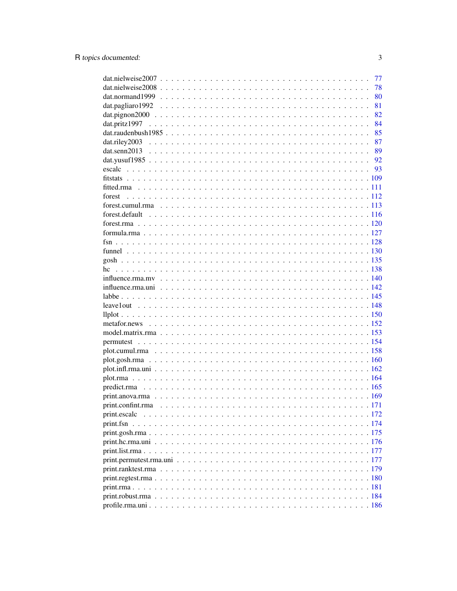|                                                                                                             | 77 |
|-------------------------------------------------------------------------------------------------------------|----|
|                                                                                                             | 78 |
|                                                                                                             | 80 |
|                                                                                                             | 81 |
| $dat.pignon2000 \ldots \ldots \ldots \ldots \ldots \ldots \ldots \ldots \ldots \ldots \ldots \ldots \ldots$ | 82 |
|                                                                                                             | 84 |
| dat.raudenbush $1985$ 85                                                                                    |    |
|                                                                                                             |    |
|                                                                                                             |    |
|                                                                                                             |    |
|                                                                                                             |    |
|                                                                                                             |    |
|                                                                                                             |    |
|                                                                                                             |    |
|                                                                                                             |    |
|                                                                                                             |    |
|                                                                                                             |    |
|                                                                                                             |    |
|                                                                                                             |    |
|                                                                                                             |    |
|                                                                                                             |    |
|                                                                                                             |    |
|                                                                                                             |    |
|                                                                                                             |    |
|                                                                                                             |    |
|                                                                                                             |    |
|                                                                                                             |    |
|                                                                                                             |    |
|                                                                                                             |    |
|                                                                                                             |    |
|                                                                                                             |    |
|                                                                                                             |    |
|                                                                                                             |    |
|                                                                                                             |    |
|                                                                                                             |    |
|                                                                                                             |    |
|                                                                                                             |    |
|                                                                                                             |    |
|                                                                                                             |    |
|                                                                                                             |    |
|                                                                                                             |    |
|                                                                                                             |    |
|                                                                                                             |    |
|                                                                                                             |    |
|                                                                                                             |    |
|                                                                                                             |    |
|                                                                                                             |    |
|                                                                                                             |    |
|                                                                                                             |    |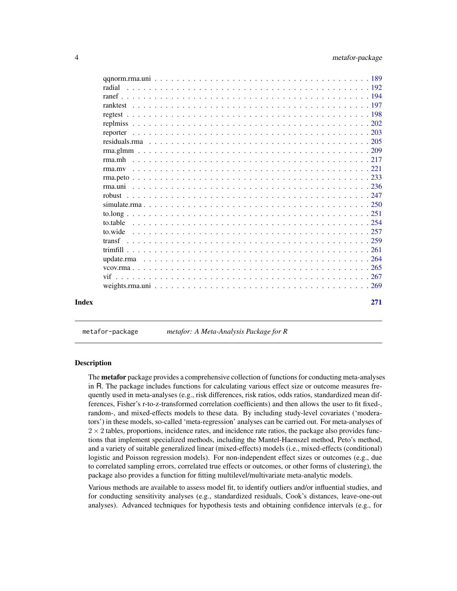<span id="page-3-0"></span>

| Index |        | 271 |
|-------|--------|-----|
|       |        |     |
|       |        |     |
|       |        |     |
|       |        |     |
|       |        |     |
|       |        |     |
|       |        |     |
|       |        |     |
|       |        |     |
|       |        |     |
|       |        |     |
|       |        |     |
|       |        |     |
|       |        |     |
|       |        |     |
|       |        |     |
|       |        |     |
|       |        |     |
|       |        |     |
|       |        |     |
|       |        |     |
|       | radial |     |
|       |        |     |
|       |        |     |

metafor-package *metafor: A Meta-Analysis Package for R*

## Description

The **metafor** package provides a comprehensive collection of functions for conducting meta-analyses in R. The package includes functions for calculating various effect size or outcome measures frequently used in meta-analyses (e.g., risk differences, risk ratios, odds ratios, standardized mean differences, Fisher's r-to-z-transformed correlation coefficients) and then allows the user to fit fixed-, random-, and mixed-effects models to these data. By including study-level covariates ('moderators') in these models, so-called 'meta-regression' analyses can be carried out. For meta-analyses of  $2 \times 2$  tables, proportions, incidence rates, and incidence rate ratios, the package also provides functions that implement specialized methods, including the Mantel-Haenszel method, Peto's method, and a variety of suitable generalized linear (mixed-effects) models (i.e., mixed-effects (conditional) logistic and Poisson regression models). For non-independent effect sizes or outcomes (e.g., due to correlated sampling errors, correlated true effects or outcomes, or other forms of clustering), the package also provides a function for fitting multilevel/multivariate meta-analytic models.

Various methods are available to assess model fit, to identify outliers and/or influential studies, and for conducting sensitivity analyses (e.g., standardized residuals, Cook's distances, leave-one-out analyses). Advanced techniques for hypothesis tests and obtaining confidence intervals (e.g., for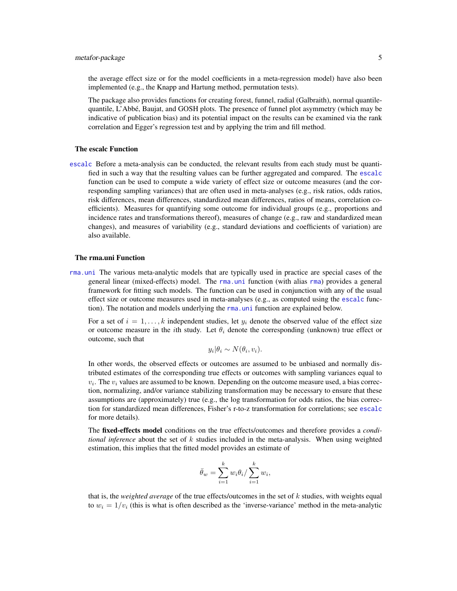# metafor-package 5

the average effect size or for the model coefficients in a meta-regression model) have also been implemented (e.g., the Knapp and Hartung method, permutation tests).

The package also provides functions for creating forest, funnel, radial (Galbraith), normal quantilequantile, L'Abbé, Baujat, and GOSH plots. The presence of funnel plot asymmetry (which may be indicative of publication bias) and its potential impact on the results can be examined via the rank correlation and Egger's regression test and by applying the trim and fill method.

# The escalc Function

[escalc](#page-92-1) Before a meta-analysis can be conducted, the relevant results from each study must be quantified in such a way that the resulting values can be further aggregated and compared. The [escalc](#page-92-1) function can be used to compute a wide variety of effect size or outcome measures (and the corresponding sampling variances) that are often used in meta-analyses (e.g., risk ratios, odds ratios, risk differences, mean differences, standardized mean differences, ratios of means, correlation coefficients). Measures for quantifying some outcome for individual groups (e.g., proportions and incidence rates and transformations thereof), measures of change (e.g., raw and standardized mean changes), and measures of variability (e.g., standard deviations and coefficients of variation) are also available.

#### The rma.uni Function

[rma.uni](#page-235-1) The various meta-analytic models that are typically used in practice are special cases of the general linear (mixed-effects) model. The [rma.uni](#page-235-1) function (with alias [rma](#page-235-2)) provides a general framework for fitting such models. The function can be used in conjunction with any of the usual effect size or outcome measures used in meta-analyses (e.g., as computed using the [escalc](#page-92-1) function). The notation and models underlying the [rma.uni](#page-235-1) function are explained below.

For a set of  $i = 1, \ldots, k$  independent studies, let  $y_i$  denote the observed value of the effect size or outcome measure in the *i*th study. Let  $\theta_i$  denote the corresponding (unknown) true effect or outcome, such that

$$
y_i | \theta_i \sim N(\theta_i, v_i).
$$

In other words, the observed effects or outcomes are assumed to be unbiased and normally distributed estimates of the corresponding true effects or outcomes with sampling variances equal to  $v_i$ . The  $v_i$  values are assumed to be known. Depending on the outcome measure used, a bias correction, normalizing, and/or variance stabilizing transformation may be necessary to ensure that these assumptions are (approximately) true (e.g., the log transformation for odds ratios, the bias correction for standardized mean differences, Fisher's r-to-z transformation for correlations; see [escalc](#page-92-1) for more details).

The fixed-effects model conditions on the true effects/outcomes and therefore provides a *conditional inference* about the set of k studies included in the meta-analysis. When using weighted estimation, this implies that the fitted model provides an estimate of

$$
\bar{\theta}_w = \sum_{i=1}^k w_i \theta_i / \sum_{i=1}^k w_i,
$$

that is, the *weighted average* of the true effects/outcomes in the set of k studies, with weights equal to  $w_i = 1/v_i$  (this is what is often described as the 'inverse-variance' method in the meta-analytic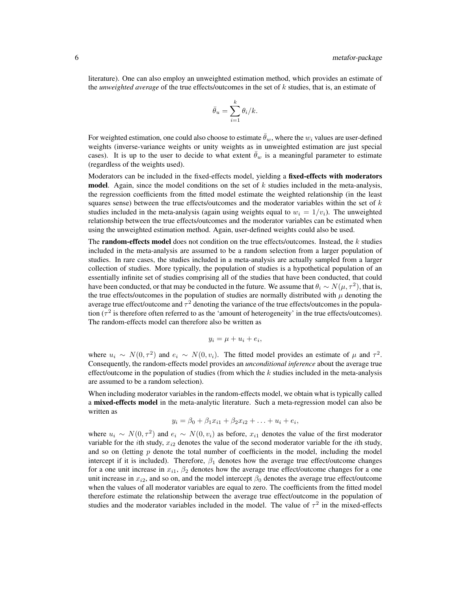literature). One can also employ an unweighted estimation method, which provides an estimate of the *unweighted average* of the true effects/outcomes in the set of k studies, that is, an estimate of

$$
\bar{\theta}_u = \sum_{i=1}^k \theta_i / k.
$$

For weighted estimation, one could also choose to estimate  $\bar{\theta}_w$ , where the  $w_i$  values are user-defined weights (inverse-variance weights or unity weights as in unweighted estimation are just special cases). It is up to the user to decide to what extent  $\hat{\theta}_w$  is a meaningful parameter to estimate (regardless of the weights used).

Moderators can be included in the fixed-effects model, yielding a fixed-effects with moderators **model.** Again, since the model conditions on the set of  $k$  studies included in the meta-analysis, the regression coefficients from the fitted model estimate the weighted relationship (in the least squares sense) between the true effects/outcomes and the moderator variables within the set of  $k$ studies included in the meta-analysis (again using weights equal to  $w_i = 1/v_i$ ). The unweighted relationship between the true effects/outcomes and the moderator variables can be estimated when using the unweighted estimation method. Again, user-defined weights could also be used.

The **random-effects model** does not condition on the true effects/outcomes. Instead, the  $k$  studies included in the meta-analysis are assumed to be a random selection from a larger population of studies. In rare cases, the studies included in a meta-analysis are actually sampled from a larger collection of studies. More typically, the population of studies is a hypothetical population of an essentially infinite set of studies comprising all of the studies that have been conducted, that could have been conducted, or that may be conducted in the future. We assume that  $\theta_i \sim N(\mu, \tau^2)$ , that is, the true effects/outcomes in the population of studies are normally distributed with  $\mu$  denoting the average true effect/outcome and  $\tau^2$  denoting the variance of the true effects/outcomes in the population ( $\tau^2$  is therefore often referred to as the 'amount of heterogeneity' in the true effects/outcomes). The random-effects model can therefore also be written as

$$
y_i = \mu + u_i + e_i,
$$

where  $u_i \sim N(0, \tau^2)$  and  $e_i \sim N(0, v_i)$ . The fitted model provides an estimate of  $\mu$  and  $\tau^2$ . Consequently, the random-effects model provides an *unconditional inference* about the average true effect/outcome in the population of studies (from which the  $k$  studies included in the meta-analysis are assumed to be a random selection).

When including moderator variables in the random-effects model, we obtain what is typically called a mixed-effects model in the meta-analytic literature. Such a meta-regression model can also be written as

$$
y_i = \beta_0 + \beta_1 x_{i1} + \beta_2 x_{i2} + \ldots + u_i + e_i,
$$

where  $u_i \sim N(0, \tau^2)$  and  $e_i \sim N(0, v_i)$  as before,  $x_{i1}$  denotes the value of the first moderator variable for the *i*th study,  $x_{i2}$  denotes the value of the second moderator variable for the *i*th study, and so on (letting  $p$  denote the total number of coefficients in the model, including the model intercept if it is included). Therefore,  $\beta_1$  denotes how the average true effect/outcome changes for a one unit increase in  $x_{i1}$ ,  $\beta_2$  denotes how the average true effect/outcome changes for a one unit increase in  $x_{i2}$ , and so on, and the model intercept  $\beta_0$  denotes the average true effect/outcome when the values of all moderator variables are equal to zero. The coefficients from the fitted model therefore estimate the relationship between the average true effect/outcome in the population of studies and the moderator variables included in the model. The value of  $\tau^2$  in the mixed-effects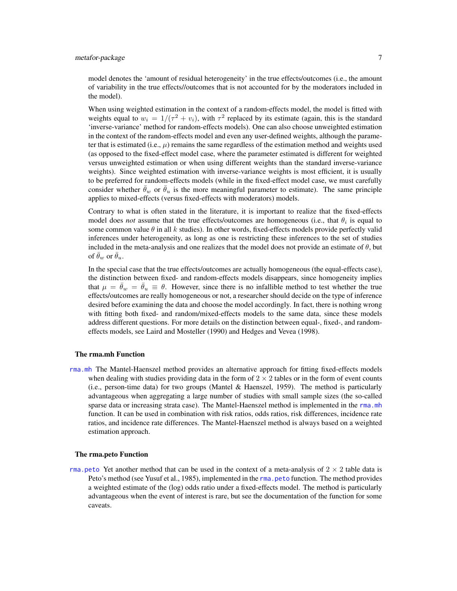model denotes the 'amount of residual heterogeneity' in the true effects/outcomes (i.e., the amount of variability in the true effects//outcomes that is not accounted for by the moderators included in the model).

When using weighted estimation in the context of a random-effects model, the model is fitted with weights equal to  $w_i = 1/(\tau^2 + v_i)$ , with  $\tau^2$  replaced by its estimate (again, this is the standard 'inverse-variance' method for random-effects models). One can also choose unweighted estimation in the context of the random-effects model and even any user-defined weights, although the parameter that is estimated (i.e.,  $\mu$ ) remains the same regardless of the estimation method and weights used (as opposed to the fixed-effect model case, where the parameter estimated is different for weighted versus unweighted estimation or when using different weights than the standard inverse-variance weights). Since weighted estimation with inverse-variance weights is most efficient, it is usually to be preferred for random-effects models (while in the fixed-effect model case, we must carefully consider whether  $\hat{\theta}_w$  or  $\hat{\theta}_u$  is the more meaningful parameter to estimate). The same principle applies to mixed-effects (versus fixed-effects with moderators) models.

Contrary to what is often stated in the literature, it is important to realize that the fixed-effects model does *not* assume that the true effects/outcomes are homogeneous (i.e., that  $\theta_i$  is equal to some common value  $\theta$  in all k studies). In other words, fixed-effects models provide perfectly valid inferences under heterogeneity, as long as one is restricting these inferences to the set of studies included in the meta-analysis and one realizes that the model does not provide an estimate of  $\theta$ , but of  $\bar{\theta}_w$  or  $\bar{\theta}_u$ .

In the special case that the true effects/outcomes are actually homogeneous (the equal-effects case), the distinction between fixed- and random-effects models disappears, since homogeneity implies that  $\mu = \theta_w = \theta_u \equiv \theta$ . However, since there is no infallible method to test whether the true effects/outcomes are really homogeneous or not, a researcher should decide on the type of inference desired before examining the data and choose the model accordingly. In fact, there is nothing wrong with fitting both fixed- and random/mixed-effects models to the same data, since these models address different questions. For more details on the distinction between equal-, fixed-, and randomeffects models, see Laird and Mosteller (1990) and Hedges and Vevea (1998).

# The rma.mh Function

[rma.mh](#page-216-1) The Mantel-Haenszel method provides an alternative approach for fitting fixed-effects models when dealing with studies providing data in the form of  $2 \times 2$  tables or in the form of event counts  $(i.e., person-time data)$  for two groups (Mantel & Haenszel, 1959). The method is particularly advantageous when aggregating a large number of studies with small sample sizes (the so-called sparse data or increasing strata case). The Mantel-Haenszel method is implemented in the [rma.mh](#page-216-1) function. It can be used in combination with risk ratios, odds ratios, risk differences, incidence rate ratios, and incidence rate differences. The Mantel-Haenszel method is always based on a weighted estimation approach.

### The rma.peto Function

rma. peto Yet another method that can be used in the context of a meta-analysis of  $2 \times 2$  table data is Peto's method (see Yusuf et al., 1985), implemented in the rma, peto function. The method provides a weighted estimate of the (log) odds ratio under a fixed-effects model. The method is particularly advantageous when the event of interest is rare, but see the documentation of the function for some caveats.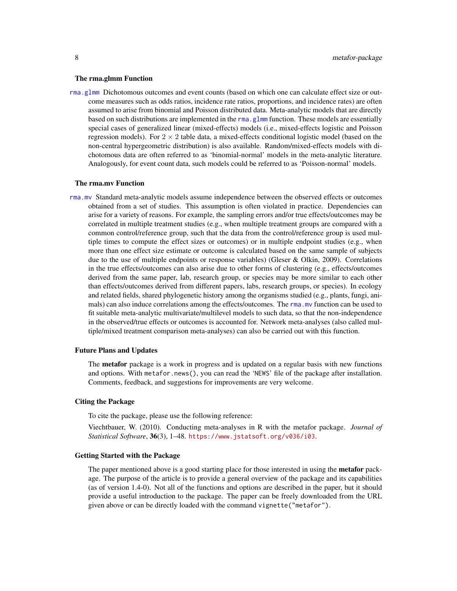# The rma.glmm Function

[rma.glmm](#page-208-1) Dichotomous outcomes and event counts (based on which one can calculate effect size or outcome measures such as odds ratios, incidence rate ratios, proportions, and incidence rates) are often assumed to arise from binomial and Poisson distributed data. Meta-analytic models that are directly based on such distributions are implemented in the [rma.glmm](#page-208-1) function. These models are essentially special cases of generalized linear (mixed-effects) models (i.e., mixed-effects logistic and Poisson regression models). For  $2 \times 2$  table data, a mixed-effects conditional logistic model (based on the non-central hypergeometric distribution) is also available. Random/mixed-effects models with dichotomous data are often referred to as 'binomial-normal' models in the meta-analytic literature. Analogously, for event count data, such models could be referred to as 'Poisson-normal' models.

#### The rma.mv Function

[rma.mv](#page-220-1) Standard meta-analytic models assume independence between the observed effects or outcomes obtained from a set of studies. This assumption is often violated in practice. Dependencies can arise for a variety of reasons. For example, the sampling errors and/or true effects/outcomes may be correlated in multiple treatment studies (e.g., when multiple treatment groups are compared with a common control/reference group, such that the data from the control/reference group is used multiple times to compute the effect sizes or outcomes) or in multiple endpoint studies (e.g., when more than one effect size estimate or outcome is calculated based on the same sample of subjects due to the use of multiple endpoints or response variables) (Gleser & Olkin, 2009). Correlations in the true effects/outcomes can also arise due to other forms of clustering (e.g., effects/outcomes derived from the same paper, lab, research group, or species may be more similar to each other than effects/outcomes derived from different papers, labs, research groups, or species). In ecology and related fields, shared phylogenetic history among the organisms studied (e.g., plants, fungi, animals) can also induce correlations among the effects/outcomes. The [rma.mv](#page-220-1) function can be used to fit suitable meta-analytic multivariate/multilevel models to such data, so that the non-independence in the observed/true effects or outcomes is accounted for. Network meta-analyses (also called multiple/mixed treatment comparison meta-analyses) can also be carried out with this function.

#### Future Plans and Updates

The **metafor** package is a work in progress and is updated on a regular basis with new functions and options. With metafor.news(), you can read the 'NEWS' file of the package after installation. Comments, feedback, and suggestions for improvements are very welcome.

# Citing the Package

To cite the package, please use the following reference:

Viechtbauer, W. (2010). Conducting meta-analyses in R with the metafor package. *Journal of Statistical Software*, 36(3), 1–48. <https://www.jstatsoft.org/v036/i03>.

## Getting Started with the Package

The paper mentioned above is a good starting place for those interested in using the **metafor** package. The purpose of the article is to provide a general overview of the package and its capabilities (as of version 1.4-0). Not all of the functions and options are described in the paper, but it should provide a useful introduction to the package. The paper can be freely downloaded from the URL given above or can be directly loaded with the command vignette("metafor").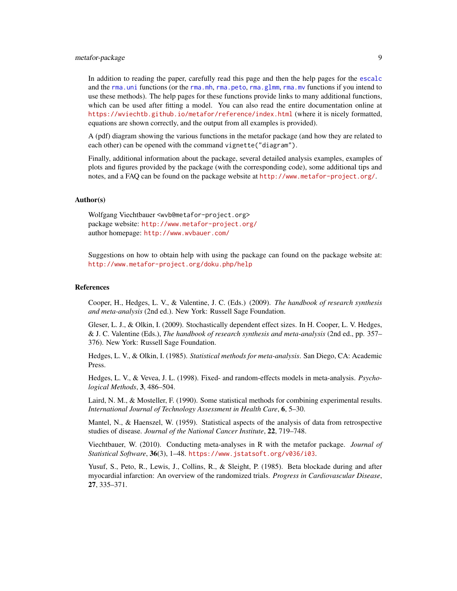# metafor-package 9

In addition to reading the paper, carefully read this page and then the help pages for the [escalc](#page-92-1) and the rma. uni functions (or the [rma.mh](#page-216-1), rma. peto, rma. glmm, rma. mv functions if you intend to use these methods). The help pages for these functions provide links to many additional functions, which can be used after fitting a model. You can also read the entire documentation online at <https://wviechtb.github.io/metafor/reference/index.html> (where it is nicely formatted, equations are shown correctly, and the output from all examples is provided).

A (pdf) diagram showing the various functions in the metafor package (and how they are related to each other) can be opened with the command vignette("diagram").

Finally, additional information about the package, several detailed analysis examples, examples of plots and figures provided by the package (with the corresponding code), some additional tips and notes, and a FAQ can be found on the package website at <http://www.metafor-project.org/>.

# Author(s)

Wolfgang Viechtbauer <wvb@metafor-project.org> package website: <http://www.metafor-project.org/> author homepage: <http://www.wvbauer.com/>

Suggestions on how to obtain help with using the package can found on the package website at: <http://www.metafor-project.org/doku.php/help>

# References

Cooper, H., Hedges, L. V., & Valentine, J. C. (Eds.) (2009). *The handbook of research synthesis and meta-analysis* (2nd ed.). New York: Russell Sage Foundation.

Gleser, L. J., & Olkin, I. (2009). Stochastically dependent effect sizes. In H. Cooper, L. V. Hedges, & J. C. Valentine (Eds.), *The handbook of research synthesis and meta-analysis* (2nd ed., pp. 357– 376). New York: Russell Sage Foundation.

Hedges, L. V., & Olkin, I. (1985). *Statistical methods for meta-analysis*. San Diego, CA: Academic Press.

Hedges, L. V., & Vevea, J. L. (1998). Fixed- and random-effects models in meta-analysis. *Psychological Methods*, 3, 486–504.

Laird, N. M., & Mosteller, F. (1990). Some statistical methods for combining experimental results. *International Journal of Technology Assessment in Health Care*, 6, 5–30.

Mantel, N., & Haenszel, W. (1959). Statistical aspects of the analysis of data from retrospective studies of disease. *Journal of the National Cancer Institute*, 22, 719–748.

Viechtbauer, W. (2010). Conducting meta-analyses in R with the metafor package. *Journal of Statistical Software*, 36(3), 1–48. <https://www.jstatsoft.org/v036/i03>.

Yusuf, S., Peto, R., Lewis, J., Collins, R., & Sleight, P. (1985). Beta blockade during and after myocardial infarction: An overview of the randomized trials. *Progress in Cardiovascular Disease*, 27, 335–371.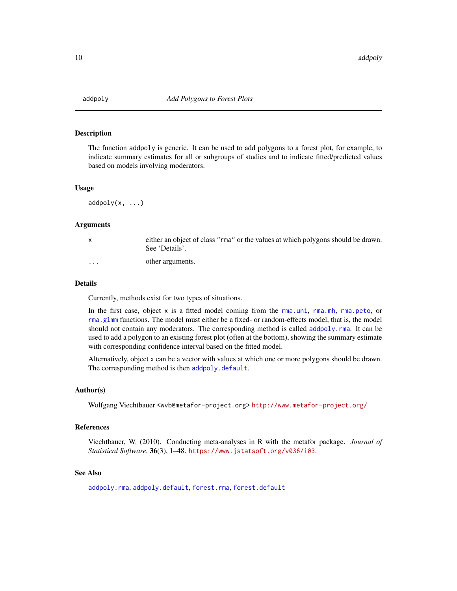<span id="page-9-0"></span>

# Description

The function addpoly is generic. It can be used to add polygons to a forest plot, for example, to indicate summary estimates for all or subgroups of studies and to indicate fitted/predicted values based on models involving moderators.

# Usage

 $addpoly(x, \ldots)$ 

# Arguments

| X | either an object of class "rma" or the values at which polygons should be drawn.<br>See 'Details'. |
|---|----------------------------------------------------------------------------------------------------|
| . | other arguments.                                                                                   |

#### Details

Currently, methods exist for two types of situations.

In the first case, object x is a fitted model coming from the [rma.uni](#page-235-1), [rma.mh](#page-216-1), [rma.peto](#page-232-1), or [rma.glmm](#page-208-1) functions. The model must either be a fixed- or random-effects model, that is, the model should not contain any moderators. The corresponding method is called [addpoly.rma](#page-12-1). It can be used to add a polygon to an existing forest plot (often at the bottom), showing the summary estimate with corresponding confidence interval based on the fitted model.

Alternatively, object x can be a vector with values at which one or more polygons should be drawn. The corresponding method is then [addpoly.default](#page-10-1).

# Author(s)

Wolfgang Viechtbauer <wvb@metafor-project.org> <http://www.metafor-project.org/>

#### References

Viechtbauer, W. (2010). Conducting meta-analyses in R with the metafor package. *Journal of Statistical Software*, 36(3), 1–48. <https://www.jstatsoft.org/v036/i03>.

# See Also

[addpoly.rma](#page-12-1), [addpoly.default](#page-10-1), [forest.rma](#page-119-1), [forest.default](#page-115-1)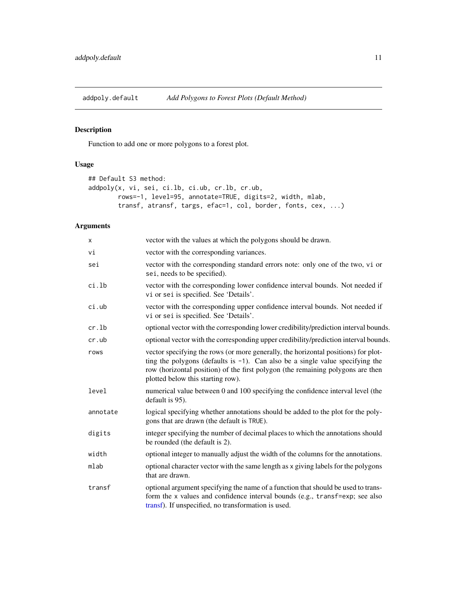<span id="page-10-1"></span><span id="page-10-0"></span>addpoly.default *Add Polygons to Forest Plots (Default Method)*

# Description

Function to add one or more polygons to a forest plot.

# Usage

```
## Default S3 method:
addpoly(x, vi, sei, ci.lb, ci.ub, cr.lb, cr.ub,
       rows=-1, level=95, annotate=TRUE, digits=2, width, mlab,
        transf, atransf, targs, efac=1, col, border, fonts, cex, ...)
```

| X        | vector with the values at which the polygons should be drawn.                                                                                                                                                                                                                                  |
|----------|------------------------------------------------------------------------------------------------------------------------------------------------------------------------------------------------------------------------------------------------------------------------------------------------|
| vi       | vector with the corresponding variances.                                                                                                                                                                                                                                                       |
| sei      | vector with the corresponding standard errors note: only one of the two, vi or<br>sei, needs to be specified).                                                                                                                                                                                 |
| ci.lb    | vector with the corresponding lower confidence interval bounds. Not needed if<br>vi or sei is specified. See 'Details'.                                                                                                                                                                        |
| ci.ub    | vector with the corresponding upper confidence interval bounds. Not needed if<br>vi or sei is specified. See 'Details'.                                                                                                                                                                        |
| cr.lb    | optional vector with the corresponding lower credibility/prediction interval bounds.                                                                                                                                                                                                           |
| cr.ub    | optional vector with the corresponding upper credibility/prediction interval bounds.                                                                                                                                                                                                           |
| rows     | vector specifying the rows (or more generally, the horizontal positions) for plot-<br>ting the polygons (defaults is $-1$ ). Can also be a single value specifying the<br>row (horizontal position) of the first polygon (the remaining polygons are then<br>plotted below this starting row). |
| level    | numerical value between 0 and 100 specifying the confidence interval level (the<br>default is 95).                                                                                                                                                                                             |
| annotate | logical specifying whether annotations should be added to the plot for the poly-<br>gons that are drawn (the default is TRUE).                                                                                                                                                                 |
| digits   | integer specifying the number of decimal places to which the annotations should<br>be rounded (the default is 2).                                                                                                                                                                              |
| width    | optional integer to manually adjust the width of the columns for the annotations.                                                                                                                                                                                                              |
| mlab     | optional character vector with the same length as x giving labels for the polygons<br>that are drawn.                                                                                                                                                                                          |
| transf   | optional argument specifying the name of a function that should be used to trans-<br>form the x values and confidence interval bounds (e.g., transf=exp; see also<br>transf). If unspecified, no transformation is used.                                                                       |
|          |                                                                                                                                                                                                                                                                                                |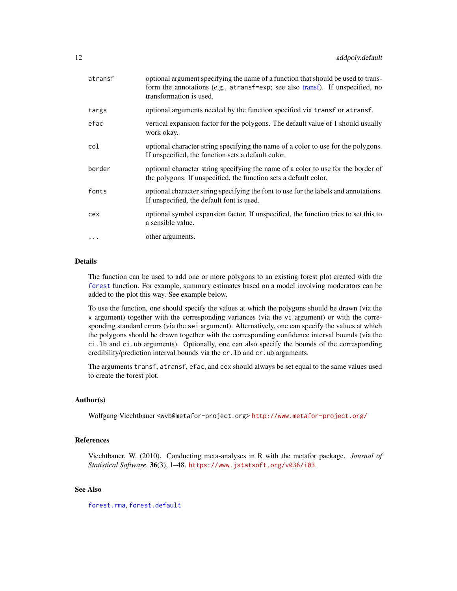| atransf  | optional argument specifying the name of a function that should be used to trans-<br>form the annotations (e.g., atransf=exp; see also transf). If unspecified, no<br>transformation is used. |
|----------|-----------------------------------------------------------------------------------------------------------------------------------------------------------------------------------------------|
| targs    | optional arguments needed by the function specified via transf or atransf.                                                                                                                    |
| efac     | vertical expansion factor for the polygons. The default value of 1 should usually<br>work okay.                                                                                               |
| col      | optional character string specifying the name of a color to use for the polygons.<br>If unspecified, the function sets a default color.                                                       |
| border   | optional character string specifying the name of a color to use for the border of<br>the polygons. If unspecified, the function sets a default color.                                         |
| fonts    | optional character string specifying the font to use for the labels and annotations.<br>If unspecified, the default font is used.                                                             |
| cex      | optional symbol expansion factor. If unspecified, the function tries to set this to<br>a sensible value.                                                                                      |
| $\cdots$ | other arguments.                                                                                                                                                                              |

# Details

The function can be used to add one or more polygons to an existing forest plot created with the [forest](#page-111-1) function. For example, summary estimates based on a model involving moderators can be added to the plot this way. See example below.

To use the function, one should specify the values at which the polygons should be drawn (via the x argument) together with the corresponding variances (via the vi argument) or with the corresponding standard errors (via the sei argument). Alternatively, one can specify the values at which the polygons should be drawn together with the corresponding confidence interval bounds (via the ci.lb and ci.ub arguments). Optionally, one can also specify the bounds of the corresponding credibility/prediction interval bounds via the cr.lb and cr.ub arguments.

The arguments transf, atransf, efac, and cex should always be set equal to the same values used to create the forest plot.

# Author(s)

Wolfgang Viechtbauer <wvb@metafor-project.org> <http://www.metafor-project.org/>

# References

Viechtbauer, W. (2010). Conducting meta-analyses in R with the metafor package. *Journal of Statistical Software*, 36(3), 1–48. <https://www.jstatsoft.org/v036/i03>.

# See Also

[forest.rma](#page-119-1), [forest.default](#page-115-1)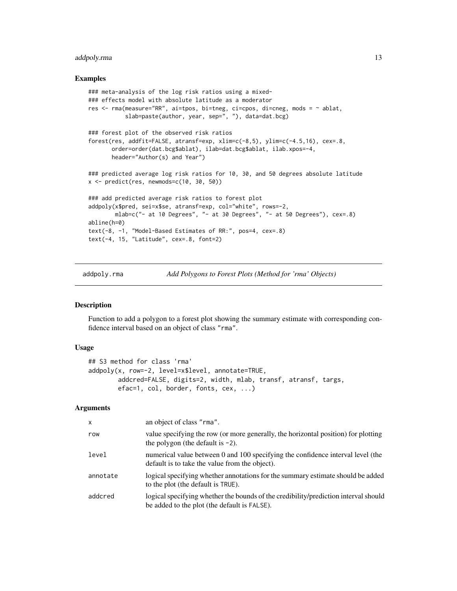# <span id="page-12-0"></span>addpoly.rma 13

# Examples

```
### meta-analysis of the log risk ratios using a mixed-
### effects model with absolute latitude as a moderator
res \le - rma(measure="RR", ai=tpos, bi=tneg, ci=cpos, di=cneg, mods = \sim ablat,
           slab=paste(author, year, sep=", "), data=dat.bcg)
### forest plot of the observed risk ratios
forest(res, addfit=FALSE, atransf=exp, xlim=c(-8,5), ylim=c(-4.5,16), cex=.8,
       order=order(dat.bcg$ablat), ilab=dat.bcg$ablat, ilab.xpos=-4,
       header="Author(s) and Year")
### predicted average log risk ratios for 10, 30, and 50 degrees absolute latitude
x \leftarrow \text{predict}(\text{res}, \text{newmodes}=c(10, 30, 50))### add predicted average risk ratios to forest plot
addpoly(x$pred, sei=x$se, atransf=exp, col="white", rows=-2,
        mlab=c("- at 10 Degrees", "- at 30 Degrees", "- at 50 Degrees"), cex=.8)
abline(h=0)
text(-8, -1, "Model-Based Estimates of RR:", pos=4, cex=.8)
text(-4, 15, "Latitude", cex=.8, font=2)
```
addpoly.rma *Add Polygons to Forest Plots (Method for 'rma' Objects)*

# Description

Function to add a polygon to a forest plot showing the summary estimate with corresponding confidence interval based on an object of class "rma".

# Usage

```
## S3 method for class 'rma'
addpoly(x, row=-2, level=x$level, annotate=TRUE,
       addcred=FALSE, digits=2, width, mlab, transf, atransf, targs,
       efac=1, col, border, fonts, cex, ...)
```

| $\mathsf{x}$ | an object of class "rma".                                                                                                           |
|--------------|-------------------------------------------------------------------------------------------------------------------------------------|
| row          | value specifying the row (or more generally, the horizontal position) for plotting<br>the polygon (the default is $-2$ ).           |
| level        | numerical value between 0 and 100 specifying the confidence interval level (the<br>default is to take the value from the object).   |
| annotate     | logical specifying whether annotations for the summary estimate should be added<br>to the plot (the default is TRUE).               |
| addcred      | logical specifying whether the bounds of the credibility/prediction interval should<br>be added to the plot (the default is FALSE). |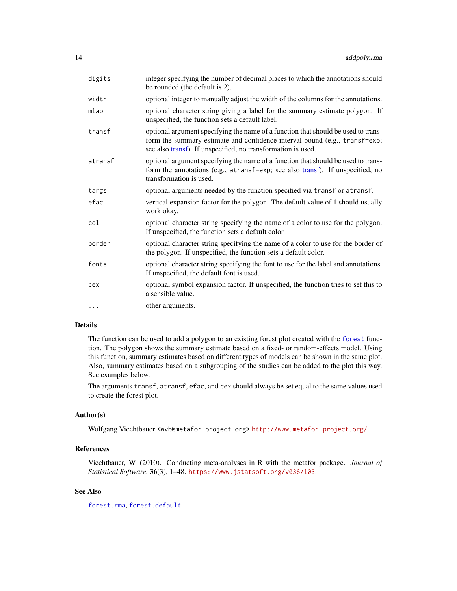| integer specifying the number of decimal places to which the annotations should<br>be rounded (the default is 2).                                                                                                               |
|---------------------------------------------------------------------------------------------------------------------------------------------------------------------------------------------------------------------------------|
| optional integer to manually adjust the width of the columns for the annotations.                                                                                                                                               |
| optional character string giving a label for the summary estimate polygon. If<br>unspecified, the function sets a default label.                                                                                                |
| optional argument specifying the name of a function that should be used to trans-<br>form the summary estimate and confidence interval bound (e.g., transf=exp;<br>see also transf). If unspecified, no transformation is used. |
| optional argument specifying the name of a function that should be used to trans-<br>form the annotations (e.g., atransf=exp; see also transf). If unspecified, no<br>transformation is used.                                   |
| optional arguments needed by the function specified via transf or atransf.                                                                                                                                                      |
| vertical expansion factor for the polygon. The default value of 1 should usually<br>work okay.                                                                                                                                  |
| optional character string specifying the name of a color to use for the polygon.<br>If unspecified, the function sets a default color.                                                                                          |
| optional character string specifying the name of a color to use for the border of<br>the polygon. If unspecified, the function sets a default color.                                                                            |
| optional character string specifying the font to use for the label and annotations.<br>If unspecified, the default font is used.                                                                                                |
| optional symbol expansion factor. If unspecified, the function tries to set this to<br>a sensible value.                                                                                                                        |
| other arguments.                                                                                                                                                                                                                |
|                                                                                                                                                                                                                                 |

# Details

The function can be used to add a polygon to an existing forest plot created with the [forest](#page-111-1) function. The polygon shows the summary estimate based on a fixed- or random-effects model. Using this function, summary estimates based on different types of models can be shown in the same plot. Also, summary estimates based on a subgrouping of the studies can be added to the plot this way. See examples below.

The arguments transf, atransf, efac, and cex should always be set equal to the same values used to create the forest plot.

# Author(s)

Wolfgang Viechtbauer <wvb@metafor-project.org> <http://www.metafor-project.org/>

# References

Viechtbauer, W. (2010). Conducting meta-analyses in R with the metafor package. *Journal of Statistical Software*, 36(3), 1–48. <https://www.jstatsoft.org/v036/i03>.

# See Also

[forest.rma](#page-119-1), [forest.default](#page-115-1)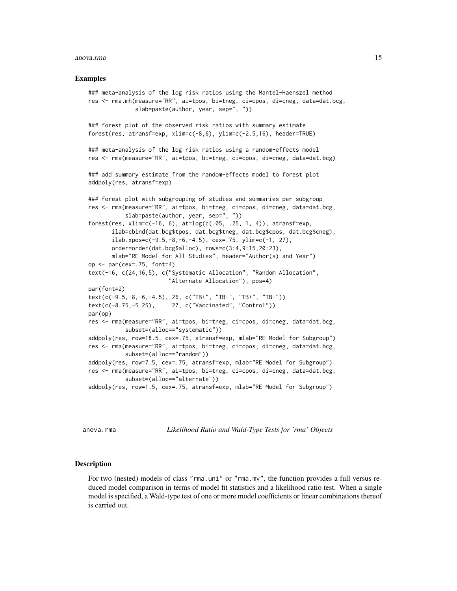#### <span id="page-14-0"></span>anova.rma anova.rma anova.rma anova.rma anova.rma anova.rma anova.rma anova.rma anova.rma anova.rma anova.rma

#### Examples

```
### meta-analysis of the log risk ratios using the Mantel-Haenszel method
res <- rma.mh(measure="RR", ai=tpos, bi=tneg, ci=cpos, di=cneg, data=dat.bcg,
              slab=paste(author, year, sep=", "))
### forest plot of the observed risk ratios with summary estimate
forest(res, atransf=exp, xlim=c(-8,6), ylim=c(-2.5,16), header=TRUE)
### meta-analysis of the log risk ratios using a random-effects model
res <- rma(measure="RR", ai=tpos, bi=tneg, ci=cpos, di=cneg, data=dat.bcg)
### add summary estimate from the random-effects model to forest plot
addpoly(res, atransf=exp)
### forest plot with subgrouping of studies and summaries per subgroup
res <- rma(measure="RR", ai=tpos, bi=tneg, ci=cpos, di=cneg, data=dat.bcg,
           slab=paste(author, year, sep=", "))
forest(res, xlim=c(-16, 6), at=log(c(.05, .25, 1, 4)), atransf=exp,
       ilab=cbind(dat.bcg$tpos, dat.bcg$tneg, dat.bcg$cpos, dat.bcg$cneg),
      ilab.xpos=c(-9.5,-8,-6,-4.5), cex=.75, ylim=c(-1, 27),
      order=order(dat.bcg$alloc), rows=c(3:4,9:15,20:23),
      mlab="RE Model for All Studies", header="Author(s) and Year")
op \leq par(cex=.75, font=4)
text(-16, c(24,16,5), c("Systematic Allocation", "Random Allocation",
                        "Alternate Allocation"), pos=4)
par(font=2)
text(c(-9.5,-8,-6,-4.5), 26, c("TB+", "TB-", "TB+", "TB-"))
text(c(-8.75,-5.25), 27, c("Vaccinated", "Control"))
par(op)
res <- rma(measure="RR", ai=tpos, bi=tneg, ci=cpos, di=cneg, data=dat.bcg,
           subset=(alloc=="systematic"))
addpoly(res, row=18.5, cex=.75, atransf=exp, mlab="RE Model for Subgroup")
res <- rma(measure="RR", ai=tpos, bi=tneg, ci=cpos, di=cneg, data=dat.bcg,
           subset=(alloc=="random"))
addpoly(res, row=7.5, cex=.75, atransf=exp, mlab="RE Model for Subgroup")
res <- rma(measure="RR", ai=tpos, bi=tneg, ci=cpos, di=cneg, data=dat.bcg,
           subset=(alloc=="alternate"))
addpoly(res, row=1.5, cex=.75, atransf=exp, mlab="RE Model for Subgroup")
```
anova.rma *Likelihood Ratio and Wald-Type Tests for 'rma' Objects*

### **Description**

For two (nested) models of class "rma.uni" or "rma.mv", the function provides a full versus reduced model comparison in terms of model fit statistics and a likelihood ratio test. When a single model is specified, a Wald-type test of one or more model coefficients or linear combinations thereof is carried out.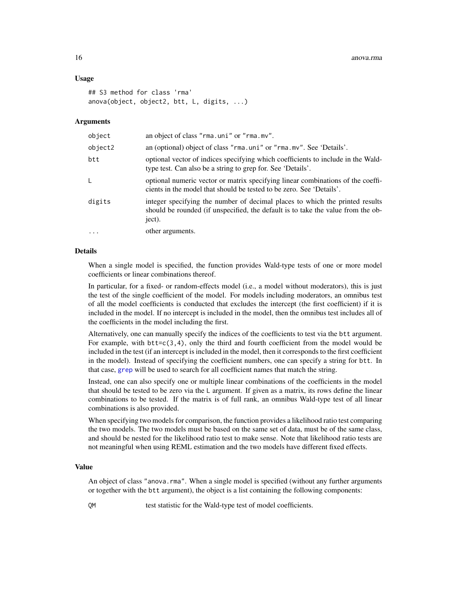# Usage

```
## S3 method for class 'rma'
anova(object, object2, btt, L, digits, ...)
```
# Arguments

| object     | an object of class "rma.uni" or "rma.mv".                                                                                                                                  |
|------------|----------------------------------------------------------------------------------------------------------------------------------------------------------------------------|
| object2    | an (optional) object of class "rma.uni" or "rma.mv". See 'Details'.                                                                                                        |
| btt        | optional vector of indices specifying which coefficients to include in the Wald-<br>type test. Can also be a string to grep for. See 'Details'.                            |
| L.         | optional numeric vector or matrix specifying linear combinations of the coeffi-<br>cients in the model that should be tested to be zero. See 'Details'.                    |
| digits     | integer specifying the number of decimal places to which the printed results<br>should be rounded (if unspecified, the default is to take the value from the ob-<br>ject). |
| $\ddots$ . | other arguments.                                                                                                                                                           |

# Details

When a single model is specified, the function provides Wald-type tests of one or more model coefficients or linear combinations thereof.

In particular, for a fixed- or random-effects model (i.e., a model without moderators), this is just the test of the single coefficient of the model. For models including moderators, an omnibus test of all the model coefficients is conducted that excludes the intercept (the first coefficient) if it is included in the model. If no intercept is included in the model, then the omnibus test includes all of the coefficients in the model including the first.

Alternatively, one can manually specify the indices of the coefficients to test via the btt argument. For example, with  $bt = c(3, 4)$ , only the third and fourth coefficient from the model would be included in the test (if an intercept is included in the model, then it corresponds to the first coefficient in the model). Instead of specifying the coefficient numbers, one can specify a string for btt. In that case, [grep](#page-0-0) will be used to search for all coefficient names that match the string.

Instead, one can also specify one or multiple linear combinations of the coefficients in the model that should be tested to be zero via the L argument. If given as a matrix, its rows define the linear combinations to be tested. If the matrix is of full rank, an omnibus Wald-type test of all linear combinations is also provided.

When specifying two models for comparison, the function provides a likelihood ratio test comparing the two models. The two models must be based on the same set of data, must be of the same class, and should be nested for the likelihood ratio test to make sense. Note that likelihood ratio tests are not meaningful when using REML estimation and the two models have different fixed effects.

#### Value

An object of class "anova.rma". When a single model is specified (without any further arguments or together with the btt argument), the object is a list containing the following components:

QM test statistic for the Wald-type test of model coefficients.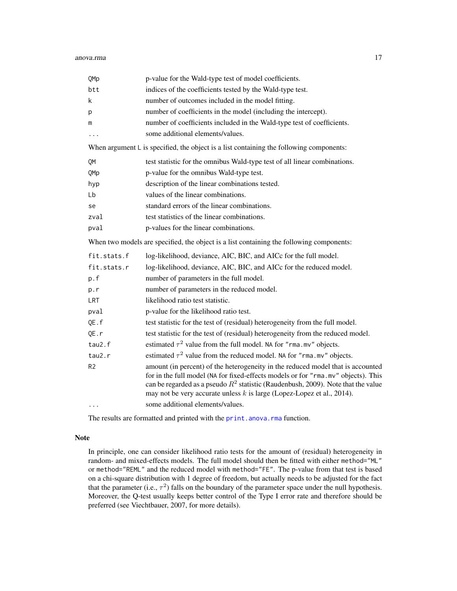| QMp            | p-value for the Wald-type test of model coefficients.                                                                                                                                                                                                                                                                                   |
|----------------|-----------------------------------------------------------------------------------------------------------------------------------------------------------------------------------------------------------------------------------------------------------------------------------------------------------------------------------------|
| btt            | indices of the coefficients tested by the Wald-type test.                                                                                                                                                                                                                                                                               |
| k              | number of outcomes included in the model fitting.                                                                                                                                                                                                                                                                                       |
| р              | number of coefficients in the model (including the intercept).                                                                                                                                                                                                                                                                          |
| m              | number of coefficients included in the Wald-type test of coefficients.                                                                                                                                                                                                                                                                  |
| .              | some additional elements/values.                                                                                                                                                                                                                                                                                                        |
|                | When argument $L$ is specified, the object is a list containing the following components:                                                                                                                                                                                                                                               |
| QM             | test statistic for the omnibus Wald-type test of all linear combinations.                                                                                                                                                                                                                                                               |
| QMp            | p-value for the omnibus Wald-type test.                                                                                                                                                                                                                                                                                                 |
| hyp            | description of the linear combinations tested.                                                                                                                                                                                                                                                                                          |
| Lb             | values of the linear combinations.                                                                                                                                                                                                                                                                                                      |
| se             | standard errors of the linear combinations.                                                                                                                                                                                                                                                                                             |
| zval           | test statistics of the linear combinations.                                                                                                                                                                                                                                                                                             |
| pval           | p-values for the linear combinations.                                                                                                                                                                                                                                                                                                   |
|                | When two models are specified, the object is a list containing the following components:                                                                                                                                                                                                                                                |
| fit.stats.f    | log-likelihood, deviance, AIC, BIC, and AICc for the full model.                                                                                                                                                                                                                                                                        |
| fit.stats.r    | log-likelihood, deviance, AIC, BIC, and AICc for the reduced model.                                                                                                                                                                                                                                                                     |
| p.f            | number of parameters in the full model.                                                                                                                                                                                                                                                                                                 |
| p.r            | number of parameters in the reduced model.                                                                                                                                                                                                                                                                                              |
| LRT            | likelihood ratio test statistic.                                                                                                                                                                                                                                                                                                        |
| pval           | p-value for the likelihood ratio test.                                                                                                                                                                                                                                                                                                  |
| QE.f           | test statistic for the test of (residual) heterogeneity from the full model.                                                                                                                                                                                                                                                            |
| QE.r           | test statistic for the test of (residual) heterogeneity from the reduced model.                                                                                                                                                                                                                                                         |
| tau2.f         | estimated $\tau^2$ value from the full model. NA for "rma.mv" objects.                                                                                                                                                                                                                                                                  |
| tau2.r         | estimated $\tau^2$ value from the reduced model. NA for "rma.mv" objects.                                                                                                                                                                                                                                                               |
| R <sub>2</sub> | amount (in percent) of the heterogeneity in the reduced model that is accounted<br>for in the full model (NA for fixed-effects models or for "rma.mv" objects). This<br>can be regarded as a pseudo $R^2$ statistic (Raudenbush, 2009). Note that the value<br>may not be very accurate unless $k$ is large (Lopez-Lopez et al., 2014). |
| $\ddots$       | some additional elements/values.                                                                                                                                                                                                                                                                                                        |

The results are formatted and printed with the [print.anova.rma](#page-168-1) function.

# Note

In principle, one can consider likelihood ratio tests for the amount of (residual) heterogeneity in random- and mixed-effects models. The full model should then be fitted with either method="ML" or method="REML" and the reduced model with method="FE". The p-value from that test is based on a chi-square distribution with 1 degree of freedom, but actually needs to be adjusted for the fact that the parameter (i.e.,  $\tau^2$ ) falls on the boundary of the parameter space under the null hypothesis. Moreover, the Q-test usually keeps better control of the Type I error rate and therefore should be preferred (see Viechtbauer, 2007, for more details).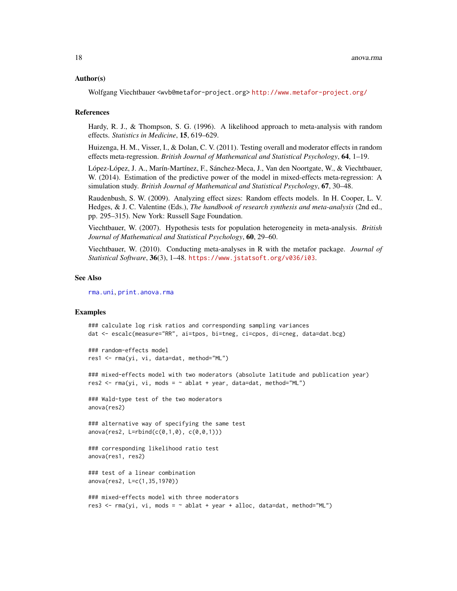#### Author(s)

Wolfgang Viechtbauer <wvb@metafor-project.org> <http://www.metafor-project.org/>

#### References

Hardy, R. J., & Thompson, S. G. (1996). A likelihood approach to meta-analysis with random effects. *Statistics in Medicine*, 15, 619–629.

Huizenga, H. M., Visser, I., & Dolan, C. V. (2011). Testing overall and moderator effects in random effects meta-regression. *British Journal of Mathematical and Statistical Psychology*, 64, 1–19.

López-López, J. A., Marín-Martínez, F., Sánchez-Meca, J., Van den Noortgate, W., & Viechtbauer, W. (2014). Estimation of the predictive power of the model in mixed-effects meta-regression: A simulation study. *British Journal of Mathematical and Statistical Psychology*, 67, 30–48.

Raudenbush, S. W. (2009). Analyzing effect sizes: Random effects models. In H. Cooper, L. V. Hedges, & J. C. Valentine (Eds.), *The handbook of research synthesis and meta-analysis* (2nd ed., pp. 295–315). New York: Russell Sage Foundation.

Viechtbauer, W. (2007). Hypothesis tests for population heterogeneity in meta-analysis. *British Journal of Mathematical and Statistical Psychology*, 60, 29–60.

Viechtbauer, W. (2010). Conducting meta-analyses in R with the metafor package. *Journal of Statistical Software*, 36(3), 1–48. <https://www.jstatsoft.org/v036/i03>.

#### See Also

[rma.uni](#page-235-1), [print.anova.rma](#page-168-1)

# Examples

```
### calculate log risk ratios and corresponding sampling variances
dat <- escalc(measure="RR", ai=tpos, bi=tneg, ci=cpos, di=cneg, data=dat.bcg)
```

```
### random-effects model
res1 <- rma(yi, vi, data=dat, method="ML")
```
### mixed-effects model with two moderators (absolute latitude and publication year)  $res2 \leq rms(yi, vi, mods = ~ablat + year, data=dat, method="ML")$ 

### Wald-type test of the two moderators anova(res2)

### alternative way of specifying the same test  $anova(res2, L=rbind(c(0,1,0), c(0,0,1)))$ 

### corresponding likelihood ratio test anova(res1, res2)

### test of a linear combination anova(res2, L=c(1,35,1970))

```
### mixed-effects model with three moderators
res3 <- \text{rma}(yi, vi, mods = \sim ablat + year + alloc, data=dat, method="ML")
```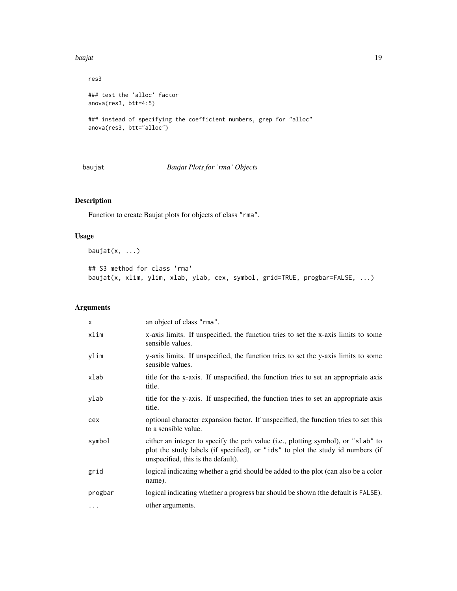#### <span id="page-18-0"></span>baujat 19

```
res3
### test the 'alloc' factor
anova(res3, btt=4:5)
### instead of specifying the coefficient numbers, grep for "alloc"
anova(res3, btt="alloc")
```
baujat *Baujat Plots for 'rma' Objects*

# Description

Function to create Baujat plots for objects of class "rma".

# Usage

baujat $(x, \ldots)$ 

## S3 method for class 'rma' baujat(x, xlim, ylim, xlab, ylab, cex, symbol, grid=TRUE, progbar=FALSE, ...)

| $\times$ | an object of class "rma".                                                                                                                                                                                 |
|----------|-----------------------------------------------------------------------------------------------------------------------------------------------------------------------------------------------------------|
| xlim     | x-axis limits. If unspecified, the function tries to set the x-axis limits to some<br>sensible values.                                                                                                    |
| ylim     | y-axis limits. If unspecified, the function tries to set the y-axis limits to some<br>sensible values.                                                                                                    |
| xlab     | title for the x-axis. If unspecified, the function tries to set an appropriate axis<br>title.                                                                                                             |
| ylab     | title for the y-axis. If unspecified, the function tries to set an appropriate axis<br>title.                                                                                                             |
| cex      | optional character expansion factor. If unspecified, the function tries to set this<br>to a sensible value.                                                                                               |
| symbol   | either an integer to specify the pch value (i.e., plotting symbol), or "slab" to<br>plot the study labels (if specified), or "ids" to plot the study id numbers (if<br>unspecified, this is the default). |
| grid     | logical indicating whether a grid should be added to the plot (can also be a color<br>name).                                                                                                              |
| progbar  | logical indicating whether a progress bar should be shown (the default is FALSE).                                                                                                                         |
| $\cdots$ | other arguments.                                                                                                                                                                                          |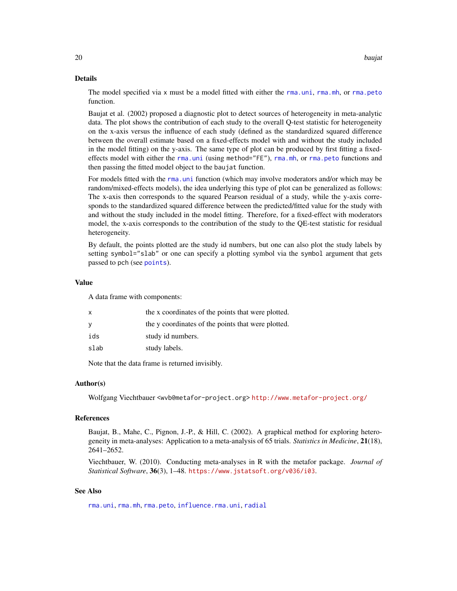# Details

The model specified via x must be a model fitted with either the [rma.uni](#page-235-1), [rma.mh](#page-216-1), or [rma.peto](#page-232-1) function.

Baujat et al. (2002) proposed a diagnostic plot to detect sources of heterogeneity in meta-analytic data. The plot shows the contribution of each study to the overall Q-test statistic for heterogeneity on the x-axis versus the influence of each study (defined as the standardized squared difference between the overall estimate based on a fixed-effects model with and without the study included in the model fitting) on the y-axis. The same type of plot can be produced by first fitting a fixedeffects model with either the [rma.uni](#page-235-1) (using method="FE"), [rma.mh](#page-216-1), or [rma.peto](#page-232-1) functions and then passing the fitted model object to the baujat function.

For models fitted with the rma, uni function (which may involve moderators and/or which may be random/mixed-effects models), the idea underlying this type of plot can be generalized as follows: The x-axis then corresponds to the squared Pearson residual of a study, while the y-axis corresponds to the standardized squared difference between the predicted/fitted value for the study with and without the study included in the model fitting. Therefore, for a fixed-effect with moderators model, the x-axis corresponds to the contribution of the study to the QE-test statistic for residual heterogeneity.

By default, the points plotted are the study id numbers, but one can also plot the study labels by setting symbol="slab" or one can specify a plotting symbol via the symbol argument that gets passed to pch (see [points](#page-0-0)).

# Value

A data frame with components:

| x    | the x coordinates of the points that were plotted. |
|------|----------------------------------------------------|
| У    | the y coordinates of the points that were plotted. |
| ids  | study id numbers.                                  |
| slab | study labels.                                      |
|      |                                                    |

Note that the data frame is returned invisibly.

#### Author(s)

Wolfgang Viechtbauer <wvb@metafor-project.org> <http://www.metafor-project.org/>

# References

Baujat, B., Mahe, C., Pignon, J.-P., & Hill, C. (2002). A graphical method for exploring heterogeneity in meta-analyses: Application to a meta-analysis of 65 trials. *Statistics in Medicine*, 21(18), 2641–2652.

Viechtbauer, W. (2010). Conducting meta-analyses in R with the metafor package. *Journal of Statistical Software*, 36(3), 1–48. <https://www.jstatsoft.org/v036/i03>.

# See Also

[rma.uni](#page-235-1), [rma.mh](#page-216-1), [rma.peto](#page-232-1), [influence.rma.uni](#page-141-1), [radial](#page-191-1)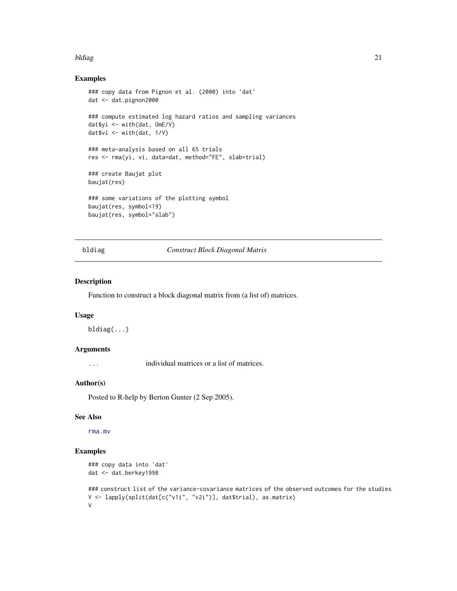#### <span id="page-20-0"></span>bldiag 21 and 22 and 22 and 22 and 22 and 23 and 23 and 23 and 24 and 25 and 26 and 26 and 27 and 27 and 27 and 27 and 27 and 27 and 27 and 27 and 27 and 27 and 27 and 27 and 27 and 27 and 27 and 27 and 27 and 27 and 27 an

# Examples

```
### copy data from Pignon et al. (2000) into 'dat'
dat <- dat.pignon2000
### compute estimated log hazard ratios and sampling variances
dat$yi <- with(dat, OmE/V)
dat$vi <- with(dat, 1/V)
### meta-analysis based on all 65 trials
res <- rma(yi, vi, data=dat, method="FE", slab=trial)
### create Baujat plot
baujat(res)
### some variations of the plotting symbol
baujat(res, symbol=19)
baujat(res, symbol="slab")
```
# bldiag *Construct Block Diagonal Matrix*

# Description

Function to construct a block diagonal matrix from (a list of) matrices.

# Usage

bldiag(...)

# Arguments

... individual matrices or a list of matrices.

#### Author(s)

Posted to R-help by Berton Gunter (2 Sep 2005).

# See Also

[rma.mv](#page-220-1)

# Examples

```
### copy data into 'dat'
dat <- dat.berkey1998
```

```
### construct list of the variance-covariance matrices of the observed outcomes for the studies
V <- lapply(split(dat[c("v1i", "v2i")], dat$trial), as.matrix)
V
```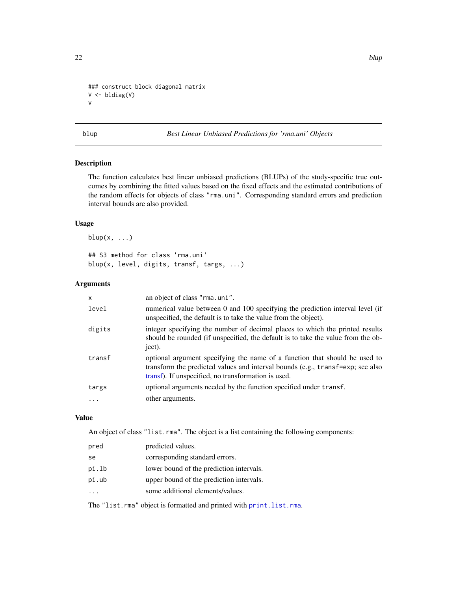```
### construct block diagonal matrix
V <- bldiag(V)
V
```
blup *Best Linear Unbiased Predictions for 'rma.uni' Objects*

# Description

The function calculates best linear unbiased predictions (BLUPs) of the study-specific true outcomes by combining the fitted values based on the fixed effects and the estimated contributions of the random effects for objects of class "rma.uni". Corresponding standard errors and prediction interval bounds are also provided.

# Usage

 $blup(x, \ldots)$ 

## S3 method for class 'rma.uni' blup(x, level, digits, transf, targs, ...)

# Arguments

| $\mathsf{x}$ | an object of class "rma.uni".                                                                                                                                                                                       |
|--------------|---------------------------------------------------------------------------------------------------------------------------------------------------------------------------------------------------------------------|
| level        | numerical value between 0 and 100 specifying the prediction interval level (if<br>unspecified, the default is to take the value from the object).                                                                   |
| digits       | integer specifying the number of decimal places to which the printed results<br>should be rounded (if unspecified, the default is to take the value from the ob-<br>ject).                                          |
| transf       | optional argument specifying the name of a function that should be used to<br>transform the predicted values and interval bounds (e.g., transf=exp; see also<br>transf). If unspecified, no transformation is used. |
| targs        | optional arguments needed by the function specified under transf.                                                                                                                                                   |
| $\cdots$     | other arguments.                                                                                                                                                                                                    |

# Value

An object of class "list.rma". The object is a list containing the following components:

| pred  | predicted values.                        |
|-------|------------------------------------------|
| se.   | corresponding standard errors.           |
| pi.lb | lower bound of the prediction intervals. |
| pi.ub | upper bound of the prediction intervals. |
|       | some additional elements/values.         |
|       |                                          |

The "list.rma" object is formatted and printed with [print.list.rma](#page-176-1).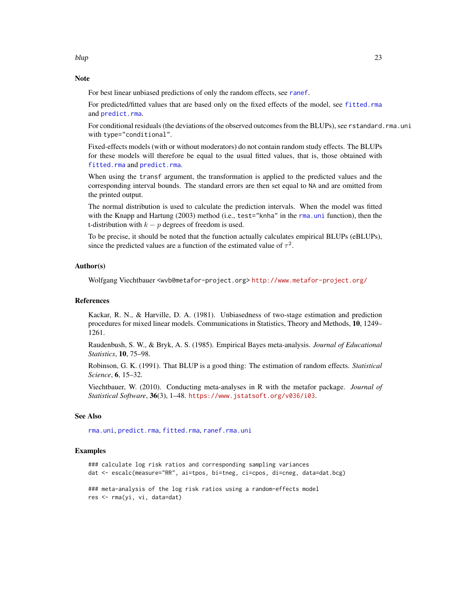# Note

For best linear unbiased predictions of only the random effects, see [ranef](#page-193-1).

For predicted/fitted values that are based only on the fixed effects of the model, see [fitted.rma](#page-110-1) and [predict.rma](#page-164-1).

For conditional residuals (the deviations of the observed outcomes from the BLUPs), see rstandard.rma.uni with type="conditional".

Fixed-effects models (with or without moderators) do not contain random study effects. The BLUPs for these models will therefore be equal to the usual fitted values, that is, those obtained with [fitted.rma](#page-110-1) and [predict.rma](#page-164-1).

When using the transf argument, the transformation is applied to the predicted values and the corresponding interval bounds. The standard errors are then set equal to NA and are omitted from the printed output.

The normal distribution is used to calculate the prediction intervals. When the model was fitted with the Knapp and Hartung (2003) method (i.e., test="knha" in the [rma.uni](#page-235-1) function), then the t-distribution with  $k - p$  degrees of freedom is used.

To be precise, it should be noted that the function actually calculates empirical BLUPs (eBLUPs), since the predicted values are a function of the estimated value of  $\tau^2$ .

# Author(s)

Wolfgang Viechtbauer <wvb@metafor-project.org> <http://www.metafor-project.org/>

#### References

Kackar, R. N., & Harville, D. A. (1981). Unbiasedness of two-stage estimation and prediction procedures for mixed linear models. Communications in Statistics, Theory and Methods, 10, 1249– 1261.

Raudenbush, S. W., & Bryk, A. S. (1985). Empirical Bayes meta-analysis. *Journal of Educational Statistics*, 10, 75–98.

Robinson, G. K. (1991). That BLUP is a good thing: The estimation of random effects. *Statistical Science*, 6, 15–32.

Viechtbauer, W. (2010). Conducting meta-analyses in R with the metafor package. *Journal of Statistical Software*, 36(3), 1–48. <https://www.jstatsoft.org/v036/i03>.

# See Also

[rma.uni](#page-235-1), [predict.rma](#page-164-1), [fitted.rma](#page-110-1), [ranef.rma.uni](#page-193-2)

#### Examples

```
### calculate log risk ratios and corresponding sampling variances
dat <- escalc(measure="RR", ai=tpos, bi=tneg, ci=cpos, di=cneg, data=dat.bcg)
```
### meta-analysis of the log risk ratios using a random-effects model res <- rma(yi, vi, data=dat)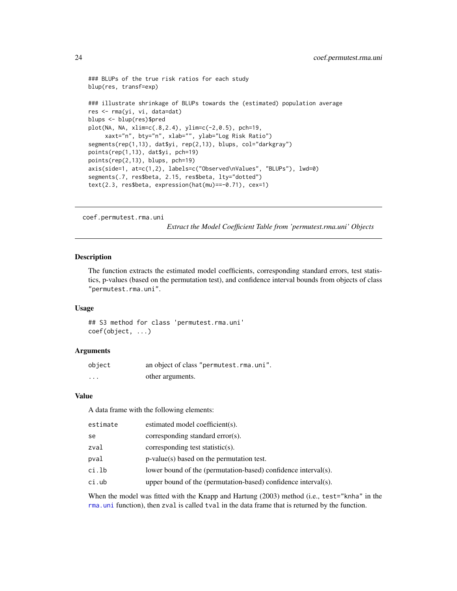```
### BLUPs of the true risk ratios for each study
blup(res, transf=exp)
### illustrate shrinkage of BLUPs towards the (estimated) population average
res <- rma(yi, vi, data=dat)
blups <- blup(res)$pred
plot(NA, NA, xlim=c(.8,2.4), ylim=c(-2,0.5), pch=19,
     xaxt="n", bty="n", xlab="", ylab="Log Risk Ratio")
segments(rep(1,13), dat$yi, rep(2,13), blups, col="darkgray")
points(rep(1,13), dat$yi, pch=19)
points(rep(2,13), blups, pch=19)
axis(side=1, at=c(1,2), labels=c("Observed\nValues", "BLUPs"), lwd=0)
segments(.7, res$beta, 2.15, res$beta, lty="dotted")
text(2.3, res$beta, expression(hat(mu)==-0.71), cex=1)
```

```
coef.permutest.rma.uni
```
*Extract the Model Coefficient Table from 'permutest.rma.uni' Objects*

# Description

The function extracts the estimated model coefficients, corresponding standard errors, test statistics, p-values (based on the permutation test), and confidence interval bounds from objects of class "permutest.rma.uni".

# Usage

## S3 method for class 'permutest.rma.uni' coef(object, ...)

# Arguments

| object   | an object of class "permutest.rma.uni". |
|----------|-----------------------------------------|
| $\cdots$ | other arguments.                        |

# Value

A data frame with the following elements:

| estimate | estimated model coefficient(s).                                |
|----------|----------------------------------------------------------------|
| se       | corresponding standard error(s).                               |
| zval     | corresponding test statistic(s).                               |
| pval     | $p-value(s)$ based on the permutation test.                    |
| ci.lb    | lower bound of the (permutation-based) confidence interval(s). |
| ci.ub    | upper bound of the (permutation-based) confidence interval(s). |
|          |                                                                |

When the model was fitted with the Knapp and Hartung (2003) method (i.e., test="knha" in the [rma.uni](#page-235-1) function), then zval is called tval in the data frame that is returned by the function.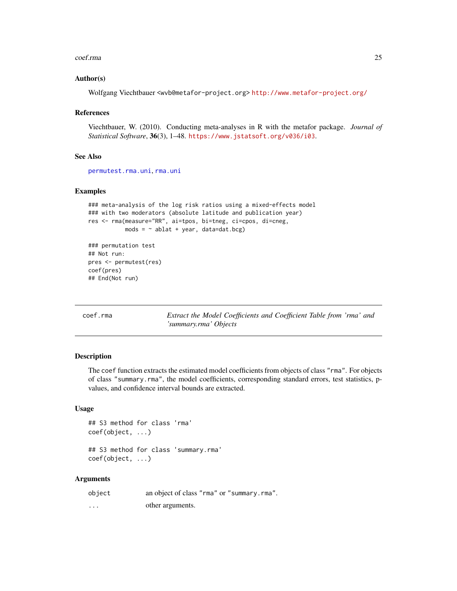#### <span id="page-24-0"></span>coef.rma 25

# Author(s)

Wolfgang Viechtbauer <wvb@metafor-project.org> <http://www.metafor-project.org/>

# References

Viechtbauer, W. (2010). Conducting meta-analyses in R with the metafor package. *Journal of Statistical Software*, 36(3), 1–48. <https://www.jstatsoft.org/v036/i03>.

# See Also

[permutest.rma.uni](#page-153-1), [rma.uni](#page-235-1)

# Examples

```
### meta-analysis of the log risk ratios using a mixed-effects model
### with two moderators (absolute latitude and publication year)
res <- rma(measure="RR", ai=tpos, bi=tneg, ci=cpos, di=cneg,
          mods = ~ablat + year, data=dat.bcg)### permutation test
## Not run:
pres <- permutest(res)
coef(pres)
## End(Not run)
```
coef.rma *Extract the Model Coefficients and Coefficient Table from 'rma' and 'summary.rma' Objects*

# Description

The coef function extracts the estimated model coefficients from objects of class "rma". For objects of class "summary.rma", the model coefficients, corresponding standard errors, test statistics, pvalues, and confidence interval bounds are extracted.

# Usage

```
## S3 method for class 'rma'
coef(object, ...)
```
## S3 method for class 'summary.rma' coef(object, ...)

| object   | an object of class "rma" or "summary.rma". |
|----------|--------------------------------------------|
| $\cdots$ | other arguments.                           |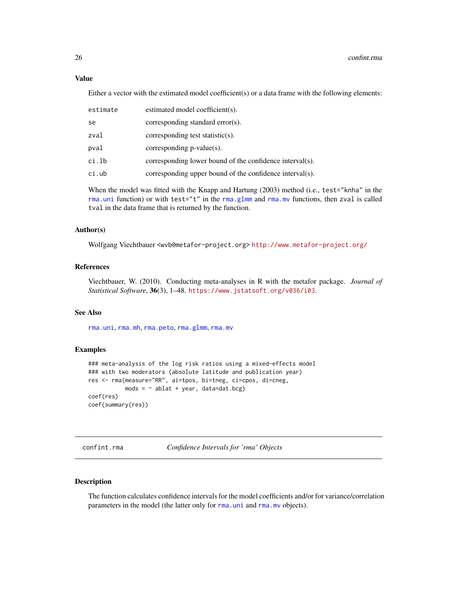<span id="page-25-0"></span>Either a vector with the estimated model coefficient(s) or a data frame with the following elements:

| estimate | estimated model coefficient(s).                          |
|----------|----------------------------------------------------------|
| se       | corresponding standard error(s).                         |
| zval     | corresponding test statistic(s).                         |
| pval     | corresponding $p$ -value $(s)$ .                         |
| ci.lb    | corresponding lower bound of the confidence interval(s). |
| ci.ub    | corresponding upper bound of the confidence interval(s). |

When the model was fitted with the Knapp and Hartung (2003) method (i.e., test="knha" in the [rma.uni](#page-235-1) function) or with test="t" in the [rma.glmm](#page-208-1) and [rma.mv](#page-220-1) functions, then zval is called tval in the data frame that is returned by the function.

# Author(s)

Wolfgang Viechtbauer <wvb@metafor-project.org> <http://www.metafor-project.org/>

# References

Viechtbauer, W. (2010). Conducting meta-analyses in R with the metafor package. *Journal of Statistical Software*, 36(3), 1–48. <https://www.jstatsoft.org/v036/i03>.

# See Also

[rma.uni](#page-235-1), [rma.mh](#page-216-1), [rma.peto](#page-232-1), [rma.glmm](#page-208-1), [rma.mv](#page-220-1)

# Examples

```
### meta-analysis of the log risk ratios using a mixed-effects model
### with two moderators (absolute latitude and publication year)
res <- rma(measure="RR", ai=tpos, bi=tneg, ci=cpos, di=cneg,
          mods = ~ablat + year, data=dat.bcg)coef(res)
coef(summary(res))
```
confint.rma *Confidence Intervals for 'rma' Objects*

# Description

The function calculates confidence intervals for the model coefficients and/or for variance/correlation parameters in the model (the latter only for [rma.uni](#page-235-1) and [rma.mv](#page-220-1) objects).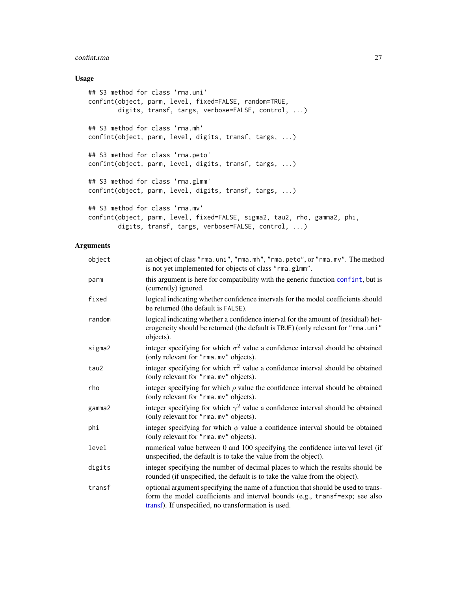#### confint.rma 27

# Usage

```
## S3 method for class 'rma.uni'
confint(object, parm, level, fixed=FALSE, random=TRUE,
        digits, transf, targs, verbose=FALSE, control, ...)
## S3 method for class 'rma.mh'
confint(object, parm, level, digits, transf, targs, ...)
## S3 method for class 'rma.peto'
confint(object, parm, level, digits, transf, targs, ...)
## S3 method for class 'rma.glmm'
confint(object, parm, level, digits, transf, targs, ...)
## S3 method for class 'rma.mv'
confint(object, parm, level, fixed=FALSE, sigma2, tau2, rho, gamma2, phi,
        digits, transf, targs, verbose=FALSE, control, ...)
```

| object | an object of class "rma.uni", "rma.mh", "rma.peto", or "rma.mv". The method<br>is not yet implemented for objects of class "rma.glmm".                                                                                  |
|--------|-------------------------------------------------------------------------------------------------------------------------------------------------------------------------------------------------------------------------|
| parm   | this argument is here for compatibility with the generic function confint, but is<br>(currently) ignored.                                                                                                               |
| fixed  | logical indicating whether confidence intervals for the model coefficients should<br>be returned (the default is FALSE).                                                                                                |
| random | logical indicating whether a confidence interval for the amount of (residual) het-<br>erogeneity should be returned (the default is TRUE) (only relevant for "rma.uni"<br>objects).                                     |
| sigma2 | integer specifying for which $\sigma^2$ value a confidence interval should be obtained<br>(only relevant for "rma.mv" objects).                                                                                         |
| tau2   | integer specifying for which $\tau^2$ value a confidence interval should be obtained<br>(only relevant for "rma.mv" objects).                                                                                           |
| rho    | integer specifying for which $\rho$ value the confidence interval should be obtained<br>(only relevant for "rma.mv" objects).                                                                                           |
| gamma2 | integer specifying for which $\gamma^2$ value a confidence interval should be obtained<br>(only relevant for "rma.mv" objects).                                                                                         |
| phi    | integer specifying for which $\phi$ value a confidence interval should be obtained<br>(only relevant for "rma.mv" objects).                                                                                             |
| level  | numerical value between 0 and 100 specifying the confidence interval level (if<br>unspecified, the default is to take the value from the object).                                                                       |
| digits | integer specifying the number of decimal places to which the results should be<br>rounded (if unspecified, the default is to take the value from the object).                                                           |
| transf | optional argument specifying the name of a function that should be used to trans-<br>form the model coefficients and interval bounds (e.g., transf=exp; see also<br>transf). If unspecified, no transformation is used. |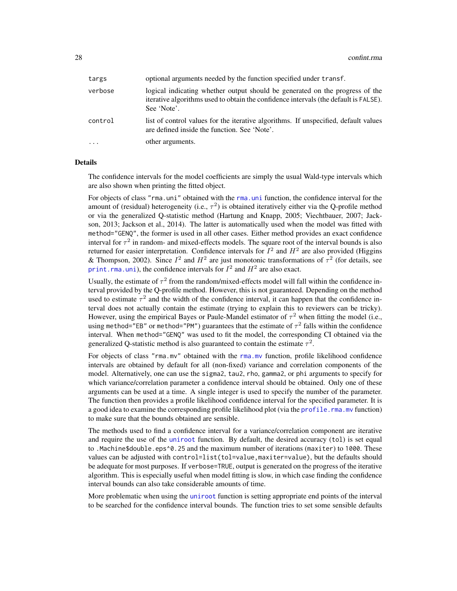| targs    | optional arguments needed by the function specified under transf.                                                                                                                   |
|----------|-------------------------------------------------------------------------------------------------------------------------------------------------------------------------------------|
| verbose  | logical indicating whether output should be generated on the progress of the<br>iterative algorithms used to obtain the confidence intervals (the default is FALSE).<br>See 'Note'. |
| control  | list of control values for the iterative algorithms. If unspecified, default values<br>are defined inside the function. See 'Note'.                                                 |
| $\cdots$ | other arguments.                                                                                                                                                                    |

# **Details**

The confidence intervals for the model coefficients are simply the usual Wald-type intervals which are also shown when printing the fitted object.

For objects of class "[rma.uni](#page-235-1)" obtained with the rma.uni function, the confidence interval for the amount of (residual) heterogeneity (i.e.,  $\tau^2$ ) is obtained iteratively either via the Q-profile method or via the generalized Q-statistic method (Hartung and Knapp, 2005; Viechtbauer, 2007; Jackson, 2013; Jackson et al., 2014). The latter is automatically used when the model was fitted with method="GENQ", the former is used in all other cases. Either method provides an exact confidence interval for  $\tau^2$  in random- and mixed-effects models. The square root of the interval bounds is also returned for easier interpretation. Confidence intervals for  $I^2$  and  $H^2$  are also provided (Higgins & Thompson, 2002). Since  $I^2$  and  $H^2$  are just monotonic transformations of  $\tau^2$  (for details, see print. rma. uni), the confidence intervals for  $I^2$  and  $H^2$  are also exact.

Usually, the estimate of  $\tau^2$  from the random/mixed-effects model will fall within the confidence interval provided by the Q-profile method. However, this is not guaranteed. Depending on the method used to estimate  $\tau^2$  and the width of the confidence interval, it can happen that the confidence interval does not actually contain the estimate (trying to explain this to reviewers can be tricky). However, using the empirical Bayes or Paule-Mandel estimator of  $\tau^2$  when fitting the model (i.e., using method="EB" or method="PM") guarantees that the estimate of  $\tau^2$  falls within the confidence interval. When method="GENQ" was used to fit the model, the corresponding CI obtained via the generalized Q-statistic method is also guaranteed to contain the estimate  $\tau^2$ .

For objects of class "rma.mv" obtained with the [rma.mv](#page-220-1) function, profile likelihood confidence intervals are obtained by default for all (non-fixed) variance and correlation components of the model. Alternatively, one can use the sigma2, tau2, rho, gamma2, or phi arguments to specify for which variance/correlation parameter a confidence interval should be obtained. Only one of these arguments can be used at a time. A single integer is used to specify the number of the parameter. The function then provides a profile likelihood confidence interval for the specified parameter. It is a good idea to examine the corresponding profile likelihood plot (via the [profile.rma.mv](#page-185-1) function) to make sure that the bounds obtained are sensible.

The methods used to find a confidence interval for a variance/correlation component are iterative and require the use of the [uniroot](#page-0-0) function. By default, the desired accuracy (tol) is set equal to .Machine\$double.eps^0.25 and the maximum number of iterations (maxiter) to 1000. These values can be adjusted with control=list(tol=value,maxiter=value), but the defaults should be adequate for most purposes. If verbose=TRUE, output is generated on the progress of the iterative algorithm. This is especially useful when model fitting is slow, in which case finding the confidence interval bounds can also take considerable amounts of time.

More problematic when using the [uniroot](#page-0-0) function is setting appropriate end points of the interval to be searched for the confidence interval bounds. The function tries to set some sensible defaults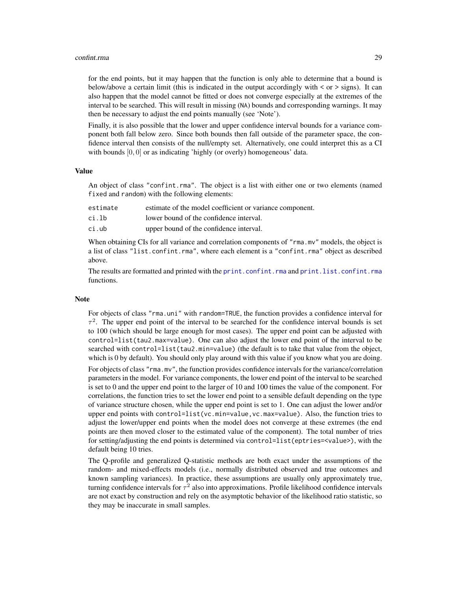#### confint.rma 29

for the end points, but it may happen that the function is only able to determine that a bound is below/above a certain limit (this is indicated in the output accordingly with  $\lt$  or  $\gt$  signs). It can also happen that the model cannot be fitted or does not converge especially at the extremes of the interval to be searched. This will result in missing (NA) bounds and corresponding warnings. It may then be necessary to adjust the end points manually (see 'Note').

Finally, it is also possible that the lower and upper confidence interval bounds for a variance component both fall below zero. Since both bounds then fall outside of the parameter space, the confidence interval then consists of the null/empty set. Alternatively, one could interpret this as a CI with bounds  $[0, 0]$  or as indicating 'highly (or overly) homogeneous' data.

#### Value

An object of class "confint.rma". The object is a list with either one or two elements (named fixed and random) with the following elements:

| estimate of the model coefficient or variance component.<br>estimate |  |
|----------------------------------------------------------------------|--|
|----------------------------------------------------------------------|--|

- ci.lb lower bound of the confidence interval.
- ci.ub upper bound of the confidence interval.

When obtaining CIs for all variance and correlation components of "rma.mv" models, the object is a list of class "list.confint.rma", where each element is a "confint.rma" object as described above.

The results are formatted and printed with the [print.confint.rma](#page-170-1) and [print.list.confint.rma](#page-170-2) functions.

# Note

For objects of class "rma.uni" with random=TRUE, the function provides a confidence interval for  $\tau^2$ . The upper end point of the interval to be searched for the confidence interval bounds is set to 100 (which should be large enough for most cases). The upper end point can be adjusted with control=list(tau2.max=value). One can also adjust the lower end point of the interval to be searched with control=list(tau2.min=value) (the default is to take that value from the object, which is 0 by default). You should only play around with this value if you know what you are doing. For objects of class "rma.mv", the function provides confidence intervals for the variance/correlation parameters in the model. For variance components, the lower end point of the interval to be searched is set to 0 and the upper end point to the larger of 10 and 100 times the value of the component. For correlations, the function tries to set the lower end point to a sensible default depending on the type of variance structure chosen, while the upper end point is set to 1. One can adjust the lower and/or upper end points with control=list(vc.min=value,vc.max=value). Also, the function tries to adjust the lower/upper end points when the model does not converge at these extremes (the end points are then moved closer to the estimated value of the component). The total number of tries for setting/adjusting the end points is determined via control=list(eptries=<value>), with the default being 10 tries.

The Q-profile and generalized Q-statistic methods are both exact under the assumptions of the random- and mixed-effects models (i.e., normally distributed observed and true outcomes and known sampling variances). In practice, these assumptions are usually only approximately true, turning confidence intervals for  $\tau^2$  also into approximations. Profile likelihood confidence intervals are not exact by construction and rely on the asymptotic behavior of the likelihood ratio statistic, so they may be inaccurate in small samples.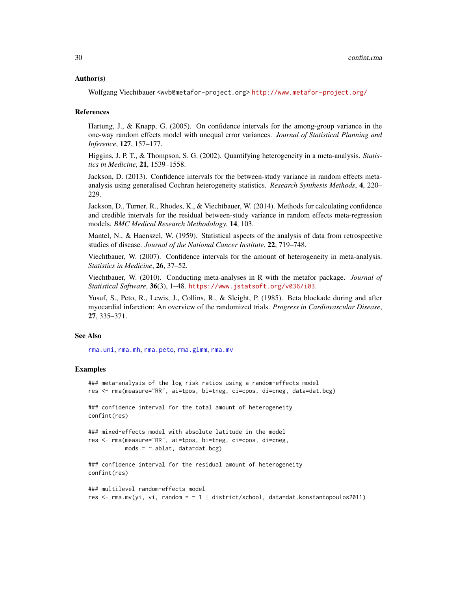# Author(s)

Wolfgang Viechtbauer <wvb@metafor-project.org> <http://www.metafor-project.org/>

#### References

Hartung, J., & Knapp, G. (2005). On confidence intervals for the among-group variance in the one-way random effects model with unequal error variances. *Journal of Statistical Planning and Inference*, 127, 157–177.

Higgins, J. P. T., & Thompson, S. G. (2002). Quantifying heterogeneity in a meta-analysis. *Statistics in Medicine*, 21, 1539–1558.

Jackson, D. (2013). Confidence intervals for the between-study variance in random effects metaanalysis using generalised Cochran heterogeneity statistics. *Research Synthesis Methods*, 4, 220– 229.

Jackson, D., Turner, R., Rhodes, K., & Viechtbauer, W. (2014). Methods for calculating confidence and credible intervals for the residual between-study variance in random effects meta-regression models. *BMC Medical Research Methodology*, 14, 103.

Mantel, N., & Haenszel, W. (1959). Statistical aspects of the analysis of data from retrospective studies of disease. *Journal of the National Cancer Institute*, 22, 719–748.

Viechtbauer, W. (2007). Confidence intervals for the amount of heterogeneity in meta-analysis. *Statistics in Medicine*, 26, 37–52.

Viechtbauer, W. (2010). Conducting meta-analyses in R with the metafor package. *Journal of Statistical Software*, 36(3), 1–48. <https://www.jstatsoft.org/v036/i03>.

Yusuf, S., Peto, R., Lewis, J., Collins, R., & Sleight, P. (1985). Beta blockade during and after myocardial infarction: An overview of the randomized trials. *Progress in Cardiovascular Disease*, 27, 335–371.

# See Also

[rma.uni](#page-235-1), [rma.mh](#page-216-1), [rma.peto](#page-232-1), [rma.glmm](#page-208-1), [rma.mv](#page-220-1)

#### Examples

```
### meta-analysis of the log risk ratios using a random-effects model
res <- rma(measure="RR", ai=tpos, bi=tneg, ci=cpos, di=cneg, data=dat.bcg)
### confidence interval for the total amount of heterogeneity
confint(res)
### mixed-effects model with absolute latitude in the model
res <- rma(measure="RR", ai=tpos, bi=tneg, ci=cpos, di=cneg,
          mods = \sim ablat, data=dat.bcg)
### confidence interval for the residual amount of heterogeneity
confint(res)
### multilevel random-effects model
res <- rma.mv(yi, vi, random = ~ 1 | district/school, data=dat.konstantopoulos2011)
```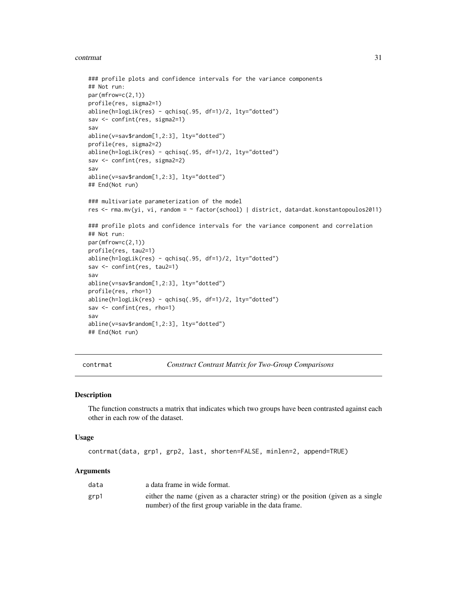#### <span id="page-30-0"></span>contrmat 31

```
### profile plots and confidence intervals for the variance components
## Not run:
par(mfrow=c(2,1))
profile(res, sigma2=1)
abline(h=logLik(res) - qchisq(.95, df=1)/2, lty="dotted")
sav <- confint(res, sigma2=1)
sav
abline(v=sav$random[1,2:3], lty="dotted")
profile(res, sigma2=2)
abline(h=logLik(res) - qchisq(.95, df=1)/2, lty="dotted")
sav <- confint(res, sigma2=2)
sav
abline(v=sav$random[1,2:3], lty="dotted")
## End(Not run)
### multivariate parameterization of the model
res <- rma.mv(yi, vi, random = ~ factor(school) | district, data=dat.konstantopoulos2011)
### profile plots and confidence intervals for the variance component and correlation
## Not run:
par(mfrow=c(2,1))
profile(res, tau2=1)
abline(h=logLik(res) - qchisq(.95, df=1)/2, lty="dotted")
sav <- confint(res, tau2=1)
sav
abline(v=sav$random[1,2:3], lty="dotted")
profile(res, rho=1)
abline(h=logLik(res) - qchisq(.95, df=1)/2, lty="dotted")
sav <- confint(res, rho=1)
sav
abline(v=sav$random[1,2:3], lty="dotted")
## End(Not run)
```
contrmat *Construct Contrast Matrix for Two-Group Comparisons*

# Description

The function constructs a matrix that indicates which two groups have been contrasted against each other in each row of the dataset.

#### Usage

```
contrmat(data, grp1, grp2, last, shorten=FALSE, minlen=2, append=TRUE)
```

| data | a data frame in wide format.                                                     |
|------|----------------------------------------------------------------------------------|
| grp1 | either the name (given as a character string) or the position (given as a single |
|      | number) of the first group variable in the data frame.                           |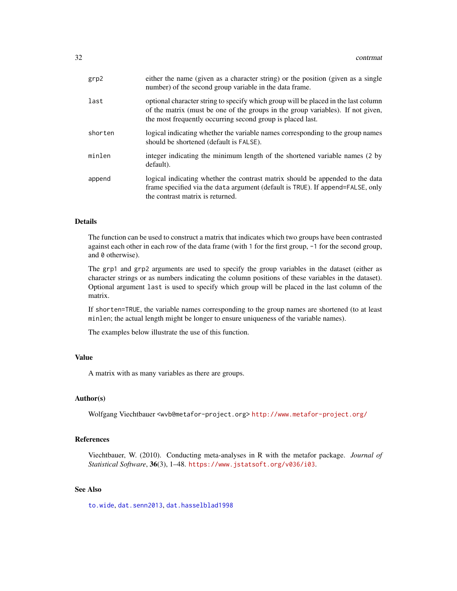| grp2    | either the name (given as a character string) or the position (given as a single<br>number) of the second group variable in the data frame.                                                                                         |
|---------|-------------------------------------------------------------------------------------------------------------------------------------------------------------------------------------------------------------------------------------|
| last    | optional character string to specify which group will be placed in the last column<br>of the matrix (must be one of the groups in the group variables). If not given,<br>the most frequently occurring second group is placed last. |
| shorten | logical indicating whether the variable names corresponding to the group names<br>should be shortened (default is FALSE).                                                                                                           |
| minlen  | integer indicating the minimum length of the shortened variable names (2 by<br>default).                                                                                                                                            |
| append  | logical indicating whether the contrast matrix should be appended to the data<br>frame specified via the data argument (default is TRUE). If append=FALSE, only<br>the contrast matrix is returned.                                 |

# Details

The function can be used to construct a matrix that indicates which two groups have been contrasted against each other in each row of the data frame (with 1 for the first group, -1 for the second group, and 0 otherwise).

The grp1 and grp2 arguments are used to specify the group variables in the dataset (either as character strings or as numbers indicating the column positions of these variables in the dataset). Optional argument last is used to specify which group will be placed in the last column of the matrix.

If shorten=TRUE, the variable names corresponding to the group names are shortened (to at least minlen; the actual length might be longer to ensure uniqueness of the variable names).

The examples below illustrate the use of this function.

# Value

A matrix with as many variables as there are groups.

# Author(s)

Wolfgang Viechtbauer <wvb@metafor-project.org> <http://www.metafor-project.org/>

# References

Viechtbauer, W. (2010). Conducting meta-analyses in R with the metafor package. *Journal of Statistical Software*, 36(3), 1–48. <https://www.jstatsoft.org/v036/i03>.

# See Also

[to.wide](#page-256-1), [dat.senn2013](#page-88-1), [dat.hasselblad1998](#page-60-1)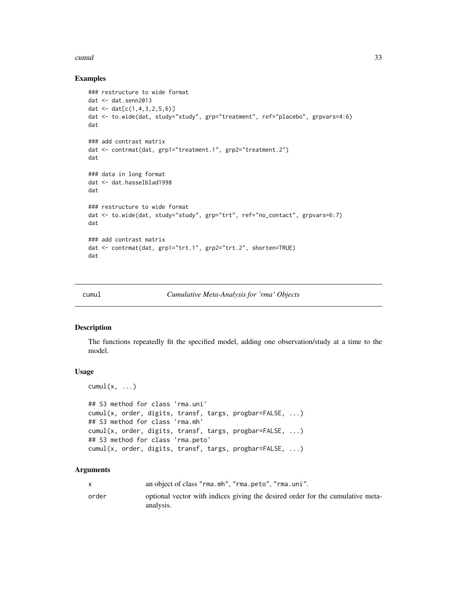#### <span id="page-32-0"></span>cumul 33

# Examples

```
### restructure to wide format
dat <- dat.senn2013
dat \leq - dat[c(1, 4, 3, 2, 5, 6)]dat <- to.wide(dat, study="study", grp="treatment", ref="placebo", grpvars=4:6)
dat
### add contrast matrix
dat <- contrmat(dat, grp1="treatment.1", grp2="treatment.2")
dat
### data in long format
dat <- dat.hasselblad1998
dat
### restructure to wide format
dat <- to.wide(dat, study="study", grp="trt", ref="no_contact", grpvars=6:7)
dat
### add contrast matrix
dat <- contrmat(dat, grp1="trt.1", grp2="trt.2", shorten=TRUE)
dat
```
cumul *Cumulative Meta-Analysis for 'rma' Objects*

# Description

The functions repeatedly fit the specified model, adding one observation/study at a time to the model.

#### Usage

```
cumul(x, \ldots)## S3 method for class 'rma.uni'
cumul(x, order, digits, transf, targs, progbar=FALSE, ...)
## S3 method for class 'rma.mh'
cumul(x, order, digits, transf, targs, progbar=FALSE, ...)
## S3 method for class 'rma.peto'
cumul(x, order, digits, transf, targs, progbar=FALSE, ...)
```

|       | an object of class "rma.mh", "rma.peto", "rma.uni".                                         |
|-------|---------------------------------------------------------------------------------------------|
| order | optional vector with indices giving the desired order for the cumulative meta-<br>analysis. |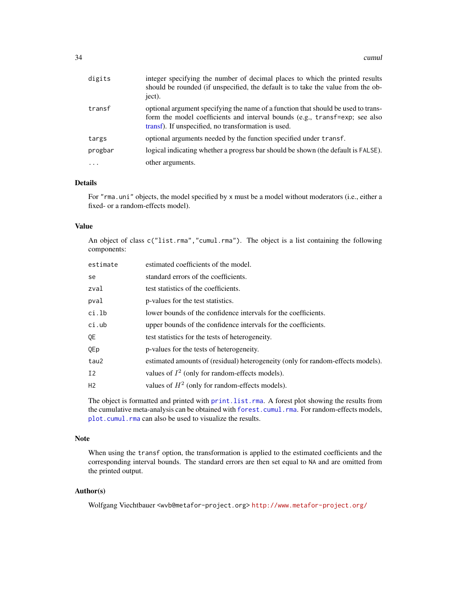| digits  | integer specifying the number of decimal places to which the printed results<br>should be rounded (if unspecified, the default is to take the value from the ob-<br>ject).                                              |  |
|---------|-------------------------------------------------------------------------------------------------------------------------------------------------------------------------------------------------------------------------|--|
| transf  | optional argument specifying the name of a function that should be used to trans-<br>form the model coefficients and interval bounds (e.g., transf=exp; see also<br>transf). If unspecified, no transformation is used. |  |
| targs   | optional arguments needed by the function specified under transf.                                                                                                                                                       |  |
| progbar | logical indicating whether a progress bar should be shown (the default is FALSE).                                                                                                                                       |  |
| $\cdot$ | other arguments.                                                                                                                                                                                                        |  |

# Details

For "rma.uni" objects, the model specified by x must be a model without moderators (i.e., either a fixed- or a random-effects model).

# Value

An object of class c("list.rma","cumul.rma"). The object is a list containing the following components:

| estimate | estimated coefficients of the model.                                            |  |
|----------|---------------------------------------------------------------------------------|--|
| se       | standard errors of the coefficients.                                            |  |
| zval     | test statistics of the coefficients.                                            |  |
| pval     | p-values for the test statistics.                                               |  |
| ci.lb    | lower bounds of the confidence intervals for the coefficients.                  |  |
| ci.ub    | upper bounds of the confidence intervals for the coefficients.                  |  |
| QE       | test statistics for the tests of heterogeneity.                                 |  |
| QEp      | p-values for the tests of heterogeneity.                                        |  |
| tau2     | estimated amounts of (residual) heterogeneity (only for random-effects models). |  |
| Ι2       | values of $I^2$ (only for random-effects models).                               |  |
| H2       | values of $H^2$ (only for random-effects models).                               |  |

The object is formatted and printed with [print.list.rma](#page-176-1). A forest plot showing the results from the cumulative meta-analysis can be obtained with [forest.cumul.rma](#page-112-1). For random-effects models, [plot.cumul.rma](#page-157-1) can also be used to visualize the results.

# Note

When using the transf option, the transformation is applied to the estimated coefficients and the corresponding interval bounds. The standard errors are then set equal to NA and are omitted from the printed output.

# Author(s)

Wolfgang Viechtbauer <wvb@metafor-project.org> <http://www.metafor-project.org/>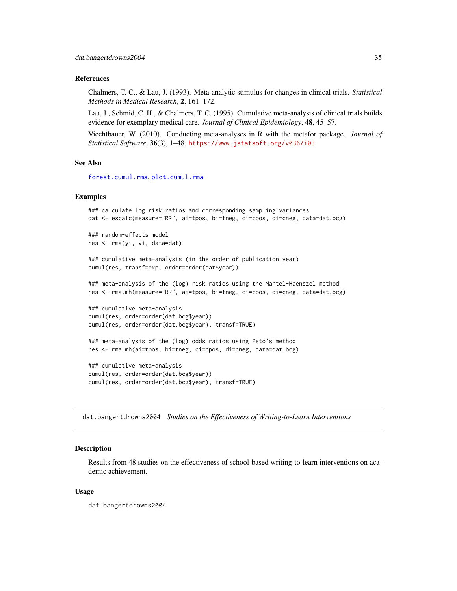# <span id="page-34-0"></span>References

Chalmers, T. C., & Lau, J. (1993). Meta-analytic stimulus for changes in clinical trials. *Statistical Methods in Medical Research*, 2, 161–172.

Lau, J., Schmid, C. H., & Chalmers, T. C. (1995). Cumulative meta-analysis of clinical trials builds evidence for exemplary medical care. *Journal of Clinical Epidemiology*, 48, 45–57.

Viechtbauer, W. (2010). Conducting meta-analyses in R with the metafor package. *Journal of Statistical Software*, 36(3), 1–48. <https://www.jstatsoft.org/v036/i03>.

# See Also

[forest.cumul.rma](#page-112-1), [plot.cumul.rma](#page-157-1)

# Examples

```
### calculate log risk ratios and corresponding sampling variances
dat <- escalc(measure="RR", ai=tpos, bi=tneg, ci=cpos, di=cneg, data=dat.bcg)
### random-effects model
res <- rma(yi, vi, data=dat)
### cumulative meta-analysis (in the order of publication year)
cumul(res, transf=exp, order=order(dat$year))
### meta-analysis of the (log) risk ratios using the Mantel-Haenszel method
res <- rma.mh(measure="RR", ai=tpos, bi=tneg, ci=cpos, di=cneg, data=dat.bcg)
### cumulative meta-analysis
cumul(res, order=order(dat.bcg$year))
cumul(res, order=order(dat.bcg$year), transf=TRUE)
### meta-analysis of the (log) odds ratios using Peto's method
res <- rma.mh(ai=tpos, bi=tneg, ci=cpos, di=cneg, data=dat.bcg)
### cumulative meta-analysis
```
cumul(res, order=order(dat.bcg\$year)) cumul(res, order=order(dat.bcg\$year), transf=TRUE)

dat.bangertdrowns2004 *Studies on the Effectiveness of Writing-to-Learn Interventions*

# Description

Results from 48 studies on the effectiveness of school-based writing-to-learn interventions on academic achievement.

#### Usage

dat.bangertdrowns2004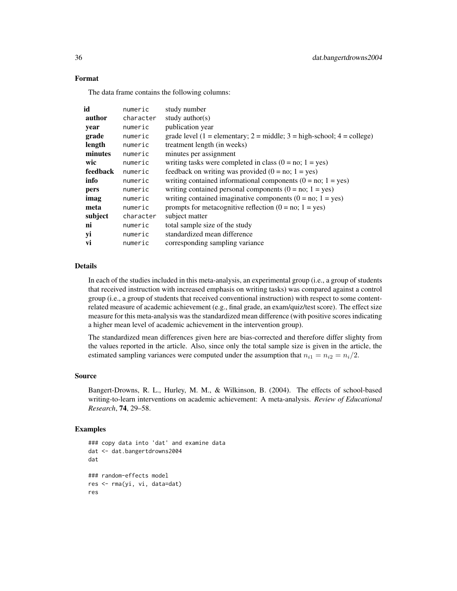# Format

The data frame contains the following columns:

| id       | numeric   | study number                                                             |
|----------|-----------|--------------------------------------------------------------------------|
| author   | character | study author( $s$ )                                                      |
| year     | numeric   | publication year                                                         |
| grade    | numeric   | grade level (1 = elementary; 2 = middle; $3 =$ high-school; 4 = college) |
| length   | numeric   | treatment length (in weeks)                                              |
| minutes  | numeric   | minutes per assignment                                                   |
| wic      | numeric   | writing tasks were completed in class $(0 = no; 1 = yes)$                |
| feedback | numeric   | feedback on writing was provided $(0 = no; 1 = yes)$                     |
| info     | numeric   | writing contained informational components $(0 = no; 1 = yes)$           |
| pers     | numeric   | writing contained personal components $(0 = no; 1 = yes)$                |
| imag     | numeric   | writing contained imaginative components $(0 = no; 1 = yes)$             |
| meta     | numeric   | prompts for metacognitive reflection $(0 = no; 1 = yes)$                 |
| subject  | character | subject matter                                                           |
| ni       | numeric   | total sample size of the study                                           |
| yi       | numeric   | standardized mean difference                                             |
| vi       | numeric   | corresponding sampling variance                                          |

# Details

In each of the studies included in this meta-analysis, an experimental group (i.e., a group of students that received instruction with increased emphasis on writing tasks) was compared against a control group (i.e., a group of students that received conventional instruction) with respect to some contentrelated measure of academic achievement (e.g., final grade, an exam/quiz/test score). The effect size measure for this meta-analysis was the standardized mean difference (with positive scores indicating a higher mean level of academic achievement in the intervention group).

The standardized mean differences given here are bias-corrected and therefore differ slighty from the values reported in the article. Also, since only the total sample size is given in the article, the estimated sampling variances were computed under the assumption that  $n_{i1} = n_{i2} = n_i/2$ .

#### Source

Bangert-Drowns, R. L., Hurley, M. M., & Wilkinson, B. (2004). The effects of school-based writing-to-learn interventions on academic achievement: A meta-analysis. *Review of Educational Research*, 74, 29–58.

#### Examples

```
### copy data into 'dat' and examine data
dat <- dat.bangertdrowns2004
dat
### random-effects model
res <- rma(yi, vi, data=dat)
res
```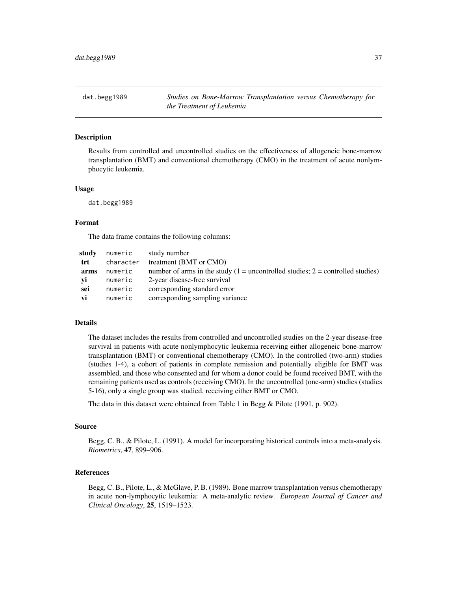dat.begg1989 *Studies on Bone-Marrow Transplantation versus Chemotherapy for the Treatment of Leukemia*

### Description

Results from controlled and uncontrolled studies on the effectiveness of allogeneic bone-marrow transplantation (BMT) and conventional chemotherapy (CMO) in the treatment of acute nonlymphocytic leukemia.

### Usage

dat.begg1989

#### Format

The data frame contains the following columns:

| numeric   | study number                                                                       |
|-----------|------------------------------------------------------------------------------------|
| character | treatment (BMT or CMO)                                                             |
| numeric   | number of arms in the study $(1 =$ uncontrolled studies; $2 =$ controlled studies) |
| numeric   | 2-year disease-free survival                                                       |
| numeric   | corresponding standard error                                                       |
| numeric   | corresponding sampling variance                                                    |
|           |                                                                                    |

### Details

The dataset includes the results from controlled and uncontrolled studies on the 2-year disease-free survival in patients with acute nonlymphocytic leukemia receiving either allogeneic bone-marrow transplantation (BMT) or conventional chemotherapy (CMO). In the controlled (two-arm) studies (studies 1-4), a cohort of patients in complete remission and potentially eligible for BMT was assembled, and those who consented and for whom a donor could be found received BMT, with the remaining patients used as controls (receiving CMO). In the uncontrolled (one-arm) studies (studies 5-16), only a single group was studied, receiving either BMT or CMO.

The data in this dataset were obtained from Table 1 in Begg & Pilote (1991, p. 902).

#### Source

Begg, C. B., & Pilote, L. (1991). A model for incorporating historical controls into a meta-analysis. *Biometrics*, 47, 899–906.

#### References

Begg, C. B., Pilote, L., & McGlave, P. B. (1989). Bone marrow transplantation versus chemotherapy in acute non-lymphocytic leukemia: A meta-analytic review. *European Journal of Cancer and Clinical Oncology*, 25, 1519–1523.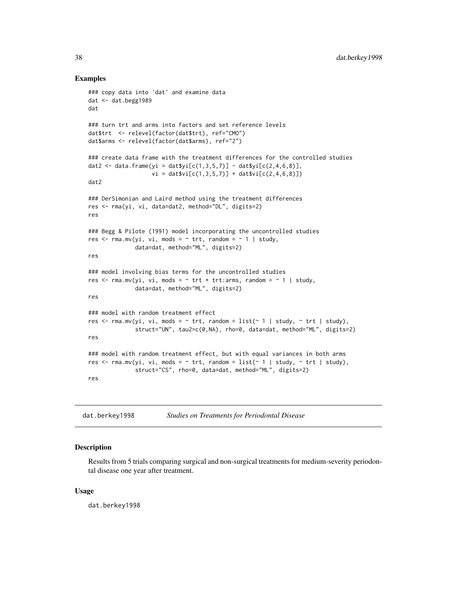### Examples

```
### copy data into 'dat' and examine data
dat <- dat.begg1989
dat
### turn trt and arms into factors and set reference levels
dat$trt <- relevel(factor(dat$trt), ref="CMO")
dat$arms <- relevel(factor(dat$arms), ref="2")
### create data frame with the treatment differences for the controlled studies
dat2 <- data.frame(yi = dat$yi[c(1,3,5,7)] - dat$yi[c(2,4,6,8)],
                   vi = dat$vi[c(1,3,5,7)] + dat$vi[c(2,4,6,8)])dat2
### DerSimonian and Laird method using the treatment differences
res <- rma(yi, vi, data=dat2, method="DL", digits=2)
res
### Begg & Pilote (1991) model incorporating the uncontrolled studies
res \leq rma.mv(yi, vi, mods = \sim trt, random = \sim 1 | study,
              data=dat, method="ML", digits=2)
res
### model involving bias terms for the uncontrolled studies
res \le rma.mv(yi, vi, mods = \sim trt + trt:arms, random = \sim 1 | study,
              data=dat, method="ML", digits=2)
res
### model with random treatment effect
res \le rma.mv(yi, vi, mods = \sim trt, random = list(\sim 1 | study, \sim trt | study),
              struct="UN", tau2=c(0,NA), rho=0, data=dat, method="ML", digits=2)
res
### model with random treatment effect, but with equal variances in both arms
res \le - rma.mv(yi, vi, mods = \sim trt, random = list(\sim 1 | study, \sim trt | study),
              struct="CS", rho=0, data=dat, method="ML", digits=2)
res
```
dat.berkey1998 *Studies on Treatments for Periodontal Disease*

# **Description**

Results from 5 trials comparing surgical and non-surgical treatments for medium-severity periodontal disease one year after treatment.

#### Usage

dat.berkey1998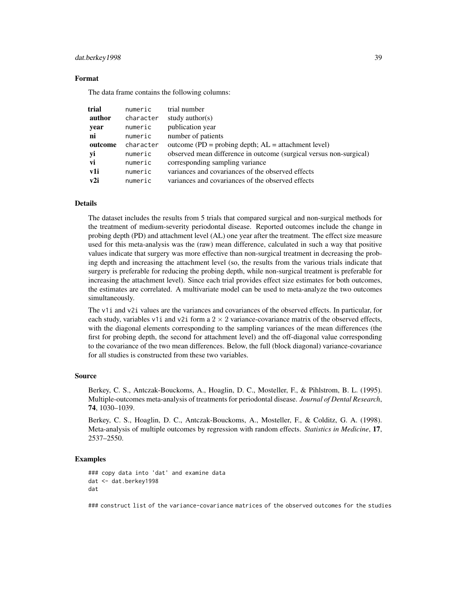#### dat.berkey1998 39

### Format

The data frame contains the following columns:

| trial   | numeric   | trial number                                                       |
|---------|-----------|--------------------------------------------------------------------|
| author  | character | study author( $s$ )                                                |
| year    | numeric   | publication year                                                   |
| ni      | numeric   | number of patients                                                 |
| outcome | character | outcome (PD = probing depth; $AL =$ attachment level)              |
| yi      | numeric   | observed mean difference in outcome (surgical versus non-surgical) |
| vi      | numeric   | corresponding sampling variance                                    |
| v1i     | numeric   | variances and covariances of the observed effects                  |
| v2i     | numeric   | variances and covariances of the observed effects                  |

## Details

The dataset includes the results from 5 trials that compared surgical and non-surgical methods for the treatment of medium-severity periodontal disease. Reported outcomes include the change in probing depth (PD) and attachment level (AL) one year after the treatment. The effect size measure used for this meta-analysis was the (raw) mean difference, calculated in such a way that positive values indicate that surgery was more effective than non-surgical treatment in decreasing the probing depth and increasing the attachment level (so, the results from the various trials indicate that surgery is preferable for reducing the probing depth, while non-surgical treatment is preferable for increasing the attachment level). Since each trial provides effect size estimates for both outcomes, the estimates are correlated. A multivariate model can be used to meta-analyze the two outcomes simultaneously.

The v1i and v2i values are the variances and covariances of the observed effects. In particular, for each study, variables v1 i and v2i form a  $2 \times 2$  variance-covariance matrix of the observed effects, with the diagonal elements corresponding to the sampling variances of the mean differences (the first for probing depth, the second for attachment level) and the off-diagonal value corresponding to the covariance of the two mean differences. Below, the full (block diagonal) variance-covariance for all studies is constructed from these two variables.

#### Source

Berkey, C. S., Antczak-Bouckoms, A., Hoaglin, D. C., Mosteller, F., & Pihlstrom, B. L. (1995). Multiple-outcomes meta-analysis of treatments for periodontal disease. *Journal of Dental Research*, 74, 1030–1039.

Berkey, C. S., Hoaglin, D. C., Antczak-Bouckoms, A., Mosteller, F., & Colditz, G. A. (1998). Meta-analysis of multiple outcomes by regression with random effects. *Statistics in Medicine*, 17, 2537–2550.

## Examples

```
### copy data into 'dat' and examine data
dat <- dat.berkey1998
dat
```
### construct list of the variance-covariance matrices of the observed outcomes for the studies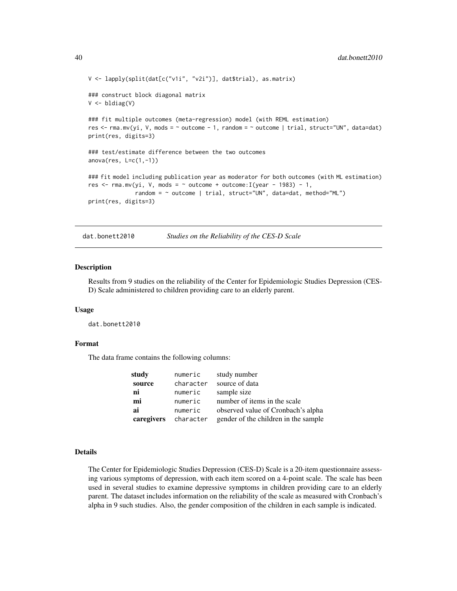```
V <- lapply(split(dat[c("v1i", "v2i")], dat$trial), as.matrix)
### construct block diagonal matrix
V <- bldiag(V)
### fit multiple outcomes (meta-regression) model (with REML estimation)
res <- rma.mv(yi, V, mods = ~ outcome - 1, random = ~ outcome | trial, struct="UN", data=dat)
print(res, digits=3)
### test/estimate difference between the two outcomes
anova(res, L=c(1, -1))### fit model including publication year as moderator for both outcomes (with ML estimation)
res \le rma.mv(yi, V, mods = \sim outcome + outcome: I(year - 1983) - 1,
              random = ~ outcome | trial, struct="UN", data=dat, method="ML")
print(res, digits=3)
```
dat.bonett2010 *Studies on the Reliability of the CES-D Scale*

#### Description

Results from 9 studies on the reliability of the Center for Epidemiologic Studies Depression (CES-D) Scale administered to children providing care to an elderly parent.

#### Usage

dat.bonett2010

#### Format

The data frame contains the following columns:

| study      | numeric   | study number                         |
|------------|-----------|--------------------------------------|
| source     | character | source of data                       |
| ni         | numeric   | sample size                          |
| mi         | numeric   | number of items in the scale         |
| ai         | numeric   | observed value of Cronbach's alpha   |
| caregivers | character | gender of the children in the sample |

# Details

The Center for Epidemiologic Studies Depression (CES-D) Scale is a 20-item questionnaire assessing various symptoms of depression, with each item scored on a 4-point scale. The scale has been used in several studies to examine depressive symptoms in children providing care to an elderly parent. The dataset includes information on the reliability of the scale as measured with Cronbach's alpha in 9 such studies. Also, the gender composition of the children in each sample is indicated.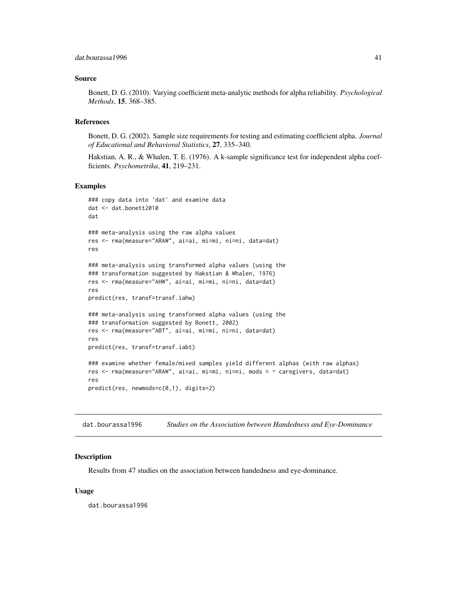### Source

Bonett, D. G. (2010). Varying coefficient meta-analytic methods for alpha reliability. *Psychological Methods*, 15, 368–385.

### References

Bonett, D. G. (2002). Sample size requirements for testing and estimating coefficient alpha. *Journal of Educational and Behavioral Statistics*, 27, 335–340.

Hakstian, A. R., & Whalen, T. E. (1976). A k-sample significance test for independent alpha coefficients. *Psychometrika*, 41, 219–231.

#### Examples

```
### copy data into 'dat' and examine data
dat <- dat.bonett2010
dat
### meta-analysis using the raw alpha values
res <- rma(measure="ARAW", ai=ai, mi=mi, ni=ni, data=dat)
res
### meta-analysis using transformed alpha values (using the
### transformation suggested by Hakstian & Whalen, 1976)
res <- rma(measure="AHW", ai=ai, mi=mi, ni=ni, data=dat)
res
predict(res, transf=transf.iahw)
### meta-analysis using transformed alpha values (using the
### transformation suggested by Bonett, 2002)
res <- rma(measure="ABT", ai=ai, mi=mi, ni=ni, data=dat)
res
predict(res, transf=transf.iabt)
### examine whether female/mixed samples yield different alphas (with raw alphas)
res <- rma(measure="ARAW", ai=ai, mi=mi, ni=ni, mods = ~ caregivers, data=dat)
res
predict(res, newmods=c(0,1), digits=2)
```
dat.bourassa1996 *Studies on the Association between Handedness and Eye-Dominance*

### **Description**

Results from 47 studies on the association between handedness and eye-dominance.

### Usage

dat.bourassa1996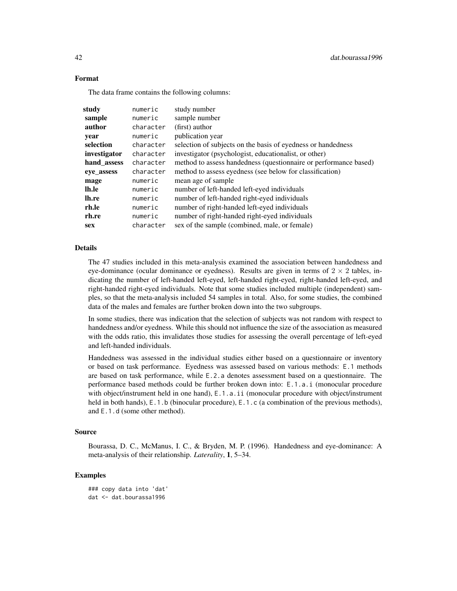# Format

The data frame contains the following columns:

| study        | numeric   | study number                                                     |
|--------------|-----------|------------------------------------------------------------------|
| sample       | numeric   | sample number                                                    |
| author       | character | (first) author                                                   |
| year         | numeric   | publication year                                                 |
| selection    | character | selection of subjects on the basis of eyedness or handedness     |
| investigator | character | investigator (psychologist, educationalist, or other)            |
| hand_assess  | character | method to assess handedness (questionnaire or performance based) |
| eye assess   | character | method to assess eyedness (see below for classification)         |
| mage         | numeric   | mean age of sample.                                              |
| lh.le        | numeric   | number of left-handed left-eyed individuals                      |
| lh.re        | numeric   | number of left-handed right-eyed individuals                     |
| rh.le        | numeric   | number of right-handed left-eyed individuals                     |
| rh.re        | numeric   | number of right-handed right-eyed individuals                    |
| <b>sex</b>   | character | sex of the sample (combined, male, or female)                    |

### Details

The 47 studies included in this meta-analysis examined the association between handedness and eye-dominance (ocular dominance or eyedness). Results are given in terms of  $2 \times 2$  tables, indicating the number of left-handed left-eyed, left-handed right-eyed, right-handed left-eyed, and right-handed right-eyed individuals. Note that some studies included multiple (independent) samples, so that the meta-analysis included 54 samples in total. Also, for some studies, the combined data of the males and females are further broken down into the two subgroups.

In some studies, there was indication that the selection of subjects was not random with respect to handedness and/or eyedness. While this should not influence the size of the association as measured with the odds ratio, this invalidates those studies for assessing the overall percentage of left-eyed and left-handed individuals.

Handedness was assessed in the individual studies either based on a questionnaire or inventory or based on task performance. Eyedness was assessed based on various methods: E.1 methods are based on task performance, while E.2.a denotes assessment based on a questionnaire. The performance based methods could be further broken down into: E.1.a.i (monocular procedure with object/instrument held in one hand),  $E \cdot 1 \cdot a \cdot i$  (monocular procedure with object/instrument held in both hands), E.1.b (binocular procedure), E.1.c (a combination of the previous methods), and E.1.d (some other method).

# Source

Bourassa, D. C., McManus, I. C., & Bryden, M. P. (1996). Handedness and eye-dominance: A meta-analysis of their relationship. *Laterality*, 1, 5–34.

```
### copy data into 'dat'
dat <- dat.bourassa1996
```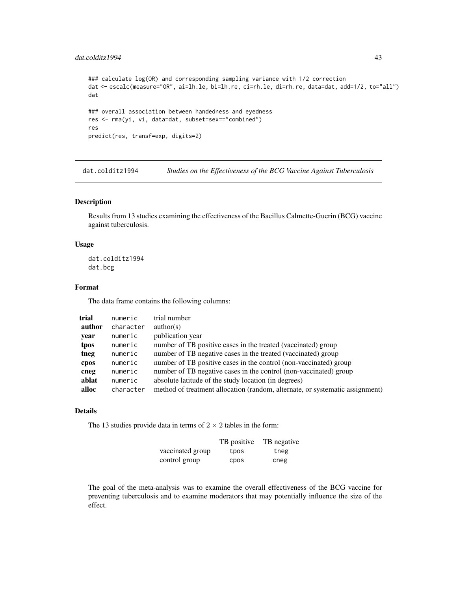## dat.colditz1994 43

```
### calculate log(OR) and corresponding sampling variance with 1/2 correction
dat <- escalc(measure="OR", ai=lh.le, bi=lh.re, ci=rh.le, di=rh.re, data=dat, add=1/2, to="all")
dat
### overall association between handedness and eyedness
res <- rma(yi, vi, data=dat, subset=sex=="combined")
res
predict(res, transf=exp, digits=2)
```
dat.colditz1994 *Studies on the Effectiveness of the BCG Vaccine Against Tuberculosis*

# Description

Results from 13 studies examining the effectiveness of the Bacillus Calmette-Guerin (BCG) vaccine against tuberculosis.

### Usage

dat.colditz1994 dat.bcg

# Format

The data frame contains the following columns:

| trial  | numeric   | trial number                                                                 |
|--------|-----------|------------------------------------------------------------------------------|
| author | character | $\text{author}(s)$                                                           |
| year   | numeric   | publication year                                                             |
| tpos   | numeric   | number of TB positive cases in the treated (vaccinated) group                |
| tneg   | numeric   | number of TB negative cases in the treated (vaccinated) group                |
| cpos   | numeric   | number of TB positive cases in the control (non-vaccinated) group            |
| cneg   | numeric   | number of TB negative cases in the control (non-vaccinated) group            |
| ablat  | numeric   | absolute latitude of the study location (in degrees)                         |
| alloc  | character | method of treatment allocation (random, alternate, or systematic assignment) |

### Details

The 13 studies provide data in terms of  $2 \times 2$  tables in the form:

|                  | TB positive | TB negative |
|------------------|-------------|-------------|
| vaccinated group | tpos        | tneg        |
| control group    | <b>CDOS</b> | cneg        |

The goal of the meta-analysis was to examine the overall effectiveness of the BCG vaccine for preventing tuberculosis and to examine moderators that may potentially influence the size of the effect.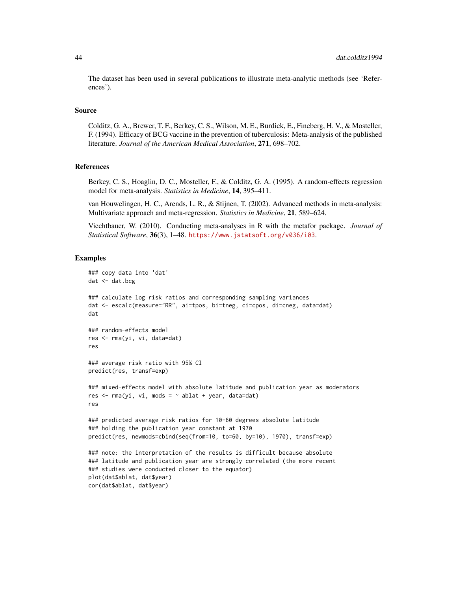The dataset has been used in several publications to illustrate meta-analytic methods (see 'References').

#### Source

Colditz, G. A., Brewer, T. F., Berkey, C. S., Wilson, M. E., Burdick, E., Fineberg, H. V., & Mosteller, F. (1994). Efficacy of BCG vaccine in the prevention of tuberculosis: Meta-analysis of the published literature. *Journal of the American Medical Association*, 271, 698–702.

### References

Berkey, C. S., Hoaglin, D. C., Mosteller, F., & Colditz, G. A. (1995). A random-effects regression model for meta-analysis. *Statistics in Medicine*, 14, 395–411.

van Houwelingen, H. C., Arends, L. R., & Stijnen, T. (2002). Advanced methods in meta-analysis: Multivariate approach and meta-regression. *Statistics in Medicine*, 21, 589–624.

Viechtbauer, W. (2010). Conducting meta-analyses in R with the metafor package. *Journal of Statistical Software*, 36(3), 1–48. <https://www.jstatsoft.org/v036/i03>.

```
### copy data into 'dat'
dat < - dat.bcg### calculate log risk ratios and corresponding sampling variances
dat <- escalc(measure="RR", ai=tpos, bi=tneg, ci=cpos, di=cneg, data=dat)
dat
### random-effects model
res <- rma(yi, vi, data=dat)
res
### average risk ratio with 95% CI
predict(res, transf=exp)
### mixed-effects model with absolute latitude and publication year as moderators
res \leq rma(yi, vi, mods = \sim ablat + year, data=dat)
res
### predicted average risk ratios for 10-60 degrees absolute latitude
### holding the publication year constant at 1970
predict(res, newmods=cbind(seq(from=10, to=60, by=10), 1970), transf=exp)
### note: the interpretation of the results is difficult because absolute
### latitude and publication year are strongly correlated (the more recent
### studies were conducted closer to the equator)
plot(dat$ablat, dat$year)
cor(dat$ablat, dat$year)
```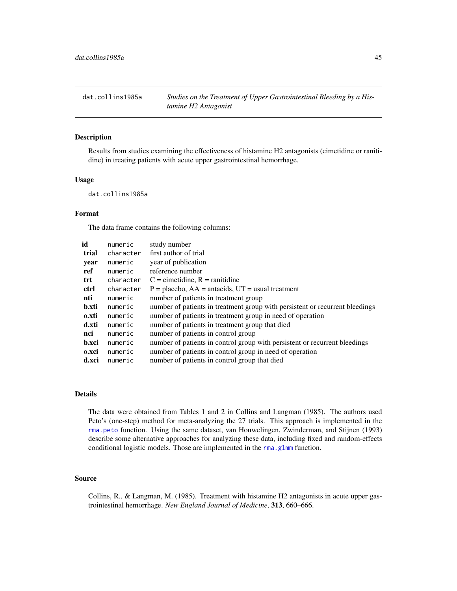dat.collins1985a *Studies on the Treatment of Upper Gastrointestinal Bleeding by a Histamine H2 Antagonist*

### Description

Results from studies examining the effectiveness of histamine H2 antagonists (cimetidine or ranitidine) in treating patients with acute upper gastrointestinal hemorrhage.

## Usage

dat.collins1985a

# Format

The data frame contains the following columns:

| id    | numeric   | study number                                                                 |
|-------|-----------|------------------------------------------------------------------------------|
| trial | character | first author of trial                                                        |
| year  | numeric   | year of publication                                                          |
| ref   | numeric   | reference number                                                             |
| trt   | character | $C =$ cimetidine, $R =$ ranitidine                                           |
| ctrl  | character | $P =$ placebo, $AA =$ antacids, $UT =$ usual treatment                       |
| nti   | numeric   | number of patients in treatment group                                        |
| b.xti | numeric   | number of patients in treatment group with persistent or recurrent bleedings |
| 0.xti | numeric   | number of patients in treatment group in need of operation                   |
| d.xti | numeric   | number of patients in treatment group that died                              |
| nci   | numeric   | number of patients in control group                                          |
| b.xci | numeric   | number of patients in control group with persistent or recurrent bleedings   |
| 0.xci | numeric   | number of patients in control group in need of operation                     |
| d.xci | numeric   | number of patients in control group that died                                |

# Details

The data were obtained from Tables 1 and 2 in Collins and Langman (1985). The authors used Peto's (one-step) method for meta-analyzing the 27 trials. This approach is implemented in the [rma.peto](#page-232-0) function. Using the same dataset, van Houwelingen, Zwinderman, and Stijnen (1993) describe some alternative approaches for analyzing these data, including fixed and random-effects conditional logistic models. Those are implemented in the [rma.glmm](#page-208-0) function.

#### Source

Collins, R., & Langman, M. (1985). Treatment with histamine H2 antagonists in acute upper gastrointestinal hemorrhage. *New England Journal of Medicine*, 313, 660–666.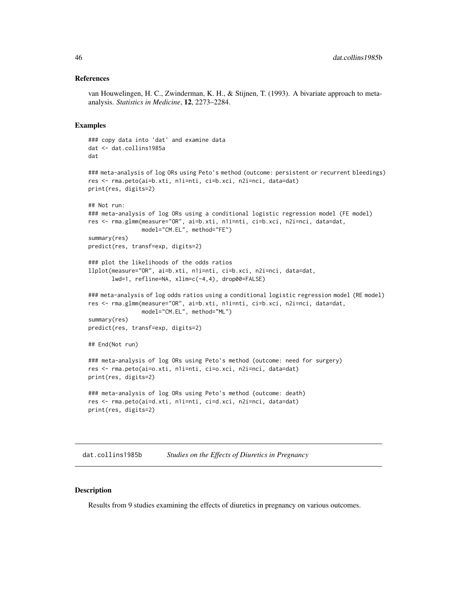### References

van Houwelingen, H. C., Zwinderman, K. H., & Stijnen, T. (1993). A bivariate approach to metaanalysis. *Statistics in Medicine*, 12, 2273–2284.

#### Examples

```
### copy data into 'dat' and examine data
dat <- dat.collins1985a
dat
### meta-analysis of log ORs using Peto's method (outcome: persistent or recurrent bleedings)
res <- rma.peto(ai=b.xti, n1i=nti, ci=b.xci, n2i=nci, data=dat)
print(res, digits=2)
## Not run:
### meta-analysis of log ORs using a conditional logistic regression model (FE model)
res <- rma.glmm(measure="OR", ai=b.xti, n1i=nti, ci=b.xci, n2i=nci, data=dat,
                model="CM.EL", method="FE")
summary(res)
predict(res, transf=exp, digits=2)
### plot the likelihoods of the odds ratios
llplot(measure="OR", ai=b.xti, n1i=nti, ci=b.xci, n2i=nci, data=dat,
       lwd=1, refline=NA, xlim=c(-4,4), drop00=FALSE)
### meta-analysis of log odds ratios using a conditional logistic regression model (RE model)
res <- rma.glmm(measure="OR", ai=b.xti, n1i=nti, ci=b.xci, n2i=nci, data=dat,
                model="CM.EL", method="ML")
summary(res)
predict(res, transf=exp, digits=2)
## End(Not run)
### meta-analysis of log ORs using Peto's method (outcome: need for surgery)
res <- rma.peto(ai=o.xti, n1i=nti, ci=o.xci, n2i=nci, data=dat)
print(res, digits=2)
### meta-analysis of log ORs using Peto's method (outcome: death)
res <- rma.peto(ai=d.xti, n1i=nti, ci=d.xci, n2i=nci, data=dat)
print(res, digits=2)
```
dat.collins1985b *Studies on the Effects of Diuretics in Pregnancy*

#### **Description**

Results from 9 studies examining the effects of diuretics in pregnancy on various outcomes.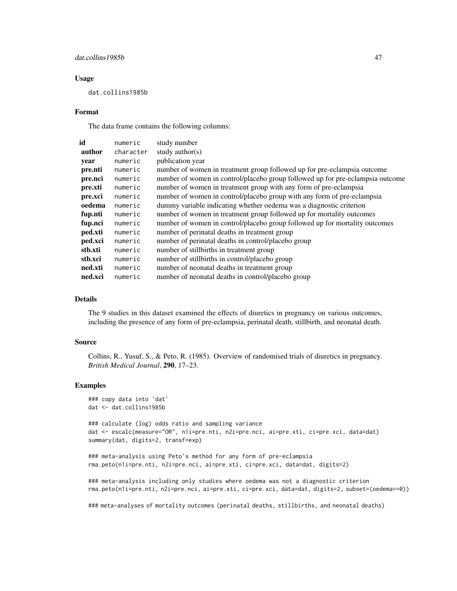## dat.collins1985b 47

#### Usage

dat.collins1985b

#### Format

The data frame contains the following columns:

| id      | numeric   | study number                                                                   |
|---------|-----------|--------------------------------------------------------------------------------|
| author  | character | study author(s)                                                                |
| year    | numeric   | publication year                                                               |
| pre.nti | numeric   | number of women in treatment group followed up for pre-eclampsia outcome       |
| pre.nci | numeric   | number of women in control/placebo group followed up for pre-eclampsia outcome |
| pre.xti | numeric   | number of women in treatment group with any form of pre-eclampsia              |
| pre.xci | numeric   | number of women in control/placebo group with any form of pre-eclampsia        |
| oedema  | numeric   | dummy variable indicating whether oedema was a diagnostic criterion            |
| fup.nti | numeric   | number of women in treatment group followed up for mortality outcomes          |
| fup.nci | numeric   | number of women in control/placebo group followed up for mortality outcomes    |
| ped.xti | numeric   | number of perinatal deaths in treatment group                                  |
| ped.xci | numeric   | number of perinatal deaths in control/placebo group                            |
| stb.xti | numeric   | number of stillbirths in treatment group                                       |
| stb.xci | numeric   | number of stillbirths in control/placebo group                                 |
| ned.xti | numeric   | number of neonatal deaths in treatment group                                   |
| ned.xci | numeric   | number of neonatal deaths in control/placebo group                             |
|         |           |                                                                                |

# Details

The 9 studies in this dataset examined the effects of diuretics in pregnancy on various outcomes, including the presence of any form of pre-eclampsia, perinatal death, stillbirth, and neonatal death.

#### Source

Collins, R., Yusuf, S., & Peto, R. (1985). Overview of randomised trials of diuretics in pregnancy. *British Medical Journal*, 290, 17–23.

### Examples

```
### copy data into 'dat'
dat <- dat.collins1985b
```
### calculate (log) odds ratio and sampling variance dat <- escalc(measure="OR", n1i=pre.nti, n2i=pre.nci, ai=pre.xti, ci=pre.xci, data=dat) summary(dat, digits=2, transf=exp)

```
### meta-analysis using Peto's method for any form of pre-eclampsia
rma.peto(n1i=pre.nti, n2i=pre.nci, ai=pre.xti, ci=pre.xci, data=dat, digits=2)
```
### meta-analysis including only studies where oedema was not a diagnostic criterion rma.peto(n1i=pre.nti, n2i=pre.nci, ai=pre.xti, ci=pre.xci, data=dat, digits=2, subset=(oedema==0))

### meta-analyses of mortality outcomes (perinatal deaths, stillbirths, and neonatal deaths)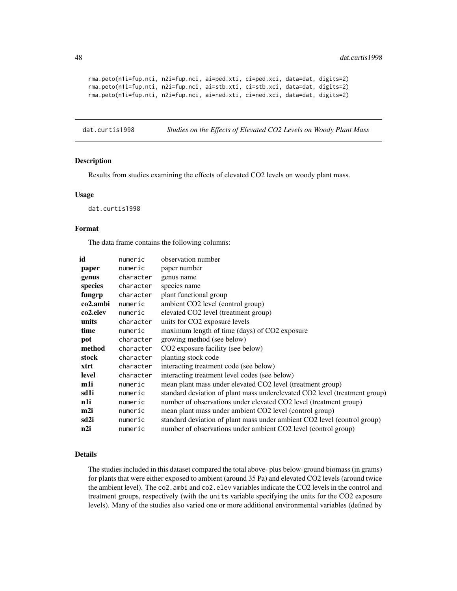```
rma.peto(n1i=fup.nti, n2i=fup.nci, ai=ped.xti, ci=ped.xci, data=dat, digits=2)
rma.peto(n1i=fup.nti, n2i=fup.nci, ai=stb.xti, ci=stb.xci, data=dat, digits=2)
rma.peto(n1i=fup.nti, n2i=fup.nci, ai=ned.xti, ci=ned.xci, data=dat, digits=2)
```
dat.curtis1998 *Studies on the Effects of Elevated CO2 Levels on Woody Plant Mass*

### Description

Results from studies examining the effects of elevated CO2 levels on woody plant mass.

#### Usage

dat.curtis1998

### Format

The data frame contains the following columns:

| id       | numeric   | observation number                                                         |
|----------|-----------|----------------------------------------------------------------------------|
| paper    | numeric   | paper number                                                               |
| genus    | character | genus name                                                                 |
| species  | character | species name                                                               |
| fungrp   | character | plant functional group                                                     |
| co2.ambi | numeric   | ambient CO2 level (control group)                                          |
| co2.elev | numeric   | elevated CO2 level (treatment group)                                       |
| units    | character | units for CO2 exposure levels                                              |
| time     | numeric   | maximum length of time (days) of CO2 exposure                              |
| pot      | character | growing method (see below)                                                 |
| method   | character | CO2 exposure facility (see below)                                          |
| stock    | character | planting stock code                                                        |
| xtrt     | character | interacting treatment code (see below)                                     |
| level    | character | interacting treatment level codes (see below)                              |
| m1i      | numeric   | mean plant mass under elevated CO2 level (treatment group)                 |
| sd1i     | numeric   | standard deviation of plant mass underelevated CO2 level (treatment group) |
| n1i      | numeric   | number of observations under elevated CO2 level (treatment group)          |
| m2i      | numeric   | mean plant mass under ambient CO2 level (control group)                    |
| sd2i     | numeric   | standard deviation of plant mass under ambient CO2 level (control group)   |
| n2i      | numeric   | number of observations under ambient CO2 level (control group)             |

#### Details

The studies included in this dataset compared the total above- plus below-ground biomass (in grams) for plants that were either exposed to ambient (around 35 Pa) and elevated CO2 levels (around twice the ambient level). The co2.ambi and co2.elev variables indicate the CO2 levels in the control and treatment groups, respectively (with the units variable specifying the units for the CO2 exposure levels). Many of the studies also varied one or more additional environmental variables (defined by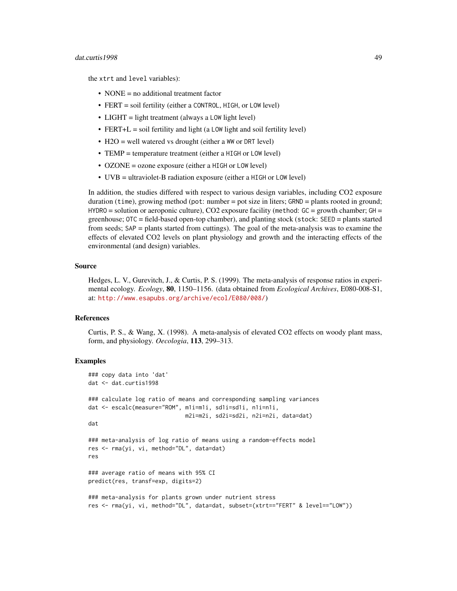### dat.curtis1998 49

the xtrt and level variables):

- NONE = no additional treatment factor
- FERT = soil fertility (either a CONTROL, HIGH, or LOW level)
- LIGHT = light treatment (always a LOW light level)
- FERT+L = soil fertility and light (a LOW light and soil fertility level)
- H2O = well watered vs drought (either a WW or DRT level)
- TEMP = temperature treatment (either a HIGH or LOW level)
- OZONE = ozone exposure (either a HIGH or LOW level)
- UVB = ultraviolet-B radiation exposure (either a HIGH or LOW level)

In addition, the studies differed with respect to various design variables, including CO2 exposure duration (time), growing method (pot: number = pot size in liters; GRND = plants rooted in ground;  $HYDRO =$  solution or aeroponic culture), CO2 exposure facility (method:  $GC =$  growth chamber;  $GH =$ greenhouse; OTC = field-based open-top chamber), and planting stock (stock: SEED = plants started from seeds; SAP = plants started from cuttings). The goal of the meta-analysis was to examine the effects of elevated CO2 levels on plant physiology and growth and the interacting effects of the environmental (and design) variables.

## Source

Hedges, L. V., Gurevitch, J., & Curtis, P. S. (1999). The meta-analysis of response ratios in experimental ecology. *Ecology*, 80, 1150–1156. (data obtained from *Ecological Archives*, E080-008-S1, at: <http://www.esapubs.org/archive/ecol/E080/008/>)

### **References**

Curtis, P. S., & Wang, X. (1998). A meta-analysis of elevated CO2 effects on woody plant mass, form, and physiology. *Oecologia*, 113, 299–313.

```
### copy data into 'dat'
dat <- dat.curtis1998
### calculate log ratio of means and corresponding sampling variances
dat <- escalc(measure="ROM", m1i=m1i, sd1i=sd1i, n1i=n1i,
                             m2i=m2i, sd2i=sd2i, n2i=n2i, data=dat)
dat
### meta-analysis of log ratio of means using a random-effects model
res <- rma(yi, vi, method="DL", data=dat)
res
### average ratio of means with 95% CI
predict(res, transf=exp, digits=2)
### meta-analysis for plants grown under nutrient stress
res <- rma(yi, vi, method="DL", data=dat, subset=(xtrt=="FERT" & level=="LOW"))
```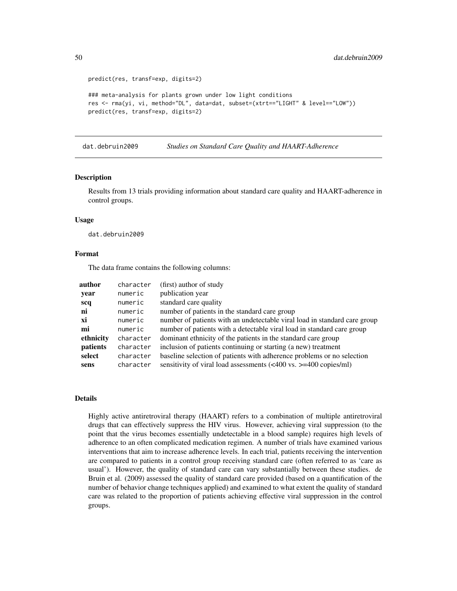```
predict(res, transf=exp, digits=2)
### meta-analysis for plants grown under low light conditions
res <- rma(yi, vi, method="DL", data=dat, subset=(xtrt=="LIGHT" & level=="LOW"))
predict(res, transf=exp, digits=2)
```
dat.debruin2009 *Studies on Standard Care Quality and HAART-Adherence*

#### Description

Results from 13 trials providing information about standard care quality and HAART-adherence in control groups.

#### Usage

dat.debruin2009

#### Format

The data frame contains the following columns:

| author    | character | (first) author of study                                                                      |
|-----------|-----------|----------------------------------------------------------------------------------------------|
| year      | numeric   | publication year                                                                             |
| scq       | numeric   | standard care quality                                                                        |
| ni        | numeric   | number of patients in the standard care group                                                |
| xi        | numeric   | number of patients with an undetectable viral load in standard care group                    |
| mi        | numeric   | number of patients with a detectable viral load in standard care group                       |
| ethnicity | character | dominant ethnicity of the patients in the standard care group                                |
| patients  | character | inclusion of patients continuing or starting (a new) treatment                               |
| select    | character | baseline selection of patients with adherence problems or no selection                       |
| sens      | character | sensitivity of viral load assessments $(\leq 400 \text{ vs. } \geq = 400 \text{ copies/ml})$ |

## Details

Highly active antiretroviral therapy (HAART) refers to a combination of multiple antiretroviral drugs that can effectively suppress the HIV virus. However, achieving viral suppression (to the point that the virus becomes essentially undetectable in a blood sample) requires high levels of adherence to an often complicated medication regimen. A number of trials have examined various interventions that aim to increase adherence levels. In each trial, patients receiving the intervention are compared to patients in a control group receiving standard care (often referred to as 'care as usual'). However, the quality of standard care can vary substantially between these studies. de Bruin et al. (2009) assessed the quality of standard care provided (based on a quantification of the number of behavior change techniques applied) and examined to what extent the quality of standard care was related to the proportion of patients achieving effective viral suppression in the control groups.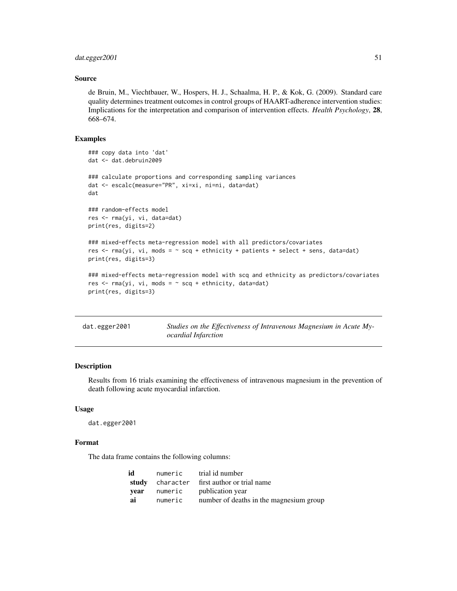# dat.egger2001 51

### Source

de Bruin, M., Viechtbauer, W., Hospers, H. J., Schaalma, H. P., & Kok, G. (2009). Standard care quality determines treatment outcomes in control groups of HAART-adherence intervention studies: Implications for the interpretation and comparison of intervention effects. *Health Psychology*, 28, 668–674.

# Examples

```
### copy data into 'dat'
dat <- dat.debruin2009
### calculate proportions and corresponding sampling variances
dat <- escalc(measure="PR", xi=xi, ni=ni, data=dat)
dat
### random-effects model
res <- rma(yi, vi, data=dat)
print(res, digits=2)
### mixed-effects meta-regression model with all predictors/covariates
res \le rma(yi, vi, mods = \sim scq + ethnicity + patients + select + sens, data=dat)
print(res, digits=3)
### mixed-effects meta-regression model with scq and ethnicity as predictors/covariates
res \leq rma(yi, vi, mods = \sim scq + ethnicity, data=dat)
print(res, digits=3)
```
<span id="page-50-0"></span>

| dat.egger2001 | Studies on the Effectiveness of Intravenous Magnesium in Acute My- |
|---------------|--------------------------------------------------------------------|
|               | <i>ocardial Infarction</i>                                         |

### Description

Results from 16 trials examining the effectiveness of intravenous magnesium in the prevention of death following acute myocardial infarction.

#### Usage

dat.egger2001

## Format

The data frame contains the following columns:

| id   | numeric | trial id number                            |
|------|---------|--------------------------------------------|
|      |         | study character first author or trial name |
| vear | numeric | publication year                           |
| ai   | numeric | number of deaths in the magnesium group    |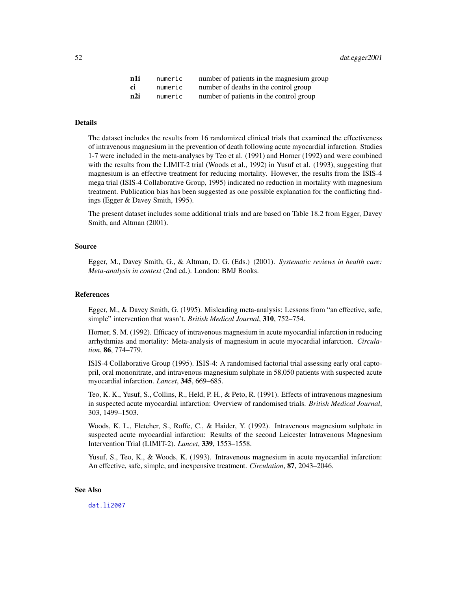| n1i | numeric | number of patients in the magnesium group |
|-----|---------|-------------------------------------------|
| ci  | numeric | number of deaths in the control group     |
| n2i | numeric | number of patients in the control group   |

# Details

The dataset includes the results from 16 randomized clinical trials that examined the effectiveness of intravenous magnesium in the prevention of death following acute myocardial infarction. Studies 1-7 were included in the meta-analyses by Teo et al. (1991) and Horner (1992) and were combined with the results from the LIMIT-2 trial (Woods et al., 1992) in Yusuf et al. (1993), suggesting that magnesium is an effective treatment for reducing mortality. However, the results from the ISIS-4 mega trial (ISIS-4 Collaborative Group, 1995) indicated no reduction in mortality with magnesium treatment. Publication bias has been suggested as one possible explanation for the conflicting findings (Egger & Davey Smith, 1995).

The present dataset includes some additional trials and are based on Table 18.2 from Egger, Davey Smith, and Altman (2001).

### Source

Egger, M., Davey Smith, G., & Altman, D. G. (Eds.) (2001). *Systematic reviews in health care: Meta-analysis in context* (2nd ed.). London: BMJ Books.

### References

Egger, M., & Davey Smith, G. (1995). Misleading meta-analysis: Lessons from "an effective, safe, simple" intervention that wasn't. *British Medical Journal*, 310, 752–754.

Horner, S. M. (1992). Efficacy of intravenous magnesium in acute myocardial infarction in reducing arrhythmias and mortality: Meta-analysis of magnesium in acute myocardial infarction. *Circulation*, 86, 774–779.

ISIS-4 Collaborative Group (1995). ISIS-4: A randomised factorial trial assessing early oral captopril, oral mononitrate, and intravenous magnesium sulphate in 58,050 patients with suspected acute myocardial infarction. *Lancet*, 345, 669–685.

Teo, K. K., Yusuf, S., Collins, R., Held, P. H., & Peto, R. (1991). Effects of intravenous magnesium in suspected acute myocardial infarction: Overview of randomised trials. *British Medical Journal*, 303, 1499–1503.

Woods, K. L., Fletcher, S., Roffe, C., & Haider, Y. (1992). Intravenous magnesium sulphate in suspected acute myocardial infarction: Results of the second Leicester Intravenous Magnesium Intervention Trial (LIMIT-2). *Lancet*, 339, 1553–1558.

Yusuf, S., Teo, K., & Woods, K. (1993). Intravenous magnesium in acute myocardial infarction: An effective, safe, simple, and inexpensive treatment. *Circulation*, 87, 2043–2046.

#### See Also

[dat.li2007](#page-70-0)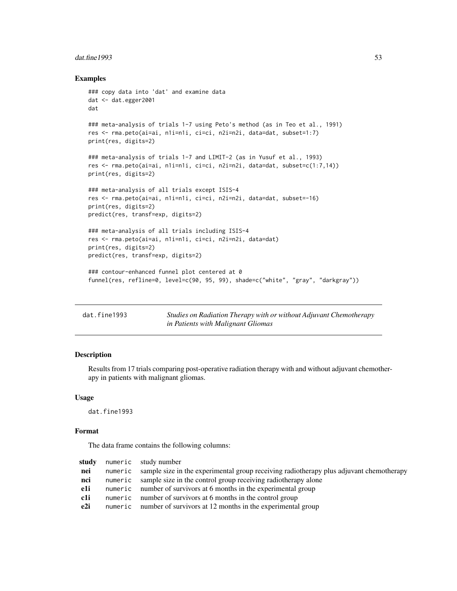#### dat.fine1993 53

### Examples

```
### copy data into 'dat' and examine data
dat <- dat.egger2001
dat
### meta-analysis of trials 1-7 using Peto's method (as in Teo et al., 1991)
res <- rma.peto(ai=ai, n1i=n1i, ci=ci, n2i=n2i, data=dat, subset=1:7)
print(res, digits=2)
### meta-analysis of trials 1-7 and LIMIT-2 (as in Yusuf et al., 1993)
res <- rma.peto(ai=ai, n1i=n1i, ci=ci, n2i=n2i, data=dat, subset=c(1:7,14))
print(res, digits=2)
### meta-analysis of all trials except ISIS-4
res <- rma.peto(ai=ai, n1i=n1i, ci=ci, n2i=n2i, data=dat, subset=-16)
print(res, digits=2)
predict(res, transf=exp, digits=2)
### meta-analysis of all trials including ISIS-4
res <- rma.peto(ai=ai, n1i=n1i, ci=ci, n2i=n2i, data=dat)
print(res, digits=2)
predict(res, transf=exp, digits=2)
### contour-enhanced funnel plot centered at 0
funnel(res, refline=0, level=c(90, 95, 99), shade=c("white", "gray", "darkgray"))
```

| dat.fine1993 | Studies on Radiation Therapy with or without Adjuvant Chemotherapy |
|--------------|--------------------------------------------------------------------|
|              | in Patients with Malignant Gliomas                                 |

# Description

Results from 17 trials comparing post-operative radiation therapy with and without adjuvant chemotherapy in patients with malignant gliomas.

### Usage

dat.fine1993

### Format

The data frame contains the following columns:

| study | numeric study number                                                                            |
|-------|-------------------------------------------------------------------------------------------------|
| nei   | numeric sample size in the experimental group receiving radiotherapy plus adjuvant chemotherapy |
| nci   | numeric sample size in the control group receiving radiotherapy alone                           |
| e1i   | numeric number of survivors at 6 months in the experimental group                               |
| c1i   | numeric number of survivors at 6 months in the control group                                    |
| e2i   | numeric number of survivors at 12 months in the experimental group                              |
|       |                                                                                                 |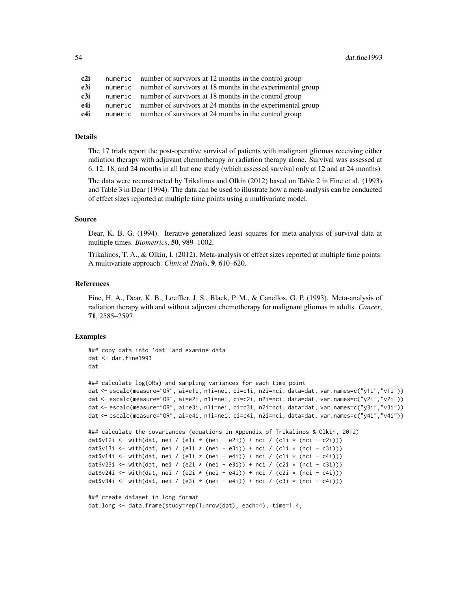| c2i | numeric number of survivors at 12 months in the control group      |
|-----|--------------------------------------------------------------------|
| e3i | numeric number of survivors at 18 months in the experimental group |
| c3i | numeric number of survivors at 18 months in the control group      |
| e4i | numeric number of survivors at 24 months in the experimental group |
| c4i | numeric number of survivors at 24 months in the control group      |

#### Details

The 17 trials report the post-operative survival of patients with malignant gliomas receiving either radiation therapy with adjuvant chemotherapy or radiation therapy alone. Survival was assessed at 6, 12, 18, and 24 months in all but one study (which assessed survival only at 12 and at 24 months).

The data were reconstructed by Trikalinos and Olkin (2012) based on Table 2 in Fine et al. (1993) and Table 3 in Dear (1994). The data can be used to illustrate how a meta-analysis can be conducted of effect sizes reported at multiple time points using a multivariate model.

### Source

Dear, K. B. G. (1994). Iterative generalized least squares for meta-analysis of survival data at multiple times. *Biometrics*, 50, 989–1002.

Trikalinos, T. A., & Olkin, I. (2012). Meta-analysis of effect sizes reported at multiple time points: A multivariate approach. *Clinical Trials*, 9, 610–620.

### References

Fine, H. A., Dear, K. B., Loeffler, J. S., Black, P. M., & Canellos, G. P. (1993). Meta-analysis of radiation therapy with and without adjuvant chemotherapy for malignant gliomas in adults. *Cancer*, 71, 2585–2597.

### Examples

```
### copy data into 'dat' and examine data
dat <- dat.fine1993
dat
### calculate log(ORs) and sampling variances for each time point
dat <- escalc(measure="OR", ai=e1i, n1i=nei, ci=c1i, n2i=nci, data=dat, var.names=c("y1i","v1i"))
dat <- escalc(measure="OR", ai=e2i, n1i=nei, ci=c2i, n2i=nci, data=dat, var.names=c("y2i","v2i"))
dat <- escalc(measure="OR", ai=e3i, n1i=nei, ci=c3i, n2i=nci, data=dat, var.names=c("y3i","v3i"))
dat <- escalc(measure="OR", ai=e4i, n1i=nei, ci=c4i, n2i=nci, data=dat, var.names=c("y4i","v4i"))
### calculate the covariances (equations in Appendix of Trikalinos & Olkin, 2012)
dat$v12i <- with(dat, nei / (e1i * (nei - e2i)) + nci / (c1i * (nci - c2i)))
dat$v13i <- with(dat, nei / (e1i * (nei - e3i)) + nci / (c1i * (nci - c3i)))
dat$v14i <- with(dat, nei / (e1i * (nei - e4i)) + nci / (c1i * (nci - c4i)))
dat$v23i <- with(dat, nei / (e2i * (nei - e3i)) + nci / (c2i * (nci - c3i)))
dat$v24i <- with(dat, nei / (e2i * (nei - e4i)) + nci / (c2i * (nci - c4i)))
dat$v34i <- with(dat, nei / (e3i * (nei - e4i)) + nci / (c3i * (nci - c4i)))
### create dataset in long format
```
dat.long <- data.frame(study=rep(1:nrow(dat), each=4), time=1:4,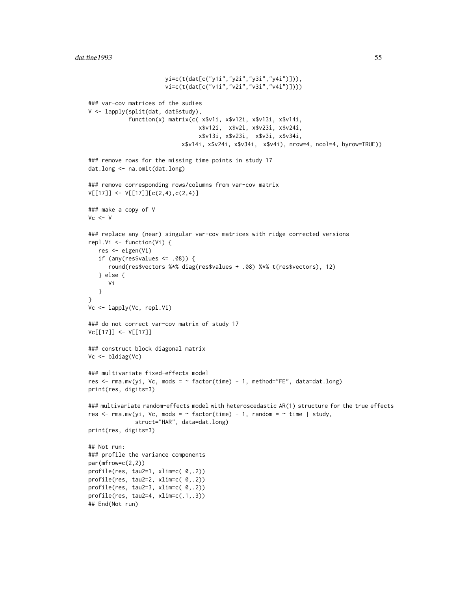```
yi=c(t(dat[c("y1i","y2i","y3i","y4i")])),
                       vi=c(t(dat[c("v1i","v2i","v3i","v4i")])))
### var-cov matrices of the sudies
V <- lapply(split(dat, dat$study),
            function(x) matrix(c( x$v1i, x$v12i, x$v13i, x$v14i,
                                 x$v12i, x$v2i, x$v23i, x$v24i,
                                 x$v13i, x$v23i, x$v3i, x$v34i,
                            x$v14i, x$v24i, x$v34i, x$v4i), nrow=4, ncol=4, byrow=TRUE))
### remove rows for the missing time points in study 17
dat.long <- na.omit(dat.long)
### remove corresponding rows/columns from var-cov matrix
V[[17]] <- V[[17]][c(2,4),c(2,4)]### make a copy of V
Vc <- V### replace any (near) singular var-cov matrices with ridge corrected versions
repl.Vi <- function(Vi) {
  res <- eigen(Vi)
   if (any(res$values \leq .08)) {
      round(res$vectors %*% diag(res$values + .08) %*% t(res$vectors), 12)
   } else {
      Vi
   }
}
Vc <- lapply(Vc, repl.Vi)
### do not correct var-cov matrix of study 17
Vc[[17]] <- V[[17]]
### construct block diagonal matrix
Vc <- bldiag(Vc)
### multivariate fixed-effects model
res <- rma.mv(yi, Vc, mods = \sim factor(time) - 1, method="FE", data=dat.long)
print(res, digits=3)
### multivariate random-effects model with heteroscedastic AR(1) structure for the true effects
res <- rma.mv(yi, Vc, mods = \sim factor(time) - 1, random = \sim time | study,
              struct="HAR", data=dat.long)
print(res, digits=3)
## Not run:
### profile the variance components
par(mfrow=c(2,2))
profile(res, tau2=1, xlim=c( 0,.2))
profile(res, tau2=2, xlim=c( 0,.2))
profile(res, tau2=3, xlim=c( 0,.2))
profile(res, tau2=4, xlim=c(.1,.3))
## End(Not run)
```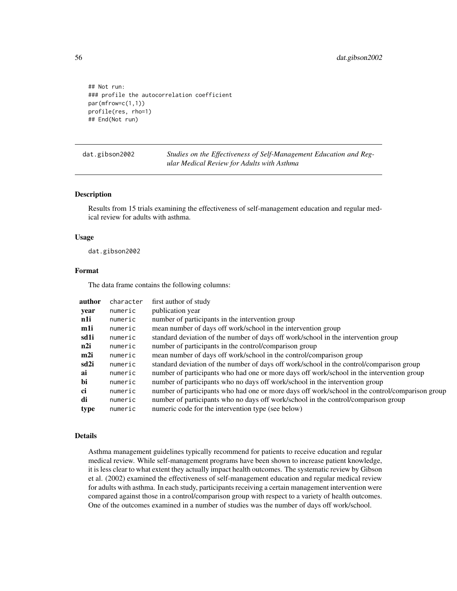## Not run: ### profile the autocorrelation coefficient par(mfrow=c(1,1)) profile(res, rho=1) ## End(Not run)

dat.gibson2002 *Studies on the Effectiveness of Self-Management Education and Regular Medical Review for Adults with Asthma*

#### Description

Results from 15 trials examining the effectiveness of self-management education and regular medical review for adults with asthma.

#### Usage

dat.gibson2002

## Format

The data frame contains the following columns:

| author | character | first author of study                                                                           |
|--------|-----------|-------------------------------------------------------------------------------------------------|
| year   | numeric   | publication year                                                                                |
| n1i    | numeric   | number of participants in the intervention group                                                |
| m1i    | numeric   | mean number of days off work/school in the intervention group                                   |
| sd1i   | numeric   | standard deviation of the number of days off work/school in the intervention group              |
| n2i    | numeric   | number of participants in the control/comparison group                                          |
| m2i    | numeric   | mean number of days off work/school in the control/comparison group                             |
| sd2i   | numeric   | standard deviation of the number of days off work/school in the control/comparison group        |
| ai     | numeric   | number of participants who had one or more days off work/school in the intervention group       |
| bi     | numeric   | number of participants who no days off work/school in the intervention group                    |
| ci     | numeric   | number of participants who had one or more days off work/school in the control/comparison group |
| di     | numeric   | number of participants who no days off work/school in the control/comparison group              |
| type   | numeric   | numeric code for the intervention type (see below)                                              |
|        |           |                                                                                                 |

# Details

Asthma management guidelines typically recommend for patients to receive education and regular medical review. While self-management programs have been shown to increase patient knowledge, it is less clear to what extent they actually impact health outcomes. The systematic review by Gibson et al. (2002) examined the effectiveness of self-management education and regular medical review for adults with asthma. In each study, participants receiving a certain management intervention were compared against those in a control/comparison group with respect to a variety of health outcomes. One of the outcomes examined in a number of studies was the number of days off work/school.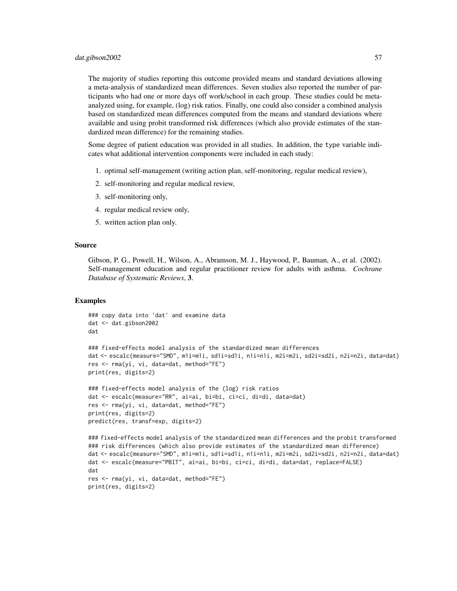#### dat.gibson2002 57

The majority of studies reporting this outcome provided means and standard deviations allowing a meta-analysis of standardized mean differences. Seven studies also reported the number of participants who had one or more days off work/school in each group. These studies could be metaanalyzed using, for example, (log) risk ratios. Finally, one could also consider a combined analysis based on standardized mean differences computed from the means and standard deviations where available and using probit transformed risk differences (which also provide estimates of the standardized mean difference) for the remaining studies.

Some degree of patient education was provided in all studies. In addition, the type variable indicates what additional intervention components were included in each study:

- 1. optimal self-management (writing action plan, self-monitoring, regular medical review),
- 2. self-monitoring and regular medical review,
- 3. self-monitoring only,
- 4. regular medical review only,
- 5. written action plan only.

## Source

Gibson, P. G., Powell, H., Wilson, A., Abramson, M. J., Haywood, P., Bauman, A., et al. (2002). Self-management education and regular practitioner review for adults with asthma. *Cochrane Database of Systematic Reviews*, 3.

```
### copy data into 'dat' and examine data
dat <- dat.gibson2002
dat
### fixed-effects model analysis of the standardized mean differences
dat <- escalc(measure="SMD", m1i=m1i, sd1i=sd1i, n1i=n1i, m2i=m2i, sd2i=sd2i, n2i=n2i, data=dat)
res <- rma(yi, vi, data=dat, method="FE")
print(res, digits=2)
### fixed-effects model analysis of the (log) risk ratios
dat <- escalc(measure="RR", ai=ai, bi=bi, ci=ci, di=di, data=dat)
res <- rma(yi, vi, data=dat, method="FE")
print(res, digits=2)
predict(res, transf=exp, digits=2)
### fixed-effects model analysis of the standardized mean differences and the probit transformed
### risk differences (which also provide estimates of the standardized mean difference)
dat <- escalc(measure="SMD", m1i=m1i, sd1i=sd1i, n1i=n1i, m2i=m2i, sd2i=sd2i, n2i=n2i, data=dat)
dat <- escalc(measure="PBIT", ai=ai, bi=bi, ci=ci, di=di, data=dat, replace=FALSE)
dat
```

```
res <- rma(yi, vi, data=dat, method="FE")
print(res, digits=2)
```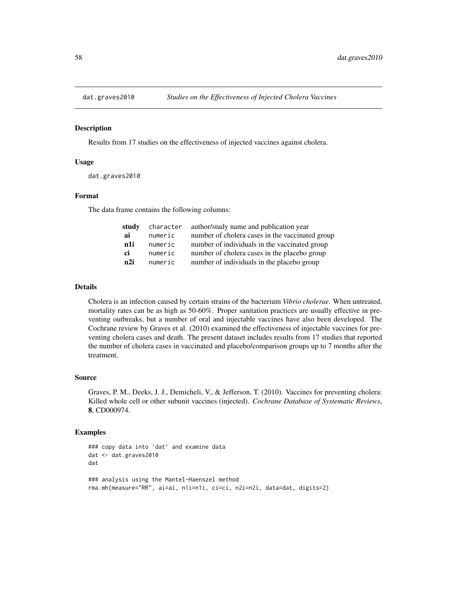### Description

Results from 17 studies on the effectiveness of injected vaccines against cholera.

## Usage

```
dat.graves2010
```
## Format

The data frame contains the following columns:

| study | character | author/study name and publication year          |
|-------|-----------|-------------------------------------------------|
| ai    | numeric   | number of cholera cases in the vaccinated group |
| n1i   | numeric   | number of individuals in the vaccinated group   |
| ci    | numeric   | number of cholera cases in the placebo group    |
| n2i   | numeric   | number of individuals in the placebo group      |

## Details

Cholera is an infection caused by certain strains of the bacterium *Vibrio cholerae*. When untreated, mortality rates can be as high as 50-60%. Proper sanitation practices are usually effective in preventing outbreaks, but a number of oral and injectable vaccines have also been developed. The Cochrane review by Graves et al. (2010) examined the effectiveness of injectable vaccines for preventing cholera cases and death. The present dataset includes results from 17 studies that reported the number of cholera cases in vaccinated and placebo/comparison groups up to 7 months after the treatment.

#### Source

Graves, P. M., Deeks, J. J., Demicheli, V., & Jefferson, T. (2010). Vaccines for preventing cholera: Killed whole cell or other subunit vaccines (injected). *Cochrane Database of Systematic Reviews*, 8, CD000974.

```
### copy data into 'dat' and examine data
dat <- dat.graves2010
dat
### analysis using the Mantel-Haenszel method
rma.mh(measure="RR", ai=ai, n1i=n1i, ci=ci, n2i=n2i, data=dat, digits=2)
```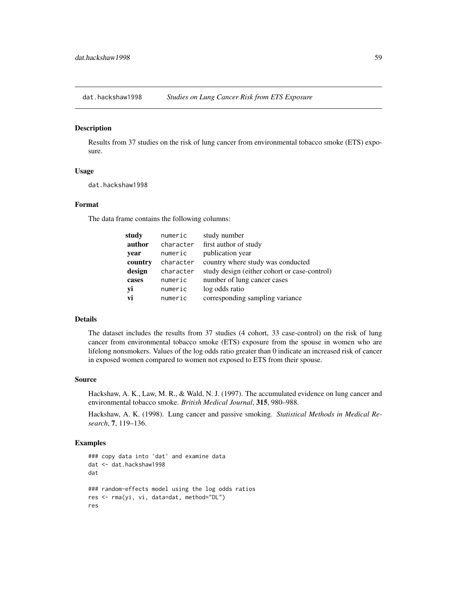#### Description

Results from 37 studies on the risk of lung cancer from environmental tobacco smoke (ETS) exposure.

### Usage

dat.hackshaw1998

# Format

The data frame contains the following columns:

| study   | numeric   | study number                                 |
|---------|-----------|----------------------------------------------|
| author  | character | first author of study                        |
| year    | numeric   | publication year                             |
| country | character | country where study was conducted            |
| design  | character | study design (either cohort or case-control) |
| cases   | numeric   | number of lung cancer cases                  |
| yi      | numeric   | log odds ratio                               |
| vi      | numeric   | corresponding sampling variance              |

## Details

The dataset includes the results from 37 studies (4 cohort, 33 case-control) on the risk of lung cancer from environmental tobacco smoke (ETS) exposure from the spouse in women who are lifelong nonsmokers. Values of the log odds ratio greater than 0 indicate an increased risk of cancer in exposed women compared to women not exposed to ETS from their spouse.

#### Source

Hackshaw, A. K., Law, M. R., & Wald, N. J. (1997). The accumulated evidence on lung cancer and environmental tobacco smoke. *British Medical Journal*, 315, 980–988.

Hackshaw, A. K. (1998). Lung cancer and passive smoking. *Statistical Methods in Medical Research*, 7, 119–136.

```
### copy data into 'dat' and examine data
dat <- dat.hackshaw1998
dat
### random-effects model using the log odds ratios
res <- rma(yi, vi, data=dat, method="DL")
res
```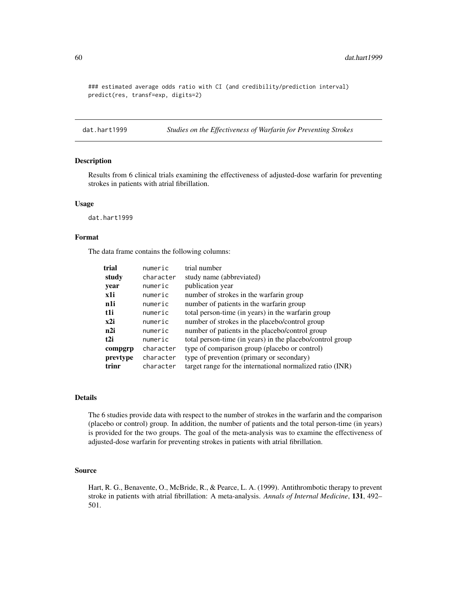### estimated average odds ratio with CI (and credibility/prediction interval) predict(res, transf=exp, digits=2)

dat.hart1999 *Studies on the Effectiveness of Warfarin for Preventing Strokes*

#### Description

Results from 6 clinical trials examining the effectiveness of adjusted-dose warfarin for preventing strokes in patients with atrial fibrillation.

#### Usage

dat.hart1999

# Format

The data frame contains the following columns:

| trial    | numeric   | trial number                                              |
|----------|-----------|-----------------------------------------------------------|
| study    | character | study name (abbreviated)                                  |
| year     | numeric   | publication year                                          |
| x1i      | numeric   | number of strokes in the warfarin group                   |
| n1i      | numeric   | number of patients in the warfarin group                  |
| t1i      | numeric   | total person-time (in years) in the warfarin group        |
| x2i      | numeric   | number of strokes in the placebo/control group            |
| n2i      | numeric   | number of patients in the placebo/control group           |
| t2i      | numeric   | total person-time (in years) in the placebo/control group |
| compgrp  | character | type of comparison group (placebo or control)             |
| prevtype | character | type of prevention (primary or secondary)                 |
| trinr    | character | target range for the international normalized ratio (INR) |

# Details

The 6 studies provide data with respect to the number of strokes in the warfarin and the comparison (placebo or control) group. In addition, the number of patients and the total person-time (in years) is provided for the two groups. The goal of the meta-analysis was to examine the effectiveness of adjusted-dose warfarin for preventing strokes in patients with atrial fibrillation.

#### Source

Hart, R. G., Benavente, O., McBride, R., & Pearce, L. A. (1999). Antithrombotic therapy to prevent stroke in patients with atrial fibrillation: A meta-analysis. *Annals of Internal Medicine*, 131, 492– 501.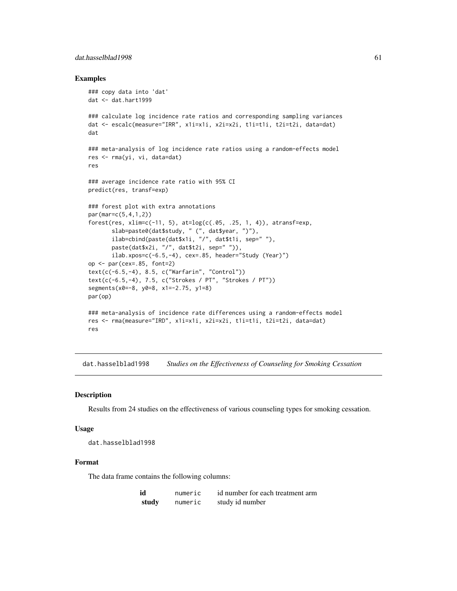## dat.hasselblad1998 61

### Examples

```
### copy data into 'dat'
dat <- dat.hart1999
### calculate log incidence rate ratios and corresponding sampling variances
dat <- escalc(measure="IRR", x1i=x1i, x2i=x2i, t1i=t1i, t2i=t2i, data=dat)
dat
### meta-analysis of log incidence rate ratios using a random-effects model
res <- rma(yi, vi, data=dat)
res
### average incidence rate ratio with 95% CI
predict(res, transf=exp)
### forest plot with extra annotations
par(mar=c(5,4,1,2))
forest(res, xlim=c(-11, 5), at=log(c(.05, .25, 1, 4)), atransf=exp,
       slab=paste0(dat$study, " (", dat$year, ")"),
       ilab=cbind(paste(dat$x1i, "/", dat$t1i, sep=" "),
       paste(dat$x2i, "/", dat$t2i, sep=" ")),
       ilab.xpos=c(-6.5,-4), cex=.85, header="Study (Year)")
op \leq par(cex=.85, font=2)
text(c(-6.5,-4), 8.5, c("Warfarin", "Control"))
text(c(-6.5,-4), 7.5, c("Strokes / PT", "Strokes / PT"))
segments(x0=-8, y0=8, x1=-2.75, y1=8)
par(op)
### meta-analysis of incidence rate differences using a random-effects model
res <- rma(measure="IRD", x1i=x1i, x2i=x2i, t1i=t1i, t2i=t2i, data=dat)
res
```
dat.hasselblad1998 *Studies on the Effectiveness of Counseling for Smoking Cessation*

## **Description**

Results from 24 studies on the effectiveness of various counseling types for smoking cessation.

#### Usage

```
dat.hasselblad1998
```
#### Format

The data frame contains the following columns:

| id    | numeric | id number for each treatment arm |
|-------|---------|----------------------------------|
| study | numeric | study id number                  |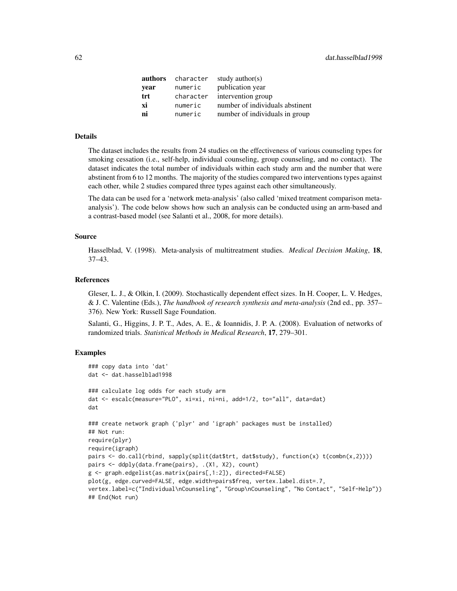| authors | character | study author(s)                 |
|---------|-----------|---------------------------------|
| year    | numeric   | publication year                |
| trt     | character | intervention group              |
| хi      | numeric   | number of individuals abstinent |
| ni      | numeric   | number of individuals in group  |

## Details

The dataset includes the results from 24 studies on the effectiveness of various counseling types for smoking cessation (i.e., self-help, individual counseling, group counseling, and no contact). The dataset indicates the total number of individuals within each study arm and the number that were abstinent from 6 to 12 months. The majority of the studies compared two interventions types against each other, while 2 studies compared three types against each other simultaneously.

The data can be used for a 'network meta-analysis' (also called 'mixed treatment comparison metaanalysis'). The code below shows how such an analysis can be conducted using an arm-based and a contrast-based model (see Salanti et al., 2008, for more details).

#### Source

Hasselblad, V. (1998). Meta-analysis of multitreatment studies. *Medical Decision Making*, 18, 37–43.

#### References

Gleser, L. J., & Olkin, I. (2009). Stochastically dependent effect sizes. In H. Cooper, L. V. Hedges, & J. C. Valentine (Eds.), *The handbook of research synthesis and meta-analysis* (2nd ed., pp. 357– 376). New York: Russell Sage Foundation.

Salanti, G., Higgins, J. P. T., Ades, A. E., & Ioannidis, J. P. A. (2008). Evaluation of networks of randomized trials. *Statistical Methods in Medical Research*, 17, 279–301.

```
### copy data into 'dat'
dat <- dat.hasselblad1998
### calculate log odds for each study arm
dat <- escalc(measure="PLO", xi=xi, ni=ni, add=1/2, to="all", data=dat)
dat
### create network graph ('plyr' and 'igraph' packages must be installed)
## Not run:
require(plyr)
require(igraph)
pairs <- do.call(rbind, sapply(split(dat$trt, dat$study), function(x) t(combn(x,2))))
pairs <- ddply(data.frame(pairs), .(X1, X2), count)
g <- graph.edgelist(as.matrix(pairs[,1:2]), directed=FALSE)
plot(g, edge.curved=FALSE, edge.width=pairs$freq, vertex.label.dist=.7,
vertex.label=c("Individual\nCounseling", "Group\nCounseling", "No Contact", "Self-Help"))
## End(Not run)
```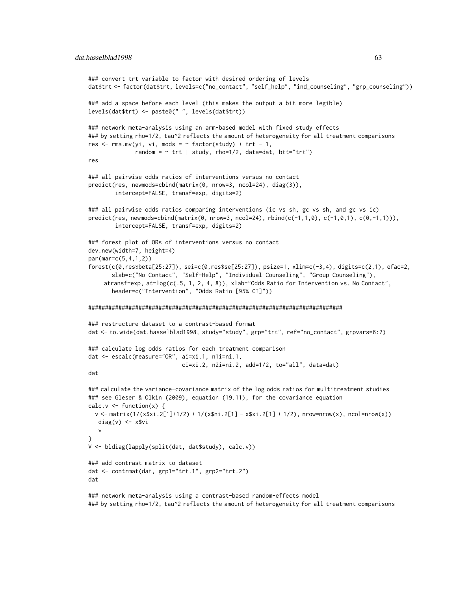```
### convert trt variable to factor with desired ordering of levels
dat$trt <- factor(dat$trt, levels=c("no_contact", "self_help", "ind_counseling", "grp_counseling"))
### add a space before each level (this makes the output a bit more legible)
levels(dat$trt) <- paste0(" ", levels(dat$trt))
### network meta-analysis using an arm-based model with fixed study effects
### by setting rho=1/2, tau^2 reflects the amount of heterogeneity for all treatment comparisons
res \leq rma.mv(yi, vi, mods = \sim factor(study) + trt - 1,
              random = \sim trt | study, rho=1/2, data=dat, btt="trt")
res
### all pairwise odds ratios of interventions versus no contact
predict(res, newmods=cbind(matrix(0, nrow=3, ncol=24), diag(3)),
        intercept=FALSE, transf=exp, digits=2)
### all pairwise odds ratios comparing interventions (ic vs sh, gc vs sh, and gc vs ic)
predict(res, newmods=cbind(matrix(0, nrow=3, ncol=24), rbind(c(-1,1,0), c(-1,0,1), c(0,-1,1))),
        intercept=FALSE, transf=exp, digits=2)
### forest plot of ORs of interventions versus no contact
dev.new(width=7, height=4)
par(mar=c(5,4,1,2))
forest(c(0,res$beta[25:27]), sei=c(0,res$se[25:27]), psize=1, xlim=c(-3,4), digits=c(2,1), efac=2,
       slab=c("No Contact", "Self-Help", "Individual Counseling", "Group Counseling"),
    atransf=exp, at=log(c(.5, 1, 2, 4, 8)), xlab="Odds Ratio for Intervention vs. No Contact",
       header=c("Intervention", "Odds Ratio [95% CI]"))
############################################################################
### restructure dataset to a contrast-based format
dat <- to.wide(dat.hasselblad1998, study="study", grp="trt", ref="no_contact", grpvars=6:7)
### calculate log odds ratios for each treatment comparison
dat <- escalc(measure="OR", ai=xi.1, n1i=ni.1,
                            ci=xi.2, n2i=ni.2, add=1/2, to="all", data=dat)
dat
### calculate the variance-covariance matrix of the log odds ratios for multitreatment studies
### see Gleser & Olkin (2009), equation (19.11), for the covariance equation
calc.v \leq function(x) {
 v <- matrix(1/(x$xi.2[1]+1/2) + 1/(x$ni.2[1] - x$xi.2[1] + 1/2), nrow=nrow(x), ncol=nrow(x))
  diag(v) \leftarrow x$vi
  v
}
V <- bldiag(lapply(split(dat, dat$study), calc.v))
### add contrast matrix to dataset
dat <- contrmat(dat, grp1="trt.1", grp2="trt.2")
dat
```
### network meta-analysis using a contrast-based random-effects model ### by setting rho=1/2, tau^2 reflects the amount of heterogeneity for all treatment comparisons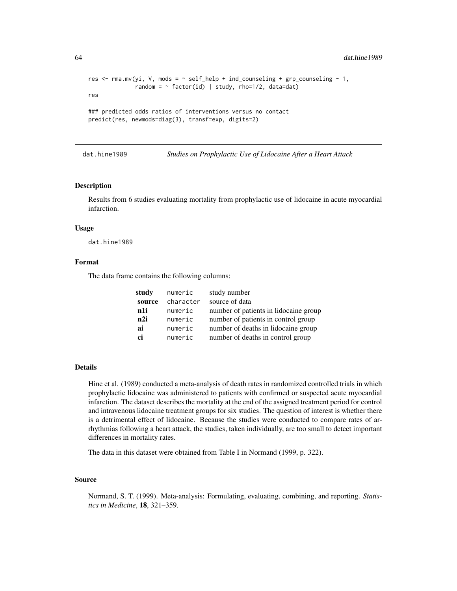```
res \le - rma.mv(yi, V, mods = \sim self_help + ind_counseling + grp_counseling - 1,
              random = \sim factor(id) | study, rho=1/2, data=dat)
res
### predicted odds ratios of interventions versus no contact
predict(res, newmods=diag(3), transf=exp, digits=2)
```
dat.hine1989 *Studies on Prophylactic Use of Lidocaine After a Heart Attack*

### **Description**

Results from 6 studies evaluating mortality from prophylactic use of lidocaine in acute myocardial infarction.

#### Usage

dat.hine1989

### Format

The data frame contains the following columns:

| study  | numeric   | study number                          |
|--------|-----------|---------------------------------------|
| source | character | source of data                        |
| n1i    | numeric   | number of patients in lidocaine group |
| n2i    | numeric   | number of patients in control group   |
| ai     | numeric   | number of deaths in lidocaine group   |
| ci     | numeric   | number of deaths in control group     |

## Details

Hine et al. (1989) conducted a meta-analysis of death rates in randomized controlled trials in which prophylactic lidocaine was administered to patients with confirmed or suspected acute myocardial infarction. The dataset describes the mortality at the end of the assigned treatment period for control and intravenous lidocaine treatment groups for six studies. The question of interest is whether there is a detrimental effect of lidocaine. Because the studies were conducted to compare rates of arrhythmias following a heart attack, the studies, taken individually, are too small to detect important differences in mortality rates.

The data in this dataset were obtained from Table I in Normand (1999, p. 322).

#### Source

Normand, S. T. (1999). Meta-analysis: Formulating, evaluating, combining, and reporting. *Statistics in Medicine*, 18, 321–359.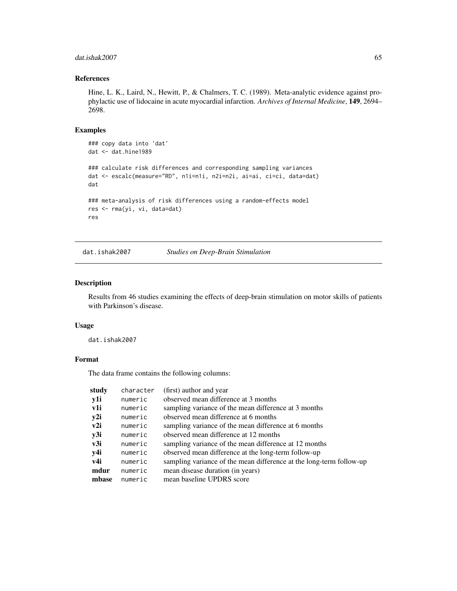## dat.ishak2007 65

# References

Hine, L. K., Laird, N., Hewitt, P., & Chalmers, T. C. (1989). Meta-analytic evidence against prophylactic use of lidocaine in acute myocardial infarction. *Archives of Internal Medicine*, 149, 2694– 2698.

## Examples

```
### copy data into 'dat'
dat <- dat.hine1989
### calculate risk differences and corresponding sampling variances
dat <- escalc(measure="RD", n1i=n1i, n2i=n2i, ai=ai, ci=ci, data=dat)
dat
### meta-analysis of risk differences using a random-effects model
res <- rma(yi, vi, data=dat)
res
```
dat.ishak2007 *Studies on Deep-Brain Stimulation*

# Description

Results from 46 studies examining the effects of deep-brain stimulation on motor skills of patients with Parkinson's disease.

#### Usage

dat.ishak2007

### Format

The data frame contains the following columns:

| study | character | (first) author and year                                             |
|-------|-----------|---------------------------------------------------------------------|
| y1i   | numeric   | observed mean difference at 3 months                                |
| v1i   | numeric   | sampling variance of the mean difference at 3 months                |
| y2i   | numeric   | observed mean difference at 6 months                                |
| v2i   | numeric   | sampling variance of the mean difference at 6 months                |
| y3i   | numeric   | observed mean difference at 12 months                               |
| v3i   | numeric   | sampling variance of the mean difference at 12 months               |
| y4i   | numeric   | observed mean difference at the long-term follow-up                 |
| v4i   | numeric   | sampling variance of the mean difference at the long-term follow-up |
| mdur  | numeric   | mean disease duration (in years)                                    |
| mbase | numeric   | mean baseline UPDRS score                                           |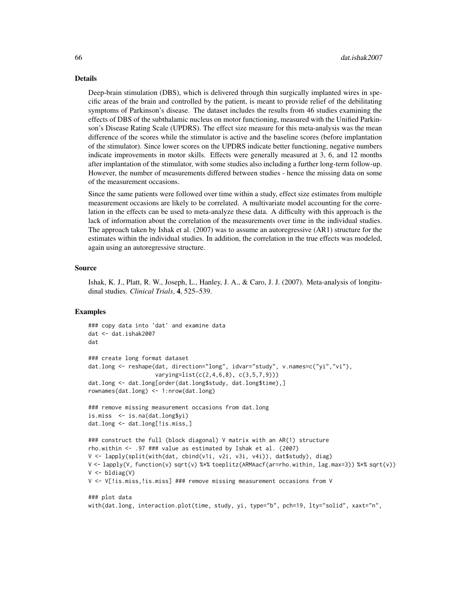#### Details

Deep-brain stimulation (DBS), which is delivered through thin surgically implanted wires in specific areas of the brain and controlled by the patient, is meant to provide relief of the debilitating symptoms of Parkinson's disease. The dataset includes the results from 46 studies examining the effects of DBS of the subthalamic nucleus on motor functioning, measured with the Unified Parkinson's Disease Rating Scale (UPDRS). The effect size measure for this meta-analysis was the mean difference of the scores while the stimulator is active and the baseline scores (before implantation of the stimulator). Since lower scores on the UPDRS indicate better functioning, negative numbers indicate improvements in motor skills. Effects were generally measured at 3, 6, and 12 months after implantation of the stimulator, with some studies also including a further long-term follow-up. However, the number of measurements differed between studies - hence the missing data on some of the measurement occasions.

Since the same patients were followed over time within a study, effect size estimates from multiple measurement occasions are likely to be correlated. A multivariate model accounting for the correlation in the effects can be used to meta-analyze these data. A difficulty with this approach is the lack of information about the correlation of the measurements over time in the individual studies. The approach taken by Ishak et al. (2007) was to assume an autoregressive (AR1) structure for the estimates within the individual studies. In addition, the correlation in the true effects was modeled, again using an autoregressive structure.

#### Source

Ishak, K. J., Platt, R. W., Joseph, L., Hanley, J. A., & Caro, J. J. (2007). Meta-analysis of longitudinal studies. *Clinical Trials*, 4, 525–539.

```
### copy data into 'dat' and examine data
dat <- dat.ishak2007
dat
### create long format dataset
dat.long <- reshape(dat, direction="long", idvar="study", v.names=c("yi","vi"),
                    varying=list(c(2,4,6,8), c(3,5,7,9)))
dat.long <- dat.long[order(dat.long$study, dat.long$time),]
rownames(dat.long) <- 1:nrow(dat.long)
### remove missing measurement occasions from dat.long
is.miss <- is.na(dat.long$yi)
dat.long <- dat.long[!is.miss,]
### construct the full (block diagonal) V matrix with an AR(1) structure
rho.within <- .97 ### value as estimated by Ishak et al. (2007)
V <- lapply(split(with(dat, cbind(v1i, v2i, v3i, v4i)), dat$study), diag)
V <- lapply(V, function(v) sqrt(v) %*% toeplitz(ARMAacf(ar=rho.within, lag.max=3)) %*% sqrt(v))
V <- bldiag(V)
V <- V[!is.miss,!is.miss] ### remove missing measurement occasions from V
### plot data
with(dat.long, interaction.plot(time, study, yi, type="b", pch=19, lty="solid", xaxt="n",
```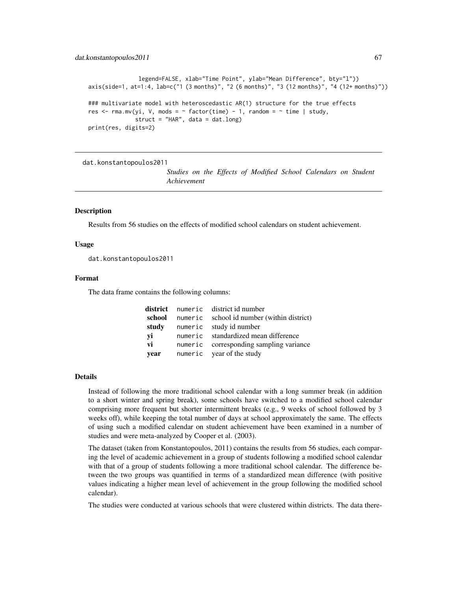#### dat.konstantopoulos2011 67

```
legend=FALSE, xlab="Time Point", ylab="Mean Difference", bty="l"))
axis(side=1, at=1:4, lab=c("1 (3 months)", "2 (6 months)", "3 (12 months)", "4 (12+ months)"))
### multivariate model with heteroscedastic AR(1) structure for the true effects
res \le rma.mv(yi, V, mods = \sim factor(time) - 1, random = \sim time | study,
              struct = "HAR", data = dat.lang)print(res, digits=2)
```
dat.konstantopoulos2011

*Studies on the Effects of Modified School Calendars on Student Achievement*

### **Description**

Results from 56 studies on the effects of modified school calendars on student achievement.

### Usage

dat.konstantopoulos2011

#### Format

The data frame contains the following columns:

|               | <b>district</b> numeric districtid number  |
|---------------|--------------------------------------------|
| school        | numeric school id number (within district) |
| study         | numeric study id number                    |
| yi            | numeric standardized mean difference       |
| $\mathbf{vi}$ | numeric corresponding sampling variance    |
| year          | numeric year of the study                  |

#### Details

Instead of following the more traditional school calendar with a long summer break (in addition to a short winter and spring break), some schools have switched to a modified school calendar comprising more frequent but shorter intermittent breaks (e.g., 9 weeks of school followed by 3 weeks off), while keeping the total number of days at school approximately the same. The effects of using such a modified calendar on student achievement have been examined in a number of studies and were meta-analyzed by Cooper et al. (2003).

The dataset (taken from Konstantopoulos, 2011) contains the results from 56 studies, each comparing the level of academic achievement in a group of students following a modified school calendar with that of a group of students following a more traditional school calendar. The difference between the two groups was quantified in terms of a standardized mean difference (with positive values indicating a higher mean level of achievement in the group following the modified school calendar).

The studies were conducted at various schools that were clustered within districts. The data there-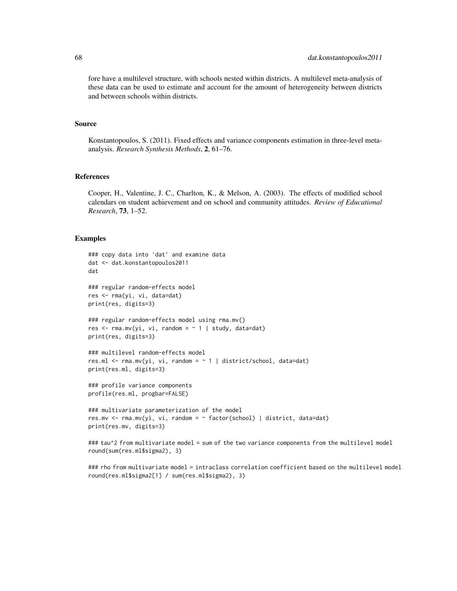fore have a multilevel structure, with schools nested within districts. A multilevel meta-analysis of these data can be used to estimate and account for the amount of heterogeneity between districts and between schools within districts.

#### Source

Konstantopoulos, S. (2011). Fixed effects and variance components estimation in three-level metaanalysis. *Research Synthesis Methods*, 2, 61–76.

#### References

Cooper, H., Valentine, J. C., Charlton, K., & Melson, A. (2003). The effects of modified school calendars on student achievement and on school and community attitudes. *Review of Educational Research*, 73, 1–52.

#### Examples

```
### copy data into 'dat' and examine data
dat <- dat.konstantopoulos2011
dat
### regular random-effects model
res <- rma(yi, vi, data=dat)
print(res, digits=3)
### regular random-effects model using rma.mv()
res \leq rma.mv(yi, vi, random = \sim 1 | study, data=dat)
print(res, digits=3)
### multilevel random-effects model
res.ml <- rma.mv(yi, vi, random = ~ 1 | district/school, data=dat)
print(res.ml, digits=3)
### profile variance components
profile(res.ml, progbar=FALSE)
### multivariate parameterization of the model
res.mv <- rma.mv(yi, vi, random = ~ factor(school) | district, data=dat)
print(res.mv, digits=3)
### tau^2 from multivariate model = sum of the two variance components from the multilevel model
round(sum(res.ml$sigma2), 3)
```
### rho from multivariate model = intraclass correlation coefficient based on the multilevel model round(res.ml\$sigma2[1] / sum(res.ml\$sigma2), 3)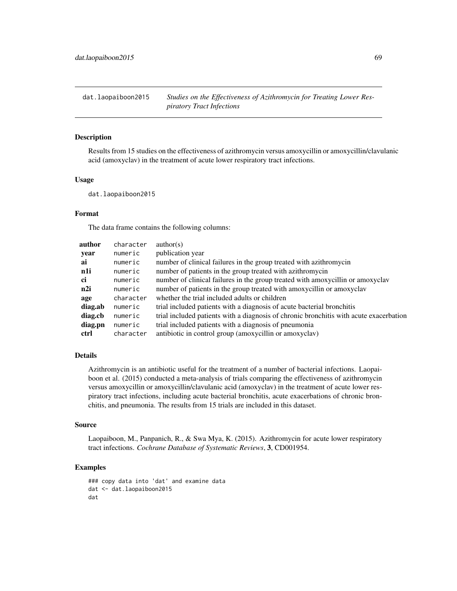dat.laopaiboon2015 *Studies on the Effectiveness of Azithromycin for Treating Lower Respiratory Tract Infections*

### Description

Results from 15 studies on the effectiveness of azithromycin versus amoxycillin or amoxycillin/clavulanic acid (amoxyclav) in the treatment of acute lower respiratory tract infections.

# Usage

dat.laopaiboon2015

# Format

The data frame contains the following columns:

| author  | character | $\text{author}(s)$                                                                     |
|---------|-----------|----------------------------------------------------------------------------------------|
| year    | numeric   | publication year                                                                       |
| ai      | numeric   | number of clinical failures in the group treated with azithromycin                     |
| n1i     | numeric   | number of patients in the group treated with azithromycin                              |
| ci      | numeric   | number of clinical failures in the group treated with amoxycillin or amoxyclav         |
| n2i     | numeric   | number of patients in the group treated with amoxycillin or amoxyclav                  |
| age     | character | whether the trial included adults or children                                          |
| diag.ab | numeric   | trial included patients with a diagnosis of acute bacterial bronchitis                 |
| diag.cb | numeric   | trial included patients with a diagnosis of chronic bronchitis with acute exacerbation |
| diag.pn | numeric   | trial included patients with a diagnosis of pneumonia                                  |
| ctrl    | character | antibiotic in control group (amoxycillin or amoxyclav)                                 |

# Details

Azithromycin is an antibiotic useful for the treatment of a number of bacterial infections. Laopaiboon et al. (2015) conducted a meta-analysis of trials comparing the effectiveness of azithromycin versus amoxycillin or amoxycillin/clavulanic acid (amoxyclav) in the treatment of acute lower respiratory tract infections, including acute bacterial bronchitis, acute exacerbations of chronic bronchitis, and pneumonia. The results from 15 trials are included in this dataset.

#### Source

Laopaiboon, M., Panpanich, R., & Swa Mya, K. (2015). Azithromycin for acute lower respiratory tract infections. *Cochrane Database of Systematic Reviews*, 3, CD001954.

```
### copy data into 'dat' and examine data
dat <- dat.laopaiboon2015
dat
```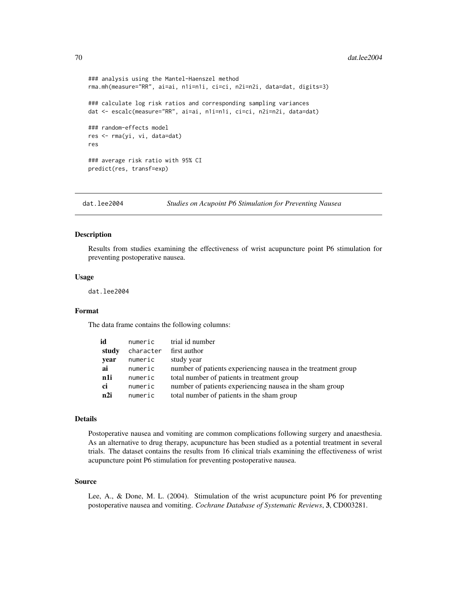#### 70 dat.lee2004

```
### analysis using the Mantel-Haenszel method
rma.mh(measure="RR", ai=ai, n1i=n1i, ci=ci, n2i=n2i, data=dat, digits=3)
### calculate log risk ratios and corresponding sampling variances
dat <- escalc(measure="RR", ai=ai, n1i=n1i, ci=ci, n2i=n2i, data=dat)
### random-effects model
res <- rma(yi, vi, data=dat)
res
### average risk ratio with 95% CI
predict(res, transf=exp)
```
dat.lee2004 *Studies on Acupoint P6 Stimulation for Preventing Nausea*

### Description

Results from studies examining the effectiveness of wrist acupuncture point P6 stimulation for preventing postoperative nausea.

#### Usage

dat.lee2004

### Format

The data frame contains the following columns:

| id    | numeric   | trial id number                                               |
|-------|-----------|---------------------------------------------------------------|
| study | character | first author                                                  |
| year  | numeric   | study year                                                    |
| ai    | numeric   | number of patients experiencing nausea in the treatment group |
| n1i   | numeric   | total number of patients in treatment group                   |
| ci    | numeric   | number of patients experiencing nausea in the sham group      |
| n2i   | numeric   | total number of patients in the sham group                    |

#### Details

Postoperative nausea and vomiting are common complications following surgery and anaesthesia. As an alternative to drug therapy, acupuncture has been studied as a potential treatment in several trials. The dataset contains the results from 16 clinical trials examining the effectiveness of wrist acupuncture point P6 stimulation for preventing postoperative nausea.

#### Source

Lee, A., & Done, M. L. (2004). Stimulation of the wrist acupuncture point P6 for preventing postoperative nausea and vomiting. *Cochrane Database of Systematic Reviews*, 3, CD003281.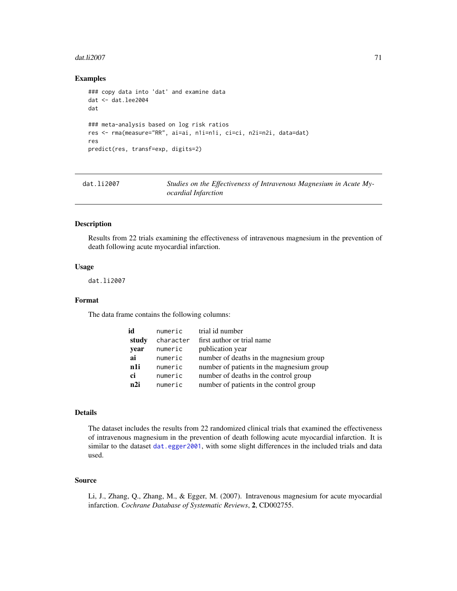#### $dat.li2007$  71

## Examples

```
### copy data into 'dat' and examine data
dat <- dat.lee2004
dat
### meta-analysis based on log risk ratios
res <- rma(measure="RR", ai=ai, n1i=n1i, ci=ci, n2i=n2i, data=dat)
res
predict(res, transf=exp, digits=2)
```
<span id="page-70-0"></span>dat.1i2007 Studies on the Effectiveness of Intravenous Magnesium in Acute My*ocardial Infarction*

#### Description

Results from 22 trials examining the effectiveness of intravenous magnesium in the prevention of death following acute myocardial infarction.

## Usage

dat.li2007

# Format

The data frame contains the following columns:

| id              | numeric   | trial id number                           |
|-----------------|-----------|-------------------------------------------|
| study           | character | first author or trial name                |
| year            | numeric   | publication year                          |
| ai              | numeric   | number of deaths in the magnesium group   |
| n1i             | numeric   | number of patients in the magnesium group |
| ci              | numeric   | number of deaths in the control group     |
| n <sub>2i</sub> | numeric   | number of patients in the control group   |

# Details

The dataset includes the results from 22 randomized clinical trials that examined the effectiveness of intravenous magnesium in the prevention of death following acute myocardial infarction. It is similar to the dataset [dat.egger2001](#page-50-0), with some slight differences in the included trials and data used.

### Source

Li, J., Zhang, Q., Zhang, M., & Egger, M. (2007). Intravenous magnesium for acute myocardial infarction. *Cochrane Database of Systematic Reviews*, 2, CD002755.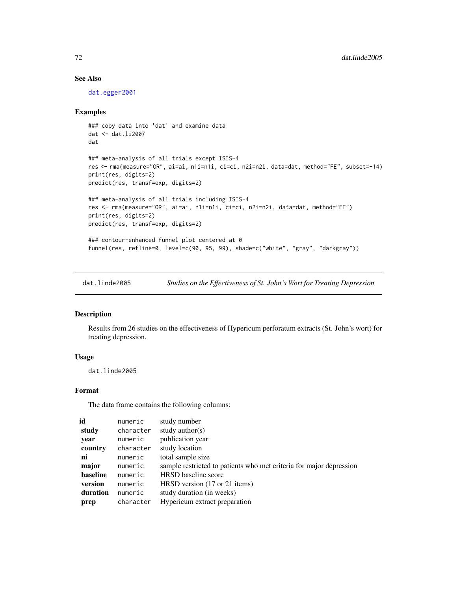# See Also

[dat.egger2001](#page-50-0)

## Examples

```
### copy data into 'dat' and examine data
dat <- dat.li2007
dat
### meta-analysis of all trials except ISIS-4
res <- rma(measure="OR", ai=ai, n1i=n1i, ci=ci, n2i=n2i, data=dat, method="FE", subset=-14)
print(res, digits=2)
predict(res, transf=exp, digits=2)
### meta-analysis of all trials including ISIS-4
res <- rma(measure="OR", ai=ai, n1i=n1i, ci=ci, n2i=n2i, data=dat, method="FE")
print(res, digits=2)
predict(res, transf=exp, digits=2)
### contour-enhanced funnel plot centered at 0
funnel(res, refline=0, level=c(90, 95, 99), shade=c("white", "gray", "darkgray"))
```
dat.linde2005 *Studies on the Effectiveness of St. John's Wort for Treating Depression*

## Description

Results from 26 studies on the effectiveness of Hypericum perforatum extracts (St. John's wort) for treating depression.

#### Usage

dat.linde2005

## Format

The data frame contains the following columns:

| id       | numeric   | study number                                                        |
|----------|-----------|---------------------------------------------------------------------|
| study    | character | study author( $s$ )                                                 |
| year     | numeric   | publication year                                                    |
| country  | character | study location                                                      |
| ni       | numeric   | total sample size                                                   |
| major    | numeric   | sample restricted to patients who met criteria for major depression |
| baseline | numeric   | <b>HRSD</b> baseline score                                          |
| version  | numeric   | HRSD version (17 or 21 items)                                       |
| duration | numeric   | study duration (in weeks)                                           |
| prep     | character | Hypericum extract preparation                                       |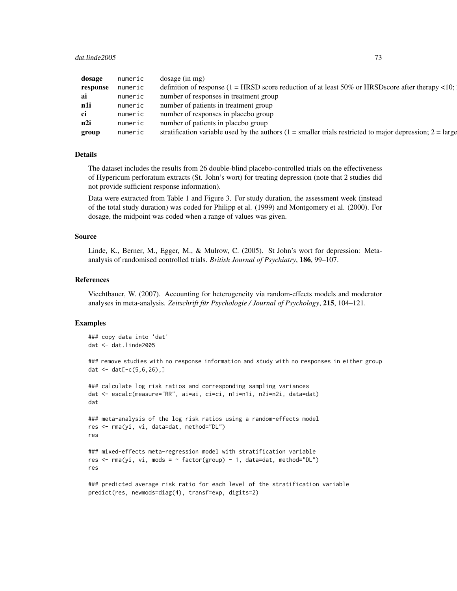## dat.linde2005 73

| dosage numeric |         | dosage (in mg)                                                                                                              |
|----------------|---------|-----------------------------------------------------------------------------------------------------------------------------|
|                |         | <b>response</b> numeric definition of response $(1 = HRSD)$ score reduction of at least 50% or HRSDscore after therapy <10; |
|                |         | numeric number of responses in treatment group                                                                              |
| n1i            |         | numeric number of patients in treatment group                                                                               |
|                |         | numeric number of responses in placebo group                                                                                |
| n2i            |         | numeric number of patients in placebo group                                                                                 |
| group          | numeric | stratification variable used by the authors $(1)$ = smaller trials restricted to major depression; $2 = \text{large}$       |

## Details

The dataset includes the results from 26 double-blind placebo-controlled trials on the effectiveness of Hypericum perforatum extracts (St. John's wort) for treating depression (note that 2 studies did not provide sufficient response information).

Data were extracted from Table 1 and Figure 3. For study duration, the assessment week (instead of the total study duration) was coded for Philipp et al. (1999) and Montgomery et al. (2000). For dosage, the midpoint was coded when a range of values was given.

## Source

Linde, K., Berner, M., Egger, M., & Mulrow, C. (2005). St John's wort for depression: Metaanalysis of randomised controlled trials. *British Journal of Psychiatry*, 186, 99–107.

#### References

Viechtbauer, W. (2007). Accounting for heterogeneity via random-effects models and moderator analyses in meta-analysis. *Zeitschrift für Psychologie / Journal of Psychology*, 215, 104–121.

## Examples

```
### copy data into 'dat'
dat <- dat.linde2005
```
### remove studies with no response information and study with no responses in either group dat  $\leq -$  dat $[-c(5, 6, 26), ]$ 

```
### calculate log risk ratios and corresponding sampling variances
dat <- escalc(measure="RR", ai=ai, ci=ci, n1i=n1i, n2i=n2i, data=dat)
dat
```

```
### meta-analysis of the log risk ratios using a random-effects model
res <- rma(yi, vi, data=dat, method="DL")
res
```

```
### mixed-effects meta-regression model with stratification variable
res \le - rma(yi, vi, mods = \sim factor(group) - 1, data=dat, method="DL")
res
```

```
### predicted average risk ratio for each level of the stratification variable
predict(res, newmods=diag(4), transf=exp, digits=2)
```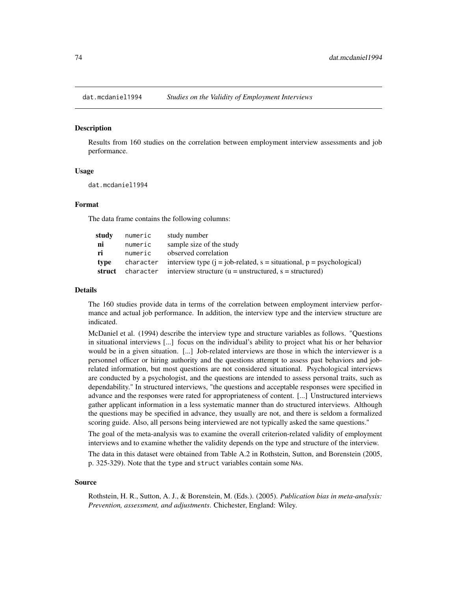<span id="page-73-0"></span>

## Description

Results from 160 studies on the correlation between employment interview assessments and job performance.

# Usage

dat.mcdaniel1994

## Format

The data frame contains the following columns:

| study  | numeric | study number                                                                            |
|--------|---------|-----------------------------------------------------------------------------------------|
| ni     | numeric | sample size of the study                                                                |
| ri     | numeric | observed correlation                                                                    |
| type   |         | character interview type $(i = job-related, s = situational, p = psychologychological)$ |
| struct |         | character interview structure ( $u =$ unstructured, $s =$ structured)                   |

## Details

The 160 studies provide data in terms of the correlation between employment interview performance and actual job performance. In addition, the interview type and the interview structure are indicated.

McDaniel et al. (1994) describe the interview type and structure variables as follows. "Questions in situational interviews [...] focus on the individual's ability to project what his or her behavior would be in a given situation. [...] Job-related interviews are those in which the interviewer is a personnel officer or hiring authority and the questions attempt to assess past behaviors and jobrelated information, but most questions are not considered situational. Psychological interviews are conducted by a psychologist, and the questions are intended to assess personal traits, such as dependability." In structured interviews, "the questions and acceptable responses were specified in advance and the responses were rated for appropriateness of content. [...] Unstructured interviews gather applicant information in a less systematic manner than do structured interviews. Although the questions may be specified in advance, they usually are not, and there is seldom a formalized scoring guide. Also, all persons being interviewed are not typically asked the same questions."

The goal of the meta-analysis was to examine the overall criterion-related validity of employment interviews and to examine whether the validity depends on the type and structure of the interview.

The data in this dataset were obtained from Table A.2 in Rothstein, Sutton, and Borenstein (2005, p. 325-329). Note that the type and struct variables contain some NAs.

#### Source

Rothstein, H. R., Sutton, A. J., & Borenstein, M. (Eds.). (2005). *Publication bias in meta-analysis: Prevention, assessment, and adjustments*. Chichester, England: Wiley.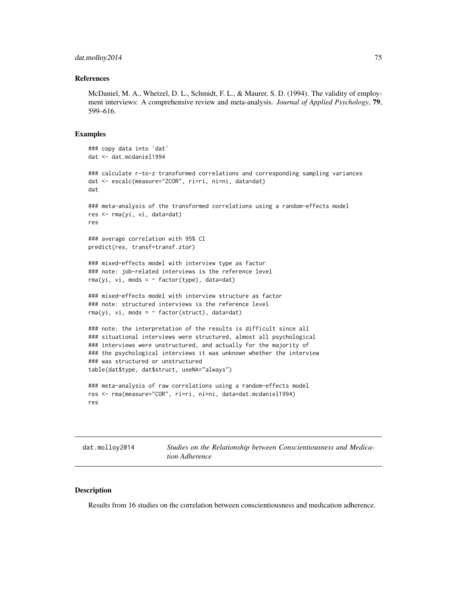## dat.molloy2014 75

## References

McDaniel, M. A., Whetzel, D. L., Schmidt, F. L., & Maurer, S. D. (1994). The validity of employment interviews: A comprehensive review and meta-analysis. *Journal of Applied Psychology*, 79, 599–616.

# Examples

```
### copy data into 'dat'
dat <- dat.mcdaniel1994
### calculate r-to-z transformed correlations and corresponding sampling variances
dat <- escalc(measure="ZCOR", ri=ri, ni=ni, data=dat)
dat
### meta-analysis of the transformed correlations using a random-effects model
res <- rma(yi, vi, data=dat)
res
### average correlation with 95% CI
predict(res, transf=transf.ztor)
### mixed-effects model with interview type as factor
### note: job-related interviews is the reference level
rma(yi, vi, mods = ~ factor(type), data=dat)### mixed-effects model with interview structure as factor
### note: structured interviews is the reference level
rma(yi, vi, mods = ~ factor(struct), data=dat)### note: the interpretation of the results is difficult since all
### situational interviews were structured, almost all psychological
### interviews were unstructured, and actually for the majority of
### the psychological interviews it was unknown whether the interview
### was structured or unstructured
table(dat$type, dat$struct, useNA="always")
### meta-analysis of raw correlations using a random-effects model
res <- rma(measure="COR", ri=ri, ni=ni, data=dat.mcdaniel1994)
res
```
<span id="page-74-0"></span>dat.molloy2014 *Studies on the Relationship between Conscientiousness and Medication Adherence*

## Description

Results from 16 studies on the correlation between conscientiousness and medication adherence.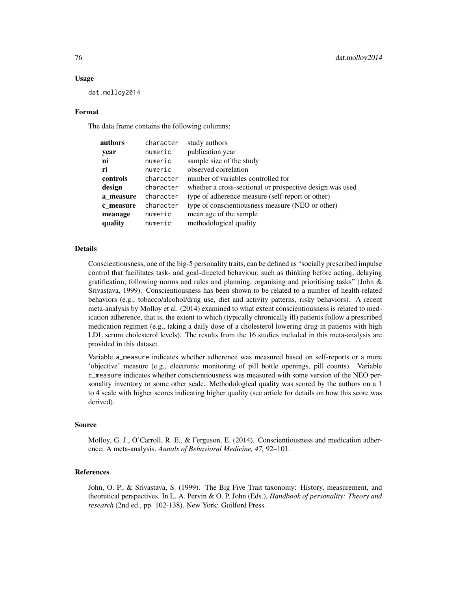## Usage

dat.molloy2014

## Format

The data frame contains the following columns:

| character | study authors                                            |
|-----------|----------------------------------------------------------|
| numeric   | publication year                                         |
| numeric   | sample size of the study                                 |
| numeric   | observed correlation                                     |
| character | number of variables controlled for                       |
| character | whether a cross-sectional or prospective design was used |
| character | type of adherence measure (self-report or other)         |
| character | type of conscientiousness measure (NEO or other)         |
| numeric   | mean age of the sample                                   |
| numeric   | methodological quality                                   |
|           |                                                          |

# Details

Conscientiousness, one of the big-5 personality traits, can be defined as "socially prescribed impulse control that facilitates task- and goal-directed behaviour, such as thinking before acting, delaying gratification, following norms and rules and planning, organising and prioritising tasks" (John  $\&$ Srivastava, 1999). Conscientiousness has been shown to be related to a number of health-related behaviors (e.g., tobacco/alcohol/drug use, diet and activity patterns, risky behaviors). A recent meta-analysis by Molloy et al. (2014) examined to what extent conscientiousness is related to medication adherence, that is, the extent to which (typically chronically ill) patients follow a prescribed medication regimen (e.g., taking a daily dose of a cholesterol lowering drug in patients with high LDL serum cholesterol levels). The results from the 16 studies included in this meta-analysis are provided in this dataset.

Variable a\_measure indicates whether adherence was measured based on self-reports or a more 'objective' measure (e.g., electronic monitoring of pill bottle openings, pill counts). Variable c\_measure indicates whether conscientiousness was measured with some version of the NEO personality inventory or some other scale. Methodological quality was scored by the authors on a 1 to 4 scale with higher scores indicating higher quality (see article for details on how this score was derived).

#### Source

Molloy, G. J., O'Carroll, R. E., & Ferguson, E. (2014). Conscientiousness and medication adherence: A meta-analysis. *Annals of Behavioral Medicine, 47,* 92–101.

## References

John, O. P., & Srivastava, S. (1999). The Big Five Trait taxonomy: History, measurement, and theoretical perspectives. In L. A. Pervin & O. P. John (Eds.), *Handbook of personality: Theory and research* (2nd ed., pp. 102-138). New York: Guilford Press.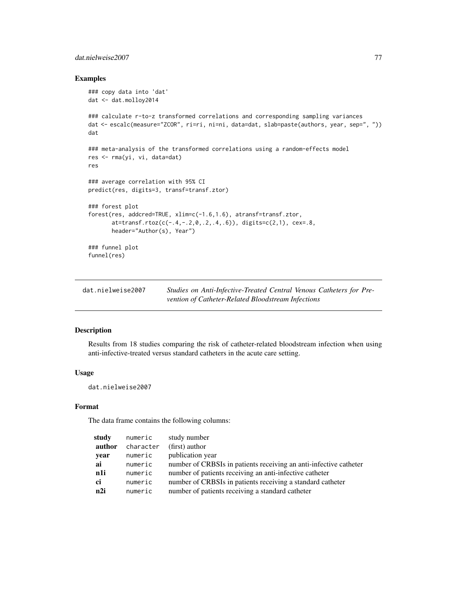# dat.nielweise2007 77

## Examples

```
### copy data into 'dat'
dat <- dat.molloy2014
### calculate r-to-z transformed correlations and corresponding sampling variances
dat <- escalc(measure="ZCOR", ri=ri, ni=ni, data=dat, slab=paste(authors, year, sep=", "))
dat
### meta-analysis of the transformed correlations using a random-effects model
res <- rma(yi, vi, data=dat)
res
### average correlation with 95% CI
predict(res, digits=3, transf=transf.ztor)
### forest plot
forest(res, addcred=TRUE, xlim=c(-1.6,1.6), atransf=transf.ztor,
       at=transf.rtoz(c(-.4,-.2,0,.2,.4,.6)), digits=c(2,1), cex=.8,
       header="Author(s), Year")
### funnel plot
funnel(res)
```
<span id="page-76-0"></span>

| dat.nielweise2007 | Studies on Anti-Infective-Treated Central Venous Catheters for Pre- |
|-------------------|---------------------------------------------------------------------|
|                   | vention of Catheter-Related Bloodstream Infections                  |

# Description

Results from 18 studies comparing the risk of catheter-related bloodstream infection when using anti-infective-treated versus standard catheters in the acute care setting.

# Usage

dat.nielweise2007

# Format

The data frame contains the following columns:

| study  | numeric   | study number                                                      |
|--------|-----------|-------------------------------------------------------------------|
| author | character | (first) author                                                    |
| year   | numeric   | publication year                                                  |
| ai     | numeric   | number of CRBSIs in patients receiving an anti-infective catheter |
| n1i    | numeric   | number of patients receiving an anti-infective catheter           |
| ci     | numeric   | number of CRBSIs in patients receiving a standard catheter        |
| n2i    | numeric   | number of patients receiving a standard catheter                  |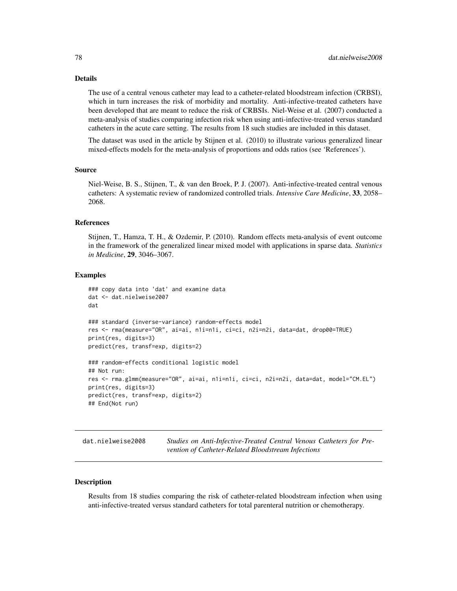# Details

The use of a central venous catheter may lead to a catheter-related bloodstream infection (CRBSI), which in turn increases the risk of morbidity and mortality. Anti-infective-treated catheters have been developed that are meant to reduce the risk of CRBSIs. Niel-Weise et al. (2007) conducted a meta-analysis of studies comparing infection risk when using anti-infective-treated versus standard catheters in the acute care setting. The results from 18 such studies are included in this dataset.

The dataset was used in the article by Stijnen et al. (2010) to illustrate various generalized linear mixed-effects models for the meta-analysis of proportions and odds ratios (see 'References').

## Source

Niel-Weise, B. S., Stijnen, T., & van den Broek, P. J. (2007). Anti-infective-treated central venous catheters: A systematic review of randomized controlled trials. *Intensive Care Medicine*, 33, 2058– 2068.

#### References

Stijnen, T., Hamza, T. H., & Ozdemir, P. (2010). Random effects meta-analysis of event outcome in the framework of the generalized linear mixed model with applications in sparse data. *Statistics in Medicine*, 29, 3046–3067.

## Examples

```
### copy data into 'dat' and examine data
dat <- dat.nielweise2007
dat
### standard (inverse-variance) random-effects model
res <- rma(measure="OR", ai=ai, n1i=n1i, ci=ci, n2i=n2i, data=dat, drop00=TRUE)
print(res, digits=3)
predict(res, transf=exp, digits=2)
### random-effects conditional logistic model
## Not run:
res <- rma.glmm(measure="OR", ai=ai, n1i=n1i, ci=ci, n2i=n2i, data=dat, model="CM.EL")
print(res, digits=3)
predict(res, transf=exp, digits=2)
## End(Not run)
```
<span id="page-77-0"></span>dat.nielweise2008 *Studies on Anti-Infective-Treated Central Venous Catheters for Prevention of Catheter-Related Bloodstream Infections*

#### **Description**

Results from 18 studies comparing the risk of catheter-related bloodstream infection when using anti-infective-treated versus standard catheters for total parenteral nutrition or chemotherapy.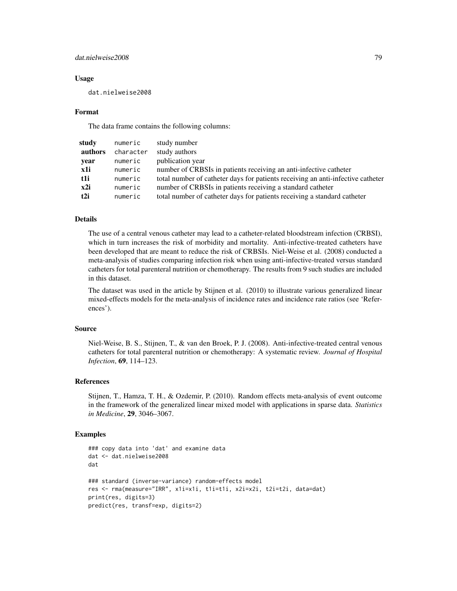# dat.nielweise2008 79

## Usage

dat.nielweise2008

## Format

The data frame contains the following columns:

| study           | numeric   | study number                                                                    |
|-----------------|-----------|---------------------------------------------------------------------------------|
| authors         | character | study authors                                                                   |
| year            | numeric   | publication year                                                                |
| x1i             | numeric   | number of CRBSIs in patients receiving an anti-infective catheter               |
| t1i             | numeric   | total number of catheter days for patients receiving an anti-infective catheter |
| x2i             | numeric   | number of CRBSIs in patients receiving a standard catheter                      |
| t <sub>2i</sub> | numeric   | total number of catheter days for patients receiving a standard catheter        |

# Details

The use of a central venous catheter may lead to a catheter-related bloodstream infection (CRBSI), which in turn increases the risk of morbidity and mortality. Anti-infective-treated catheters have been developed that are meant to reduce the risk of CRBSIs. Niel-Weise et al. (2008) conducted a meta-analysis of studies comparing infection risk when using anti-infective-treated versus standard catheters for total parenteral nutrition or chemotherapy. The results from 9 such studies are included in this dataset.

The dataset was used in the article by Stijnen et al. (2010) to illustrate various generalized linear mixed-effects models for the meta-analysis of incidence rates and incidence rate ratios (see 'References').

# Source

Niel-Weise, B. S., Stijnen, T., & van den Broek, P. J. (2008). Anti-infective-treated central venous catheters for total parenteral nutrition or chemotherapy: A systematic review. *Journal of Hospital Infection*, 69, 114–123.

## References

Stijnen, T., Hamza, T. H., & Ozdemir, P. (2010). Random effects meta-analysis of event outcome in the framework of the generalized linear mixed model with applications in sparse data. *Statistics in Medicine*, 29, 3046–3067.

## Examples

```
### copy data into 'dat' and examine data
dat <- dat.nielweise2008
dat
### standard (inverse-variance) random-effects model
res <- rma(measure="IRR", x1i=x1i, t1i=t1i, x2i=x2i, t2i=t2i, data=dat)
print(res, digits=3)
predict(res, transf=exp, digits=2)
```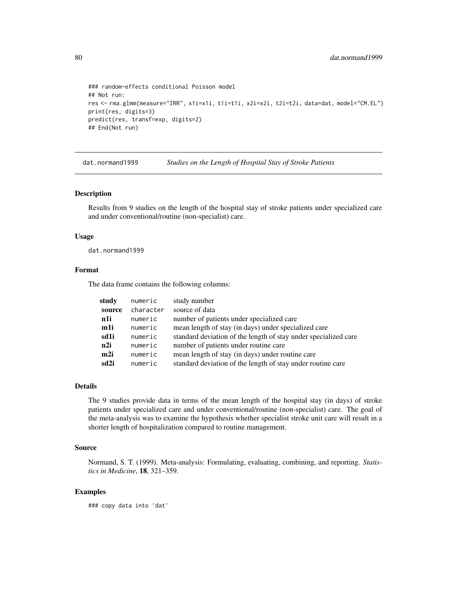```
### random-effects conditional Poisson model
## Not run:
res <- rma.glmm(measure="IRR", x1i=x1i, t1i=t1i, x2i=x2i, t2i=t2i, data=dat, model="CM.EL")
print(res, digits=3)
predict(res, transf=exp, digits=2)
## End(Not run)
```
<span id="page-79-0"></span>dat.normand1999 *Studies on the Length of Hospital Stay of Stroke Patients*

# Description

Results from 9 studies on the length of the hospital stay of stroke patients under specialized care and under conventional/routine (non-specialist) care.

## Usage

dat.normand1999

# Format

The data frame contains the following columns:

| study  | numeric   | study number                                                    |
|--------|-----------|-----------------------------------------------------------------|
| source | character | source of data                                                  |
| n1i    | numeric   | number of patients under specialized care                       |
| m1i    | numeric   | mean length of stay (in days) under specialized care            |
| sd1i   | numeric   | standard deviation of the length of stay under specialized care |
| n2i    | numeric   | number of patients under routine care                           |
| m2i    | numeric   | mean length of stay (in days) under routine care                |
| sd2i   | numeric   | standard deviation of the length of stay under routine care     |

# Details

The 9 studies provide data in terms of the mean length of the hospital stay (in days) of stroke patients under specialized care and under conventional/routine (non-specialist) care. The goal of the meta-analysis was to examine the hypothesis whether specialist stroke unit care will result in a shorter length of hospitalization compared to routine management.

# Source

Normand, S. T. (1999). Meta-analysis: Formulating, evaluating, combining, and reporting. *Statistics in Medicine*, 18, 321–359.

## Examples

### copy data into 'dat'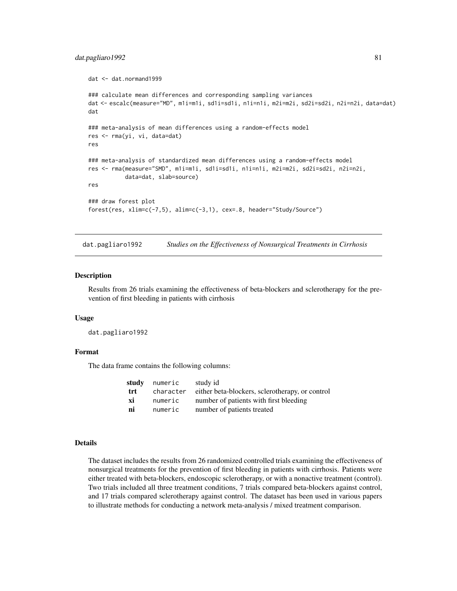# dat.pagliaro1992 81

```
dat <- dat.normand1999
### calculate mean differences and corresponding sampling variances
dat <- escalc(measure="MD", m1i=m1i, sd1i=sd1i, n1i=n1i, m2i=m2i, sd2i=sd2i, n2i=n2i, data=dat)
dat
### meta-analysis of mean differences using a random-effects model
res <- rma(yi, vi, data=dat)
res
### meta-analysis of standardized mean differences using a random-effects model
res <- rma(measure="SMD", m1i=m1i, sd1i=sd1i, n1i=n1i, m2i=m2i, sd2i=sd2i, n2i=n2i,
           data=dat, slab=source)
res
### draw forest plot
forest(res, xlim=c(-7,5), alim=c(-3,1), cex=.8, header="Study/Source")
```
dat.pagliaro1992 *Studies on the Effectiveness of Nonsurgical Treatments in Cirrhosis*

## Description

Results from 26 trials examining the effectiveness of beta-blockers and sclerotherapy for the prevention of first bleeding in patients with cirrhosis

#### Usage

dat.pagliaro1992

## Format

The data frame contains the following columns:

|     | study numeric | study id                                        |
|-----|---------------|-------------------------------------------------|
| trt | character     | either beta-blockers, sclerotherapy, or control |
| xi  | numeric       | number of patients with first bleeding          |
| ni  | numeric       | number of patients treated                      |

#### Details

The dataset includes the results from 26 randomized controlled trials examining the effectiveness of nonsurgical treatments for the prevention of first bleeding in patients with cirrhosis. Patients were either treated with beta-blockers, endoscopic sclerotherapy, or with a nonactive treatment (control). Two trials included all three treatment conditions, 7 trials compared beta-blockers against control, and 17 trials compared sclerotherapy against control. The dataset has been used in various papers to illustrate methods for conducting a network meta-analysis / mixed treatment comparison.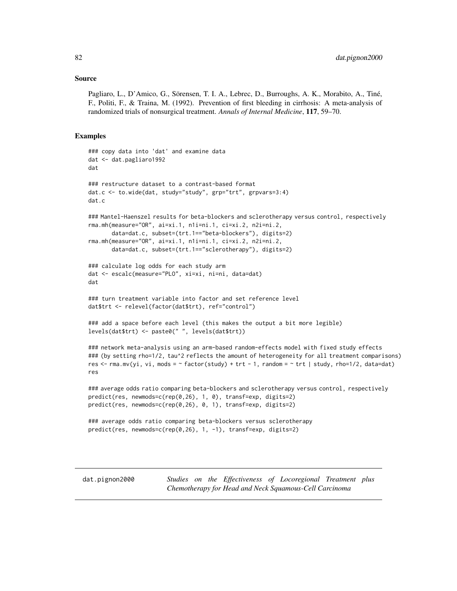#### Source

Pagliaro, L., D'Amico, G., Sörensen, T. I. A., Lebrec, D., Burroughs, A. K., Morabito, A., Tiné, F., Politi, F., & Traina, M. (1992). Prevention of first bleeding in cirrhosis: A meta-analysis of randomized trials of nonsurgical treatment. *Annals of Internal Medicine*, 117, 59–70.

## Examples

```
### copy data into 'dat' and examine data
dat <- dat.pagliaro1992
dat
### restructure dataset to a contrast-based format
dat.c <- to.wide(dat, study="study", grp="trt", grpvars=3:4)
dat.c
### Mantel-Haenszel results for beta-blockers and sclerotherapy versus control, respectively
rma.mh(measure="OR", ai=xi.1, n1i=ni.1, ci=xi.2, n2i=ni.2,
       data=dat.c, subset=(trt.1=="beta-blockers"), digits=2)
rma.mh(measure="OR", ai=xi.1, n1i=ni.1, ci=xi.2, n2i=ni.2,
       data=dat.c, subset=(trt.1=="sclerotherapy"), digits=2)
### calculate log odds for each study arm
dat <- escalc(measure="PLO", xi=xi, ni=ni, data=dat)
dat
### turn treatment variable into factor and set reference level
dat$trt <- relevel(factor(dat$trt), ref="control")
### add a space before each level (this makes the output a bit more legible)
levels(dat$trt) <- paste0(" ", levels(dat$trt))
### network meta-analysis using an arm-based random-effects model with fixed study effects
### (by setting rho=1/2, tau^2 reflects the amount of heterogeneity for all treatment comparisons)
res <- rma.mv(yi, vi, mods = \sim factor(study) + trt - 1, random = \sim trt | study, rho=1/2, data=dat)
res
### average odds ratio comparing beta-blockers and sclerotherapy versus control, respectively
predict(res, newmods=c(rep(0,26), 1, 0), transf=exp, digits=2)
predict(res, newmods=c(rep(0,26), 0, 1), transf=exp, digits=2)
### average odds ratio comparing beta-blockers versus sclerotherapy
predict(res, newmods=c(rep(0,26), 1, -1), transf=exp, digits=2)
```
dat.pignon2000 *Studies on the Effectiveness of Locoregional Treatment plus Chemotherapy for Head and Neck Squamous-Cell Carcinoma*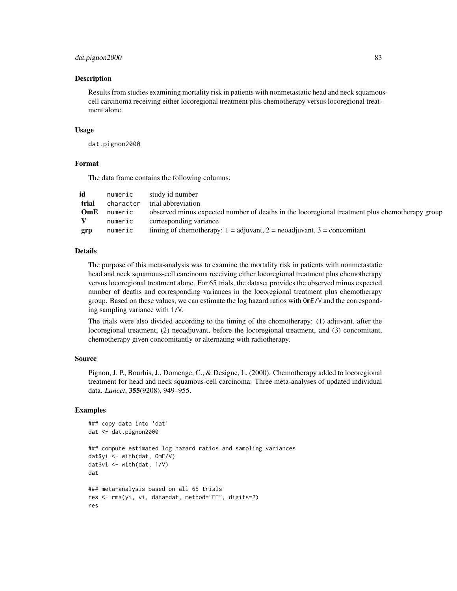## dat.pignon2000 83

## Description

Results from studies examining mortality risk in patients with nonmetastatic head and neck squamouscell carcinoma receiving either locoregional treatment plus chemotherapy versus locoregional treatment alone.

## Usage

dat.pignon2000

# Format

The data frame contains the following columns:

| numeric   | study id number                                                                                |
|-----------|------------------------------------------------------------------------------------------------|
| character | trial abbreviation                                                                             |
| numeric   | observed minus expected number of deaths in the locoregional treatment plus chemotherapy group |
| numeric   | corresponding variance                                                                         |
| numeric   | timing of chemotherapy: $1 =$ adjuvant, $2 =$ neoadjuvant, $3 =$ concomitant                   |
|           |                                                                                                |

# Details

The purpose of this meta-analysis was to examine the mortality risk in patients with nonmetastatic head and neck squamous-cell carcinoma receiving either locoregional treatment plus chemotherapy versus locoregional treatment alone. For 65 trials, the dataset provides the observed minus expected number of deaths and corresponding variances in the locoregional treatment plus chemotherapy group. Based on these values, we can estimate the log hazard ratios with OmE/V and the corresponding sampling variance with 1/V.

The trials were also divided according to the timing of the chomotherapy: (1) adjuvant, after the locoregional treatment, (2) neoadjuvant, before the locoregional treatment, and (3) concomitant, chemotherapy given concomitantly or alternating with radiotherapy.

# Source

Pignon, J. P., Bourhis, J., Domenge, C., & Designe, L. (2000). Chemotherapy added to locoregional treatment for head and neck squamous-cell carcinoma: Three meta-analyses of updated individual data. *Lancet*, 355(9208), 949–955.

# Examples

```
### copy data into 'dat'
dat <- dat.pignon2000
### compute estimated log hazard ratios and sampling variances
dat$yi <- with(dat, OmE/V)
dat$vi <- with(dat, 1/V)
dat
### meta-analysis based on all 65 trials
res <- rma(yi, vi, data=dat, method="FE", digits=2)
res
```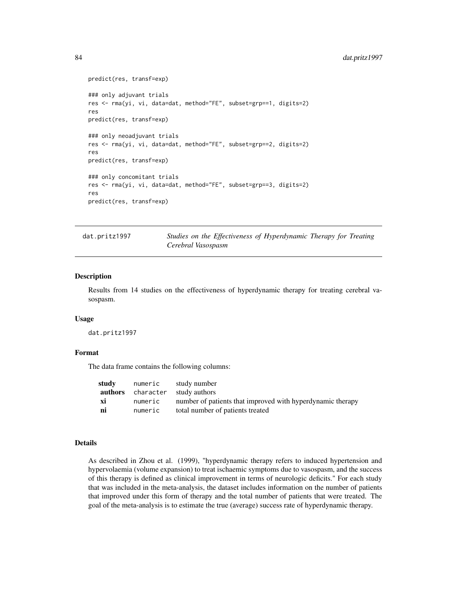# 84 dat.pritz1997

```
predict(res, transf=exp)
### only adjuvant trials
res <- rma(yi, vi, data=dat, method="FE", subset=grp==1, digits=2)
res
predict(res, transf=exp)
### only neoadjuvant trials
res <- rma(yi, vi, data=dat, method="FE", subset=grp==2, digits=2)
res
predict(res, transf=exp)
### only concomitant trials
res <- rma(yi, vi, data=dat, method="FE", subset=grp==3, digits=2)
res
predict(res, transf=exp)
```
<span id="page-83-0"></span>dat.pritz1997 *Studies on the Effectiveness of Hyperdynamic Therapy for Treating Cerebral Vasospasm*

### Description

Results from 14 studies on the effectiveness of hyperdynamic therapy for treating cerebral vasospasm.

## Usage

dat.pritz1997

## Format

The data frame contains the following columns:

| study | numeric | study number                                               |
|-------|---------|------------------------------------------------------------|
|       |         | <b>authors</b> character study authors                     |
| xi    | numeric | number of patients that improved with hyperdynamic therapy |
| ni    | numeric | total number of patients treated                           |

## Details

As described in Zhou et al. (1999), "hyperdynamic therapy refers to induced hypertension and hypervolaemia (volume expansion) to treat ischaemic symptoms due to vasospasm, and the success of this therapy is defined as clinical improvement in terms of neurologic deficits." For each study that was included in the meta-analysis, the dataset includes information on the number of patients that improved under this form of therapy and the total number of patients that were treated. The goal of the meta-analysis is to estimate the true (average) success rate of hyperdynamic therapy.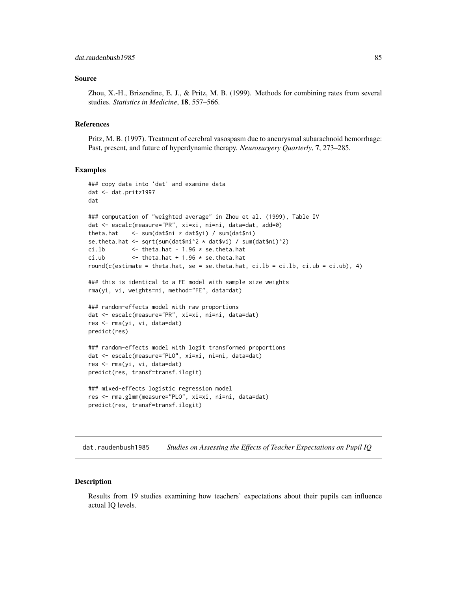## Source

Zhou, X.-H., Brizendine, E. J., & Pritz, M. B. (1999). Methods for combining rates from several studies. *Statistics in Medicine*, 18, 557–566.

#### References

Pritz, M. B. (1997). Treatment of cerebral vasospasm due to aneurysmal subarachnoid hemorrhage: Past, present, and future of hyperdynamic therapy. *Neurosurgery Quarterly*, 7, 273–285.

## Examples

```
### copy data into 'dat' and examine data
dat <- dat.pritz1997
dat
### computation of "weighted average" in Zhou et al. (1999), Table IV
dat <- escalc(measure="PR", xi=xi, ni=ni, data=dat, add=0)
theta.hat <- sum(dat$ni * dat$yi) / sum(dat$ni)
se.theta.hat <- sqrt(sum(dat$ni^2 * dat$vi) / sum(dat$ni)^2)
ci.lb \le theta.hat - 1.96 \star se.theta.hat
ci.ub \le theta.hat + 1.96 * se.theta.hat
round(c(estimate = theta.hat, se = se.theta.hat, ci.lb = ci.lb, ci.ub = ci.ub), 4)
### this is identical to a FE model with sample size weights
rma(yi, vi, weights=ni, method="FE", data=dat)
### random-effects model with raw proportions
dat <- escalc(measure="PR", xi=xi, ni=ni, data=dat)
res <- rma(yi, vi, data=dat)
predict(res)
### random-effects model with logit transformed proportions
dat <- escalc(measure="PLO", xi=xi, ni=ni, data=dat)
res <- rma(yi, vi, data=dat)
predict(res, transf=transf.ilogit)
### mixed-effects logistic regression model
res <- rma.glmm(measure="PLO", xi=xi, ni=ni, data=dat)
predict(res, transf=transf.ilogit)
```
dat.raudenbush1985 *Studies on Assessing the Effects of Teacher Expectations on Pupil IQ*

## **Description**

Results from 19 studies examining how teachers' expectations about their pupils can influence actual IQ levels.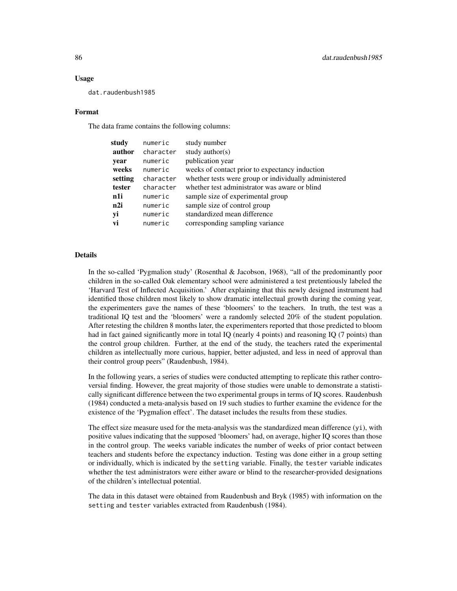## Usage

dat.raudenbush1985

## Format

The data frame contains the following columns:

| study   | numeric   | study number                                          |
|---------|-----------|-------------------------------------------------------|
| author  | character | study author( $s$ )                                   |
| year    | numeric   | publication year                                      |
| weeks   | numeric   | weeks of contact prior to expectancy induction        |
| setting | character | whether tests were group or individually administered |
| tester  | character | whether test administrator was aware or blind         |
| n1i     | numeric   | sample size of experimental group                     |
| n2i     | numeric   | sample size of control group                          |
| yi      | numeric   | standardized mean difference                          |
| vi      | numeric   | corresponding sampling variance                       |
|         |           |                                                       |

# **Details**

In the so-called 'Pygmalion study' (Rosenthal & Jacobson, 1968), "all of the predominantly poor children in the so-called Oak elementary school were administered a test pretentiously labeled the 'Harvard Test of Inflected Acquisition.' After explaining that this newly designed instrument had identified those children most likely to show dramatic intellectual growth during the coming year, the experimenters gave the names of these 'bloomers' to the teachers. In truth, the test was a traditional IQ test and the 'bloomers' were a randomly selected 20% of the student population. After retesting the children 8 months later, the experimenters reported that those predicted to bloom had in fact gained significantly more in total IQ (nearly 4 points) and reasoning IQ (7 points) than the control group children. Further, at the end of the study, the teachers rated the experimental children as intellectually more curious, happier, better adjusted, and less in need of approval than their control group peers" (Raudenbush, 1984).

In the following years, a series of studies were conducted attempting to replicate this rather controversial finding. However, the great majority of those studies were unable to demonstrate a statistically significant difference between the two experimental groups in terms of IQ scores. Raudenbush (1984) conducted a meta-analysis based on 19 such studies to further examine the evidence for the existence of the 'Pygmalion effect'. The dataset includes the results from these studies.

The effect size measure used for the meta-analysis was the standardized mean difference (yi), with positive values indicating that the supposed 'bloomers' had, on average, higher IQ scores than those in the control group. The weeks variable indicates the number of weeks of prior contact between teachers and students before the expectancy induction. Testing was done either in a group setting or individually, which is indicated by the setting variable. Finally, the tester variable indicates whether the test administrators were either aware or blind to the researcher-provided designations of the children's intellectual potential.

The data in this dataset were obtained from Raudenbush and Bryk (1985) with information on the setting and tester variables extracted from Raudenbush (1984).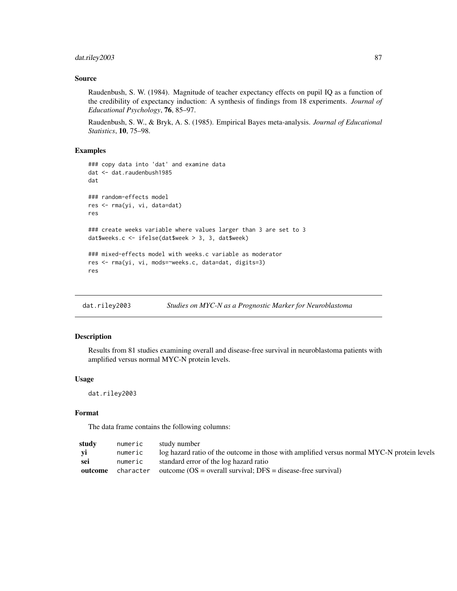# dat.riley2003 87

# Source

Raudenbush, S. W. (1984). Magnitude of teacher expectancy effects on pupil IQ as a function of the credibility of expectancy induction: A synthesis of findings from 18 experiments. *Journal of Educational Psychology*, 76, 85–97.

Raudenbush, S. W., & Bryk, A. S. (1985). Empirical Bayes meta-analysis. *Journal of Educational Statistics*, 10, 75–98.

# Examples

```
### copy data into 'dat' and examine data
dat <- dat.raudenbush1985
dat
### random-effects model
res <- rma(yi, vi, data=dat)
res
### create weeks variable where values larger than 3 are set to 3
dat$weeks.c <- ifelse(dat$week > 3, 3, dat$week)
### mixed-effects model with weeks.c variable as moderator
res <- rma(yi, vi, mods=~weeks.c, data=dat, digits=3)
res
```
dat.riley2003 *Studies on MYC-N as a Prognostic Marker for Neuroblastoma*

# Description

Results from 81 studies examining overall and disease-free survival in neuroblastoma patients with amplified versus normal MYC-N protein levels.

#### Usage

dat.riley2003

# Format

The data frame contains the following columns:

| studv   | numeric   | study number                                                                               |
|---------|-----------|--------------------------------------------------------------------------------------------|
| yi      | numeric   | log hazard ratio of the outcome in those with amplified versus normal MYC-N protein levels |
| sei     | numeric   | standard error of the log hazard ratio                                                     |
| outcome | character | outcome $OS = overall$ survival; $DFS = disease-free$ survival)                            |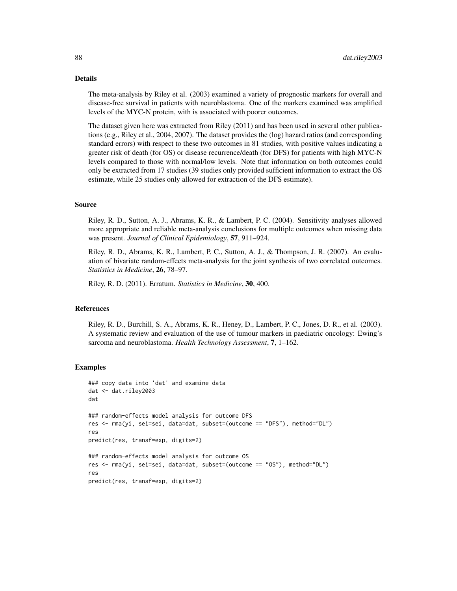## Details

The meta-analysis by Riley et al. (2003) examined a variety of prognostic markers for overall and disease-free survival in patients with neuroblastoma. One of the markers examined was amplified levels of the MYC-N protein, with is associated with poorer outcomes.

The dataset given here was extracted from Riley (2011) and has been used in several other publications (e.g., Riley et al., 2004, 2007). The dataset provides the (log) hazard ratios (and corresponding standard errors) with respect to these two outcomes in 81 studies, with positive values indicating a greater risk of death (for OS) or disease recurrence/death (for DFS) for patients with high MYC-N levels compared to those with normal/low levels. Note that information on both outcomes could only be extracted from 17 studies (39 studies only provided sufficient information to extract the OS estimate, while 25 studies only allowed for extraction of the DFS estimate).

## Source

Riley, R. D., Sutton, A. J., Abrams, K. R., & Lambert, P. C. (2004). Sensitivity analyses allowed more appropriate and reliable meta-analysis conclusions for multiple outcomes when missing data was present. *Journal of Clinical Epidemiology*, 57, 911–924.

Riley, R. D., Abrams, K. R., Lambert, P. C., Sutton, A. J., & Thompson, J. R. (2007). An evaluation of bivariate random-effects meta-analysis for the joint synthesis of two correlated outcomes. *Statistics in Medicine*, 26, 78–97.

Riley, R. D. (2011). Erratum. *Statistics in Medicine*, 30, 400.

#### References

Riley, R. D., Burchill, S. A., Abrams, K. R., Heney, D., Lambert, P. C., Jones, D. R., et al. (2003). A systematic review and evaluation of the use of tumour markers in paediatric oncology: Ewing's sarcoma and neuroblastoma. *Health Technology Assessment*, 7, 1–162.

## Examples

```
### copy data into 'dat' and examine data
dat <- dat.riley2003
dat
### random-effects model analysis for outcome DFS
res <- rma(yi, sei=sei, data=dat, subset=(outcome == "DFS"), method="DL")
res
predict(res, transf=exp, digits=2)
### random-effects model analysis for outcome OS
res <- rma(yi, sei=sei, data=dat, subset=(outcome == "OS"), method="DL")
res
predict(res, transf=exp, digits=2)
```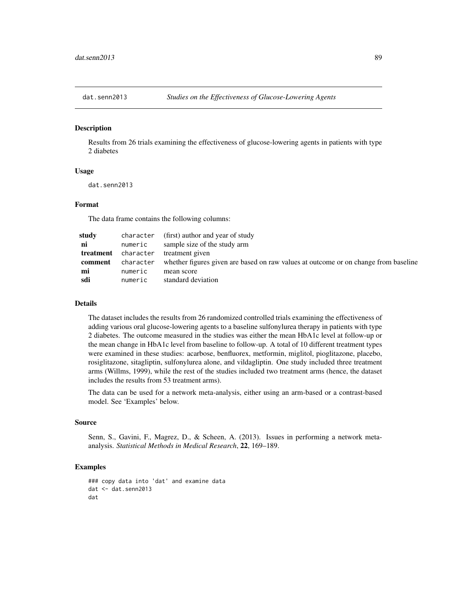## Description

Results from 26 trials examining the effectiveness of glucose-lowering agents in patients with type 2 diabetes

# Usage

dat.senn2013

## Format

The data frame contains the following columns:

| studv     | character | (first) author and year of study                                                    |
|-----------|-----------|-------------------------------------------------------------------------------------|
| ni        | numeric   | sample size of the study arm                                                        |
| treatment | character | treatment given                                                                     |
| comment   | character | whether figures given are based on raw values at outcome or on change from baseline |
| mi        | numeric   | mean score                                                                          |
| sdi       | numeric   | standard deviation                                                                  |

#### Details

The dataset includes the results from 26 randomized controlled trials examining the effectiveness of adding various oral glucose-lowering agents to a baseline sulfonylurea therapy in patients with type 2 diabetes. The outcome measured in the studies was either the mean HbA1c level at follow-up or the mean change in HbA1c level from baseline to follow-up. A total of 10 different treatment types were examined in these studies: acarbose, benfluorex, metformin, miglitol, pioglitazone, placebo, rosiglitazone, sitagliptin, sulfonylurea alone, and vildagliptin. One study included three treatment arms (Willms, 1999), while the rest of the studies included two treatment arms (hence, the dataset includes the results from 53 treatment arms).

The data can be used for a network meta-analysis, either using an arm-based or a contrast-based model. See 'Examples' below.

## Source

Senn, S., Gavini, F., Magrez, D., & Scheen, A. (2013). Issues in performing a network metaanalysis. *Statistical Methods in Medical Research*, 22, 169–189.

# Examples

```
### copy data into 'dat' and examine data
dat <- dat.senn2013
dat
```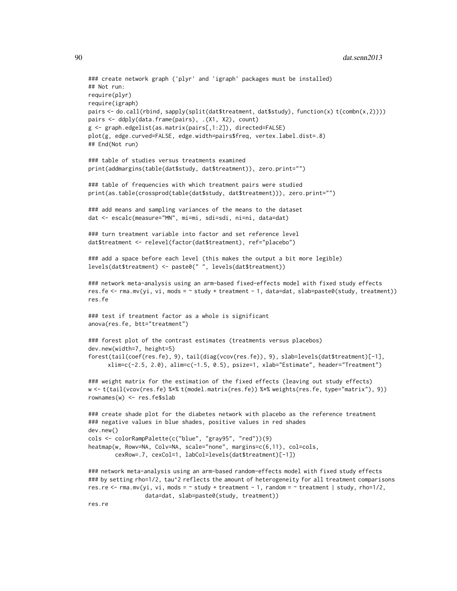```
### create network graph ('plyr' and 'igraph' packages must be installed)
## Not run:
require(plyr)
require(igraph)
pairs <- do.call(rbind, sapply(split(dat$treatment, dat$study), function(x) t(combn(x,2))))
pairs <- ddply(data.frame(pairs), .(X1, X2), count)
g <- graph.edgelist(as.matrix(pairs[,1:2]), directed=FALSE)
plot(g, edge.curved=FALSE, edge.width=pairs$freq, vertex.label.dist=.8)
## End(Not run)
### table of studies versus treatments examined
print(addmargins(table(dat$study, dat$treatment)), zero.print="")
### table of frequencies with which treatment pairs were studied
print(as.table(crossprod(table(dat$study, dat$treatment))), zero.print="")
### add means and sampling variances of the means to the dataset
dat <- escalc(measure="MN", mi=mi, sdi=sdi, ni=ni, data=dat)
### turn treatment variable into factor and set reference level
dat$treatment <- relevel(factor(dat$treatment), ref="placebo")
### add a space before each level (this makes the output a bit more legible)
levels(dat$treatment) <- paste0(" ", levels(dat$treatment))
### network meta-analysis using an arm-based fixed-effects model with fixed study effects
res.fe <- rma.mv(yi, vi, mods = ~ study + treatment - 1, data=dat, slab=paste0(study, treatment))
res.fe
### test if treatment factor as a whole is significant
anova(res.fe, btt="treatment")
### forest plot of the contrast estimates (treatments versus placebos)
dev.new(width=7, height=5)
forest(tail(coef(res.fe), 9), tail(diag(vcov(res.fe)), 9), slab=levels(dat$treatment)[-1],
     xlim=c(-2.5, 2.0), alim=c(-1.5, 0.5), psize=1, xlab="Estimate", header="Treatment")
### weight matrix for the estimation of the fixed effects (leaving out study effects)
w <- t(tail(vcov(res.fe) %*% t(model.matrix(res.fe)) %*% weights(res.fe, type="matrix"), 9))
rownames(w) <- res.fe$slab
### create shade plot for the diabetes network with placebo as the reference treatment
### negative values in blue shades, positive values in red shades
dev.new()
cols <- colorRampPalette(c("blue", "gray95", "red"))(9)
heatmap(w, Rowv=NA, Colv=NA, scale="none", margins=c(6,11), col=cols,
        cexRow=.7, cexCol=1, labCol=levels(dat$treatment)[-1])
### network meta-analysis using an arm-based random-effects model with fixed study effects
### by setting rho=1/2, tau^2 reflects the amount of heterogeneity for all treatment comparisons
res.re <- rma.mv(yi, vi, mods = ~ study + treatment - 1, random = ~ treatment | study, rho=1/2,
                 data=dat, slab=paste0(study, treatment))
res.re
```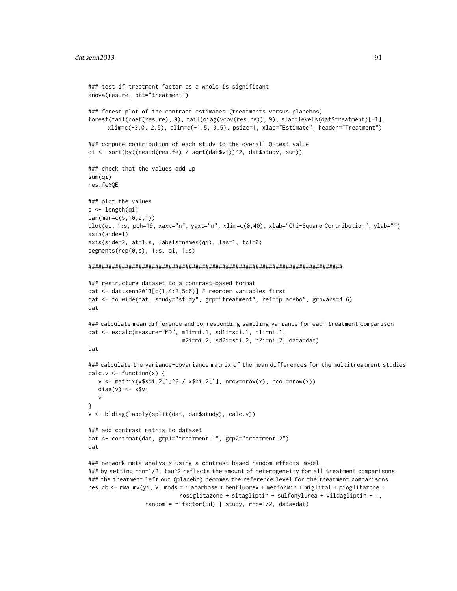```
### test if treatment factor as a whole is significant
anova(res.re, btt="treatment")
### forest plot of the contrast estimates (treatments versus placebos)
forest(tail(coef(res.re), 9), tail(diag(vcov(res.re)), 9), slab=levels(dat$treatment)[-1],
     xlim=c(-3.0, 2.5), alim=c(-1.5, 0.5), psize=1, xlab="Estimate", header="Treatment")
### compute contribution of each study to the overall Q-test value
qi <- sort(by((resid(res.fe) / sqrt(dat$vi))^2, dat$study, sum))
### check that the values add up
sum(qi)
res.fe$QE
### plot the values
s <- length(qi)
par(mar=c(5,10,2,1))
plot(qi, 1:s, pch=19, xaxt="n", yaxt="n", xlim=c(0,40), xlab="Chi-Square Contribution", ylab="")
axis(side=1)
axis(side=2, at=1:s, labels=names(qi), las=1, tcl=0)
segments(rep(0,s), 1:s, qi, 1:s)
############################################################################
### restructure dataset to a contrast-based format
dat \le dat.senn2013[c(1,4:2,5:6)] # reorder variables first
dat <- to.wide(dat, study="study", grp="treatment", ref="placebo", grpvars=4:6)
dat
### calculate mean difference and corresponding sampling variance for each treatment comparison
dat <- escalc(measure="MD", m1i=mi.1, sd1i=sdi.1, n1i=ni.1,
                            m2i=mi.2, sd2i=sdi.2, n2i=ni.2, data=dat)
dat
### calculate the variance-covariance matrix of the mean differences for the multitreatment studies
calc.v \leq function(x) {
  v \le matrix(x$sdi.2[1]^2 / x$ni.2[1], nrow=nrow(x), ncol=nrow(x))
  diag(v) <- x$vi
  v
}
V <- bldiag(lapply(split(dat, dat$study), calc.v))
### add contrast matrix to dataset
dat <- contrmat(dat, grp1="treatment.1", grp2="treatment.2")
dat
### network meta-analysis using a contrast-based random-effects model
### by setting rho=1/2, tau^2 reflects the amount of heterogeneity for all treatment comparisons
### the treatment left out (placebo) becomes the reference level for the treatment comparisons
res.cb <- rma.mv(yi, V, mods = ~ acarbose + benfluorex + metformin + miglitol + pioglitazone +
                           rosiglitazone + sitagliptin + sulfonylurea + vildagliptin - 1,
                 random = \sim factor(id) | study, rho=1/2, data=dat)
```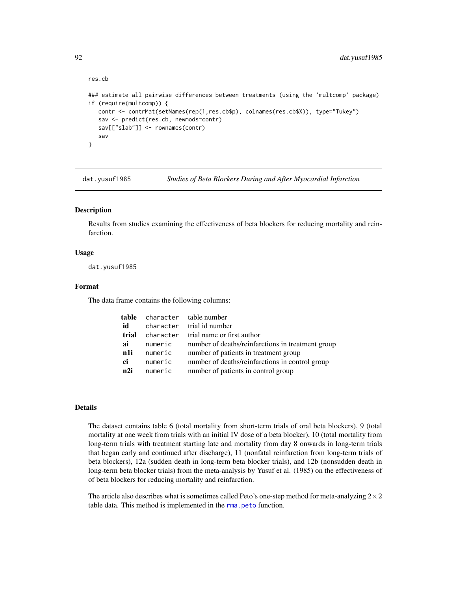```
res.cb
### estimate all pairwise differences between treatments (using the 'multcomp' package)
if (require(multcomp)) {
  contr <- contrMat(setNames(rep(1,res.cb$p), colnames(res.cb$X)), type="Tukey")
   sav <- predict(res.cb, newmods=contr)
   sav[["slab"]] <- rownames(contr)
   sav
}
```
<span id="page-91-0"></span>dat.yusuf1985 *Studies of Beta Blockers During and After Myocardial Infarction*

## Description

Results from studies examining the effectiveness of beta blockers for reducing mortality and reinfarction.

## Usage

dat.yusuf1985

## Format

The data frame contains the following columns:

|      |             | <b>table</b> character tablenumber                |
|------|-------------|---------------------------------------------------|
| id   |             | character trial id number                         |
|      |             | <b>trial</b> character trial name or first author |
| ai   | numeric     | number of deaths/reinfarctions in treatment group |
|      | nli numeric | number of patients in treatment group             |
| ci — | numeric     | number of deaths/reinfarctions in control group   |
|      | n2i numeric | number of patients in control group               |

## Details

The dataset contains table 6 (total mortality from short-term trials of oral beta blockers), 9 (total mortality at one week from trials with an initial IV dose of a beta blocker), 10 (total mortality from long-term trials with treatment starting late and mortality from day 8 onwards in long-term trials that began early and continued after discharge), 11 (nonfatal reinfarction from long-term trials of beta blockers), 12a (sudden death in long-term beta blocker trials), and 12b (nonsudden death in long-term beta blocker trials) from the meta-analysis by Yusuf et al. (1985) on the effectiveness of of beta blockers for reducing mortality and reinfarction.

The article also describes what is sometimes called Peto's one-step method for meta-analyzing  $2\times 2$ table data. This method is implemented in the [rma.peto](#page-232-0) function.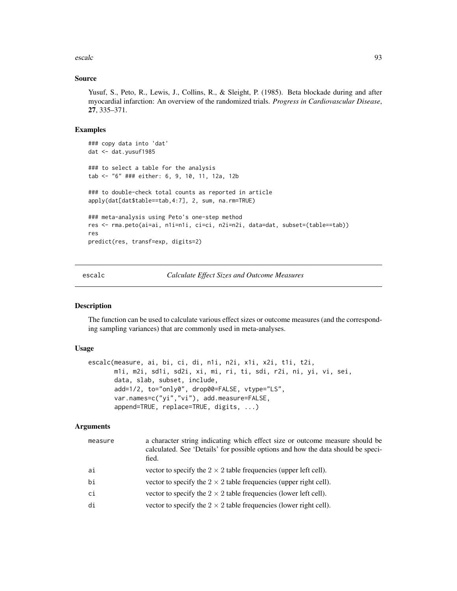escalc 93

## Source

Yusuf, S., Peto, R., Lewis, J., Collins, R., & Sleight, P. (1985). Beta blockade during and after myocardial infarction: An overview of the randomized trials. *Progress in Cardiovascular Disease*, 27, 335–371.

## Examples

```
### copy data into 'dat'
dat <- dat.yusuf1985
### to select a table for the analysis
tab <- "6" ### either: 6, 9, 10, 11, 12a, 12b
### to double-check total counts as reported in article
apply(dat[dat$table==tab,4:7], 2, sum, na.rm=TRUE)
### meta-analysis using Peto's one-step method
res <- rma.peto(ai=ai, n1i=n1i, ci=ci, n2i=n2i, data=dat, subset=(table==tab))
res
predict(res, transf=exp, digits=2)
```
escalc *Calculate Effect Sizes and Outcome Measures*

## Description

The function can be used to calculate various effect sizes or outcome measures (and the corresponding sampling variances) that are commonly used in meta-analyses.

# Usage

```
escalc(measure, ai, bi, ci, di, n1i, n2i, x1i, x2i, t1i, t2i,
      m1i, m2i, sd1i, sd2i, xi, mi, ri, ti, sdi, r2i, ni, yi, vi, sei,
       data, slab, subset, include,
       add=1/2, to="only0", drop00=FALSE, vtype="LS",
       var.names=c("yi","vi"), add.measure=FALSE,
       append=TRUE, replace=TRUE, digits, ...)
```
## Arguments

| measure | a character string indicating which effect size or outcome measure should be<br>calculated. See 'Details' for possible options and how the data should be speci-<br>fied. |
|---------|---------------------------------------------------------------------------------------------------------------------------------------------------------------------------|
| ai      | vector to specify the $2 \times 2$ table frequencies (upper left cell).                                                                                                   |
| bi      | vector to specify the $2 \times 2$ table frequencies (upper right cell).                                                                                                  |
| ci      | vector to specify the $2 \times 2$ table frequencies (lower left cell).                                                                                                   |
| di      | vector to specify the $2 \times 2$ table frequencies (lower right cell).                                                                                                  |
|         |                                                                                                                                                                           |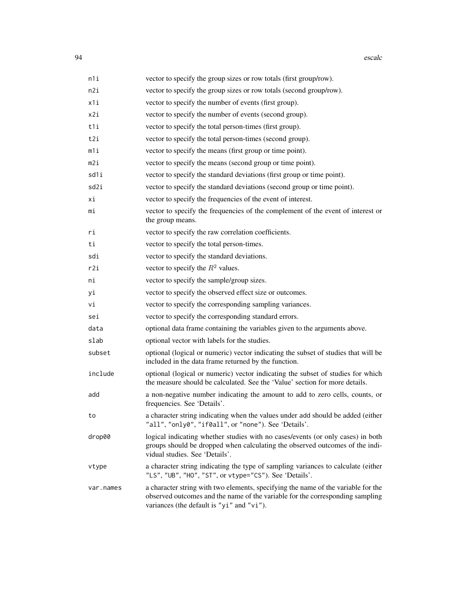| n1i       | vector to specify the group sizes or row totals (first group/row).                                                                                                                                              |
|-----------|-----------------------------------------------------------------------------------------------------------------------------------------------------------------------------------------------------------------|
| n2i       | vector to specify the group sizes or row totals (second group/row).                                                                                                                                             |
| x1i       | vector to specify the number of events (first group).                                                                                                                                                           |
| x2i       | vector to specify the number of events (second group).                                                                                                                                                          |
| t1i       | vector to specify the total person-times (first group).                                                                                                                                                         |
| t2i       | vector to specify the total person-times (second group).                                                                                                                                                        |
| m1i       | vector to specify the means (first group or time point).                                                                                                                                                        |
| m2i       | vector to specify the means (second group or time point).                                                                                                                                                       |
| sd1i      | vector to specify the standard deviations (first group or time point).                                                                                                                                          |
| sd2i      | vector to specify the standard deviations (second group or time point).                                                                                                                                         |
| хi        | vector to specify the frequencies of the event of interest.                                                                                                                                                     |
| mi        | vector to specify the frequencies of the complement of the event of interest or<br>the group means.                                                                                                             |
| ri        | vector to specify the raw correlation coefficients.                                                                                                                                                             |
| ti        | vector to specify the total person-times.                                                                                                                                                                       |
| sdi       | vector to specify the standard deviations.                                                                                                                                                                      |
| r2i       | vector to specify the $R^2$ values.                                                                                                                                                                             |
| ni        | vector to specify the sample/group sizes.                                                                                                                                                                       |
| yi        | vector to specify the observed effect size or outcomes.                                                                                                                                                         |
| vi        | vector to specify the corresponding sampling variances.                                                                                                                                                         |
| sei       | vector to specify the corresponding standard errors.                                                                                                                                                            |
| data      | optional data frame containing the variables given to the arguments above.                                                                                                                                      |
| slab      | optional vector with labels for the studies.                                                                                                                                                                    |
| subset    | optional (logical or numeric) vector indicating the subset of studies that will be<br>included in the data frame returned by the function.                                                                      |
| include   | optional (logical or numeric) vector indicating the subset of studies for which<br>the measure should be calculated. See the 'Value' section for more details.                                                  |
| add       | a non-negative number indicating the amount to add to zero cells, counts, or<br>frequencies. See 'Details'.                                                                                                     |
| to        | a character string indicating when the values under add should be added (either<br>"all", "only0", "if0all", or "none"). See 'Details'.                                                                         |
| drop00    | logical indicating whether studies with no cases/events (or only cases) in both<br>groups should be dropped when calculating the observed outcomes of the indi-<br>vidual studies. See 'Details'.               |
| vtype     | a character string indicating the type of sampling variances to calculate (either<br>"LS", "UB", "HO", "ST", or vtype="CS"). See 'Details'.                                                                     |
| var.names | a character string with two elements, specifying the name of the variable for the<br>observed outcomes and the name of the variable for the corresponding sampling<br>variances (the default is "yi" and "vi"). |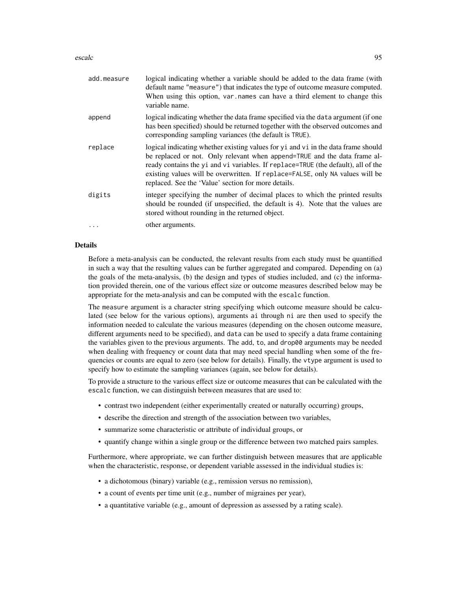## escalc 95

| add.measure | logical indicating whether a variable should be added to the data frame (with<br>default name "measure") that indicates the type of outcome measure computed.<br>When using this option, var names can have a third element to change this<br>variable name.                                                                                                                                    |
|-------------|-------------------------------------------------------------------------------------------------------------------------------------------------------------------------------------------------------------------------------------------------------------------------------------------------------------------------------------------------------------------------------------------------|
| append      | logical indicating whether the data frame specified via the data argument (if one<br>has been specified) should be returned together with the observed outcomes and<br>corresponding sampling variances (the default is TRUE).                                                                                                                                                                  |
| replace     | logical indicating whether existing values for $yi$ and $vi$ in the data frame should<br>be replaced or not. Only relevant when append=TRUE and the data frame al-<br>ready contains the yi and vi variables. If replace=TRUE (the default), all of the<br>existing values will be overwritten. If replace=FALSE, only NA values will be<br>replaced. See the 'Value' section for more details. |
| digits      | integer specifying the number of decimal places to which the printed results<br>should be rounded (if unspecified, the default is 4). Note that the values are<br>stored without rounding in the returned object.                                                                                                                                                                               |
| $\ddots$    | other arguments.                                                                                                                                                                                                                                                                                                                                                                                |

## Details

Before a meta-analysis can be conducted, the relevant results from each study must be quantified in such a way that the resulting values can be further aggregated and compared. Depending on (a) the goals of the meta-analysis, (b) the design and types of studies included, and (c) the information provided therein, one of the various effect size or outcome measures described below may be appropriate for the meta-analysis and can be computed with the escalc function.

The measure argument is a character string specifying which outcome measure should be calculated (see below for the various options), arguments ai through ni are then used to specify the information needed to calculate the various measures (depending on the chosen outcome measure, different arguments need to be specified), and data can be used to specify a data frame containing the variables given to the previous arguments. The add, to, and drop00 arguments may be needed when dealing with frequency or count data that may need special handling when some of the frequencies or counts are equal to zero (see below for details). Finally, the vtype argument is used to specify how to estimate the sampling variances (again, see below for details).

To provide a structure to the various effect size or outcome measures that can be calculated with the escalc function, we can distinguish between measures that are used to:

- contrast two independent (either experimentally created or naturally occurring) groups,
- describe the direction and strength of the association between two variables,
- summarize some characteristic or attribute of individual groups, or
- quantify change within a single group or the difference between two matched pairs samples.

Furthermore, where appropriate, we can further distinguish between measures that are applicable when the characteristic, response, or dependent variable assessed in the individual studies is:

- a dichotomous (binary) variable (e.g., remission versus no remission),
- a count of events per time unit (e.g., number of migraines per year),
- a quantitative variable (e.g., amount of depression as assessed by a rating scale).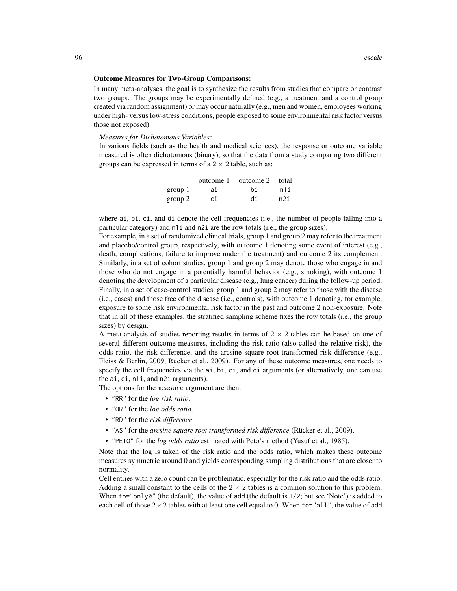#### Outcome Measures for Two-Group Comparisons:

In many meta-analyses, the goal is to synthesize the results from studies that compare or contrast two groups. The groups may be experimentally defined (e.g., a treatment and a control group created via random assignment) or may occur naturally (e.g., men and women, employees working under high- versus low-stress conditions, people exposed to some environmental risk factor versus those not exposed).

#### *Measures for Dichotomous Variables:*

In various fields (such as the health and medical sciences), the response or outcome variable measured is often dichotomous (binary), so that the data from a study comparing two different groups can be expressed in terms of a  $2 \times 2$  table, such as:

|         | outcome 1 | outcome 2 total |     |
|---------|-----------|-----------------|-----|
| group 1 | ai        | hi              | n1i |
| group 2 | сi        | di              | n2i |

where ai, bi, ci, and di denote the cell frequencies (i.e., the number of people falling into a particular category) and n1i and n2i are the row totals (i.e., the group sizes).

For example, in a set of randomized clinical trials, group 1 and group 2 may refer to the treatment and placebo/control group, respectively, with outcome 1 denoting some event of interest (e.g., death, complications, failure to improve under the treatment) and outcome 2 its complement. Similarly, in a set of cohort studies, group 1 and group 2 may denote those who engage in and those who do not engage in a potentially harmful behavior (e.g., smoking), with outcome 1 denoting the development of a particular disease (e.g., lung cancer) during the follow-up period. Finally, in a set of case-control studies, group 1 and group 2 may refer to those with the disease (i.e., cases) and those free of the disease (i.e., controls), with outcome 1 denoting, for example, exposure to some risk environmental risk factor in the past and outcome 2 non-exposure. Note that in all of these examples, the stratified sampling scheme fixes the row totals (i.e., the group sizes) by design.

A meta-analysis of studies reporting results in terms of  $2 \times 2$  tables can be based on one of several different outcome measures, including the risk ratio (also called the relative risk), the odds ratio, the risk difference, and the arcsine square root transformed risk difference (e.g., Fleiss & Berlin, 2009, Rücker et al., 2009). For any of these outcome measures, one needs to specify the cell frequencies via the ai, bi, ci, and di arguments (or alternatively, one can use the ai, ci, n1i, and n2i arguments).

The options for the measure argument are then:

- "RR" for the *log risk ratio*.
- "OR" for the *log odds ratio*.
- "RD" for the *risk difference*.
- "AS" for the *arcsine square root transformed risk difference* (Rücker et al., 2009).
- "PETO" for the *log odds ratio* estimated with Peto's method (Yusuf et al., 1985).

Note that the log is taken of the risk ratio and the odds ratio, which makes these outcome measures symmetric around 0 and yields corresponding sampling distributions that are closer to normality.

Cell entries with a zero count can be problematic, especially for the risk ratio and the odds ratio. Adding a small constant to the cells of the  $2 \times 2$  tables is a common solution to this problem. When to="only0" (the default), the value of add (the default is  $1/2$ ; but see 'Note') is added to each cell of those  $2 \times 2$  tables with at least one cell equal to 0. When to="all", the value of add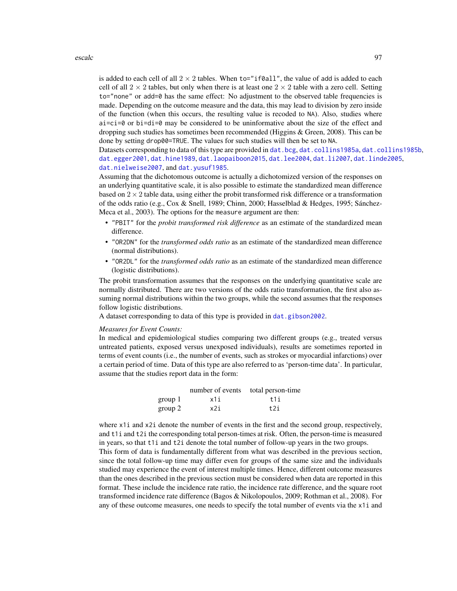## escalc 97

is added to each cell of all  $2 \times 2$  tables. When to="if0all", the value of add is added to each cell of all  $2 \times 2$  tables, but only when there is at least one  $2 \times 2$  table with a zero cell. Setting to="none" or add=0 has the same effect: No adjustment to the observed table frequencies is made. Depending on the outcome measure and the data, this may lead to division by zero inside of the function (when this occurs, the resulting value is recoded to NA). Also, studies where ai=ci=0 or bi=di=0 may be considered to be uninformative about the size of the effect and dropping such studies has sometimes been recommended (Higgins & Green, 2008). This can be done by setting drop00=TRUE. The values for such studies will then be set to NA.

Datasets corresponding to data of this type are provided in dat. bcg, [dat.collins1985a](#page-44-0), [dat.collins1985b](#page-45-0), [dat.egger2001](#page-50-0), [dat.hine1989](#page-63-0), [dat.laopaiboon2015](#page-68-0), [dat.lee2004](#page-69-0), [dat.li2007](#page-70-0), [dat.linde2005](#page-71-0), [dat.nielweise2007](#page-76-0), and [dat.yusuf1985](#page-91-0).

Assuming that the dichotomous outcome is actually a dichotomized version of the responses on an underlying quantitative scale, it is also possible to estimate the standardized mean difference based on  $2 \times 2$  table data, using either the probit transformed risk difference or a transformation of the odds ratio (e.g., Cox & Snell, 1989; Chinn, 2000; Hasselblad & Hedges, 1995; Sánchez-Meca et al., 2003). The options for the measure argument are then:

- "PBIT" for the *probit transformed risk difference* as an estimate of the standardized mean difference.
- "OR2DN" for the *transformed odds ratio* as an estimate of the standardized mean difference (normal distributions).
- "OR2DL" for the *transformed odds ratio* as an estimate of the standardized mean difference (logistic distributions).

The probit transformation assumes that the responses on the underlying quantitative scale are normally distributed. There are two versions of the odds ratio transformation, the first also assuming normal distributions within the two groups, while the second assumes that the responses follow logistic distributions.

A dataset corresponding to data of this type is provided in [dat.gibson2002](#page-55-0).

# *Measures for Event Counts:*

In medical and epidemiological studies comparing two different groups (e.g., treated versus untreated patients, exposed versus unexposed individuals), results are sometimes reported in terms of event counts (i.e., the number of events, such as strokes or myocardial infarctions) over a certain period of time. Data of this type are also referred to as 'person-time data'. In particular, assume that the studies report data in the form:

|         | number of events total person-time |       |
|---------|------------------------------------|-------|
| group 1 | x1i                                | t 1 i |
| group 2 | x2i                                | t2i   |

where x1*i* and x2*i* denote the number of events in the first and the second group, respectively, and t1i and t2i the corresponding total person-times at risk. Often, the person-time is measured in years, so that t1i and t2i denote the total number of follow-up years in the two groups. This form of data is fundamentally different from what was described in the previous section, since the total follow-up time may differ even for groups of the same size and the individuals studied may experience the event of interest multiple times. Hence, different outcome measures than the ones described in the previous section must be considered when data are reported in this format. These include the incidence rate ratio, the incidence rate difference, and the square root transformed incidence rate difference (Bagos & Nikolopoulos, 2009; Rothman et al., 2008). For any of these outcome measures, one needs to specify the total number of events via the x1i and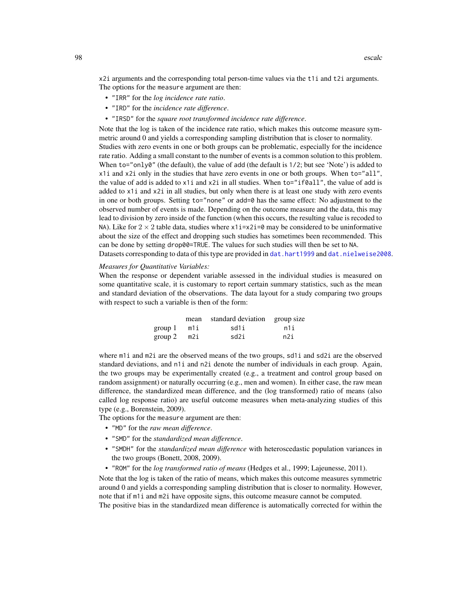x2i arguments and the corresponding total person-time values via the t1i and t2i arguments. The options for the measure argument are then:

- "IRR" for the *log incidence rate ratio*.
- "IRD" for the *incidence rate difference*.
- "IRSD" for the *square root transformed incidence rate difference*.

Note that the log is taken of the incidence rate ratio, which makes this outcome measure symmetric around 0 and yields a corresponding sampling distribution that is closer to normality. Studies with zero events in one or both groups can be problematic, especially for the incidence rate ratio. Adding a small constant to the number of events is a common solution to this problem. When to="only0" (the default), the value of add (the default is 1/2; but see 'Note') is added to x1i and x2i only in the studies that have zero events in one or both groups. When to="all", the value of add is added to  $x1$  i and  $x2$  i in all studies. When  $to="if0a11"$ , the value of add is added to x1i and x2i in all studies, but only when there is at least one study with zero events in one or both groups. Setting to="none" or add=0 has the same effect: No adjustment to the observed number of events is made. Depending on the outcome measure and the data, this may lead to division by zero inside of the function (when this occurs, the resulting value is recoded to NA). Like for  $2 \times 2$  table data, studies where  $x1i=x2i=0$  may be considered to be uninformative about the size of the effect and dropping such studies has sometimes been recommended. This can be done by setting drop00=TRUE. The values for such studies will then be set to NA. Datasets corresponding to data of this type are provided in [dat.hart1999](#page-59-0) and [dat.nielweise2008](#page-77-0).

## *Measures for Quantitative Variables:*

When the response or dependent variable assessed in the individual studies is measured on some quantitative scale, it is customary to report certain summary statistics, such as the mean and standard deviation of the observations. The data layout for a study comparing two groups with respect to such a variable is then of the form:

|                 | mean standard deviation group size |     |
|-----------------|------------------------------------|-----|
| $group 1$ $m1i$ | sd1i                               | n1i |
| $group 2$ m2i   | sd2i                               | n2i |

where  $m1$  i and  $m2$  i are the observed means of the two groups, sd1i and sd2i are the observed standard deviations, and n1i and n2i denote the number of individuals in each group. Again, the two groups may be experimentally created (e.g., a treatment and control group based on random assignment) or naturally occurring (e.g., men and women). In either case, the raw mean difference, the standardized mean difference, and the (log transformed) ratio of means (also called log response ratio) are useful outcome measures when meta-analyzing studies of this type (e.g., Borenstein, 2009).

The options for the measure argument are then:

- "MD" for the *raw mean difference*.
- "SMD" for the *standardized mean difference*.
- "SMDH" for the *standardized mean difference* with heteroscedastic population variances in the two groups (Bonett, 2008, 2009).
- "ROM" for the *log transformed ratio of means* (Hedges et al., 1999; Lajeunesse, 2011).

Note that the log is taken of the ratio of means, which makes this outcome measures symmetric around 0 and yields a corresponding sampling distribution that is closer to normality. However, note that if m1i and m2i have opposite signs, this outcome measure cannot be computed. The positive bias in the standardized mean difference is automatically corrected for within the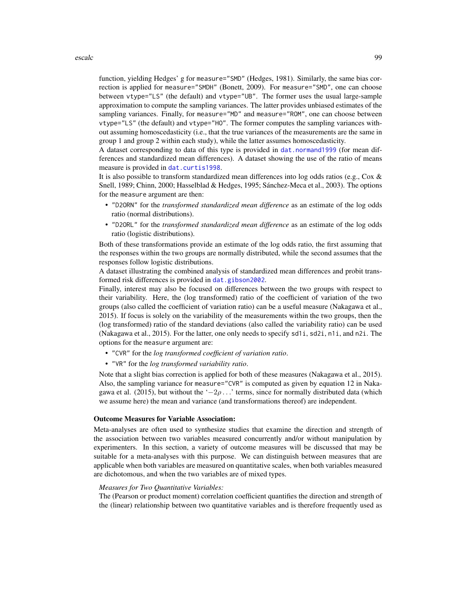function, yielding Hedges' g for measure="SMD" (Hedges, 1981). Similarly, the same bias correction is applied for measure="SMDH" (Bonett, 2009). For measure="SMD", one can choose between vtype="LS" (the default) and vtype="UB". The former uses the usual large-sample approximation to compute the sampling variances. The latter provides unbiased estimates of the sampling variances. Finally, for measure="MD" and measure="ROM", one can choose between vtype="LS" (the default) and vtype="HO". The former computes the sampling variances without assuming homoscedasticity (i.e., that the true variances of the measurements are the same in group 1 and group 2 within each study), while the latter assumes homoscedasticity.

A dataset corresponding to data of this type is provided in [dat.normand1999](#page-79-0) (for mean differences and standardized mean differences). A dataset showing the use of the ratio of means measure is provided in [dat.curtis1998](#page-47-0).

It is also possible to transform standardized mean differences into log odds ratios (e.g., Cox & Snell, 1989; Chinn, 2000; Hasselblad & Hedges, 1995; Sánchez-Meca et al., 2003). The options for the measure argument are then:

- "D2ORN" for the *transformed standardized mean difference* as an estimate of the log odds ratio (normal distributions).
- "D2ORL" for the *transformed standardized mean difference* as an estimate of the log odds ratio (logistic distributions).

Both of these transformations provide an estimate of the log odds ratio, the first assuming that the responses within the two groups are normally distributed, while the second assumes that the responses follow logistic distributions.

A dataset illustrating the combined analysis of standardized mean differences and probit transformed risk differences is provided in [dat.gibson2002](#page-55-0).

Finally, interest may also be focused on differences between the two groups with respect to their variability. Here, the (log transformed) ratio of the coefficient of variation of the two groups (also called the coefficient of variation ratio) can be a useful measure (Nakagawa et al., 2015). If focus is solely on the variability of the measurements within the two groups, then the (log transformed) ratio of the standard deviations (also called the variability ratio) can be used (Nakagawa et al., 2015). For the latter, one only needs to specify sd1i, sd2i, n1i, and n2i. The options for the measure argument are:

- "CVR" for the *log transformed coefficient of variation ratio*.
- "VR" for the *log transformed variability ratio*.

Note that a slight bias correction is applied for both of these measures (Nakagawa et al., 2015). Also, the sampling variance for measure="CVR" is computed as given by equation 12 in Nakagawa et al. (2015), but without the ' $-2\rho$ ...' terms, since for normally distributed data (which we assume here) the mean and variance (and transformations thereof) are independent.

#### Outcome Measures for Variable Association:

Meta-analyses are often used to synthesize studies that examine the direction and strength of the association between two variables measured concurrently and/or without manipulation by experimenters. In this section, a variety of outcome measures will be discussed that may be suitable for a meta-analyses with this purpose. We can distinguish between measures that are applicable when both variables are measured on quantitative scales, when both variables measured are dichotomous, and when the two variables are of mixed types.

# *Measures for Two Quantitative Variables:*

The (Pearson or product moment) correlation coefficient quantifies the direction and strength of the (linear) relationship between two quantitative variables and is therefore frequently used as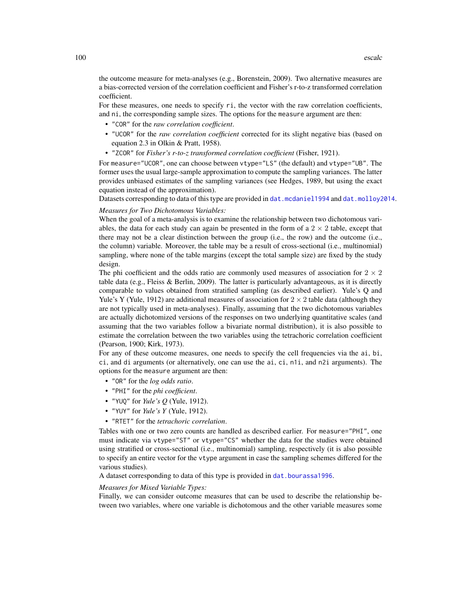the outcome measure for meta-analyses (e.g., Borenstein, 2009). Two alternative measures are a bias-corrected version of the correlation coefficient and Fisher's r-to-z transformed correlation coefficient.

For these measures, one needs to specify ri, the vector with the raw correlation coefficients, and ni, the corresponding sample sizes. The options for the measure argument are then:

- "COR" for the *raw correlation coefficient*.
- "UCOR" for the *raw correlation coefficient* corrected for its slight negative bias (based on equation 2.3 in Olkin & Pratt, 1958).
- "ZCOR" for *Fisher's r-to-z transformed correlation coefficient* (Fisher, 1921).

For measure="UCOR", one can choose between vtype="LS" (the default) and vtype="UB". The former uses the usual large-sample approximation to compute the sampling variances. The latter provides unbiased estimates of the sampling variances (see Hedges, 1989, but using the exact equation instead of the approximation).

Datasets corresponding to data of this type are provided in [dat.mcdaniel1994](#page-73-0) and [dat.molloy2014](#page-74-0).

## *Measures for Two Dichotomous Variables:*

When the goal of a meta-analysis is to examine the relationship between two dichotomous variables, the data for each study can again be presented in the form of a  $2 \times 2$  table, except that there may not be a clear distinction between the group (i.e., the row) and the outcome (i.e., the column) variable. Moreover, the table may be a result of cross-sectional (i.e., multinomial) sampling, where none of the table margins (except the total sample size) are fixed by the study design.

The phi coefficient and the odds ratio are commonly used measures of association for  $2 \times 2$ table data (e.g., Fleiss & Berlin, 2009). The latter is particularly advantageous, as it is directly comparable to values obtained from stratified sampling (as described earlier). Yule's Q and Yule's Y (Yule, 1912) are additional measures of association for  $2 \times 2$  table data (although they are not typically used in meta-analyses). Finally, assuming that the two dichotomous variables are actually dichotomized versions of the responses on two underlying quantitative scales (and assuming that the two variables follow a bivariate normal distribution), it is also possible to estimate the correlation between the two variables using the tetrachoric correlation coefficient (Pearson, 1900; Kirk, 1973).

For any of these outcome measures, one needs to specify the cell frequencies via the ai, bi, ci, and di arguments (or alternatively, one can use the ai, ci, n1i, and n2i arguments). The options for the measure argument are then:

- "OR" for the *log odds ratio*.
- "PHI" for the *phi coefficient*.
- "YUQ" for *Yule's Q* (Yule, 1912).
- "YUY" for *Yule's Y* (Yule, 1912).
- "RTET" for the *tetrachoric correlation*.

Tables with one or two zero counts are handled as described earlier. For measure="PHI", one must indicate via vtype="ST" or vtype="CS" whether the data for the studies were obtained using stratified or cross-sectional (i.e., multinomial) sampling, respectively (it is also possible to specify an entire vector for the vtype argument in case the sampling schemes differed for the various studies).

A dataset corresponding to data of this type is provided in dat. bourassa1996.

## *Measures for Mixed Variable Types:*

Finally, we can consider outcome measures that can be used to describe the relationship between two variables, where one variable is dichotomous and the other variable measures some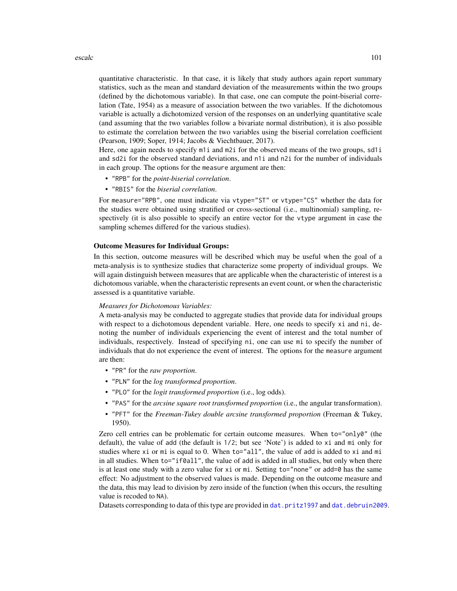## escalc and 101 and 101 and 101 and 101 and 101 and 101 and 101 and 101 and 101 and 101 and 101 and 101 and 101

quantitative characteristic. In that case, it is likely that study authors again report summary statistics, such as the mean and standard deviation of the measurements within the two groups (defined by the dichotomous variable). In that case, one can compute the point-biserial correlation (Tate, 1954) as a measure of association between the two variables. If the dichotomous variable is actually a dichotomized version of the responses on an underlying quantitative scale (and assuming that the two variables follow a bivariate normal distribution), it is also possible to estimate the correlation between the two variables using the biserial correlation coefficient (Pearson, 1909; Soper, 1914; Jacobs & Viechtbauer, 2017).

Here, one again needs to specify m<sub>1</sub> and m<sub>2</sub> for the observed means of the two groups, sd<sub>1</sub> i and sd2i for the observed standard deviations, and n1i and n2i for the number of individuals in each group. The options for the measure argument are then:

- "RPB" for the *point-biserial correlation*.
- "RBIS" for the *biserial correlation*.

For measure="RPB", one must indicate via vtype="ST" or vtype="CS" whether the data for the studies were obtained using stratified or cross-sectional (i.e., multinomial) sampling, respectively (it is also possible to specify an entire vector for the vtype argument in case the sampling schemes differed for the various studies).

# Outcome Measures for Individual Groups:

In this section, outcome measures will be described which may be useful when the goal of a meta-analysis is to synthesize studies that characterize some property of individual groups. We will again distinguish between measures that are applicable when the characteristic of interest is a dichotomous variable, when the characteristic represents an event count, or when the characteristic assessed is a quantitative variable.

# *Measures for Dichotomous Variables:*

A meta-analysis may be conducted to aggregate studies that provide data for individual groups with respect to a dichotomous dependent variable. Here, one needs to specify xi and ni, denoting the number of individuals experiencing the event of interest and the total number of individuals, respectively. Instead of specifying ni, one can use mi to specify the number of individuals that do not experience the event of interest. The options for the measure argument are then:

- "PR" for the *raw proportion*.
- "PLN" for the *log transformed proportion*.
- "PLO" for the *logit transformed proportion* (i.e., log odds).
- "PAS" for the *arcsine square root transformed proportion* (i.e., the angular transformation).
- "PFT" for the *Freeman-Tukey double arcsine transformed proportion* (Freeman & Tukey, 1950).

Zero cell entries can be problematic for certain outcome measures. When to="only0" (the default), the value of add (the default is 1/2; but see 'Note') is added to xi and mi only for studies where xi or mi is equal to 0. When to="all", the value of add is added to xi and mi in all studies. When to="if0all", the value of add is added in all studies, but only when there is at least one study with a zero value for  $xi$  or  $mi$ . Setting to="none" or add=0 has the same effect: No adjustment to the observed values is made. Depending on the outcome measure and the data, this may lead to division by zero inside of the function (when this occurs, the resulting value is recoded to NA).

Datasets corresponding to data of this type are provided in [dat.pritz1997](#page-83-0) and [dat.debruin2009](#page-49-0).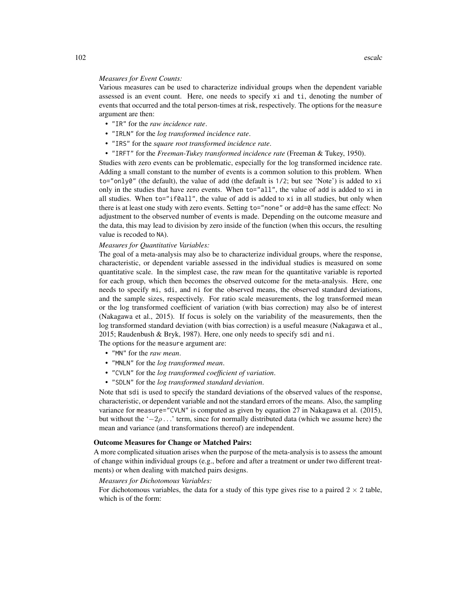#### *Measures for Event Counts:*

Various measures can be used to characterize individual groups when the dependent variable assessed is an event count. Here, one needs to specify xi and ti, denoting the number of events that occurred and the total person-times at risk, respectively. The options for the measure argument are then:

- "IR" for the *raw incidence rate*.
- "IRLN" for the *log transformed incidence rate*.
- "IRS" for the *square root transformed incidence rate*.
- "IRFT" for the *Freeman-Tukey transformed incidence rate* (Freeman & Tukey, 1950).

Studies with zero events can be problematic, especially for the log transformed incidence rate. Adding a small constant to the number of events is a common solution to this problem. When to="only0" (the default), the value of add (the default is 1/2; but see 'Note') is added to xi only in the studies that have zero events. When to="all", the value of add is added to xi in all studies. When  $to="if0a11"$ , the value of add is added to  $xi$  in all studies, but only when there is at least one study with zero events. Setting to="none" or add=0 has the same effect: No adjustment to the observed number of events is made. Depending on the outcome measure and the data, this may lead to division by zero inside of the function (when this occurs, the resulting value is recoded to NA).

## *Measures for Quantitative Variables:*

The goal of a meta-analysis may also be to characterize individual groups, where the response, characteristic, or dependent variable assessed in the individual studies is measured on some quantitative scale. In the simplest case, the raw mean for the quantitative variable is reported for each group, which then becomes the observed outcome for the meta-analysis. Here, one needs to specify mi, sdi, and ni for the observed means, the observed standard deviations, and the sample sizes, respectively. For ratio scale measurements, the log transformed mean or the log transformed coefficient of variation (with bias correction) may also be of interest (Nakagawa et al., 2015). If focus is solely on the variability of the measurements, then the log transformed standard deviation (with bias correction) is a useful measure (Nakagawa et al., 2015; Raudenbush & Bryk, 1987). Here, one only needs to specify sdi and ni.

The options for the measure argument are:

- "MN" for the *raw mean*.
- "MNLN" for the *log transformed mean*.
- "CVLN" for the *log transformed coefficient of variation*.
- "SDLN" for the *log transformed standard deviation*.

Note that sdi is used to specify the standard deviations of the observed values of the response, characteristic, or dependent variable and not the standard errors of the means. Also, the sampling variance for measure="CVLN" is computed as given by equation 27 in Nakagawa et al. (2015), but without the ' $-2\rho$ ...' term, since for normally distributed data (which we assume here) the mean and variance (and transformations thereof) are independent.

### Outcome Measures for Change or Matched Pairs:

A more complicated situation arises when the purpose of the meta-analysis is to assess the amount of change within individual groups (e.g., before and after a treatment or under two different treatments) or when dealing with matched pairs designs.

## *Measures for Dichotomous Variables:*

For dichotomous variables, the data for a study of this type gives rise to a paired  $2 \times 2$  table, which is of the form: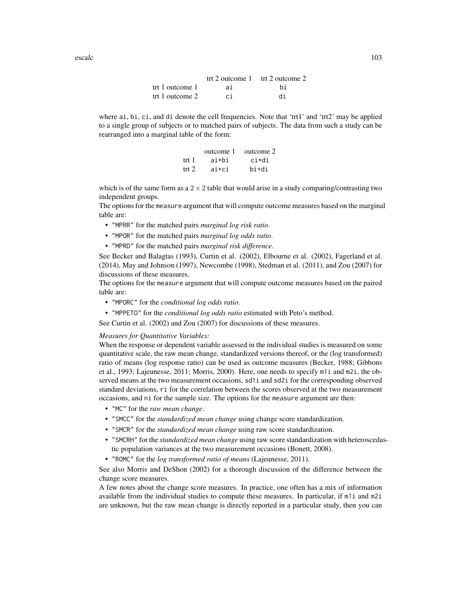trt 2 outcome 1 trt 2 outcome 2 trt 1 outcome 1 ai bi trt 1 outcome 2 ci di

where ai, bi, ci, and di denote the cell frequencies. Note that 'trt1' and 'trt2' may be applied to a single group of subjects or to matched pairs of subjects. The data from such a study can be rearranged into a marginal table of the form:

|       | outcome 1 | outcome 2 |
|-------|-----------|-----------|
| trt 1 | ai+bi     | ci+di     |
| trt 2 | ai+ci     | hi+di     |

which is of the same form as a  $2 \times 2$  table that would arise in a study comparing/contrasting two independent groups.

The options for the measure argument that will compute outcome measures based on the marginal table are:

- "MPRR" for the matched pairs *marginal log risk ratio*.
- "MPOR" for the matched pairs *marginal log odds ratio*.
- "MPRD" for the matched pairs *marginal risk difference*.

See Becker and Balagtas (1993), Curtin et al. (2002), Elbourne et al. (2002), Fagerland et al. (2014), May and Johnson (1997), Newcombe (1998), Stedman et al. (2011), and Zou (2007) for discussions of these measures.

The options for the measure argument that will compute outcome measures based on the paired table are:

- "MPORC" for the *conditional log odds ratio*.
- "MPPETO" for the *conditional log odds ratio* estimated with Peto's method.

See Curtin et al. (2002) and Zou (2007) for discussions of these measures.

## *Measures for Quantitative Variables:*

When the response or dependent variable assessed in the individual studies is measured on some quantitative scale, the raw mean change, standardized versions thereof, or the (log transformed) ratio of means (log response ratio) can be used as outcome measures (Becker, 1988; Gibbons et al., 1993; Lajeunesse, 2011; Morris, 2000). Here, one needs to specify m1i and m2i, the observed means at the two measurement occasions, sd1i and sd2i for the corresponding observed standard deviations, ri for the correlation between the scores observed at the two measurement occasions, and ni for the sample size. The options for the measure argument are then:

- "MC" for the *raw mean change*.
- "SMCC" for the *standardized mean change* using change score standardization.
- "SMCR" for the *standardized mean change* using raw score standardization.
- "SMCRH" for the *standardized mean change* using raw score standardization with heteroscedastic population variances at the two measurement occasions (Bonett, 2008).
- "ROMC" for the *log transformed ratio of means* (Lajeunesse, 2011).

See also Morris and DeShon (2002) for a thorough discussion of the difference between the change score measures.

A few notes about the change score measures. In practice, one often has a mix of information available from the individual studies to compute these measures. In particular, if m1i and m2i are unknown, but the raw mean change is directly reported in a particular study, then you can

escalc and the second of the second of the second of the second of the second of the second of the second of the second of the second of the second of the second of the second of the second of the second of the second of t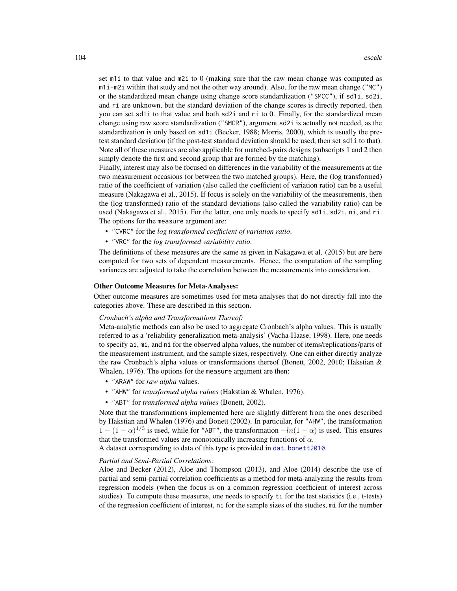set m1i to that value and m2i to 0 (making sure that the raw mean change was computed as m1i-m2i within that study and not the other way around). Also, for the raw mean change ("MC") or the standardized mean change using change score standardization ("SMCC"), if sd1i, sd2i, and ri are unknown, but the standard deviation of the change scores is directly reported, then you can set sd1i to that value and both sd2i and ri to 0. Finally, for the standardized mean change using raw score standardization ("SMCR"), argument sd2i is actually not needed, as the standardization is only based on sd1i (Becker, 1988; Morris, 2000), which is usually the pretest standard deviation (if the post-test standard deviation should be used, then set sd1i to that). Note all of these measures are also applicable for matched-pairs designs (subscripts 1 and 2 then simply denote the first and second group that are formed by the matching).

Finally, interest may also be focused on differences in the variability of the measurements at the two measurement occasions (or between the two matched groups). Here, the (log transformed) ratio of the coefficient of variation (also called the coefficient of variation ratio) can be a useful measure (Nakagawa et al., 2015). If focus is solely on the variability of the measurements, then the (log transformed) ratio of the standard deviations (also called the variability ratio) can be used (Nakagawa et al., 2015). For the latter, one only needs to specify sd1i, sd2i, ni, and ri. The options for the measure argument are:

- "CVRC" for the *log transformed coefficient of variation ratio*.
- "VRC" for the *log transformed variability ratio*.

The definitions of these measures are the same as given in Nakagawa et al. (2015) but are here computed for two sets of dependent measurements. Hence, the computation of the sampling variances are adjusted to take the correlation between the measurements into consideration.

## Other Outcome Measures for Meta-Analyses:

Other outcome measures are sometimes used for meta-analyses that do not directly fall into the categories above. These are described in this section.

#### *Cronbach's alpha and Transformations Thereof:*

Meta-analytic methods can also be used to aggregate Cronbach's alpha values. This is usually referred to as a 'reliability generalization meta-analysis' (Vacha-Haase, 1998). Here, one needs to specify ai, mi, and ni for the observed alpha values, the number of items/replications/parts of the measurement instrument, and the sample sizes, respectively. One can either directly analyze the raw Cronbach's alpha values or transformations thereof (Bonett, 2002, 2010; Hakstian & Whalen, 1976). The options for the measure argument are then:

- "ARAW" for *raw alpha* values.
- "AHW" for *transformed alpha values* (Hakstian & Whalen, 1976).
- "ABT" for *transformed alpha values* (Bonett, 2002).

Note that the transformations implemented here are slightly different from the ones described by Hakstian and Whalen (1976) and Bonett (2002). In particular, for "AHW", the transformation  $1 - (1 - \alpha)^{1/3}$  is used, while for "ABT", the transformation  $-\ln(1 - \alpha)$  is used. This ensures that the transformed values are monotonically increasing functions of  $\alpha$ .

A dataset corresponding to data of this type is provided in [dat.bonett2010](#page-39-0).

## *Partial and Semi-Partial Correlations:*

Aloe and Becker (2012), Aloe and Thompson (2013), and Aloe (2014) describe the use of partial and semi-partial correlation coefficients as a method for meta-analyzing the results from regression models (when the focus is on a common regression coefficient of interest across studies). To compute these measures, one needs to specify ti for the test statistics (i.e., t-tests) of the regression coefficient of interest, ni for the sample sizes of the studies, mi for the number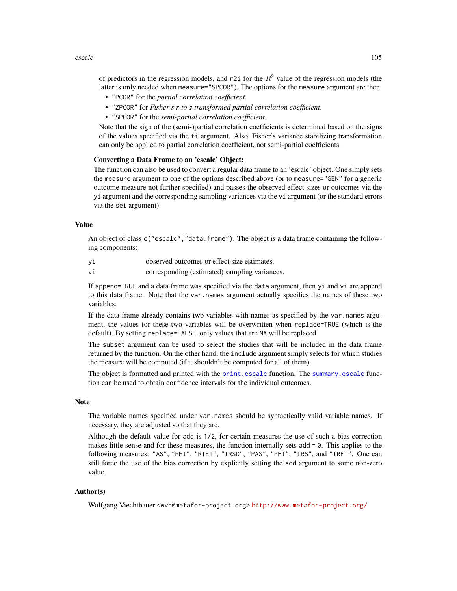escalc and the second of the second of the second of the second of the second of the second of the second of the second of the second of the second of the second of the second of the second of the second of the second of t

of predictors in the regression models, and r2i for the  $R<sup>2</sup>$  value of the regression models (the latter is only needed when measure="SPCOR"). The options for the measure argument are then:

- "PCOR" for the *partial correlation coefficient*.
- "ZPCOR" for *Fisher's r-to-z transformed partial correlation coefficient*.
- "SPCOR" for the *semi-partial correlation coefficient*.

Note that the sign of the (semi-)partial correlation coefficients is determined based on the signs of the values specified via the ti argument. Also, Fisher's variance stabilizing transformation can only be applied to partial correlation coefficient, not semi-partial coefficients.

# Converting a Data Frame to an 'escalc' Object:

The function can also be used to convert a regular data frame to an 'escalc' object. One simply sets the measure argument to one of the options described above (or to measure="GEN" for a generic outcome measure not further specified) and passes the observed effect sizes or outcomes via the yi argument and the corresponding sampling variances via the vi argument (or the standard errors via the sei argument).

## Value

An object of class c("escalc","data.frame"). The object is a data frame containing the following components:

yi observed outcomes or effect size estimates.

vi corresponding (estimated) sampling variances.

If append=TRUE and a data frame was specified via the data argument, then yi and vi are append to this data frame. Note that the var.names argument actually specifies the names of these two variables.

If the data frame already contains two variables with names as specified by the var.names argument, the values for these two variables will be overwritten when replace=TRUE (which is the default). By setting replace=FALSE, only values that are NA will be replaced.

The subset argument can be used to select the studies that will be included in the data frame returned by the function. On the other hand, the include argument simply selects for which studies the measure will be computed (if it shouldn't be computed for all of them).

The object is formatted and printed with the [print.escalc](#page-171-0) function. The [summary.escalc](#page-171-1) function can be used to obtain confidence intervals for the individual outcomes.

# Note

The variable names specified under var.names should be syntactically valid variable names. If necessary, they are adjusted so that they are.

Although the default value for add is 1/2, for certain measures the use of such a bias correction makes little sense and for these measures, the function internally sets add = 0. This applies to the following measures: "AS", "PHI", "RTET", "IRSD", "PAS", "PFT", "IRS", and "IRFT". One can still force the use of the bias correction by explicitly setting the add argument to some non-zero value.

# Author(s)

Wolfgang Viechtbauer <wvb@metafor-project.org> <http://www.metafor-project.org/>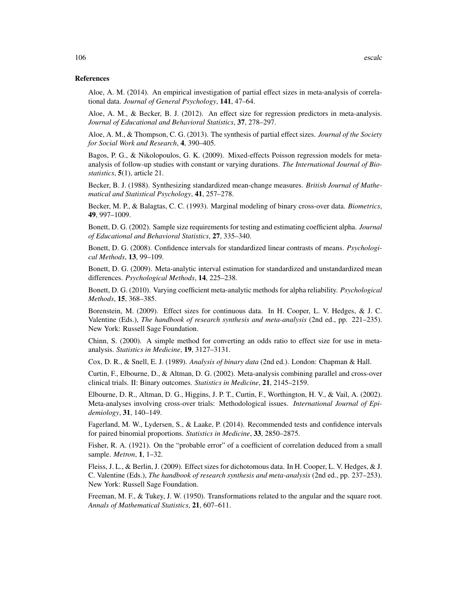## References

Aloe, A. M. (2014). An empirical investigation of partial effect sizes in meta-analysis of correlational data. *Journal of General Psychology*, 141, 47–64.

Aloe, A. M., & Becker, B. J. (2012). An effect size for regression predictors in meta-analysis. *Journal of Educational and Behavioral Statistics*, 37, 278–297.

Aloe, A. M., & Thompson, C. G. (2013). The synthesis of partial effect sizes. *Journal of the Society for Social Work and Research*, 4, 390–405.

Bagos, P. G., & Nikolopoulos, G. K. (2009). Mixed-effects Poisson regression models for metaanalysis of follow-up studies with constant or varying durations. *The International Journal of Biostatistics*, 5(1), article 21.

Becker, B. J. (1988). Synthesizing standardized mean-change measures. *British Journal of Mathematical and Statistical Psychology*, 41, 257–278.

Becker, M. P., & Balagtas, C. C. (1993). Marginal modeling of binary cross-over data. *Biometrics*, 49, 997–1009.

Bonett, D. G. (2002). Sample size requirements for testing and estimating coefficient alpha. *Journal of Educational and Behavioral Statistics*, 27, 335–340.

Bonett, D. G. (2008). Confidence intervals for standardized linear contrasts of means. *Psychological Methods*, 13, 99–109.

Bonett, D. G. (2009). Meta-analytic interval estimation for standardized and unstandardized mean differences. *Psychological Methods*, 14, 225–238.

Bonett, D. G. (2010). Varying coefficient meta-analytic methods for alpha reliability. *Psychological Methods*, 15, 368–385.

Borenstein, M. (2009). Effect sizes for continuous data. In H. Cooper, L. V. Hedges, & J. C. Valentine (Eds.), *The handbook of research synthesis and meta-analysis* (2nd ed., pp. 221–235). New York: Russell Sage Foundation.

Chinn, S. (2000). A simple method for converting an odds ratio to effect size for use in metaanalysis. *Statistics in Medicine*, 19, 3127–3131.

Cox, D. R., & Snell, E. J. (1989). *Analysis of binary data* (2nd ed.). London: Chapman & Hall.

Curtin, F., Elbourne, D., & Altman, D. G. (2002). Meta-analysis combining parallel and cross-over clinical trials. II: Binary outcomes. *Statistics in Medicine*, 21, 2145–2159.

Elbourne, D. R., Altman, D. G., Higgins, J. P. T., Curtin, F., Worthington, H. V., & Vail, A. (2002). Meta-analyses involving cross-over trials: Methodological issues. *International Journal of Epidemiology*, 31, 140–149.

Fagerland, M. W., Lydersen, S., & Laake, P. (2014). Recommended tests and confidence intervals for paired binomial proportions. *Statistics in Medicine*, 33, 2850–2875.

Fisher, R. A. (1921). On the "probable error" of a coefficient of correlation deduced from a small sample. *Metron*, 1, 1–32.

Fleiss, J. L., & Berlin, J. (2009). Effect sizes for dichotomous data. In H. Cooper, L. V. Hedges, & J. C. Valentine (Eds.), *The handbook of research synthesis and meta-analysis* (2nd ed., pp. 237–253). New York: Russell Sage Foundation.

Freeman, M. F., & Tukey, J. W. (1950). Transformations related to the angular and the square root. *Annals of Mathematical Statistics*, 21, 607–611.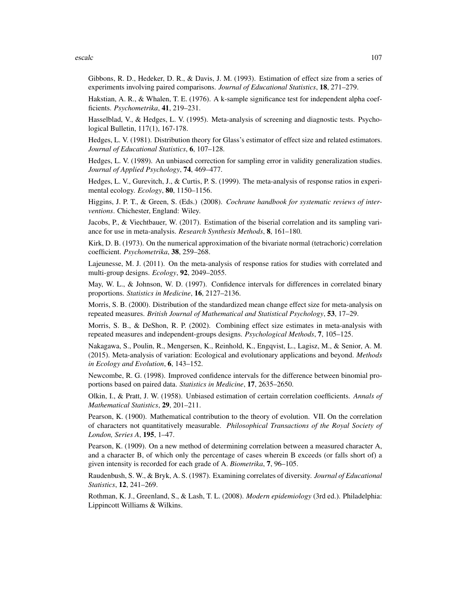escalc and the second of  $\sim$  107

Gibbons, R. D., Hedeker, D. R., & Davis, J. M. (1993). Estimation of effect size from a series of experiments involving paired comparisons. *Journal of Educational Statistics*, 18, 271–279.

Hakstian, A. R., & Whalen, T. E. (1976). A k-sample significance test for independent alpha coefficients. *Psychometrika*, 41, 219–231.

Hasselblad, V., & Hedges, L. V. (1995). Meta-analysis of screening and diagnostic tests. Psychological Bulletin, 117(1), 167-178.

Hedges, L. V. (1981). Distribution theory for Glass's estimator of effect size and related estimators. *Journal of Educational Statistics*, 6, 107–128.

Hedges, L. V. (1989). An unbiased correction for sampling error in validity generalization studies. *Journal of Applied Psychology*, 74, 469–477.

Hedges, L. V., Gurevitch, J., & Curtis, P. S. (1999). The meta-analysis of response ratios in experimental ecology. *Ecology*, 80, 1150–1156.

Higgins, J. P. T., & Green, S. (Eds.) (2008). *Cochrane handbook for systematic reviews of interventions*. Chichester, England: Wiley.

Jacobs, P., & Viechtbauer, W. (2017). Estimation of the biserial correlation and its sampling variance for use in meta-analysis. *Research Synthesis Methods*, 8, 161–180.

Kirk, D. B. (1973). On the numerical approximation of the bivariate normal (tetrachoric) correlation coefficient. *Psychometrika*, 38, 259–268.

Lajeunesse, M. J. (2011). On the meta-analysis of response ratios for studies with correlated and multi-group designs. *Ecology*, 92, 2049–2055.

May, W. L., & Johnson, W. D. (1997). Confidence intervals for differences in correlated binary proportions. *Statistics in Medicine*, 16, 2127–2136.

Morris, S. B. (2000). Distribution of the standardized mean change effect size for meta-analysis on repeated measures. *British Journal of Mathematical and Statistical Psychology*, 53, 17–29.

Morris, S. B., & DeShon, R. P. (2002). Combining effect size estimates in meta-analysis with repeated measures and independent-groups designs. *Psychological Methods*, 7, 105–125.

Nakagawa, S., Poulin, R., Mengersen, K., Reinhold, K., Engqvist, L., Lagisz, M., & Senior, A. M. (2015). Meta-analysis of variation: Ecological and evolutionary applications and beyond. *Methods in Ecology and Evolution*, 6, 143–152.

Newcombe, R. G. (1998). Improved confidence intervals for the difference between binomial proportions based on paired data. *Statistics in Medicine*, 17, 2635–2650.

Olkin, I., & Pratt, J. W. (1958). Unbiased estimation of certain correlation coefficients. *Annals of Mathematical Statistics*, 29, 201–211.

Pearson, K. (1900). Mathematical contribution to the theory of evolution. VII. On the correlation of characters not quantitatively measurable. *Philosophical Transactions of the Royal Society of London, Series A*, 195, 1–47.

Pearson, K. (1909). On a new method of determining correlation between a measured character A, and a character B, of which only the percentage of cases wherein B exceeds (or falls short of) a given intensity is recorded for each grade of A. *Biometrika*, 7, 96–105.

Raudenbush, S. W., & Bryk, A. S. (1987). Examining correlates of diversity. *Journal of Educational Statistics*, 12, 241–269.

Rothman, K. J., Greenland, S., & Lash, T. L. (2008). *Modern epidemiology* (3rd ed.). Philadelphia: Lippincott Williams & Wilkins.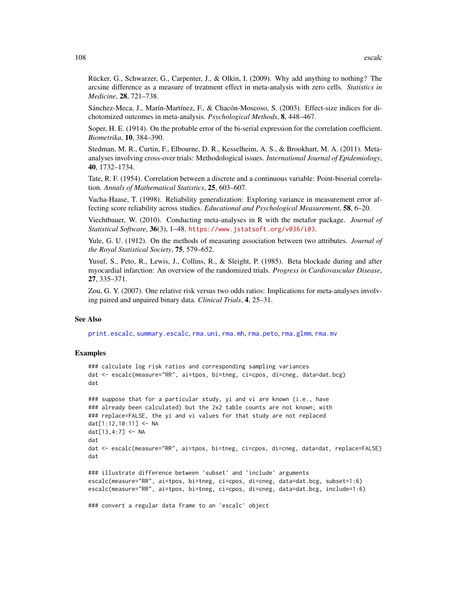Rücker, G., Schwarzer, G., Carpenter, J., & Olkin, I. (2009). Why add anything to nothing? The arcsine difference as a measure of treatment effect in meta-analysis with zero cells. *Statistics in Medicine*, 28, 721–738.

Sánchez-Meca, J., Marín-Martínez, F., & Chacón-Moscoso, S. (2003). Effect-size indices for dichotomized outcomes in meta-analysis. *Psychological Methods*, 8, 448–467.

Soper, H. E. (1914). On the probable error of the bi-serial expression for the correlation coefficient. *Biometrika*, 10, 384–390.

Stedman, M. R., Curtin, F., Elbourne, D. R., Kesselheim, A. S., & Brookhart, M. A. (2011). Metaanalyses involving cross-over trials: Methodological issues. *International Journal of Epidemiology*, 40, 1732–1734.

Tate, R. F. (1954). Correlation between a discrete and a continuous variable: Point-biserial correlation. *Annals of Mathematical Statistics*, 25, 603–607.

Vacha-Haase, T. (1998). Reliability generalization: Exploring variance in measurement error affecting score reliability across studies. *Educational and Psychological Measurement*, 58, 6–20.

Viechtbauer, W. (2010). Conducting meta-analyses in R with the metafor package. *Journal of Statistical Software*, 36(3), 1–48. <https://www.jstatsoft.org/v036/i03>.

Yule, G. U. (1912). On the methods of measuring association between two attributes. *Journal of the Royal Statistical Society*, 75, 579–652.

Yusuf, S., Peto, R., Lewis, J., Collins, R., & Sleight, P. (1985). Beta blockade during and after myocardial infarction: An overview of the randomized trials. *Progress in Cardiovascular Disease*, 27, 335–371.

Zou, G. Y. (2007). One relative risk versus two odds ratios: Implications for meta-analyses involving paired and unpaired binary data. *Clinical Trials*, 4, 25–31.

# See Also

[print.escalc](#page-171-0), [summary.escalc](#page-171-1), [rma.uni](#page-235-0), [rma.mh](#page-216-0), [rma.peto](#page-232-0), [rma.glmm](#page-208-0), [rma.mv](#page-220-0)

## Examples

```
### calculate log risk ratios and corresponding sampling variances
dat <- escalc(measure="RR", ai=tpos, bi=tneg, ci=cpos, di=cneg, data=dat.bcg)
dat
```

```
### suppose that for a particular study, yi and vi are known (i.e., have
### already been calculated) but the 2x2 table counts are not known; with
### replace=FALSE, the yi and vi values for that study are not replaced
dat[1:12,10:11] <- NA
dat[13,4:7] <- NA
dat
dat <- escalc(measure="RR", ai=tpos, bi=tneg, ci=cpos, di=cneg, data=dat, replace=FALSE)
dat
### illustrate difference between 'subset' and 'include' arguments
escalc(measure="RR", ai=tpos, bi=tneg, ci=cpos, di=cneg, data=dat.bcg, subset=1:6)
```

```
escalc(measure="RR", ai=tpos, bi=tneg, ci=cpos, di=cneg, data=dat.bcg, include=1:6)
```
### convert a regular data frame to an 'escalc' object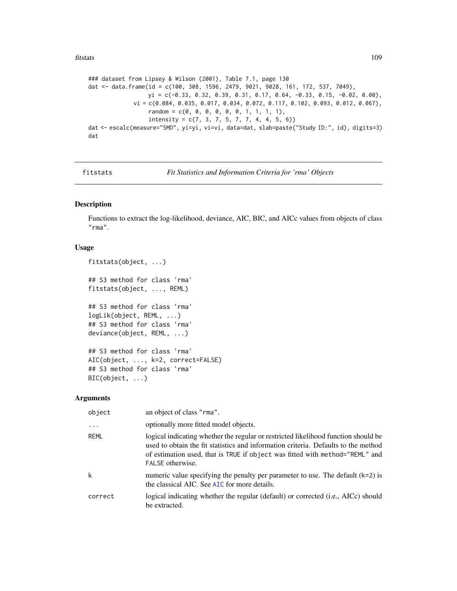#### fitstats 109

```
### dataset from Lipsey & Wilson (2001), Table 7.1, page 130
dat <- data.frame(id = c(100, 308, 1596, 2479, 9021, 9028, 161, 172, 537, 7049),
                  yi = c(-0.33, 0.32, 0.39, 0.31, 0.17, 0.64, -0.33, 0.15, -0.02, 0.00),vi = c(0.084, 0.035, 0.017, 0.034, 0.072, 0.117, 0.102, 0.093, 0.012, 0.067),random = c(0, 0, 0, 0, 0, 0, 1, 1, 1, 1),
                  intensity = c(7, 3, 7, 5, 7, 7, 4, 4, 5, 6)dat <- escalc(measure="SMD", yi=yi, vi=vi, data=dat, slab=paste("Study ID:", id), digits=3)
dat
```
fitstats *Fit Statistics and Information Criteria for 'rma' Objects*

# Description

Functions to extract the log-likelihood, deviance, AIC, BIC, and AICc values from objects of class "rma".

# Usage

```
fitstats(object, ...)
## S3 method for class 'rma'
fitstats(object, ..., REML)
## S3 method for class 'rma'
logLik(object, REML, ...)
## S3 method for class 'rma'
deviance(object, REML, ...)
## S3 method for class 'rma'
AIC(object, ..., k=2, correct=FALSE)
## S3 method for class 'rma'
BIC(object, ...)
```

| object  | an object of class "rma".                                                                                                                                                                                                                                                    |
|---------|------------------------------------------------------------------------------------------------------------------------------------------------------------------------------------------------------------------------------------------------------------------------------|
| .       | optionally more fitted model objects.                                                                                                                                                                                                                                        |
| REML    | logical indicating whether the regular or restricted likelihood function should be<br>used to obtain the fit statistics and information criteria. Defaults to the method<br>of estimation used, that is TRUE if object was fitted with method="REML" and<br>FALSE otherwise. |
| k       | numeric value specifying the penalty per parameter to use. The default $(k=2)$ is<br>the classical AIC. See AIC for more details.                                                                                                                                            |
| correct | logical indicating whether the regular (default) or corrected (i.e., AICc) should<br>be extracted.                                                                                                                                                                           |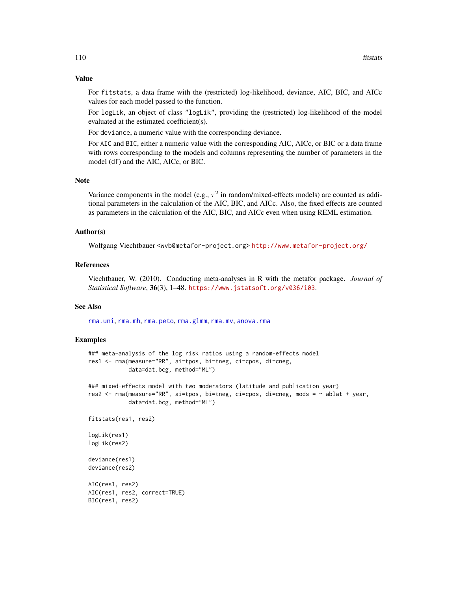For fitstats, a data frame with the (restricted) log-likelihood, deviance, AIC, BIC, and AICc values for each model passed to the function.

For logLik, an object of class "logLik", providing the (restricted) log-likelihood of the model evaluated at the estimated coefficient(s).

For deviance, a numeric value with the corresponding deviance.

For AIC and BIC, either a numeric value with the corresponding AIC, AICc, or BIC or a data frame with rows corresponding to the models and columns representing the number of parameters in the model (df) and the AIC, AICc, or BIC.

# Note

Variance components in the model (e.g.,  $\tau^2$  in random/mixed-effects models) are counted as additional parameters in the calculation of the AIC, BIC, and AICc. Also, the fixed effects are counted as parameters in the calculation of the AIC, BIC, and AICc even when using REML estimation.

#### Author(s)

Wolfgang Viechtbauer <wvb@metafor-project.org> <http://www.metafor-project.org/>

# **References**

Viechtbauer, W. (2010). Conducting meta-analyses in R with the metafor package. *Journal of Statistical Software*, 36(3), 1–48. <https://www.jstatsoft.org/v036/i03>.

# See Also

[rma.uni](#page-235-0), [rma.mh](#page-216-0), [rma.peto](#page-232-0), [rma.glmm](#page-208-0), [rma.mv](#page-220-0), [anova.rma](#page-14-0)

#### Examples

```
### meta-analysis of the log risk ratios using a random-effects model
res1 <- rma(measure="RR", ai=tpos, bi=tneg, ci=cpos, di=cneg,
            data=dat.bcg, method="ML")
### mixed-effects model with two moderators (latitude and publication year)
res2 <- rma(measure="RR", ai=tpos, bi=tneg, ci=cpos, di=cneg, mods = ~ ablat + year,
            data=dat.bcg, method="ML")
fitstats(res1, res2)
logLik(res1)
logLik(res2)
deviance(res1)
deviance(res2)
AIC(res1, res2)
AIC(res1, res2, correct=TRUE)
BIC(res1, res2)
```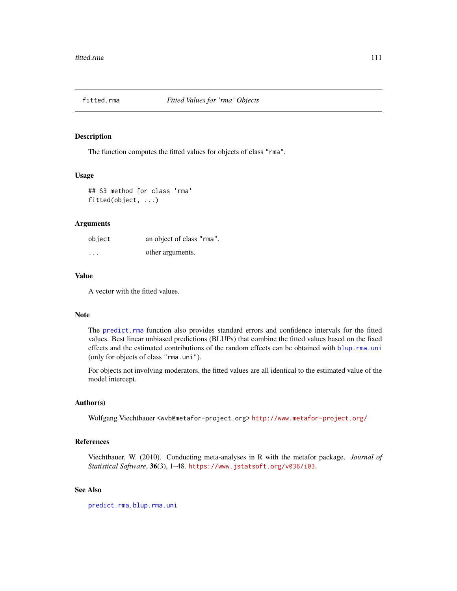# Description

The function computes the fitted values for objects of class "rma".

#### Usage

```
## S3 method for class 'rma'
fitted(object, ...)
```
# Arguments

| object   | an object of class "rma". |
|----------|---------------------------|
| $\cdots$ | other arguments.          |

# Value

A vector with the fitted values.

#### Note

The [predict.rma](#page-164-0) function also provides standard errors and confidence intervals for the fitted values. Best linear unbiased predictions (BLUPs) that combine the fitted values based on the fixed effects and the estimated contributions of the random effects can be obtained with [blup.rma.uni](#page-21-0) (only for objects of class "rma.uni").

For objects not involving moderators, the fitted values are all identical to the estimated value of the model intercept.

# Author(s)

Wolfgang Viechtbauer <wvb@metafor-project.org> <http://www.metafor-project.org/>

# References

Viechtbauer, W. (2010). Conducting meta-analyses in R with the metafor package. *Journal of Statistical Software*, 36(3), 1–48. <https://www.jstatsoft.org/v036/i03>.

# See Also

[predict.rma](#page-164-0), [blup.rma.uni](#page-21-0)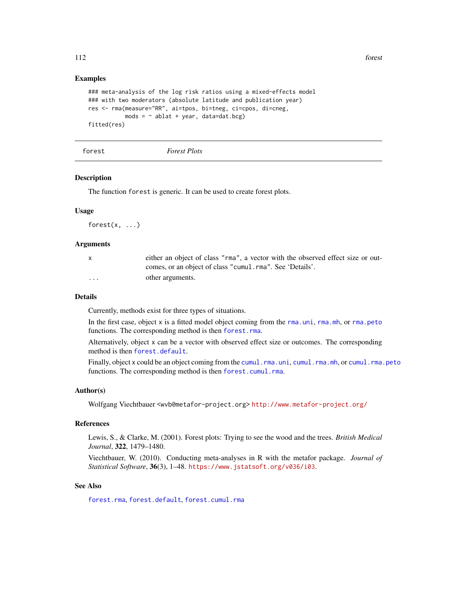## Examples

```
### meta-analysis of the log risk ratios using a mixed-effects model
### with two moderators (absolute latitude and publication year)
res <- rma(measure="RR", ai=tpos, bi=tneg, ci=cpos, di=cneg,
           mods = \sim ablat + year, data=dat.bcg)
fitted(res)
```
<span id="page-111-0"></span>forest *Forest Plots*

#### **Description**

The function forest is generic. It can be used to create forest plots.

#### Usage

 $forest(x, \ldots)$ 

#### **Arguments**

|                         | either an object of class "rma", a vector with the observed effect size or out- |
|-------------------------|---------------------------------------------------------------------------------|
|                         | comes, or an object of class "cumul.rma". See 'Details'.                        |
| $\cdot$ $\cdot$ $\cdot$ | other arguments.                                                                |

#### Details

Currently, methods exist for three types of situations.

In the first case, object x is a fitted model object coming from the [rma.uni](#page-235-0), [rma.mh](#page-216-0), or [rma.peto](#page-232-0) functions. The corresponding method is then [forest.rma](#page-119-0).

Alternatively, object x can be a vector with observed effect size or outcomes. The corresponding method is then [forest.default](#page-115-0).

Finally, object x could be an object coming from the [cumul.rma.uni](#page-32-0), [cumul.rma.mh](#page-32-0), or [cumul.rma.peto](#page-32-0) functions. The corresponding method is then [forest.cumul.rma](#page-112-0).

## Author(s)

Wolfgang Viechtbauer <wvb@metafor-project.org> <http://www.metafor-project.org/>

#### References

Lewis, S., & Clarke, M. (2001). Forest plots: Trying to see the wood and the trees. *British Medical Journal*, 322, 1479–1480.

Viechtbauer, W. (2010). Conducting meta-analyses in R with the metafor package. *Journal of Statistical Software*, 36(3), 1–48. <https://www.jstatsoft.org/v036/i03>.

#### See Also

[forest.rma](#page-119-0), [forest.default](#page-115-0), [forest.cumul.rma](#page-112-0)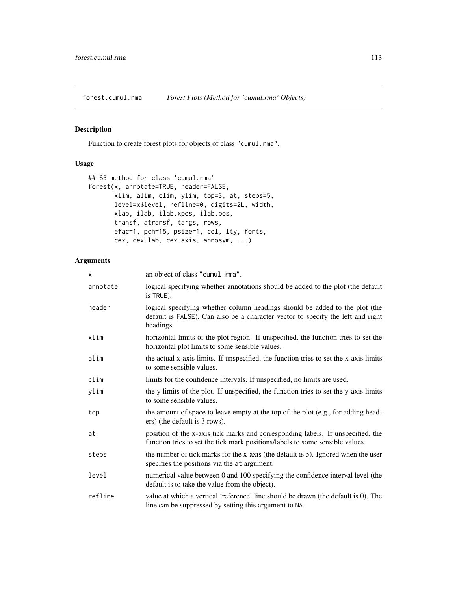<span id="page-112-0"></span>

# Description

Function to create forest plots for objects of class "cumul.rma".

# Usage

```
## S3 method for class 'cumul.rma'
forest(x, annotate=TRUE, header=FALSE,
       xlim, alim, clim, ylim, top=3, at, steps=5,
       level=x$level, refline=0, digits=2L, width,
       xlab, ilab, ilab.xpos, ilab.pos,
       transf, atransf, targs, rows,
       efac=1, pch=15, psize=1, col, lty, fonts,
       cex, cex.lab, cex.axis, annosym, ...)
```

| X        | an object of class "cumul.rma".                                                                                                                                             |
|----------|-----------------------------------------------------------------------------------------------------------------------------------------------------------------------------|
| annotate | logical specifying whether annotations should be added to the plot (the default<br>is TRUE).                                                                                |
| header   | logical specifying whether column headings should be added to the plot (the<br>default is FALSE). Can also be a character vector to specify the left and right<br>headings. |
| xlim     | horizontal limits of the plot region. If unspecified, the function tries to set the<br>horizontal plot limits to some sensible values.                                      |
| alim     | the actual x-axis limits. If unspecified, the function tries to set the x-axis limits<br>to some sensible values.                                                           |
| clim     | limits for the confidence intervals. If unspecified, no limits are used.                                                                                                    |
| ylim     | the y limits of the plot. If unspecified, the function tries to set the y-axis limits<br>to some sensible values.                                                           |
| top      | the amount of space to leave empty at the top of the plot (e.g., for adding head-<br>ers) (the default is 3 rows).                                                          |
| at       | position of the x-axis tick marks and corresponding labels. If unspecified, the<br>function tries to set the tick mark positions/labels to some sensible values.            |
| steps    | the number of tick marks for the x-axis (the default is 5). Ignored when the user<br>specifies the positions via the at argument.                                           |
| level    | numerical value between 0 and 100 specifying the confidence interval level (the<br>default is to take the value from the object).                                           |
| refline  | value at which a vertical 'reference' line should be drawn (the default is 0). The<br>line can be suppressed by setting this argument to NA.                                |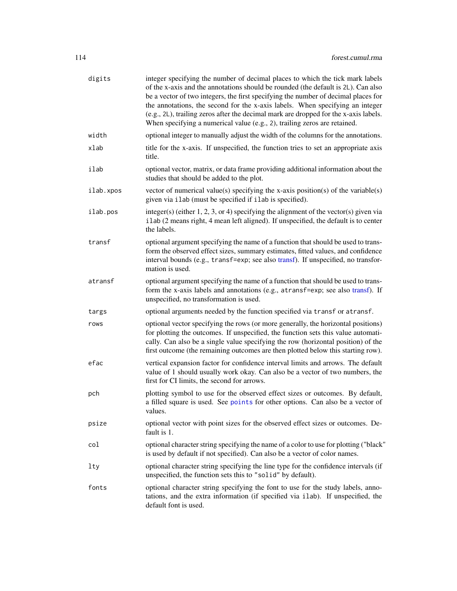| digits    | integer specifying the number of decimal places to which the tick mark labels<br>of the x-axis and the annotations should be rounded (the default is 2L). Can also<br>be a vector of two integers, the first specifying the number of decimal places for<br>the annotations, the second for the x-axis labels. When specifying an integer<br>(e.g., 2L), trailing zeros after the decimal mark are dropped for the x-axis labels.<br>When specifying a numerical value (e.g., 2), trailing zeros are retained. |
|-----------|----------------------------------------------------------------------------------------------------------------------------------------------------------------------------------------------------------------------------------------------------------------------------------------------------------------------------------------------------------------------------------------------------------------------------------------------------------------------------------------------------------------|
| width     | optional integer to manually adjust the width of the columns for the annotations.                                                                                                                                                                                                                                                                                                                                                                                                                              |
| xlab      | title for the x-axis. If unspecified, the function tries to set an appropriate axis<br>title.                                                                                                                                                                                                                                                                                                                                                                                                                  |
| ilab      | optional vector, matrix, or data frame providing additional information about the<br>studies that should be added to the plot.                                                                                                                                                                                                                                                                                                                                                                                 |
| ilab.xpos | vector of numerical value(s) specifying the x-axis position(s) of the variable(s)<br>given via ilab (must be specified if ilab is specified).                                                                                                                                                                                                                                                                                                                                                                  |
| ilab.pos  | integer(s) (either 1, 2, 3, or 4) specifying the alignment of the vector(s) given via<br>ilab (2 means right, 4 mean left aligned). If unspecified, the default is to center<br>the labels.                                                                                                                                                                                                                                                                                                                    |
| transf    | optional argument specifying the name of a function that should be used to trans-<br>form the observed effect sizes, summary estimates, fitted values, and confidence<br>interval bounds (e.g., transf=exp; see also transf). If unspecified, no transfor-<br>mation is used.                                                                                                                                                                                                                                  |
| atransf   | optional argument specifying the name of a function that should be used to trans-<br>form the x-axis labels and annotations (e.g., atransf=exp; see also transf). If<br>unspecified, no transformation is used.                                                                                                                                                                                                                                                                                                |
| targs     | optional arguments needed by the function specified via transf or atransf.                                                                                                                                                                                                                                                                                                                                                                                                                                     |
| rows      | optional vector specifying the rows (or more generally, the horizontal positions)<br>for plotting the outcomes. If unspecified, the function sets this value automati-<br>cally. Can also be a single value specifying the row (horizontal position) of the<br>first outcome (the remaining outcomes are then plotted below this starting row).                                                                                                                                                                |
| efac      | vertical expansion factor for confidence interval limits and arrows. The default<br>value of 1 should usually work okay. Can also be a vector of two numbers, the<br>first for CI limits, the second for arrows.                                                                                                                                                                                                                                                                                               |
| pch       | plotting symbol to use for the observed effect sizes or outcomes. By default,<br>a filled square is used. See points for other options. Can also be a vector of<br>values.                                                                                                                                                                                                                                                                                                                                     |
| psize     | optional vector with point sizes for the observed effect sizes or outcomes. De-<br>fault is 1.                                                                                                                                                                                                                                                                                                                                                                                                                 |
| col       | optional character string specifying the name of a color to use for plotting ("black"<br>is used by default if not specified). Can also be a vector of color names.                                                                                                                                                                                                                                                                                                                                            |
| lty       | optional character string specifying the line type for the confidence intervals (if<br>unspecified, the function sets this to "solid" by default).                                                                                                                                                                                                                                                                                                                                                             |
| fonts     | optional character string specifying the font to use for the study labels, anno-<br>tations, and the extra information (if specified via ilab). If unspecified, the<br>default font is used.                                                                                                                                                                                                                                                                                                                   |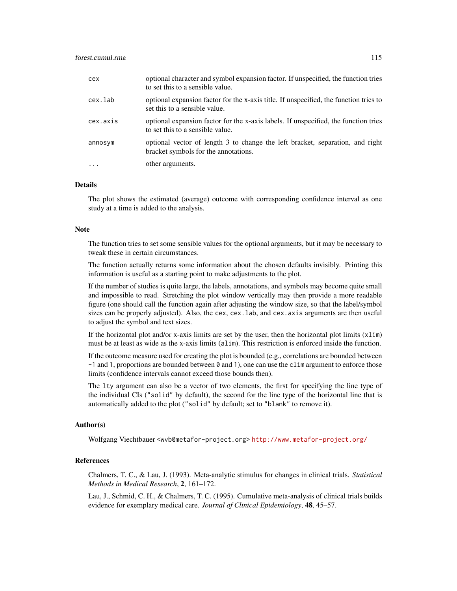| cex       | optional character and symbol expansion factor. If unspecified, the function tries<br>to set this to a sensible value.  |
|-----------|-------------------------------------------------------------------------------------------------------------------------|
| cex.lab   | optional expansion factor for the x-axis title. If unspecified, the function tries to<br>set this to a sensible value.  |
| cex.axis  | optional expansion factor for the x-axis labels. If unspecified, the function tries<br>to set this to a sensible value. |
| annosym   | optional vector of length 3 to change the left bracket, separation, and right<br>bracket symbols for the annotations.   |
| $\ddotsc$ | other arguments.                                                                                                        |

#### Details

The plot shows the estimated (average) outcome with corresponding confidence interval as one study at a time is added to the analysis.

# Note

The function tries to set some sensible values for the optional arguments, but it may be necessary to tweak these in certain circumstances.

The function actually returns some information about the chosen defaults invisibly. Printing this information is useful as a starting point to make adjustments to the plot.

If the number of studies is quite large, the labels, annotations, and symbols may become quite small and impossible to read. Stretching the plot window vertically may then provide a more readable figure (one should call the function again after adjusting the window size, so that the label/symbol sizes can be properly adjusted). Also, the cex, cex. lab, and cex. axis arguments are then useful to adjust the symbol and text sizes.

If the horizontal plot and/or x-axis limits are set by the user, then the horizontal plot limits (xlim) must be at least as wide as the x-axis limits (alim). This restriction is enforced inside the function.

If the outcome measure used for creating the plot is bounded (e.g., correlations are bounded between -1 and 1, proportions are bounded between 0 and 1), one can use the clim argument to enforce those limits (confidence intervals cannot exceed those bounds then).

The lty argument can also be a vector of two elements, the first for specifying the line type of the individual CIs ("solid" by default), the second for the line type of the horizontal line that is automatically added to the plot ("solid" by default; set to "blank" to remove it).

#### Author(s)

Wolfgang Viechtbauer <wvb@metafor-project.org> <http://www.metafor-project.org/>

# References

Chalmers, T. C., & Lau, J. (1993). Meta-analytic stimulus for changes in clinical trials. *Statistical Methods in Medical Research*, 2, 161–172.

Lau, J., Schmid, C. H., & Chalmers, T. C. (1995). Cumulative meta-analysis of clinical trials builds evidence for exemplary medical care. *Journal of Clinical Epidemiology*, 48, 45–57.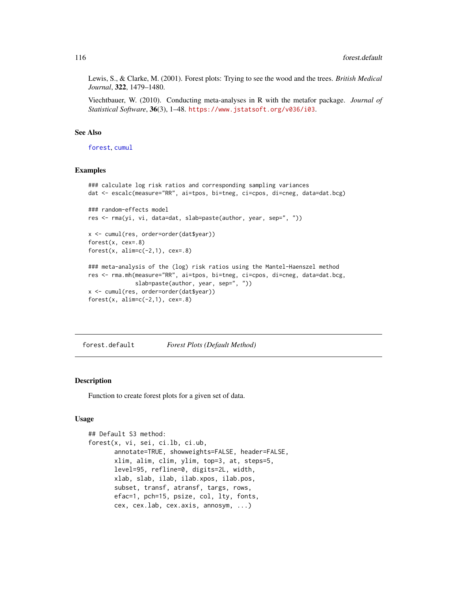Lewis, S., & Clarke, M. (2001). Forest plots: Trying to see the wood and the trees. *British Medical Journal*, 322, 1479–1480.

Viechtbauer, W. (2010). Conducting meta-analyses in R with the metafor package. *Journal of Statistical Software*, 36(3), 1–48. <https://www.jstatsoft.org/v036/i03>.

# See Also

[forest](#page-111-0), [cumul](#page-32-1)

# Examples

```
### calculate log risk ratios and corresponding sampling variances
dat <- escalc(measure="RR", ai=tpos, bi=tneg, ci=cpos, di=cneg, data=dat.bcg)
### random-effects model
res <- rma(yi, vi, data=dat, slab=paste(author, year, sep=", "))
x <- cumul(res, order=order(dat$year))
forest(x, cex=.8)
forest(x, alim=c(-2,1), cex=.8)
### meta-analysis of the (log) risk ratios using the Mantel-Haenszel method
res <- rma.mh(measure="RR", ai=tpos, bi=tneg, ci=cpos, di=cneg, data=dat.bcg,
              slab=paste(author, year, sep=", "))
x <- cumul(res, order=order(dat$year))
forest(x, alim=c(-2,1), cex=.8)
```
<span id="page-115-0"></span>forest.default *Forest Plots (Default Method)*

# **Description**

Function to create forest plots for a given set of data.

## Usage

```
## Default S3 method:
forest(x, vi, sei, ci.lb, ci.ub,
       annotate=TRUE, showweights=FALSE, header=FALSE,
       xlim, alim, clim, ylim, top=3, at, steps=5,
       level=95, refline=0, digits=2L, width,
       xlab, slab, ilab, ilab.xpos, ilab.pos,
       subset, transf, atransf, targs, rows,
       efac=1, pch=15, psize, col, lty, fonts,
       cex, cex.lab, cex.axis, annosym, ...)
```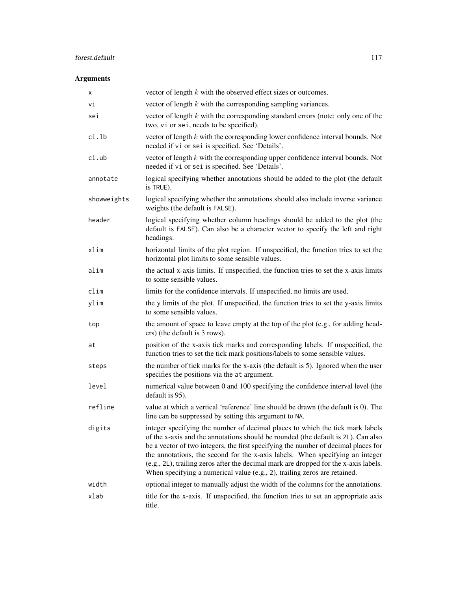# forest.default 117

| х           | vector of length $k$ with the observed effect sizes or outcomes.                                                                                                                                                                                                                                                                                                                                                                                                                                               |
|-------------|----------------------------------------------------------------------------------------------------------------------------------------------------------------------------------------------------------------------------------------------------------------------------------------------------------------------------------------------------------------------------------------------------------------------------------------------------------------------------------------------------------------|
| vi          | vector of length $k$ with the corresponding sampling variances.                                                                                                                                                                                                                                                                                                                                                                                                                                                |
| sei         | vector of length $k$ with the corresponding standard errors (note: only one of the<br>two, vi or sei, needs to be specified).                                                                                                                                                                                                                                                                                                                                                                                  |
| ci.lb       | vector of length $k$ with the corresponding lower confidence interval bounds. Not<br>needed if vi or sei is specified. See 'Details'.                                                                                                                                                                                                                                                                                                                                                                          |
| ci.ub       | vector of length $k$ with the corresponding upper confidence interval bounds. Not<br>needed if vi or sei is specified. See 'Details'.                                                                                                                                                                                                                                                                                                                                                                          |
| annotate    | logical specifying whether annotations should be added to the plot (the default<br>is TRUE).                                                                                                                                                                                                                                                                                                                                                                                                                   |
| showweights | logical specifying whether the annotations should also include inverse variance<br>weights (the default is FALSE).                                                                                                                                                                                                                                                                                                                                                                                             |
| header      | logical specifying whether column headings should be added to the plot (the<br>default is FALSE). Can also be a character vector to specify the left and right<br>headings.                                                                                                                                                                                                                                                                                                                                    |
| xlim        | horizontal limits of the plot region. If unspecified, the function tries to set the<br>horizontal plot limits to some sensible values.                                                                                                                                                                                                                                                                                                                                                                         |
| alim        | the actual x-axis limits. If unspecified, the function tries to set the x-axis limits<br>to some sensible values.                                                                                                                                                                                                                                                                                                                                                                                              |
| clim        | limits for the confidence intervals. If unspecified, no limits are used.                                                                                                                                                                                                                                                                                                                                                                                                                                       |
| ylim        | the y limits of the plot. If unspecified, the function tries to set the y-axis limits<br>to some sensible values.                                                                                                                                                                                                                                                                                                                                                                                              |
| top         | the amount of space to leave empty at the top of the plot (e.g., for adding head-<br>ers) (the default is 3 rows).                                                                                                                                                                                                                                                                                                                                                                                             |
| at          | position of the x-axis tick marks and corresponding labels. If unspecified, the<br>function tries to set the tick mark positions/labels to some sensible values.                                                                                                                                                                                                                                                                                                                                               |
| steps       | the number of tick marks for the x-axis (the default is 5). Ignored when the user<br>specifies the positions via the at argument.                                                                                                                                                                                                                                                                                                                                                                              |
| level       | numerical value between 0 and 100 specifying the confidence interval level (the<br>default is 95).                                                                                                                                                                                                                                                                                                                                                                                                             |
| refline     | value at which a vertical 'reference' line should be drawn (the default is 0). The<br>line can be suppressed by setting this argument to NA.                                                                                                                                                                                                                                                                                                                                                                   |
| digits      | integer specifying the number of decimal places to which the tick mark labels<br>of the x-axis and the annotations should be rounded (the default is 2L). Can also<br>be a vector of two integers, the first specifying the number of decimal places for<br>the annotations, the second for the x-axis labels. When specifying an integer<br>(e.g., 2L), trailing zeros after the decimal mark are dropped for the x-axis labels.<br>When specifying a numerical value (e.g., 2), trailing zeros are retained. |
| width       | optional integer to manually adjust the width of the columns for the annotations.                                                                                                                                                                                                                                                                                                                                                                                                                              |
| xlab        | title for the x-axis. If unspecified, the function tries to set an appropriate axis<br>title.                                                                                                                                                                                                                                                                                                                                                                                                                  |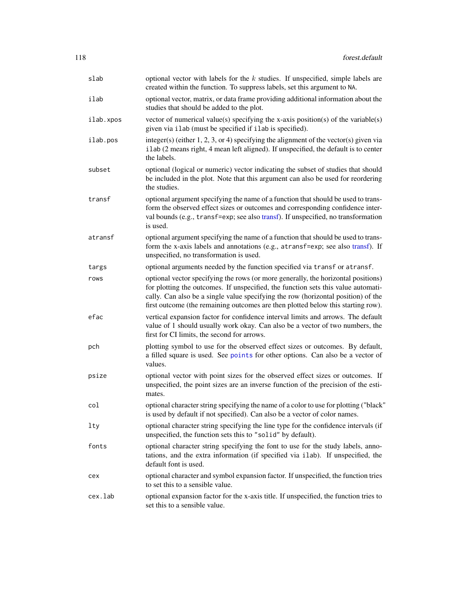| slab      | optional vector with labels for the $k$ studies. If unspecified, simple labels are<br>created within the function. To suppress labels, set this argument to NA.                                                                                                                                                                                 |
|-----------|-------------------------------------------------------------------------------------------------------------------------------------------------------------------------------------------------------------------------------------------------------------------------------------------------------------------------------------------------|
| ilab      | optional vector, matrix, or data frame providing additional information about the<br>studies that should be added to the plot.                                                                                                                                                                                                                  |
| ilab.xpos | vector of numerical value(s) specifying the x-axis position(s) of the variable(s)<br>given via ilab (must be specified if ilab is specified).                                                                                                                                                                                                   |
| ilab.pos  | integer(s) (either 1, 2, 3, or 4) specifying the alignment of the vector(s) given via<br>ilab (2 means right, 4 mean left aligned). If unspecified, the default is to center<br>the labels.                                                                                                                                                     |
| subset    | optional (logical or numeric) vector indicating the subset of studies that should<br>be included in the plot. Note that this argument can also be used for reordering<br>the studies.                                                                                                                                                           |
| transf    | optional argument specifying the name of a function that should be used to trans-<br>form the observed effect sizes or outcomes and corresponding confidence inter-<br>val bounds (e.g., transf=exp; see also transf). If unspecified, no transformation<br>is used.                                                                            |
| atransf   | optional argument specifying the name of a function that should be used to trans-<br>form the x-axis labels and annotations (e.g., atransf=exp; see also transf). If<br>unspecified, no transformation is used.                                                                                                                                 |
| targs     | optional arguments needed by the function specified via transf or atransf.                                                                                                                                                                                                                                                                      |
| rows      | optional vector specifying the rows (or more generally, the horizontal positions)<br>for plotting the outcomes. If unspecified, the function sets this value automati-<br>cally. Can also be a single value specifying the row (horizontal position) of the<br>first outcome (the remaining outcomes are then plotted below this starting row). |
| efac      | vertical expansion factor for confidence interval limits and arrows. The default<br>value of 1 should usually work okay. Can also be a vector of two numbers, the<br>first for CI limits, the second for arrows.                                                                                                                                |
| pch       | plotting symbol to use for the observed effect sizes or outcomes. By default,<br>a filled square is used. See points for other options. Can also be a vector of<br>values.                                                                                                                                                                      |
| psize     | optional vector with point sizes for the observed effect sizes or outcomes. If<br>unspecified, the point sizes are an inverse function of the precision of the esti-<br>mates.                                                                                                                                                                  |
| col       | optional character string specifying the name of a color to use for plotting ("black"<br>is used by default if not specified). Can also be a vector of color names.                                                                                                                                                                             |
| lty       | optional character string specifying the line type for the confidence intervals (if<br>unspecified, the function sets this to "solid" by default).                                                                                                                                                                                              |
| fonts     | optional character string specifying the font to use for the study labels, anno-<br>tations, and the extra information (if specified via ilab). If unspecified, the<br>default font is used.                                                                                                                                                    |
| cex       | optional character and symbol expansion factor. If unspecified, the function tries<br>to set this to a sensible value.                                                                                                                                                                                                                          |
| cex.lab   | optional expansion factor for the x-axis title. If unspecified, the function tries to<br>set this to a sensible value.                                                                                                                                                                                                                          |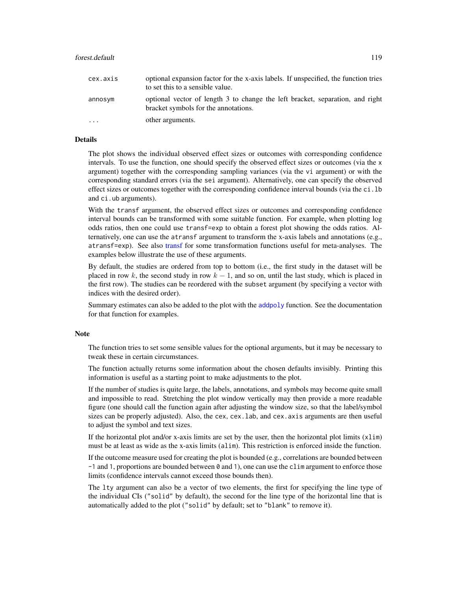| cex.axis  | optional expansion factor for the x-axis labels. If unspecified, the function tries<br>to set this to a sensible value. |
|-----------|-------------------------------------------------------------------------------------------------------------------------|
| annosym   | optional vector of length 3 to change the left bracket, separation, and right<br>bracket symbols for the annotations.   |
| $\ddotsc$ | other arguments.                                                                                                        |

# Details

The plot shows the individual observed effect sizes or outcomes with corresponding confidence intervals. To use the function, one should specify the observed effect sizes or outcomes (via the x argument) together with the corresponding sampling variances (via the vi argument) or with the corresponding standard errors (via the sei argument). Alternatively, one can specify the observed effect sizes or outcomes together with the corresponding confidence interval bounds (via the ci.lb and ci.ub arguments).

With the transf argument, the observed effect sizes or outcomes and corresponding confidence interval bounds can be transformed with some suitable function. For example, when plotting log odds ratios, then one could use transf=exp to obtain a forest plot showing the odds ratios. Alternatively, one can use the atransf argument to transform the x-axis labels and annotations (e.g., atransf=exp). See also [transf](#page-258-0) for some transformation functions useful for meta-analyses. The examples below illustrate the use of these arguments.

By default, the studies are ordered from top to bottom (i.e., the first study in the dataset will be placed in row k, the second study in row  $k - 1$ , and so on, until the last study, which is placed in the first row). The studies can be reordered with the subset argument (by specifying a vector with indices with the desired order).

Summary estimates can also be added to the plot with the [addpoly](#page-9-0) function. See the documentation for that function for examples.

## Note

The function tries to set some sensible values for the optional arguments, but it may be necessary to tweak these in certain circumstances.

The function actually returns some information about the chosen defaults invisibly. Printing this information is useful as a starting point to make adjustments to the plot.

If the number of studies is quite large, the labels, annotations, and symbols may become quite small and impossible to read. Stretching the plot window vertically may then provide a more readable figure (one should call the function again after adjusting the window size, so that the label/symbol sizes can be properly adjusted). Also, the cex, cex.lab, and cex.axis arguments are then useful to adjust the symbol and text sizes.

If the horizontal plot and/or x-axis limits are set by the user, then the horizontal plot limits (xlim) must be at least as wide as the x-axis limits (alim). This restriction is enforced inside the function.

If the outcome measure used for creating the plot is bounded (e.g., correlations are bounded between  $-1$  and 1, proportions are bounded between 0 and 1), one can use the clim argument to enforce those limits (confidence intervals cannot exceed those bounds then).

The lty argument can also be a vector of two elements, the first for specifying the line type of the individual CIs ("solid" by default), the second for the line type of the horizontal line that is automatically added to the plot ("solid" by default; set to "blank" to remove it).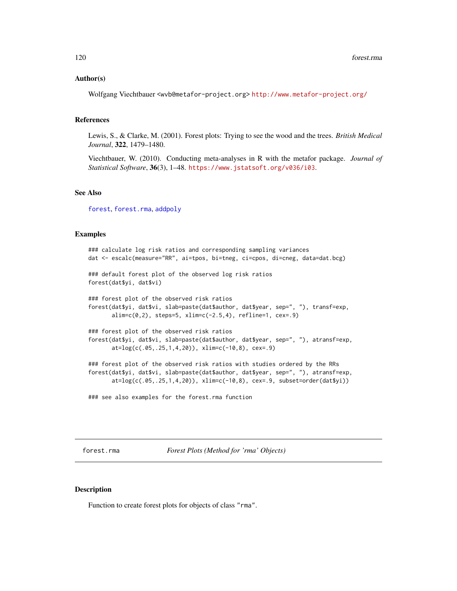### Author(s)

Wolfgang Viechtbauer <wvb@metafor-project.org> <http://www.metafor-project.org/>

#### References

Lewis, S., & Clarke, M. (2001). Forest plots: Trying to see the wood and the trees. *British Medical Journal*, 322, 1479–1480.

Viechtbauer, W. (2010). Conducting meta-analyses in R with the metafor package. *Journal of Statistical Software*, 36(3), 1–48. <https://www.jstatsoft.org/v036/i03>.

#### See Also

[forest](#page-111-0), [forest.rma](#page-119-0), [addpoly](#page-9-0)

## Examples

```
### calculate log risk ratios and corresponding sampling variances
dat <- escalc(measure="RR", ai=tpos, bi=tneg, ci=cpos, di=cneg, data=dat.bcg)
### default forest plot of the observed log risk ratios
forest(dat$yi, dat$vi)
### forest plot of the observed risk ratios
forest(dat$yi, dat$vi, slab=paste(dat$author, dat$year, sep=", "), transf=exp,
      alim=c(0,2), steps=5, xlim=c(-2.5,4), refline=1, cex=.9)
### forest plot of the observed risk ratios
forest(dat$yi, dat$vi, slab=paste(dat$author, dat$year, sep=", "), atransf=exp,
      at=log(c(.05,.25,1,4,20)), xlim=c(-10,8), cex=.9)
### forest plot of the observed risk ratios with studies ordered by the RRs
forest(dat$yi, dat$vi, slab=paste(dat$author, dat$year, sep=", "), atransf=exp,
      at=log(c(.05,.25,1,4,20)), xlim=c(-10,8), cex=.9, subset=order(dat$yi))
```
### see also examples for the forest.rma function

<span id="page-119-0"></span>forest.rma *Forest Plots (Method for 'rma' Objects)*

### Description

Function to create forest plots for objects of class "rma".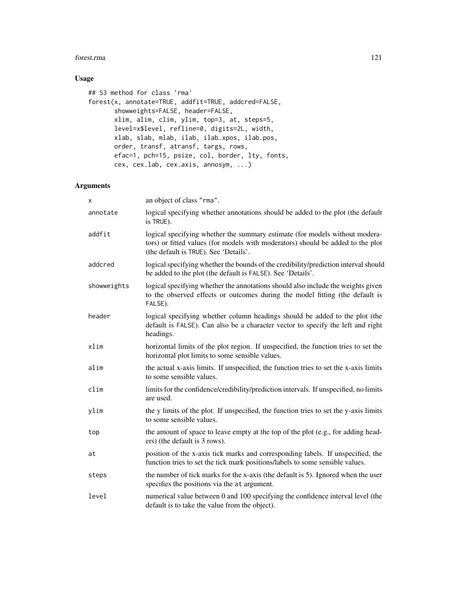#### forest.rma 121

# Usage

```
## S3 method for class 'rma'
forest(x, annotate=TRUE, addfit=TRUE, addcred=FALSE,
       showweights=FALSE, header=FALSE,
       xlim, alim, clim, ylim, top=3, at, steps=5,
       level=x$level, refline=0, digits=2L, width,
       xlab, slab, mlab, ilab, ilab.xpos, ilab.pos,
       order, transf, atransf, targs, rows,
       efac=1, pch=15, psize, col, border, lty, fonts,
       cex, cex.lab, cex.axis, annosym, ...)
```

| x           | an object of class "rma".                                                                                                                                                                               |
|-------------|---------------------------------------------------------------------------------------------------------------------------------------------------------------------------------------------------------|
| annotate    | logical specifying whether annotations should be added to the plot (the default<br>is TRUE).                                                                                                            |
| addfit      | logical specifying whether the summary estimate (for models without modera-<br>tors) or fitted values (for models with moderators) should be added to the plot<br>(the default is TRUE). See 'Details'. |
| addcred     | logical specifying whether the bounds of the credibility/prediction interval should<br>be added to the plot (the default is FALSE). See 'Details'.                                                      |
| showweights | logical specifying whether the annotations should also include the weights given<br>to the observed effects or outcomes during the model fitting (the default is<br>FALSE).                             |
| header      | logical specifying whether column headings should be added to the plot (the<br>default is FALSE). Can also be a character vector to specify the left and right<br>headings.                             |
| xlim        | horizontal limits of the plot region. If unspecified, the function tries to set the<br>horizontal plot limits to some sensible values.                                                                  |
| alim        | the actual x-axis limits. If unspecified, the function tries to set the x-axis limits<br>to some sensible values.                                                                                       |
| clim        | limits for the confidence/credibility/prediction intervals. If unspecified, no limits<br>are used.                                                                                                      |
| ylim        | the y limits of the plot. If unspecified, the function tries to set the y-axis limits<br>to some sensible values.                                                                                       |
| top         | the amount of space to leave empty at the top of the plot (e.g., for adding head-<br>ers) (the default is 3 rows).                                                                                      |
| at          | position of the x-axis tick marks and corresponding labels. If unspecified, the<br>function tries to set the tick mark positions/labels to some sensible values.                                        |
| steps       | the number of tick marks for the x-axis (the default is 5). Ignored when the user<br>specifies the positions via the at argument.                                                                       |
| level       | numerical value between 0 and 100 specifying the confidence interval level (the<br>default is to take the value from the object).                                                                       |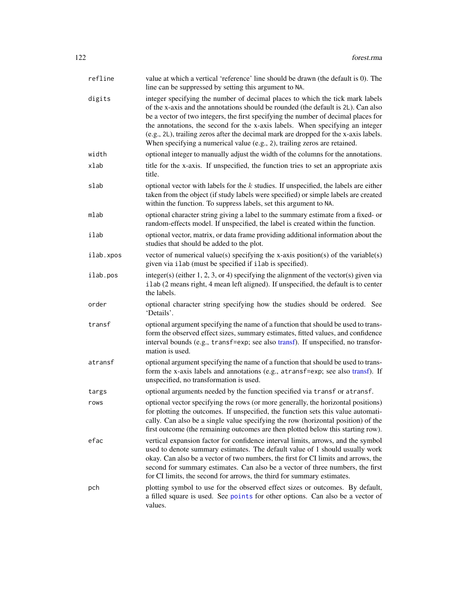| refline   | value at which a vertical 'reference' line should be drawn (the default is 0). The<br>line can be suppressed by setting this argument to NA.                                                                                                                                                                                                                                                                                                                                                                   |
|-----------|----------------------------------------------------------------------------------------------------------------------------------------------------------------------------------------------------------------------------------------------------------------------------------------------------------------------------------------------------------------------------------------------------------------------------------------------------------------------------------------------------------------|
| digits    | integer specifying the number of decimal places to which the tick mark labels<br>of the x-axis and the annotations should be rounded (the default is 2L). Can also<br>be a vector of two integers, the first specifying the number of decimal places for<br>the annotations, the second for the x-axis labels. When specifying an integer<br>(e.g., 2L), trailing zeros after the decimal mark are dropped for the x-axis labels.<br>When specifying a numerical value (e.g., 2), trailing zeros are retained. |
| width     | optional integer to manually adjust the width of the columns for the annotations.                                                                                                                                                                                                                                                                                                                                                                                                                              |
| xlab      | title for the x-axis. If unspecified, the function tries to set an appropriate axis<br>title.                                                                                                                                                                                                                                                                                                                                                                                                                  |
| slab      | optional vector with labels for the $k$ studies. If unspecified, the labels are either<br>taken from the object (if study labels were specified) or simple labels are created<br>within the function. To suppress labels, set this argument to NA.                                                                                                                                                                                                                                                             |
| mlab      | optional character string giving a label to the summary estimate from a fixed- or<br>random-effects model. If unspecified, the label is created within the function.                                                                                                                                                                                                                                                                                                                                           |
| ilab      | optional vector, matrix, or data frame providing additional information about the<br>studies that should be added to the plot.                                                                                                                                                                                                                                                                                                                                                                                 |
| ilab.xpos | vector of numerical value(s) specifying the x-axis position(s) of the variable(s)<br>given via ilab (must be specified if ilab is specified).                                                                                                                                                                                                                                                                                                                                                                  |
| ilab.pos  | integer(s) (either $1, 2, 3$ , or 4) specifying the alignment of the vector(s) given via<br>ilab (2 means right, 4 mean left aligned). If unspecified, the default is to center<br>the labels.                                                                                                                                                                                                                                                                                                                 |
| order     | optional character string specifying how the studies should be ordered. See<br>'Details'.                                                                                                                                                                                                                                                                                                                                                                                                                      |
| transf    | optional argument specifying the name of a function that should be used to trans-<br>form the observed effect sizes, summary estimates, fitted values, and confidence<br>interval bounds (e.g., transf=exp; see also transf). If unspecified, no transfor-<br>mation is used.                                                                                                                                                                                                                                  |
| atransf   | optional argument specifying the name of a function that should be used to trans-<br>form the x-axis labels and annotations (e.g., atransf=exp; see also transf). If<br>unspecified, no transformation is used.                                                                                                                                                                                                                                                                                                |
| targs     | optional arguments needed by the function specified via transf or atransf.                                                                                                                                                                                                                                                                                                                                                                                                                                     |
| rows      | optional vector specifying the rows (or more generally, the horizontal positions)<br>for plotting the outcomes. If unspecified, the function sets this value automati-<br>cally. Can also be a single value specifying the row (horizontal position) of the<br>first outcome (the remaining outcomes are then plotted below this starting row).                                                                                                                                                                |
| efac      | vertical expansion factor for confidence interval limits, arrows, and the symbol<br>used to denote summary estimates. The default value of 1 should usually work<br>okay. Can also be a vector of two numbers, the first for CI limits and arrows, the<br>second for summary estimates. Can also be a vector of three numbers, the first<br>for CI limits, the second for arrows, the third for summary estimates.                                                                                             |
| pch       | plotting symbol to use for the observed effect sizes or outcomes. By default,<br>a filled square is used. See points for other options. Can also be a vector of<br>values.                                                                                                                                                                                                                                                                                                                                     |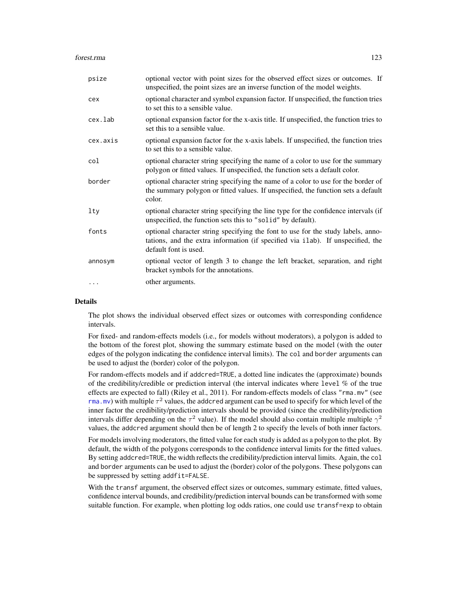| psize    | optional vector with point sizes for the observed effect sizes or outcomes. If<br>unspecified, the point sizes are an inverse function of the model weights.                                 |
|----------|----------------------------------------------------------------------------------------------------------------------------------------------------------------------------------------------|
| cex      | optional character and symbol expansion factor. If unspecified, the function tries<br>to set this to a sensible value.                                                                       |
| cex.lab  | optional expansion factor for the x-axis title. If unspecified, the function tries to<br>set this to a sensible value.                                                                       |
| cex.axis | optional expansion factor for the x-axis labels. If unspecified, the function tries<br>to set this to a sensible value.                                                                      |
| col      | optional character string specifying the name of a color to use for the summary<br>polygon or fitted values. If unspecified, the function sets a default color.                              |
| border   | optional character string specifying the name of a color to use for the border of<br>the summary polygon or fitted values. If unspecified, the function sets a default<br>color.             |
| $1$ ty   | optional character string specifying the line type for the confidence intervals (if<br>unspecified, the function sets this to "solid" by default).                                           |
| fonts    | optional character string specifying the font to use for the study labels, anno-<br>tations, and the extra information (if specified via ilab). If unspecified, the<br>default font is used. |
| annosym  | optional vector of length 3 to change the left bracket, separation, and right<br>bracket symbols for the annotations.                                                                        |
|          | other arguments.                                                                                                                                                                             |

# Details

The plot shows the individual observed effect sizes or outcomes with corresponding confidence intervals.

For fixed- and random-effects models (i.e., for models without moderators), a polygon is added to the bottom of the forest plot, showing the summary estimate based on the model (with the outer edges of the polygon indicating the confidence interval limits). The col and border arguments can be used to adjust the (border) color of the polygon.

For random-effects models and if addcred=TRUE, a dotted line indicates the (approximate) bounds of the credibility/credible or prediction interval (the interval indicates where level % of the true effects are expected to fall) (Riley et al., 2011). For random-effects models of class "rma.mv" (see [rma.mv](#page-220-0)) with multiple  $\tau^2$  values, the addcred argument can be used to specify for which level of the inner factor the credibility/prediction intervals should be provided (since the credibility/prediction intervals differ depending on the  $\tau^2$  value). If the model should also contain multiple multiple  $\gamma^2$ values, the addcred argument should then be of length 2 to specify the levels of both inner factors.

For models involving moderators, the fitted value for each study is added as a polygon to the plot. By default, the width of the polygons corresponds to the confidence interval limits for the fitted values. By setting addcred=TRUE, the width reflects the credibility/prediction interval limits. Again, the col and border arguments can be used to adjust the (border) color of the polygons. These polygons can be suppressed by setting addfit=FALSE.

With the transf argument, the observed effect sizes or outcomes, summary estimate, fitted values, confidence interval bounds, and credibility/prediction interval bounds can be transformed with some suitable function. For example, when plotting log odds ratios, one could use transf=exp to obtain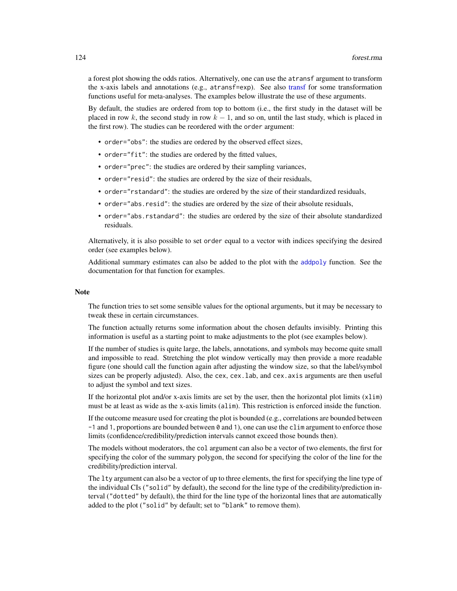a forest plot showing the odds ratios. Alternatively, one can use the atransf argument to transform the x-axis labels and annotations (e.g., atransf=exp). See also [transf](#page-258-0) for some transformation functions useful for meta-analyses. The examples below illustrate the use of these arguments.

By default, the studies are ordered from top to bottom (i.e., the first study in the dataset will be placed in row k, the second study in row  $k - 1$ , and so on, until the last study, which is placed in the first row). The studies can be reordered with the order argument:

- order="obs": the studies are ordered by the observed effect sizes,
- order="fit": the studies are ordered by the fitted values,
- order="prec": the studies are ordered by their sampling variances,
- order="resid": the studies are ordered by the size of their residuals,
- order="rstandard": the studies are ordered by the size of their standardized residuals,
- order="abs.resid": the studies are ordered by the size of their absolute residuals,
- order="abs.rstandard": the studies are ordered by the size of their absolute standardized residuals.

Alternatively, it is also possible to set order equal to a vector with indices specifying the desired order (see examples below).

Additional summary estimates can also be added to the plot with the [addpoly](#page-9-0) function. See the documentation for that function for examples.

#### **Note**

The function tries to set some sensible values for the optional arguments, but it may be necessary to tweak these in certain circumstances.

The function actually returns some information about the chosen defaults invisibly. Printing this information is useful as a starting point to make adjustments to the plot (see examples below).

If the number of studies is quite large, the labels, annotations, and symbols may become quite small and impossible to read. Stretching the plot window vertically may then provide a more readable figure (one should call the function again after adjusting the window size, so that the label/symbol sizes can be properly adjusted). Also, the cex, cex.lab, and cex. axis arguments are then useful to adjust the symbol and text sizes.

If the horizontal plot and/or x-axis limits are set by the user, then the horizontal plot limits (xlim) must be at least as wide as the x-axis limits (alim). This restriction is enforced inside the function.

If the outcome measure used for creating the plot is bounded (e.g., correlations are bounded between  $-1$  and 1, proportions are bounded between 0 and 1), one can use the clim argument to enforce those limits (confidence/credibility/prediction intervals cannot exceed those bounds then).

The models without moderators, the col argument can also be a vector of two elements, the first for specifying the color of the summary polygon, the second for specifying the color of the line for the credibility/prediction interval.

The lty argument can also be a vector of up to three elements, the first for specifying the line type of the individual CIs ("solid" by default), the second for the line type of the credibility/prediction interval ("dotted" by default), the third for the line type of the horizontal lines that are automatically added to the plot ("solid" by default; set to "blank" to remove them).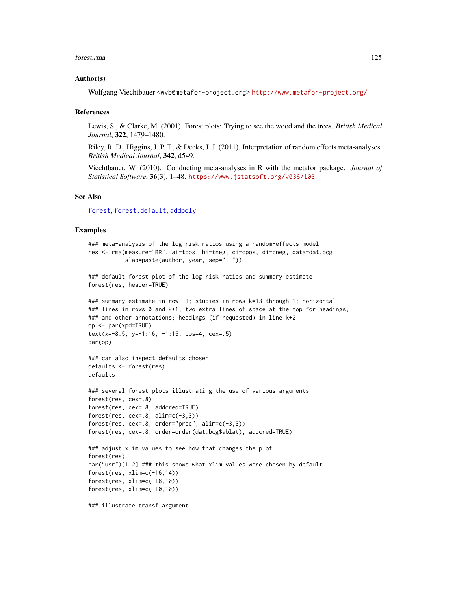#### forest.rma 125

## Author(s)

Wolfgang Viechtbauer <wvb@metafor-project.org> <http://www.metafor-project.org/>

#### References

Lewis, S., & Clarke, M. (2001). Forest plots: Trying to see the wood and the trees. *British Medical Journal*, 322, 1479–1480.

Riley, R. D., Higgins, J. P. T., & Deeks, J. J. (2011). Interpretation of random effects meta-analyses. *British Medical Journal*, 342, d549.

Viechtbauer, W. (2010). Conducting meta-analyses in R with the metafor package. *Journal of Statistical Software*, 36(3), 1–48. <https://www.jstatsoft.org/v036/i03>.

## See Also

[forest](#page-111-0), [forest.default](#page-115-0), [addpoly](#page-9-0)

### Examples

```
### meta-analysis of the log risk ratios using a random-effects model
res <- rma(measure="RR", ai=tpos, bi=tneg, ci=cpos, di=cneg, data=dat.bcg,
           slab=paste(author, year, sep=", "))
### default forest plot of the log risk ratios and summary estimate
forest(res, header=TRUE)
### summary estimate in row -1; studies in rows k=13 through 1; horizontal
### lines in rows 0 and k+1; two extra lines of space at the top for headings,
### and other annotations; headings (if requested) in line k+2
op <- par(xpd=TRUE)
text(x=-8.5, y=-1:16, -1:16, pos=4, cex=.5)
par(op)
### can also inspect defaults chosen
defaults <- forest(res)
defaults
### several forest plots illustrating the use of various arguments
forest(res, cex=.8)
forest(res, cex=.8, addcred=TRUE)
forest(res, cex=.8, alim=c(-3,3))
forest(res, cex=.8, order="prec", alim=c(-3,3))
forest(res, cex=.8, order=order(dat.bcg$ablat), addcred=TRUE)
### adjust xlim values to see how that changes the plot
forest(res)
par("usr")[1:2] ### this shows what xlim values were chosen by default
forest(res, xlim=c(-16,14))
forest(res, xlim=c(-18,10))
forest(res, xlim=c(-10,10))
```
### illustrate transf argument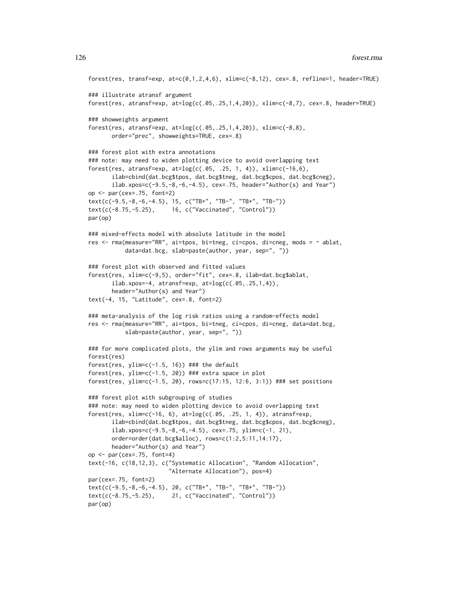```
forest(res, transf=exp, at=c(0,1,2,4,6), xlim=c(-8,12), cex=.8, refline=1, header=TRUE)
### illustrate atransf argument
forest(res, atransf=exp, at=log(c(.05,.25,1,4,20)), xlim=c(-8,7), cex=.8, header=TRUE)
### showweights argument
forest(res, atransf=exp, at=log(c(.05,.25,1,4,20)), xlim=c(-8,8),
      order="prec", showweights=TRUE, cex=.8)
### forest plot with extra annotations
### note: may need to widen plotting device to avoid overlapping text
forest(res, atransf=exp, at=log(c(.05, .25, 1, 4)), xlim=c(-16,6),
       ilab=cbind(dat.bcg$tpos, dat.bcg$tneg, dat.bcg$cpos, dat.bcg$cneg),
      ilab.xpos=c(-9.5,-8,-6,-4.5), cex=.75, header="Author(s) and Year")
op <- par(cex=.75, font=2)
text(c(-9.5,-8,-6,-4.5), 15, c("TB+", "TB-", "TB+", "TB-"))
text(c(-8.75,-5.25), 16, c("Vaccinated", "Control"))
par(op)
### mixed-effects model with absolute latitude in the model
res <- rma(measure="RR", ai=tpos, bi=tneg, ci=cpos, di=cneg, mods = ~ ablat,
          data=dat.bcg, slab=paste(author, year, sep=", "))
### forest plot with observed and fitted values
forest(res, xlim=c(-9,5), order="fit", cex=.8, ilab=dat.bcg$ablat,
      ilab.xpos=-4, atransf=exp, at=log(c(.05,.25,1,4)),
      header="Author(s) and Year")
text(-4, 15, "Latitude", cex=.8, font=2)
### meta-analysis of the log risk ratios using a random-effects model
res <- rma(measure="RR", ai=tpos, bi=tneg, ci=cpos, di=cneg, data=dat.bcg,
          slab=paste(author, year, sep=", "))
### for more complicated plots, the ylim and rows arguments may be useful
forest(res)
forest(res, ylim=c(-1.5, 16)) ### the default
forest(res, ylim=c(-1.5, 20)) ### extra space in plot
forest(res, ylim=c(-1.5, 20), rows=c(17:15, 12:6, 3:1)) ### set positions
### forest plot with subgrouping of studies
### note: may need to widen plotting device to avoid overlapping text
forest(res, xlim=c(-16, 6), at=log(c(.05, .25, 1, 4)), atransf=exp,
      ilab=cbind(dat.bcg$tpos, dat.bcg$tneg, dat.bcg$cpos, dat.bcg$cneg),
      ilab.xpos=c(-9.5,-8,-6,-4.5), cex=.75, ylim=c(-1, 21),
      order=order(dat.bcg$alloc), rows=c(1:2,5:11,14:17),
      header="Author(s) and Year")
op \leq par(cex=.75, font=4)
text(-16, c(18,12,3), c("Systematic Allocation", "Random Allocation",
                        "Alternate Allocation"), pos=4)
par(cex=.75, font=2)
text(c(-9.5,-8,-6,-4.5), 20, c("TB+", "TB-", "TB+", "TB-"))
text(c(-8.75,-5.25), 21, c("Vaccinated", "Control"))
par(op)
```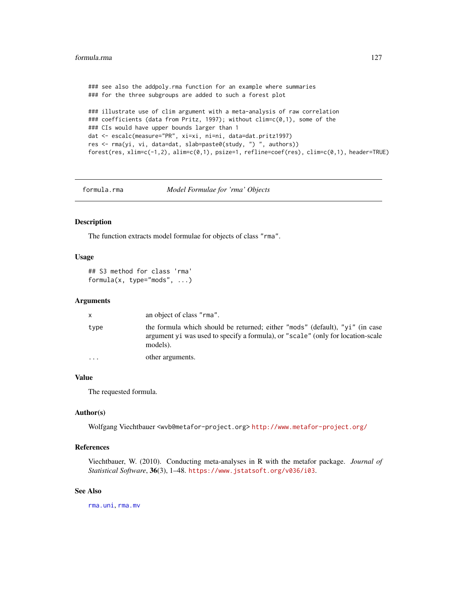```
### see also the addpoly.rma function for an example where summaries
### for the three subgroups are added to such a forest plot
### illustrate use of clim argument with a meta-analysis of raw correlation
### coefficients (data from Pritz, 1997); without clim=c(0,1), some of the
### CIs would have upper bounds larger than 1
dat <- escalc(measure="PR", xi=xi, ni=ni, data=dat.pritz1997)
res <- rma(yi, vi, data=dat, slab=paste0(study, ") ", authors))
forest(res, xlim=c(-1,2), alim=c(0,1), psize=1, refline=coef(res), clim=c(0,1), header=TRUE)
```
formula.rma *Model Formulae for 'rma' Objects*

Description

The function extracts model formulae for objects of class "rma".

#### Usage

```
## S3 method for class 'rma'
formula(x, type="mods", ...)
```
#### **Arguments**

| X        | an object of class "rma".                                                                                                                                                    |
|----------|------------------------------------------------------------------------------------------------------------------------------------------------------------------------------|
| type     | the formula which should be returned; either "mods" (default), "yi" (in case<br>argument y i was used to specify a formula), or "scale" (only for location-scale<br>models). |
| $\cdots$ | other arguments.                                                                                                                                                             |

# Value

The requested formula.

#### Author(s)

Wolfgang Viechtbauer <wvb@metafor-project.org> <http://www.metafor-project.org/>

# References

Viechtbauer, W. (2010). Conducting meta-analyses in R with the metafor package. *Journal of Statistical Software*, 36(3), 1–48. <https://www.jstatsoft.org/v036/i03>.

# See Also

[rma.uni](#page-235-0), [rma.mv](#page-220-0)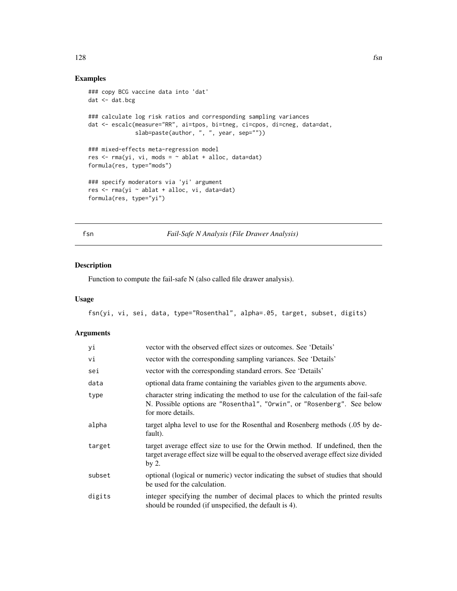# Examples

```
### copy BCG vaccine data into 'dat'
dat <- dat.bcg
### calculate log risk ratios and corresponding sampling variances
dat <- escalc(measure="RR", ai=tpos, bi=tneg, ci=cpos, di=cneg, data=dat,
              slab=paste(author, ", ", year, sep=""))
### mixed-effects meta-regression model
res \leq rma(yi, vi, mods = \sim ablat + alloc, data=dat)
formula(res, type="mods")
### specify moderators via 'yi' argument
res <- rma(yi ~ ablat + alloc, vi, data=dat)
formula(res, type="yi")
```
fsn *Fail-Safe N Analysis (File Drawer Analysis)*

# Description

Function to compute the fail-safe N (also called file drawer analysis).

# Usage

fsn(yi, vi, sei, data, type="Rosenthal", alpha=.05, target, subset, digits)

| yi     | vector with the observed effect sizes or outcomes. See 'Details'                                                                                                                   |
|--------|------------------------------------------------------------------------------------------------------------------------------------------------------------------------------------|
| vi     | vector with the corresponding sampling variances. See 'Details'                                                                                                                    |
| sei    | vector with the corresponding standard errors. See 'Details'                                                                                                                       |
| data   | optional data frame containing the variables given to the arguments above.                                                                                                         |
| type   | character string indicating the method to use for the calculation of the fail-safe<br>N. Possible options are "Rosenthal", "Orwin", or "Rosenberg". See below<br>for more details. |
| alpha  | target alpha level to use for the Rosenthal and Rosenberg methods (.05 by de-<br>fault).                                                                                           |
| target | target average effect size to use for the Orwin method. If undefined, then the<br>target average effect size will be equal to the observed average effect size divided<br>by 2.    |
| subset | optional (logical or numeric) vector indicating the subset of studies that should<br>be used for the calculation.                                                                  |
| digits | integer specifying the number of decimal places to which the printed results<br>should be rounded (if unspecified, the default is 4).                                              |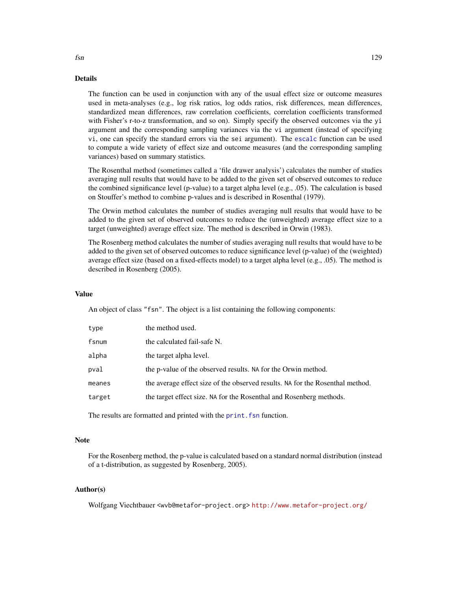# Details

The function can be used in conjunction with any of the usual effect size or outcome measures used in meta-analyses (e.g., log risk ratios, log odds ratios, risk differences, mean differences, standardized mean differences, raw correlation coefficients, correlation coefficients transformed with Fisher's r-to-z transformation, and so on). Simply specify the observed outcomes via the yi argument and the corresponding sampling variances via the vi argument (instead of specifying vi, one can specify the standard errors via the sei argument). The [escalc](#page-92-0) function can be used to compute a wide variety of effect size and outcome measures (and the corresponding sampling variances) based on summary statistics.

The Rosenthal method (sometimes called a 'file drawer analysis') calculates the number of studies averaging null results that would have to be added to the given set of observed outcomes to reduce the combined significance level (p-value) to a target alpha level (e.g., .05). The calculation is based on Stouffer's method to combine p-values and is described in Rosenthal (1979).

The Orwin method calculates the number of studies averaging null results that would have to be added to the given set of observed outcomes to reduce the (unweighted) average effect size to a target (unweighted) average effect size. The method is described in Orwin (1983).

The Rosenberg method calculates the number of studies averaging null results that would have to be added to the given set of observed outcomes to reduce significance level (p-value) of the (weighted) average effect size (based on a fixed-effects model) to a target alpha level (e.g., .05). The method is described in Rosenberg (2005).

#### Value

An object of class "fsn". The object is a list containing the following components:

| type   | the method used.                                                              |
|--------|-------------------------------------------------------------------------------|
| fsnum  | the calculated fail-safe N.                                                   |
| alpha  | the target alpha level.                                                       |
| pval   | the p-value of the observed results. NA for the Orwin method.                 |
| meanes | the average effect size of the observed results. NA for the Rosenthal method. |
| target | the target effect size. NA for the Rosenthal and Rosenberg methods.           |
|        |                                                                               |

The results are formatted and printed with the print. fsn function.

#### **Note**

For the Rosenberg method, the p-value is calculated based on a standard normal distribution (instead of a t-distribution, as suggested by Rosenberg, 2005).

# Author(s)

Wolfgang Viechtbauer <wvb@metafor-project.org> <http://www.metafor-project.org/>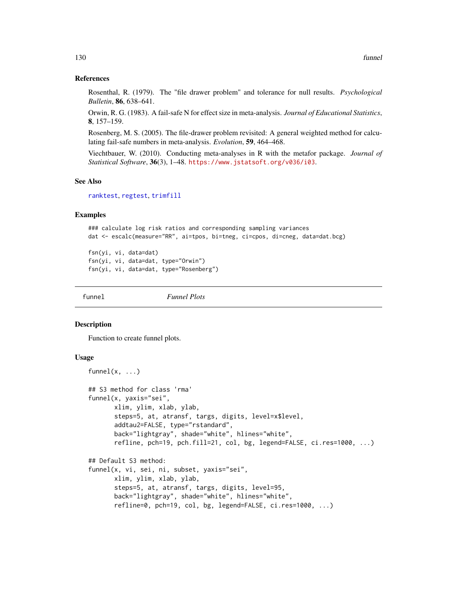## References

Rosenthal, R. (1979). The "file drawer problem" and tolerance for null results. *Psychological Bulletin*, 86, 638–641.

Orwin, R. G. (1983). A fail-safe N for effect size in meta-analysis. *Journal of Educational Statistics*, 8, 157–159.

Rosenberg, M. S. (2005). The file-drawer problem revisited: A general weighted method for calculating fail-safe numbers in meta-analysis. *Evolution*, 59, 464–468.

Viechtbauer, W. (2010). Conducting meta-analyses in R with the metafor package. *Journal of Statistical Software*, 36(3), 1–48. <https://www.jstatsoft.org/v036/i03>.

## See Also

[ranktest](#page-196-0), [regtest](#page-197-0), [trimfill](#page-260-0)

# Examples

```
### calculate log risk ratios and corresponding sampling variances
dat <- escalc(measure="RR", ai=tpos, bi=tneg, ci=cpos, di=cneg, data=dat.bcg)
```

```
fsn(yi, vi, data=dat)
fsn(yi, vi, data=dat, type="Orwin")
fsn(yi, vi, data=dat, type="Rosenberg")
```
funnel *Funnel Plots*

#### Description

Function to create funnel plots.

# Usage

```
funnel(x, \ldots)## S3 method for class 'rma'
funnel(x, yaxis="sei",
       xlim, ylim, xlab, ylab,
       steps=5, at, atransf, targs, digits, level=x$level,
       addtau2=FALSE, type="rstandard",
       back="lightgray", shade="white", hlines="white",
       refline, pch=19, pch.fill=21, col, bg, legend=FALSE, ci.res=1000, ...)
## Default S3 method:
funnel(x, vi, sei, ni, subset, yaxis="sei",
      xlim, ylim, xlab, ylab,
       steps=5, at, atransf, targs, digits, level=95,
       back="lightgray", shade="white", hlines="white",
       refline=0, pch=19, col, bg, legend=FALSE, ci.res=1000, ...)
```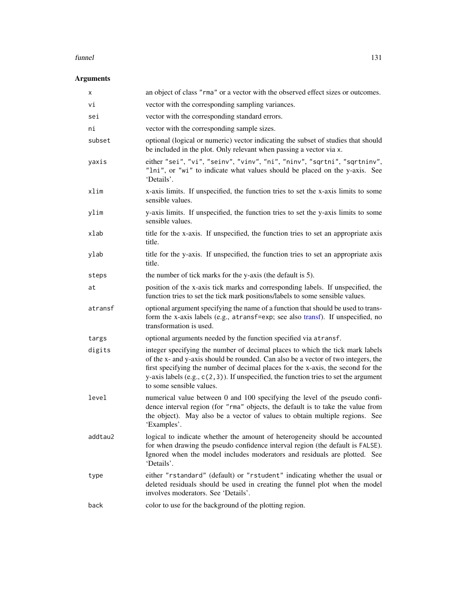#### funnel 131

| х       | an object of class "rma" or a vector with the observed effect sizes or outcomes.                                                                                                                                                                                                                                                                                               |
|---------|--------------------------------------------------------------------------------------------------------------------------------------------------------------------------------------------------------------------------------------------------------------------------------------------------------------------------------------------------------------------------------|
| Vi      | vector with the corresponding sampling variances.                                                                                                                                                                                                                                                                                                                              |
| sei     | vector with the corresponding standard errors.                                                                                                                                                                                                                                                                                                                                 |
| ni      | vector with the corresponding sample sizes.                                                                                                                                                                                                                                                                                                                                    |
| subset  | optional (logical or numeric) vector indicating the subset of studies that should<br>be included in the plot. Only relevant when passing a vector via x.                                                                                                                                                                                                                       |
| yaxis   | either "sei", "vi", "seinv", "vinv", "ni", "ninv", "sqrtni", "sqrtninv",<br>"lni", or "wi" to indicate what values should be placed on the y-axis. See<br>'Details'.                                                                                                                                                                                                           |
| xlim    | x-axis limits. If unspecified, the function tries to set the x-axis limits to some<br>sensible values.                                                                                                                                                                                                                                                                         |
| ylim    | y-axis limits. If unspecified, the function tries to set the y-axis limits to some<br>sensible values.                                                                                                                                                                                                                                                                         |
| xlab    | title for the x-axis. If unspecified, the function tries to set an appropriate axis<br>title.                                                                                                                                                                                                                                                                                  |
| ylab    | title for the y-axis. If unspecified, the function tries to set an appropriate axis<br>title.                                                                                                                                                                                                                                                                                  |
| steps   | the number of tick marks for the y-axis (the default is 5).                                                                                                                                                                                                                                                                                                                    |
| at      | position of the x-axis tick marks and corresponding labels. If unspecified, the<br>function tries to set the tick mark positions/labels to some sensible values.                                                                                                                                                                                                               |
| atransf | optional argument specifying the name of a function that should be used to trans-<br>form the x-axis labels (e.g., atransf=exp; see also transf). If unspecified, no<br>transformation is used.                                                                                                                                                                                |
| targs   | optional arguments needed by the function specified via atransf.                                                                                                                                                                                                                                                                                                               |
| digits  | integer specifying the number of decimal places to which the tick mark labels<br>of the x- and y-axis should be rounded. Can also be a vector of two integers, the<br>first specifying the number of decimal places for the x-axis, the second for the<br>y-axis labels $(e.g., c(2, 3))$ . If unspecified, the function tries to set the argument<br>to some sensible values. |
| level   | numerical value between 0 and 100 specifying the level of the pseudo confi-<br>dence interval region (for "rma" objects, the default is to take the value from<br>the object). May also be a vector of values to obtain multiple regions. See<br>'Examples'.                                                                                                                   |
| addtau2 | logical to indicate whether the amount of heterogeneity should be accounted<br>for when drawing the pseudo confidence interval region (the default is FALSE).<br>Ignored when the model includes moderators and residuals are plotted. See<br>'Details'.                                                                                                                       |
| type    | either "rstandard" (default) or "rstudent" indicating whether the usual or<br>deleted residuals should be used in creating the funnel plot when the model<br>involves moderators. See 'Details'.                                                                                                                                                                               |
| back    | color to use for the background of the plotting region.                                                                                                                                                                                                                                                                                                                        |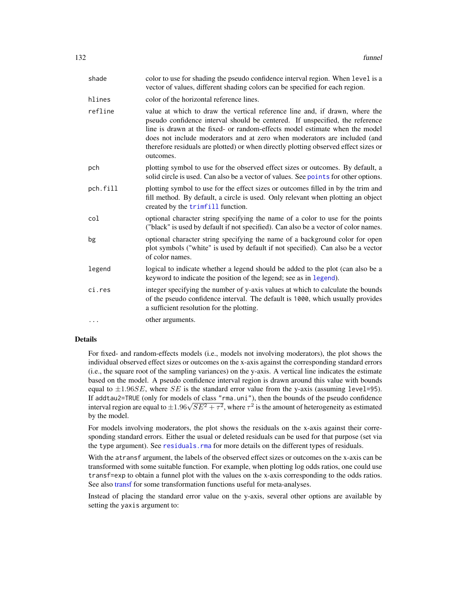| shade    | color to use for shading the pseudo confidence interval region. When level is a<br>vector of values, different shading colors can be specified for each region.                                                                                                                                                                                                                                                             |
|----------|-----------------------------------------------------------------------------------------------------------------------------------------------------------------------------------------------------------------------------------------------------------------------------------------------------------------------------------------------------------------------------------------------------------------------------|
| hlines   | color of the horizontal reference lines.                                                                                                                                                                                                                                                                                                                                                                                    |
| refline  | value at which to draw the vertical reference line and, if drawn, where the<br>pseudo confidence interval should be centered. If unspecified, the reference<br>line is drawn at the fixed- or random-effects model estimate when the model<br>does not include moderators and at zero when moderators are included (and<br>therefore residuals are plotted) or when directly plotting observed effect sizes or<br>outcomes. |
| pch      | plotting symbol to use for the observed effect sizes or outcomes. By default, a<br>solid circle is used. Can also be a vector of values. See points for other options.                                                                                                                                                                                                                                                      |
| pch.fill | plotting symbol to use for the effect sizes or outcomes filled in by the trim and<br>fill method. By default, a circle is used. Only relevant when plotting an object<br>created by the trimfill function.                                                                                                                                                                                                                  |
| col      | optional character string specifying the name of a color to use for the points<br>("black" is used by default if not specified). Can also be a vector of color names.                                                                                                                                                                                                                                                       |
| bg       | optional character string specifying the name of a background color for open<br>plot symbols ("white" is used by default if not specified). Can also be a vector<br>of color names.                                                                                                                                                                                                                                         |
| legend   | logical to indicate whether a legend should be added to the plot (can also be a<br>keyword to indicate the position of the legend; see as in legend).                                                                                                                                                                                                                                                                       |
| ci.res   | integer specifying the number of y-axis values at which to calculate the bounds<br>of the pseudo confidence interval. The default is 1000, which usually provides<br>a sufficient resolution for the plotting.                                                                                                                                                                                                              |
| $\cdots$ | other arguments.                                                                                                                                                                                                                                                                                                                                                                                                            |
|          |                                                                                                                                                                                                                                                                                                                                                                                                                             |

#### Details

For fixed- and random-effects models (i.e., models not involving moderators), the plot shows the individual observed effect sizes or outcomes on the x-axis against the corresponding standard errors (i.e., the square root of the sampling variances) on the y-axis. A vertical line indicates the estimate based on the model. A pseudo confidence interval region is drawn around this value with bounds equal to  $\pm 1.96SE$ , where SE is the standard error value from the y-axis (assuming level=95). If addtau2=TRUE (only for models of class "rma.uni"), then the bounds of the pseudo confidence It add tau *z*= (ROE) (only for models of class "rma, uni"), then the bounds of the pseudo confidence<br>interval region are equal to  $\pm 1.96\sqrt{SE^2 + \tau^2}$ , where  $\tau^2$  is the amount of heterogeneity as estimated by the model.

For models involving moderators, the plot shows the residuals on the x-axis against their corresponding standard errors. Either the usual or deleted residuals can be used for that purpose (set via the type argument). See [residuals.rma](#page-204-0) for more details on the different types of residuals.

With the atransf argument, the labels of the observed effect sizes or outcomes on the x-axis can be transformed with some suitable function. For example, when plotting log odds ratios, one could use transf=exp to obtain a funnel plot with the values on the x-axis corresponding to the odds ratios. See also [transf](#page-258-0) for some transformation functions useful for meta-analyses.

Instead of placing the standard error value on the y-axis, several other options are available by setting the yaxis argument to: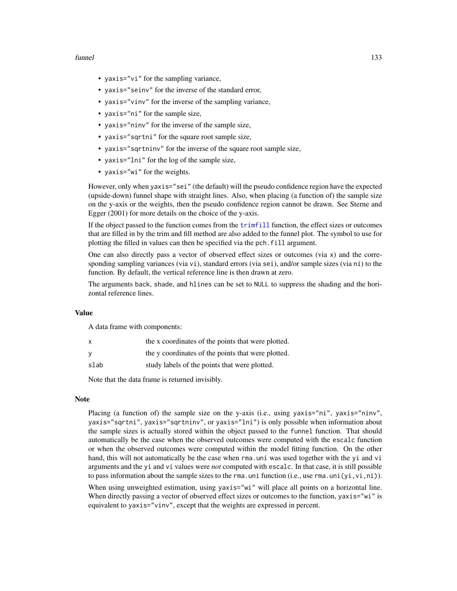#### funnel 133

- yaxis="vi" for the sampling variance,
- yaxis="seinv" for the inverse of the standard error,
- yaxis="vinv" for the inverse of the sampling variance,
- yaxis="ni" for the sample size,
- yaxis="ninv" for the inverse of the sample size,
- yaxis="sqrtni" for the square root sample size,
- yaxis="sqrtninv" for the inverse of the square root sample size,
- yaxis="lni" for the log of the sample size,
- yaxis="wi" for the weights.

However, only when yaxis="sei" (the default) will the pseudo confidence region have the expected (upside-down) funnel shape with straight lines. Also, when placing (a function of) the sample size on the y-axis or the weights, then the pseudo confidence region cannot be drawn. See Sterne and Egger (2001) for more details on the choice of the y-axis.

If the object passed to the function comes from the [trimfill](#page-260-0) function, the effect sizes or outcomes that are filled in by the trim and fill method are also added to the funnel plot. The symbol to use for plotting the filled in values can then be specified via the pch.fill argument.

One can also directly pass a vector of observed effect sizes or outcomes (via  $x$ ) and the corresponding sampling variances (via vi), standard errors (via sei), and/or sample sizes (via ni) to the function. By default, the vertical reference line is then drawn at zero.

The arguments back, shade, and hlines can be set to NULL to suppress the shading and the horizontal reference lines.

# Value

A data frame with components:

| $\times$ | the x coordinates of the points that were plotted. |
|----------|----------------------------------------------------|
| <b>V</b> | the y coordinates of the points that were plotted. |
| slab     | study labels of the points that were plotted.      |

Note that the data frame is returned invisibly.

#### Note

Placing (a function of) the sample size on the y-axis (i.e., using yaxis="ni", yaxis="ninv", yaxis="sqrtni", yaxis="sqrtninv", or yaxis="lni") is only possible when information about the sample sizes is actually stored within the object passed to the funnel function. That should automatically be the case when the observed outcomes were computed with the escalc function or when the observed outcomes were computed within the model fitting function. On the other hand, this will not automatically be the case when rma.uni was used together with the yi and vi arguments and the yi and vi values were *not* computed with escalc. In that case, it is still possible to pass information about the sample sizes to the rma.uni function (i.e., use rma.uni $(yi, vi, ni)$ ).

When using unweighted estimation, using yaxis="wi" will place all points on a horizontal line. When directly passing a vector of observed effect sizes or outcomes to the function, yaxis="wi" is equivalent to yaxis="vinv", except that the weights are expressed in percent.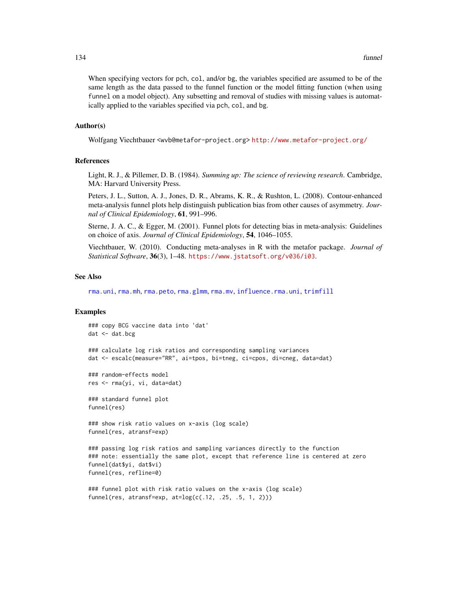When specifying vectors for pch, col, and/or bg, the variables specified are assumed to be of the same length as the data passed to the funnel function or the model fitting function (when using funnel on a model object). Any subsetting and removal of studies with missing values is automatically applied to the variables specified via pch, col, and bg.

#### Author(s)

Wolfgang Viechtbauer <wvb@metafor-project.org> <http://www.metafor-project.org/>

#### References

Light, R. J., & Pillemer, D. B. (1984). *Summing up: The science of reviewing research*. Cambridge, MA: Harvard University Press.

Peters, J. L., Sutton, A. J., Jones, D. R., Abrams, K. R., & Rushton, L. (2008). Contour-enhanced meta-analysis funnel plots help distinguish publication bias from other causes of asymmetry. *Journal of Clinical Epidemiology*, 61, 991–996.

Sterne, J. A. C., & Egger, M. (2001). Funnel plots for detecting bias in meta-analysis: Guidelines on choice of axis. *Journal of Clinical Epidemiology*, 54, 1046–1055.

Viechtbauer, W. (2010). Conducting meta-analyses in R with the metafor package. *Journal of Statistical Software*, 36(3), 1–48. <https://www.jstatsoft.org/v036/i03>.

#### See Also

[rma.uni](#page-235-0), [rma.mh](#page-216-0), [rma.peto](#page-232-0), [rma.glmm](#page-208-0), [rma.mv](#page-220-0), [influence.rma.uni](#page-141-0), [trimfill](#page-260-0)

# Examples

### copy BCG vaccine data into 'dat' dat <- dat.bcg ### calculate log risk ratios and corresponding sampling variances dat <- escalc(measure="RR", ai=tpos, bi=tneg, ci=cpos, di=cneg, data=dat) ### random-effects model res <- rma(yi, vi, data=dat) ### standard funnel plot funnel(res) ### show risk ratio values on x-axis (log scale) funnel(res, atransf=exp) ### passing log risk ratios and sampling variances directly to the function ### note: essentially the same plot, except that reference line is centered at zero funnel(dat\$yi, dat\$vi) funnel(res, refline=0) ### funnel plot with risk ratio values on the x-axis (log scale)  $funnel(res, atransfer=exp, at=log(c(.12, .25, .5, 1, 2)))$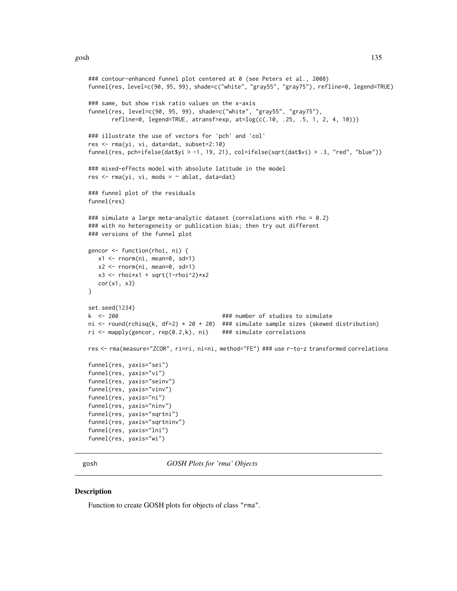#### gosh and the set of the set of the set of the set of the set of the set of the set of the set of the set of the set of the set of the set of the set of the set of the set of the set of the set of the set of the set of the

```
### contour-enhanced funnel plot centered at 0 (see Peters et al., 2008)
funnel(res, level=c(90, 95, 99), shade=c("white", "gray55", "gray75"), refline=0, legend=TRUE)
### same, but show risk ratio values on the x-axis
funnel(res, level=c(90, 95, 99), shade=c("white", "gray55", "gray75"),
      refline=0, legend=TRUE, atransf=exp, at=log(c(.10, .25, .5, 1, 2, 4, 10)))
### illustrate the use of vectors for 'pch' and 'col'
res <- rma(yi, vi, data=dat, subset=2:10)
funnel(res, pch=ifelse(dat$yi > -1, 19, 21), col=ifelse(sqrt(dat$vi) > .3, "red", "blue"))
### mixed-effects model with absolute latitude in the model
res \leq rma(yi, vi, mods = \sim ablat, data=dat)
### funnel plot of the residuals
funnel(res)
### simulate a large meta-analytic dataset (correlations with rho = 0.2)
### with no heterogeneity or publication bias; then try out different
### versions of the funnel plot
gencor <- function(rhoi, ni) {
  x1 <- rnorm(ni, mean=0, sd=1)
  x2 \le rnorm(ni, mean=0, sd=1)
  x3 \leq - rhoi*x1 + sqrt(1-rhoi^2)*x2
   cor(x1, x3)
}
set.seed(1234)
k <- 200 ### number of studies to simulate
ni <- round(rchisq(k, df=2) * 20 + 20) ### simulate sample sizes (skewed distribution)
ri <- mapply(gencor, rep(0.2,k), ni) ### simulate correlations
res <- rma(measure="ZCOR", ri=ri, ni=ni, method="FE") ### use r-to-z transformed correlations
funnel(res, yaxis="sei")
funnel(res, yaxis="vi")
funnel(res, yaxis="seinv")
funnel(res, yaxis="vinv")
funnel(res, yaxis="ni")
funnel(res, yaxis="ninv")
funnel(res, yaxis="sqrtni")
funnel(res, yaxis="sqrtninv")
funnel(res, yaxis="lni")
funnel(res, yaxis="wi")
```
gosh *GOSH Plots for 'rma' Objects*

#### **Description**

Function to create GOSH plots for objects of class "rma".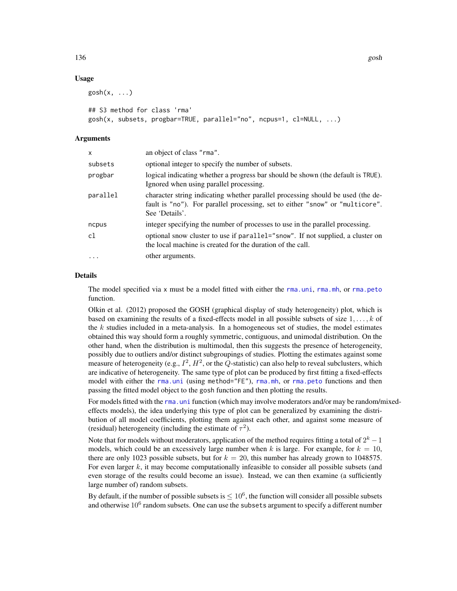# Usage

```
gosh(x, \ldots)
```

```
## S3 method for class 'rma'
gosh(x, subsets, progbar=TRUE, parallel="no", ncpus=1, cl=NULL, ...)
```
# Arguments

| X                 | an object of class "rma".                                                                                                                                                          |
|-------------------|------------------------------------------------------------------------------------------------------------------------------------------------------------------------------------|
| subsets           | optional integer to specify the number of subsets.                                                                                                                                 |
| progbar           | logical indicating whether a progress bar should be shown (the default is TRUE).<br>Ignored when using parallel processing.                                                        |
| parallel          | character string indicating whether parallel processing should be used (the de-<br>fault is "no"). For parallel processing, set to either "snow" or "multicore".<br>See 'Details'. |
| ncpus             | integer specifying the number of processes to use in the parallel processing.                                                                                                      |
| c1                | optional snow cluster to use if parallel="snow". If not supplied, a cluster on<br>the local machine is created for the duration of the call.                                       |
| $\cdot\cdot\cdot$ | other arguments.                                                                                                                                                                   |
|                   |                                                                                                                                                                                    |

#### Details

The model specified via x must be a model fitted with either the [rma.uni](#page-235-0), [rma.mh](#page-216-0), or [rma.peto](#page-232-0) function.

Olkin et al. (2012) proposed the GOSH (graphical display of study heterogeneity) plot, which is based on examining the results of a fixed-effects model in all possible subsets of size  $1, \ldots, k$  of the  $k$  studies included in a meta-analysis. In a homogeneous set of studies, the model estimates obtained this way should form a roughly symmetric, contiguous, and unimodal distribution. On the other hand, when the distribution is multimodal, then this suggests the presence of heterogeneity, possibly due to outliers and/or distinct subgroupings of studies. Plotting the estimates against some measure of heterogeneity (e.g.,  $I^2$ ,  $H^2$ , or the Q-statistic) can also help to reveal subclusters, which are indicative of heterogeneity. The same type of plot can be produced by first fitting a fixed-effects model with either the [rma.uni](#page-235-0) (using method="FE"), [rma.mh](#page-216-0), or [rma.peto](#page-232-0) functions and then passing the fitted model object to the gosh function and then plotting the results.

For models fitted with the rma, uni function (which may involve moderators and/or may be random/mixedeffects models), the idea underlying this type of plot can be generalized by examining the distribution of all model coefficients, plotting them against each other, and against some measure of (residual) heterogeneity (including the estimate of  $\tau^2$ ).

Note that for models without moderators, application of the method requires fitting a total of  $2^k - 1$ models, which could be an excessively large number when k is large. For example, for  $k = 10$ , there are only 1023 possible subsets, but for  $k = 20$ , this number has already grown to 1048575. For even larger  $k$ , it may become computationally infeasible to consider all possible subsets (and even storage of the results could become an issue). Instead, we can then examine (a sufficiently large number of) random subsets.

By default, if the number of possible subsets is  $\leq 10^6$ , the function will consider all possible subsets and otherwise  $10^6$  random subsets. One can use the subsets argument to specify a different number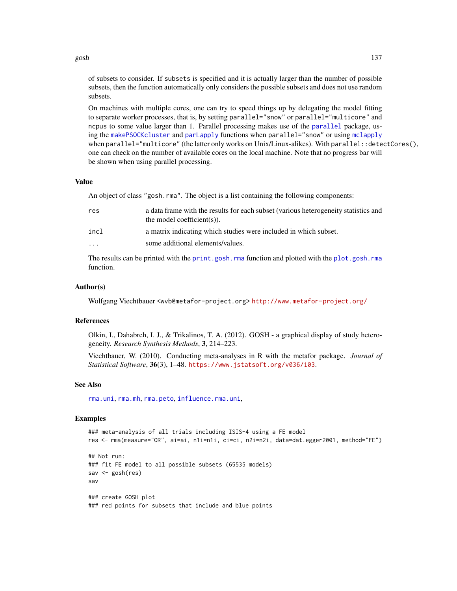#### gosh 137

On machines with multiple cores, one can try to speed things up by delegating the model fitting to separate worker processes, that is, by setting parallel="snow" or parallel="multicore" and ncpus to some value larger than 1. Parallel processing makes use of the [parallel](#page-0-0) package, using the [makePSOCKcluster](#page-0-0) and [parLapply](#page-0-0) functions when parallel="snow" or using [mclapply](#page-0-0) when parallel="multicore" (the latter only works on Unix/Linux-alikes). With parallel: : detectCores(), one can check on the number of available cores on the local machine. Note that no progress bar will be shown when using parallel processing.

# Value

An object of class "gosh.rma". The object is a list containing the following components:

| res                     | a data frame with the results for each subset (various heterogeneity statistics and<br>the model coefficient(s)). |
|-------------------------|-------------------------------------------------------------------------------------------------------------------|
| incl                    | a matrix indicating which studies were included in which subset.                                                  |
| $\cdot$ $\cdot$ $\cdot$ | some additional elements/values.                                                                                  |

The results can be printed with the [print.gosh.rma](#page-174-0) function and plotted with the [plot.gosh.rma](#page-159-0) function.

## Author(s)

Wolfgang Viechtbauer <wvb@metafor-project.org> <http://www.metafor-project.org/>

#### References

Olkin, I., Dahabreh, I. J., & Trikalinos, T. A. (2012). GOSH - a graphical display of study heterogeneity. *Research Synthesis Methods*, 3, 214–223.

Viechtbauer, W. (2010). Conducting meta-analyses in R with the metafor package. *Journal of Statistical Software*, 36(3), 1–48. <https://www.jstatsoft.org/v036/i03>.

#### See Also

[rma.uni](#page-235-0), [rma.mh](#page-216-0), [rma.peto](#page-232-0), [influence.rma.uni](#page-141-0),

#### Examples

```
### meta-analysis of all trials including ISIS-4 using a FE model
res <- rma(measure="OR", ai=ai, n1i=n1i, ci=ci, n2i=n2i, data=dat.egger2001, method="FE")
## Not run:
### fit FE model to all possible subsets (65535 models)
sav <- gosh(res)
sav
### create GOSH plot
### red points for subsets that include and blue points
```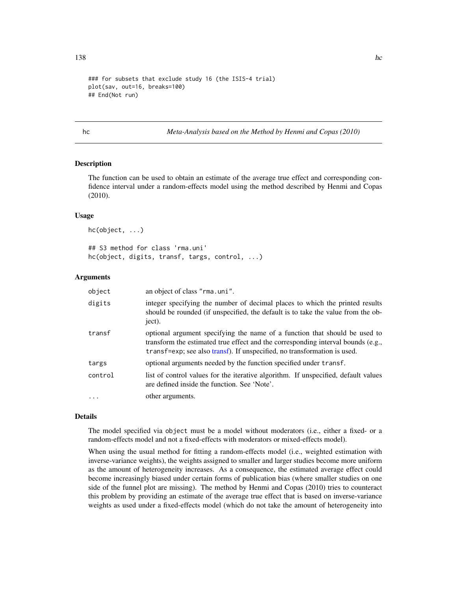```
### for subsets that exclude study 16 (the ISIS-4 trial)
plot(sav, out=16, breaks=100)
## End(Not run)
```
hc *Meta-Analysis based on the Method by Henmi and Copas (2010)*

# Description

The function can be used to obtain an estimate of the average true effect and corresponding confidence interval under a random-effects model using the method described by Henmi and Copas (2010).

#### Usage

```
hc(object, ...)
## S3 method for class 'rma.uni'
hc(object, digits, transf, targs, control, ...)
```
### Arguments

| object   | an object of class "rma.uni".                                                                                                                                                                                                              |
|----------|--------------------------------------------------------------------------------------------------------------------------------------------------------------------------------------------------------------------------------------------|
| digits   | integer specifying the number of decimal places to which the printed results<br>should be rounded (if unspecified, the default is to take the value from the ob-<br>ject).                                                                 |
| transf   | optional argument specifying the name of a function that should be used to<br>transform the estimated true effect and the corresponding interval bounds (e.g.,<br>transf=exp; see also transf). If unspecified, no transformation is used. |
| targs    | optional arguments needed by the function specified under transf.                                                                                                                                                                          |
| control  | list of control values for the iterative algorithm. If unspecified, default values<br>are defined inside the function. See 'Note'.                                                                                                         |
| $\cdots$ | other arguments.                                                                                                                                                                                                                           |

# Details

The model specified via object must be a model without moderators (i.e., either a fixed- or a random-effects model and not a fixed-effects with moderators or mixed-effects model).

When using the usual method for fitting a random-effects model (i.e., weighted estimation with inverse-variance weights), the weights assigned to smaller and larger studies become more uniform as the amount of heterogeneity increases. As a consequence, the estimated average effect could become increasingly biased under certain forms of publication bias (where smaller studies on one side of the funnel plot are missing). The method by Henmi and Copas (2010) tries to counteract this problem by providing an estimate of the average true effect that is based on inverse-variance weights as used under a fixed-effects model (which do not take the amount of heterogeneity into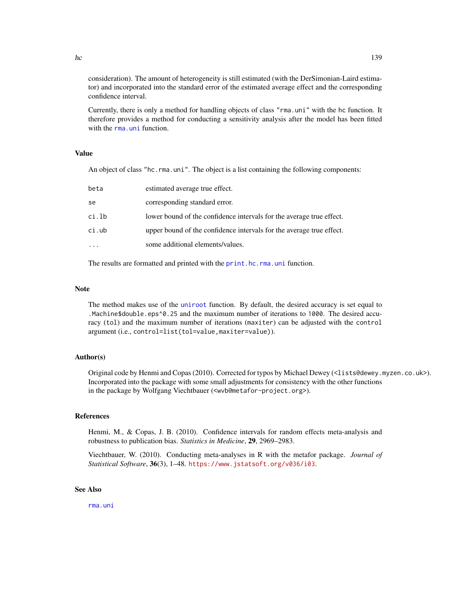consideration). The amount of heterogeneity is still estimated (with the DerSimonian-Laird estimator) and incorporated into the standard error of the estimated average effect and the corresponding confidence interval.

Currently, there is only a method for handling objects of class "rma.uni" with the hc function. It therefore provides a method for conducting a sensitivity analysis after the model has been fitted with the [rma.uni](#page-235-0) function.

#### Value

An object of class "hc.rma.uni". The object is a list containing the following components:

| beta  | estimated average true effect.                                       |
|-------|----------------------------------------------------------------------|
| se    | corresponding standard error.                                        |
| ci.lb | lower bound of the confidence intervals for the average true effect. |
| ci.ub | upper bound of the confidence intervals for the average true effect. |
|       | some additional elements/values.                                     |
|       |                                                                      |

The results are formatted and printed with the [print.hc.rma.uni](#page-175-0) function.

# Note

The method makes use of the [uniroot](#page-0-0) function. By default, the desired accuracy is set equal to .Machine\$double.eps^0.25 and the maximum number of iterations to 1000. The desired accuracy (tol) and the maximum number of iterations (maxiter) can be adjusted with the control argument (i.e., control=list(tol=value,maxiter=value)).

# Author(s)

Original code by Henmi and Copas (2010). Corrected for typos by Michael Dewey (<lists@dewey.myzen.co.uk>). Incorporated into the package with some small adjustments for consistency with the other functions in the package by Wolfgang Viechtbauer (<wvb@metafor-project.org>).

## References

Henmi, M., & Copas, J. B. (2010). Confidence intervals for random effects meta-analysis and robustness to publication bias. *Statistics in Medicine*, 29, 2969–2983.

Viechtbauer, W. (2010). Conducting meta-analyses in R with the metafor package. *Journal of Statistical Software*, 36(3), 1–48. <https://www.jstatsoft.org/v036/i03>.

# See Also

[rma.uni](#page-235-0)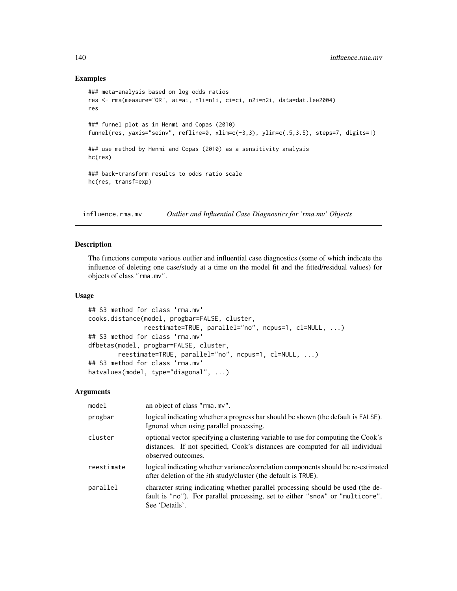## Examples

```
### meta-analysis based on log odds ratios
res <- rma(measure="OR", ai=ai, n1i=n1i, ci=ci, n2i=n2i, data=dat.lee2004)
res
### funnel plot as in Henmi and Copas (2010)
funnel(res, yaxis="seinv", refline=0, xlim=c(-3,3), ylim=c(.5,3.5), steps=7, digits=1)
### use method by Henmi and Copas (2010) as a sensitivity analysis
hc(res)
### back-transform results to odds ratio scale
hc(res, transf=exp)
```
influence.rma.mv *Outlier and Influential Case Diagnostics for 'rma.mv' Objects*

# Description

The functions compute various outlier and influential case diagnostics (some of which indicate the influence of deleting one case/study at a time on the model fit and the fitted/residual values) for objects of class "rma.mv".

# Usage

```
## S3 method for class 'rma.mv'
cooks.distance(model, progbar=FALSE, cluster,
               reestimate=TRUE, parallel="no", ncpus=1, cl=NULL, ...)
## S3 method for class 'rma.mv'
dfbetas(model, progbar=FALSE, cluster,
       reestimate=TRUE, parallel="no", ncpus=1, cl=NULL, ...)
## S3 method for class 'rma.mv'
hatvalues(model, type="diagonal", ...)
```

| model      | an object of class "rma.mv".                                                                                                                                                            |
|------------|-----------------------------------------------------------------------------------------------------------------------------------------------------------------------------------------|
| progbar    | logical indicating whether a progress bar should be shown (the default is FALSE).<br>Ignored when using parallel processing.                                                            |
| cluster    | optional vector specifying a clustering variable to use for computing the Cook's<br>distances. If not specified, Cook's distances are computed for all individual<br>observed outcomes. |
| reestimate | logical indicating whether variance/correlation components should be re-estimated<br>after deletion of the <i>i</i> th study/cluster (the default is TRUE).                             |
| parallel   | character string indicating whether parallel processing should be used (the de-<br>fault is "no"). For parallel processing, set to either "snow" or "multicore".<br>See 'Details'.      |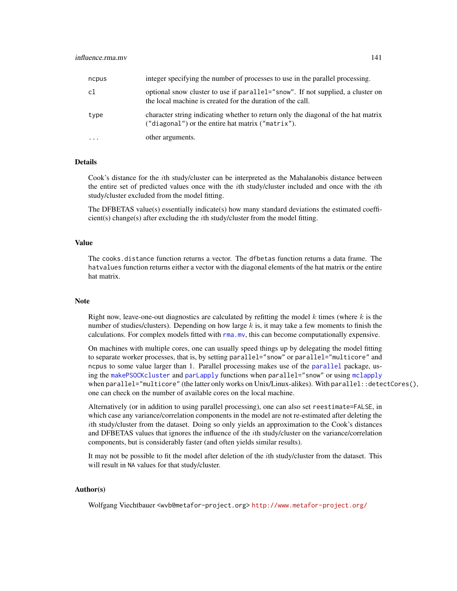| ncpus | integer specifying the number of processes to use in the parallel processing.                                                                |
|-------|----------------------------------------------------------------------------------------------------------------------------------------------|
| c1    | optional snow cluster to use if parallel="snow". If not supplied, a cluster on<br>the local machine is created for the duration of the call. |
| type  | character string indicating whether to return only the diagonal of the hat matrix<br>("diagonal") or the entire hat matrix ("matrix").       |
|       | other arguments.                                                                                                                             |

# **Details**

Cook's distance for the ith study/cluster can be interpreted as the Mahalanobis distance between the entire set of predicted values once with the ith study/cluster included and once with the ith study/cluster excluded from the model fitting.

The DFBETAS value(s) essentially indicate(s) how many standard deviations the estimated coeffi $cient(s) change(s) after excluding the *i*th study/cluster from the model fitting.$ 

# Value

The cooks.distance function returns a vector. The dfbetas function returns a data frame. The hatvalues function returns either a vector with the diagonal elements of the hat matrix or the entire hat matrix.

#### **Note**

Right now, leave-one-out diagnostics are calculated by refitting the model  $k$  times (where  $k$  is the number of studies/clusters). Depending on how large k is, it may take a few moments to finish the calculations. For complex models fitted with  $\text{rma.mv}$  $\text{rma.mv}$  $\text{rma.mv}$ , this can become computationally expensive.

On machines with multiple cores, one can usually speed things up by delegating the model fitting to separate worker processes, that is, by setting parallel="snow" or parallel="multicore" and ncpus to some value larger than 1. Parallel processing makes use of the [parallel](#page-0-0) package, using the [makePSOCKcluster](#page-0-0) and [parLapply](#page-0-0) functions when parallel="snow" or using [mclapply](#page-0-0) when parallel="multicore" (the latter only works on Unix/Linux-alikes). With parallel::detectCores(), one can check on the number of available cores on the local machine.

Alternatively (or in addition to using parallel processing), one can also set reestimate=FALSE, in which case any variance/correlation components in the model are not re-estimated after deleting the ith study/cluster from the dataset. Doing so only yields an approximation to the Cook's distances and DFBETAS values that ignores the influence of the ith study/cluster on the variance/correlation components, but is considerably faster (and often yields similar results).

It may not be possible to fit the model after deletion of the ith study/cluster from the dataset. This will result in NA values for that study/cluster.

### Author(s)

Wolfgang Viechtbauer <wvb@metafor-project.org> <http://www.metafor-project.org/>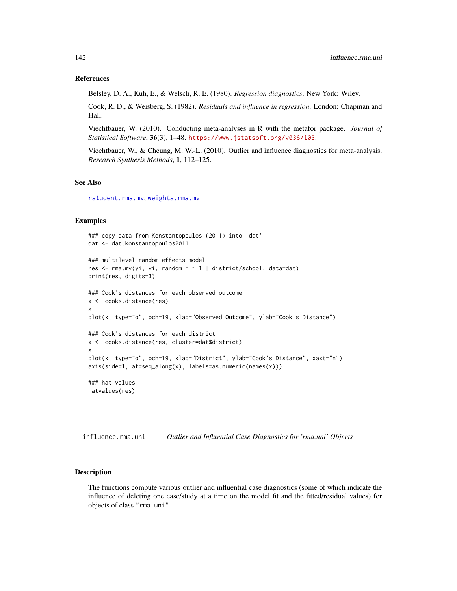### References

Belsley, D. A., Kuh, E., & Welsch, R. E. (1980). *Regression diagnostics*. New York: Wiley.

Cook, R. D., & Weisberg, S. (1982). *Residuals and influence in regression*. London: Chapman and Hall.

Viechtbauer, W. (2010). Conducting meta-analyses in R with the metafor package. *Journal of Statistical Software*, 36(3), 1–48. <https://www.jstatsoft.org/v036/i03>.

Viechtbauer, W., & Cheung, M. W.-L. (2010). Outlier and influence diagnostics for meta-analysis. *Research Synthesis Methods*, 1, 112–125.

#### See Also

[rstudent.rma.mv](#page-204-1), [weights.rma.mv](#page-268-0)

## Examples

```
### copy data from Konstantopoulos (2011) into 'dat'
dat <- dat.konstantopoulos2011
### multilevel random-effects model
res \leq rma.mv(yi, vi, random = \sim 1 | district/school, data=dat)
print(res, digits=3)
### Cook's distances for each observed outcome
x <- cooks.distance(res)
x
plot(x, type="o", pch=19, xlab="Observed Outcome", ylab="Cook's Distance")
### Cook's distances for each district
x <- cooks.distance(res, cluster=dat$district)
x
plot(x, type="o", pch=19, xlab="District", ylab="Cook's Distance", xaxt="n")
axis(side=1, at=seq_along(x), labels=as.numeric(names(x)))
### hat values
hatvalues(res)
```
<span id="page-141-0"></span>influence.rma.uni *Outlier and Influential Case Diagnostics for 'rma.uni' Objects*

## Description

The functions compute various outlier and influential case diagnostics (some of which indicate the influence of deleting one case/study at a time on the model fit and the fitted/residual values) for objects of class "rma.uni".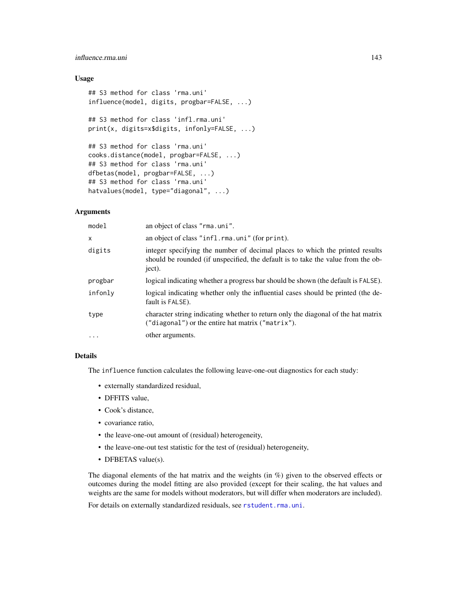# influence.rma.uni 143

# Usage

```
## S3 method for class 'rma.uni'
influence(model, digits, progbar=FALSE, ...)
## S3 method for class 'infl.rma.uni'
print(x, digits=x$digits, infonly=FALSE, ...)
## S3 method for class 'rma.uni'
cooks.distance(model, progbar=FALSE, ...)
## S3 method for class 'rma.uni'
dfbetas(model, progbar=FALSE, ...)
## S3 method for class 'rma.uni'
hatvalues(model, type="diagonal", ...)
```
# Arguments

| model    | an object of class "rma.uni".                                                                                                                                              |
|----------|----------------------------------------------------------------------------------------------------------------------------------------------------------------------------|
| x        | an object of class "infl.rma.uni" (for print).                                                                                                                             |
| digits   | integer specifying the number of decimal places to which the printed results<br>should be rounded (if unspecified, the default is to take the value from the ob-<br>ject). |
| progbar  | logical indicating whether a progress bar should be shown (the default is FALSE).                                                                                          |
| infonly  | logical indicating whether only the influential cases should be printed (the de-<br>fault is FALSE).                                                                       |
| type     | character string indicating whether to return only the diagonal of the hat matrix<br>("diagonal") or the entire hat matrix ("matrix").                                     |
| $\cdots$ | other arguments.                                                                                                                                                           |

#### Details

The influence function calculates the following leave-one-out diagnostics for each study:

- externally standardized residual,
- DFFITS value,
- Cook's distance,
- covariance ratio,
- the leave-one-out amount of (residual) heterogeneity,
- the leave-one-out test statistic for the test of (residual) heterogeneity,
- DFBETAS value(s).

The diagonal elements of the hat matrix and the weights (in %) given to the observed effects or outcomes during the model fitting are also provided (except for their scaling, the hat values and weights are the same for models without moderators, but will differ when moderators are included).

For details on externally standardized residuals, see [rstudent.rma.uni](#page-204-1).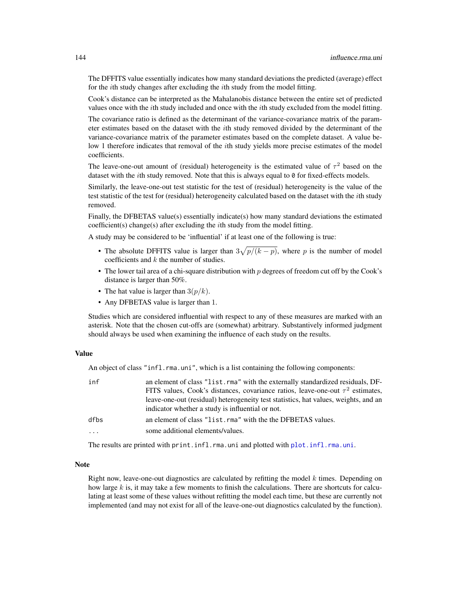The DFFITS value essentially indicates how many standard deviations the predicted (average) effect for the ith study changes after excluding the ith study from the model fitting.

Cook's distance can be interpreted as the Mahalanobis distance between the entire set of predicted values once with the *i*th study included and once with the *i*th study excluded from the model fitting.

The covariance ratio is defined as the determinant of the variance-covariance matrix of the parameter estimates based on the dataset with the  $i$ th study removed divided by the determinant of the variance-covariance matrix of the parameter estimates based on the complete dataset. A value below 1 therefore indicates that removal of the *i*th study yields more precise estimates of the model coefficients.

The leave-one-out amount of (residual) heterogeneity is the estimated value of  $\tau^2$  based on the dataset with the *i*th study removed. Note that this is always equal to  $\theta$  for fixed-effects models.

Similarly, the leave-one-out test statistic for the test of (residual) heterogeneity is the value of the test statistic of the test for (residual) heterogeneity calculated based on the dataset with the *i*th study removed.

Finally, the DFBETAS value(s) essentially indicate(s) how many standard deviations the estimated coefficient(s) change(s) after excluding the ith study from the model fitting.

A study may be considered to be 'influential' if at least one of the following is true:

- The absolute DFFITS value is larger than  $3\sqrt{p/(k-p)}$ , where p is the number of model coefficients and  $k$  the number of studies.
- The lower tail area of a chi-square distribution with  $p$  degrees of freedom cut off by the Cook's distance is larger than 50%.
- The hat value is larger than  $3(p/k)$ .
- Any DFBETAS value is larger than 1.

Studies which are considered influential with respect to any of these measures are marked with an asterisk. Note that the chosen cut-offs are (somewhat) arbitrary. Substantively informed judgment should always be used when examining the influence of each study on the results.

# Value

An object of class "infl.rma.uni", which is a list containing the following components:

| inf                 | an element of class "list.rma" with the externally standardized residuals, DF-<br>FITS values, Cook's distances, covariance ratios, leave-one-out $\tau^2$ estimates,<br>leave-one-out (residual) heterogeneity test statistics, hat values, weights, and an |
|---------------------|--------------------------------------------------------------------------------------------------------------------------------------------------------------------------------------------------------------------------------------------------------------|
| dfbs                | indicator whether a study is influential or not.<br>an element of class "list.rma" with the the DFBETAS values.                                                                                                                                              |
| $\cdot \cdot \cdot$ | some additional elements/values.                                                                                                                                                                                                                             |

The results are printed with print.infl.rma.uni and plotted with [plot.infl.rma.uni](#page-161-0).

#### **Note**

Right now, leave-one-out diagnostics are calculated by refitting the model  $k$  times. Depending on how large  $k$  is, it may take a few moments to finish the calculations. There are shortcuts for calculating at least some of these values without refitting the model each time, but these are currently not implemented (and may not exist for all of the leave-one-out diagnostics calculated by the function).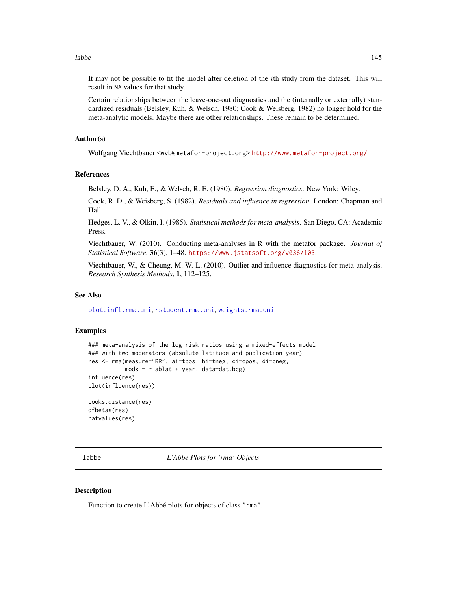labbe the contract of the contract of the contract of the contract of the contract of the contract of the contract of the contract of the contract of the contract of the contract of the contract of the contract of the cont

It may not be possible to fit the model after deletion of the ith study from the dataset. This will result in NA values for that study.

Certain relationships between the leave-one-out diagnostics and the (internally or externally) standardized residuals (Belsley, Kuh, & Welsch, 1980; Cook & Weisberg, 1982) no longer hold for the meta-analytic models. Maybe there are other relationships. These remain to be determined.

## Author(s)

Wolfgang Viechtbauer <wvb@metafor-project.org> <http://www.metafor-project.org/>

# References

Belsley, D. A., Kuh, E., & Welsch, R. E. (1980). *Regression diagnostics*. New York: Wiley.

Cook, R. D., & Weisberg, S. (1982). *Residuals and influence in regression*. London: Chapman and Hall.

Hedges, L. V., & Olkin, I. (1985). *Statistical methods for meta-analysis*. San Diego, CA: Academic Press.

Viechtbauer, W. (2010). Conducting meta-analyses in R with the metafor package. *Journal of Statistical Software*, 36(3), 1–48. <https://www.jstatsoft.org/v036/i03>.

Viechtbauer, W., & Cheung, M. W.-L. (2010). Outlier and influence diagnostics for meta-analysis. *Research Synthesis Methods*, 1, 112–125.

# See Also

[plot.infl.rma.uni](#page-161-0), [rstudent.rma.uni](#page-204-0), [weights.rma.uni](#page-268-0)

#### Examples

```
### meta-analysis of the log risk ratios using a mixed-effects model
### with two moderators (absolute latitude and publication year)
res <- rma(measure="RR", ai=tpos, bi=tneg, ci=cpos, di=cneg,
          mods = ~ablat + year, data=dat.bcg)influence(res)
plot(influence(res))
cooks.distance(res)
```
dfbetas(res) hatvalues(res)

labbe *L'Abbe Plots for 'rma' Objects*

## **Description**

Function to create L'Abbé plots for objects of class "rma".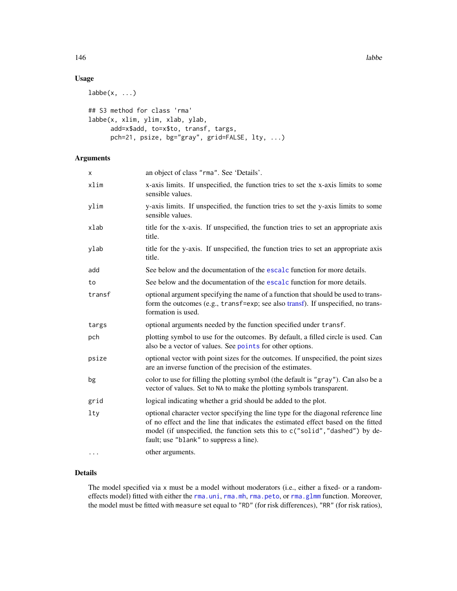146 labbe and the state of the state of the state of the state of the state of the state of the state of the state of the state of the state of the state of the state of the state of the state of the state of the state of

# Usage

```
labbe(x, ...)## S3 method for class 'rma'
labbe(x, xlim, ylim, xlab, ylab,
     add=x$add, to=x$to, transf, targs,
     pch=21, psize, bg="gray", grid=FALSE, lty, ...)
```
# Arguments

| x        | an object of class "rma". See 'Details'.                                                                                                                                                                                                                                                           |
|----------|----------------------------------------------------------------------------------------------------------------------------------------------------------------------------------------------------------------------------------------------------------------------------------------------------|
| xlim     | x-axis limits. If unspecified, the function tries to set the x-axis limits to some<br>sensible values.                                                                                                                                                                                             |
| ylim     | y-axis limits. If unspecified, the function tries to set the y-axis limits to some<br>sensible values.                                                                                                                                                                                             |
| xlab     | title for the x-axis. If unspecified, the function tries to set an appropriate axis<br>title.                                                                                                                                                                                                      |
| ylab     | title for the y-axis. If unspecified, the function tries to set an appropriate axis<br>title.                                                                                                                                                                                                      |
| add      | See below and the documentation of the escale function for more details.                                                                                                                                                                                                                           |
| to       | See below and the documentation of the escale function for more details.                                                                                                                                                                                                                           |
| transf   | optional argument specifying the name of a function that should be used to trans-<br>form the outcomes (e.g., transf=exp; see also transf). If unspecified, no trans-<br>formation is used.                                                                                                        |
| targs    | optional arguments needed by the function specified under transf.                                                                                                                                                                                                                                  |
| pch      | plotting symbol to use for the outcomes. By default, a filled circle is used. Can<br>also be a vector of values. See points for other options.                                                                                                                                                     |
| psize    | optional vector with point sizes for the outcomes. If unspecified, the point sizes<br>are an inverse function of the precision of the estimates.                                                                                                                                                   |
| bg       | color to use for filling the plotting symbol (the default is "gray"). Can also be a<br>vector of values. Set to NA to make the plotting symbols transparent.                                                                                                                                       |
| grid     | logical indicating whether a grid should be added to the plot.                                                                                                                                                                                                                                     |
| lty      | optional character vector specifying the line type for the diagonal reference line<br>of no effect and the line that indicates the estimated effect based on the fitted<br>model (if unspecified, the function sets this to c("solid", "dashed") by de-<br>fault; use "blank" to suppress a line). |
| $\cdots$ | other arguments.                                                                                                                                                                                                                                                                                   |

# Details

The model specified via x must be a model without moderators (i.e., either a fixed- or a randomeffects model) fitted with either the [rma.uni](#page-235-0), [rma.mh](#page-216-0), [rma.peto](#page-232-0), or [rma.glmm](#page-208-0) function. Moreover, the model must be fitted with measure set equal to "RD" (for risk differences), "RR" (for risk ratios),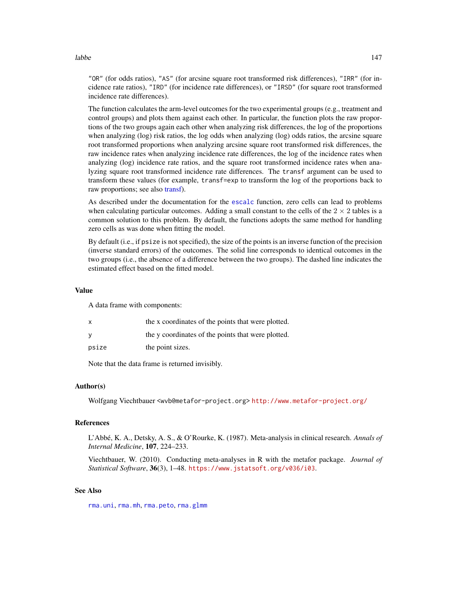labbe the contract of the contract of the contract of the contract of the contract of the contract of the contract of the contract of the contract of the contract of the contract of the contract of the contract of the cont

"OR" (for odds ratios), "AS" (for arcsine square root transformed risk differences), "IRR" (for incidence rate ratios), "IRD" (for incidence rate differences), or "IRSD" (for square root transformed incidence rate differences).

The function calculates the arm-level outcomes for the two experimental groups (e.g., treatment and control groups) and plots them against each other. In particular, the function plots the raw proportions of the two groups again each other when analyzing risk differences, the log of the proportions when analyzing (log) risk ratios, the log odds when analyzing (log) odds ratios, the arcsine square root transformed proportions when analyzing arcsine square root transformed risk differences, the raw incidence rates when analyzing incidence rate differences, the log of the incidence rates when analyzing (log) incidence rate ratios, and the square root transformed incidence rates when analyzing square root transformed incidence rate differences. The transf argument can be used to transform these values (for example, transf=exp to transform the log of the proportions back to raw proportions; see also [transf\)](#page-258-0).

As described under the documentation for the [escalc](#page-92-0) function, zero cells can lead to problems when calculating particular outcomes. Adding a small constant to the cells of the  $2 \times 2$  tables is a common solution to this problem. By default, the functions adopts the same method for handling zero cells as was done when fitting the model.

By default (i.e., if psize is not specified), the size of the points is an inverse function of the precision (inverse standard errors) of the outcomes. The solid line corresponds to identical outcomes in the two groups (i.e., the absence of a difference between the two groups). The dashed line indicates the estimated effect based on the fitted model.

## Value

A data frame with components:

| the x coordinates of the points that were plotted. |
|----------------------------------------------------|
| the y coordinates of the points that were plotted. |
| the point sizes.                                   |
|                                                    |

Note that the data frame is returned invisibly.

# Author(s)

Wolfgang Viechtbauer <wvb@metafor-project.org> <http://www.metafor-project.org/>

#### References

L'Abbé, K. A., Detsky, A. S., & O'Rourke, K. (1987). Meta-analysis in clinical research. *Annals of Internal Medicine*, 107, 224–233.

Viechtbauer, W. (2010). Conducting meta-analyses in R with the metafor package. *Journal of Statistical Software*, 36(3), 1–48. <https://www.jstatsoft.org/v036/i03>.

## See Also

[rma.uni](#page-235-0), [rma.mh](#page-216-0), [rma.peto](#page-232-0), [rma.glmm](#page-208-0)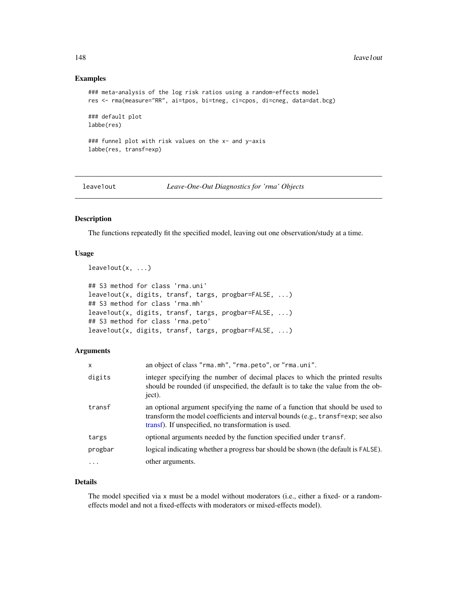## Examples

```
### meta-analysis of the log risk ratios using a random-effects model
res <- rma(measure="RR", ai=tpos, bi=tneg, ci=cpos, di=cneg, data=dat.bcg)
### default plot
labbe(res)
### funnel plot with risk values on the x- and y-axis
labbe(res, transf=exp)
```
leave1out *Leave-One-Out Diagnostics for 'rma' Objects*

#### Description

The functions repeatedly fit the specified model, leaving out one observation/study at a time.

## Usage

```
leave1out(x, ...)
```

```
## S3 method for class 'rma.uni'
leave1out(x, digits, transf, targs, progbar=FALSE, ...)
## S3 method for class 'rma.mh'
leave1out(x, digits, transf, targs, progbar=FALSE, ...)
## S3 method for class 'rma.peto'
leave1out(x, digits, transf, targs, progbar=FALSE, ...)
```
# Arguments

| X       | an object of class "rma.mh", "rma.peto", or "rma.uni".                                                                                                                                                                   |
|---------|--------------------------------------------------------------------------------------------------------------------------------------------------------------------------------------------------------------------------|
| digits  | integer specifying the number of decimal places to which the printed results<br>should be rounded (if unspecified, the default is to take the value from the ob-<br>ject).                                               |
| transf  | an optional argument specifying the name of a function that should be used to<br>transform the model coefficients and interval bounds (e.g., transf=exp; see also<br>transf). If unspecified, no transformation is used. |
| targs   | optional arguments needed by the function specified under transf.                                                                                                                                                        |
| progbar | logical indicating whether a progress bar should be shown (the default is FALSE).                                                                                                                                        |
|         | other arguments.                                                                                                                                                                                                         |

## Details

The model specified via x must be a model without moderators (i.e., either a fixed- or a randomeffects model and not a fixed-effects with moderators or mixed-effects model).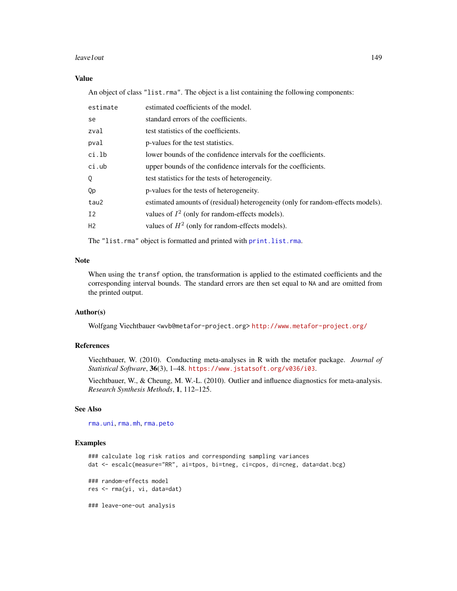#### leave1out 149

# Value

An object of class "list.rma". The object is a list containing the following components:

| estimate | estimated coefficients of the model.                                            |
|----------|---------------------------------------------------------------------------------|
| se       | standard errors of the coefficients.                                            |
| zval     | test statistics of the coefficients.                                            |
| pval     | p-values for the test statistics.                                               |
| ci.lb    | lower bounds of the confidence intervals for the coefficients.                  |
| ci.ub    | upper bounds of the confidence intervals for the coefficients.                  |
| 0        | test statistics for the tests of heterogeneity.                                 |
| Qp       | p-values for the tests of heterogeneity.                                        |
| tau2     | estimated amounts of (residual) heterogeneity (only for random-effects models). |
| I2       | values of $I^2$ (only for random-effects models).                               |
| H2       | values of $H^2$ (only for random-effects models).                               |
|          |                                                                                 |

The "list.rma" object is formatted and printed with [print.list.rma](#page-176-0).

# Note

When using the transf option, the transformation is applied to the estimated coefficients and the corresponding interval bounds. The standard errors are then set equal to NA and are omitted from the printed output.

# Author(s)

Wolfgang Viechtbauer <wvb@metafor-project.org> <http://www.metafor-project.org/>

# References

Viechtbauer, W. (2010). Conducting meta-analyses in R with the metafor package. *Journal of Statistical Software*, 36(3), 1–48. <https://www.jstatsoft.org/v036/i03>.

Viechtbauer, W., & Cheung, M. W.-L. (2010). Outlier and influence diagnostics for meta-analysis. *Research Synthesis Methods*, 1, 112–125.

## See Also

[rma.uni](#page-235-0), [rma.mh](#page-216-0), [rma.peto](#page-232-0)

#### Examples

```
### calculate log risk ratios and corresponding sampling variances
dat <- escalc(measure="RR", ai=tpos, bi=tneg, ci=cpos, di=cneg, data=dat.bcg)
### random-effects model
res <- rma(yi, vi, data=dat)
```
### leave-one-out analysis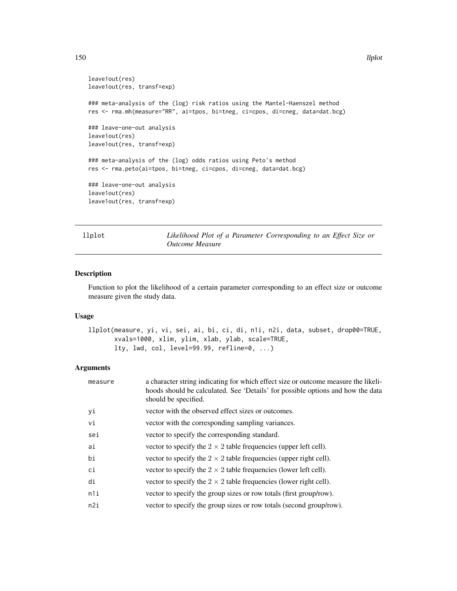```
leave1out(res)
leave1out(res, transf=exp)
### meta-analysis of the (log) risk ratios using the Mantel-Haenszel method
res <- rma.mh(measure="RR", ai=tpos, bi=tneg, ci=cpos, di=cneg, data=dat.bcg)
### leave-one-out analysis
leave1out(res)
leave1out(res, transf=exp)
### meta-analysis of the (log) odds ratios using Peto's method
res <- rma.peto(ai=tpos, bi=tneg, ci=cpos, di=cneg, data=dat.bcg)
### leave-one-out analysis
leave1out(res)
leave1out(res, transf=exp)
```
llplot *Likelihood Plot of a Parameter Corresponding to an Effect Size or Outcome Measure*

#### Description

Function to plot the likelihood of a certain parameter corresponding to an effect size or outcome measure given the study data.

# Usage

```
llplot(measure, yi, vi, sei, ai, bi, ci, di, n1i, n2i, data, subset, drop00=TRUE,
       xvals=1000, xlim, ylim, xlab, ylab, scale=TRUE,
      lty, lwd, col, level=99.99, refline=0, ...)
```
#### Arguments

| measure | a character string indicating for which effect size or outcome measure the likeli-<br>hoods should be calculated. See 'Details' for possible options and how the data<br>should be specified. |
|---------|-----------------------------------------------------------------------------------------------------------------------------------------------------------------------------------------------|
| yi      | vector with the observed effect sizes or outcomes.                                                                                                                                            |
| vi      | vector with the corresponding sampling variances.                                                                                                                                             |
| sei     | vector to specify the corresponding standard.                                                                                                                                                 |
| ai      | vector to specify the $2 \times 2$ table frequencies (upper left cell).                                                                                                                       |
| bi      | vector to specify the $2 \times 2$ table frequencies (upper right cell).                                                                                                                      |
| ci      | vector to specify the $2 \times 2$ table frequencies (lower left cell).                                                                                                                       |
| di      | vector to specify the $2 \times 2$ table frequencies (lower right cell).                                                                                                                      |
| n1i     | vector to specify the group sizes or row totals (first group/row).                                                                                                                            |
| n2i     | vector to specify the group sizes or row totals (second group/row).                                                                                                                           |
|         |                                                                                                                                                                                               |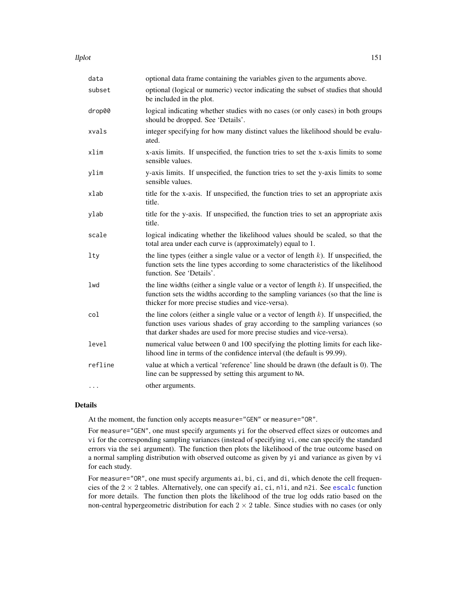llplot the contract of the contract of the contract of the contract of the contract of the contract of the contract of the contract of the contract of the contract of the contract of the contract of the contract of the con

| data    | optional data frame containing the variables given to the arguments above.                                                                                                                                                                       |
|---------|--------------------------------------------------------------------------------------------------------------------------------------------------------------------------------------------------------------------------------------------------|
| subset  | optional (logical or numeric) vector indicating the subset of studies that should<br>be included in the plot.                                                                                                                                    |
| drop00  | logical indicating whether studies with no cases (or only cases) in both groups<br>should be dropped. See 'Details'.                                                                                                                             |
| xvals   | integer specifying for how many distinct values the likelihood should be evalu-<br>ated.                                                                                                                                                         |
| xlim    | x-axis limits. If unspecified, the function tries to set the x-axis limits to some<br>sensible values.                                                                                                                                           |
| ylim    | y-axis limits. If unspecified, the function tries to set the y-axis limits to some<br>sensible values.                                                                                                                                           |
| xlab    | title for the x-axis. If unspecified, the function tries to set an appropriate axis<br>title.                                                                                                                                                    |
| ylab    | title for the y-axis. If unspecified, the function tries to set an appropriate axis<br>title.                                                                                                                                                    |
| scale   | logical indicating whether the likelihood values should be scaled, so that the<br>total area under each curve is (approximately) equal to 1.                                                                                                     |
| $1$ ty  | the line types (either a single value or a vector of length $k$ ). If unspecified, the<br>function sets the line types according to some characteristics of the likelihood<br>function. See 'Details'.                                           |
| lwd     | the line widths (either a single value or a vector of length $k$ ). If unspecified, the<br>function sets the widths according to the sampling variances (so that the line is<br>thicker for more precise studies and vice-versa).                |
| col     | the line colors (either a single value or a vector of length $k$ ). If unspecified, the<br>function uses various shades of gray according to the sampling variances (so<br>that darker shades are used for more precise studies and vice-versa). |
| level   | numerical value between 0 and 100 specifying the plotting limits for each like-<br>lihood line in terms of the confidence interval (the default is 99.99).                                                                                       |
| refline | value at which a vertical 'reference' line should be drawn (the default is 0). The<br>line can be suppressed by setting this argument to NA.                                                                                                     |
| .       | other arguments.                                                                                                                                                                                                                                 |

#### Details

At the moment, the function only accepts measure="GEN" or measure="OR".

For measure="GEN", one must specify arguments yi for the observed effect sizes or outcomes and vi for the corresponding sampling variances (instead of specifying vi, one can specify the standard errors via the sei argument). The function then plots the likelihood of the true outcome based on a normal sampling distribution with observed outcome as given by yi and variance as given by vi for each study.

For measure="OR", one must specify arguments ai, bi, ci, and di, which denote the cell frequencies of the  $2 \times 2$  tables. Alternatively, one can specify ai, ci, n1i, and n2i. See [escalc](#page-92-0) function for more details. The function then plots the likelihood of the true log odds ratio based on the non-central hypergeometric distribution for each  $2 \times 2$  table. Since studies with no cases (or only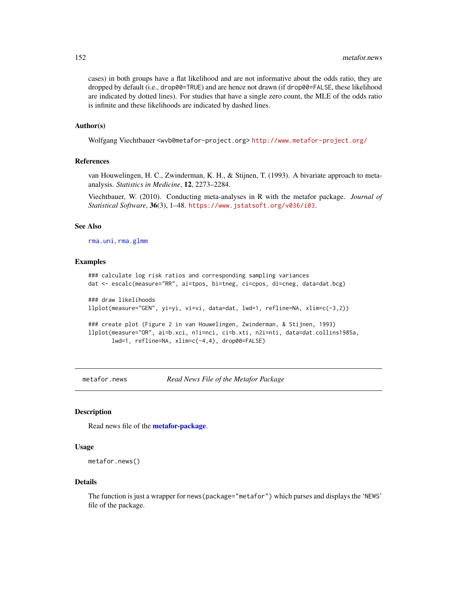cases) in both groups have a flat likelihood and are not informative about the odds ratio, they are dropped by default (i.e., drop00=TRUE) and are hence not drawn (if drop00=FALSE, these likelihood are indicated by dotted lines). For studies that have a single zero count, the MLE of the odds ratio is infinite and these likelihoods are indicated by dashed lines.

#### Author(s)

Wolfgang Viechtbauer <wvb@metafor-project.org> <http://www.metafor-project.org/>

## References

van Houwelingen, H. C., Zwinderman, K. H., & Stijnen, T. (1993). A bivariate approach to metaanalysis. *Statistics in Medicine*, 12, 2273–2284.

Viechtbauer, W. (2010). Conducting meta-analyses in R with the metafor package. *Journal of Statistical Software*, 36(3), 1–48. <https://www.jstatsoft.org/v036/i03>.

#### See Also

[rma.uni](#page-235-0), [rma.glmm](#page-208-0)

# Examples

```
### calculate log risk ratios and corresponding sampling variances
dat <- escalc(measure="RR", ai=tpos, bi=tneg, ci=cpos, di=cneg, data=dat.bcg)
### draw likelihoods
llplot(measure="GEN", yi=yi, vi=vi, data=dat, lwd=1, refline=NA, xlim=c(-3,2))
### create plot (Figure 2 in van Houwelingen, Zwinderman, & Stijnen, 1993)
llplot(measure="OR", ai=b.xci, n1i=nci, ci=b.xti, n2i=nti, data=dat.collins1985a,
      lwd=1, refline=NA, xlim=c(-4,4), drop00=FALSE)
```
metafor.news *Read News File of the Metafor Package*

# **Description**

Read news file of the [metafor-package](#page-3-0).

## Usage

```
metafor.news()
```
#### Details

The function is just a wrapper for news (package="metafor") which parses and displays the 'NEWS' file of the package.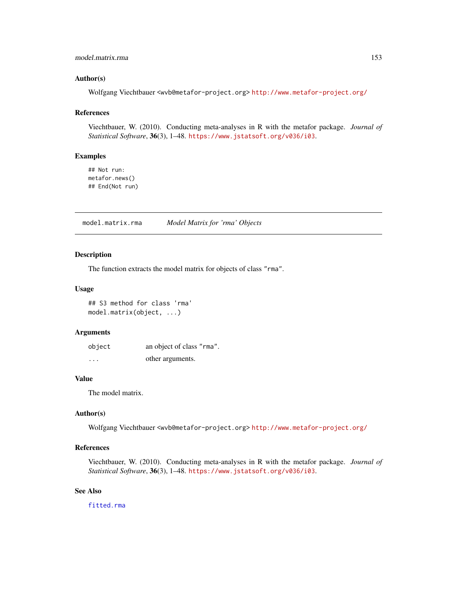# model.matrix.rma 153

# Author(s)

Wolfgang Viechtbauer <wvb@metafor-project.org> <http://www.metafor-project.org/>

# References

Viechtbauer, W. (2010). Conducting meta-analyses in R with the metafor package. *Journal of Statistical Software*, 36(3), 1–48. <https://www.jstatsoft.org/v036/i03>.

# Examples

## Not run: metafor.news() ## End(Not run)

model.matrix.rma *Model Matrix for 'rma' Objects*

# Description

The function extracts the model matrix for objects of class "rma".

#### Usage

## S3 method for class 'rma' model.matrix(object, ...)

## Arguments

| object   | an object of class "rma". |
|----------|---------------------------|
| $\cdots$ | other arguments.          |

# Value

The model matrix.

# Author(s)

Wolfgang Viechtbauer <wvb@metafor-project.org> <http://www.metafor-project.org/>

# References

Viechtbauer, W. (2010). Conducting meta-analyses in R with the metafor package. *Journal of Statistical Software*, 36(3), 1–48. <https://www.jstatsoft.org/v036/i03>.

# See Also

[fitted.rma](#page-110-0)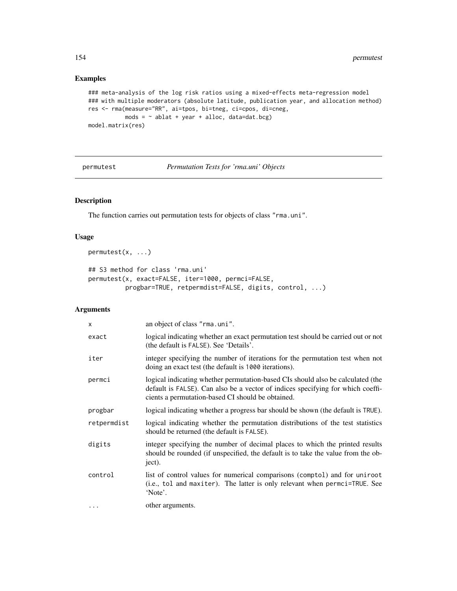# Examples

```
### meta-analysis of the log risk ratios using a mixed-effects meta-regression model
### with multiple moderators (absolute latitude, publication year, and allocation method)
res <- rma(measure="RR", ai=tpos, bi=tneg, ci=cpos, di=cneg,
           mods = \sim ablat + year + alloc, data=dat.bcg)model.matrix(res)
```
permutest *Permutation Tests for 'rma.uni' Objects*

# <span id="page-153-0"></span>Description

The function carries out permutation tests for objects of class "rma.uni".

# Usage

```
permutest(x, ...)
```

```
## S3 method for class 'rma.uni'
permutest(x, exact=FALSE, iter=1000, permci=FALSE,
         progbar=TRUE, retpermdist=FALSE, digits, control, ...)
```
# Arguments

| $\times$    | an object of class "rma.uni".                                                                                                                                                                                           |
|-------------|-------------------------------------------------------------------------------------------------------------------------------------------------------------------------------------------------------------------------|
| exact       | logical indicating whether an exact permutation test should be carried out or not<br>(the default is FALSE). See 'Details'.                                                                                             |
| iter        | integer specifying the number of iterations for the permutation test when not<br>doing an exact test (the default is 1000 iterations).                                                                                  |
| permci      | logical indicating whether permutation-based CIs should also be calculated (the<br>default is FALSE). Can also be a vector of indices specifying for which coeffi-<br>cients a permutation-based CI should be obtained. |
| progbar     | logical indicating whether a progress bar should be shown (the default is TRUE).                                                                                                                                        |
| retpermdist | logical indicating whether the permutation distributions of the test statistics<br>should be returned (the default is FALSE).                                                                                           |
| digits      | integer specifying the number of decimal places to which the printed results<br>should be rounded (if unspecified, the default is to take the value from the ob-<br>ject).                                              |
| control     | list of control values for numerical comparisons (comptol) and for uniroot<br>(i.e., tol and maxiter). The latter is only relevant when permci=TRUE. See<br>'Note'.                                                     |
| $\cdots$    | other arguments.                                                                                                                                                                                                        |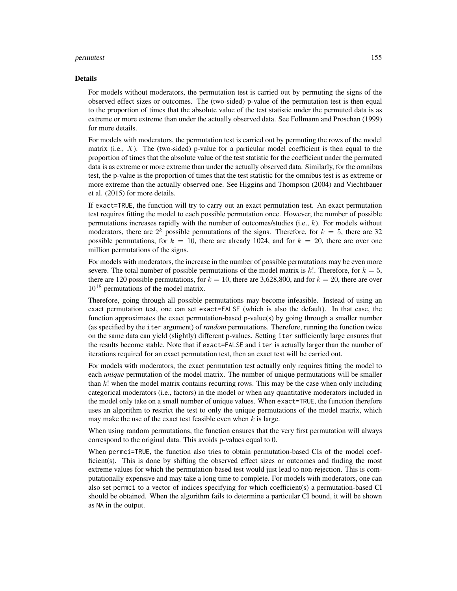#### permutest 155

#### Details

For models without moderators, the permutation test is carried out by permuting the signs of the observed effect sizes or outcomes. The (two-sided) p-value of the permutation test is then equal to the proportion of times that the absolute value of the test statistic under the permuted data is as extreme or more extreme than under the actually observed data. See Follmann and Proschan (1999) for more details.

For models with moderators, the permutation test is carried out by permuting the rows of the model matrix (i.e.,  $X$ ). The (two-sided) p-value for a particular model coefficient is then equal to the proportion of times that the absolute value of the test statistic for the coefficient under the permuted data is as extreme or more extreme than under the actually observed data. Similarly, for the omnibus test, the p-value is the proportion of times that the test statistic for the omnibus test is as extreme or more extreme than the actually observed one. See Higgins and Thompson (2004) and Viechtbauer et al. (2015) for more details.

If exact=TRUE, the function will try to carry out an exact permutation test. An exact permutation test requires fitting the model to each possible permutation once. However, the number of possible permutations increases rapidly with the number of outcomes/studies  $(i.e., k)$ . For models without moderators, there are  $2^k$  possible permutations of the signs. Therefore, for  $k = 5$ , there are 32 possible permutations, for  $k = 10$ , there are already 1024, and for  $k = 20$ , there are over one million permutations of the signs.

For models with moderators, the increase in the number of possible permutations may be even more severe. The total number of possible permutations of the model matrix is k!. Therefore, for  $k = 5$ , there are 120 possible permutations, for  $k = 10$ , there are 3,628,800, and for  $k = 20$ , there are over 10<sup>18</sup> permutations of the model matrix.

Therefore, going through all possible permutations may become infeasible. Instead of using an exact permutation test, one can set exact=FALSE (which is also the default). In that case, the function approximates the exact permutation-based p-value(s) by going through a smaller number (as specified by the iter argument) of *random* permutations. Therefore, running the function twice on the same data can yield (slightly) different p-values. Setting iter sufficiently large ensures that the results become stable. Note that if exact=FALSE and iter is actually larger than the number of iterations required for an exact permutation test, then an exact test will be carried out.

For models with moderators, the exact permutation test actually only requires fitting the model to each *unique* permutation of the model matrix. The number of unique permutations will be smaller than  $k!$  when the model matrix contains recurring rows. This may be the case when only including categorical moderators (i.e., factors) in the model or when any quantitative moderators included in the model only take on a small number of unique values. When exact=TRUE, the function therefore uses an algorithm to restrict the test to only the unique permutations of the model matrix, which may make the use of the exact test feasible even when  $k$  is large.

When using random permutations, the function ensures that the very first permutation will always correspond to the original data. This avoids p-values equal to 0.

When permci=TRUE, the function also tries to obtain permutation-based CIs of the model coefficient(s). This is done by shifting the observed effect sizes or outcomes and finding the most extreme values for which the permutation-based test would just lead to non-rejection. This is computationally expensive and may take a long time to complete. For models with moderators, one can also set permci to a vector of indices specifying for which coefficient(s) a permutation-based CI should be obtained. When the algorithm fails to determine a particular CI bound, it will be shown as NA in the output.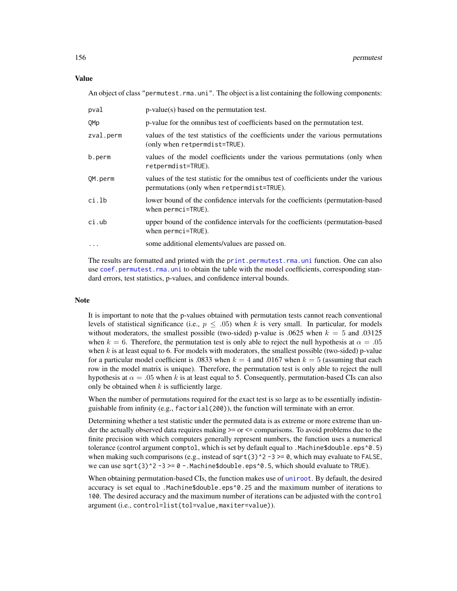An object of class "permutest.rma.uni". The object is a list containing the following components:

| pval      | $p-value(s)$ based on the permutation test.                                                                                          |
|-----------|--------------------------------------------------------------------------------------------------------------------------------------|
| QMp       | p-value for the omnibus test of coefficients based on the permutation test.                                                          |
| zval.perm | values of the test statistics of the coefficients under the various permutations<br>(only when retpermdist=TRUE).                    |
| b.perm    | values of the model coefficients under the various permutations (only when<br>retpermdist=TRUE).                                     |
| OM.perm   | values of the test statistic for the omnibus test of coefficients under the various<br>permutations (only when retpermet is t=TRUE). |
| ci.lb     | lower bound of the confidence intervals for the coefficients (permutation-based<br>when permci=TRUE).                                |
| ci.ub     | upper bound of the confidence intervals for the coefficients (permutation-based<br>when $permci = TRUE$ ).                           |
| $\cdots$  | some additional elements/values are passed on.                                                                                       |
|           |                                                                                                                                      |

The results are formatted and printed with the [print.permutest.rma.uni](#page-176-1) function. One can also use [coef.permutest.rma.uni](#page-23-0) to obtain the table with the model coefficients, corresponding standard errors, test statistics, p-values, and confidence interval bounds.

# Note

It is important to note that the p-values obtained with permutation tests cannot reach conventional levels of statistical significance (i.e.,  $p \leq .05$ ) when k is very small. In particular, for models without moderators, the smallest possible (two-sided) p-value is .0625 when  $k = 5$  and .03125 when  $k = 6$ . Therefore, the permutation test is only able to reject the null hypothesis at  $\alpha = .05$ when  $k$  is at least equal to 6. For models with moderators, the smallest possible (two-sided) p-value for a particular model coefficient is .0833 when  $k = 4$  and .0167 when  $k = 5$  (assuming that each row in the model matrix is unique). Therefore, the permutation test is only able to reject the null hypothesis at  $\alpha = .05$  when k is at least equal to 5. Consequently, permutation-based CIs can also only be obtained when  $k$  is sufficiently large.

When the number of permutations required for the exact test is so large as to be essentially indistinguishable from infinity (e.g., factorial(200)), the function will terminate with an error.

Determining whether a test statistic under the permuted data is as extreme or more extreme than under the actually observed data requires making >= or <= comparisons. To avoid problems due to the finite precision with which computers generally represent numbers, the function uses a numerical tolerance (control argument comptol, which is set by default equal to .Machine\$double.eps^0.5) when making such comparisons (e.g., instead of sqrt(3)^2 -3 >= 0, which may evaluate to FALSE, we can use sqrt(3)^2 -3 >=  $0 -$ .Machine\$double.eps^0.5, which should evaluate to TRUE).

When obtaining permutation-based CIs, the function makes use of [uniroot](#page-0-0). By default, the desired accuracy is set equal to .Machine\$double.eps^0.25 and the maximum number of iterations to 100. The desired accuracy and the maximum number of iterations can be adjusted with the control argument (i.e., control=list(tol=value,maxiter=value)).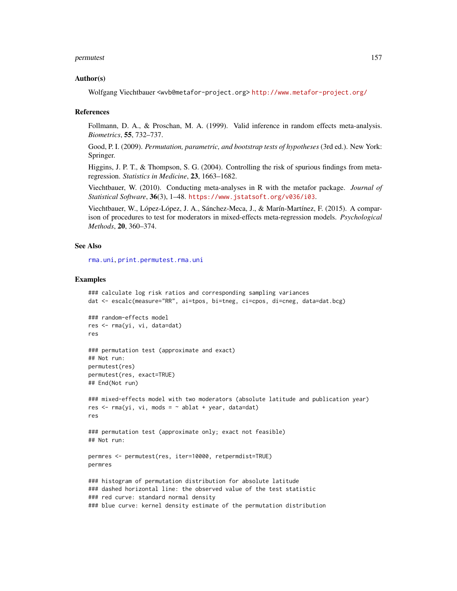#### permutest 157

#### Author(s)

Wolfgang Viechtbauer <wvb@metafor-project.org> <http://www.metafor-project.org/>

#### References

Follmann, D. A., & Proschan, M. A. (1999). Valid inference in random effects meta-analysis. *Biometrics*, 55, 732–737.

Good, P. I. (2009). *Permutation, parametric, and bootstrap tests of hypotheses* (3rd ed.). New York: Springer.

Higgins, J. P. T., & Thompson, S. G. (2004). Controlling the risk of spurious findings from metaregression. *Statistics in Medicine*, 23, 1663–1682.

Viechtbauer, W. (2010). Conducting meta-analyses in R with the metafor package. *Journal of Statistical Software*, 36(3), 1–48. <https://www.jstatsoft.org/v036/i03>.

Viechtbauer, W., López-López, J. A., Sánchez-Meca, J., & Marín-Martínez, F. (2015). A comparison of procedures to test for moderators in mixed-effects meta-regression models. *Psychological Methods*, 20, 360–374.

## See Also

[rma.uni](#page-235-0), [print.permutest.rma.uni](#page-176-1)

#### Examples

```
### calculate log risk ratios and corresponding sampling variances
dat <- escalc(measure="RR", ai=tpos, bi=tneg, ci=cpos, di=cneg, data=dat.bcg)
### random-effects model
res <- rma(yi, vi, data=dat)
res
### permutation test (approximate and exact)
## Not run:
permutest(res)
permutest(res, exact=TRUE)
## End(Not run)
### mixed-effects model with two moderators (absolute latitude and publication year)
res \leq rma(yi, vi, mods = \sim ablat + year, data=dat)
res
### permutation test (approximate only; exact not feasible)
## Not run:
permres <- permutest(res, iter=10000, retpermdist=TRUE)
permres
### histogram of permutation distribution for absolute latitude
### dashed horizontal line: the observed value of the test statistic
### red curve: standard normal density
### blue curve: kernel density estimate of the permutation distribution
```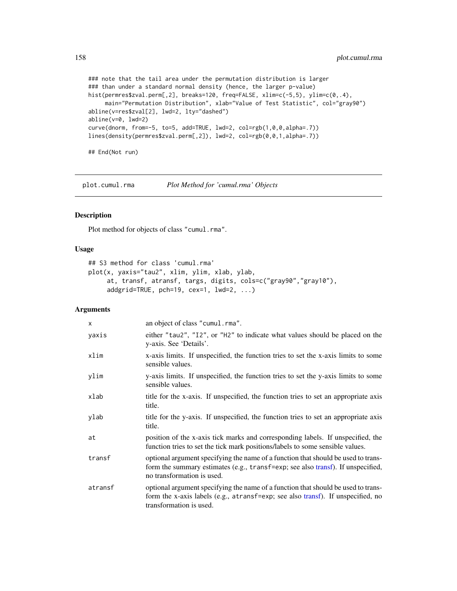```
### note that the tail area under the permutation distribution is larger
### than under a standard normal density (hence, the larger p-value)
hist(permres$zval.perm[,2], breaks=120, freq=FALSE, xlim=c(-5,5), ylim=c(0,.4),
     main="Permutation Distribution", xlab="Value of Test Statistic", col="gray90")
abline(v=res$zval[2], lwd=2, lty="dashed")
abline(v=0, lwd=2)
curve(dnorm, from=-5, to=5, add=TRUE, lwd=2, col=rgb(1,0,0,alpha=.7))
lines(density(permres$zval.perm[,2]), lwd=2, col=rgb(0,0,1,alpha=.7))
## End(Not run)
```
plot.cumul.rma *Plot Method for 'cumul.rma' Objects*

# Description

Plot method for objects of class "cumul.rma".

## Usage

```
## S3 method for class 'cumul.rma'
plot(x, yaxis="tau2", xlim, ylim, xlab, ylab,
     at, transf, atransf, targs, digits, cols=c("gray90","gray10"),
     addgrid=TRUE, pch=19, cex=1, lwd=2, ...)
```
## Arguments

| $\mathsf{x}$ | an object of class "cumul.rma".                                                                                                                                                                    |
|--------------|----------------------------------------------------------------------------------------------------------------------------------------------------------------------------------------------------|
| yaxis        | either "tau2", "I2", or "H2" to indicate what values should be placed on the<br>y-axis. See 'Details'.                                                                                             |
| xlim         | x-axis limits. If unspecified, the function tries to set the x-axis limits to some<br>sensible values.                                                                                             |
| ylim         | y-axis limits. If unspecified, the function tries to set the y-axis limits to some<br>sensible values.                                                                                             |
| xlab         | title for the x-axis. If unspecified, the function tries to set an appropriate axis<br>title.                                                                                                      |
| ylab         | title for the y-axis. If unspecified, the function tries to set an appropriate axis<br>title.                                                                                                      |
| at           | position of the x-axis tick marks and corresponding labels. If unspecified, the<br>function tries to set the tick mark positions/labels to some sensible values.                                   |
| transf       | optional argument specifying the name of a function that should be used to trans-<br>form the summary estimates (e.g., transf=exp; see also transf). If unspecified,<br>no transformation is used. |
| atransf      | optional argument specifying the name of a function that should be used to trans-<br>form the x-axis labels (e.g., atransf=exp; see also transf). If unspecified, no<br>transformation is used.    |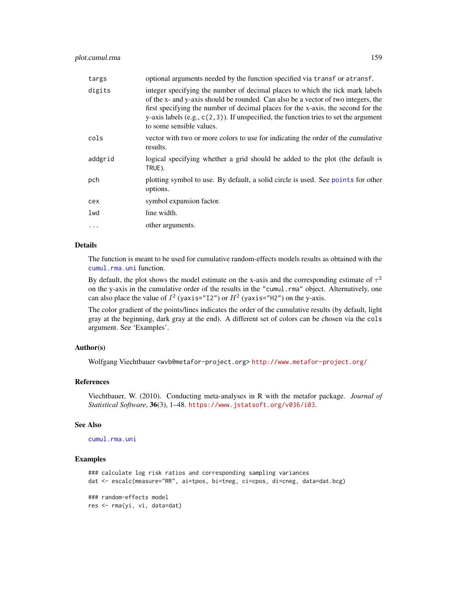| targs    | optional arguments needed by the function specified via transf or atransf.                                                                                                                                                                                                                                                                                                    |
|----------|-------------------------------------------------------------------------------------------------------------------------------------------------------------------------------------------------------------------------------------------------------------------------------------------------------------------------------------------------------------------------------|
| digits   | integer specifying the number of decimal places to which the tick mark labels<br>of the x- and y-axis should be rounded. Can also be a vector of two integers, the<br>first specifying the number of decimal places for the x-axis, the second for the<br>y-axis labels $(e.g., c(2,3))$ . If unspecified, the function tries to set the argument<br>to some sensible values. |
| cols     | vector with two or more colors to use for indicating the order of the cumulative<br>results.                                                                                                                                                                                                                                                                                  |
| addgrid  | logical specifying whether a grid should be added to the plot (the default is<br>TRUE).                                                                                                                                                                                                                                                                                       |
| pch      | plotting symbol to use. By default, a solid circle is used. See points for other<br>options.                                                                                                                                                                                                                                                                                  |
| cex      | symbol expansion factor.                                                                                                                                                                                                                                                                                                                                                      |
| lwd      | line width.                                                                                                                                                                                                                                                                                                                                                                   |
| $\ddots$ | other arguments.                                                                                                                                                                                                                                                                                                                                                              |

# Details

The function is meant to be used for cumulative random-effects models results as obtained with the [cumul.rma.uni](#page-32-0) function.

By default, the plot shows the model estimate on the x-axis and the corresponding estimate of  $\tau^2$ on the y-axis in the cumulative order of the results in the "cumul.rma" object. Alternatively, one can also place the value of  $I^2$  (yaxis="12") or  $H^2$  (yaxis="H2") on the y-axis.

The color gradient of the points/lines indicates the order of the cumulative results (by default, light gray at the beginning, dark gray at the end). A different set of colors can be chosen via the cols argument. See 'Examples'.

# Author(s)

Wolfgang Viechtbauer <wvb@metafor-project.org> <http://www.metafor-project.org/>

## References

Viechtbauer, W. (2010). Conducting meta-analyses in R with the metafor package. *Journal of Statistical Software*, 36(3), 1–48. <https://www.jstatsoft.org/v036/i03>.

#### See Also

[cumul.rma.uni](#page-32-0)

# Examples

```
### calculate log risk ratios and corresponding sampling variances
dat <- escalc(measure="RR", ai=tpos, bi=tneg, ci=cpos, di=cneg, data=dat.bcg)
### random-effects model
res <- rma(yi, vi, data=dat)
```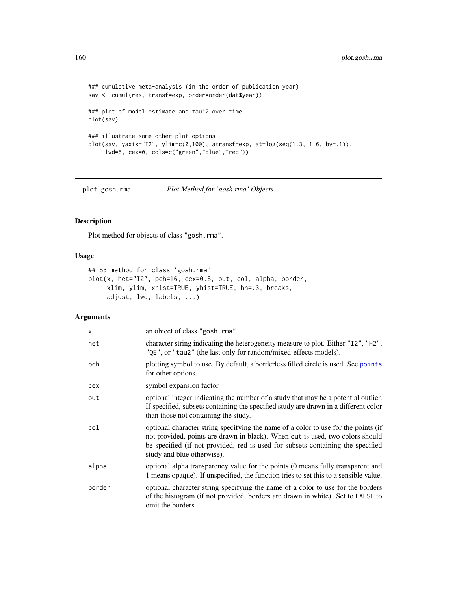```
### cumulative meta-analysis (in the order of publication year)
sav <- cumul(res, transf=exp, order=order(dat$year))
### plot of model estimate and tau^2 over time
plot(sav)
### illustrate some other plot options
plot(sav, yaxis="I2", ylim=c(0,100), atransf=exp, at=log(seq(1.3, 1.6, by=.1)),
     lwd=5, cex=0, cols=c("green","blue","red"))
```
plot.gosh.rma *Plot Method for 'gosh.rma' Objects*

# Description

Plot method for objects of class "gosh.rma".

# Usage

```
## S3 method for class 'gosh.rma'
plot(x, het="I2", pch=16, cex=0.5, out, col, alpha, border,
     xlim, ylim, xhist=TRUE, yhist=TRUE, hh=.3, breaks,
     adjust, lwd, labels, ...)
```
## Arguments

| $\times$ | an object of class "gosh.rma".                                                                                                                                                                                                                                                       |
|----------|--------------------------------------------------------------------------------------------------------------------------------------------------------------------------------------------------------------------------------------------------------------------------------------|
| het      | character string indicating the heterogeneity measure to plot. Either "I2", "H2",<br>"QE", or "tau2" (the last only for random/mixed-effects models).                                                                                                                                |
| pch      | plotting symbol to use. By default, a borderless filled circle is used. See points<br>for other options.                                                                                                                                                                             |
| cex      | symbol expansion factor.                                                                                                                                                                                                                                                             |
| out      | optional integer indicating the number of a study that may be a potential outlier.<br>If specified, subsets containing the specified study are drawn in a different color<br>than those not containing the study.                                                                    |
| col      | optional character string specifying the name of a color to use for the points (if<br>not provided, points are drawn in black). When out is used, two colors should<br>be specified (if not provided, red is used for subsets containing the specified<br>study and blue otherwise). |
| alpha    | optional alpha transparency value for the points (0 means fully transparent and<br>1 means opaque). If unspecified, the function tries to set this to a sensible value.                                                                                                              |
| border   | optional character string specifying the name of a color to use for the borders<br>of the histogram (if not provided, borders are drawn in white). Set to FALSE to<br>omit the borders.                                                                                              |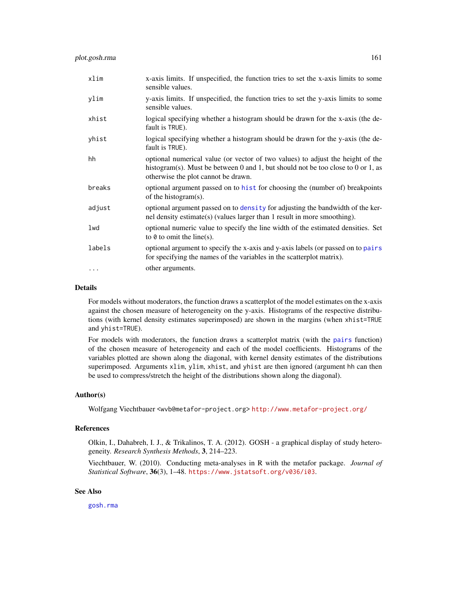| xlim     | x-axis limits. If unspecified, the function tries to set the x-axis limits to some<br>sensible values.                                                                                                    |
|----------|-----------------------------------------------------------------------------------------------------------------------------------------------------------------------------------------------------------|
| ylim     | y-axis limits. If unspecified, the function tries to set the y-axis limits to some<br>sensible values.                                                                                                    |
| xhist    | logical specifying whether a histogram should be drawn for the x-axis (the de-<br>fault is TRUE).                                                                                                         |
| yhist    | logical specifying whether a histogram should be drawn for the y-axis (the de-<br>fault is TRUE).                                                                                                         |
| hh       | optional numerical value (or vector of two values) to adjust the height of the<br>histogram(s). Must be between 0 and 1, but should not be too close to 0 or 1, as<br>otherwise the plot cannot be drawn. |
| breaks   | optional argument passed on to hist for choosing the (number of) breakpoints<br>of the histogram $(s)$ .                                                                                                  |
| adjust   | optional argument passed on to density for adjusting the bandwidth of the ker-<br>nel density estimate(s) (values larger than 1 result in more smoothing).                                                |
| lwd      | optional numeric value to specify the line width of the estimated densities. Set<br>to $\theta$ to omit the line(s).                                                                                      |
| labels   | optional argument to specify the x-axis and y-axis labels (or passed on to pairs<br>for specifying the names of the variables in the scatterplot matrix).                                                 |
| $\cdots$ | other arguments.                                                                                                                                                                                          |

#### Details

For models without moderators, the function draws a scatterplot of the model estimates on the x-axis against the chosen measure of heterogeneity on the y-axis. Histograms of the respective distributions (with kernel density estimates superimposed) are shown in the margins (when xhist=TRUE and yhist=TRUE).

For models with moderators, the function draws a scatterplot matrix (with the [pairs](#page-0-0) function) of the chosen measure of heterogeneity and each of the model coefficients. Histograms of the variables plotted are shown along the diagonal, with kernel density estimates of the distributions superimposed. Arguments xlim, ylim, xhist, and yhist are then ignored (argument hh can then be used to compress/stretch the height of the distributions shown along the diagonal).

# Author(s)

Wolfgang Viechtbauer <wvb@metafor-project.org> <http://www.metafor-project.org/>

# References

Olkin, I., Dahabreh, I. J., & Trikalinos, T. A. (2012). GOSH - a graphical display of study heterogeneity. *Research Synthesis Methods*, 3, 214–223.

Viechtbauer, W. (2010). Conducting meta-analyses in R with the metafor package. *Journal of Statistical Software*, 36(3), 1–48. <https://www.jstatsoft.org/v036/i03>.

## See Also

[gosh.rma](#page-134-0)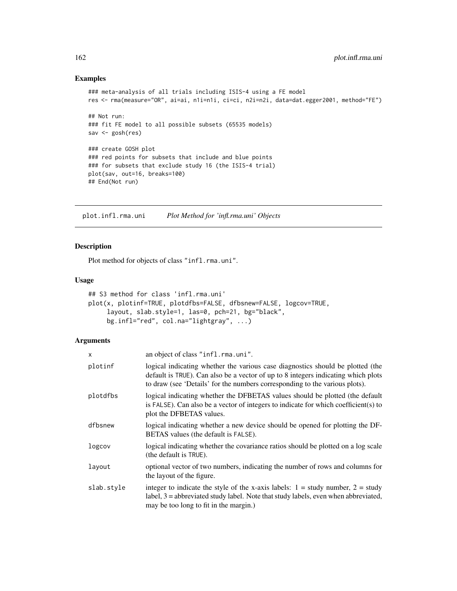## Examples

```
### meta-analysis of all trials including ISIS-4 using a FE model
res <- rma(measure="OR", ai=ai, n1i=n1i, ci=ci, n2i=n2i, data=dat.egger2001, method="FE")
## Not run:
### fit FE model to all possible subsets (65535 models)
sav <- gosh(res)
### create GOSH plot
### red points for subsets that include and blue points
### for subsets that exclude study 16 (the ISIS-4 trial)
plot(sav, out=16, breaks=100)
## End(Not run)
```
<span id="page-161-0"></span>plot.infl.rma.uni *Plot Method for 'infl.rma.uni' Objects*

# Description

Plot method for objects of class "infl.rma.uni".

#### Usage

```
## S3 method for class 'infl.rma.uni'
plot(x, plotinf=TRUE, plotdfbs=FALSE, dfbsnew=FALSE, logcov=TRUE,
     layout, slab.style=1, las=0, pch=21, bg="black",
     bg.infl="red", col.na="lightgray", ...)
```
#### Arguments

| X          | an object of class "infl.rma.uni".                                                                                                                                                                                                                 |
|------------|----------------------------------------------------------------------------------------------------------------------------------------------------------------------------------------------------------------------------------------------------|
| plotinf    | logical indicating whether the various case diagnostics should be plotted (the<br>default is TRUE). Can also be a vector of up to 8 integers indicating which plots<br>to draw (see 'Details' for the numbers corresponding to the various plots). |
| plotdfbs   | logical indicating whether the DFBETAS values should be plotted (the default<br>is FALSE). Can also be a vector of integers to indicate for which coefficient(s) to<br>plot the DFBETAS values.                                                    |
| dfbsnew    | logical indicating whether a new device should be opened for plotting the DF-<br>BETAS values (the default is FALSE).                                                                                                                              |
| logcov     | logical indicating whether the covariance ratios should be plotted on a log scale<br>(the default is TRUE).                                                                                                                                        |
| layout     | optional vector of two numbers, indicating the number of rows and columns for<br>the layout of the figure.                                                                                                                                         |
| slab.style | integer to indicate the style of the x-axis labels: $1 =$ study number, $2 =$ study<br>$label, 3 = abbreviated study label. Note that study labels, even when abbreviated,$<br>may be too long to fit in the margin.)                              |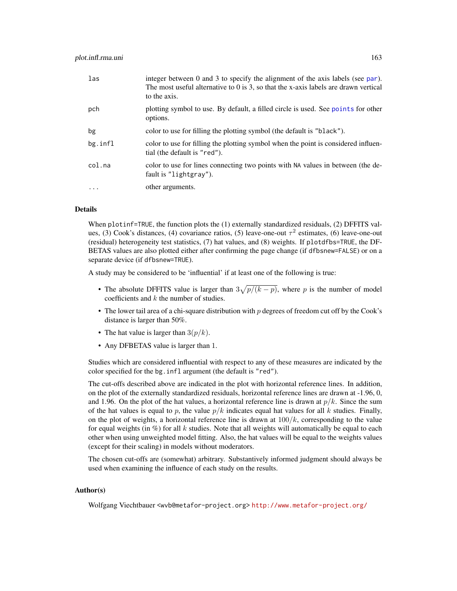| las      | integer between $0$ and $3$ to specify the alignment of the axis labels (see par).<br>The most useful alternative to $0$ is 3, so that the x-axis labels are drawn vertical<br>to the axis. |
|----------|---------------------------------------------------------------------------------------------------------------------------------------------------------------------------------------------|
| pch      | plotting symbol to use. By default, a filled circle is used. See points for other<br>options.                                                                                               |
| bg       | color to use for filling the plotting symbol (the default is "black").                                                                                                                      |
| bg.infl  | color to use for filling the plotting symbol when the point is considered influen-<br>tial (the default is "red").                                                                          |
| col.na   | color to use for lines connecting two points with NA values in between (the de-<br>fault is "lightgray").                                                                                   |
| $\cdots$ | other arguments.                                                                                                                                                                            |

# Details

When plotinf=TRUE, the function plots the (1) externally standardized residuals, (2) DFFITS values, (3) Cook's distances, (4) covariance ratios, (5) leave-one-out  $\tau^2$  estimates, (6) leave-one-out (residual) heterogeneity test statistics, (7) hat values, and (8) weights. If plotdfbs=TRUE, the DF-BETAS values are also plotted either after confirming the page change (if dfbsnew=FALSE) or on a separate device (if dfbsnew=TRUE).

A study may be considered to be 'influential' if at least one of the following is true:

- The absolute DFFITS value is larger than  $3\sqrt{p/(k-p)}$ , where p is the number of model coefficients and k the number of studies.
- The lower tail area of a chi-square distribution with  $p$  degrees of freedom cut off by the Cook's distance is larger than 50%.
- The hat value is larger than  $3(p/k)$ .
- Any DFBETAS value is larger than 1.

Studies which are considered influential with respect to any of these measures are indicated by the color specified for the bg.infl argument (the default is "red").

The cut-offs described above are indicated in the plot with horizontal reference lines. In addition, on the plot of the externally standardized residuals, horizontal reference lines are drawn at -1.96, 0, and 1.96. On the plot of the hat values, a horizontal reference line is drawn at  $p/k$ . Since the sum of the hat values is equal to p, the value  $p/k$  indicates equal hat values for all k studies. Finally, on the plot of weights, a horizontal reference line is drawn at  $100/k$ , corresponding to the value for equal weights (in  $\%$ ) for all k studies. Note that all weights will automatically be equal to each other when using unweighted model fitting. Also, the hat values will be equal to the weights values (except for their scaling) in models without moderators.

The chosen cut-offs are (somewhat) arbitrary. Substantively informed judgment should always be used when examining the influence of each study on the results.

# Author(s)

Wolfgang Viechtbauer <wvb@metafor-project.org> <http://www.metafor-project.org/>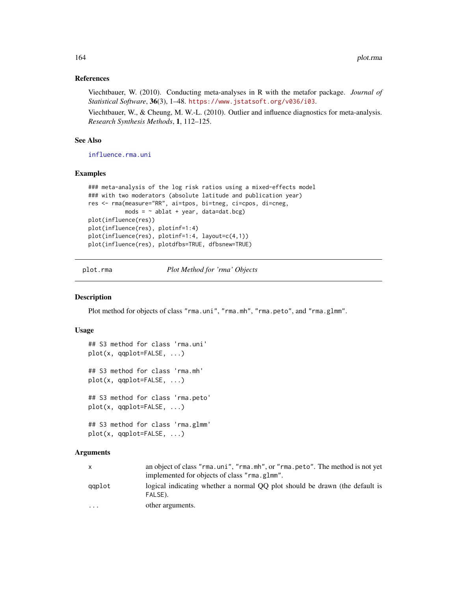# References

Viechtbauer, W. (2010). Conducting meta-analyses in R with the metafor package. *Journal of Statistical Software*, 36(3), 1–48. <https://www.jstatsoft.org/v036/i03>.

Viechtbauer, W., & Cheung, M. W.-L. (2010). Outlier and influence diagnostics for meta-analysis. *Research Synthesis Methods*, 1, 112–125.

# See Also

[influence.rma.uni](#page-141-0)

#### Examples

```
### meta-analysis of the log risk ratios using a mixed-effects model
### with two moderators (absolute latitude and publication year)
res <- rma(measure="RR", ai=tpos, bi=tneg, ci=cpos, di=cneg,
           mods = \sim ablat + year, data=dat.bcg)
plot(influence(res))
plot(influence(res), plotinf=1:4)
plot(influence(res), plotinf=1:4, layout=c(4,1))
plot(influence(res), plotdfbs=TRUE, dfbsnew=TRUE)
```
plot.rma *Plot Method for 'rma' Objects*

#### **Description**

Plot method for objects of class "rma.uni", "rma.mh", "rma.peto", and "rma.glmm".

#### Usage

```
## S3 method for class 'rma.uni'
plot(x, qqplot=FALSE, ...)
## S3 method for class 'rma.mh'
plot(x, qqplot=FALSE, ...)
## S3 method for class 'rma.peto'
plot(x, qqplot=FALSE, ...)
## S3 method for class 'rma.glmm'
plot(x, qqplot=FALSE, ...)
```
## Arguments

|           | an object of class "rma.uni", "rma.mh", or "rma.peto". The method is not yet<br>implemented for objects of class "rma.glmm". |
|-----------|------------------------------------------------------------------------------------------------------------------------------|
| aaplot    | logical indicating whether a normal OO plot should be drawn (the default is<br>FALSE).                                       |
| $\ddotsc$ | other arguments.                                                                                                             |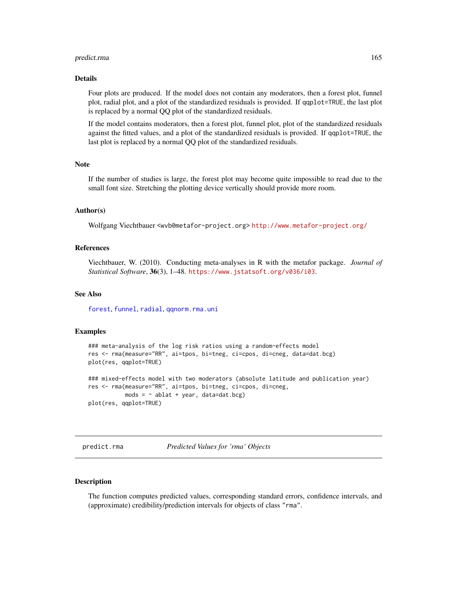#### predict.rma 165

#### Details

Four plots are produced. If the model does not contain any moderators, then a forest plot, funnel plot, radial plot, and a plot of the standardized residuals is provided. If qqplot=TRUE, the last plot is replaced by a normal QQ plot of the standardized residuals.

If the model contains moderators, then a forest plot, funnel plot, plot of the standardized residuals against the fitted values, and a plot of the standardized residuals is provided. If qqplot=TRUE, the last plot is replaced by a normal QQ plot of the standardized residuals.

# Note

If the number of studies is large, the forest plot may become quite impossible to read due to the small font size. Stretching the plotting device vertically should provide more room.

#### Author(s)

Wolfgang Viechtbauer <wvb@metafor-project.org> <http://www.metafor-project.org/>

#### References

Viechtbauer, W. (2010). Conducting meta-analyses in R with the metafor package. *Journal of Statistical Software*, 36(3), 1–48. <https://www.jstatsoft.org/v036/i03>.

# See Also

[forest](#page-111-0), [funnel](#page-129-0), [radial](#page-191-0), [qqnorm.rma.uni](#page-188-0)

# Examples

```
### meta-analysis of the log risk ratios using a random-effects model
res <- rma(measure="RR", ai=tpos, bi=tneg, ci=cpos, di=cneg, data=dat.bcg)
plot(res, qqplot=TRUE)
```
### mixed-effects model with two moderators (absolute latitude and publication year) res <- rma(measure="RR", ai=tpos, bi=tneg, ci=cpos, di=cneg,  $mods = ~ablat + year, data=dat.bcg)$ plot(res, qqplot=TRUE)

predict.rma *Predicted Values for 'rma' Objects*

# Description

The function computes predicted values, corresponding standard errors, confidence intervals, and (approximate) credibility/prediction intervals for objects of class "rma".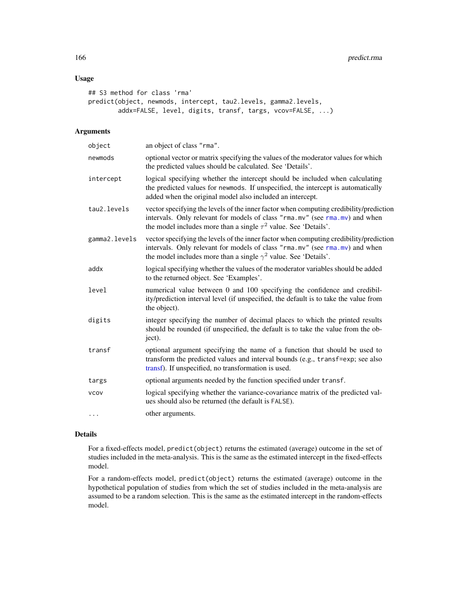# Usage

```
## S3 method for class 'rma'
predict(object, newmods, intercept, tau2.levels, gamma2.levels,
       addx=FALSE, level, digits, transf, targs, vcov=FALSE, ...)
```
# Arguments

| object        | an object of class "rma".                                                                                                                                                                                                                       |
|---------------|-------------------------------------------------------------------------------------------------------------------------------------------------------------------------------------------------------------------------------------------------|
| newmods       | optional vector or matrix specifying the values of the moderator values for which<br>the predicted values should be calculated. See 'Details'.                                                                                                  |
| intercept     | logical specifying whether the intercept should be included when calculating<br>the predicted values for newmods. If unspecified, the intercept is automatically<br>added when the original model also included an intercept.                   |
| tau2.levels   | vector specifying the levels of the inner factor when computing credibility/prediction<br>intervals. Only relevant for models of class "rma.mv" (see rma.mv) and when<br>the model includes more than a single $\tau^2$ value. See 'Details'.   |
| gamma2.levels | vector specifying the levels of the inner factor when computing credibility/prediction<br>intervals. Only relevant for models of class "rma.mv" (see rma.mv) and when<br>the model includes more than a single $\gamma^2$ value. See 'Details'. |
| addx          | logical specifying whether the values of the moderator variables should be added<br>to the returned object. See 'Examples'.                                                                                                                     |
| level         | numerical value between 0 and 100 specifying the confidence and credibil-<br>ity/prediction interval level (if unspecified, the default is to take the value from<br>the object).                                                               |
| digits        | integer specifying the number of decimal places to which the printed results<br>should be rounded (if unspecified, the default is to take the value from the ob-<br>ject).                                                                      |
| transf        | optional argument specifying the name of a function that should be used to<br>transform the predicted values and interval bounds (e.g., transf=exp; see also<br>transf). If unspecified, no transformation is used.                             |
| targs         | optional arguments needed by the function specified under transf.                                                                                                                                                                               |
| <b>VCOV</b>   | logical specifying whether the variance-covariance matrix of the predicted val-<br>ues should also be returned (the default is FALSE).                                                                                                          |
| .             | other arguments.                                                                                                                                                                                                                                |

# Details

For a fixed-effects model, predict(object) returns the estimated (average) outcome in the set of studies included in the meta-analysis. This is the same as the estimated intercept in the fixed-effects model.

For a random-effects model, predict(object) returns the estimated (average) outcome in the hypothetical population of studies from which the set of studies included in the meta-analysis are assumed to be a random selection. This is the same as the estimated intercept in the random-effects model.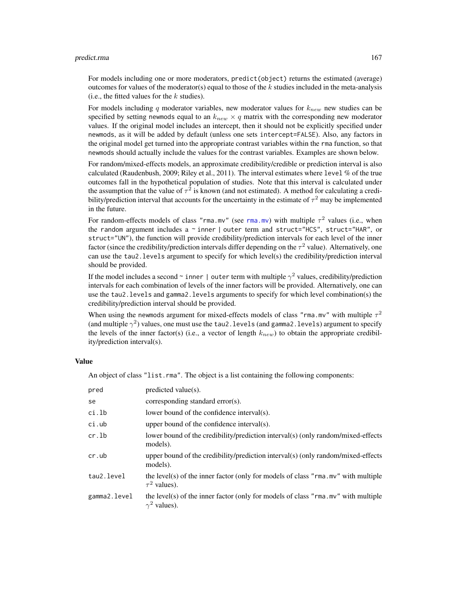#### predict.rma and the set of the set of the set of the set of the set of the set of the set of the set of the set of the set of the set of the set of the set of the set of the set of the set of the set of the set of the set

For models including one or more moderators, predict(object) returns the estimated (average) outcomes for values of the moderator(s) equal to those of the  $k$  studies included in the meta-analysis (i.e., the fitted values for the  $k$  studies).

For models including q moderator variables, new moderator values for  $k_{new}$  new studies can be specified by setting newmods equal to an  $k_{new} \times q$  matrix with the corresponding new moderator values. If the original model includes an intercept, then it should not be explicitly specified under newmods, as it will be added by default (unless one sets intercept=FALSE). Also, any factors in the original model get turned into the appropriate contrast variables within the rma function, so that newmods should actually include the values for the contrast variables. Examples are shown below.

For random/mixed-effects models, an approximate credibility/credible or prediction interval is also calculated (Raudenbush, 2009; Riley et al., 2011). The interval estimates where level % of the true outcomes fall in the hypothetical population of studies. Note that this interval is calculated under the assumption that the value of  $\tau^2$  is known (and not estimated). A method for calculating a credibility/prediction interval that accounts for the uncertainty in the estimate of  $\tau^2$  may be implemented in the future.

For random-effects models of class "[rma.mv](#page-220-0)" (see rma.mv) with multiple  $\tau^2$  values (i.e., when the random argument includes a  $\sim$  inner | outer term and struct="HCS", struct="HAR", or struct="UN"), the function will provide credibility/prediction intervals for each level of the inner factor (since the credibility/prediction intervals differ depending on the  $\tau^2$  value). Alternatively, one can use the tau2.levels argument to specify for which level(s) the credibility/prediction interval should be provided.

If the model includes a second  $\sim$  inner | outer term with multiple  $\gamma^2$  values, credibility/prediction intervals for each combination of levels of the inner factors will be provided. Alternatively, one can use the tau2.levels and gamma2.levels arguments to specify for which level combination(s) the credibility/prediction interval should be provided.

When using the newmods argument for mixed-effects models of class "rma.mv" with multiple  $\tau^2$ (and multiple  $\gamma^2$ ) values, one must use the tau2. levels (and gamma2. levels) argument to specify the levels of the inner factor(s) (i.e., a vector of length  $k_{new}$ ) to obtain the appropriate credibility/prediction interval(s).

# Value

An object of class "list.rma". The object is a list containing the following components:

| pred         | predicted value(s).                                                                                           |
|--------------|---------------------------------------------------------------------------------------------------------------|
| se           | corresponding standard error(s).                                                                              |
| ci.lb        | lower bound of the confidence interval(s).                                                                    |
| ci.ub        | upper bound of the confidence interval(s).                                                                    |
| cr.lb        | lower bound of the credibility/prediction interval(s) (only random/mixed-effects<br>models).                  |
| cr.ub        | upper bound of the credibility/prediction interval(s) (only random/mixed-effects<br>models).                  |
| tau2.level   | the level(s) of the inner factor (only for models of class "rma.mv" with multiple<br>$\tau^2$ values).        |
| gamma2.level | the level(s) of the inner factor (only for models of class " $r$ ma. mv" with multiple<br>$\gamma^2$ values). |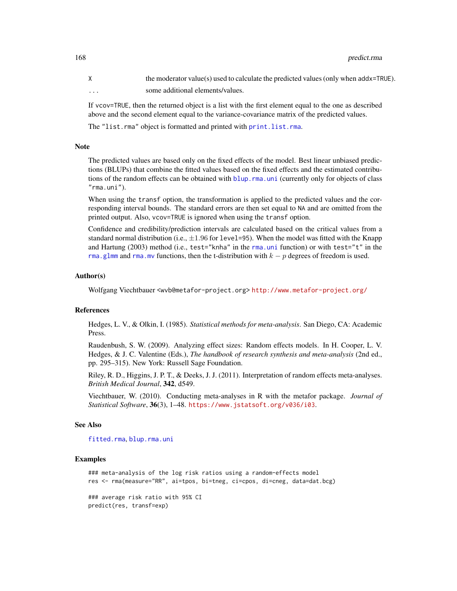X the moderator value(s) used to calculate the predicted values (only when addx=TRUE). ... some additional elements/values.

If vcov=TRUE, then the returned object is a list with the first element equal to the one as described above and the second element equal to the variance-covariance matrix of the predicted values.

The "list.rma" object is formatted and printed with [print.list.rma](#page-176-0).

#### **Note**

The predicted values are based only on the fixed effects of the model. Best linear unbiased predictions (BLUPs) that combine the fitted values based on the fixed effects and the estimated contributions of the random effects can be obtained with [blup.rma.uni](#page-21-0) (currently only for objects of class  $"$ rma.uni").

When using the transf option, the transformation is applied to the predicted values and the corresponding interval bounds. The standard errors are then set equal to NA and are omitted from the printed output. Also, vcov=TRUE is ignored when using the transf option.

Confidence and credibility/prediction intervals are calculated based on the critical values from a standard normal distribution (i.e.,  $\pm 1.96$  for level=95). When the model was fitted with the Knapp and Hartung (2003) method (i.e., test="knha" in the [rma.uni](#page-235-0) function) or with test="t" in the [rma.glmm](#page-208-0) and [rma.mv](#page-220-0) functions, then the t-distribution with  $k - p$  degrees of freedom is used.

### Author(s)

Wolfgang Viechtbauer <wvb@metafor-project.org> <http://www.metafor-project.org/>

#### References

Hedges, L. V., & Olkin, I. (1985). *Statistical methods for meta-analysis*. San Diego, CA: Academic Press.

Raudenbush, S. W. (2009). Analyzing effect sizes: Random effects models. In H. Cooper, L. V. Hedges, & J. C. Valentine (Eds.), *The handbook of research synthesis and meta-analysis* (2nd ed., pp. 295–315). New York: Russell Sage Foundation.

Riley, R. D., Higgins, J. P. T., & Deeks, J. J. (2011). Interpretation of random effects meta-analyses. *British Medical Journal*, 342, d549.

Viechtbauer, W. (2010). Conducting meta-analyses in R with the metafor package. *Journal of Statistical Software*, 36(3), 1–48. <https://www.jstatsoft.org/v036/i03>.

#### See Also

[fitted.rma](#page-110-0), [blup.rma.uni](#page-21-0)

#### Examples

```
### meta-analysis of the log risk ratios using a random-effects model
res <- rma(measure="RR", ai=tpos, bi=tneg, ci=cpos, di=cneg, data=dat.bcg)
### average risk ratio with 95% CI
predict(res, transf=exp)
```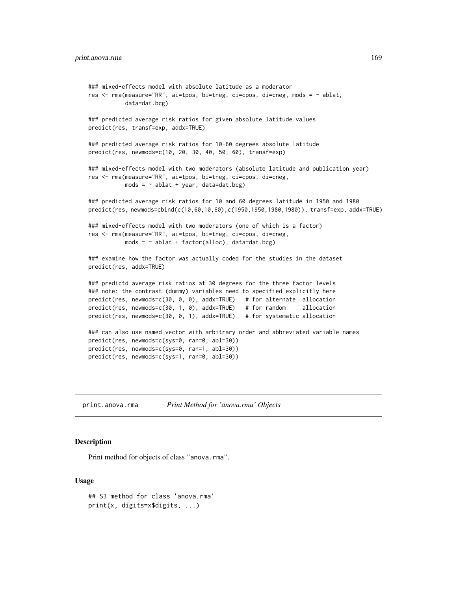```
### mixed-effects model with absolute latitude as a moderator
res <- rma(measure="RR", ai=tpos, bi=tneg, ci=cpos, di=cneg, mods = ~ ablat,
          data=dat.bcg)
### predicted average risk ratios for given absolute latitude values
predict(res, transf=exp, addx=TRUE)
### predicted average risk ratios for 10-60 degrees absolute latitude
predict(res, newmods=c(10, 20, 30, 40, 50, 60), transf=exp)
### mixed-effects model with two moderators (absolute latitude and publication year)
res <- rma(measure="RR", ai=tpos, bi=tneg, ci=cpos, di=cneg,
          mods = \sim ablat + year, data=dat.bcg)
### predicted average risk ratios for 10 and 60 degrees latitude in 1950 and 1980
predict(res, newmods=cbind(c(10,60,10,60),c(1950,1950,1980,1980)), transf=exp, addx=TRUE)
### mixed-effects model with two moderators (one of which is a factor)
res <- rma(measure="RR", ai=tpos, bi=tneg, ci=cpos, di=cneg,
          mods = \sim ablat + factor(alloc), data=dat.bcg)
### examine how the factor was actually coded for the studies in the dataset
predict(res, addx=TRUE)
### predictd average risk ratios at 30 degrees for the three factor levels
### note: the contrast (dummy) variables need to specified explicitly here
predict(res, newmods=c(30, 0, 0), addx=TRUE) # for alternate allocation
predict(res, newmods=c(30, 1, 0), addx=TRUE) # for random allocation
predict(res, newmods=c(30, 0, 1), addx=TRUE) # for systematic allocation
### can also use named vector with arbitrary order and abbreviated variable names
predict(res, newmods=c(sys=0, ran=0, abl=30))
predict(res, newmods=c(sys=0, ran=1, abl=30))
predict(res, newmods=c(sys=1, ran=0, abl=30))
```
print.anova.rma *Print Method for 'anova.rma' Objects*

#### Description

Print method for objects of class "anova.rma".

## Usage

```
## S3 method for class 'anova.rma'
print(x, digits=x$digits, ...)
```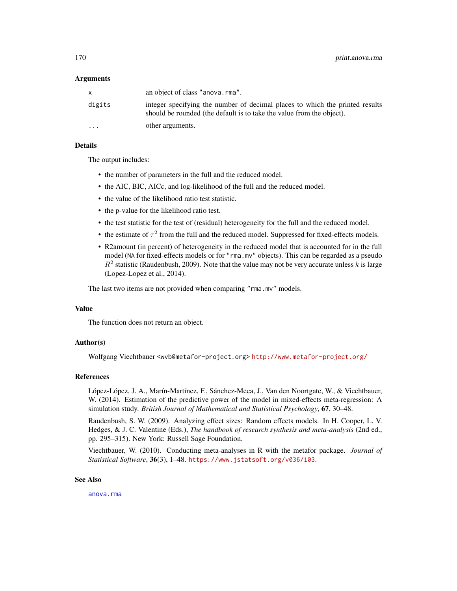#### Arguments

|           | an object of class "anova.rma".                                                                                                                       |
|-----------|-------------------------------------------------------------------------------------------------------------------------------------------------------|
| digits    | integer specifying the number of decimal places to which the printed results<br>should be rounded (the default is to take the value from the object). |
| $\ddotsc$ | other arguments.                                                                                                                                      |

# Details

The output includes:

- the number of parameters in the full and the reduced model.
- the AIC, BIC, AICc, and log-likelihood of the full and the reduced model.
- the value of the likelihood ratio test statistic.
- the p-value for the likelihood ratio test.
- the test statistic for the test of (residual) heterogeneity for the full and the reduced model.
- the estimate of  $\tau^2$  from the full and the reduced model. Suppressed for fixed-effects models.
- R2amount (in percent) of heterogeneity in the reduced model that is accounted for in the full model (NA for fixed-effects models or for "rma.mv" objects). This can be regarded as a pseudo  $R^2$  statistic (Raudenbush, 2009). Note that the value may not be very accurate unless k is large (Lopez-Lopez et al., 2014).

The last two items are not provided when comparing "rma.mv" models.

#### Value

The function does not return an object.

## Author(s)

Wolfgang Viechtbauer <wvb@metafor-project.org> <http://www.metafor-project.org/>

# References

López-López, J. A., Marín-Martínez, F., Sánchez-Meca, J., Van den Noortgate, W., & Viechtbauer, W. (2014). Estimation of the predictive power of the model in mixed-effects meta-regression: A simulation study. *British Journal of Mathematical and Statistical Psychology*, 67, 30–48.

Raudenbush, S. W. (2009). Analyzing effect sizes: Random effects models. In H. Cooper, L. V. Hedges, & J. C. Valentine (Eds.), *The handbook of research synthesis and meta-analysis* (2nd ed., pp. 295–315). New York: Russell Sage Foundation.

Viechtbauer, W. (2010). Conducting meta-analyses in R with the metafor package. *Journal of Statistical Software*, 36(3), 1–48. <https://www.jstatsoft.org/v036/i03>.

# See Also

[anova.rma](#page-14-0)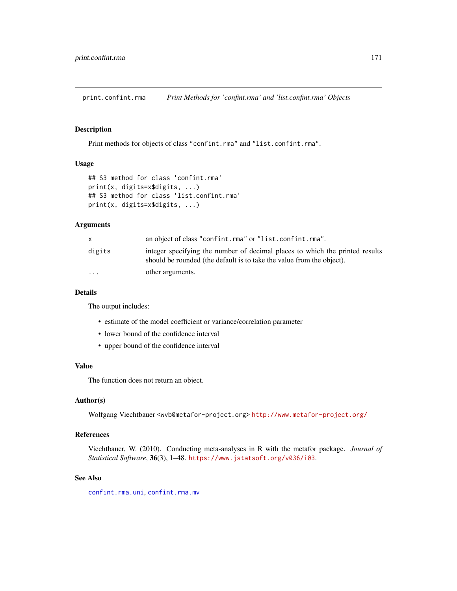print.confint.rma *Print Methods for 'confint.rma' and 'list.confint.rma' Objects*

#### Description

Print methods for objects of class "confint.rma" and "list.confint.rma".

# Usage

```
## S3 method for class 'confint.rma'
print(x, digits=x$digits, ...)
## S3 method for class 'list.confint.rma'
print(x, digits=x$digits, ...)
```
## Arguments

|                         | an object of class "confint.rma" or "list.confint.rma".                                                                                               |
|-------------------------|-------------------------------------------------------------------------------------------------------------------------------------------------------|
| digits                  | integer specifying the number of decimal places to which the printed results<br>should be rounded (the default is to take the value from the object). |
| $\cdot$ $\cdot$ $\cdot$ | other arguments.                                                                                                                                      |

# Details

The output includes:

- estimate of the model coefficient or variance/correlation parameter
- lower bound of the confidence interval
- upper bound of the confidence interval

# Value

The function does not return an object.

# Author(s)

Wolfgang Viechtbauer <wvb@metafor-project.org> <http://www.metafor-project.org/>

# References

Viechtbauer, W. (2010). Conducting meta-analyses in R with the metafor package. *Journal of Statistical Software*, 36(3), 1–48. <https://www.jstatsoft.org/v036/i03>.

# See Also

[confint.rma.uni](#page-25-0), [confint.rma.mv](#page-25-0)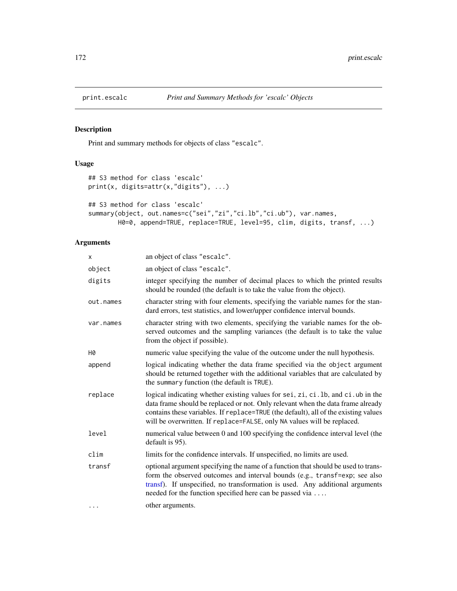# Description

Print and summary methods for objects of class "escalc".

# Usage

```
## S3 method for class 'escalc'
print(x, digits=attr(x,"digits"), ...)
## S3 method for class 'escalc'
summary(object, out.names=c("sei","zi","ci.lb","ci.ub"), var.names,
        H0=0, append=TRUE, replace=TRUE, level=95, clim, digits, transf, ...)
```
# Arguments

| x         | an object of class "escalc".                                                                                                                                                                                                                                                                                                           |
|-----------|----------------------------------------------------------------------------------------------------------------------------------------------------------------------------------------------------------------------------------------------------------------------------------------------------------------------------------------|
| object    | an object of class "escalc".                                                                                                                                                                                                                                                                                                           |
| digits    | integer specifying the number of decimal places to which the printed results<br>should be rounded (the default is to take the value from the object).                                                                                                                                                                                  |
| out.names | character string with four elements, specifying the variable names for the stan-<br>dard errors, test statistics, and lower/upper confidence interval bounds.                                                                                                                                                                          |
| var.names | character string with two elements, specifying the variable names for the ob-<br>served outcomes and the sampling variances (the default is to take the value<br>from the object if possible).                                                                                                                                         |
| Н0        | numeric value specifying the value of the outcome under the null hypothesis.                                                                                                                                                                                                                                                           |
| append    | logical indicating whether the data frame specified via the object argument<br>should be returned together with the additional variables that are calculated by<br>the summary function (the default is TRUE).                                                                                                                         |
| replace   | logical indicating whether existing values for sei, zi, ci. 1b, and ci. ub in the<br>data frame should be replaced or not. Only relevant when the data frame already<br>contains these variables. If replace=TRUE (the default), all of the existing values<br>will be overwritten. If replace=FALSE, only NA values will be replaced. |
| level     | numerical value between 0 and 100 specifying the confidence interval level (the<br>default is 95).                                                                                                                                                                                                                                     |
| clim      | limits for the confidence intervals. If unspecified, no limits are used.                                                                                                                                                                                                                                                               |
| transf    | optional argument specifying the name of a function that should be used to trans-<br>form the observed outcomes and interval bounds (e.g., transf=exp; see also<br>transf). If unspecified, no transformation is used. Any additional arguments<br>needed for the function specified here can be passed via                            |
| .         | other arguments.                                                                                                                                                                                                                                                                                                                       |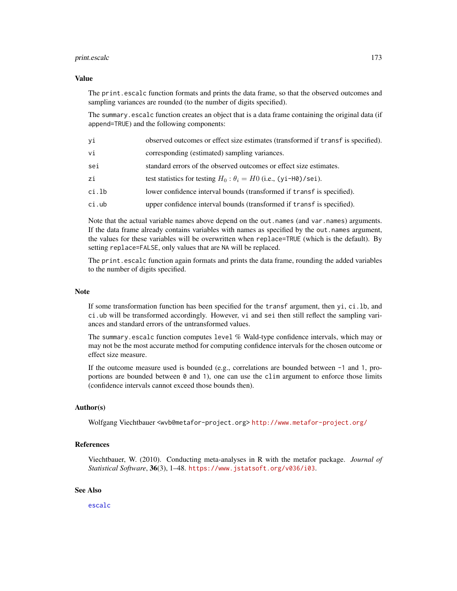#### print.escalc 173

## Value

The print.escalc function formats and prints the data frame, so that the observed outcomes and sampling variances are rounded (to the number of digits specified).

The summary.escalc function creates an object that is a data frame containing the original data (if append=TRUE) and the following components:

| yi       | observed outcomes or effect size estimates (transformed if transf is specified). |
|----------|----------------------------------------------------------------------------------|
| vi       | corresponding (estimated) sampling variances.                                    |
| sei      | standard errors of the observed outcomes or effect size estimates.               |
| zi       | test statistics for testing $H_0$ : $\theta_i = H_0$ (i.e., (yi-H0)/sei).        |
| ci.lb    | lower confidence interval bounds (transformed if transf is specified).           |
| $ci.$ ub | upper confidence interval bounds (transformed if transf is specified).           |

Note that the actual variable names above depend on the out.names (and var.names) arguments. If the data frame already contains variables with names as specified by the out.names argument, the values for these variables will be overwritten when replace=TRUE (which is the default). By setting replace=FALSE, only values that are NA will be replaced.

The print.escalc function again formats and prints the data frame, rounding the added variables to the number of digits specified.

#### **Note**

If some transformation function has been specified for the transf argument, then yi, ci.lb, and ci.ub will be transformed accordingly. However, vi and sei then still reflect the sampling variances and standard errors of the untransformed values.

The summary.escalc function computes level % Wald-type confidence intervals, which may or may not be the most accurate method for computing confidence intervals for the chosen outcome or effect size measure.

If the outcome measure used is bounded (e.g., correlations are bounded between -1 and 1, proportions are bounded between  $\theta$  and 1), one can use the clim argument to enforce those limits (confidence intervals cannot exceed those bounds then).

## Author(s)

Wolfgang Viechtbauer <wvb@metafor-project.org> <http://www.metafor-project.org/>

## References

Viechtbauer, W. (2010). Conducting meta-analyses in R with the metafor package. *Journal of Statistical Software*, 36(3), 1–48. <https://www.jstatsoft.org/v036/i03>.

# See Also

[escalc](#page-92-0)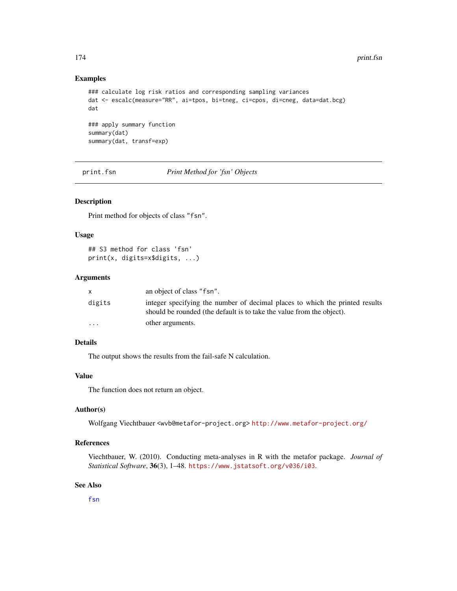# Examples

```
### calculate log risk ratios and corresponding sampling variances
dat <- escalc(measure="RR", ai=tpos, bi=tneg, ci=cpos, di=cneg, data=dat.bcg)
dat
### apply summary function
summary(dat)
summary(dat, transf=exp)
```
print.fsn *Print Method for 'fsn' Objects*

# Description

Print method for objects of class "fsn".

# Usage

```
## S3 method for class 'fsn'
print(x, digits=x$digits, ...)
```
## Arguments

|          | an object of class "f sn".                                                                                                                            |
|----------|-------------------------------------------------------------------------------------------------------------------------------------------------------|
| digits   | integer specifying the number of decimal places to which the printed results<br>should be rounded (the default is to take the value from the object). |
| $\cdots$ | other arguments.                                                                                                                                      |

## Details

The output shows the results from the fail-safe N calculation.

#### Value

The function does not return an object.

## Author(s)

Wolfgang Viechtbauer <wvb@metafor-project.org> <http://www.metafor-project.org/>

# References

Viechtbauer, W. (2010). Conducting meta-analyses in R with the metafor package. *Journal of Statistical Software*, 36(3), 1–48. <https://www.jstatsoft.org/v036/i03>.

# See Also

[fsn](#page-127-0)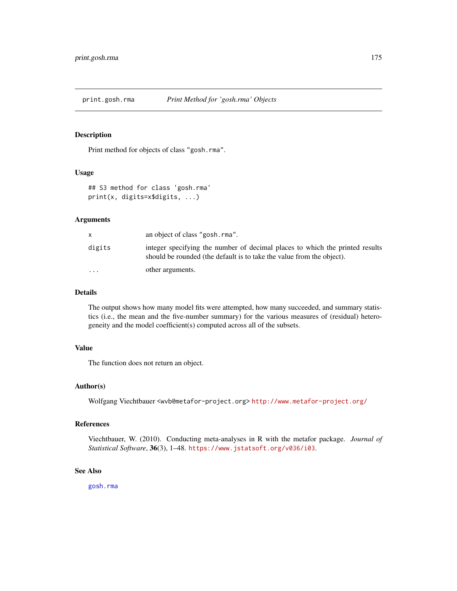# Description

Print method for objects of class "gosh.rma".

#### Usage

```
## S3 method for class 'gosh.rma'
print(x, digits=x$digits, ...)
```
## Arguments

|         | an object of class "gosh.rma".                                                                                                                        |
|---------|-------------------------------------------------------------------------------------------------------------------------------------------------------|
| digits  | integer specifying the number of decimal places to which the printed results<br>should be rounded (the default is to take the value from the object). |
| $\cdot$ | other arguments.                                                                                                                                      |

# Details

The output shows how many model fits were attempted, how many succeeded, and summary statistics (i.e., the mean and the five-number summary) for the various measures of (residual) heterogeneity and the model coefficient(s) computed across all of the subsets.

# Value

The function does not return an object.

#### Author(s)

Wolfgang Viechtbauer <wvb@metafor-project.org> <http://www.metafor-project.org/>

# References

Viechtbauer, W. (2010). Conducting meta-analyses in R with the metafor package. *Journal of Statistical Software*, 36(3), 1–48. <https://www.jstatsoft.org/v036/i03>.

## See Also

[gosh.rma](#page-134-0)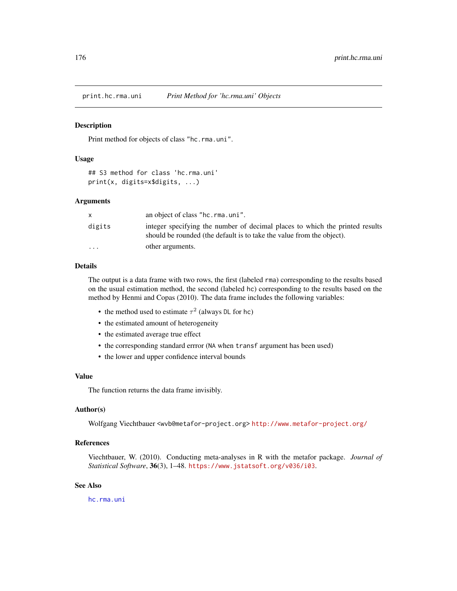print.hc.rma.uni *Print Method for 'hc.rma.uni' Objects*

#### Description

Print method for objects of class "hc.rma.uni".

#### Usage

```
## S3 method for class 'hc.rma.uni'
print(x, digits=x$digits, ...)
```
# Arguments

|                         | an object of class "hc.rma.uni".                                                                                                                      |
|-------------------------|-------------------------------------------------------------------------------------------------------------------------------------------------------|
| digits                  | integer specifying the number of decimal places to which the printed results<br>should be rounded (the default is to take the value from the object). |
| $\cdot$ $\cdot$ $\cdot$ | other arguments.                                                                                                                                      |

#### Details

The output is a data frame with two rows, the first (labeled rma) corresponding to the results based on the usual estimation method, the second (labeled hc) corresponding to the results based on the method by Henmi and Copas (2010). The data frame includes the following variables:

- the method used to estimate  $\tau^2$  (always DL for hc)
- the estimated amount of heterogeneity
- the estimated average true effect
- the corresponding standard errror (NA when transf argument has been used)
- the lower and upper confidence interval bounds

#### Value

The function returns the data frame invisibly.

## Author(s)

Wolfgang Viechtbauer <wvb@metafor-project.org> <http://www.metafor-project.org/>

# References

Viechtbauer, W. (2010). Conducting meta-analyses in R with the metafor package. *Journal of Statistical Software*, 36(3), 1–48. <https://www.jstatsoft.org/v036/i03>.

# See Also

[hc.rma.uni](#page-137-0)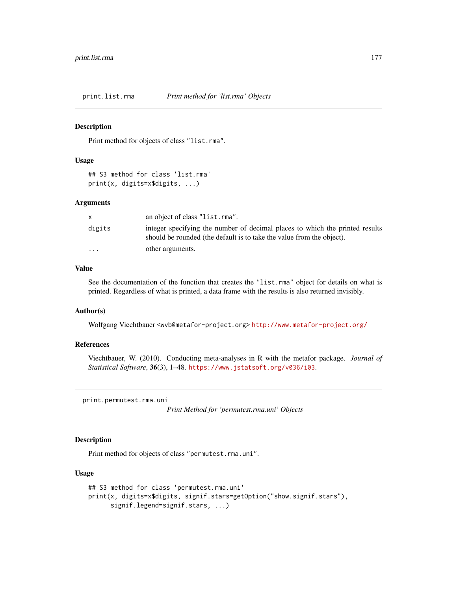<span id="page-176-0"></span>

# Description

Print method for objects of class "list.rma".

# Usage

## S3 method for class 'list.rma' print(x, digits=x\$digits, ...)

## Arguments

|                         | an object of class "list.rma".                                                                                                                        |
|-------------------------|-------------------------------------------------------------------------------------------------------------------------------------------------------|
| digits                  | integer specifying the number of decimal places to which the printed results<br>should be rounded (the default is to take the value from the object). |
| $\cdot$ $\cdot$ $\cdot$ | other arguments.                                                                                                                                      |

# Value

See the documentation of the function that creates the "list.rma" object for details on what is printed. Regardless of what is printed, a data frame with the results is also returned invisibly.

# Author(s)

Wolfgang Viechtbauer <wvb@metafor-project.org> <http://www.metafor-project.org/>

## References

Viechtbauer, W. (2010). Conducting meta-analyses in R with the metafor package. *Journal of Statistical Software*, 36(3), 1–48. <https://www.jstatsoft.org/v036/i03>.

<span id="page-176-1"></span>print.permutest.rma.uni

*Print Method for 'permutest.rma.uni' Objects*

# Description

Print method for objects of class "permutest.rma.uni".

## Usage

```
## S3 method for class 'permutest.rma.uni'
print(x, digits=x$digits, signif.stars=getOption("show.signif.stars"),
     signif.legend=signif.stars, ...)
```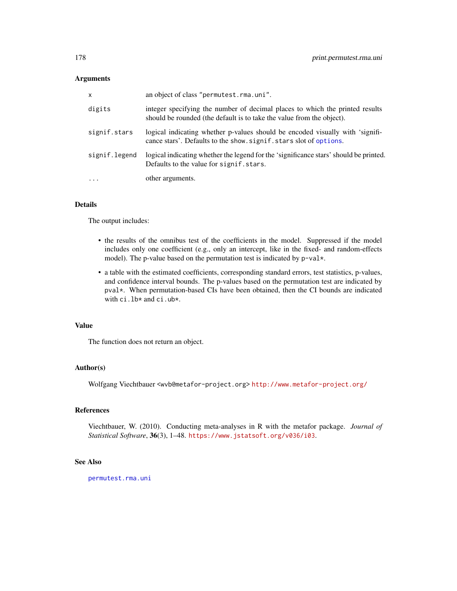# Arguments

| x             | an object of class "permutest.rma.uni".                                                                                                               |
|---------------|-------------------------------------------------------------------------------------------------------------------------------------------------------|
| digits        | integer specifying the number of decimal places to which the printed results<br>should be rounded (the default is to take the value from the object). |
| signif.stars  | logical indicating whether p-values should be encoded visually with 'signifi-<br>cance stars'. Defaults to the show. signif. stars slot of options.   |
| signif.legend | logical indicating whether the legend for the 'significance stars' should be printed.<br>Defaults to the value for signif, stars.                     |
| $\ddots$ .    | other arguments.                                                                                                                                      |

# Details

The output includes:

- the results of the omnibus test of the coefficients in the model. Suppressed if the model includes only one coefficient (e.g., only an intercept, like in the fixed- and random-effects model). The p-value based on the permutation test is indicated by p-val\*.
- a table with the estimated coefficients, corresponding standard errors, test statistics, p-values, and confidence interval bounds. The p-values based on the permutation test are indicated by pval\*. When permutation-based CIs have been obtained, then the CI bounds are indicated with ci.lb\* and ci.ub\*.

# Value

The function does not return an object.

# Author(s)

Wolfgang Viechtbauer <wvb@metafor-project.org> <http://www.metafor-project.org/>

# References

Viechtbauer, W. (2010). Conducting meta-analyses in R with the metafor package. *Journal of Statistical Software*, 36(3), 1–48. <https://www.jstatsoft.org/v036/i03>.

# See Also

[permutest.rma.uni](#page-153-0)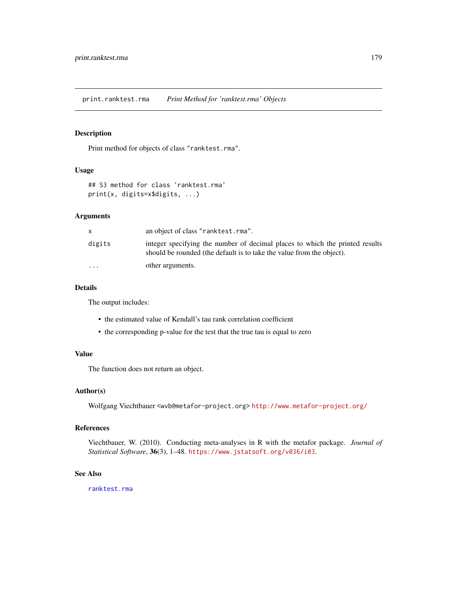print.ranktest.rma *Print Method for 'ranktest.rma' Objects*

## Description

Print method for objects of class "ranktest.rma".

## Usage

```
## S3 method for class 'ranktest.rma'
print(x, digits=x$digits, ...)
```
#### Arguments

|           | an object of class "ranktest.rma".                                                                                                                    |
|-----------|-------------------------------------------------------------------------------------------------------------------------------------------------------|
| digits    | integer specifying the number of decimal places to which the printed results<br>should be rounded (the default is to take the value from the object). |
| $\ddotsc$ | other arguments.                                                                                                                                      |

# Details

The output includes:

- the estimated value of Kendall's tau rank correlation coefficient
- the corresponding p-value for the test that the true tau is equal to zero

# Value

The function does not return an object.

# Author(s)

Wolfgang Viechtbauer <wvb@metafor-project.org> <http://www.metafor-project.org/>

## References

Viechtbauer, W. (2010). Conducting meta-analyses in R with the metafor package. *Journal of Statistical Software*, 36(3), 1–48. <https://www.jstatsoft.org/v036/i03>.

# See Also

[ranktest.rma](#page-196-0)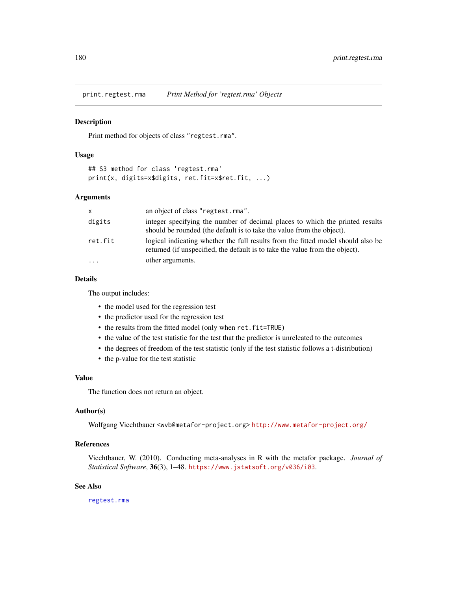print.regtest.rma *Print Method for 'regtest.rma' Objects*

## **Description**

Print method for objects of class "regtest.rma".

# Usage

```
## S3 method for class 'regtest.rma'
print(x, digits=x$digits, ret.fit=x$ret.fit, ...)
```
# Arguments

| $\times$ | an object of class "regtest.rma".                                                                                                                                |
|----------|------------------------------------------------------------------------------------------------------------------------------------------------------------------|
| digits   | integer specifying the number of decimal places to which the printed results<br>should be rounded (the default is to take the value from the object).            |
| ret.fit  | logical indicating whether the full results from the fitted model should also be<br>returned (if unspecified, the default is to take the value from the object). |
| $\cdot$  | other arguments.                                                                                                                                                 |

# Details

The output includes:

- the model used for the regression test
- the predictor used for the regression test
- the results from the fitted model (only when ret.fit=TRUE)
- the value of the test statistic for the test that the predictor is unreleated to the outcomes
- the degrees of freedom of the test statistic (only if the test statistic follows a t-distribution)
- the p-value for the test statistic

#### Value

The function does not return an object.

# Author(s)

Wolfgang Viechtbauer <wvb@metafor-project.org> <http://www.metafor-project.org/>

# References

Viechtbauer, W. (2010). Conducting meta-analyses in R with the metafor package. *Journal of Statistical Software*, 36(3), 1–48. <https://www.jstatsoft.org/v036/i03>.

# See Also

[regtest.rma](#page-197-0)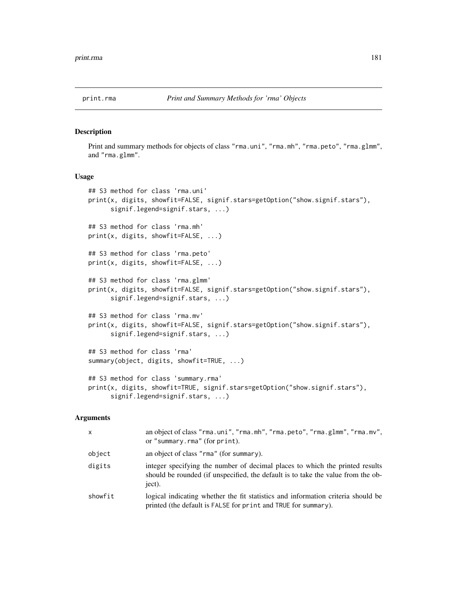# <span id="page-180-0"></span>Description

Print and summary methods for objects of class "rma.uni", "rma.mh", "rma.peto", "rma.glmm", and "rma.glmm".

### Usage

```
## S3 method for class 'rma.uni'
print(x, digits, showfit=FALSE, signif.stars=getOption("show.signif.stars"),
      signif.legend=signif.stars, ...)
## S3 method for class 'rma.mh'
print(x, digits, showfit=FALSE, ...)
## S3 method for class 'rma.peto'
print(x, digits, showfit=FALSE, ...)
## S3 method for class 'rma.glmm'
print(x, digits, showfit=FALSE, signif.stars=getOption("show.signif.stars"),
      signif.legend=signif.stars, ...)
## S3 method for class 'rma.mv'
print(x, digits, showfit=FALSE, signif.stars=getOption("show.signif.stars"),
      signif.legend=signif.stars, ...)
## S3 method for class 'rma'
summary(object, digits, showfit=TRUE, ...)
## S3 method for class 'summary.rma'
print(x, digits, showfit=TRUE, signif.stars=getOption("show.signif.stars"),
      signif.legend=signif.stars, ...)
```
# Arguments

| X       | an object of class "rma.uni", "rma.mh", "rma.peto", "rma.glmm", "rma.mv",<br>or "summary.rma" (for print).                                                                 |
|---------|----------------------------------------------------------------------------------------------------------------------------------------------------------------------------|
| object  | an object of class "rma" (for summary).                                                                                                                                    |
| digits  | integer specifying the number of decimal places to which the printed results<br>should be rounded (if unspecified, the default is to take the value from the ob-<br>ject). |
| showfit | logical indicating whether the fit statistics and information criteria should be<br>printed (the default is FALSE for print and TRUE for summary).                         |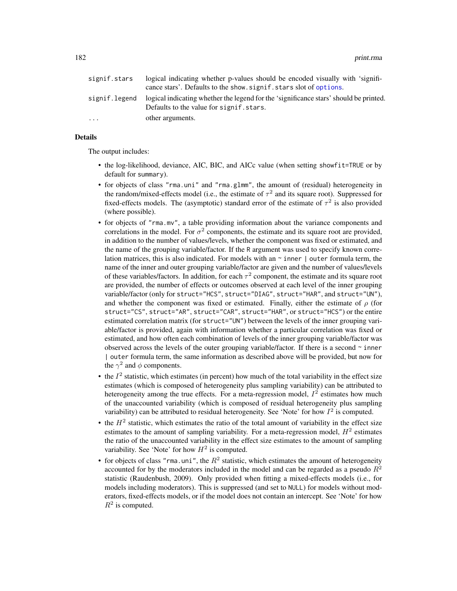182 **print.rma** 

| signif.stars  | logical indicating whether p-values should be encoded visually with 'signifi-<br>cance stars'. Defaults to the show. signif. stars slot of options. |
|---------------|-----------------------------------------------------------------------------------------------------------------------------------------------------|
| signif.legend | logical indicating whether the legend for the 'significance stars' should be printed.<br>Defaults to the value for signif, stars.                   |
| .             | other arguments.                                                                                                                                    |

# Details

The output includes:

- the log-likelihood, deviance, AIC, BIC, and AICc value (when setting showfit=TRUE or by default for summary).
- for objects of class "rma.uni" and "rma.glmm", the amount of (residual) heterogeneity in the random/mixed-effects model (i.e., the estimate of  $\tau^2$  and its square root). Suppressed for fixed-effects models. The (asymptotic) standard error of the estimate of  $\tau^2$  is also provided (where possible).
- for objects of "rma.mv", a table providing information about the variance components and correlations in the model. For  $\sigma^2$  components, the estimate and its square root are provided, in addition to the number of values/levels, whether the component was fixed or estimated, and the name of the grouping variable/factor. If the R argument was used to specify known correlation matrices, this is also indicated. For models with an  $\sim$  inner | outer formula term, the name of the inner and outer grouping variable/factor are given and the number of values/levels of these variables/factors. In addition, for each  $\tau^2$  component, the estimate and its square root are provided, the number of effects or outcomes observed at each level of the inner grouping variable/factor (only for struct="HCS", struct="DIAG", struct="HAR", and struct="UN"), and whether the component was fixed or estimated. Finally, either the estimate of  $\rho$  (for struct="CS", struct="AR", struct="CAR", struct="HAR", or struct="HCS") or the entire estimated correlation matrix (for struct="UN") between the levels of the inner grouping variable/factor is provided, again with information whether a particular correlation was fixed or estimated, and how often each combination of levels of the inner grouping variable/factor was observed across the levels of the outer grouping variable/factor. If there is a second  $\sim$  inner | outer formula term, the same information as described above will be provided, but now for the  $\gamma^2$  and  $\phi$  components.
- the  $I<sup>2</sup>$  statistic, which estimates (in percent) how much of the total variability in the effect size estimates (which is composed of heterogeneity plus sampling variability) can be attributed to heterogeneity among the true effects. For a meta-regression model,  $I^2$  estimates how much of the unaccounted variability (which is composed of residual heterogeneity plus sampling variability) can be attributed to residual heterogeneity. See 'Note' for how  $I^2$  is computed.
- the  $H<sup>2</sup>$  statistic, which estimates the ratio of the total amount of variability in the effect size estimates to the amount of sampling variability. For a meta-regression model,  $H^2$  estimates the ratio of the unaccounted variability in the effect size estimates to the amount of sampling variability. See 'Note' for how  $H^2$  is computed.
- for objects of class "rma.uni", the  $R^2$  statistic, which estimates the amount of heterogeneity accounted for by the moderators included in the model and can be regarded as a pseudo  $R^2$ statistic (Raudenbush, 2009). Only provided when fitting a mixed-effects models (i.e., for models including moderators). This is suppressed (and set to NULL) for models without moderators, fixed-effects models, or if the model does not contain an intercept. See 'Note' for how  $R^2$  is computed.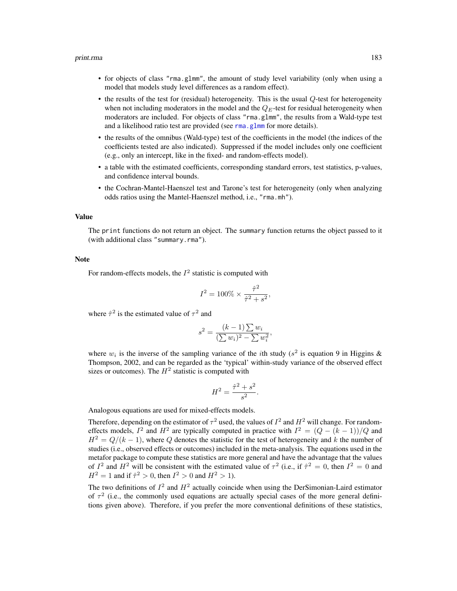#### print.rma 183

- for objects of class "rma.glmm", the amount of study level variability (only when using a model that models study level differences as a random effect).
- the results of the test for (residual) heterogeneity. This is the usual  $Q$ -test for heterogeneity when not including moderators in the model and the  $Q_E$ -test for residual heterogeneity when moderators are included. For objects of class "rma.glmm", the results from a Wald-type test and a likelihood ratio test are provided (see [rma.glmm](#page-208-0) for more details).
- the results of the omnibus (Wald-type) test of the coefficients in the model (the indices of the coefficients tested are also indicated). Suppressed if the model includes only one coefficient (e.g., only an intercept, like in the fixed- and random-effects model).
- a table with the estimated coefficients, corresponding standard errors, test statistics, p-values, and confidence interval bounds.
- the Cochran-Mantel-Haenszel test and Tarone's test for heterogeneity (only when analyzing odds ratios using the Mantel-Haenszel method, i.e., "rma.mh").

#### Value

The print functions do not return an object. The summary function returns the object passed to it (with additional class "summary.rma").

### Note

For random-effects models, the  $I^2$  statistic is computed with

$$
I^2 = 100\% \times \frac{\hat{\tau}^2}{\hat{\tau}^2 + s^2},
$$

where  $\hat{\tau}^2$  is the estimated value of  $\tau^2$  and

$$
s^{2} = \frac{(k-1)\sum w_{i}}{(\sum w_{i})^{2} - \sum w_{i}^{2}},
$$

where  $w_i$  is the inverse of the sampling variance of the *i*th study ( $s^2$  is equation 9 in Higgins & Thompson, 2002, and can be regarded as the 'typical' within-study variance of the observed effect sizes or outcomes). The  $H^2$  statistic is computed with

$$
H^2 = \frac{\hat{\tau}^2 + s^2}{s^2}.
$$

Analogous equations are used for mixed-effects models.

Therefore, depending on the estimator of  $\tau^2$  used, the values of  $I^2$  and  $H^2$  will change. For randomeffects models,  $I^2$  and  $H^2$  are typically computed in practice with  $I^2 = (Q - (k-1))/Q$  and  $H^2 = Q/(k-1)$ , where Q denotes the statistic for the test of heterogeneity and k the number of studies (i.e., observed effects or outcomes) included in the meta-analysis. The equations used in the metafor package to compute these statistics are more general and have the advantage that the values of  $I^2$  and  $H^2$  will be consistent with the estimated value of  $\tau^2$  (i.e., if  $\hat{\tau}^2 = 0$ , then  $I^2 = 0$  and  $H^2 = 1$  and if  $\hat{\tau}^2 > 0$ , then  $I^2 > 0$  and  $H^2 > 1$ ).

The two definitions of  $I^2$  and  $H^2$  actually coincide when using the DerSimonian-Laird estimator of  $\tau^2$  (i.e., the commonly used equations are actually special cases of the more general definitions given above). Therefore, if you prefer the more conventional definitions of these statistics,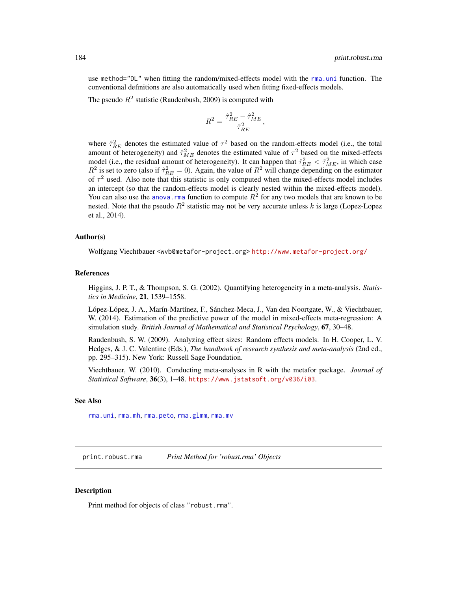use method="DL" when fitting the random/mixed-effects model with the [rma.uni](#page-235-0) function. The conventional definitions are also automatically used when fitting fixed-effects models.

The pseudo  $R^2$  statistic (Raudenbush, 2009) is computed with

$$
R^2 = \frac{\hat{\tau}_{RE}^2 - \hat{\tau}_{ME}^2}{\hat{\tau}_{RE}^2},
$$

where  $\hat{\tau}_{RE}^2$  denotes the estimated value of  $\tau^2$  based on the random-effects model (i.e., the total amount of heterogeneity) and  $\hat{\tau}_{ME}^2$  denotes the estimated value of  $\tau^2$  based on the mixed-effects model (i.e., the residual amount of heterogeneity). It can happen that  $\hat{\tau}_{RE}^2 < \hat{\tau}_{ME}^2$ , in which case  $R^2$  is set to zero (also if  $\hat{\tau}_{RE}^2 = 0$ ). Again, the value of  $R^2$  will change depending on the estimator of  $\tau^2$  used. Also note that this statistic is only computed when the mixed-effects model includes an intercept (so that the random-effects model is clearly nested within the mixed-effects model). You can also use the anova. rma function to compute  $R^2$  for any two models that are known to be nested. Note that the pseudo  $R^2$  statistic may not be very accurate unless k is large (Lopez-Lopez et al., 2014).

#### Author(s)

Wolfgang Viechtbauer <wvb@metafor-project.org> <http://www.metafor-project.org/>

#### References

Higgins, J. P. T., & Thompson, S. G. (2002). Quantifying heterogeneity in a meta-analysis. *Statistics in Medicine*, 21, 1539–1558.

López-López, J. A., Marín-Martínez, F., Sánchez-Meca, J., Van den Noortgate, W., & Viechtbauer, W. (2014). Estimation of the predictive power of the model in mixed-effects meta-regression: A simulation study. *British Journal of Mathematical and Statistical Psychology*, 67, 30–48.

Raudenbush, S. W. (2009). Analyzing effect sizes: Random effects models. In H. Cooper, L. V. Hedges, & J. C. Valentine (Eds.), *The handbook of research synthesis and meta-analysis* (2nd ed., pp. 295–315). New York: Russell Sage Foundation.

Viechtbauer, W. (2010). Conducting meta-analyses in R with the metafor package. *Journal of Statistical Software*, 36(3), 1–48. <https://www.jstatsoft.org/v036/i03>.

#### See Also

[rma.uni](#page-235-0), [rma.mh](#page-216-0), [rma.peto](#page-232-0), [rma.glmm](#page-208-0), [rma.mv](#page-220-0)

print.robust.rma *Print Method for 'robust.rma' Objects*

### **Description**

Print method for objects of class "robust.rma".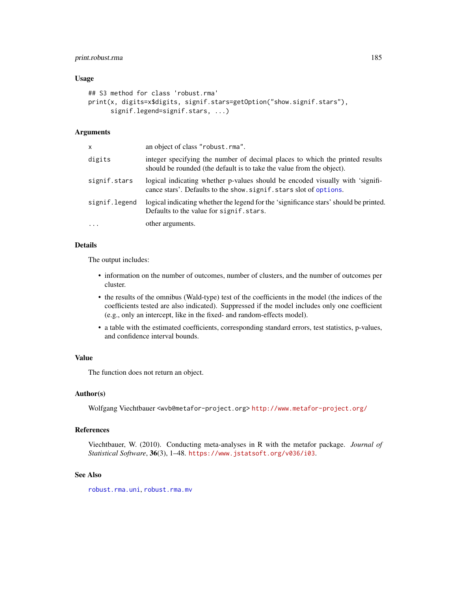# print.robust.rma 185

### Usage

```
## S3 method for class 'robust.rma'
print(x, digits=x$digits, signif.stars=getOption("show.signif.stars"),
     signif.legend=signif.stars, ...)
```
# Arguments

| x             | an object of class "robust.rma".                                                                                                                      |
|---------------|-------------------------------------------------------------------------------------------------------------------------------------------------------|
| digits        | integer specifying the number of decimal places to which the printed results<br>should be rounded (the default is to take the value from the object). |
| signif.stars  | logical indicating whether p-values should be encoded visually with 'signifi-<br>cance stars'. Defaults to the show. signif. stars slot of options.   |
| signif.legend | logical indicating whether the legend for the 'significance stars' should be printed.<br>Defaults to the value for signif, stars.                     |
| $\cdots$      | other arguments.                                                                                                                                      |

# Details

The output includes:

- information on the number of outcomes, number of clusters, and the number of outcomes per cluster.
- the results of the omnibus (Wald-type) test of the coefficients in the model (the indices of the coefficients tested are also indicated). Suppressed if the model includes only one coefficient (e.g., only an intercept, like in the fixed- and random-effects model).
- a table with the estimated coefficients, corresponding standard errors, test statistics, p-values, and confidence interval bounds.

# Value

The function does not return an object.

### Author(s)

Wolfgang Viechtbauer <wvb@metafor-project.org> <http://www.metafor-project.org/>

# References

Viechtbauer, W. (2010). Conducting meta-analyses in R with the metafor package. *Journal of Statistical Software*, 36(3), 1–48. <https://www.jstatsoft.org/v036/i03>.

#### See Also

[robust.rma.uni](#page-246-0), [robust.rma.mv](#page-246-0)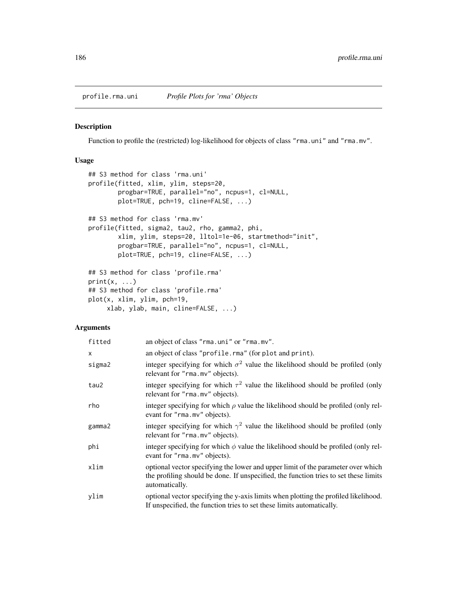profile.rma.uni *Profile Plots for 'rma' Objects*

# Description

Function to profile the (restricted) log-likelihood for objects of class "rma.uni" and "rma.mv".

# Usage

```
## S3 method for class 'rma.uni'
profile(fitted, xlim, ylim, steps=20,
        progbar=TRUE, parallel="no", ncpus=1, cl=NULL,
        plot=TRUE, pch=19, cline=FALSE, ...)
## S3 method for class 'rma.mv'
profile(fitted, sigma2, tau2, rho, gamma2, phi,
        xlim, ylim, steps=20, lltol=1e-06, startmethod="init",
        progbar=TRUE, parallel="no", ncpus=1, cl=NULL,
        plot=TRUE, pch=19, cline=FALSE, ...)
## S3 method for class 'profile.rma'
print(x, \ldots)## S3 method for class 'profile.rma'
plot(x, xlim, ylim, pch=19,
     xlab, ylab, main, cline=FALSE, ...)
```
# Arguments

| fitted       | an object of class "rma.uni" or "rma.mv".                                                                                                                                                  |
|--------------|--------------------------------------------------------------------------------------------------------------------------------------------------------------------------------------------|
| $\mathsf{x}$ | an object of class "profile.rma" (for plot and print).                                                                                                                                     |
| sigma2       | integer specifying for which $\sigma^2$ value the likelihood should be profiled (only<br>relevant for "rma.mv" objects).                                                                   |
| tau2         | integer specifying for which $\tau^2$ value the likelihood should be profiled (only<br>relevant for "rma.mv" objects).                                                                     |
| rho          | integer specifying for which $\rho$ value the likelihood should be profiled (only rel-<br>evant for "rma.mv" objects).                                                                     |
| gamma2       | integer specifying for which $\gamma^2$ value the likelihood should be profiled (only<br>relevant for "rma.mv" objects).                                                                   |
| phi          | integer specifying for which $\phi$ value the likelihood should be profiled (only rel-<br>evant for "rma.mv" objects).                                                                     |
| xlim         | optional vector specifying the lower and upper limit of the parameter over which<br>the profiling should be done. If unspecified, the function tries to set these limits<br>automatically. |
| ylim         | optional vector specifying the y-axis limits when plotting the profiled likelihood.<br>If unspecified, the function tries to set these limits automatically.                               |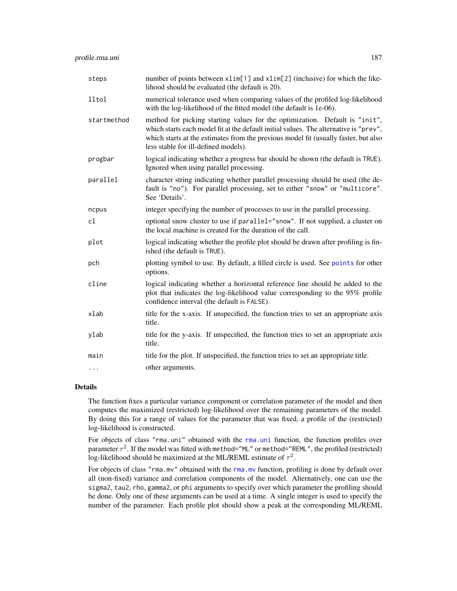| steps       | number of points between x1im[1] and x1im[2] (inclusive) for which the like-<br>lihood should be evaluated (the default is 20).                                                                                                                                                                     |  |
|-------------|-----------------------------------------------------------------------------------------------------------------------------------------------------------------------------------------------------------------------------------------------------------------------------------------------------|--|
| lltol       | numerical tolerance used when comparing values of the profiled log-likelihood<br>with the log-likelihood of the fitted model (the default is 1e-06).                                                                                                                                                |  |
| startmethod | method for picking starting values for the optimization. Default is "init",<br>which starts each model fit at the default initial values. The alternative is "prev",<br>which starts at the estimates from the previous model fit (usually faster, but also<br>less stable for ill-defined models). |  |
| progbar     | logical indicating whether a progress bar should be shown (the default is TRUE).<br>Ignored when using parallel processing.                                                                                                                                                                         |  |
| parallel    | character string indicating whether parallel processing should be used (the de-<br>fault is "no"). For parallel processing, set to either "snow" or "multicore".<br>See 'Details'.                                                                                                                  |  |
| ncpus       | integer specifying the number of processes to use in the parallel processing.                                                                                                                                                                                                                       |  |
| cl          | optional snow cluster to use if parallel="snow". If not supplied, a cluster on<br>the local machine is created for the duration of the call.                                                                                                                                                        |  |
| plot        | logical indicating whether the profile plot should be drawn after profiling is fin-<br>ished (the default is TRUE).                                                                                                                                                                                 |  |
| pch         | plotting symbol to use. By default, a filled circle is used. See points for other<br>options.                                                                                                                                                                                                       |  |
| cline       | logical indicating whether a horizontal reference line should be added to the<br>plot that indicates the log-likelihood value corresponding to the 95% profile<br>confidence interval (the default is FALSE).                                                                                       |  |
| xlab        | title for the x-axis. If unspecified, the function tries to set an appropriate axis<br>title.                                                                                                                                                                                                       |  |
| ylab        | title for the y-axis. If unspecified, the function tries to set an appropriate axis<br>title.                                                                                                                                                                                                       |  |
| main        | title for the plot. If unspecified, the function tries to set an appropriate title.                                                                                                                                                                                                                 |  |
| $\cdots$    | other arguments.                                                                                                                                                                                                                                                                                    |  |

## Details

The function fixes a particular variance component or correlation parameter of the model and then computes the maximized (restricted) log-likelihood over the remaining parameters of the model. By doing this for a range of values for the parameter that was fixed, a profile of the (restricted) log-likelihood is constructed.

For objects of class "rma.uni" obtained with the [rma.uni](#page-235-0) function, the function profiles over parameter  $\tau^2$ . If the model was fitted with method="ML" or method="REML", the profiled (restricted) log-likelihood should be maximized at the ML/REML estimate of  $\tau^2$ .

For objects of class "[rma.mv](#page-220-0)" obtained with the rma.mv function, profiling is done by default over all (non-fixed) variance and correlation components of the model. Alternatively, one can use the sigma2, tau2, rho, gamma2, or phi arguments to specify over which parameter the profiling should be done. Only one of these arguments can be used at a time. A single integer is used to specify the number of the parameter. Each profile plot should show a peak at the corresponding ML/REML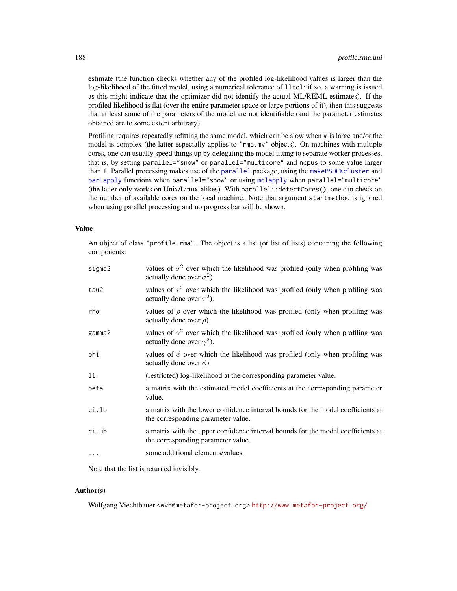estimate (the function checks whether any of the profiled log-likelihood values is larger than the log-likelihood of the fitted model, using a numerical tolerance of lltol; if so, a warning is issued as this might indicate that the optimizer did not identify the actual ML/REML estimates). If the profiled likelihood is flat (over the entire parameter space or large portions of it), then this suggests that at least some of the parameters of the model are not identifiable (and the parameter estimates obtained are to some extent arbitrary).

Profiling requires repeatedly refitting the same model, which can be slow when  $k$  is large and/or the model is complex (the latter especially applies to "rma.mv" objects). On machines with multiple cores, one can usually speed things up by delegating the model fitting to separate worker processes, that is, by setting parallel="snow" or parallel="multicore" and ncpus to some value larger than 1. Parallel processing makes use of the [parallel](#page-0-0) package, using the [makePSOCKcluster](#page-0-0) and [parLapply](#page-0-0) functions when parallel="snow" or using [mclapply](#page-0-0) when parallel="multicore" (the latter only works on Unix/Linux-alikes). With parallel::detectCores(), one can check on the number of available cores on the local machine. Note that argument startmethod is ignored when using parallel processing and no progress bar will be shown.

#### Value

An object of class "profile.rma". The object is a list (or list of lists) containing the following components:

| tau2<br>actually done over $\tau^2$ ).<br>rho<br>actually done over $\rho$ ).<br>gamma2<br>actually done over $\gamma^2$ ).<br>phi<br>actually done over $\phi$ ).<br>11<br>(restricted) log-likelihood at the corresponding parameter value.<br>beta<br>value.<br>ci.lb<br>the corresponding parameter value.<br>ci.ub<br>the corresponding parameter value.<br>some additional elements/values.<br>$\ddotsc$ | sigma2 | values of $\sigma^2$ over which the likelihood was profiled (only when profiling was<br>actually done over $\sigma^2$ ). |
|----------------------------------------------------------------------------------------------------------------------------------------------------------------------------------------------------------------------------------------------------------------------------------------------------------------------------------------------------------------------------------------------------------------|--------|--------------------------------------------------------------------------------------------------------------------------|
|                                                                                                                                                                                                                                                                                                                                                                                                                |        | values of $\tau^2$ over which the likelihood was profiled (only when profiling was                                       |
|                                                                                                                                                                                                                                                                                                                                                                                                                |        | values of $\rho$ over which the likelihood was profiled (only when profiling was                                         |
|                                                                                                                                                                                                                                                                                                                                                                                                                |        | values of $\gamma^2$ over which the likelihood was profiled (only when profiling was                                     |
|                                                                                                                                                                                                                                                                                                                                                                                                                |        | values of $\phi$ over which the likelihood was profiled (only when profiling was                                         |
|                                                                                                                                                                                                                                                                                                                                                                                                                |        |                                                                                                                          |
|                                                                                                                                                                                                                                                                                                                                                                                                                |        | a matrix with the estimated model coefficients at the corresponding parameter                                            |
|                                                                                                                                                                                                                                                                                                                                                                                                                |        | a matrix with the lower confidence interval bounds for the model coefficients at                                         |
|                                                                                                                                                                                                                                                                                                                                                                                                                |        | a matrix with the upper confidence interval bounds for the model coefficients at                                         |
|                                                                                                                                                                                                                                                                                                                                                                                                                |        |                                                                                                                          |

Note that the list is returned invisibly.

# Author(s)

Wolfgang Viechtbauer <wvb@metafor-project.org> <http://www.metafor-project.org/>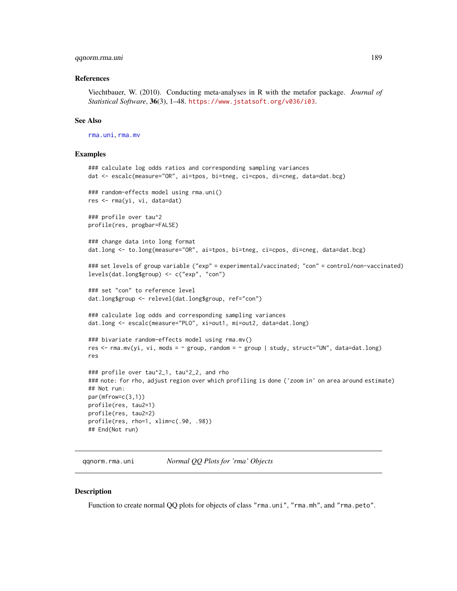### qqnorm.rma.uni 189

### References

Viechtbauer, W. (2010). Conducting meta-analyses in R with the metafor package. *Journal of Statistical Software*, 36(3), 1–48. <https://www.jstatsoft.org/v036/i03>.

### See Also

[rma.uni](#page-235-0), [rma.mv](#page-220-0)

### Examples

```
### calculate log odds ratios and corresponding sampling variances
dat <- escalc(measure="OR", ai=tpos, bi=tneg, ci=cpos, di=cneg, data=dat.bcg)
### random-effects model using rma.uni()
res <- rma(yi, vi, data=dat)
### profile over tau^2
profile(res, progbar=FALSE)
### change data into long format
dat.long <- to.long(measure="OR", ai=tpos, bi=tneg, ci=cpos, di=cneg, data=dat.bcg)
### set levels of group variable ("exp" = experimental/vaccinated; "con" = control/non-vaccinated)
levels(dat.long$group) <- c("exp", "con")
### set "con" to reference level
dat.long$group <- relevel(dat.long$group, ref="con")
### calculate log odds and corresponding sampling variances
dat.long <- escalc(measure="PLO", xi=out1, mi=out2, data=dat.long)
### bivariate random-effects model using rma.mv()
res <- rma.mv(yi, vi, mods = \sim group, random = \sim group | study, struct="UN", data=dat.long)
res
### profile over tau^2_1, tau^2_2, and rho
### note: for rho, adjust region over which profiling is done ('zoom in' on area around estimate)
## Not run:
par(mfrow=c(3,1))
profile(res, tau2=1)
profile(res, tau2=2)
profile(res, rho=1, xlim=c(.90, .98))
## End(Not run)
```
qqnorm.rma.uni *Normal QQ Plots for 'rma' Objects*

#### **Description**

Function to create normal QQ plots for objects of class "rma.uni", "rma.mh", and "rma.peto".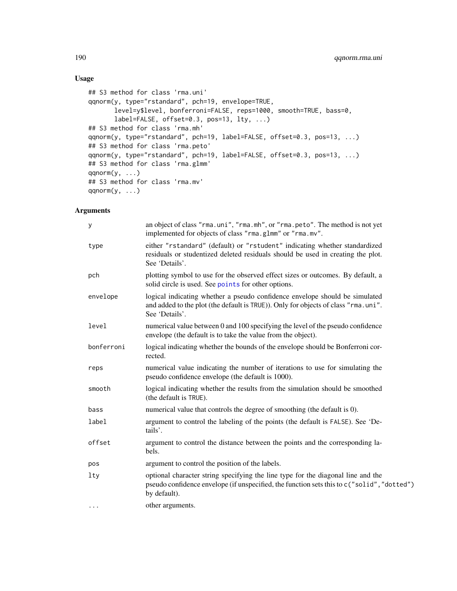# Usage

```
## S3 method for class 'rma.uni'
qqnorm(y, type="rstandard", pch=19, envelope=TRUE,
       level=y$level, bonferroni=FALSE, reps=1000, smooth=TRUE, bass=0,
       label=FALSE, offset=0.3, pos=13, lty, ...)
## S3 method for class 'rma.mh'
qqnorm(y, type="rstandard", pch=19, label=FALSE, offset=0.3, pos=13, ...)
## S3 method for class 'rma.peto'
qqnorm(y, type="rstandard", pch=19, label=FALSE, offset=0.3, pos=13, ...)
## S3 method for class 'rma.glmm'
qqnorm(y, \ldots)## S3 method for class 'rma.mv'
qqnorm(y, \ldots)
```
# Arguments

| y          | an object of class "rma.uni", "rma.mh", or "rma.peto". The method is not yet<br>implemented for objects of class "rma.glmm" or "rma.mv".                                                       |
|------------|------------------------------------------------------------------------------------------------------------------------------------------------------------------------------------------------|
| type       | either "rstandard" (default) or "rstudent" indicating whether standardized<br>residuals or studentized deleted residuals should be used in creating the plot.<br>See 'Details'.                |
| pch        | plotting symbol to use for the observed effect sizes or outcomes. By default, a<br>solid circle is used. See points for other options.                                                         |
| envelope   | logical indicating whether a pseudo confidence envelope should be simulated<br>and added to the plot (the default is TRUE)). Only for objects of class "rma.uni".<br>See 'Details'.            |
| level      | numerical value between 0 and 100 specifying the level of the pseudo confidence<br>envelope (the default is to take the value from the object).                                                |
| bonferroni | logical indicating whether the bounds of the envelope should be Bonferroni cor-<br>rected.                                                                                                     |
| reps       | numerical value indicating the number of iterations to use for simulating the<br>pseudo confidence envelope (the default is 1000).                                                             |
| smooth     | logical indicating whether the results from the simulation should be smoothed<br>(the default is TRUE).                                                                                        |
| bass       | numerical value that controls the degree of smoothing (the default is 0).                                                                                                                      |
| label      | argument to control the labeling of the points (the default is FALSE). See 'De-<br>tails'.                                                                                                     |
| offset     | argument to control the distance between the points and the corresponding la-<br>bels.                                                                                                         |
| pos        | argument to control the position of the labels.                                                                                                                                                |
| lty        | optional character string specifying the line type for the diagonal line and the<br>pseudo confidence envelope (if unspecified, the function sets this to c("solid", "dotted")<br>by default). |
| $\cdots$   | other arguments.                                                                                                                                                                               |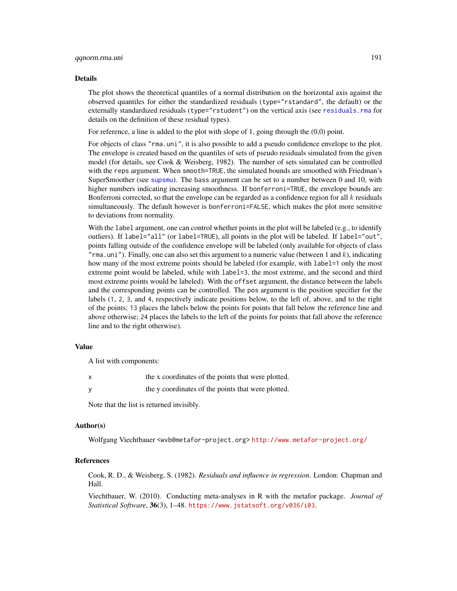#### Details

The plot shows the theoretical quantiles of a normal distribution on the horizontal axis against the observed quantiles for either the standardized residuals (type="rstandard", the default) or the externally standardized residuals (type="rstudent") on the vertical axis (see [residuals.rma](#page-204-0) for details on the definition of these residual types).

For reference, a line is added to the plot with slope of 1, going through the  $(0,0)$  point.

For objects of class "rma.uni", it is also possible to add a pseudo confidence envelope to the plot. The envelope is created based on the quantiles of sets of pseudo residuals simulated from the given model (for details, see Cook & Weisberg, 1982). The number of sets simulated can be controlled with the reps argument. When smooth=TRUE, the simulated bounds are smoothed with Friedman's SuperSmoother (see [supsmu](#page-0-0)). The bass argument can be set to a number between 0 and 10, with higher numbers indicating increasing smoothness. If bonferroni=TRUE, the envelope bounds are Bonferroni corrected, so that the envelope can be regarded as a confidence region for all  $k$  residuals simultaneously. The default however is bonferroni=FALSE, which makes the plot more sensitive to deviations from normality.

With the label argument, one can control whether points in the plot will be labeled (e.g., to identify outliers). If label="all" (or label=TRUE), all points in the plot will be labeled. If label="out", points falling outside of the confidence envelope will be labeled (only available for objects of class  $"$ rma.uni"). Finally, one can also set this argument to a numeric value (between 1 and  $k$ ), indicating how many of the most extreme points should be labeled (for example, with label=1 only the most extreme point would be labeled, while with label=3, the most extreme, and the second and third most extreme points would be labeled). With the offset argument, the distance between the labels and the corresponding points can be controlled. The pos argument is the position specifier for the labels (1, 2, 3, and 4, respectively indicate positions below, to the left of, above, and to the right of the points; 13 places the labels below the points for points that fall below the reference line and above otherwise; 24 places the labels to the left of the points for points that fall above the reference line and to the right otherwise).

### Value

A list with components:

| the x coordinates of the points that were plotted. |
|----------------------------------------------------|
| the y coordinates of the points that were plotted. |

Note that the list is returned invisibly.

#### Author(s)

Wolfgang Viechtbauer <wvb@metafor-project.org> <http://www.metafor-project.org/>

### References

Cook, R. D., & Weisberg, S. (1982). *Residuals and influence in regression*. London: Chapman and Hall.

Viechtbauer, W. (2010). Conducting meta-analyses in R with the metafor package. *Journal of Statistical Software*, 36(3), 1–48. <https://www.jstatsoft.org/v036/i03>.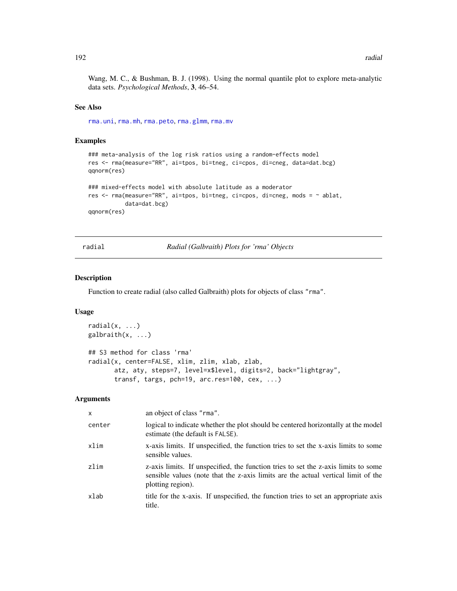Wang, M. C., & Bushman, B. J. (1998). Using the normal quantile plot to explore meta-analytic data sets. *Psychological Methods*, 3, 46–54.

## See Also

[rma.uni](#page-235-0), [rma.mh](#page-216-0), [rma.peto](#page-232-0), [rma.glmm](#page-208-0), [rma.mv](#page-220-0)

### Examples

```
### meta-analysis of the log risk ratios using a random-effects model
res <- rma(measure="RR", ai=tpos, bi=tneg, ci=cpos, di=cneg, data=dat.bcg)
qqnorm(res)
### mixed-effects model with absolute latitude as a moderator
res <- rma(measure="RR", ai=tpos, bi=tneg, ci=cpos, di=cneg, mods = ~ ablat,
           data=dat.bcg)
qqnorm(res)
```
radial *Radial (Galbraith) Plots for 'rma' Objects*

#### Description

Function to create radial (also called Galbraith) plots for objects of class "rma".

# Usage

```
radial(x, \ldots)galbraith(x, ...)## S3 method for class 'rma'
radial(x, center=FALSE, xlim, zlim, xlab, zlab,
       atz, aty, steps=7, level=x$level, digits=2, back="lightgray",
       transf, targs, pch=19, arc.res=100, cex, ...)
```
### Arguments

| $\mathsf{x}$ | an object of class "rma".                                                                                                                                                                    |
|--------------|----------------------------------------------------------------------------------------------------------------------------------------------------------------------------------------------|
| center       | logical to indicate whether the plot should be centered horizontally at the model<br>estimate (the default is FALSE).                                                                        |
| xlim         | x-axis limits. If unspecified, the function tries to set the x-axis limits to some<br>sensible values.                                                                                       |
| zlim         | z-axis limits. If unspecified, the function tries to set the z-axis limits to some<br>sensible values (note that the z-axis limits are the actual vertical limit of the<br>plotting region). |
| xlab         | title for the x-axis. If unspecified, the function tries to set an appropriate axis<br>title.                                                                                                |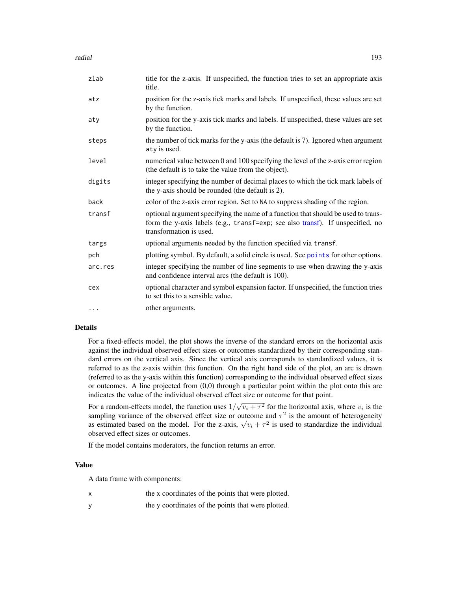radial to the contract of the contract of the contract of the contract of the contract of the contract of the contract of the contract of the contract of the contract of the contract of the contract of the contract of the

| zlab     | title for the z-axis. If unspecified, the function tries to set an appropriate axis<br>title.                                                                                                  |
|----------|------------------------------------------------------------------------------------------------------------------------------------------------------------------------------------------------|
| atz      | position for the z-axis tick marks and labels. If unspecified, these values are set<br>by the function.                                                                                        |
| aty      | position for the y-axis tick marks and labels. If unspecified, these values are set<br>by the function.                                                                                        |
| steps    | the number of tick marks for the y-axis (the default is 7). Ignored when argument<br>aty is used.                                                                                              |
| level    | numerical value between 0 and 100 specifying the level of the z-axis error region<br>(the default is to take the value from the object).                                                       |
| digits   | integer specifying the number of decimal places to which the tick mark labels of<br>the y-axis should be rounded (the default is 2).                                                           |
| back     | color of the z-axis error region. Set to NA to suppress shading of the region.                                                                                                                 |
| transf   | optional argument specifying the name of a function that should be used to trans-<br>form the y-axis labels (e.g., transf=exp; see also transf). If unspecified, no<br>transformation is used. |
| targs    | optional arguments needed by the function specified via transf.                                                                                                                                |
| pch      | plotting symbol. By default, a solid circle is used. See points for other options.                                                                                                             |
| arc.res  | integer specifying the number of line segments to use when drawing the y-axis<br>and confidence interval arcs (the default is 100).                                                            |
| cex      | optional character and symbol expansion factor. If unspecified, the function tries<br>to set this to a sensible value.                                                                         |
| $\cdots$ | other arguments.                                                                                                                                                                               |

### Details

For a fixed-effects model, the plot shows the inverse of the standard errors on the horizontal axis against the individual observed effect sizes or outcomes standardized by their corresponding standard errors on the vertical axis. Since the vertical axis corresponds to standardized values, it is referred to as the z-axis within this function. On the right hand side of the plot, an arc is drawn (referred to as the y-axis within this function) corresponding to the individual observed effect sizes or outcomes. A line projected from  $(0,0)$  through a particular point within the plot onto this arc indicates the value of the individual observed effect size or outcome for that point.

For a random-effects model, the function uses 1/ √  $\overline{v_i + \tau^2}$  for the horizontal axis, where  $v_i$  is the sampling variance of the observed effect size or outcome and  $\tau^2$  is the amount of heterogeneity sampling variance of the observed effect size or outcome and  $\tau$  is the amount of neterogeneity as estimated based on the model. For the z-axis,  $\sqrt{v_i + \tau^2}$  is used to standardize the individual observed effect sizes or outcomes.

If the model contains moderators, the function returns an error.

#### Value

A data frame with components:

- x the x coordinates of the points that were plotted.
- y the y coordinates of the points that were plotted.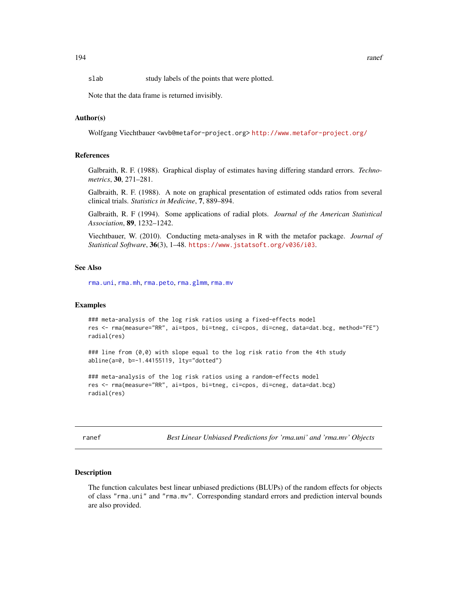slab study labels of the points that were plotted.

Note that the data frame is returned invisibly.

## Author(s)

Wolfgang Viechtbauer <wvb@metafor-project.org> <http://www.metafor-project.org/>

### References

Galbraith, R. F. (1988). Graphical display of estimates having differing standard errors. *Technometrics*, 30, 271–281.

Galbraith, R. F. (1988). A note on graphical presentation of estimated odds ratios from several clinical trials. *Statistics in Medicine*, 7, 889–894.

Galbraith, R. F (1994). Some applications of radial plots. *Journal of the American Statistical Association*, 89, 1232–1242.

Viechtbauer, W. (2010). Conducting meta-analyses in R with the metafor package. *Journal of Statistical Software*, 36(3), 1–48. <https://www.jstatsoft.org/v036/i03>.

### See Also

[rma.uni](#page-235-0), [rma.mh](#page-216-0), [rma.peto](#page-232-0), [rma.glmm](#page-208-0), [rma.mv](#page-220-0)

#### Examples

```
### meta-analysis of the log risk ratios using a fixed-effects model
res <- rma(measure="RR", ai=tpos, bi=tneg, ci=cpos, di=cneg, data=dat.bcg, method="FE")
radial(res)
```
### line from (0,0) with slope equal to the log risk ratio from the 4th study abline(a=0, b=-1.44155119, lty="dotted")

```
### meta-analysis of the log risk ratios using a random-effects model
res <- rma(measure="RR", ai=tpos, bi=tneg, ci=cpos, di=cneg, data=dat.bcg)
radial(res)
```
ranef *Best Linear Unbiased Predictions for 'rma.uni' and 'rma.mv' Objects*

#### Description

The function calculates best linear unbiased predictions (BLUPs) of the random effects for objects of class "rma.uni" and "rma.mv". Corresponding standard errors and prediction interval bounds are also provided.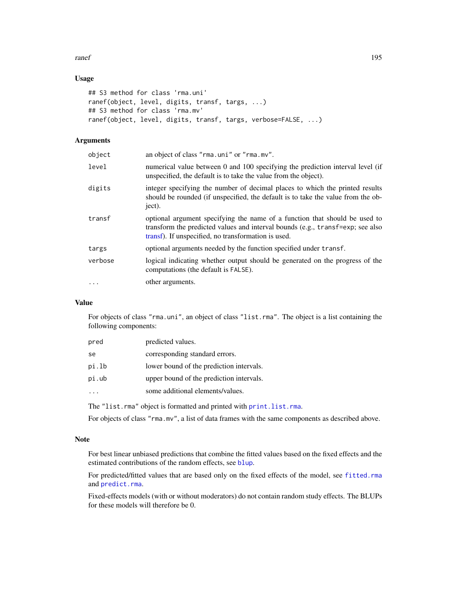#### ranef and the state of the state of the state of the state of the state of the state of the state of the state of the state of the state of the state of the state of the state of the state of the state of the state of the

# Usage

```
## S3 method for class 'rma.uni'
ranef(object, level, digits, transf, targs, ...)
## S3 method for class 'rma.mv'
ranef(object, level, digits, transf, targs, verbose=FALSE, ...)
```
# Arguments

| object   | an object of class "rma.uni" or "rma.mv".                                                                                                                                                                           |
|----------|---------------------------------------------------------------------------------------------------------------------------------------------------------------------------------------------------------------------|
| level    | numerical value between 0 and 100 specifying the prediction interval level (if<br>unspecified, the default is to take the value from the object).                                                                   |
| digits   | integer specifying the number of decimal places to which the printed results<br>should be rounded (if unspecified, the default is to take the value from the ob-<br>ject).                                          |
| transf   | optional argument specifying the name of a function that should be used to<br>transform the predicted values and interval bounds (e.g., transf=exp; see also<br>transf). If unspecified, no transformation is used. |
| targs    | optional arguments needed by the function specified under transf.                                                                                                                                                   |
| verbose  | logical indicating whether output should be generated on the progress of the<br>computations (the default is FALSE).                                                                                                |
| $\cdots$ | other arguments.                                                                                                                                                                                                    |
|          |                                                                                                                                                                                                                     |

## Value

For objects of class "rma.uni", an object of class "list.rma". The object is a list containing the following components:

| pred  | predicted values.                        |
|-------|------------------------------------------|
| se    | corresponding standard errors.           |
| pi.lb | lower bound of the prediction intervals. |
| pi.ub | upper bound of the prediction intervals. |
|       | some additional elements/values.         |

The "list.rma" object is formatted and printed with [print.list.rma](#page-176-0).

For objects of class "rma.mv", a list of data frames with the same components as described above.

# Note

For best linear unbiased predictions that combine the fitted values based on the fixed effects and the estimated contributions of the random effects, see [blup](#page-21-0).

For predicted/fitted values that are based only on the fixed effects of the model, see [fitted.rma](#page-110-0) and [predict.rma](#page-164-0).

Fixed-effects models (with or without moderators) do not contain random study effects. The BLUPs for these models will therefore be 0.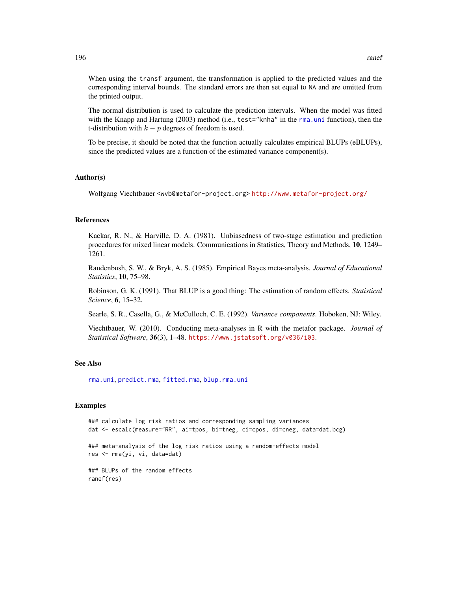When using the transf argument, the transformation is applied to the predicted values and the corresponding interval bounds. The standard errors are then set equal to NA and are omitted from the printed output.

The normal distribution is used to calculate the prediction intervals. When the model was fitted with the Knapp and Hartung (2003) method (i.e., test="knha" in the [rma.uni](#page-235-0) function), then the t-distribution with  $k - p$  degrees of freedom is used.

To be precise, it should be noted that the function actually calculates empirical BLUPs (eBLUPs), since the predicted values are a function of the estimated variance component(s).

#### Author(s)

Wolfgang Viechtbauer <wvb@metafor-project.org> <http://www.metafor-project.org/>

### References

Kackar, R. N., & Harville, D. A. (1981). Unbiasedness of two-stage estimation and prediction procedures for mixed linear models. Communications in Statistics, Theory and Methods, 10, 1249– 1261.

Raudenbush, S. W., & Bryk, A. S. (1985). Empirical Bayes meta-analysis. *Journal of Educational Statistics*, 10, 75–98.

Robinson, G. K. (1991). That BLUP is a good thing: The estimation of random effects. *Statistical Science*, 6, 15–32.

Searle, S. R., Casella, G., & McCulloch, C. E. (1992). *Variance components*. Hoboken, NJ: Wiley.

Viechtbauer, W. (2010). Conducting meta-analyses in R with the metafor package. *Journal of Statistical Software*, 36(3), 1–48. <https://www.jstatsoft.org/v036/i03>.

### See Also

[rma.uni](#page-235-0), [predict.rma](#page-164-0), [fitted.rma](#page-110-0), [blup.rma.uni](#page-21-1)

#### Examples

```
### calculate log risk ratios and corresponding sampling variances
dat <- escalc(measure="RR", ai=tpos, bi=tneg, ci=cpos, di=cneg, data=dat.bcg)
### meta-analysis of the log risk ratios using a random-effects model
res <- rma(yi, vi, data=dat)
### BLUPs of the random effects
ranef(res)
```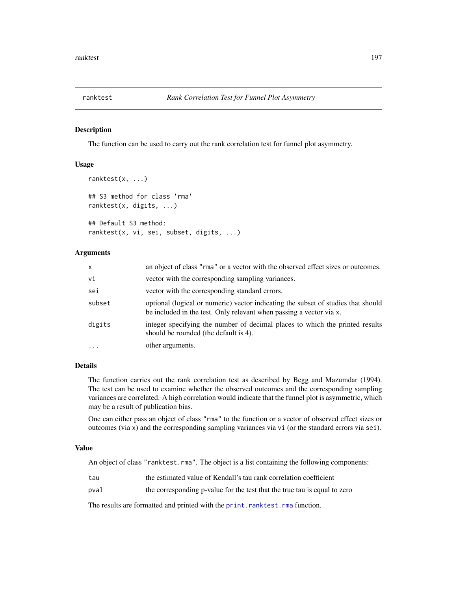<span id="page-196-0"></span>

## Description

The function can be used to carry out the rank correlation test for funnel plot asymmetry.

# Usage

```
ranktest(x, ...)
## S3 method for class 'rma'
ranktest(x, digits, ...)
## Default S3 method:
ranktest(x, vi, sei, subset, digits, ...)
```
### Arguments

| $\mathsf{x}$ | an object of class "rma" or a vector with the observed effect sizes or outcomes.                                                                         |
|--------------|----------------------------------------------------------------------------------------------------------------------------------------------------------|
| vi           | vector with the corresponding sampling variances.                                                                                                        |
| sei          | vector with the corresponding standard errors.                                                                                                           |
| subset       | optional (logical or numeric) vector indicating the subset of studies that should<br>be included in the test. Only relevant when passing a vector via x. |
| digits       | integer specifying the number of decimal places to which the printed results<br>should be rounded (the default is 4).                                    |
|              | other arguments.                                                                                                                                         |

# Details

The function carries out the rank correlation test as described by Begg and Mazumdar (1994). The test can be used to examine whether the observed outcomes and the corresponding sampling variances are correlated. A high correlation would indicate that the funnel plot is asymmetric, which may be a result of publication bias.

One can either pass an object of class "rma" to the function or a vector of observed effect sizes or outcomes (via x) and the corresponding sampling variances via vi (or the standard errors via sei).

# Value

An object of class "ranktest.rma". The object is a list containing the following components:

- tau the estimated value of Kendall's tau rank correlation coefficient
- pval the corresponding p-value for the test that the true tau is equal to zero

The results are formatted and printed with the [print.ranktest.rma](#page-178-0) function.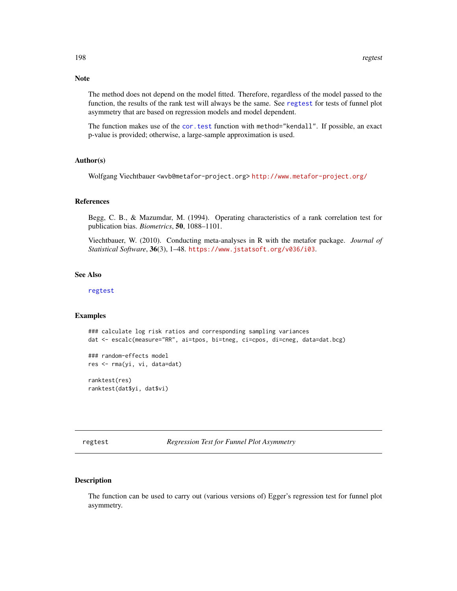The method does not depend on the model fitted. Therefore, regardless of the model passed to the function, the results of the rank test will always be the same. See [regtest](#page-197-0) for tests of funnel plot asymmetry that are based on regression models and model dependent.

The function makes use of the [cor.test](#page-0-0) function with method="kendall". If possible, an exact p-value is provided; otherwise, a large-sample approximation is used.

#### Author(s)

Wolfgang Viechtbauer <wvb@metafor-project.org> <http://www.metafor-project.org/>

# References

Begg, C. B., & Mazumdar, M. (1994). Operating characteristics of a rank correlation test for publication bias. *Biometrics*, 50, 1088–1101.

Viechtbauer, W. (2010). Conducting meta-analyses in R with the metafor package. *Journal of Statistical Software*, 36(3), 1–48. <https://www.jstatsoft.org/v036/i03>.

# See Also

[regtest](#page-197-0)

# Examples

```
### calculate log risk ratios and corresponding sampling variances
dat <- escalc(measure="RR", ai=tpos, bi=tneg, ci=cpos, di=cneg, data=dat.bcg)
```
### random-effects model res <- rma(yi, vi, data=dat)

ranktest(res) ranktest(dat\$yi, dat\$vi)

<span id="page-197-0"></span>regtest *Regression Test for Funnel Plot Asymmetry*

### Description

The function can be used to carry out (various versions of) Egger's regression test for funnel plot asymmetry.

# Note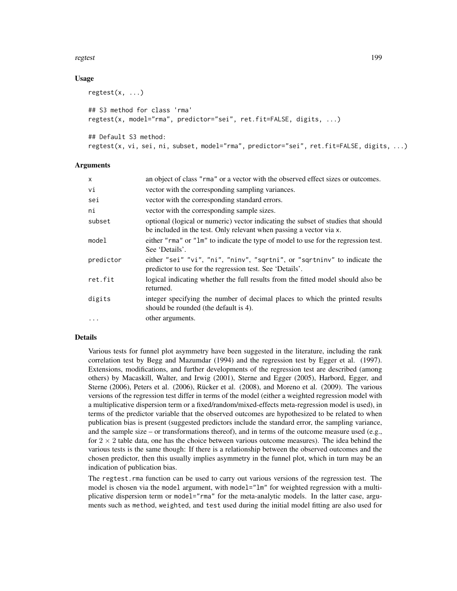#### regtest the contract of the contract of the contract of the contract of the contract of the contract of the contract of the contract of the contract of the contract of the contract of the contract of the contract of the co

## Usage

```
regtest(x, ...)
## S3 method for class 'rma'
regtest(x, model="rma", predictor="sei", ret.fit=FALSE, digits, ...)
## Default S3 method:
regtest(x, vi, sei, ni, subset, model="rma", predictor="sei", ret.fit=FALSE, digits, ...)
```
### Arguments

| $\mathsf{x}$ | an object of class "rma" or a vector with the observed effect sizes or outcomes.                                                                         |
|--------------|----------------------------------------------------------------------------------------------------------------------------------------------------------|
| vi           | vector with the corresponding sampling variances.                                                                                                        |
| sei          | vector with the corresponding standard errors.                                                                                                           |
| ni           | vector with the corresponding sample sizes.                                                                                                              |
| subset       | optional (logical or numeric) vector indicating the subset of studies that should<br>be included in the test. Only relevant when passing a vector via x. |
| model        | either "rma" or "lm" to indicate the type of model to use for the regression test.<br>See 'Details'.                                                     |
| predictor    | either "sei" "vi", "ni", "ninv", "sqrtni", or "sqrtninv" to indicate the<br>predictor to use for the regression test. See 'Details'.                     |
| ret.fit      | logical indicating whether the full results from the fitted model should also be<br>returned.                                                            |
| digits       | integer specifying the number of decimal places to which the printed results<br>should be rounded (the default is 4).                                    |
| $\ddotsc$    | other arguments.                                                                                                                                         |

# Details

Various tests for funnel plot asymmetry have been suggested in the literature, including the rank correlation test by Begg and Mazumdar (1994) and the regression test by Egger et al. (1997). Extensions, modifications, and further developments of the regression test are described (among others) by Macaskill, Walter, and Irwig (2001), Sterne and Egger (2005), Harbord, Egger, and Sterne (2006), Peters et al. (2006), Rücker et al. (2008), and Moreno et al. (2009). The various versions of the regression test differ in terms of the model (either a weighted regression model with a multiplicative dispersion term or a fixed/random/mixed-effects meta-regression model is used), in terms of the predictor variable that the observed outcomes are hypothesized to be related to when publication bias is present (suggested predictors include the standard error, the sampling variance, and the sample size – or transformations thereof), and in terms of the outcome measure used (e.g., for  $2 \times 2$  table data, one has the choice between various outcome measures). The idea behind the various tests is the same though: If there is a relationship between the observed outcomes and the chosen predictor, then this usually implies asymmetry in the funnel plot, which in turn may be an indication of publication bias.

The regtest.rma function can be used to carry out various versions of the regression test. The model is chosen via the model argument, with model="1m" for weighted regression with a multiplicative dispersion term or model="rma" for the meta-analytic models. In the latter case, arguments such as method, weighted, and test used during the initial model fitting are also used for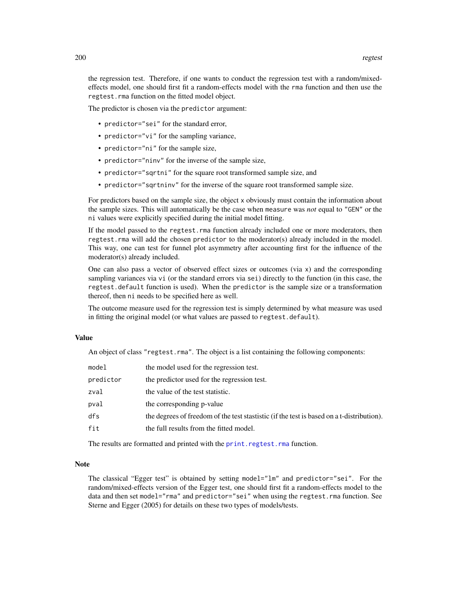the regression test. Therefore, if one wants to conduct the regression test with a random/mixedeffects model, one should first fit a random-effects model with the rma function and then use the regtest.rma function on the fitted model object.

The predictor is chosen via the predictor argument:

- predictor="sei" for the standard error,
- predictor="vi" for the sampling variance,
- predictor="ni" for the sample size,
- predictor="ninv" for the inverse of the sample size,
- predictor="sqrtni" for the square root transformed sample size, and
- predictor="sqrtninv" for the inverse of the square root transformed sample size.

For predictors based on the sample size, the object x obviously must contain the information about the sample sizes. This will automatically be the case when measure was *not* equal to "GEN" or the ni values were explicitly specified during the initial model fitting.

If the model passed to the regtest.rma function already included one or more moderators, then regtest.rma will add the chosen predictor to the moderator(s) already included in the model. This way, one can test for funnel plot asymmetry after accounting first for the influence of the moderator(s) already included.

One can also pass a vector of observed effect sizes or outcomes (via x) and the corresponding sampling variances via vi (or the standard errors via sei) directly to the function (in this case, the regtest.default function is used). When the predictor is the sample size or a transformation thereof, then ni needs to be specified here as well.

The outcome measure used for the regression test is simply determined by what measure was used in fitting the original model (or what values are passed to regtest.default).

# Value

An object of class "regtest.rma". The object is a list containing the following components:

| model     | the model used for the regression test.                                                   |
|-----------|-------------------------------------------------------------------------------------------|
| predictor | the predictor used for the regression test.                                               |
| zval      | the value of the test statistic.                                                          |
| pval      | the corresponding p-value                                                                 |
| dfs       | the degrees of freedom of the test stastistic (if the test is based on a t-distribution). |
| fit       | the full results from the fitted model.                                                   |

The results are formatted and printed with the [print.regtest.rma](#page-179-0) function.

#### Note

The classical "Egger test" is obtained by setting model="lm" and predictor="sei". For the random/mixed-effects version of the Egger test, one should first fit a random-effects model to the data and then set model="rma" and predictor="sei" when using the regtest.rma function. See Sterne and Egger (2005) for details on these two types of models/tests.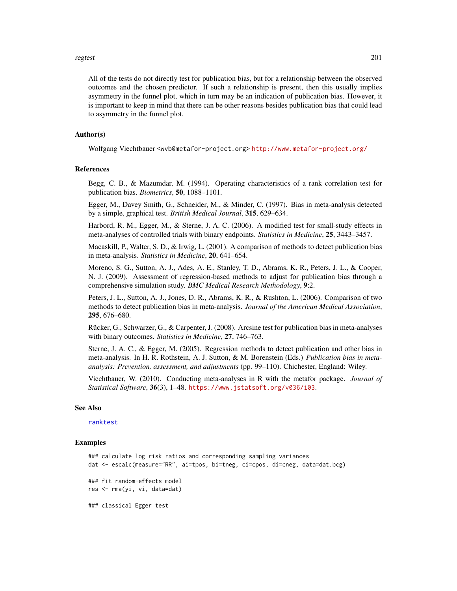#### regtest 201

All of the tests do not directly test for publication bias, but for a relationship between the observed outcomes and the chosen predictor. If such a relationship is present, then this usually implies asymmetry in the funnel plot, which in turn may be an indication of publication bias. However, it is important to keep in mind that there can be other reasons besides publication bias that could lead to asymmetry in the funnel plot.

# Author(s)

Wolfgang Viechtbauer <wvb@metafor-project.org> <http://www.metafor-project.org/>

### References

Begg, C. B., & Mazumdar, M. (1994). Operating characteristics of a rank correlation test for publication bias. *Biometrics*, 50, 1088–1101.

Egger, M., Davey Smith, G., Schneider, M., & Minder, C. (1997). Bias in meta-analysis detected by a simple, graphical test. *British Medical Journal*, 315, 629–634.

Harbord, R. M., Egger, M., & Sterne, J. A. C. (2006). A modified test for small-study effects in meta-analyses of controlled trials with binary endpoints. *Statistics in Medicine*, 25, 3443–3457.

Macaskill, P., Walter, S. D., & Irwig, L. (2001). A comparison of methods to detect publication bias in meta-analysis. *Statistics in Medicine*, 20, 641–654.

Moreno, S. G., Sutton, A. J., Ades, A. E., Stanley, T. D., Abrams, K. R., Peters, J. L., & Cooper, N. J. (2009). Assessment of regression-based methods to adjust for publication bias through a comprehensive simulation study. *BMC Medical Research Methodology*, 9:2.

Peters, J. L., Sutton, A. J., Jones, D. R., Abrams, K. R., & Rushton, L. (2006). Comparison of two methods to detect publication bias in meta-analysis. *Journal of the American Medical Association*, 295, 676–680.

Rücker, G., Schwarzer, G., & Carpenter, J. (2008). Arcsine test for publication bias in meta-analyses with binary outcomes. *Statistics in Medicine*, 27, 746–763.

Sterne, J. A. C., & Egger, M. (2005). Regression methods to detect publication and other bias in meta-analysis. In H. R. Rothstein, A. J. Sutton, & M. Borenstein (Eds.) *Publication bias in metaanalysis: Prevention, assessment, and adjustments* (pp. 99–110). Chichester, England: Wiley.

Viechtbauer, W. (2010). Conducting meta-analyses in R with the metafor package. *Journal of Statistical Software*, 36(3), 1–48. <https://www.jstatsoft.org/v036/i03>.

#### See Also

#### [ranktest](#page-196-0)

### Examples

### calculate log risk ratios and corresponding sampling variances dat <- escalc(measure="RR", ai=tpos, bi=tneg, ci=cpos, di=cneg, data=dat.bcg)

### fit random-effects model res <- rma(yi, vi, data=dat)

### classical Egger test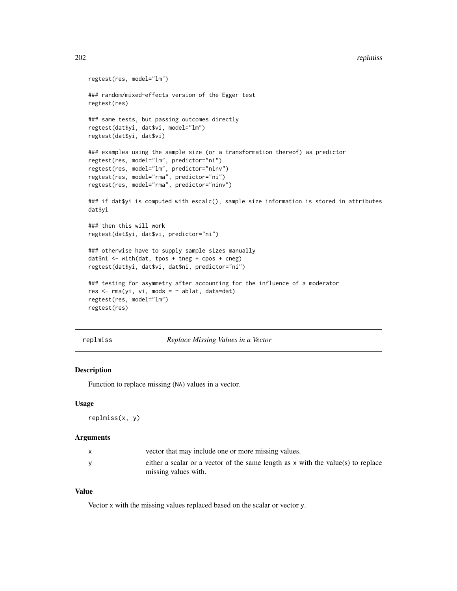```
regtest(res, model="lm")
### random/mixed-effects version of the Egger test
regtest(res)
### same tests, but passing outcomes directly
regtest(dat$yi, dat$vi, model="lm")
regtest(dat$yi, dat$vi)
### examples using the sample size (or a transformation thereof) as predictor
regtest(res, model="lm", predictor="ni")
regtest(res, model="lm", predictor="ninv")
regtest(res, model="rma", predictor="ni")
regtest(res, model="rma", predictor="ninv")
### if dat$yi is computed with escalc(), sample size information is stored in attributes
dat$yi
### then this will work
regtest(dat$yi, dat$vi, predictor="ni")
### otherwise have to supply sample sizes manually
dat$ni <- with(dat, tpos + tneg + cpos + cneg)
regtest(dat$yi, dat$vi, dat$ni, predictor="ni")
### testing for asymmetry after accounting for the influence of a moderator
res \leq rma(yi, vi, mods = \sim ablat, data=dat)
regtest(res, model="lm")
regtest(res)
```
replmiss *Replace Missing Values in a Vector*

### Description

Function to replace missing (NA) values in a vector.

## Usage

replmiss(x, y)

### Arguments

| vector that may include one or more missing values.                                                        |
|------------------------------------------------------------------------------------------------------------|
| either a scalar or a vector of the same length as $x$ with the value(s) to replace<br>missing values with. |

### Value

Vector x with the missing values replaced based on the scalar or vector y.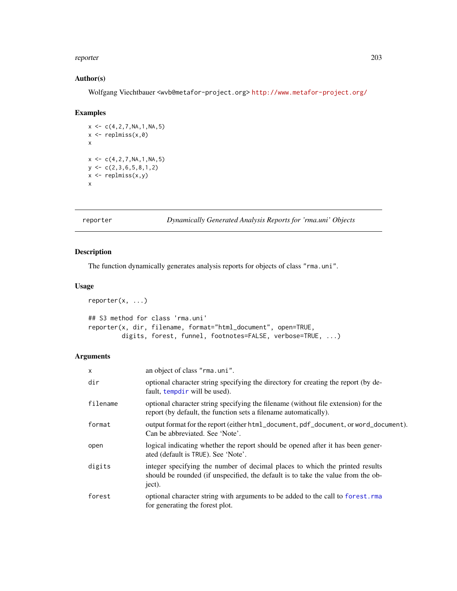#### reporter 203

# Author(s)

Wolfgang Viechtbauer <wvb@metafor-project.org> <http://www.metafor-project.org/>

# Examples

```
x \leq -c(4, 2, 7, NA, 1, NA, 5)x \leftarrow \text{replmiss}(x, \emptyset)x
x \leq -c(4, 2, 7, NA, 1, NA, 5)y \leftarrow c(2,3,6,5,8,1,2)x \leftarrow \text{replmiss}(x, y)x
```
reporter *Dynamically Generated Analysis Reports for 'rma.uni' Objects*

# Description

The function dynamically generates analysis reports for objects of class "rma.uni".

### Usage

```
reporter(x, ...)
## S3 method for class 'rma.uni'
reporter(x, dir, filename, format="html_document", open=TRUE,
         digits, forest, funnel, footnotes=FALSE, verbose=TRUE, ...)
```
# Arguments

| x        | an object of class "rma.uni".                                                                                                                                              |
|----------|----------------------------------------------------------------------------------------------------------------------------------------------------------------------------|
| dir      | optional character string specifying the directory for creating the report (by de-<br>fault, tempdir will be used).                                                        |
| filename | optional character string specifying the filename (without file extension) for the<br>report (by default, the function sets a filename automatically).                     |
| format   | output format for the report (either html_document, pdf_document, or word_document).<br>Can be abbreviated. See 'Note'.                                                    |
| open     | logical indicating whether the report should be opened after it has been gener-<br>ated (default is TRUE). See 'Note'.                                                     |
| digits   | integer specifying the number of decimal places to which the printed results<br>should be rounded (if unspecified, the default is to take the value from the ob-<br>ject). |
| forest   | optional character string with arguments to be added to the call to forest.rma<br>for generating the forest plot.                                                          |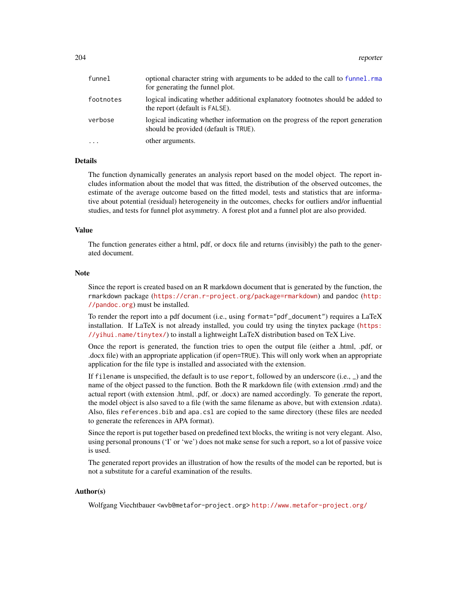| funnel    | optional character string with arguments to be added to the call to funnel. rma<br>for generating the funnel plot.       |
|-----------|--------------------------------------------------------------------------------------------------------------------------|
| footnotes | logical indicating whether additional explanatory footnotes should be added to<br>the report (default is FALSE).         |
| verbose   | logical indicating whether information on the progress of the report generation<br>should be provided (default is TRUE). |
| $\cdots$  | other arguments.                                                                                                         |

#### Details

The function dynamically generates an analysis report based on the model object. The report includes information about the model that was fitted, the distribution of the observed outcomes, the estimate of the average outcome based on the fitted model, tests and statistics that are informative about potential (residual) heterogeneity in the outcomes, checks for outliers and/or influential studies, and tests for funnel plot asymmetry. A forest plot and a funnel plot are also provided.

### Value

The function generates either a html, pdf, or docx file and returns (invisibly) the path to the generated document.

### Note

Since the report is created based on an R markdown document that is generated by the function, the rmarkdown package (<https://cran.r-project.org/package=rmarkdown>) and pandoc ([http:](http://pandoc.org) [//pandoc.org](http://pandoc.org)) must be installed.

To render the report into a pdf document (i.e., using format="pdf\_document") requires a LaTeX installation. If LaTeX is not already installed, you could try using the tinytex package ([https:](https://yihui.name/tinytex/) [//yihui.name/tinytex/](https://yihui.name/tinytex/)) to install a lightweight LaTeX distribution based on TeX Live.

Once the report is generated, the function tries to open the output file (either a .html, .pdf, or .docx file) with an appropriate application (if open=TRUE). This will only work when an appropriate application for the file type is installed and associated with the extension.

If filename is unspecified, the default is to use report, followed by an underscore (i.e., \_) and the name of the object passed to the function. Both the R markdown file (with extension .rmd) and the actual report (with extension .html, .pdf, or .docx) are named accordingly. To generate the report, the model object is also saved to a file (with the same filename as above, but with extension .rdata). Also, files references.bib and apa.csl are copied to the same directory (these files are needed to generate the references in APA format).

Since the report is put together based on predefined text blocks, the writing is not very elegant. Also, using personal pronouns ('I' or 'we') does not make sense for such a report, so a lot of passive voice is used.

The generated report provides an illustration of how the results of the model can be reported, but is not a substitute for a careful examination of the results.

### Author(s)

Wolfgang Viechtbauer <wvb@metafor-project.org> <http://www.metafor-project.org/>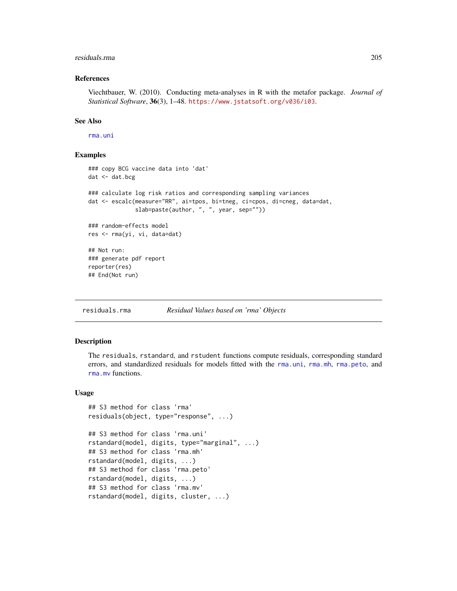#### residuals.rma 205

### References

Viechtbauer, W. (2010). Conducting meta-analyses in R with the metafor package. *Journal of Statistical Software*, 36(3), 1–48. <https://www.jstatsoft.org/v036/i03>.

## See Also

[rma.uni](#page-235-0)

## Examples

```
### copy BCG vaccine data into 'dat'
dat <- dat.bcg
### calculate log risk ratios and corresponding sampling variances
dat <- escalc(measure="RR", ai=tpos, bi=tneg, ci=cpos, di=cneg, data=dat,
              slab=paste(author, ", ", year, sep=""))
### random-effects model
res <- rma(yi, vi, data=dat)
## Not run:
### generate pdf report
reporter(res)
## End(Not run)
```
<span id="page-204-0"></span>residuals.rma *Residual Values based on 'rma' Objects*

### Description

The residuals, rstandard, and rstudent functions compute residuals, corresponding standard errors, and standardized residuals for models fitted with the [rma.uni](#page-235-0), [rma.mh](#page-216-0), [rma.peto](#page-232-0), and [rma.mv](#page-220-0) functions.

# Usage

```
## S3 method for class 'rma'
residuals(object, type="response", ...)
## S3 method for class 'rma.uni'
rstandard(model, digits, type="marginal", ...)
## S3 method for class 'rma.mh'
rstandard(model, digits, ...)
## S3 method for class 'rma.peto'
rstandard(model, digits, ...)
## S3 method for class 'rma.mv'
rstandard(model, digits, cluster, ...)
```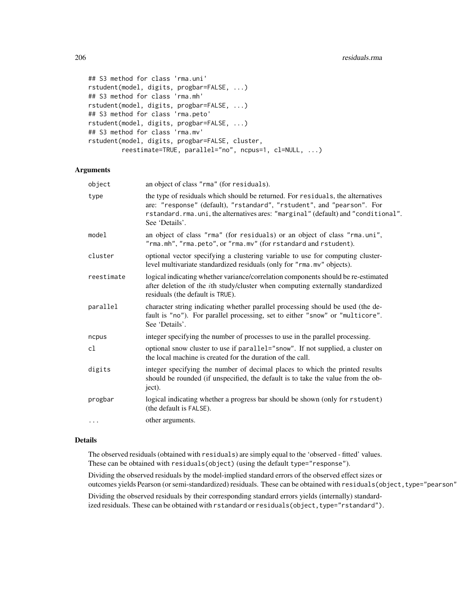```
## S3 method for class 'rma.uni'
rstudent(model, digits, progbar=FALSE, ...)
## S3 method for class 'rma.mh'
rstudent(model, digits, progbar=FALSE, ...)
## S3 method for class 'rma.peto'
rstudent(model, digits, progbar=FALSE, ...)
## S3 method for class 'rma.mv'
rstudent(model, digits, progbar=FALSE, cluster,
         reestimate=TRUE, parallel="no", ncpus=1, cl=NULL, ...)
```
# Arguments

| object     | an object of class "rma" (for residuals).                                                                                                                                                                                                                        |
|------------|------------------------------------------------------------------------------------------------------------------------------------------------------------------------------------------------------------------------------------------------------------------|
| type       | the type of residuals which should be returned. For residuals, the alternatives<br>are: "response" (default), "rstandard", "rstudent", and "pearson". For<br>rstandard.rma.uni, the alternatives ares: "marginal" (default) and "conditional".<br>See 'Details'. |
| model      | an object of class "rma" (for residuals) or an object of class "rma.uni",<br>"rma.mh", "rma.peto", or "rma.mv" (for rstandard and rstudent).                                                                                                                     |
| cluster    | optional vector specifying a clustering variable to use for computing cluster-<br>level multivariate standardized residuals (only for "rma.mv" objects).                                                                                                         |
| reestimate | logical indicating whether variance/correlation components should be re-estimated<br>after deletion of the <i>i</i> th study/cluster when computing externally standardized<br>residuals (the default is TRUE).                                                  |
| parallel   | character string indicating whether parallel processing should be used (the de-<br>fault is "no"). For parallel processing, set to either "snow" or "multicore".<br>See 'Details'.                                                                               |
| ncpus      | integer specifying the number of processes to use in the parallel processing.                                                                                                                                                                                    |
| cl         | optional snow cluster to use if parallel="snow". If not supplied, a cluster on<br>the local machine is created for the duration of the call.                                                                                                                     |
| digits     | integer specifying the number of decimal places to which the printed results<br>should be rounded (if unspecified, the default is to take the value from the ob-<br>ject).                                                                                       |
| progbar    | logical indicating whether a progress bar should be shown (only for rstudent)<br>(the default is FALSE).                                                                                                                                                         |
| $\ddotsc$  | other arguments.                                                                                                                                                                                                                                                 |
|            |                                                                                                                                                                                                                                                                  |

# Details

The observed residuals (obtained with residuals) are simply equal to the 'observed - fitted' values. These can be obtained with residuals(object) (using the default type="response").

Dividing the observed residuals by the model-implied standard errors of the observed effect sizes or outcomes yields Pearson (or semi-standardized) residuals. These can be obtained with residuals (object, type="pearson"

Dividing the observed residuals by their corresponding standard errors yields (internally) standardized residuals. These can be obtained with rstandard or residuals(object, type="rstandard").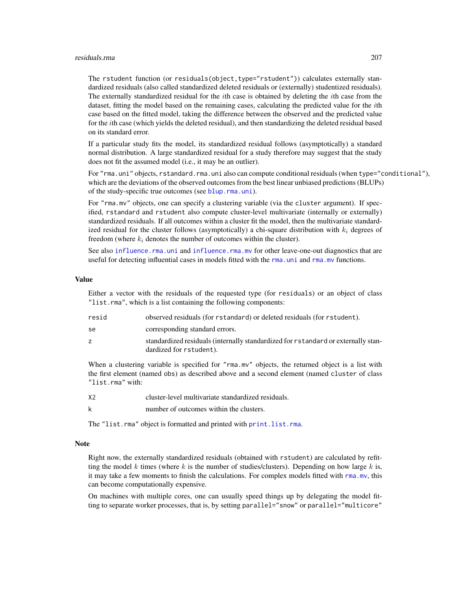#### residuals.rma 207

The rstudent function (or residuals(object,type="rstudent")) calculates externally standardized residuals (also called standardized deleted residuals or (externally) studentized residuals). The externally standardized residual for the ith case is obtained by deleting the ith case from the dataset, fitting the model based on the remaining cases, calculating the predicted value for the ith case based on the fitted model, taking the difference between the observed and the predicted value for the ith case (which yields the deleted residual), and then standardizing the deleted residual based on its standard error.

If a particular study fits the model, its standardized residual follows (asymptotically) a standard normal distribution. A large standardized residual for a study therefore may suggest that the study does not fit the assumed model (i.e., it may be an outlier).

For "rma.uni" objects, rstandard.rma.uni also can compute conditional residuals (when type="conditional"), which are the deviations of the observed outcomes from the best linear unbiased predictions (BLUPs) of the study-specific true outcomes (see [blup.rma.uni](#page-21-1)).

For "rma.mv" objects, one can specify a clustering variable (via the cluster argument). If specified, rstandard and rstudent also compute cluster-level multivariate (internally or externally) standardized residuals. If all outcomes within a cluster fit the model, then the multivariate standardized residual for the cluster follows (asymptotically) a chi-square distribution with  $k_i$  degrees of freedom (where  $k_i$  denotes the number of outcomes within the cluster).

See also [influence.rma.uni](#page-141-0) and [influence.rma.mv](#page-139-0) for other leave-one-out diagnostics that are useful for detecting influential cases in models fitted with the [rma.uni](#page-235-0) and [rma.mv](#page-220-0) functions.

#### Value

Either a vector with the residuals of the requested type (for residuals) or an object of class "list.rma", which is a list containing the following components:

| resid | observed residuals (for rstandard) or deleted residuals (for rstudent).                                      |
|-------|--------------------------------------------------------------------------------------------------------------|
| se    | corresponding standard errors.                                                                               |
|       | standardized residuals (internally standardized for rstandard or externally stan-<br>dardized for rstudent). |

When a clustering variable is specified for "rma.mv" objects, the returned object is a list with the first element (named obs) as described above and a second element (named cluster of class "list.rma" with:

- X2 cluster-level multivariate standardized residuals.
- k number of outcomes within the clusters.

The "list.rma" object is formatted and printed with [print.list.rma](#page-176-0).

### **Note**

Right now, the externally standardized residuals (obtained with rstudent) are calculated by refitting the model k times (where k is the number of studies/clusters). Depending on how large k is, it may take a few moments to finish the calculations. For complex models fitted with [rma.mv](#page-220-0), this can become computationally expensive.

On machines with multiple cores, one can usually speed things up by delegating the model fitting to separate worker processes, that is, by setting parallel="snow" or parallel="multicore"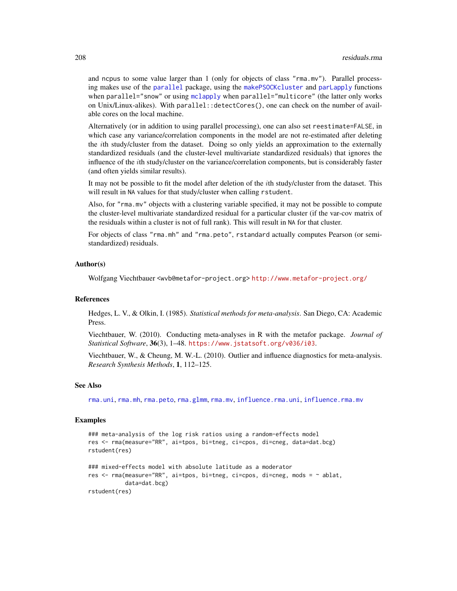and ncpus to some value larger than 1 (only for objects of class "rma.mv"). Parallel processing makes use of the [parallel](#page-0-0) package, using the [makePSOCKcluster](#page-0-0) and [parLapply](#page-0-0) functions when parallel="snow" or using [mclapply](#page-0-0) when parallel="multicore" (the latter only works on Unix/Linux-alikes). With parallel::detectCores(), one can check on the number of available cores on the local machine.

Alternatively (or in addition to using parallel processing), one can also set reestimate=FALSE, in which case any variance/correlation components in the model are not re-estimated after deleting the ith study/cluster from the dataset. Doing so only yields an approximation to the externally standardized residuals (and the cluster-level multivariate standardized residuals) that ignores the influence of the ith study/cluster on the variance/correlation components, but is considerably faster (and often yields similar results).

It may not be possible to fit the model after deletion of the ith study/cluster from the dataset. This will result in NA values for that study/cluster when calling rstudent.

Also, for "rma.mv" objects with a clustering variable specified, it may not be possible to compute the cluster-level multivariate standardized residual for a particular cluster (if the var-cov matrix of the residuals within a cluster is not of full rank). This will result in NA for that cluster.

For objects of class "rma.mh" and "rma.peto", rstandard actually computes Pearson (or semistandardized) residuals.

### Author(s)

Wolfgang Viechtbauer <wvb@metafor-project.org> <http://www.metafor-project.org/>

### References

Hedges, L. V., & Olkin, I. (1985). *Statistical methods for meta-analysis*. San Diego, CA: Academic Press.

Viechtbauer, W. (2010). Conducting meta-analyses in R with the metafor package. *Journal of Statistical Software*, 36(3), 1–48. <https://www.jstatsoft.org/v036/i03>.

Viechtbauer, W., & Cheung, M. W.-L. (2010). Outlier and influence diagnostics for meta-analysis. *Research Synthesis Methods*, 1, 112–125.

# See Also

[rma.uni](#page-235-0), [rma.mh](#page-216-0), [rma.peto](#page-232-0), [rma.glmm](#page-208-0), [rma.mv](#page-220-0), [influence.rma.uni](#page-141-0), [influence.rma.mv](#page-139-0)

#### Examples

```
### meta-analysis of the log risk ratios using a random-effects model
res <- rma(measure="RR", ai=tpos, bi=tneg, ci=cpos, di=cneg, data=dat.bcg)
rstudent(res)
### mixed-effects model with absolute latitude as a moderator
res <- rma(measure="RR", ai=tpos, bi=tneg, ci=cpos, di=cneg, mods = ~ ablat,
          data=dat.bcg)
rstudent(res)
```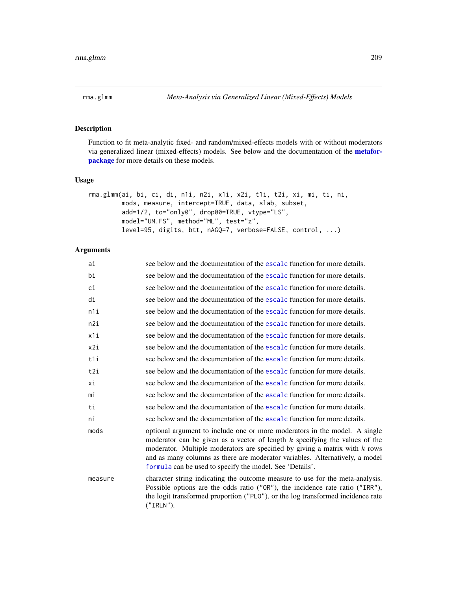<span id="page-208-0"></span>

# Description

Function to fit meta-analytic fixed- and random/mixed-effects models with or without moderators via generalized linear (mixed-effects) models. See below and the documentation of the [metafor](#page-3-0)[package](#page-3-0) for more details on these models.

### Usage

```
rma.glmm(ai, bi, ci, di, n1i, n2i, x1i, x2i, t1i, t2i, xi, mi, ti, ni,
        mods, measure, intercept=TRUE, data, slab, subset,
        add=1/2, to="only0", drop00=TRUE, vtype="LS",
        model="UM.FS", method="ML", test="z",
        level=95, digits, btt, nAGQ=7, verbose=FALSE, control, ...)
```
# Arguments

| ai      | see below and the documentation of the escalc function for more details.                                                                                                                                                                                                                                                                                                                 |
|---------|------------------------------------------------------------------------------------------------------------------------------------------------------------------------------------------------------------------------------------------------------------------------------------------------------------------------------------------------------------------------------------------|
| bi      | see below and the documentation of the escalc function for more details.                                                                                                                                                                                                                                                                                                                 |
| ci      | see below and the documentation of the escalc function for more details.                                                                                                                                                                                                                                                                                                                 |
| di      | see below and the documentation of the escale function for more details.                                                                                                                                                                                                                                                                                                                 |
| n1i     | see below and the documentation of the escalc function for more details.                                                                                                                                                                                                                                                                                                                 |
| n2i     | see below and the documentation of the escalc function for more details.                                                                                                                                                                                                                                                                                                                 |
| x1i     | see below and the documentation of the escalc function for more details.                                                                                                                                                                                                                                                                                                                 |
| x2i     | see below and the documentation of the escalc function for more details.                                                                                                                                                                                                                                                                                                                 |
| t1i     | see below and the documentation of the escale function for more details.                                                                                                                                                                                                                                                                                                                 |
| t2i     | see below and the documentation of the escalc function for more details.                                                                                                                                                                                                                                                                                                                 |
| хi      | see below and the documentation of the escale function for more details.                                                                                                                                                                                                                                                                                                                 |
| mi      | see below and the documentation of the escalc function for more details.                                                                                                                                                                                                                                                                                                                 |
| ti      | see below and the documentation of the escalc function for more details.                                                                                                                                                                                                                                                                                                                 |
| ni      | see below and the documentation of the escale function for more details.                                                                                                                                                                                                                                                                                                                 |
| mods    | optional argument to include one or more moderators in the model. A single<br>moderator can be given as a vector of length $k$ specifying the values of the<br>moderator. Multiple moderators are specified by giving a matrix with $k$ rows<br>and as many columns as there are moderator variables. Alternatively, a model<br>formula can be used to specify the model. See 'Details'. |
| measure | character string indicating the outcome measure to use for the meta-analysis.<br>Possible options are the odds ratio ("OR"), the incidence rate ratio ("IRR"),<br>the logit transformed proportion ("PLO"), or the log transformed incidence rate<br>(''IRLN'').                                                                                                                         |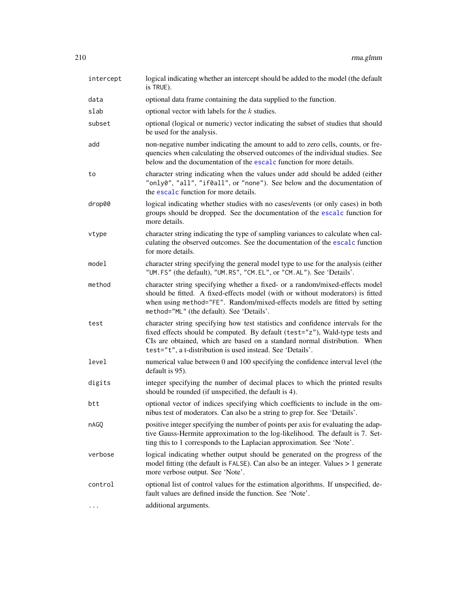| intercept | logical indicating whether an intercept should be added to the model (the default<br>is TRUE).                                                                                                                                                                                                              |
|-----------|-------------------------------------------------------------------------------------------------------------------------------------------------------------------------------------------------------------------------------------------------------------------------------------------------------------|
| data      | optional data frame containing the data supplied to the function.                                                                                                                                                                                                                                           |
| slab      | optional vector with labels for the $k$ studies.                                                                                                                                                                                                                                                            |
| subset    | optional (logical or numeric) vector indicating the subset of studies that should<br>be used for the analysis.                                                                                                                                                                                              |
| add       | non-negative number indicating the amount to add to zero cells, counts, or fre-<br>quencies when calculating the observed outcomes of the individual studies. See<br>below and the documentation of the escalc function for more details.                                                                   |
| to        | character string indicating when the values under add should be added (either<br>"only0", "all", "if0all", or "none"). See below and the documentation of<br>the escalc function for more details.                                                                                                          |
| drop00    | logical indicating whether studies with no cases/events (or only cases) in both<br>groups should be dropped. See the documentation of the escalc function for<br>more details.                                                                                                                              |
| vtype     | character string indicating the type of sampling variances to calculate when cal-<br>culating the observed outcomes. See the documentation of the escalc function<br>for more details.                                                                                                                      |
| model     | character string specifying the general model type to use for the analysis (either<br>"UM. FS" (the default), "UM. RS", "CM. EL", or "CM. AL"). See 'Details'.                                                                                                                                              |
| method    | character string specifying whether a fixed- or a random/mixed-effects model<br>should be fitted. A fixed-effects model (with or without moderators) is fitted<br>when using method="FE". Random/mixed-effects models are fitted by setting<br>method="ML" (the default). See 'Details'.                    |
| test      | character string specifying how test statistics and confidence intervals for the<br>fixed effects should be computed. By default (test="z"), Wald-type tests and<br>CIs are obtained, which are based on a standard normal distribution. When<br>test="t", a t-distribution is used instead. See 'Details'. |
| level     | numerical value between 0 and 100 specifying the confidence interval level (the<br>default is 95).                                                                                                                                                                                                          |
| digits    | integer specifying the number of decimal places to which the printed results<br>should be rounded (if unspecified, the default is 4).                                                                                                                                                                       |
| btt       | optional vector of indices specifying which coefficients to include in the om-<br>nibus test of moderators. Can also be a string to grep for. See 'Details'.                                                                                                                                                |
| nAGQ      | positive integer specifying the number of points per axis for evaluating the adap-<br>tive Gauss-Hermite approximation to the log-likelihood. The default is 7. Set-<br>ting this to 1 corresponds to the Laplacian approximation. See 'Note'.                                                              |
| verbose   | logical indicating whether output should be generated on the progress of the<br>model fitting (the default is FALSE). Can also be an integer. Values > 1 generate<br>more verbose output. See 'Note'.                                                                                                       |
| control   | optional list of control values for the estimation algorithms. If unspecified, de-<br>fault values are defined inside the function. See 'Note'.                                                                                                                                                             |
| $\cdots$  | additional arguments.                                                                                                                                                                                                                                                                                       |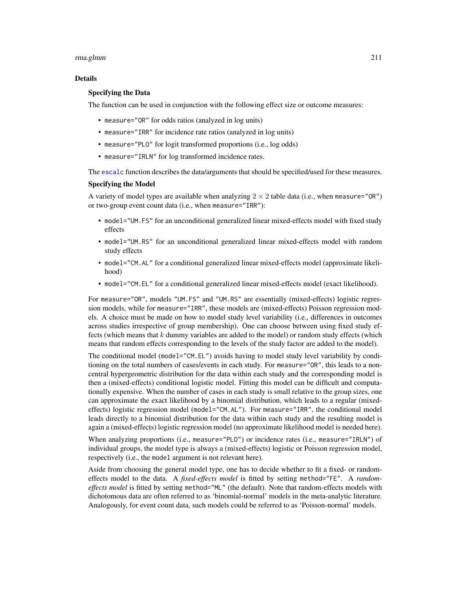#### rma.glmm 211

### Details

# Specifying the Data

The function can be used in conjunction with the following effect size or outcome measures:

- measure="OR" for odds ratios (analyzed in log units)
- measure="IRR" for incidence rate ratios (analyzed in log units)
- measure="PLO" for logit transformed proportions (i.e., log odds)
- measure="IRLN" for log transformed incidence rates.

The [escalc](#page-92-0) function describes the data/arguments that should be specified/used for these measures.

#### Specifying the Model

A variety of model types are available when analyzing  $2 \times 2$  table data (i.e., when measure="OR") or two-group event count data (i.e., when measure="IRR"):

- model="UM.FS" for an unconditional generalized linear mixed-effects model with fixed study effects
- model="UM.RS" for an unconditional generalized linear mixed-effects model with random study effects
- model="CM.AL" for a conditional generalized linear mixed-effects model (approximate likelihood)
- model="CM.EL" for a conditional generalized linear mixed-effects model (exact likelihood).

For measure="OR", models "UM.FS" and "UM.RS" are essentially (mixed-effects) logistic regression models, while for measure="IRR", these models are (mixed-effects) Poisson regression models. A choice must be made on how to model study level variability (i.e., differences in outcomes across studies irrespective of group membership). One can choose between using fixed study effects (which means that  $k$  dummy variables are added to the model) or random study effects (which means that random effects corresponding to the levels of the study factor are added to the model).

The conditional model (model="CM.EL") avoids having to model study level variability by conditioning on the total numbers of cases/events in each study. For measure="OR", this leads to a noncentral hypergeometric distribution for the data within each study and the corresponding model is then a (mixed-effects) conditional logistic model. Fitting this model can be difficult and computationally expensive. When the number of cases in each study is small relative to the group sizes, one can approximate the exact likelihood by a binomial distribution, which leads to a regular (mixedeffects) logistic regression model (model="CM.AL"). For measure="IRR", the conditional model leads directly to a binomial distribution for the data within each study and the resulting model is again a (mixed-effects) logistic regression model (no approximate likelihood model is needed here).

When analyzing proportions (i.e., measure="PLO") or incidence rates (i.e., measure="IRLN") of individual groups, the model type is always a (mixed-effects) logistic or Poisson regression model, respectively (i.e., the model argument is not relevant here).

Aside from choosing the general model type, one has to decide whether to fit a fixed- or randomeffects model to the data. A *fixed-effects model* is fitted by setting method="FE". A *randomeffects model* is fitted by setting method="ML" (the default). Note that random-effects models with dichotomous data are often referred to as 'binomial-normal' models in the meta-analytic literature. Analogously, for event count data, such models could be referred to as 'Poisson-normal' models.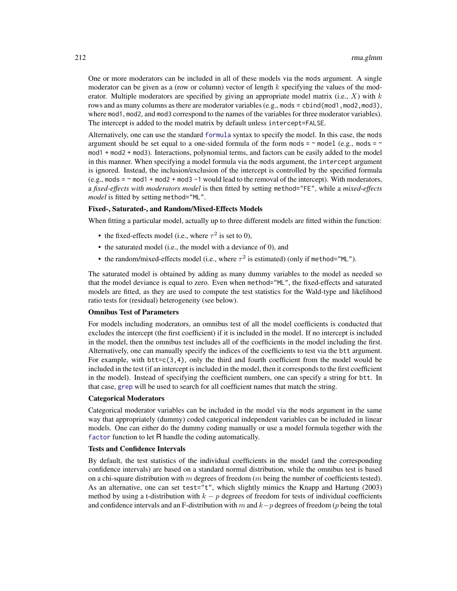One or more moderators can be included in all of these models via the mods argument. A single moderator can be given as a (row or column) vector of length  $k$  specifying the values of the moderator. Multiple moderators are specified by giving an appropriate model matrix (i.e.,  $X$ ) with  $k$ rows and as many columns as there are moderator variables (e.g., mods = cbind(mod1, mod2, mod3), where mod1, mod2, and mod3 correspond to the names of the variables for three moderator variables). The intercept is added to the model matrix by default unless intercept=FALSE.

Alternatively, one can use the standard [formula](#page-0-0) syntax to specify the model. In this case, the mods argument should be set equal to a one-sided formula of the form mods =  $\sim$  model (e.g., mods =  $\sim$ mod1 + mod2 + mod3). Interactions, polynomial terms, and factors can be easily added to the model in this manner. When specifying a model formula via the mods argument, the intercept argument is ignored. Instead, the inclusion/exclusion of the intercept is controlled by the specified formula  $(e.g., \text{mod } s = \text{mod } 1 + \text{mod } 2 + \text{mod } 3 - 1$  would lead to the removal of the intercept). With moderators, a *fixed-effects with moderators model* is then fitted by setting method="FE", while a *mixed-effects model* is fitted by setting method="ML".

# Fixed-, Saturated-, and Random/Mixed-Effects Models

When fitting a particular model, actually up to three different models are fitted within the function:

- the fixed-effects model (i.e., where  $\tau^2$  is set to 0),
- the saturated model (i.e., the model with a deviance of 0), and
- the random/mixed-effects model (i.e., where  $\tau^2$  is estimated) (only if method="ML").

The saturated model is obtained by adding as many dummy variables to the model as needed so that the model deviance is equal to zero. Even when method="ML", the fixed-effects and saturated models are fitted, as they are used to compute the test statistics for the Wald-type and likelihood ratio tests for (residual) heterogeneity (see below).

# Omnibus Test of Parameters

For models including moderators, an omnibus test of all the model coefficients is conducted that excludes the intercept (the first coefficient) if it is included in the model. If no intercept is included in the model, then the omnibus test includes all of the coefficients in the model including the first. Alternatively, one can manually specify the indices of the coefficients to test via the btt argument. For example, with  $btt = c(3,4)$ , only the third and fourth coefficient from the model would be included in the test (if an intercept is included in the model, then it corresponds to the first coefficient in the model). Instead of specifying the coefficient numbers, one can specify a string for btt. In that case, [grep](#page-0-0) will be used to search for all coefficient names that match the string.

# Categorical Moderators

Categorical moderator variables can be included in the model via the mods argument in the same way that appropriately (dummy) coded categorical independent variables can be included in linear models. One can either do the dummy coding manually or use a model formula together with the [factor](#page-0-0) function to let R handle the coding automatically.

## Tests and Confidence Intervals

By default, the test statistics of the individual coefficients in the model (and the corresponding confidence intervals) are based on a standard normal distribution, while the omnibus test is based on a chi-square distribution with m degrees of freedom (m being the number of coefficients tested). As an alternative, one can set test="t", which slightly mimics the Knapp and Hartung (2003) method by using a t-distribution with  $k - p$  degrees of freedom for tests of individual coefficients and confidence intervals and an F-distribution with m and  $k-p$  degrees of freedom (p being the total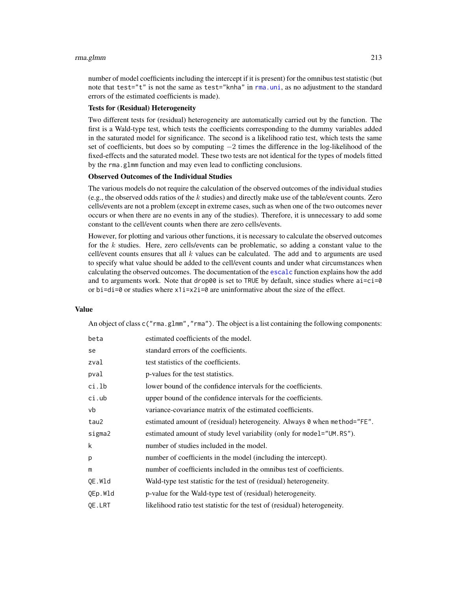#### rma.glmm 213

number of model coefficients including the intercept if it is present) for the omnibus test statistic (but note that test="t" is not the same as test="knha" in [rma.uni](#page-235-0), as no adjustment to the standard errors of the estimated coefficients is made).

### Tests for (Residual) Heterogeneity

Two different tests for (residual) heterogeneity are automatically carried out by the function. The first is a Wald-type test, which tests the coefficients corresponding to the dummy variables added in the saturated model for significance. The second is a likelihood ratio test, which tests the same set of coefficients, but does so by computing  $-2$  times the difference in the log-likelihood of the fixed-effects and the saturated model. These two tests are not identical for the types of models fitted by the rma.glmm function and may even lead to conflicting conclusions.

# Observed Outcomes of the Individual Studies

The various models do not require the calculation of the observed outcomes of the individual studies (e.g., the observed odds ratios of the  $k$  studies) and directly make use of the table/event counts. Zero cells/events are not a problem (except in extreme cases, such as when one of the two outcomes never occurs or when there are no events in any of the studies). Therefore, it is unnecessary to add some constant to the cell/event counts when there are zero cells/events.

However, for plotting and various other functions, it is necessary to calculate the observed outcomes for the  $k$  studies. Here, zero cells/events can be problematic, so adding a constant value to the cell/event counts ensures that all  $k$  values can be calculated. The add and to arguments are used to specify what value should be added to the cell/event counts and under what circumstances when calculating the observed outcomes. The documentation of the [escalc](#page-92-0) function explains how the add and to arguments work. Note that drop00 is set to TRUE by default, since studies where  $a\overline{i}=c\overline{i}=0$ or bi=di=0 or studies where  $x1i=x2i=0$  are uninformative about the size of the effect.

### Value

An object of class c("rma.glmm","rma"). The object is a list containing the following components:

| estimated coefficients of the model.                                      |
|---------------------------------------------------------------------------|
|                                                                           |
| standard errors of the coefficients.                                      |
| test statistics of the coefficients.                                      |
| p-values for the test statistics.                                         |
| lower bound of the confidence intervals for the coefficients.             |
| upper bound of the confidence intervals for the coefficients.             |
| variance-covariance matrix of the estimated coefficients.                 |
| estimated amount of (residual) heterogeneity. Always 0 when method="FE".  |
| estimated amount of study level variability (only for model="UM.RS").     |
| number of studies included in the model.                                  |
| number of coefficients in the model (including the intercept).            |
| number of coefficients included in the omnibus test of coefficients.      |
| Wald-type test statistic for the test of (residual) heterogeneity.        |
| p-value for the Wald-type test of (residual) heterogeneity.               |
| likelihood ratio test statistic for the test of (residual) heterogeneity. |
|                                                                           |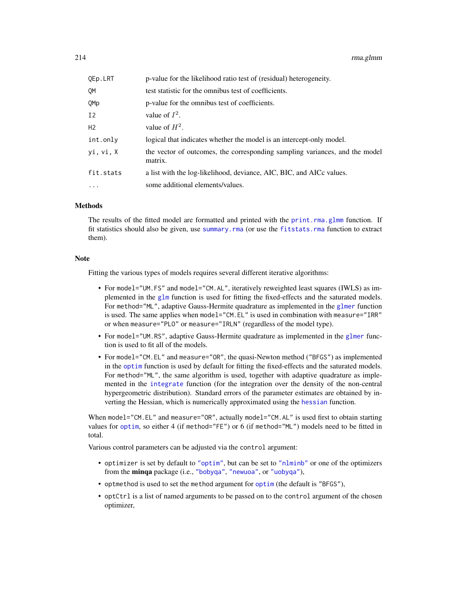| QEp.LRT        | p-value for the likelihood ratio test of (residual) heterogeneity.                     |
|----------------|----------------------------------------------------------------------------------------|
| OМ             | test statistic for the omnibus test of coefficients.                                   |
| QMp            | p-value for the omnibus test of coefficients.                                          |
| I <sub>2</sub> | value of $I^2$ .                                                                       |
| H <sub>2</sub> | value of $H^2$ .                                                                       |
| int.only       | logical that indicates whether the model is an intercept-only model.                   |
| yi, vi, X      | the vector of outcomes, the corresponding sampling variances, and the model<br>matrix. |
| fit.stats      | a list with the log-likelihood, deviance, AIC, BIC, and AICc values.                   |
| $\cdots$       | some additional elements/values.                                                       |
|                |                                                                                        |

# Methods

The results of the fitted model are formatted and printed with the [print.rma.glmm](#page-180-0) function. If fit statistics should also be given, use [summary.rma](#page-180-0) (or use the [fitstats.rma](#page-108-0) function to extract them).

# Note

Fitting the various types of models requires several different iterative algorithms:

- For model="UM.FS" and model="CM.AL", iteratively reweighted least squares (IWLS) as implemented in the  $g1m$  function is used for fitting the fixed-effects and the saturated models. For method="ML", adaptive Gauss-Hermite quadrature as implemented in the [glmer](#page-0-0) function is used. The same applies when model="CM.EL" is used in combination with measure="IRR" or when measure="PLO" or measure="IRLN" (regardless of the model type).
- For model="UM.RS", adaptive Gauss-Hermite quadrature as implemented in the [glmer](#page-0-0) function is used to fit all of the models.
- For model="CM.EL" and measure="OR", the quasi-Newton method ("BFGS") as implemented in the [optim](#page-0-0) function is used by default for fitting the fixed-effects and the saturated models. For method="ML", the same algorithm is used, together with adaptive quadrature as implemented in the [integrate](#page-0-0) function (for the integration over the density of the non-central hypergeometric distribution). Standard errors of the parameter estimates are obtained by inverting the Hessian, which is numerically approximated using the [hessian](#page-0-0) function.

When model="CM.EL" and measure="OR", actually model="CM.AL" is used first to obtain starting values for [optim](#page-0-0), so either 4 (if method="FE") or 6 (if method="ML") models need to be fitted in total.

Various control parameters can be adjusted via the control argument:

- optimizer is set by default to ["optim"](#page-0-0), but can be set to ["nlminb"](#page-0-0) or one of the optimizers from the minqa package (i.e., ["bobyqa"](#page-0-0), ["newuoa"](#page-0-0), or ["uobyqa"](#page-0-0)),
- optmethod is used to set the method argument for [optim](#page-0-0) (the default is "BFGS"),
- optCtrl is a list of named arguments to be passed on to the control argument of the chosen optimizer,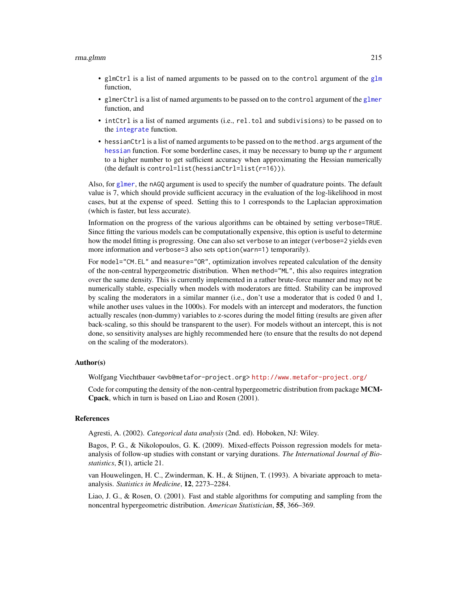#### rma.glmm 215

- glmCtrl is a list of named arguments to be passed on to the control argument of the [glm](#page-0-0) function,
- glmerCtrl is a list of named arguments to be passed on to the control argument of the [glmer](#page-0-0) function, and
- intCtrl is a list of named arguments (i.e., rel.tol and subdivisions) to be passed on to the [integrate](#page-0-0) function.
- hessianCtrl is a list of named arguments to be passed on to the method. args argument of the [hessian](#page-0-0) function. For some borderline cases, it may be necessary to bump up the r argument to a higher number to get sufficient accuracy when approximating the Hessian numerically (the default is control=list(hessianCtrl=list(r=16))).

Also, for [glmer](#page-0-0), the nAGQ argument is used to specify the number of quadrature points. The default value is 7, which should provide sufficient accuracy in the evaluation of the log-likelihood in most cases, but at the expense of speed. Setting this to 1 corresponds to the Laplacian approximation (which is faster, but less accurate).

Information on the progress of the various algorithms can be obtained by setting verbose=TRUE. Since fitting the various models can be computationally expensive, this option is useful to determine how the model fitting is progressing. One can also set verbose to an integer (verbose=2 yields even more information and verbose=3 also sets option(warn=1) temporarily).

For model="CM.EL" and measure="OR", optimization involves repeated calculation of the density of the non-central hypergeometric distribution. When method="ML", this also requires integration over the same density. This is currently implemented in a rather brute-force manner and may not be numerically stable, especially when models with moderators are fitted. Stability can be improved by scaling the moderators in a similar manner (i.e., don't use a moderator that is coded 0 and 1, while another uses values in the 1000s). For models with an intercept and moderators, the function actually rescales (non-dummy) variables to z-scores during the model fitting (results are given after back-scaling, so this should be transparent to the user). For models without an intercept, this is not done, so sensitivity analyses are highly recommended here (to ensure that the results do not depend on the scaling of the moderators).

### Author(s)

Wolfgang Viechtbauer <wvb@metafor-project.org> <http://www.metafor-project.org/>

Code for computing the density of the non-central hypergeometric distribution from package MCM-Cpack, which in turn is based on Liao and Rosen (2001).

#### References

Agresti, A. (2002). *Categorical data analysis* (2nd. ed). Hoboken, NJ: Wiley.

Bagos, P. G., & Nikolopoulos, G. K. (2009). Mixed-effects Poisson regression models for metaanalysis of follow-up studies with constant or varying durations. *The International Journal of Biostatistics*, 5(1), article 21.

van Houwelingen, H. C., Zwinderman, K. H., & Stijnen, T. (1993). A bivariate approach to metaanalysis. *Statistics in Medicine*, 12, 2273–2284.

Liao, J. G., & Rosen, O. (2001). Fast and stable algorithms for computing and sampling from the noncentral hypergeometric distribution. *American Statistician*, 55, 366–369.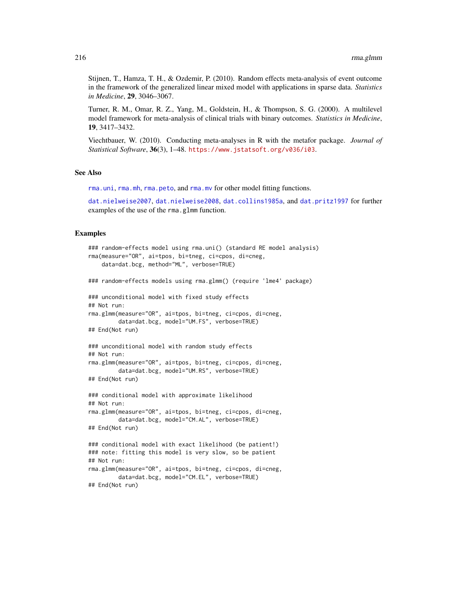Stijnen, T., Hamza, T. H., & Ozdemir, P. (2010). Random effects meta-analysis of event outcome in the framework of the generalized linear mixed model with applications in sparse data. *Statistics in Medicine*, 29, 3046–3067.

Turner, R. M., Omar, R. Z., Yang, M., Goldstein, H., & Thompson, S. G. (2000). A multilevel model framework for meta-analysis of clinical trials with binary outcomes. *Statistics in Medicine*, 19, 3417–3432.

Viechtbauer, W. (2010). Conducting meta-analyses in R with the metafor package. *Journal of Statistical Software*, 36(3), 1–48. <https://www.jstatsoft.org/v036/i03>.

### See Also

[rma.uni](#page-235-0), [rma.mh](#page-216-0), [rma.peto](#page-232-0), and [rma.mv](#page-220-0) for other model fitting functions.

[dat.nielweise2007](#page-76-0), [dat.nielweise2008](#page-77-0), [dat.collins1985a](#page-44-0), and [dat.pritz1997](#page-83-0) for further examples of the use of the rma.glmm function.

#### Examples

```
### random-effects model using rma.uni() (standard RE model analysis)
rma(measure="OR", ai=tpos, bi=tneg, ci=cpos, di=cneg,
   data=dat.bcg, method="ML", verbose=TRUE)
### random-effects models using rma.glmm() (require 'lme4' package)
### unconditional model with fixed study effects
## Not run:
rma.glmm(measure="OR", ai=tpos, bi=tneg, ci=cpos, di=cneg,
         data=dat.bcg, model="UM.FS", verbose=TRUE)
## End(Not run)
### unconditional model with random study effects
## Not run:
rma.glmm(measure="OR", ai=tpos, bi=tneg, ci=cpos, di=cneg,
         data=dat.bcg, model="UM.RS", verbose=TRUE)
## End(Not run)
### conditional model with approximate likelihood
## Not run:
rma.glmm(measure="OR", ai=tpos, bi=tneg, ci=cpos, di=cneg,
        data=dat.bcg, model="CM.AL", verbose=TRUE)
## End(Not run)
### conditional model with exact likelihood (be patient!)
### note: fitting this model is very slow, so be patient
## Not run:
rma.glmm(measure="OR", ai=tpos, bi=tneg, ci=cpos, di=cneg,
         data=dat.bcg, model="CM.EL", verbose=TRUE)
## End(Not run)
```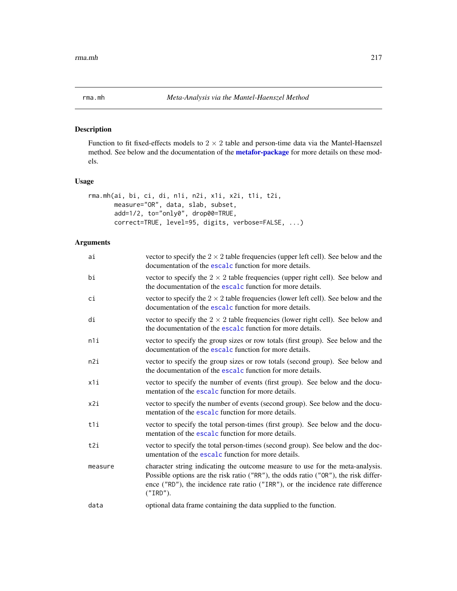<span id="page-216-0"></span>

# Description

Function to fit fixed-effects models to  $2 \times 2$  table and person-time data via the Mantel-Haenszel method. See below and the documentation of the **[metafor-package](#page-3-0)** for more details on these models.

# Usage

```
rma.mh(ai, bi, ci, di, n1i, n2i, x1i, x2i, t1i, t2i,
      measure="OR", data, slab, subset,
      add=1/2, to="only0", drop00=TRUE,
      correct=TRUE, level=95, digits, verbose=FALSE, ...)
```
# Arguments

| ai      | vector to specify the $2 \times 2$ table frequencies (upper left cell). See below and the<br>documentation of the escalc function for more details.                                                                                                                 |
|---------|---------------------------------------------------------------------------------------------------------------------------------------------------------------------------------------------------------------------------------------------------------------------|
| bi      | vector to specify the $2 \times 2$ table frequencies (upper right cell). See below and<br>the documentation of the escalc function for more details.                                                                                                                |
| сi      | vector to specify the $2 \times 2$ table frequencies (lower left cell). See below and the<br>documentation of the escalc function for more details.                                                                                                                 |
| di      | vector to specify the $2 \times 2$ table frequencies (lower right cell). See below and<br>the documentation of the escalc function for more details.                                                                                                                |
| n1i     | vector to specify the group sizes or row totals (first group). See below and the<br>documentation of the escalc function for more details.                                                                                                                          |
| n2i     | vector to specify the group sizes or row totals (second group). See below and<br>the documentation of the escalc function for more details.                                                                                                                         |
| x1i     | vector to specify the number of events (first group). See below and the docu-<br>mentation of the escalc function for more details.                                                                                                                                 |
| x2i     | vector to specify the number of events (second group). See below and the docu-<br>mentation of the escalc function for more details.                                                                                                                                |
| t1i     | vector to specify the total person-times (first group). See below and the docu-<br>mentation of the escalc function for more details.                                                                                                                               |
| t2i     | vector to specify the total person-times (second group). See below and the doc-<br>umentation of the escalc function for more details.                                                                                                                              |
| measure | character string indicating the outcome measure to use for the meta-analysis.<br>Possible options are the risk ratio ("RR"), the odds ratio ("OR"), the risk differ-<br>ence ("RD"), the incidence rate ratio ("IRR"), or the incidence rate difference<br>("IRD"). |
| data    | optional data frame containing the data supplied to the function.                                                                                                                                                                                                   |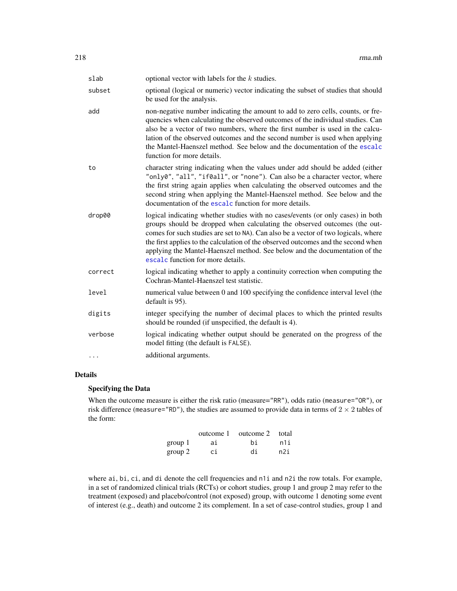| subset<br>optional (logical or numeric) vector indicating the subset of studies that should<br>be used for the analysis.<br>non-negative number indicating the amount to add to zero cells, counts, or fre-<br>add<br>quencies when calculating the observed outcomes of the individual studies. Can<br>also be a vector of two numbers, where the first number is used in the calcu-<br>lation of the observed outcomes and the second number is used when applying<br>the Mantel-Haenszel method. See below and the documentation of the escalc<br>function for more details.<br>character string indicating when the values under add should be added (either<br>to<br>"only0", "all", "if0all", or "none"). Can also be a character vector, where<br>the first string again applies when calculating the observed outcomes and the<br>second string when applying the Mantel-Haenszel method. See below and the<br>documentation of the escalc function for more details.<br>logical indicating whether studies with no cases/events (or only cases) in both<br>drop00<br>groups should be dropped when calculating the observed outcomes (the out-<br>comes for such studies are set to NA). Can also be a vector of two logicals, where<br>the first applies to the calculation of the observed outcomes and the second when<br>applying the Mantel-Haenszel method. See below and the documentation of the<br>escalc function for more details.<br>logical indicating whether to apply a continuity correction when computing the<br>correct<br>Cochran-Mantel-Haenszel test statistic.<br>level<br>numerical value between 0 and 100 specifying the confidence interval level (the<br>default is 95).<br>digits<br>integer specifying the number of decimal places to which the printed results<br>should be rounded (if unspecified, the default is 4).<br>logical indicating whether output should be generated on the progress of the<br>verbose<br>model fitting (the default is FALSE).<br>additional arguments. | slab | optional vector with labels for the $k$ studies. |
|-------------------------------------------------------------------------------------------------------------------------------------------------------------------------------------------------------------------------------------------------------------------------------------------------------------------------------------------------------------------------------------------------------------------------------------------------------------------------------------------------------------------------------------------------------------------------------------------------------------------------------------------------------------------------------------------------------------------------------------------------------------------------------------------------------------------------------------------------------------------------------------------------------------------------------------------------------------------------------------------------------------------------------------------------------------------------------------------------------------------------------------------------------------------------------------------------------------------------------------------------------------------------------------------------------------------------------------------------------------------------------------------------------------------------------------------------------------------------------------------------------------------------------------------------------------------------------------------------------------------------------------------------------------------------------------------------------------------------------------------------------------------------------------------------------------------------------------------------------------------------------------------------------------------------------------------------------------------------------------------------------------------------------|------|--------------------------------------------------|
|                                                                                                                                                                                                                                                                                                                                                                                                                                                                                                                                                                                                                                                                                                                                                                                                                                                                                                                                                                                                                                                                                                                                                                                                                                                                                                                                                                                                                                                                                                                                                                                                                                                                                                                                                                                                                                                                                                                                                                                                                               |      |                                                  |
|                                                                                                                                                                                                                                                                                                                                                                                                                                                                                                                                                                                                                                                                                                                                                                                                                                                                                                                                                                                                                                                                                                                                                                                                                                                                                                                                                                                                                                                                                                                                                                                                                                                                                                                                                                                                                                                                                                                                                                                                                               |      |                                                  |
|                                                                                                                                                                                                                                                                                                                                                                                                                                                                                                                                                                                                                                                                                                                                                                                                                                                                                                                                                                                                                                                                                                                                                                                                                                                                                                                                                                                                                                                                                                                                                                                                                                                                                                                                                                                                                                                                                                                                                                                                                               |      |                                                  |
|                                                                                                                                                                                                                                                                                                                                                                                                                                                                                                                                                                                                                                                                                                                                                                                                                                                                                                                                                                                                                                                                                                                                                                                                                                                                                                                                                                                                                                                                                                                                                                                                                                                                                                                                                                                                                                                                                                                                                                                                                               |      |                                                  |
|                                                                                                                                                                                                                                                                                                                                                                                                                                                                                                                                                                                                                                                                                                                                                                                                                                                                                                                                                                                                                                                                                                                                                                                                                                                                                                                                                                                                                                                                                                                                                                                                                                                                                                                                                                                                                                                                                                                                                                                                                               |      |                                                  |
|                                                                                                                                                                                                                                                                                                                                                                                                                                                                                                                                                                                                                                                                                                                                                                                                                                                                                                                                                                                                                                                                                                                                                                                                                                                                                                                                                                                                                                                                                                                                                                                                                                                                                                                                                                                                                                                                                                                                                                                                                               |      |                                                  |
|                                                                                                                                                                                                                                                                                                                                                                                                                                                                                                                                                                                                                                                                                                                                                                                                                                                                                                                                                                                                                                                                                                                                                                                                                                                                                                                                                                                                                                                                                                                                                                                                                                                                                                                                                                                                                                                                                                                                                                                                                               |      |                                                  |
|                                                                                                                                                                                                                                                                                                                                                                                                                                                                                                                                                                                                                                                                                                                                                                                                                                                                                                                                                                                                                                                                                                                                                                                                                                                                                                                                                                                                                                                                                                                                                                                                                                                                                                                                                                                                                                                                                                                                                                                                                               |      |                                                  |
|                                                                                                                                                                                                                                                                                                                                                                                                                                                                                                                                                                                                                                                                                                                                                                                                                                                                                                                                                                                                                                                                                                                                                                                                                                                                                                                                                                                                                                                                                                                                                                                                                                                                                                                                                                                                                                                                                                                                                                                                                               |      |                                                  |

# Details

# Specifying the Data

When the outcome measure is either the risk ratio (measure="RR"), odds ratio (measure="OR"), or risk difference (measure="RD"), the studies are assumed to provide data in terms of  $2 \times 2$  tables of the form:

|         | outcome 1 | outcome 2 total |     |
|---------|-----------|-----------------|-----|
| group 1 | ai        | hi              | n1i |
| group 2 | сi        | di              | n2i |

where ai, bi, ci, and di denote the cell frequencies and n1i and n2i the row totals. For example, in a set of randomized clinical trials (RCTs) or cohort studies, group 1 and group 2 may refer to the treatment (exposed) and placebo/control (not exposed) group, with outcome 1 denoting some event of interest (e.g., death) and outcome 2 its complement. In a set of case-control studies, group 1 and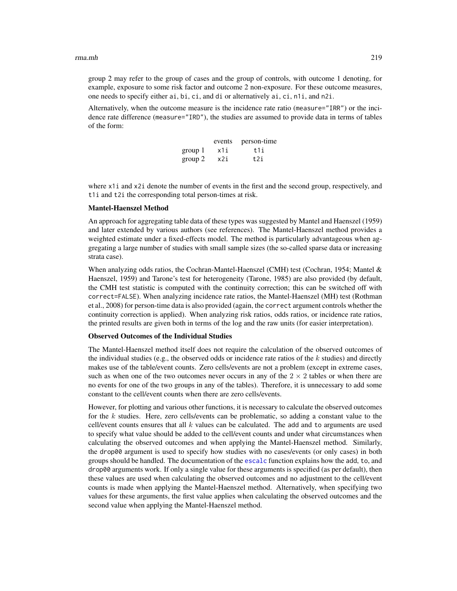group 2 may refer to the group of cases and the group of controls, with outcome 1 denoting, for example, exposure to some risk factor and outcome 2 non-exposure. For these outcome measures, one needs to specify either ai, bi, ci, and di or alternatively ai, ci, n1i, and n2i.

Alternatively, when the outcome measure is the incidence rate ratio (measure="IRR") or the incidence rate difference (measure="IRD"), the studies are assumed to provide data in terms of tables of the form:

|         | events | person-time |
|---------|--------|-------------|
| group 1 | x1i    | t1i         |
| group 2 | x2i    | t2i         |

where x1i and x2i denote the number of events in the first and the second group, respectively, and t1i and t2i the corresponding total person-times at risk.

## Mantel-Haenszel Method

An approach for aggregating table data of these types was suggested by Mantel and Haenszel (1959) and later extended by various authors (see references). The Mantel-Haenszel method provides a weighted estimate under a fixed-effects model. The method is particularly advantageous when aggregating a large number of studies with small sample sizes (the so-called sparse data or increasing strata case).

When analyzing odds ratios, the Cochran-Mantel-Haenszel (CMH) test (Cochran, 1954; Mantel  $\&$ Haenszel, 1959) and Tarone's test for heterogeneity (Tarone, 1985) are also provided (by default, the CMH test statistic is computed with the continuity correction; this can be switched off with correct=FALSE). When analyzing incidence rate ratios, the Mantel-Haenszel (MH) test (Rothman et al., 2008) for person-time data is also provided (again, the correct argument controls whether the continuity correction is applied). When analyzing risk ratios, odds ratios, or incidence rate ratios, the printed results are given both in terms of the log and the raw units (for easier interpretation).

### Observed Outcomes of the Individual Studies

The Mantel-Haenszel method itself does not require the calculation of the observed outcomes of the individual studies (e.g., the observed odds or incidence rate ratios of the  $k$  studies) and directly makes use of the table/event counts. Zero cells/events are not a problem (except in extreme cases, such as when one of the two outcomes never occurs in any of the  $2 \times 2$  tables or when there are no events for one of the two groups in any of the tables). Therefore, it is unnecessary to add some constant to the cell/event counts when there are zero cells/events.

However, for plotting and various other functions, it is necessary to calculate the observed outcomes for the k studies. Here, zero cells/events can be problematic, so adding a constant value to the cell/event counts ensures that all  $k$  values can be calculated. The add and to arguments are used to specify what value should be added to the cell/event counts and under what circumstances when calculating the observed outcomes and when applying the Mantel-Haenszel method. Similarly, the drop00 argument is used to specify how studies with no cases/events (or only cases) in both groups should be handled. The documentation of the [escalc](#page-92-0) function explains how the add, to, and drop00 arguments work. If only a single value for these arguments is specified (as per default), then these values are used when calculating the observed outcomes and no adjustment to the cell/event counts is made when applying the Mantel-Haenszel method. Alternatively, when specifying two values for these arguments, the first value applies when calculating the observed outcomes and the second value when applying the Mantel-Haenszel method.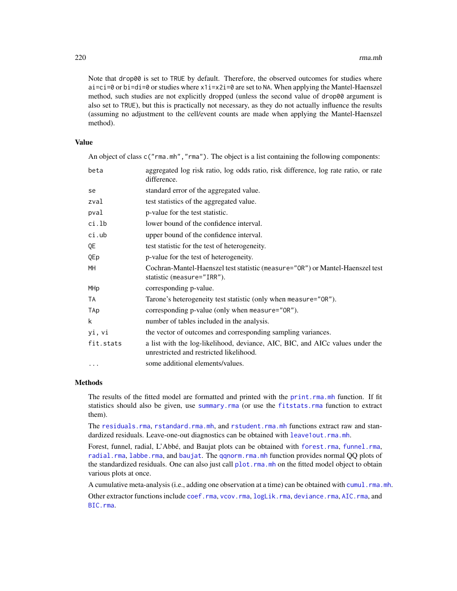Note that drop00 is set to TRUE by default. Therefore, the observed outcomes for studies where ai=ci=0 or bi=di=0 or studies where x1i=x2i=0 are set to NA. When applying the Mantel-Haenszel method, such studies are not explicitly dropped (unless the second value of drop00 argument is also set to TRUE), but this is practically not necessary, as they do not actually influence the results (assuming no adjustment to the cell/event counts are made when applying the Mantel-Haenszel method).

# Value

An object of class  $c("rma.mh", "rma")$ . The object is a list containing the following components:

| beta      | aggregated log risk ratio, log odds ratio, risk difference, log rate ratio, or rate<br>difference.                       |
|-----------|--------------------------------------------------------------------------------------------------------------------------|
| se        | standard error of the aggregated value.                                                                                  |
| zval      | test statistics of the aggregated value.                                                                                 |
| pval      | p-value for the test statistic.                                                                                          |
| ci.lb     | lower bound of the confidence interval.                                                                                  |
| ci.ub     | upper bound of the confidence interval.                                                                                  |
| QE        | test statistic for the test of heterogeneity.                                                                            |
| QEp       | p-value for the test of heterogeneity.                                                                                   |
| MH        | Cochran-Mantel-Haenszel test statistic (measure="0R") or Mantel-Haenszel test<br>statistic (measure="IRR").              |
| MHp       | corresponding p-value.                                                                                                   |
| TA        | Tarone's heterogeneity test statistic (only when measure="OR").                                                          |
| TAp       | corresponding p-value (only when measure="OR").                                                                          |
| k         | number of tables included in the analysis.                                                                               |
| yi, vi    | the vector of outcomes and corresponding sampling variances.                                                             |
| fit.stats | a list with the log-likelihood, deviance, AIC, BIC, and AICc values under the<br>unrestricted and restricted likelihood. |
| $\ddotsc$ | some additional elements/values.                                                                                         |

# Methods

The results of the fitted model are formatted and printed with the [print.rma.mh](#page-180-0) function. If fit statistics should also be given, use [summary.rma](#page-180-0) (or use the [fitstats.rma](#page-108-0) function to extract them).

The [residuals.rma](#page-204-0), [rstandard.rma.mh](#page-204-1), and [rstudent.rma.mh](#page-204-1) functions extract raw and standardized residuals. Leave-one-out diagnostics can be obtained with [leave1out.rma.mh](#page-147-0).

Forest, funnel, radial, L'Abbé, and Baujat plots can be obtained with [forest.rma](#page-119-0), [funnel.rma](#page-129-0), [radial.rma](#page-191-0), [labbe.rma](#page-144-0), and [baujat](#page-18-0). The [qqnorm.rma.mh](#page-188-0) function provides normal QQ plots of the standardized residuals. One can also just call plot. rma.mh on the fitted model object to obtain various plots at once.

A cumulative meta-analysis (i.e., adding one observation at a time) can be obtained with [cumul.rma.mh](#page-32-0). Other extractor functions include [coef.rma](#page-24-0), [vcov.rma](#page-264-0), [logLik.rma](#page-108-0), [deviance.rma](#page-108-0), [AIC.rma](#page-108-0), and [BIC.rma](#page-108-0).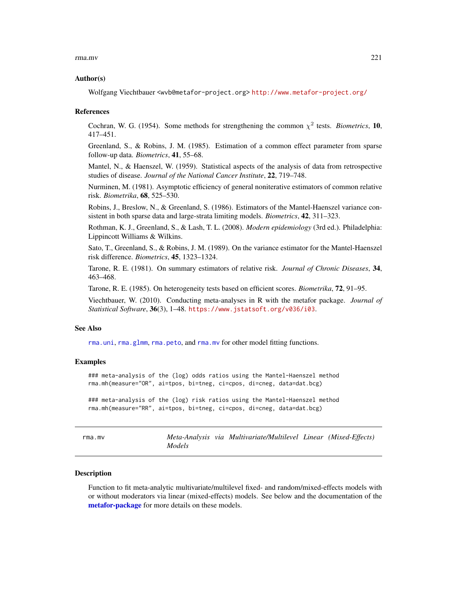#### rma.mv 221

#### Author(s)

Wolfgang Viechtbauer <wvb@metafor-project.org> <http://www.metafor-project.org/>

#### References

Cochran, W. G. (1954). Some methods for strengthening the common  $\chi^2$  tests. *Biometrics*, 10, 417–451.

Greenland, S., & Robins, J. M. (1985). Estimation of a common effect parameter from sparse follow-up data. *Biometrics*, 41, 55–68.

Mantel, N., & Haenszel, W. (1959). Statistical aspects of the analysis of data from retrospective studies of disease. *Journal of the National Cancer Institute*, 22, 719–748.

Nurminen, M. (1981). Asymptotic efficiency of general noniterative estimators of common relative risk. *Biometrika*, 68, 525–530.

Robins, J., Breslow, N., & Greenland, S. (1986). Estimators of the Mantel-Haenszel variance consistent in both sparse data and large-strata limiting models. *Biometrics*, 42, 311–323.

Rothman, K. J., Greenland, S., & Lash, T. L. (2008). *Modern epidemiology* (3rd ed.). Philadelphia: Lippincott Williams & Wilkins.

Sato, T., Greenland, S., & Robins, J. M. (1989). On the variance estimator for the Mantel-Haenszel risk difference. *Biometrics*, 45, 1323–1324.

Tarone, R. E. (1981). On summary estimators of relative risk. *Journal of Chronic Diseases*, 34, 463–468.

Tarone, R. E. (1985). On heterogeneity tests based on efficient scores. *Biometrika*, 72, 91–95.

Viechtbauer, W. (2010). Conducting meta-analyses in R with the metafor package. *Journal of Statistical Software*, 36(3), 1–48. <https://www.jstatsoft.org/v036/i03>.

# See Also

[rma.uni](#page-235-0), [rma.glmm](#page-208-0), [rma.peto](#page-232-0), and [rma.mv](#page-220-0) for other model fitting functions.

#### Examples

### meta-analysis of the (log) odds ratios using the Mantel-Haenszel method rma.mh(measure="OR", ai=tpos, bi=tneg, ci=cpos, di=cneg, data=dat.bcg)

### meta-analysis of the (log) risk ratios using the Mantel-Haenszel method rma.mh(measure="RR", ai=tpos, bi=tneg, ci=cpos, di=cneg, data=dat.bcg)

<span id="page-220-0"></span>rma.mv *Meta-Analysis via Multivariate/Multilevel Linear (Mixed-Effects) Models*

#### **Description**

Function to fit meta-analytic multivariate/multilevel fixed- and random/mixed-effects models with or without moderators via linear (mixed-effects) models. See below and the documentation of the [metafor-package](#page-3-0) for more details on these models.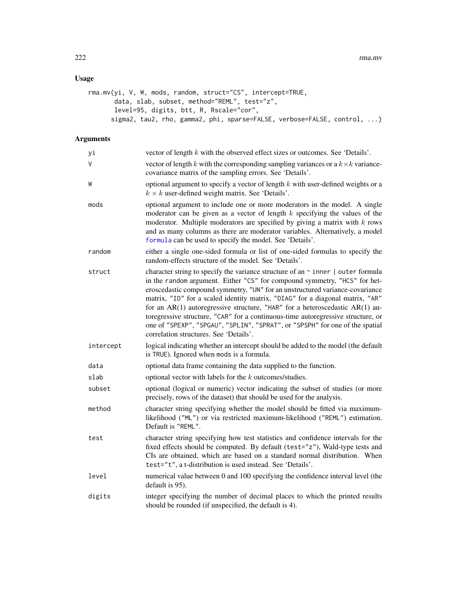# Usage

```
rma.mv(yi, V, W, mods, random, struct="CS", intercept=TRUE,
      data, slab, subset, method="REML", test="z",
      level=95, digits, btt, R, Rscale="cor",
      sigma2, tau2, rho, gamma2, phi, sparse=FALSE, verbose=FALSE, control, ...)
```
# Arguments

| уi        | vector of length $k$ with the observed effect sizes or outcomes. See 'Details'.                                                                                                                                                                                                                                                                                                                                                                                                                                                                                                                                                   |
|-----------|-----------------------------------------------------------------------------------------------------------------------------------------------------------------------------------------------------------------------------------------------------------------------------------------------------------------------------------------------------------------------------------------------------------------------------------------------------------------------------------------------------------------------------------------------------------------------------------------------------------------------------------|
| V         | vector of length k with the corresponding sampling variances or a $k \times k$ variance-<br>covariance matrix of the sampling errors. See 'Details'.                                                                                                                                                                                                                                                                                                                                                                                                                                                                              |
| W         | optional argument to specify a vector of length $k$ with user-defined weights or a<br>$k \times k$ user-defined weight matrix. See 'Details'.                                                                                                                                                                                                                                                                                                                                                                                                                                                                                     |
| mods      | optional argument to include one or more moderators in the model. A single<br>moderator can be given as a vector of length $k$ specifying the values of the<br>moderator. Multiple moderators are specified by giving a matrix with $k$ rows<br>and as many columns as there are moderator variables. Alternatively, a model<br>formula can be used to specify the model. See 'Details'.                                                                                                                                                                                                                                          |
| random    | either a single one-sided formula or list of one-sided formulas to specify the<br>random-effects structure of the model. See 'Details'.                                                                                                                                                                                                                                                                                                                                                                                                                                                                                           |
| struct    | character string to specify the variance structure of an $\sim$ inner   outer formula<br>in the random argument. Either "CS" for compound symmetry, "HCS" for het-<br>eroscedastic compound symmetry, "UN" for an unstructured variance-covariance<br>matrix, "ID" for a scaled identity matrix, "DIAG" for a diagonal matrix, "AR"<br>for an AR(1) autoregressive structure, "HAR" for a heteroscedastic AR(1) au-<br>toregressive structure, "CAR" for a continuous-time autoregressive structure, or<br>one of "SPEXP", "SPGAU", "SPLIN", "SPRAT", or "SPSPH" for one of the spatial<br>correlation structures. See 'Details'. |
| intercept | logical indicating whether an intercept should be added to the model (the default<br>is TRUE). Ignored when mods is a formula.                                                                                                                                                                                                                                                                                                                                                                                                                                                                                                    |
| data      | optional data frame containing the data supplied to the function.                                                                                                                                                                                                                                                                                                                                                                                                                                                                                                                                                                 |
| slab      | optional vector with labels for the $k$ outcomes/studies.                                                                                                                                                                                                                                                                                                                                                                                                                                                                                                                                                                         |
| subset    | optional (logical or numeric) vector indicating the subset of studies (or more<br>precisely, rows of the dataset) that should be used for the analysis.                                                                                                                                                                                                                                                                                                                                                                                                                                                                           |
| method    | character string specifying whether the model should be fitted via maximum-<br>likelihood ("ML") or via restricted maximum-likelihood ("REML") estimation.<br>Default is "REML".                                                                                                                                                                                                                                                                                                                                                                                                                                                  |
| test      | character string specifying how test statistics and confidence intervals for the<br>fixed effects should be computed. By default (test="z"), Wald-type tests and<br>CIs are obtained, which are based on a standard normal distribution. When<br>test="t", a t-distribution is used instead. See 'Details'.                                                                                                                                                                                                                                                                                                                       |
| level     | numerical value between 0 and 100 specifying the confidence interval level (the<br>default is 95).                                                                                                                                                                                                                                                                                                                                                                                                                                                                                                                                |
| digits    | integer specifying the number of decimal places to which the printed results<br>should be rounded (if unspecified, the default is 4).                                                                                                                                                                                                                                                                                                                                                                                                                                                                                             |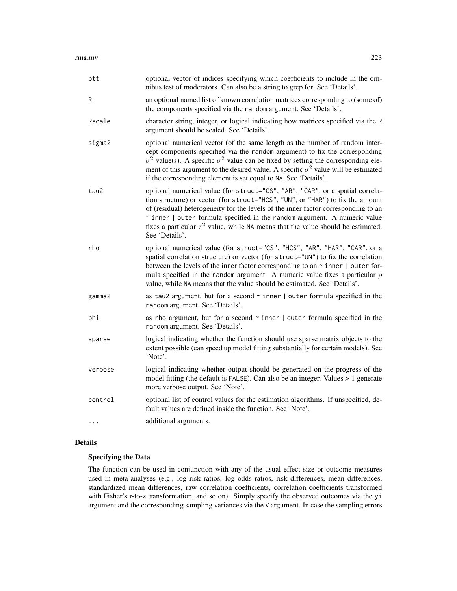| btt      | optional vector of indices specifying which coefficients to include in the om-<br>nibus test of moderators. Can also be a string to grep for. See 'Details'.                                                                                                                                                                                                                                                                                       |
|----------|----------------------------------------------------------------------------------------------------------------------------------------------------------------------------------------------------------------------------------------------------------------------------------------------------------------------------------------------------------------------------------------------------------------------------------------------------|
| R        | an optional named list of known correlation matrices corresponding to (some of)<br>the components specified via the random argument. See 'Details'.                                                                                                                                                                                                                                                                                                |
| Rscale   | character string, integer, or logical indicating how matrices specified via the R<br>argument should be scaled. See 'Details'.                                                                                                                                                                                                                                                                                                                     |
| sigma2   | optional numerical vector (of the same length as the number of random inter-<br>cept components specified via the random argument) to fix the corresponding<br>$\sigma^2$ value(s). A specific $\sigma^2$ value can be fixed by setting the corresponding ele-<br>ment of this argument to the desired value. A specific $\sigma^2$ value will be estimated<br>if the corresponding element is set equal to NA. See 'Details'.                     |
| tau2     | optional numerical value (for struct="CS", "AR", "CAR", or a spatial correla-<br>tion structure) or vector (for struct="HCS", "UN", or "HAR") to fix the amount<br>of (residual) heterogeneity for the levels of the inner factor corresponding to an<br>$\sim$ inner   outer formula specified in the random argument. A numeric value<br>fixes a particular $\tau^2$ value, while NA means that the value should be estimated.<br>See 'Details'. |
| rho      | optional numerical value (for struct="CS", "HCS", "AR", "HAR", "CAR", or a<br>spatial correlation structure) or vector (for struct="UN") to fix the correlation<br>between the levels of the inner factor corresponding to an ~ inner   outer for-<br>mula specified in the random argument. A numeric value fixes a particular $\rho$<br>value, while NA means that the value should be estimated. See 'Details'.                                 |
| gamma2   | as tau2 argument, but for a second $\sim$ inner   outer formula specified in the<br>random argument. See 'Details'.                                                                                                                                                                                                                                                                                                                                |
| phi      | as rho argument, but for a second $\sim$ inner   outer formula specified in the<br>random argument. See 'Details'.                                                                                                                                                                                                                                                                                                                                 |
| sparse   | logical indicating whether the function should use sparse matrix objects to the<br>extent possible (can speed up model fitting substantially for certain models). See<br>'Note'.                                                                                                                                                                                                                                                                   |
| verbose  | logical indicating whether output should be generated on the progress of the<br>model fitting (the default is FALSE). Can also be an integer. Values > 1 generate<br>more verbose output. See 'Note'.                                                                                                                                                                                                                                              |
| control  | optional list of control values for the estimation algorithms. If unspecified, de-<br>fault values are defined inside the function. See 'Note'.                                                                                                                                                                                                                                                                                                    |
| $\cdots$ | additional arguments.                                                                                                                                                                                                                                                                                                                                                                                                                              |

# Details

# Specifying the Data

The function can be used in conjunction with any of the usual effect size or outcome measures used in meta-analyses (e.g., log risk ratios, log odds ratios, risk differences, mean differences, standardized mean differences, raw correlation coefficients, correlation coefficients transformed with Fisher's r-to-z transformation, and so on). Simply specify the observed outcomes via the yi argument and the corresponding sampling variances via the V argument. In case the sampling errors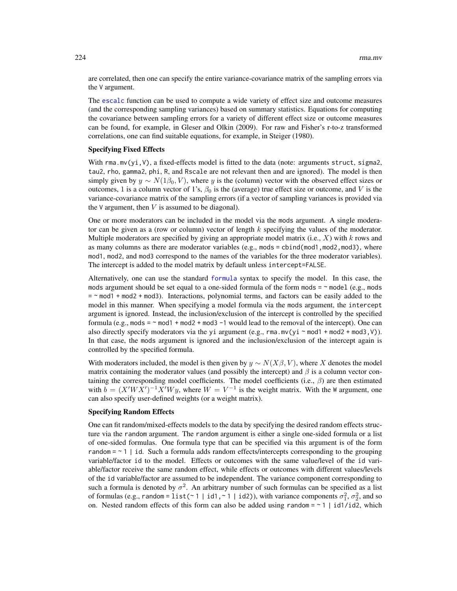are correlated, then one can specify the entire variance-covariance matrix of the sampling errors via the V argument.

The [escalc](#page-92-0) function can be used to compute a wide variety of effect size and outcome measures (and the corresponding sampling variances) based on summary statistics. Equations for computing the covariance between sampling errors for a variety of different effect size or outcome measures can be found, for example, in Gleser and Olkin (2009). For raw and Fisher's r-to-z transformed correlations, one can find suitable equations, for example, in Steiger (1980).

## Specifying Fixed Effects

With  $\text{rma.mv}(yi,V)$ , a fixed-effects model is fitted to the data (note: arguments struct, sigma2, tau2, rho, gamma2, phi, R, and Rscale are not relevant then and are ignored). The model is then simply given by  $y \sim N(1\beta_0, V)$ , where y is the (column) vector with the observed effect sizes or outcomes, 1 is a column vector of 1's,  $\beta_0$  is the (average) true effect size or outcome, and V is the variance-covariance matrix of the sampling errors (if a vector of sampling variances is provided via the  $V$  argument, then  $V$  is assumed to be diagonal).

One or more moderators can be included in the model via the mods argument. A single moderator can be given as a (row or column) vector of length  $k$  specifying the values of the moderator. Multiple moderators are specified by giving an appropriate model matrix (i.e.,  $X$ ) with  $k$  rows and as many columns as there are moderator variables (e.g., mods = cbind(mod1,mod2,mod3), where mod1, mod2, and mod3 correspond to the names of the variables for the three moderator variables). The intercept is added to the model matrix by default unless intercept=FALSE.

Alternatively, one can use the standard [formula](#page-0-0) syntax to specify the model. In this case, the mods argument should be set equal to a one-sided formula of the form mods  $= \infty$  model (e.g., mods  $=$   $\sim$  mod1 + mod2 + mod3). Interactions, polynomial terms, and factors can be easily added to the model in this manner. When specifying a model formula via the mods argument, the intercept argument is ignored. Instead, the inclusion/exclusion of the intercept is controlled by the specified formula (e.g., mods =  $\sim$  mod1 + mod2 + mod3 -1 would lead to the removal of the intercept). One can also directly specify moderators via the yi argument (e.g., rma.mv(yi  $\sim$  mod1 + mod2 + mod3, V)). In that case, the mods argument is ignored and the inclusion/exclusion of the intercept again is controlled by the specified formula.

With moderators included, the model is then given by  $y \sim N(X\beta, V)$ , where X denotes the model matrix containing the moderator values (and possibly the intercept) and  $\beta$  is a column vector containing the corresponding model coefficients. The model coefficients (i.e.,  $\beta$ ) are then estimated with  $b = (X'WX')^{-1}X'Wy$ , where  $W = V^{-1}$  is the weight matrix. With the W argument, one can also specify user-defined weights (or a weight matrix).

#### Specifying Random Effects

One can fit random/mixed-effects models to the data by specifying the desired random effects structure via the random argument. The random argument is either a single one-sided formula or a list of one-sided formulas. One formula type that can be specified via this argument is of the form random  $= \sim 1$  | id. Such a formula adds random effects/intercepts corresponding to the grouping variable/factor id to the model. Effects or outcomes with the same value/level of the id variable/factor receive the same random effect, while effects or outcomes with different values/levels of the id variable/factor are assumed to be independent. The variance component corresponding to such a formula is denoted by  $\sigma^2$ . An arbitrary number of such formulas can be specified as a list of formulas (e.g., random = list(~ 1 | id1,~1 | id2)), with variance components  $\sigma_1^2$ ,  $\sigma_2^2$ , and so on. Nested random effects of this form can also be added using random =  $\sim 1$  | id1/id2, which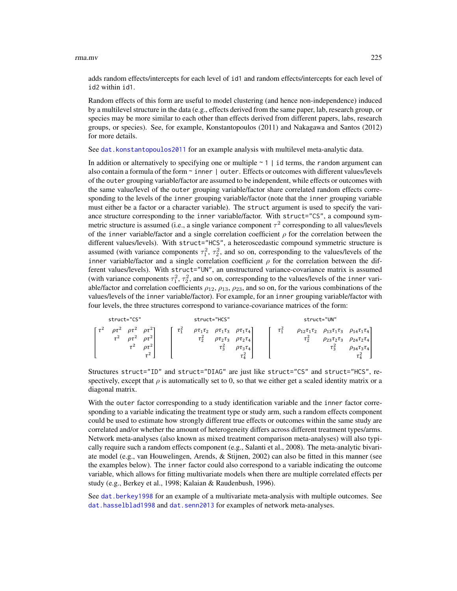#### rma.mv 225

adds random effects/intercepts for each level of id1 and random effects/intercepts for each level of id2 within id1.

Random effects of this form are useful to model clustering (and hence non-independence) induced by a multilevel structure in the data (e.g., effects derived from the same paper, lab, research group, or species may be more similar to each other than effects derived from different papers, labs, research groups, or species). See, for example, Konstantopoulos (2011) and Nakagawa and Santos (2012) for more details.

See [dat.konstantopoulos2011](#page-66-0) for an example analysis with multilevel meta-analytic data.

In addition or alternatively to specifying one or multiple  $\sim$  1 | id terms, the random argument can also contain a formula of the form ~ inner | outer. Effects or outcomes with different values/levels of the outer grouping variable/factor are assumed to be independent, while effects or outcomes with the same value/level of the outer grouping variable/factor share correlated random effects corresponding to the levels of the inner grouping variable/factor (note that the inner grouping variable must either be a factor or a character variable). The struct argument is used to specify the variance structure corresponding to the inner variable/factor. With struct="CS", a compound symmetric structure is assumed (i.e., a single variance component  $\tau^2$  corresponding to all values/levels of the inner variable/factor and a single correlation coefficient  $\rho$  for the correlation between the different values/levels). With struct="HCS", a heteroscedastic compound symmetric structure is assumed (with variance components  $\tau_1^2$ ,  $\tau_2^2$ , and so on, corresponding to the values/levels of the inner variable/factor and a single correlation coefficient  $\rho$  for the correlation between the different values/levels). With struct="UN", an unstructured variance-covariance matrix is assumed (with variance components  $\tau_1^2$ ,  $\tau_2^2$ , and so on, corresponding to the values/levels of the inner variable/factor and correlation coefficients  $\rho_{12}$ ,  $\rho_{13}$ ,  $\rho_{23}$ , and so on, for the various combinations of the values/levels of the inner variable/factor). For example, for an inner grouping variable/factor with four levels, the three structures correspond to variance-covariance matrices of the form:

| struct="CS"                                                                                                        | struct="HCS"                                                                                                                                                                                                                                                | struct="UN"                                                                                                                                                                                                           |
|--------------------------------------------------------------------------------------------------------------------|-------------------------------------------------------------------------------------------------------------------------------------------------------------------------------------------------------------------------------------------------------------|-----------------------------------------------------------------------------------------------------------------------------------------------------------------------------------------------------------------------|
| $\rho\tau^2$<br>$\varrho\tau^2$<br>οτ-<br>$\tau^2$<br>$\varrho\tau^2$<br>$\rho\tau^2$<br>$\tau^2$<br>οτ"<br>$\tau$ | $\tau_1^2$<br>$\rho\tau_1\tau_2$<br>$\rho\tau_1\tau_4$<br>$\rho\tau_1\tau_2$<br>$\tau_{2}^{2}$<br>$\rho\tau_2\tau_3$<br>$\rho\tau_2\tau_4$<br>$\tau$ $\tilde{z}$<br>$\rho{\tau}_\text{\tiny 3}{\tau}_\text{\tiny 4}$<br>$\tau_4^{\scriptscriptstyle\prime}$ | $\tau_1^2$<br>$\rho_{13}\tau_1\tau_3$ $\rho_{14}\tau_1\tau_4$<br>$\rho_{12}\tau_1\tau_2$<br>$\tau_{\tilde{2}}$<br>$\rho_{23}\tau_2\tau_3$<br>$\rho_{24}\tau_2\tau_4$<br>$\tau$ $\tilde{z}$<br>$\rho_{34}\tau_3\tau_4$ |

Structures struct="ID" and struct="DIAG" are just like struct="CS" and struct="HCS", respectively, except that  $\rho$  is automatically set to 0, so that we either get a scaled identity matrix or a diagonal matrix.

With the outer factor corresponding to a study identification variable and the inner factor corresponding to a variable indicating the treatment type or study arm, such a random effects component could be used to estimate how strongly different true effects or outcomes within the same study are correlated and/or whether the amount of heterogeneity differs across different treatment types/arms. Network meta-analyses (also known as mixed treatment comparison meta-analyses) will also typically require such a random effects component (e.g., Salanti et al., 2008). The meta-analytic bivariate model (e.g., van Houwelingen, Arends, & Stijnen, 2002) can also be fitted in this manner (see the examples below). The inner factor could also correspond to a variable indicating the outcome variable, which allows for fitting multivariate models when there are multiple correlated effects per study (e.g., Berkey et al., 1998; Kalaian & Raudenbush, 1996).

See [dat.berkey1998](#page-37-0) for an example of a multivariate meta-analysis with multiple outcomes. See [dat.hasselblad1998](#page-60-0) and [dat.senn2013](#page-88-0) for examples of network meta-analyses.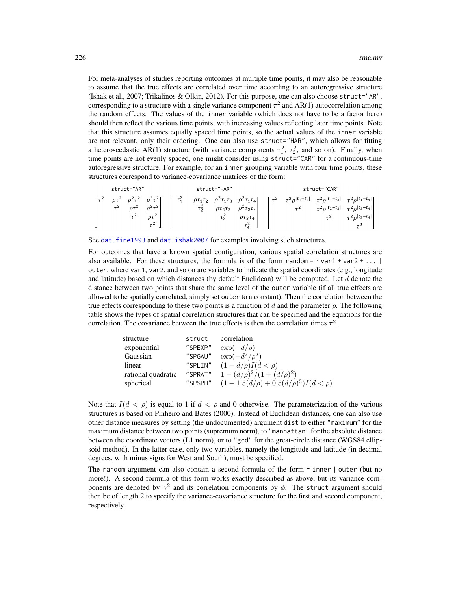For meta-analyses of studies reporting outcomes at multiple time points, it may also be reasonable to assume that the true effects are correlated over time according to an autoregressive structure (Ishak et al., 2007; Trikalinos & Olkin, 2012). For this purpose, one can also choose struct="AR", corresponding to a structure with a single variance component  $\tau^2$  and AR(1) autocorrelation among the random effects. The values of the inner variable (which does not have to be a factor here) should then reflect the various time points, with increasing values reflecting later time points. Note that this structure assumes equally spaced time points, so the actual values of the inner variable are not relevant, only their ordering. One can also use struct="HAR", which allows for fitting a heteroscedastic AR(1) structure (with variance components  $\tau_1^2$ ,  $\tau_2^2$ , and so on). Finally, when time points are not evenly spaced, one might consider using struct="CAR" for a continuous-time autoregressive structure. For example, for an inner grouping variable with four time points, these structures correspond to variance-covariance matrices of the form:

|  | struct="AR" |                                                                                                           |            |            | struct="HAR" |                                                                                                                                              |                                                                                                   | struct="CAR"                                            |                                    |
|--|-------------|-----------------------------------------------------------------------------------------------------------|------------|------------|--------------|----------------------------------------------------------------------------------------------------------------------------------------------|---------------------------------------------------------------------------------------------------|---------------------------------------------------------|------------------------------------|
|  |             | $\rho \tau^2$ $\rho^2 \tau^2$ $\rho^3 \tau^2$ ]<br>$\tau^2$ $\rho \tau^2$ $\rho^2 \tau^2$<br>$\rho\tau^2$ | $\tau_1^2$ | $\tau_2^2$ |              | $\rho \tau_1 \tau_2$ $\rho^2 \tau_1 \tau_3$ $\rho^3 \tau_1 \tau_4$ $\tau^2$<br>$\rho\tau_2\tau_3$ $\rho^2\tau_2\tau_4$<br>$\rho\tau_3\tau_4$ | $\tau^2 \rho^{ t_1-t_2 } \quad \tau^2 \rho^{ t_1-t_3 } \quad \tau^2 \rho^{ t_1-t_4 }$<br>$\tau^2$ | $\tau^2 \rho^{ t_2-t_3 } \quad \tau^2 \rho^{ t_2-t_4 }$ | $\tau^2$ $\tau^2 \rho^{ t_3-t_4 }$ |

See dat. fine1993 and dat. ishak2007 for examples involving such structures.

For outcomes that have a known spatial configuration, various spatial correlation structures are also available. For these structures, the formula is of the form random =  $\sim$  var1 + var2 + ... | outer, where var1, var2, and so on are variables to indicate the spatial coordinates (e.g., longitude and latitude) based on which distances (by default Euclidean) will be computed. Let  $d$  denote the distance between two points that share the same level of the outer variable (if all true effects are allowed to be spatially correlated, simply set outer to a constant). Then the correlation between the true effects corresponding to these two points is a function of d and the parameter  $\rho$ . The following table shows the types of spatial correlation structures that can be specified and the equations for the correlation. The covariance between the true effects is then the correlation times  $\tau^2$ .

| struct  | correlation                                |
|---------|--------------------------------------------|
| "SPEXP" | $\exp(-d/\rho)$                            |
| "SPGAU" | $\exp(-d^2/\rho^2)$                        |
| "SPLIN" | $(1-d/\rho)I(d < \rho)$                    |
| "SPRAT" | $1 - (d/\rho)^2/(1 + (d/\rho)^2)$          |
| "SPSPH" | $(1-1.5(d/\rho)+0.5(d/\rho)^3)I(d < \rho)$ |
|         |                                            |

Note that  $I(d < \rho)$  is equal to 1 if  $d < \rho$  and 0 otherwise. The parameterization of the various structures is based on Pinheiro and Bates (2000). Instead of Euclidean distances, one can also use other distance measures by setting (the undocumented) argument dist to either "maximum" for the maximum distance between two points (supremum norm), to "manhattan" for the absolute distance between the coordinate vectors (L1 norm), or to "gcd" for the great-circle distance (WGS84 ellipsoid method). In the latter case, only two variables, namely the longitude and latitude (in decimal degrees, with minus signs for West and South), must be specified.

The random argument can also contain a second formula of the form  $\sim$  inner  $\vert$  outer (but no more!). A second formula of this form works exactly described as above, but its variance components are denoted by  $\gamma^2$  and its correlation components by  $\phi$ . The struct argument should then be of length 2 to specify the variance-covariance structure for the first and second component, respectively.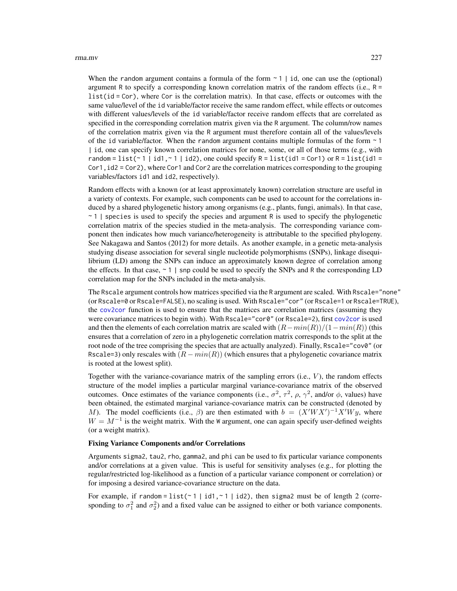#### rma.mv 227

When the random argument contains a formula of the form  $\sim 1$  | id, one can use the (optional) argument R to specify a corresponding known correlation matrix of the random effects (i.e.,  $R =$  $list(id = Cor)$ , where Cor is the correlation matrix). In that case, effects or outcomes with the same value/level of the id variable/factor receive the same random effect, while effects or outcomes with different values/levels of the id variable/factor receive random effects that are correlated as specified in the corresponding correlation matrix given via the R argument. The column/row names of the correlation matrix given via the R argument must therefore contain all of the values/levels of the id variable/factor. When the random argument contains multiple formulas of the form  $\sim$  1 | id, one can specify known correlation matrices for none, some, or all of those terms (e.g., with random = list( $\sim$  1 | id1, $\sim$  1 | id2), one could specify R = list(id1 = Cor1) or R = list(id1 = Cor1,id2 = Cor2), where Cor1 and Cor2 are the correlation matrices corresponding to the grouping variables/factors id1 and id2, respectively).

Random effects with a known (or at least approximately known) correlation structure are useful in a variety of contexts. For example, such components can be used to account for the correlations induced by a shared phylogenetic history among organisms (e.g., plants, fungi, animals). In that case,  $\sim$  1 | species is used to specify the species and argument R is used to specify the phylogenetic correlation matrix of the species studied in the meta-analysis. The corresponding variance component then indicates how much variance/heterogeneity is attributable to the specified phylogeny. See Nakagawa and Santos (2012) for more details. As another example, in a genetic meta-analysis studying disease association for several single nucleotide polymorphisms (SNPs), linkage disequilibrium (LD) among the SNPs can induce an approximately known degree of correlation among the effects. In that case,  $\sim$  1 | snp could be used to specify the SNPs and R the corresponding LD correlation map for the SNPs included in the meta-analysis.

The Rscale argument controls how matrices specified via the R argument are scaled. With Rscale="none" (or Rscale=0 or Rscale=FALSE), no scaling is used. With Rscale="cor" (or Rscale=1 or Rscale=TRUE), the [cov2cor](#page-0-0) function is used to ensure that the matrices are correlation matrices (assuming they were covariance matrices to begin with). With Rscale="cor0" (or Rscale=2), first [cov2cor](#page-0-0) is used and then the elements of each correlation matrix are scaled with  $(R-min(R))/(1-min(R))$  (this ensures that a correlation of zero in a phylogenetic correlation matrix corresponds to the split at the root node of the tree comprising the species that are actually analyzed). Finally, Rscale="cov0" (or Rscale=3) only rescales with  $(R - min(R))$  (which ensures that a phylogenetic covariance matrix is rooted at the lowest split).

Together with the variance-covariance matrix of the sampling errors  $(i.e., V)$ , the random effects structure of the model implies a particular marginal variance-covariance matrix of the observed outcomes. Once estimates of the variance components (i.e.,  $\sigma^2$ ,  $\tau^2$ ,  $\rho$ ,  $\gamma^2$ , and/or  $\phi$ , values) have been obtained, the estimated marginal variance-covariance matrix can be constructed (denoted by M). The model coefficients (i.e.,  $\beta$ ) are then estimated with  $b = (X'WX')^{-1}X'Wy$ , where  $W = M^{-1}$  is the weight matrix. With the W argument, one can again specify user-defined weights (or a weight matrix).

## Fixing Variance Components and/or Correlations

Arguments sigma2, tau2, rho, gamma2, and phi can be used to fix particular variance components and/or correlations at a given value. This is useful for sensitivity analyses (e.g., for plotting the regular/restricted log-likelihood as a function of a particular variance component or correlation) or for imposing a desired variance-covariance structure on the data.

For example, if random =  $list(\sim 1 \mid id1, \sim 1 \mid id2)$ , then sigma2 must be of length 2 (corresponding to  $\sigma_1^2$  and  $\sigma_2^2$ ) and a fixed value can be assigned to either or both variance components.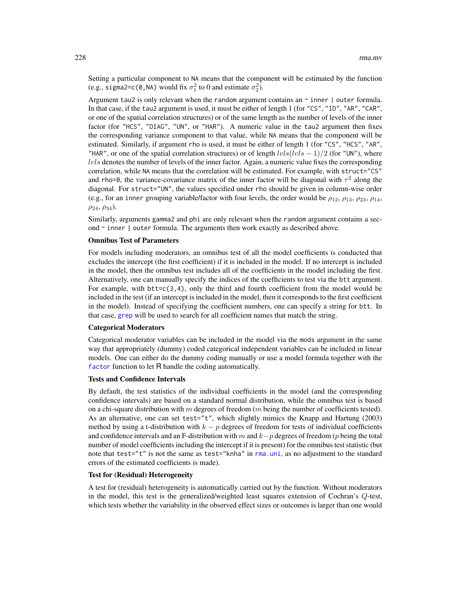Setting a particular component to NA means that the component will be estimated by the function (e.g., sigma2=c(0,NA) would fix  $\sigma_1^2$  to 0 and estimate  $\sigma_2^2$ ).

Argument tau2 is only relevant when the random argument contains an  $\sim$  inner  $\mid$  outer formula. In that case, if the tau2 argument is used, it must be either of length 1 (for "CS", "ID", "AR", "CAR", or one of the spatial correlation structures) or of the same length as the number of levels of the inner factor (for "HCS", "DIAG", "UN", or "HAR"). A numeric value in the tau2 argument then fixes the corresponding variance component to that value, while NA means that the component will be estimated. Similarly, if argument rho is used, it must be either of length 1 (for "CS", "HCS", "AR", "HAR", or one of the spatial correlation structures) or of length  $lvls(lvls - 1)/2$  (for "UN"), where  $l\nu$ ls denotes the number of levels of the inner factor. Again, a numeric value fixes the corresponding correlation, while NA means that the correlation will be estimated. For example, with struct="CS" and rho=0, the variance-covariance matrix of the inner factor will be diagonal with  $\tau^2$  along the diagonal. For struct="UN", the values specified under rho should be given in column-wise order (e.g., for an inner grouping variable/factor with four levels, the order would be  $\rho_{12}$ ,  $\rho_{13}$ ,  $\rho_{23}$ ,  $\rho_{14}$ ,  $\rho_{24}, \rho_{34}$ ).

Similarly, arguments gamma2 and phi are only relevant when the random argument contains a second  $\sim$  inner  $\vert$  outer formula. The arguments then work exactly as described above.

#### Omnibus Test of Parameters

For models including moderators, an omnibus test of all the model coefficients is conducted that excludes the intercept (the first coefficient) if it is included in the model. If no intercept is included in the model, then the omnibus test includes all of the coefficients in the model including the first. Alternatively, one can manually specify the indices of the coefficients to test via the btt argument. For example, with  $bt = c(3, 4)$ , only the third and fourth coefficient from the model would be included in the test (if an intercept is included in the model, then it corresponds to the first coefficient in the model). Instead of specifying the coefficient numbers, one can specify a string for btt. In that case, [grep](#page-0-0) will be used to search for all coefficient names that match the string.

#### Categorical Moderators

Categorical moderator variables can be included in the model via the mods argument in the same way that appropriately (dummy) coded categorical independent variables can be included in linear models. One can either do the dummy coding manually or use a model formula together with the [factor](#page-0-0) function to let R handle the coding automatically.

#### Tests and Confidence Intervals

By default, the test statistics of the individual coefficients in the model (and the corresponding confidence intervals) are based on a standard normal distribution, while the omnibus test is based on a chi-square distribution with m degrees of freedom (m being the number of coefficients tested). As an alternative, one can set test="t", which slightly mimics the Knapp and Hartung (2003) method by using a t-distribution with  $k - p$  degrees of freedom for tests of individual coefficients and confidence intervals and an F-distribution with m and  $k-p$  degrees of freedom (p being the total number of model coefficients including the intercept if it is present) for the omnibus test statistic (but note that test="t" is not the same as test="knha" in [rma.uni](#page-235-0), as no adjustment to the standard errors of the estimated coefficients is made).

### Test for (Residual) Heterogeneity

A test for (residual) heterogeneity is automatically carried out by the function. Without moderators in the model, this test is the generalized/weighted least squares extension of Cochran's Q-test, which tests whether the variability in the observed effect sizes or outcomes is larger than one would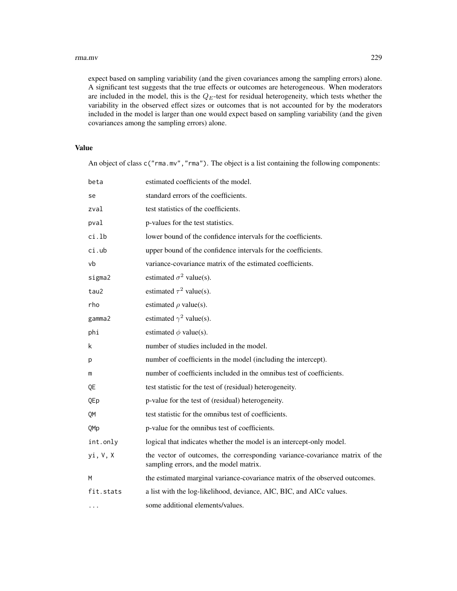#### rma.mv 229

expect based on sampling variability (and the given covariances among the sampling errors) alone. A significant test suggests that the true effects or outcomes are heterogeneous. When moderators are included in the model, this is the  $Q_E$ -test for residual heterogeneity, which tests whether the variability in the observed effect sizes or outcomes that is not accounted for by the moderators included in the model is larger than one would expect based on sampling variability (and the given covariances among the sampling errors) alone.

# Value

An object of class c("rma.mv", "rma"). The object is a list containing the following components:

| beta      | estimated coefficients of the model.                                                                                  |
|-----------|-----------------------------------------------------------------------------------------------------------------------|
| se        | standard errors of the coefficients.                                                                                  |
| zval      | test statistics of the coefficients.                                                                                  |
| pval      | p-values for the test statistics.                                                                                     |
| ci.lb     | lower bound of the confidence intervals for the coefficients.                                                         |
| ci.ub     | upper bound of the confidence intervals for the coefficients.                                                         |
| vb        | variance-covariance matrix of the estimated coefficients.                                                             |
| sigma2    | estimated $\sigma^2$ value(s).                                                                                        |
| tau2      | estimated $\tau^2$ value(s).                                                                                          |
| rho       | estimated $\rho$ value(s).                                                                                            |
| gamma2    | estimated $\gamma^2$ value(s).                                                                                        |
| phi       | estimated $\phi$ value(s).                                                                                            |
| k         | number of studies included in the model.                                                                              |
| р         | number of coefficients in the model (including the intercept).                                                        |
| m         | number of coefficients included in the omnibus test of coefficients.                                                  |
| QE        | test statistic for the test of (residual) heterogeneity.                                                              |
| QEp       | p-value for the test of (residual) heterogeneity.                                                                     |
| QM        | test statistic for the omnibus test of coefficients.                                                                  |
| QMp       | p-value for the omnibus test of coefficients.                                                                         |
| int.only  | logical that indicates whether the model is an intercept-only model.                                                  |
| yi, V, X  | the vector of outcomes, the corresponding variance-covariance matrix of the<br>sampling errors, and the model matrix. |
| M         | the estimated marginal variance-covariance matrix of the observed outcomes.                                           |
| fit.stats | a list with the log-likelihood, deviance, AIC, BIC, and AICc values.                                                  |
| $\cdots$  | some additional elements/values.                                                                                      |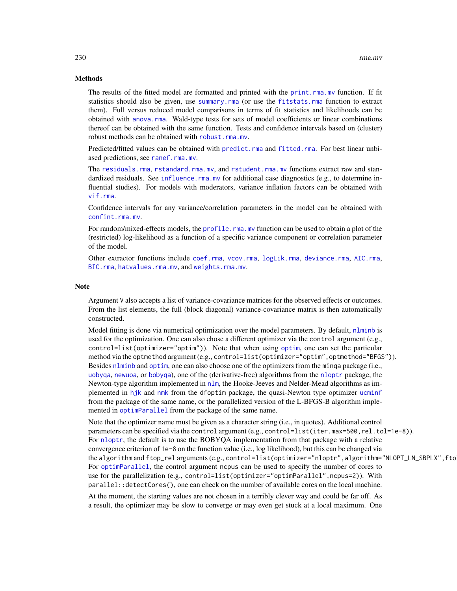## Methods

The results of the fitted model are formatted and printed with the print.rma.my function. If fit statistics should also be given, use [summary.rma](#page-180-0) (or use the [fitstats.rma](#page-108-0) function to extract them). Full versus reduced model comparisons in terms of fit statistics and likelihoods can be obtained with [anova.rma](#page-14-0). Wald-type tests for sets of model coefficients or linear combinations thereof can be obtained with the same function. Tests and confidence intervals based on (cluster) robust methods can be obtained with [robust.rma.mv](#page-246-0).

Predicted/fitted values can be obtained with [predict.rma](#page-164-0) and [fitted.rma](#page-110-0). For best linear unbiased predictions, see [ranef.rma.mv](#page-193-0).

The [residuals.rma](#page-204-0), [rstandard.rma.mv](#page-204-1), and [rstudent.rma.mv](#page-204-1) functions extract raw and standardized residuals. See [influence.rma.mv](#page-139-0) for additional case diagnostics (e.g., to determine influential studies). For models with moderators, variance inflation factors can be obtained with [vif.rma](#page-266-0).

Confidence intervals for any variance/correlation parameters in the model can be obtained with [confint.rma.mv](#page-25-0).

For random/mixed-effects models, the [profile.rma.mv](#page-185-0) function can be used to obtain a plot of the (restricted) log-likelihood as a function of a specific variance component or correlation parameter of the model.

Other extractor functions include [coef.rma](#page-24-0), [vcov.rma](#page-264-0), [logLik.rma](#page-108-0), [deviance.rma](#page-108-0), [AIC.rma](#page-108-0), [BIC.rma](#page-108-0), [hatvalues.rma.mv](#page-139-1), and [weights.rma.mv](#page-268-0).

## **Note**

Argument V also accepts a list of variance-covariance matrices for the observed effects or outcomes. From the list elements, the full (block diagonal) variance-covariance matrix is then automatically constructed.

Model fitting is done via numerical optimization over the model parameters. By default, [nlminb](#page-0-0) is used for the optimization. One can also chose a different optimizer via the control argument (e.g., control=list(optimizer="optim")). Note that when using [optim](#page-0-0), one can set the particular method via the optmethod argument (e.g., control=list(optimizer="optim", optmethod="BFGS")). Besides [nlminb](#page-0-0) and [optim](#page-0-0), one can also choose one of the optimizers from the minqa package (i.e., [uobyqa](#page-0-0), [newuoa](#page-0-0), or [bobyqa](#page-0-0)), one of the (derivative-free) algorithms from the [nloptr](#page-0-0) package, the Newton-type algorithm implemented in [nlm](#page-0-0), the Hooke-Jeeves and Nelder-Mead algorithms as implemented in [hjk](#page-0-0) and [nmk](#page-0-0) from the dfoptim package, the quasi-Newton type optimizer [ucminf](#page-0-0) from the package of the same name, or the parallelized version of the L-BFGS-B algorithm implemented in [optimParallel](#page-0-0) from the package of the same name.

Note that the optimizer name must be given as a character string (i.e., in quotes). Additional control parameters can be specified via the control argument (e.g., control=list(iter.max=500,rel.tol=1e-8)). For [nloptr](#page-0-0), the default is to use the BOBYQA implementation from that package with a relative convergence criterion of 1e-8 on the function value (i.e., log likelihood), but this can be changed via the algorithm and ftop\_rel arguments (e.g., control=list(optimizer="nloptr",algorithm="NLOPT\_LN\_SBPLX", fto For [optimParallel](#page-0-0), the control argument ncpus can be used to specify the number of cores to use for the parallelization (e.g., control=list(optimizer="optimParallel", ncpus=2)). With parallel::detectCores(), one can check on the number of available cores on the local machine.

At the moment, the starting values are not chosen in a terribly clever way and could be far off. As a result, the optimizer may be slow to converge or may even get stuck at a local maximum. One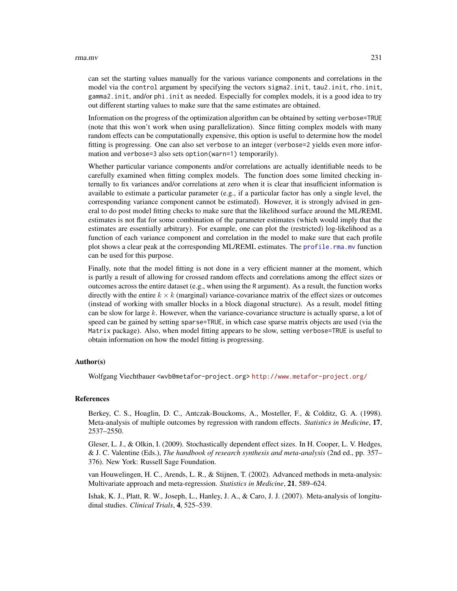#### rma.mv 231

can set the starting values manually for the various variance components and correlations in the model via the control argument by specifying the vectors sigma2.init, tau2.init, rho.init, gamma2.init, and/or phi.init as needed. Especially for complex models, it is a good idea to try out different starting values to make sure that the same estimates are obtained.

Information on the progress of the optimization algorithm can be obtained by setting verbose=TRUE (note that this won't work when using parallelization). Since fitting complex models with many random effects can be computationally expensive, this option is useful to determine how the model fitting is progressing. One can also set verbose to an integer (verbose=2 yields even more information and verbose=3 also sets option(warn=1) temporarily).

Whether particular variance components and/or correlations are actually identifiable needs to be carefully examined when fitting complex models. The function does some limited checking internally to fix variances and/or correlations at zero when it is clear that insufficient information is available to estimate a particular parameter  $(e.g., if a particular factor has only a single level, the$ corresponding variance component cannot be estimated). However, it is strongly advised in general to do post model fitting checks to make sure that the likelihood surface around the ML/REML estimates is not flat for some combination of the parameter estimates (which would imply that the estimates are essentially arbitrary). For example, one can plot the (restricted) log-likelihood as a function of each variance component and correlation in the model to make sure that each profile plot shows a clear peak at the corresponding ML/REML estimates. The [profile.rma.mv](#page-185-0) function can be used for this purpose.

Finally, note that the model fitting is not done in a very efficient manner at the moment, which is partly a result of allowing for crossed random effects and correlations among the effect sizes or outcomes across the entire dataset (e.g., when using the R argument). As a result, the function works directly with the entire  $k \times k$  (marginal) variance-covariance matrix of the effect sizes or outcomes (instead of working with smaller blocks in a block diagonal structure). As a result, model fitting can be slow for large k. However, when the variance-covariance structure is actually sparse, a lot of speed can be gained by setting sparse=TRUE, in which case sparse matrix objects are used (via the Matrix package). Also, when model fitting appears to be slow, setting verbose=TRUE is useful to obtain information on how the model fitting is progressing.

#### Author(s)

Wolfgang Viechtbauer <wvb@metafor-project.org> <http://www.metafor-project.org/>

# References

Berkey, C. S., Hoaglin, D. C., Antczak-Bouckoms, A., Mosteller, F., & Colditz, G. A. (1998). Meta-analysis of multiple outcomes by regression with random effects. *Statistics in Medicine*, 17, 2537–2550.

Gleser, L. J., & Olkin, I. (2009). Stochastically dependent effect sizes. In H. Cooper, L. V. Hedges, & J. C. Valentine (Eds.), *The handbook of research synthesis and meta-analysis* (2nd ed., pp. 357– 376). New York: Russell Sage Foundation.

van Houwelingen, H. C., Arends, L. R., & Stijnen, T. (2002). Advanced methods in meta-analysis: Multivariate approach and meta-regression. *Statistics in Medicine*, 21, 589–624.

Ishak, K. J., Platt, R. W., Joseph, L., Hanley, J. A., & Caro, J. J. (2007). Meta-analysis of longitudinal studies. *Clinical Trials*, 4, 525–539.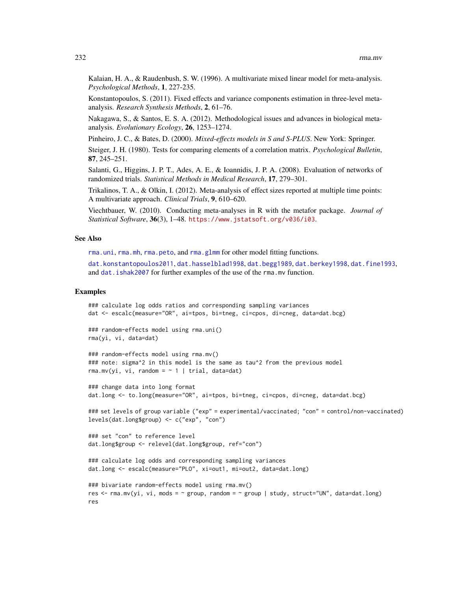Kalaian, H. A., & Raudenbush, S. W. (1996). A multivariate mixed linear model for meta-analysis. *Psychological Methods*, 1, 227-235.

Konstantopoulos, S. (2011). Fixed effects and variance components estimation in three-level metaanalysis. *Research Synthesis Methods*, 2, 61–76.

Nakagawa, S., & Santos, E. S. A. (2012). Methodological issues and advances in biological metaanalysis. *Evolutionary Ecology*, 26, 1253–1274.

Pinheiro, J. C., & Bates, D. (2000). *Mixed-effects models in S and S-PLUS*. New York: Springer.

Steiger, J. H. (1980). Tests for comparing elements of a correlation matrix. *Psychological Bulletin*, 87, 245–251.

Salanti, G., Higgins, J. P. T., Ades, A. E., & Ioannidis, J. P. A. (2008). Evaluation of networks of randomized trials. *Statistical Methods in Medical Research*, 17, 279–301.

Trikalinos, T. A., & Olkin, I. (2012). Meta-analysis of effect sizes reported at multiple time points: A multivariate approach. *Clinical Trials*, 9, 610–620.

Viechtbauer, W. (2010). Conducting meta-analyses in R with the metafor package. *Journal of Statistical Software*, 36(3), 1–48. <https://www.jstatsoft.org/v036/i03>.

# See Also

[rma.uni](#page-235-0), [rma.mh](#page-216-0), [rma.peto](#page-232-0), and [rma.glmm](#page-208-0) for other model fitting functions.

[dat.konstantopoulos2011](#page-66-0), [dat.hasselblad1998](#page-60-0), [dat.begg1989](#page-36-0), [dat.berkey1998](#page-37-0), [dat.fine1993](#page-52-0), and dat. ishak2007 for further examples of the use of the rma.mv function.

## Examples

res

```
### calculate log odds ratios and corresponding sampling variances
dat <- escalc(measure="OR", ai=tpos, bi=tneg, ci=cpos, di=cneg, data=dat.bcg)
### random-effects model using rma.uni()
rma(yi, vi, data=dat)
### random-effects model using rma.mv()
### note: sigma^2 in this model is the same as tau^2 from the previous model
rma.mv(yi, vi, random = \sim 1 | trial, data=dat)
### change data into long format
dat.long <- to.long(measure="OR", ai=tpos, bi=tneg, ci=cpos, di=cneg, data=dat.bcg)
### set levels of group variable ("exp" = experimental/vaccinated; "con" = control/non-vaccinated)
levels(dat.long$group) <- c("exp", "con")
### set "con" to reference level
dat.long$group <- relevel(dat.long$group, ref="con")
### calculate log odds and corresponding sampling variances
dat.long <- escalc(measure="PLO", xi=out1, mi=out2, data=dat.long)
### bivariate random-effects model using rma.mv()
res <- rma.mv(yi, vi, mods = \sim group, random = \sim group | study, struct="UN", data=dat.long)
```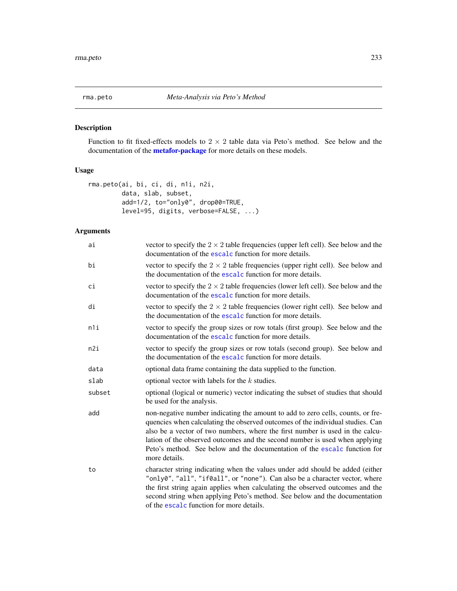<span id="page-232-0"></span>

# Description

Function to fit fixed-effects models to  $2 \times 2$  table data via Peto's method. See below and the documentation of the **[metafor-package](#page-3-0)** for more details on these models.

# Usage

```
rma.peto(ai, bi, ci, di, n1i, n2i,
        data, slab, subset,
         add=1/2, to="only0", drop00=TRUE,
        level=95, digits, verbose=FALSE, ...)
```
# Arguments

| ai     | vector to specify the $2 \times 2$ table frequencies (upper left cell). See below and the<br>documentation of the escalc function for more details.                                                                                                                                                                                                                                                                             |
|--------|---------------------------------------------------------------------------------------------------------------------------------------------------------------------------------------------------------------------------------------------------------------------------------------------------------------------------------------------------------------------------------------------------------------------------------|
| bi     | vector to specify the $2 \times 2$ table frequencies (upper right cell). See below and<br>the documentation of the escalc function for more details.                                                                                                                                                                                                                                                                            |
| ci     | vector to specify the $2 \times 2$ table frequencies (lower left cell). See below and the<br>documentation of the escalc function for more details.                                                                                                                                                                                                                                                                             |
| di     | vector to specify the $2 \times 2$ table frequencies (lower right cell). See below and<br>the documentation of the escalc function for more details.                                                                                                                                                                                                                                                                            |
| n1i    | vector to specify the group sizes or row totals (first group). See below and the<br>documentation of the escalc function for more details.                                                                                                                                                                                                                                                                                      |
| n2i    | vector to specify the group sizes or row totals (second group). See below and<br>the documentation of the escalc function for more details.                                                                                                                                                                                                                                                                                     |
| data   | optional data frame containing the data supplied to the function.                                                                                                                                                                                                                                                                                                                                                               |
| slab   | optional vector with labels for the $k$ studies.                                                                                                                                                                                                                                                                                                                                                                                |
| subset | optional (logical or numeric) vector indicating the subset of studies that should<br>be used for the analysis.                                                                                                                                                                                                                                                                                                                  |
| add    | non-negative number indicating the amount to add to zero cells, counts, or fre-<br>quencies when calculating the observed outcomes of the individual studies. Can<br>also be a vector of two numbers, where the first number is used in the calcu-<br>lation of the observed outcomes and the second number is used when applying<br>Peto's method. See below and the documentation of the escalc function for<br>more details. |
| to     | character string indicating when the values under add should be added (either<br>"only0", "all", "if0all", or "none"). Can also be a character vector, where<br>the first string again applies when calculating the observed outcomes and the<br>second string when applying Peto's method. See below and the documentation<br>of the escalc function for more details.                                                         |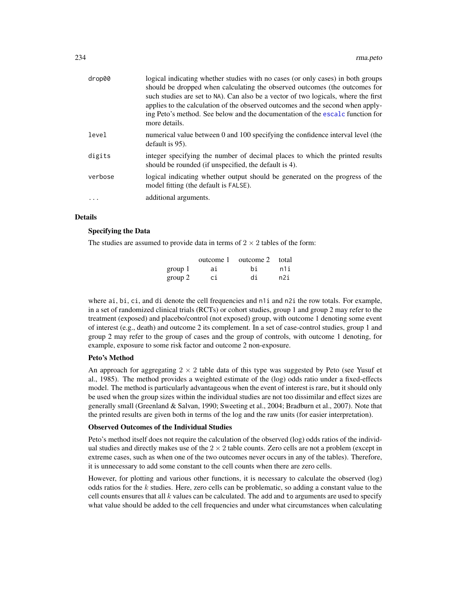| drop00   | logical indicating whether studies with no cases (or only cases) in both groups<br>should be dropped when calculating the observed outcomes (the outcomes for<br>such studies are set to NA). Can also be a vector of two logicals, where the first<br>applies to the calculation of the observed outcomes and the second when apply-<br>ing Peto's method. See below and the documentation of the escale function for<br>more details. |
|----------|-----------------------------------------------------------------------------------------------------------------------------------------------------------------------------------------------------------------------------------------------------------------------------------------------------------------------------------------------------------------------------------------------------------------------------------------|
| level    | numerical value between 0 and 100 specifying the confidence interval level (the<br>default is 95).                                                                                                                                                                                                                                                                                                                                      |
| digits   | integer specifying the number of decimal places to which the printed results<br>should be rounded (if unspecified, the default is 4).                                                                                                                                                                                                                                                                                                   |
| verbose  | logical indicating whether output should be generated on the progress of the<br>model fitting (the default is FALSE).                                                                                                                                                                                                                                                                                                                   |
| $\ddots$ | additional arguments.                                                                                                                                                                                                                                                                                                                                                                                                                   |

# Details

# Specifying the Data

The studies are assumed to provide data in terms of  $2 \times 2$  tables of the form:

|         | outcome 1 | outcome 2 | total |
|---------|-----------|-----------|-------|
| group 1 | ai.       | hi        | n1i   |
| group 2 | сi        | di        | n2i   |

where ai, bi, ci, and di denote the cell frequencies and n1i and n2i the row totals. For example, in a set of randomized clinical trials (RCTs) or cohort studies, group 1 and group 2 may refer to the treatment (exposed) and placebo/control (not exposed) group, with outcome 1 denoting some event of interest (e.g., death) and outcome 2 its complement. In a set of case-control studies, group 1 and group 2 may refer to the group of cases and the group of controls, with outcome 1 denoting, for example, exposure to some risk factor and outcome 2 non-exposure.

# Peto's Method

An approach for aggregating  $2 \times 2$  table data of this type was suggested by Peto (see Yusuf et al., 1985). The method provides a weighted estimate of the (log) odds ratio under a fixed-effects model. The method is particularly advantageous when the event of interest is rare, but it should only be used when the group sizes within the individual studies are not too dissimilar and effect sizes are generally small (Greenland & Salvan, 1990; Sweeting et al., 2004; Bradburn et al., 2007). Note that the printed results are given both in terms of the log and the raw units (for easier interpretation).

#### Observed Outcomes of the Individual Studies

Peto's method itself does not require the calculation of the observed (log) odds ratios of the individual studies and directly makes use of the  $2 \times 2$  table counts. Zero cells are not a problem (except in extreme cases, such as when one of the two outcomes never occurs in any of the tables). Therefore, it is unnecessary to add some constant to the cell counts when there are zero cells.

However, for plotting and various other functions, it is necessary to calculate the observed (log) odds ratios for the  $k$  studies. Here, zero cells can be problematic, so adding a constant value to the cell counts ensures that all  $k$  values can be calculated. The add and to arguments are used to specify what value should be added to the cell frequencies and under what circumstances when calculating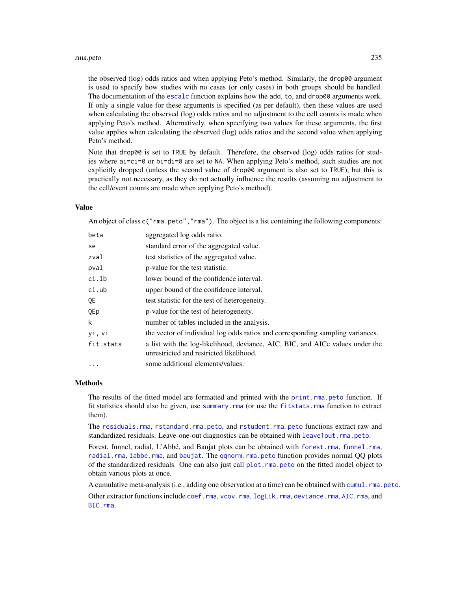#### rma.peto 235

the observed (log) odds ratios and when applying Peto's method. Similarly, the drop00 argument is used to specify how studies with no cases (or only cases) in both groups should be handled. The documentation of the [escalc](#page-92-0) function explains how the add, to, and drop00 arguments work. If only a single value for these arguments is specified (as per default), then these values are used when calculating the observed (log) odds ratios and no adjustment to the cell counts is made when applying Peto's method. Alternatively, when specifying two values for these arguments, the first value applies when calculating the observed (log) odds ratios and the second value when applying Peto's method.

Note that drop00 is set to TRUE by default. Therefore, the observed (log) odds ratios for studies where ai=ci=0 or bi=di=0 are set to NA. When applying Peto's method, such studies are not explicitly dropped (unless the second value of drop00 argument is also set to TRUE), but this is practically not necessary, as they do not actually influence the results (assuming no adjustment to the cell/event counts are made when applying Peto's method).

### Value

An object of class c("rma.peto","rma"). The object is a list containing the following components:

| beta      | aggregated log odds ratio.                                                                                               |
|-----------|--------------------------------------------------------------------------------------------------------------------------|
| se        | standard error of the aggregated value.                                                                                  |
| zval      | test statistics of the aggregated value.                                                                                 |
| pval      | p-value for the test statistic.                                                                                          |
| ci.lb     | lower bound of the confidence interval.                                                                                  |
| ci.ub     | upper bound of the confidence interval.                                                                                  |
| QE.       | test statistic for the test of heterogeneity.                                                                            |
| QEp       | p-value for the test of heterogeneity.                                                                                   |
| k         | number of tables included in the analysis.                                                                               |
| yi, vi    | the vector of individual log odds ratios and corresponding sampling variances.                                           |
| fit.stats | a list with the log-likelihood, deviance, AIC, BIC, and AICc values under the<br>unrestricted and restricted likelihood. |
| $\ddotsc$ | some additional elements/values.                                                                                         |
|           |                                                                                                                          |

# Methods

The results of the fitted model are formatted and printed with the [print.rma.peto](#page-180-0) function. If fit statistics should also be given, use [summary.rma](#page-180-0) (or use the [fitstats.rma](#page-108-0) function to extract them).

The [residuals.rma](#page-204-0), [rstandard.rma.peto](#page-204-1), and [rstudent.rma.peto](#page-204-1) functions extract raw and standardized residuals. Leave-one-out diagnostics can be obtained with [leave1out.rma.peto](#page-147-0).

Forest, funnel, radial, L'Abbé, and Baujat plots can be obtained with [forest.rma](#page-119-0), [funnel.rma](#page-129-0), [radial.rma](#page-191-0), [labbe.rma](#page-144-0), and [baujat](#page-18-0). The [qqnorm.rma.peto](#page-188-0) function provides normal QQ plots of the standardized residuals. One can also just call [plot.rma.peto](#page-163-0) on the fitted model object to obtain various plots at once.

A cumulative meta-analysis (i.e., adding one observation at a time) can be obtained with [cumul.rma.peto](#page-32-0). Other extractor functions include [coef.rma](#page-24-0), [vcov.rma](#page-264-0), [logLik.rma](#page-108-0), [deviance.rma](#page-108-0), [AIC.rma](#page-108-0), and [BIC.rma](#page-108-0).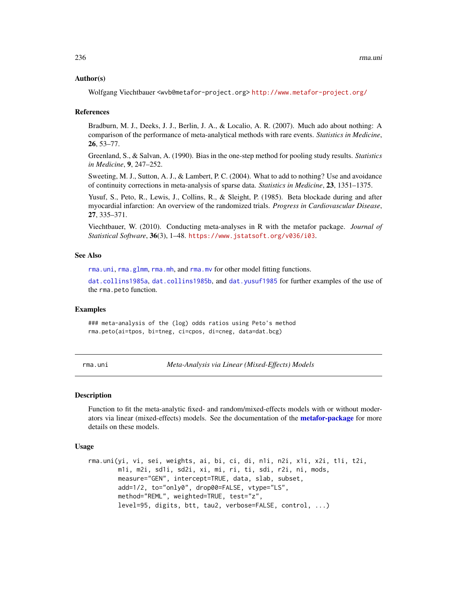#### Author(s)

Wolfgang Viechtbauer <wvb@metafor-project.org> <http://www.metafor-project.org/>

## References

Bradburn, M. J., Deeks, J. J., Berlin, J. A., & Localio, A. R. (2007). Much ado about nothing: A comparison of the performance of meta-analytical methods with rare events. *Statistics in Medicine*, 26, 53–77.

Greenland, S., & Salvan, A. (1990). Bias in the one-step method for pooling study results. *Statistics in Medicine*, 9, 247–252.

Sweeting, M. J., Sutton, A. J., & Lambert, P. C. (2004). What to add to nothing? Use and avoidance of continuity corrections in meta-analysis of sparse data. *Statistics in Medicine*, 23, 1351–1375.

Yusuf, S., Peto, R., Lewis, J., Collins, R., & Sleight, P. (1985). Beta blockade during and after myocardial infarction: An overview of the randomized trials. *Progress in Cardiovascular Disease*, 27, 335–371.

Viechtbauer, W. (2010). Conducting meta-analyses in R with the metafor package. *Journal of Statistical Software*, 36(3), 1–48. <https://www.jstatsoft.org/v036/i03>.

## See Also

[rma.uni](#page-235-0), [rma.glmm](#page-208-0), [rma.mh](#page-216-0), and [rma.mv](#page-220-0) for other model fitting functions.

[dat.collins1985a](#page-44-0), [dat.collins1985b](#page-45-0), and [dat.yusuf1985](#page-91-0) for further examples of the use of the rma.peto function.

#### Examples

### meta-analysis of the (log) odds ratios using Peto's method rma.peto(ai=tpos, bi=tneg, ci=cpos, di=cneg, data=dat.bcg)

<span id="page-235-0"></span>rma.uni *Meta-Analysis via Linear (Mixed-Effects) Models*

#### Description

Function to fit the meta-analytic fixed- and random/mixed-effects models with or without moderators via linear (mixed-effects) models. See the documentation of the **[metafor-package](#page-3-0)** for more details on these models.

# Usage

```
rma.uni(yi, vi, sei, weights, ai, bi, ci, di, n1i, n2i, x1i, x2i, t1i, t2i,
       m1i, m2i, sd1i, sd2i, xi, mi, ri, ti, sdi, r2i, ni, mods,
       measure="GEN", intercept=TRUE, data, slab, subset,
       add=1/2, to="only0", drop00=FALSE, vtype="LS",
       method="REML", weighted=TRUE, test="z",
       level=95, digits, btt, tau2, verbose=FALSE, control, ...)
```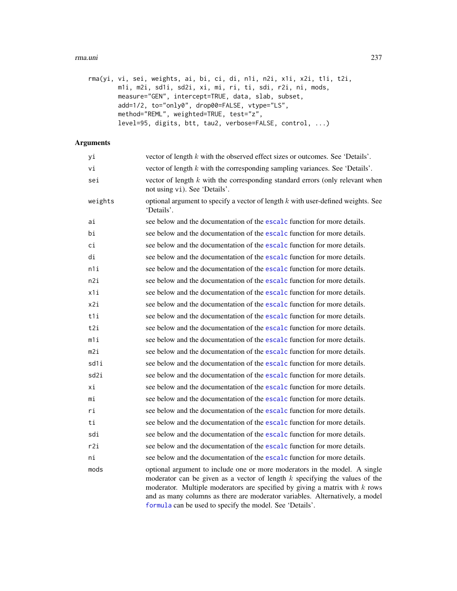#### rma.uni 237

| rma(yi, vi, sei, weights, ai, bi, ci, di, n1i, n2i, x1i, x2i, t1i, t2i, |
|-------------------------------------------------------------------------|
| m1i, m2i, sd1i, sd2i, xi, mi, ri, ti, sdi, r2i, ni, mods,               |
| measure="GEN", intercept=TRUE, data, slab, subset,                      |
| add=1/2, to="only0", drop00=FALSE, vtype="LS",                          |
| method="REML", weighted=TRUE, test="z",                                 |
| $level=95$ , digits, btt, tau2, verbose=FALSE, control, )               |

# Arguments

| уi      | vector of length $k$ with the observed effect sizes or outcomes. See 'Details'.                                                                                                                                                                                                                                                                                                          |
|---------|------------------------------------------------------------------------------------------------------------------------------------------------------------------------------------------------------------------------------------------------------------------------------------------------------------------------------------------------------------------------------------------|
| vi      | vector of length $k$ with the corresponding sampling variances. See 'Details'.                                                                                                                                                                                                                                                                                                           |
| sei     | vector of length $k$ with the corresponding standard errors (only relevant when<br>not using vi). See 'Details'.                                                                                                                                                                                                                                                                         |
| weights | optional argument to specify a vector of length $k$ with user-defined weights. See<br>'Details'.                                                                                                                                                                                                                                                                                         |
| ai      | see below and the documentation of the escalc function for more details.                                                                                                                                                                                                                                                                                                                 |
| bi      | see below and the documentation of the escalc function for more details.                                                                                                                                                                                                                                                                                                                 |
| сi      | see below and the documentation of the escalc function for more details.                                                                                                                                                                                                                                                                                                                 |
| di      | see below and the documentation of the escalc function for more details.                                                                                                                                                                                                                                                                                                                 |
| n1i     | see below and the documentation of the escalc function for more details.                                                                                                                                                                                                                                                                                                                 |
| n2i     | see below and the documentation of the escalc function for more details.                                                                                                                                                                                                                                                                                                                 |
| x1i     | see below and the documentation of the escalc function for more details.                                                                                                                                                                                                                                                                                                                 |
| x2i     | see below and the documentation of the escalc function for more details.                                                                                                                                                                                                                                                                                                                 |
| t1i     | see below and the documentation of the escalc function for more details.                                                                                                                                                                                                                                                                                                                 |
| t2i     | see below and the documentation of the escalc function for more details.                                                                                                                                                                                                                                                                                                                 |
| m1i     | see below and the documentation of the escalc function for more details.                                                                                                                                                                                                                                                                                                                 |
| m2i     | see below and the documentation of the escalc function for more details.                                                                                                                                                                                                                                                                                                                 |
| sd1i    | see below and the documentation of the escalc function for more details.                                                                                                                                                                                                                                                                                                                 |
| sd2i    | see below and the documentation of the escalc function for more details.                                                                                                                                                                                                                                                                                                                 |
| хi      | see below and the documentation of the escalc function for more details.                                                                                                                                                                                                                                                                                                                 |
| mi      | see below and the documentation of the escalc function for more details.                                                                                                                                                                                                                                                                                                                 |
| ri      | see below and the documentation of the escalc function for more details.                                                                                                                                                                                                                                                                                                                 |
| ti      | see below and the documentation of the escalc function for more details.                                                                                                                                                                                                                                                                                                                 |
| sdi     | see below and the documentation of the escalc function for more details.                                                                                                                                                                                                                                                                                                                 |
| r2i     | see below and the documentation of the escalc function for more details.                                                                                                                                                                                                                                                                                                                 |
| ni      | see below and the documentation of the escalc function for more details.                                                                                                                                                                                                                                                                                                                 |
| mods    | optional argument to include one or more moderators in the model. A single<br>moderator can be given as a vector of length $k$ specifying the values of the<br>moderator. Multiple moderators are specified by giving a matrix with $k$ rows<br>and as many columns as there are moderator variables. Alternatively, a model<br>formula can be used to specify the model. See 'Details'. |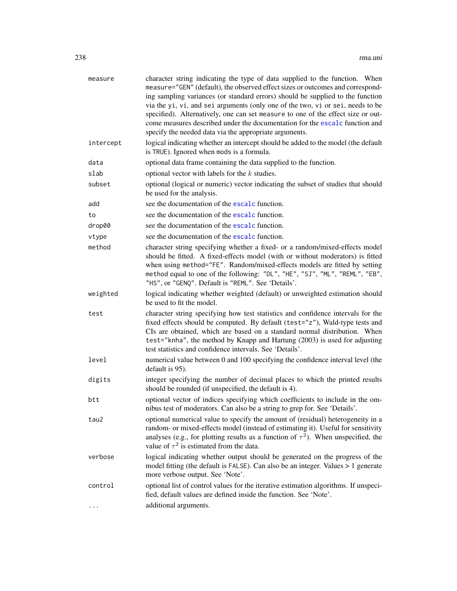| measure   | character string indicating the type of data supplied to the function. When<br>measure="GEN" (default), the observed effect sizes or outcomes and correspond-<br>ing sampling variances (or standard errors) should be supplied to the function<br>via the yi, vi, and sei arguments (only one of the two, vi or sei, needs to be<br>specified). Alternatively, one can set measure to one of the effect size or out-<br>come measures described under the documentation for the escalc function and<br>specify the needed data via the appropriate arguments. |
|-----------|----------------------------------------------------------------------------------------------------------------------------------------------------------------------------------------------------------------------------------------------------------------------------------------------------------------------------------------------------------------------------------------------------------------------------------------------------------------------------------------------------------------------------------------------------------------|
| intercept | logical indicating whether an intercept should be added to the model (the default<br>is TRUE). Ignored when mods is a formula.                                                                                                                                                                                                                                                                                                                                                                                                                                 |
| data      | optional data frame containing the data supplied to the function.                                                                                                                                                                                                                                                                                                                                                                                                                                                                                              |
| slab      | optional vector with labels for the $k$ studies.                                                                                                                                                                                                                                                                                                                                                                                                                                                                                                               |
| subset    | optional (logical or numeric) vector indicating the subset of studies that should<br>be used for the analysis.                                                                                                                                                                                                                                                                                                                                                                                                                                                 |
| add       | see the documentation of the escalc function.                                                                                                                                                                                                                                                                                                                                                                                                                                                                                                                  |
| to        | see the documentation of the escalc function.                                                                                                                                                                                                                                                                                                                                                                                                                                                                                                                  |
| drop00    | see the documentation of the escalc function.                                                                                                                                                                                                                                                                                                                                                                                                                                                                                                                  |
| vtype     | see the documentation of the escalc function.                                                                                                                                                                                                                                                                                                                                                                                                                                                                                                                  |
| method    | character string specifying whether a fixed- or a random/mixed-effects model<br>should be fitted. A fixed-effects model (with or without moderators) is fitted<br>when using method="FE". Random/mixed-effects models are fitted by setting<br>method equal to one of the following: "DL", "HE", "SJ", "ML", "REML", "EB",<br>"HS", or "GENQ". Default is "REML". See 'Details'.                                                                                                                                                                               |
| weighted  | logical indicating whether weighted (default) or unweighted estimation should<br>be used to fit the model.                                                                                                                                                                                                                                                                                                                                                                                                                                                     |
| test      | character string specifying how test statistics and confidence intervals for the<br>fixed effects should be computed. By default (test="z"), Wald-type tests and<br>CIs are obtained, which are based on a standard normal distribution. When<br>test="knha", the method by Knapp and Hartung (2003) is used for adjusting<br>test statistics and confidence intervals. See 'Details'.                                                                                                                                                                         |
| level     | numerical value between 0 and 100 specifying the confidence interval level (the<br>default is 95).                                                                                                                                                                                                                                                                                                                                                                                                                                                             |
| digits    | integer specifying the number of decimal places to which the printed results<br>should be rounded (if unspecified, the default is 4).                                                                                                                                                                                                                                                                                                                                                                                                                          |
| btt       | optional vector of indices specifying which coefficients to include in the om-<br>nibus test of moderators. Can also be a string to grep for. See 'Details'.                                                                                                                                                                                                                                                                                                                                                                                                   |
| tau2      | optional numerical value to specify the amount of (residual) heterogeneity in a<br>random- or mixed-effects model (instead of estimating it). Useful for sensitivity<br>analyses (e.g., for plotting results as a function of $\tau^2$ ). When unspecified, the<br>value of $\tau^2$ is estimated from the data.                                                                                                                                                                                                                                               |
| verbose   | logical indicating whether output should be generated on the progress of the<br>model fitting (the default is FALSE). Can also be an integer. Values > 1 generate<br>more verbose output. See 'Note'.                                                                                                                                                                                                                                                                                                                                                          |
| control   | optional list of control values for the iterative estimation algorithms. If unspeci-<br>fied, default values are defined inside the function. See 'Note'.                                                                                                                                                                                                                                                                                                                                                                                                      |
|           | additional arguments.                                                                                                                                                                                                                                                                                                                                                                                                                                                                                                                                          |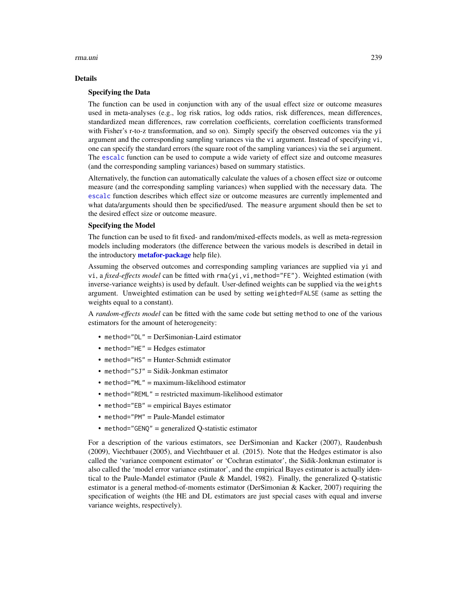#### rma.uni 239

### Details

## Specifying the Data

The function can be used in conjunction with any of the usual effect size or outcome measures used in meta-analyses (e.g., log risk ratios, log odds ratios, risk differences, mean differences, standardized mean differences, raw correlation coefficients, correlation coefficients transformed with Fisher's r-to-z transformation, and so on). Simply specify the observed outcomes via the yi argument and the corresponding sampling variances via the vi argument. Instead of specifying vi, one can specify the standard errors (the square root of the sampling variances) via the sei argument. The [escalc](#page-92-0) function can be used to compute a wide variety of effect size and outcome measures (and the corresponding sampling variances) based on summary statistics.

Alternatively, the function can automatically calculate the values of a chosen effect size or outcome measure (and the corresponding sampling variances) when supplied with the necessary data. The [escalc](#page-92-0) function describes which effect size or outcome measures are currently implemented and what data/arguments should then be specified/used. The measure argument should then be set to the desired effect size or outcome measure.

# Specifying the Model

The function can be used to fit fixed- and random/mixed-effects models, as well as meta-regression models including moderators (the difference between the various models is described in detail in the introductory **[metafor-package](#page-3-0)** help file).

Assuming the observed outcomes and corresponding sampling variances are supplied via yi and vi, a *fixed-effects model* can be fitted with rma(yi,vi,method="FE"). Weighted estimation (with inverse-variance weights) is used by default. User-defined weights can be supplied via the weights argument. Unweighted estimation can be used by setting weighted=FALSE (same as setting the weights equal to a constant).

A *random-effects model* can be fitted with the same code but setting method to one of the various estimators for the amount of heterogeneity:

- method="DL" = DerSimonian-Laird estimator
- method="HE" = Hedges estimator
- method="HS" = Hunter-Schmidt estimator
- method="SJ" = Sidik-Jonkman estimator
- method="ML" = maximum-likelihood estimator
- method="REML" = restricted maximum-likelihood estimator
- method="EB" = empirical Bayes estimator
- method="PM" = Paule-Mandel estimator
- method="GENQ" = generalized Q-statistic estimator

For a description of the various estimators, see DerSimonian and Kacker (2007), Raudenbush (2009), Viechtbauer (2005), and Viechtbauer et al. (2015). Note that the Hedges estimator is also called the 'variance component estimator' or 'Cochran estimator', the Sidik-Jonkman estimator is also called the 'model error variance estimator', and the empirical Bayes estimator is actually identical to the Paule-Mandel estimator (Paule & Mandel, 1982). Finally, the generalized Q-statistic estimator is a general method-of-moments estimator (DerSimonian & Kacker, 2007) requiring the specification of weights (the HE and DL estimators are just special cases with equal and inverse variance weights, respectively).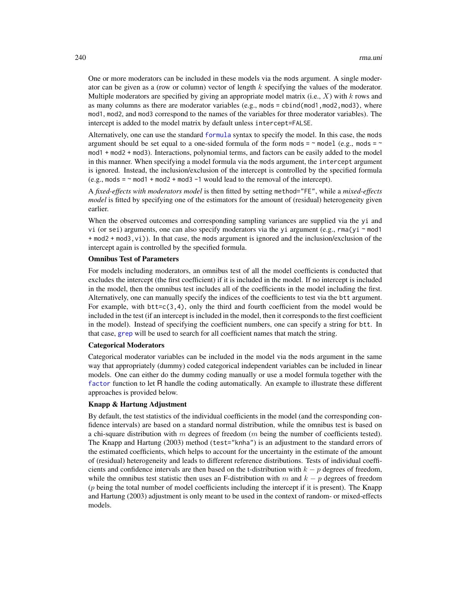One or more moderators can be included in these models via the mods argument. A single moderator can be given as a (row or column) vector of length  $k$  specifying the values of the moderator. Multiple moderators are specified by giving an appropriate model matrix (i.e.,  $X$ ) with k rows and as many columns as there are moderator variables (e.g., mods = cbind(mod1,mod2,mod3), where mod1, mod2, and mod3 correspond to the names of the variables for three moderator variables). The intercept is added to the model matrix by default unless intercept=FALSE.

Alternatively, one can use the standard [formula](#page-0-0) syntax to specify the model. In this case, the mods argument should be set equal to a one-sided formula of the form mods =  $\sim$  model (e.g., mods =  $\sim$ mod1 + mod2 + mod3). Interactions, polynomial terms, and factors can be easily added to the model in this manner. When specifying a model formula via the mods argument, the intercept argument is ignored. Instead, the inclusion/exclusion of the intercept is controlled by the specified formula  $(e.g., \text{mod } 5 = \text{mod } 1 + \text{mod } 2 + \text{mod } 3 - 1$  would lead to the removal of the intercept).

A *fixed-effects with moderators model* is then fitted by setting method="FE", while a *mixed-effects model* is fitted by specifying one of the estimators for the amount of (residual) heterogeneity given earlier.

When the observed outcomes and corresponding sampling variances are supplied via the yi and vi (or sei) arguments, one can also specify moderators via the yi argument (e.g., rma(yi ~ mod1 + mod2 + mod3,vi)). In that case, the mods argument is ignored and the inclusion/exclusion of the intercept again is controlled by the specified formula.

# Omnibus Test of Parameters

For models including moderators, an omnibus test of all the model coefficients is conducted that excludes the intercept (the first coefficient) if it is included in the model. If no intercept is included in the model, then the omnibus test includes all of the coefficients in the model including the first. Alternatively, one can manually specify the indices of the coefficients to test via the btt argument. For example, with  $btt = c(3,4)$ , only the third and fourth coefficient from the model would be included in the test (if an intercept is included in the model, then it corresponds to the first coefficient in the model). Instead of specifying the coefficient numbers, one can specify a string for btt. In that case, [grep](#page-0-0) will be used to search for all coefficient names that match the string.

# Categorical Moderators

Categorical moderator variables can be included in the model via the mods argument in the same way that appropriately (dummy) coded categorical independent variables can be included in linear models. One can either do the dummy coding manually or use a model formula together with the [factor](#page-0-0) function to let R handle the coding automatically. An example to illustrate these different approaches is provided below.

# Knapp & Hartung Adjustment

By default, the test statistics of the individual coefficients in the model (and the corresponding confidence intervals) are based on a standard normal distribution, while the omnibus test is based on a chi-square distribution with  $m$  degrees of freedom ( $m$  being the number of coefficients tested). The Knapp and Hartung (2003) method (test="knha") is an adjustment to the standard errors of the estimated coefficients, which helps to account for the uncertainty in the estimate of the amount of (residual) heterogeneity and leads to different reference distributions. Tests of individual coefficients and confidence intervals are then based on the t-distribution with  $k - p$  degrees of freedom, while the omnibus test statistic then uses an F-distribution with m and  $k - p$  degrees of freedom (p being the total number of model coefficients including the intercept if it is present). The Knapp and Hartung (2003) adjustment is only meant to be used in the context of random- or mixed-effects models.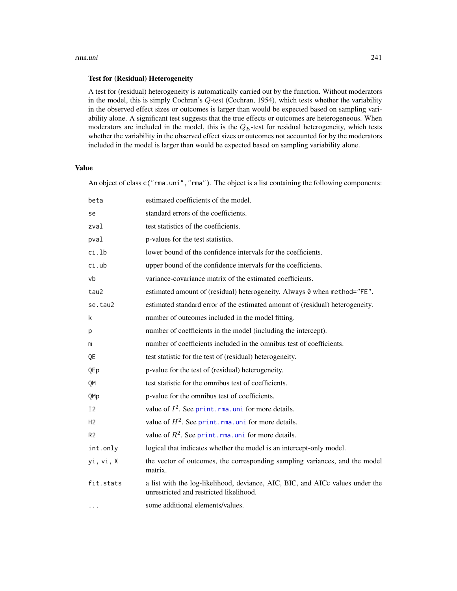#### rma.uni 241

### Test for (Residual) Heterogeneity

A test for (residual) heterogeneity is automatically carried out by the function. Without moderators in the model, this is simply Cochran's Q-test (Cochran, 1954), which tests whether the variability in the observed effect sizes or outcomes is larger than would be expected based on sampling variability alone. A significant test suggests that the true effects or outcomes are heterogeneous. When moderators are included in the model, this is the  $Q_E$ -test for residual heterogeneity, which tests whether the variability in the observed effect sizes or outcomes not accounted for by the moderators included in the model is larger than would be expected based on sampling variability alone.

# Value

An object of class  $c("rma.uni", "rma")$ . The object is a list containing the following components:

| beta           | estimated coefficients of the model.                                                                                     |
|----------------|--------------------------------------------------------------------------------------------------------------------------|
| se             | standard errors of the coefficients.                                                                                     |
| zval           | test statistics of the coefficients.                                                                                     |
| pval           | p-values for the test statistics.                                                                                        |
| ci.lb          | lower bound of the confidence intervals for the coefficients.                                                            |
| $ci.$ ub       | upper bound of the confidence intervals for the coefficients.                                                            |
| vb             | variance-covariance matrix of the estimated coefficients.                                                                |
| tau2           | estimated amount of (residual) heterogeneity. Always 0 when method="FE".                                                 |
| se.tau2        | estimated standard error of the estimated amount of (residual) heterogeneity.                                            |
| k              | number of outcomes included in the model fitting.                                                                        |
| p              | number of coefficients in the model (including the intercept).                                                           |
| m              | number of coefficients included in the omnibus test of coefficients.                                                     |
| QE             | test statistic for the test of (residual) heterogeneity.                                                                 |
| QEp            | p-value for the test of (residual) heterogeneity.                                                                        |
| QM             | test statistic for the omnibus test of coefficients.                                                                     |
| QMp            | p-value for the omnibus test of coefficients.                                                                            |
| I <sub>2</sub> | value of $I^2$ . See print. rma. uni for more details.                                                                   |
| H <sub>2</sub> | value of $H^2$ . See print. rma. uni for more details.                                                                   |
| R <sub>2</sub> | value of $R^2$ . See print. rma. uni for more details.                                                                   |
| int.only       | logical that indicates whether the model is an intercept-only model.                                                     |
| yi, vi, X      | the vector of outcomes, the corresponding sampling variances, and the model<br>matrix.                                   |
| fit.stats      | a list with the log-likelihood, deviance, AIC, BIC, and AICc values under the<br>unrestricted and restricted likelihood. |
| $\cdots$       | some additional elements/values.                                                                                         |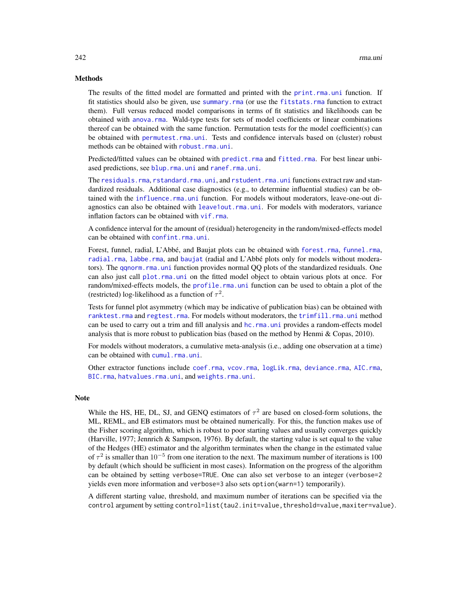## Methods

The results of the fitted model are formatted and printed with the [print.rma.uni](#page-180-0) function. If fit statistics should also be given, use [summary.rma](#page-180-0) (or use the [fitstats.rma](#page-108-0) function to extract them). Full versus reduced model comparisons in terms of fit statistics and likelihoods can be obtained with [anova.rma](#page-14-0). Wald-type tests for sets of model coefficients or linear combinations thereof can be obtained with the same function. Permutation tests for the model coefficient(s) can be obtained with [permutest.rma.uni](#page-153-0). Tests and confidence intervals based on (cluster) robust methods can be obtained with [robust.rma.uni](#page-246-0).

Predicted/fitted values can be obtained with [predict.rma](#page-164-0) and [fitted.rma](#page-110-0). For best linear unbiased predictions, see [blup.rma.uni](#page-21-0) and [ranef.rma.uni](#page-193-0).

The [residuals.rma](#page-204-0), [rstandard.rma.uni](#page-204-1), and [rstudent.rma.uni](#page-204-1) functions extract raw and standardized residuals. Additional case diagnostics (e.g., to determine influential studies) can be obtained with the [influence.rma.uni](#page-141-0) function. For models without moderators, leave-one-out diagnostics can also be obtained with [leave1out.rma.uni](#page-147-0). For models with moderators, variance inflation factors can be obtained with  $v$  if. rma.

A confidence interval for the amount of (residual) heterogeneity in the random/mixed-effects model can be obtained with [confint.rma.uni](#page-25-0).

Forest, funnel, radial, L'Abbé, and Baujat plots can be obtained with [forest.rma](#page-119-0), [funnel.rma](#page-129-0), [radial.rma](#page-191-0), [labbe.rma](#page-144-0), and [baujat](#page-18-0) (radial and L'Abbé plots only for models without moderators). The [qqnorm.rma.uni](#page-188-1) function provides normal QQ plots of the standardized residuals. One can also just call [plot.rma.uni](#page-163-0) on the fitted model object to obtain various plots at once. For random/mixed-effects models, the [profile.rma.uni](#page-185-1) function can be used to obtain a plot of the (restricted) log-likelihood as a function of  $\tau^2$ .

Tests for funnel plot asymmetry (which may be indicative of publication bias) can be obtained with [ranktest.rma](#page-196-0) and [regtest.rma](#page-197-0). For models without moderators, the [trimfill.rma.uni](#page-260-0) method can be used to carry out a trim and fill analysis and [hc.rma.uni](#page-137-0) provides a random-effects model analysis that is more robust to publication bias (based on the method by Henmi  $\&$  Copas, 2010).

For models without moderators, a cumulative meta-analysis (i.e., adding one observation at a time) can be obtained with [cumul.rma.uni](#page-32-0).

Other extractor functions include [coef.rma](#page-24-0), [vcov.rma](#page-264-0), [logLik.rma](#page-108-0), [deviance.rma](#page-108-0), [AIC.rma](#page-108-0), [BIC.rma](#page-108-0), [hatvalues.rma.uni](#page-141-1), and [weights.rma.uni](#page-268-1).

#### **Note**

While the HS, HE, DL, SJ, and GENQ estimators of  $\tau^2$  are based on closed-form solutions, the ML, REML, and EB estimators must be obtained numerically. For this, the function makes use of the Fisher scoring algorithm, which is robust to poor starting values and usually converges quickly (Harville, 1977; Jennrich & Sampson, 1976). By default, the starting value is set equal to the value of the Hedges (HE) estimator and the algorithm terminates when the change in the estimated value of  $\tau^2$  is smaller than 10<sup>-5</sup> from one iteration to the next. The maximum number of iterations is 100 by default (which should be sufficient in most cases). Information on the progress of the algorithm can be obtained by setting verbose=TRUE. One can also set verbose to an integer (verbose=2 yields even more information and verbose=3 also sets option(warn=1) temporarily).

A different starting value, threshold, and maximum number of iterations can be specified via the control argument by setting control=list(tau2.init=value,threshold=value,maxiter=value).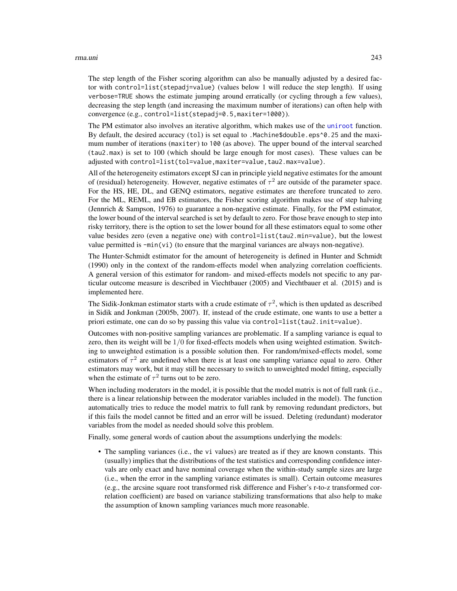#### rma.uni 243

The step length of the Fisher scoring algorithm can also be manually adjusted by a desired factor with control=list(stepadj=value) (values below 1 will reduce the step length). If using verbose=TRUE shows the estimate jumping around erratically (or cycling through a few values), decreasing the step length (and increasing the maximum number of iterations) can often help with convergence (e.g., control=list(stepadj=0.5,maxiter=1000)).

The PM estimator also involves an iterative algorithm, which makes use of the [uniroot](#page-0-0) function. By default, the desired accuracy (tol) is set equal to .Machine\$double.eps^0.25 and the maximum number of iterations (maxiter) to 100 (as above). The upper bound of the interval searched (tau2.max) is set to 100 (which should be large enough for most cases). These values can be adjusted with control=list(tol=value,maxiter=value,tau2.max=value).

All of the heterogeneity estimators except SJ can in principle yield negative estimates for the amount of (residual) heterogeneity. However, negative estimates of  $\tau^2$  are outside of the parameter space. For the HS, HE, DL, and GENQ estimators, negative estimates are therefore truncated to zero. For the ML, REML, and EB estimators, the Fisher scoring algorithm makes use of step halving (Jennrich & Sampson, 1976) to guarantee a non-negative estimate. Finally, for the PM estimator, the lower bound of the interval searched is set by default to zero. For those brave enough to step into risky territory, there is the option to set the lower bound for all these estimators equal to some other value besides zero (even a negative one) with control=list(tau2.min=value), but the lowest value permitted is  $-\min(v_i)$  (to ensure that the marginal variances are always non-negative).

The Hunter-Schmidt estimator for the amount of heterogeneity is defined in Hunter and Schmidt (1990) only in the context of the random-effects model when analyzing correlation coefficients. A general version of this estimator for random- and mixed-effects models not specific to any particular outcome measure is described in Viechtbauer (2005) and Viechtbauer et al. (2015) and is implemented here.

The Sidik-Jonkman estimator starts with a crude estimate of  $\tau^2$ , which is then updated as described in Sidik and Jonkman (2005b, 2007). If, instead of the crude estimate, one wants to use a better a priori estimate, one can do so by passing this value via control=list(tau2.init=value).

Outcomes with non-positive sampling variances are problematic. If a sampling variance is equal to zero, then its weight will be  $1/0$  for fixed-effects models when using weighted estimation. Switching to unweighted estimation is a possible solution then. For random/mixed-effects model, some estimators of  $\tau^2$  are undefined when there is at least one sampling variance equal to zero. Other estimators may work, but it may still be necessary to switch to unweighted model fitting, especially when the estimate of  $\tau^2$  turns out to be zero.

When including moderators in the model, it is possible that the model matrix is not of full rank (i.e., there is a linear relationship between the moderator variables included in the model). The function automatically tries to reduce the model matrix to full rank by removing redundant predictors, but if this fails the model cannot be fitted and an error will be issued. Deleting (redundant) moderator variables from the model as needed should solve this problem.

Finally, some general words of caution about the assumptions underlying the models:

• The sampling variances (i.e., the vi values) are treated as if they are known constants. This (usually) implies that the distributions of the test statistics and corresponding confidence intervals are only exact and have nominal coverage when the within-study sample sizes are large (i.e., when the error in the sampling variance estimates is small). Certain outcome measures (e.g., the arcsine square root transformed risk difference and Fisher's r-to-z transformed correlation coefficient) are based on variance stabilizing transformations that also help to make the assumption of known sampling variances much more reasonable.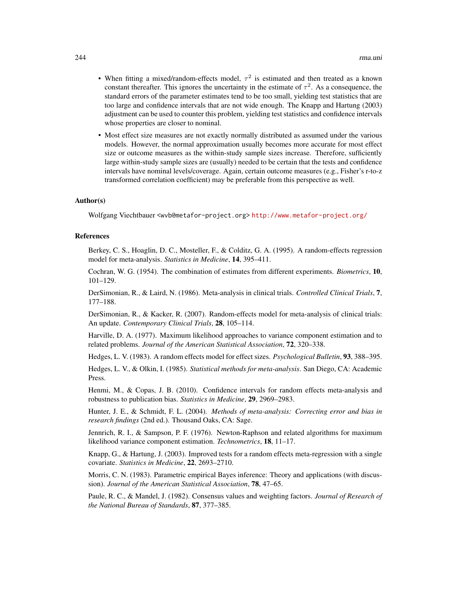- When fitting a mixed/random-effects model,  $\tau^2$  is estimated and then treated as a known constant thereafter. This ignores the uncertainty in the estimate of  $\tau^2$ . As a consequence, the standard errors of the parameter estimates tend to be too small, yielding test statistics that are too large and confidence intervals that are not wide enough. The Knapp and Hartung (2003) adjustment can be used to counter this problem, yielding test statistics and confidence intervals whose properties are closer to nominal.
- Most effect size measures are not exactly normally distributed as assumed under the various models. However, the normal approximation usually becomes more accurate for most effect size or outcome measures as the within-study sample sizes increase. Therefore, sufficiently large within-study sample sizes are (usually) needed to be certain that the tests and confidence intervals have nominal levels/coverage. Again, certain outcome measures (e.g., Fisher's r-to-z transformed correlation coefficient) may be preferable from this perspective as well.

# Author(s)

Wolfgang Viechtbauer <wvb@metafor-project.org> <http://www.metafor-project.org/>

#### References

Berkey, C. S., Hoaglin, D. C., Mosteller, F., & Colditz, G. A. (1995). A random-effects regression model for meta-analysis. *Statistics in Medicine*, 14, 395–411.

Cochran, W. G. (1954). The combination of estimates from different experiments. *Biometrics*, 10, 101–129.

DerSimonian, R., & Laird, N. (1986). Meta-analysis in clinical trials. *Controlled Clinical Trials*, 7, 177–188.

DerSimonian, R., & Kacker, R. (2007). Random-effects model for meta-analysis of clinical trials: An update. *Contemporary Clinical Trials*, 28, 105–114.

Harville, D. A. (1977). Maximum likelihood approaches to variance component estimation and to related problems. *Journal of the American Statistical Association*, 72, 320–338.

Hedges, L. V. (1983). A random effects model for effect sizes. *Psychological Bulletin*, 93, 388–395.

Hedges, L. V., & Olkin, I. (1985). *Statistical methods for meta-analysis*. San Diego, CA: Academic Press.

Henmi, M., & Copas, J. B. (2010). Confidence intervals for random effects meta-analysis and robustness to publication bias. *Statistics in Medicine*, 29, 2969–2983.

Hunter, J. E., & Schmidt, F. L. (2004). *Methods of meta-analysis: Correcting error and bias in research findings* (2nd ed.). Thousand Oaks, CA: Sage.

Jennrich, R. I., & Sampson, P. F. (1976). Newton-Raphson and related algorithms for maximum likelihood variance component estimation. *Technometrics*, 18, 11–17.

Knapp, G., & Hartung, J. (2003). Improved tests for a random effects meta-regression with a single covariate. *Statistics in Medicine*, 22, 2693–2710.

Morris, C. N. (1983). Parametric empirical Bayes inference: Theory and applications (with discussion). *Journal of the American Statistical Association*, 78, 47–65.

Paule, R. C., & Mandel, J. (1982). Consensus values and weighting factors. *Journal of Research of the National Bureau of Standards*, 87, 377–385.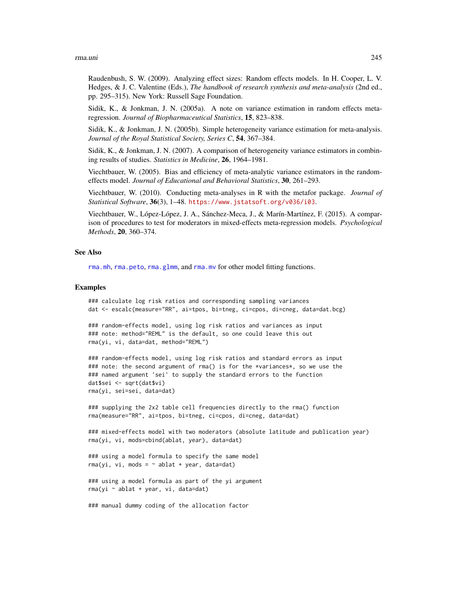#### rma.uni 245

Raudenbush, S. W. (2009). Analyzing effect sizes: Random effects models. In H. Cooper, L. V. Hedges, & J. C. Valentine (Eds.), *The handbook of research synthesis and meta-analysis* (2nd ed., pp. 295–315). New York: Russell Sage Foundation.

Sidik, K., & Jonkman, J. N. (2005a). A note on variance estimation in random effects metaregression. *Journal of Biopharmaceutical Statistics*, 15, 823–838.

Sidik, K., & Jonkman, J. N. (2005b). Simple heterogeneity variance estimation for meta-analysis. *Journal of the Royal Statistical Society, Series C*, 54, 367–384.

Sidik, K., & Jonkman, J. N. (2007). A comparison of heterogeneity variance estimators in combining results of studies. *Statistics in Medicine*, 26, 1964–1981.

Viechtbauer, W. (2005). Bias and efficiency of meta-analytic variance estimators in the randomeffects model. *Journal of Educational and Behavioral Statistics*, 30, 261–293.

Viechtbauer, W. (2010). Conducting meta-analyses in R with the metafor package. *Journal of Statistical Software*, 36(3), 1–48. <https://www.jstatsoft.org/v036/i03>.

Viechtbauer, W., López-López, J. A., Sánchez-Meca, J., & Marín-Martínez, F. (2015). A comparison of procedures to test for moderators in mixed-effects meta-regression models. *Psychological Methods*, 20, 360–374.

#### See Also

[rma.mh](#page-216-0), [rma.peto](#page-232-0), [rma.glmm](#page-208-0), and [rma.mv](#page-220-0) for other model fitting functions.

## Examples

```
### calculate log risk ratios and corresponding sampling variances
dat <- escalc(measure="RR", ai=tpos, bi=tneg, ci=cpos, di=cneg, data=dat.bcg)
```

```
### random-effects model, using log risk ratios and variances as input
### note: method="REML" is the default, so one could leave this out
rma(yi, vi, data=dat, method="REML")
```

```
### random-effects model, using log risk ratios and standard errors as input
### note: the second argument of rma() is for the *variances*, so we use the
### named argument 'sei' to supply the standard errors to the function
dat$sei <- sqrt(dat$vi)
rma(yi, sei=sei, data=dat)
```
### supplying the 2x2 table cell frequencies directly to the rma() function rma(measure="RR", ai=tpos, bi=tneg, ci=cpos, di=cneg, data=dat)

```
### mixed-effects model with two moderators (absolute latitude and publication year)
rma(yi, vi, mods=cbind(ablat, year), data=dat)
```
### using a model formula to specify the same model  $rma(yi, vi, mods = ~ablat + year, data=dat)$ 

### using a model formula as part of the yi argument rma(yi ~ ablat + year, vi, data=dat)

### manual dummy coding of the allocation factor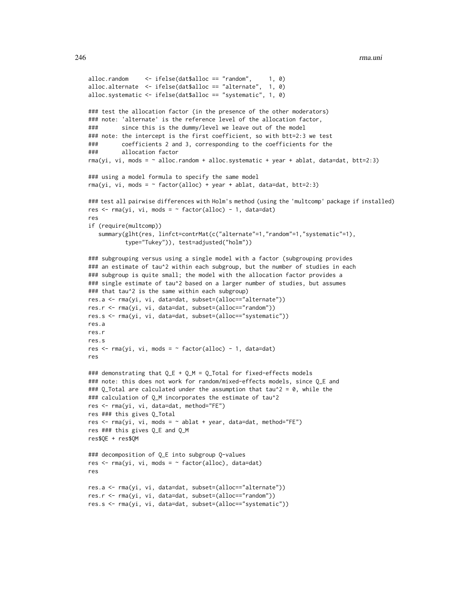```
alloc.random \le ifelse(dat$alloc == "random", 1, 0)
alloc.alternate <- ifelse(dat$alloc == "alternate", 1, 0)
alloc.systematic <- ifelse(dat$alloc == "systematic", 1, 0)
### test the allocation factor (in the presence of the other moderators)
### note: 'alternate' is the reference level of the allocation factor,
### since this is the dummy/level we leave out of the model
### note: the intercept is the first coefficient, so with btt=2:3 we test
### coefficients 2 and 3, corresponding to the coefficients for the
### allocation factor
rma(yi, vi, mods = \sim alloc.random + alloc.systematic + year + ablat, data=dat, btt=2:3)
### using a model formula to specify the same model
rma(yi, vi, mods = \sim factor(alloc) + year + ablat, data=dat, btt=2:3)
### test all pairwise differences with Holm's method (using the 'multcomp' package if installed)
res \leq rma(yi, vi, mods = \sim factor(alloc) - 1, data=dat)
res
if (require(multcomp))
   summary(glht(res, linfct=contrMat(c("alternate"=1,"random"=1,"systematic"=1),
           type="Tukey")), test=adjusted("holm"))
### subgrouping versus using a single model with a factor (subgrouping provides
### an estimate of tau^2 within each subgroup, but the number of studies in each
### subgroup is quite small; the model with the allocation factor provides a
### single estimate of tau^2 based on a larger number of studies, but assumes
### that tau^2 is the same within each subgroup)
res.a <- rma(yi, vi, data=dat, subset=(alloc=="alternate"))
res.r <- rma(yi, vi, data=dat, subset=(alloc=="random"))
res.s <- rma(yi, vi, data=dat, subset=(alloc=="systematic"))
res.a
res.r
res.s
res \leq rma(yi, vi, mods = \sim factor(alloc) - 1, data=dat)
res
### demonstrating that Q_E + Q_M = Q_I Total for fixed-effects models
### note: this does not work for random/mixed-effects models, since Q_E and
### Q_Total are calculated under the assumption that tau^2 = 0, while the
### calculation of Q_M incorporates the estimate of tau^2
res <- rma(yi, vi, data=dat, method="FE")
res ### this gives Q_Total
res \leq rma(yi, vi, mods = \sim ablat + year, data=dat, method="FE")
res ### this gives Q_E and Q_M
res$QE + res$QM
### decomposition of Q_E into subgroup Q-values
res \leq rma(yi, vi, mods = \sim factor(alloc), data=dat)
res
res.a <- rma(yi, vi, data=dat, subset=(alloc=="alternate"))
res.r <- rma(yi, vi, data=dat, subset=(alloc=="random"))
```

```
res.s <- rma(yi, vi, data=dat, subset=(alloc=="systematic"))
```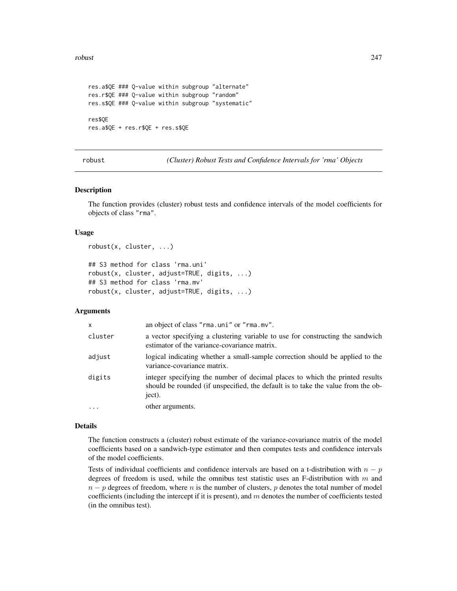#### robust 247

```
res.a$QE ### Q-value within subgroup "alternate"
res.r$QE ### Q-value within subgroup "random"
res.s$QE ### Q-value within subgroup "systematic"
res$QE
res.a$QE + res.r$QE + res.s$QE
```
robust *(Cluster) Robust Tests and Confidence Intervals for 'rma' Objects*

#### <span id="page-246-0"></span>Description

The function provides (cluster) robust tests and confidence intervals of the model coefficients for objects of class "rma".

## Usage

```
robust(x, cluster, ...)
```

```
## S3 method for class 'rma.uni'
robust(x, cluster, adjust=TRUE, digits, ...)
## S3 method for class 'rma.mv'
robust(x, cluster, adjust=TRUE, digits, ...)
```
# Arguments

| $\mathsf{x}$ | an object of class "rma.uni" or "rma.mv".                                                                                                                                  |
|--------------|----------------------------------------------------------------------------------------------------------------------------------------------------------------------------|
| cluster      | a vector specifying a clustering variable to use for constructing the sandwich<br>estimator of the variance-covariance matrix.                                             |
| adjust       | logical indicating whether a small-sample correction should be applied to the<br>variance-covariance matrix.                                                               |
| digits       | integer specifying the number of decimal places to which the printed results<br>should be rounded (if unspecified, the default is to take the value from the ob-<br>ject). |
| $\cdot$      | other arguments.                                                                                                                                                           |

#### Details

The function constructs a (cluster) robust estimate of the variance-covariance matrix of the model coefficients based on a sandwich-type estimator and then computes tests and confidence intervals of the model coefficients.

Tests of individual coefficients and confidence intervals are based on a t-distribution with  $n - p$ degrees of freedom is used, while the omnibus test statistic uses an F-distribution with m and  $n - p$  degrees of freedom, where n is the number of clusters, p denotes the total number of model coefficients (including the intercept if it is present), and  $m$  denotes the number of coefficients tested (in the omnibus test).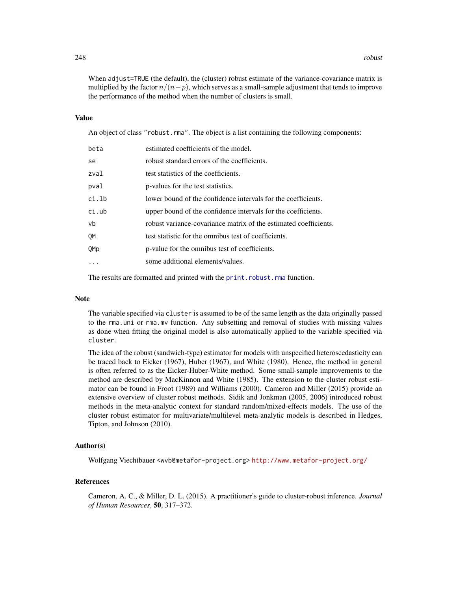When adjust=TRUE (the default), the (cluster) robust estimate of the variance-covariance matrix is multiplied by the factor  $n/(n-p)$ , which serves as a small-sample adjustment that tends to improve the performance of the method when the number of clusters is small.

## Value

An object of class "robust.rma". The object is a list containing the following components:

| beta  | estimated coefficients of the model.                             |
|-------|------------------------------------------------------------------|
| se    | robust standard errors of the coefficients.                      |
| zval  | test statistics of the coefficients.                             |
| pval  | p-values for the test statistics.                                |
| ci.lb | lower bound of the confidence intervals for the coefficients.    |
| ci.ub | upper bound of the confidence intervals for the coefficients.    |
| vb    | robust variance-covariance matrix of the estimated coefficients. |
| OМ    | test statistic for the omnibus test of coefficients.             |
| OMp   | p-value for the omnibus test of coefficients.                    |
| .     | some additional elements/values.                                 |
|       |                                                                  |

The results are formatted and printed with the [print.robust.rma](#page-183-0) function.

#### Note

The variable specified via cluster is assumed to be of the same length as the data originally passed to the rma.uni or rma.mv function. Any subsetting and removal of studies with missing values as done when fitting the original model is also automatically applied to the variable specified via cluster.

The idea of the robust (sandwich-type) estimator for models with unspecified heteroscedasticity can be traced back to Eicker (1967), Huber (1967), and White (1980). Hence, the method in general is often referred to as the Eicker-Huber-White method. Some small-sample improvements to the method are described by MacKinnon and White (1985). The extension to the cluster robust estimator can be found in Froot (1989) and Williams (2000). Cameron and Miller (2015) provide an extensive overview of cluster robust methods. Sidik and Jonkman (2005, 2006) introduced robust methods in the meta-analytic context for standard random/mixed-effects models. The use of the cluster robust estimator for multivariate/multilevel meta-analytic models is described in Hedges, Tipton, and Johnson (2010).

# Author(s)

Wolfgang Viechtbauer <wvb@metafor-project.org> <http://www.metafor-project.org/>

## References

Cameron, A. C., & Miller, D. L. (2015). A practitioner's guide to cluster-robust inference. *Journal of Human Resources*, 50, 317–372.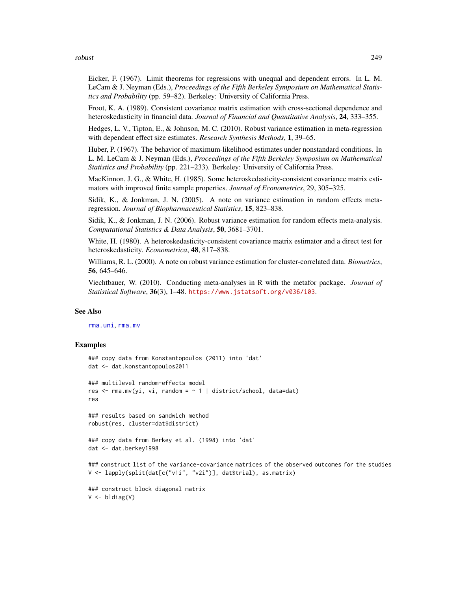robust 249

Eicker, F. (1967). Limit theorems for regressions with unequal and dependent errors. In L. M. LeCam & J. Neyman (Eds.), *Proceedings of the Fifth Berkeley Symposium on Mathematical Statistics and Probability* (pp. 59–82). Berkeley: University of California Press.

Froot, K. A. (1989). Consistent covariance matrix estimation with cross-sectional dependence and heteroskedasticity in financial data. *Journal of Financial and Quantitative Analysis*, 24, 333–355.

Hedges, L. V., Tipton, E., & Johnson, M. C. (2010). Robust variance estimation in meta-regression with dependent effect size estimates. *Research Synthesis Methods*, 1, 39–65.

Huber, P. (1967). The behavior of maximum-likelihood estimates under nonstandard conditions. In L. M. LeCam & J. Neyman (Eds.), *Proceedings of the Fifth Berkeley Symposium on Mathematical Statistics and Probability* (pp. 221–233). Berkeley: University of California Press.

MacKinnon, J. G., & White, H. (1985). Some heteroskedasticity-consistent covariance matrix estimators with improved finite sample properties. *Journal of Econometrics*, 29, 305–325.

Sidik, K., & Jonkman, J. N. (2005). A note on variance estimation in random effects metaregression. *Journal of Biopharmaceutical Statistics*, 15, 823–838.

Sidik, K., & Jonkman, J. N. (2006). Robust variance estimation for random effects meta-analysis. *Computational Statistics & Data Analysis*, 50, 3681–3701.

White, H. (1980). A heteroskedasticity-consistent covariance matrix estimator and a direct test for heteroskedasticity. *Econometrica*, 48, 817–838.

Williams, R. L. (2000). A note on robust variance estimation for cluster-correlated data. *Biometrics*, 56, 645–646.

Viechtbauer, W. (2010). Conducting meta-analyses in R with the metafor package. *Journal of Statistical Software*, 36(3), 1–48. <https://www.jstatsoft.org/v036/i03>.

# See Also

[rma.uni](#page-235-0), [rma.mv](#page-220-0)

# Examples

```
### copy data from Konstantopoulos (2011) into 'dat'
dat <- dat.konstantopoulos2011
### multilevel random-effects model
res \leq rma.mv(yi, vi, random = \sim 1 | district/school, data=dat)
res
### results based on sandwich method
```
robust(res, cluster=dat\$district)

```
### copy data from Berkey et al. (1998) into 'dat'
dat <- dat.berkey1998
```

```
### construct list of the variance-covariance matrices of the observed outcomes for the studies
V <- lapply(split(dat[c("v1i", "v2i")], dat$trial), as.matrix)
```

```
### construct block diagonal matrix
V <- bldiag(V)
```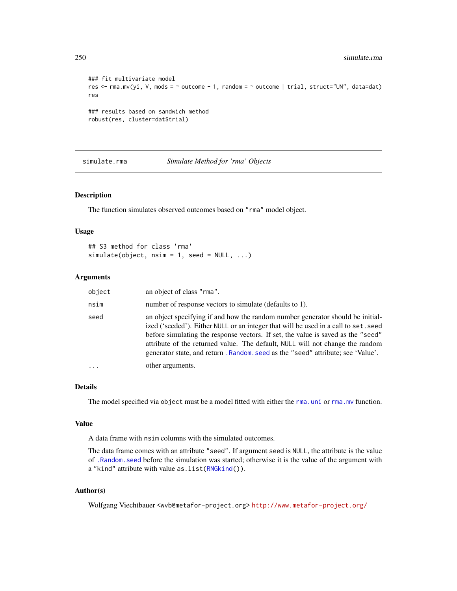```
### fit multivariate model
res <- rma.mv(yi, V, mods = ~ outcome - 1, random = ~ outcome | trial, struct="UN", data=dat)
res
### results based on sandwich method
robust(res, cluster=dat$trial)
```
simulate.rma *Simulate Method for 'rma' Objects*

## Description

The function simulates observed outcomes based on "rma" model object.

## Usage

```
## S3 method for class 'rma'
simulate(object, nsim = 1, seed = NULL, ...)
```
# Arguments

| object | an object of class "rma".                                                                                                                                                                                                                                                                                                                                                                                                     |
|--------|-------------------------------------------------------------------------------------------------------------------------------------------------------------------------------------------------------------------------------------------------------------------------------------------------------------------------------------------------------------------------------------------------------------------------------|
| nsim   | number of response vectors to simulate (defaults to 1).                                                                                                                                                                                                                                                                                                                                                                       |
| seed   | an object specifying if and how the random number generator should be initial-<br>ized ('seeded'). Either NULL or an integer that will be used in a call to set. seed<br>before simulating the response vectors. If set, the value is saved as the "seed"<br>attribute of the returned value. The default, NULL will not change the random<br>generator state, and return, Random, seed as the "seed" attribute; see 'Value'. |
| .      | other arguments.                                                                                                                                                                                                                                                                                                                                                                                                              |

# Details

The model specified via object must be a model fitted with either the [rma.uni](#page-235-0) or [rma.mv](#page-220-0) function.

#### Value

A data frame with nsim columns with the simulated outcomes.

The data frame comes with an attribute "seed". If argument seed is NULL, the attribute is the value of [.Random.seed](#page-0-0) before the simulation was started; otherwise it is the value of the argument with a "kind" attribute with value as. list[\(RNGkind\(](#page-0-0))).

# Author(s)

Wolfgang Viechtbauer <wvb@metafor-project.org> <http://www.metafor-project.org/>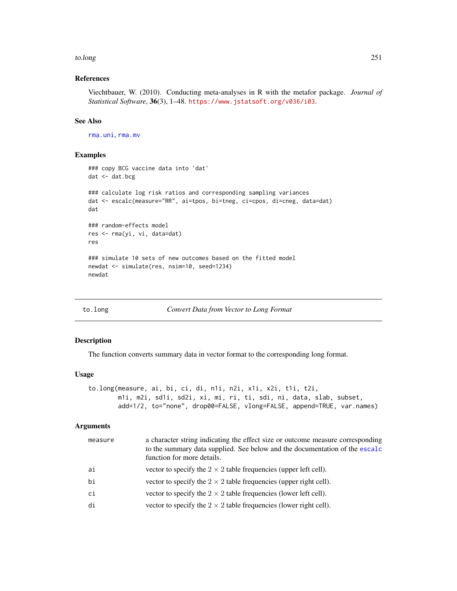#### to.long 251

# References

Viechtbauer, W. (2010). Conducting meta-analyses in R with the metafor package. *Journal of Statistical Software*, 36(3), 1–48. <https://www.jstatsoft.org/v036/i03>.

# See Also

[rma.uni](#page-235-0), [rma.mv](#page-220-0)

## Examples

```
### copy BCG vaccine data into 'dat'
dat <- dat.bcg
### calculate log risk ratios and corresponding sampling variances
dat <- escalc(measure="RR", ai=tpos, bi=tneg, ci=cpos, di=cneg, data=dat)
dat
### random-effects model
res <- rma(yi, vi, data=dat)
res
### simulate 10 sets of new outcomes based on the fitted model
newdat <- simulate(res, nsim=10, seed=1234)
newdat
```
to.long *Convert Data from Vector to Long Format*

#### Description

The function converts summary data in vector format to the corresponding long format.

#### Usage

```
to.long(measure, ai, bi, ci, di, n1i, n2i, x1i, x2i, t1i, t2i,
       m1i, m2i, sd1i, sd2i, xi, mi, ri, ti, sdi, ni, data, slab, subset,
       add=1/2, to="none", drop00=FALSE, vlong=FALSE, append=TRUE, var.names)
```
#### Arguments

| measure | a character string indicating the effect size or outcome measure corresponding<br>to the summary data supplied. See below and the documentation of the escalc<br>function for more details. |
|---------|---------------------------------------------------------------------------------------------------------------------------------------------------------------------------------------------|
| ai      | vector to specify the $2 \times 2$ table frequencies (upper left cell).                                                                                                                     |
| bi      | vector to specify the $2 \times 2$ table frequencies (upper right cell).                                                                                                                    |
| сi      | vector to specify the $2 \times 2$ table frequencies (lower left cell).                                                                                                                     |
| di      | vector to specify the $2 \times 2$ table frequencies (lower right cell).                                                                                                                    |
|         |                                                                                                                                                                                             |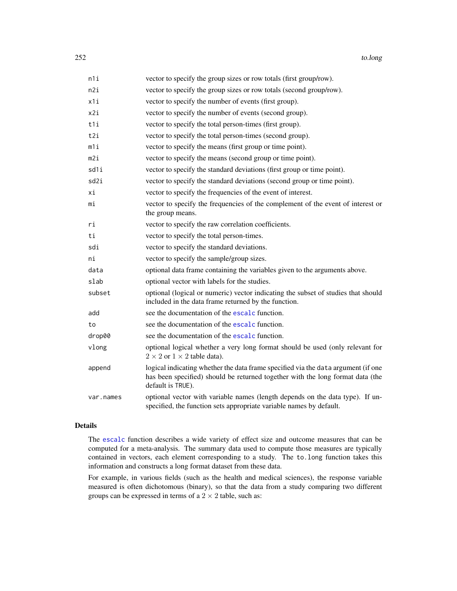| n1i       | vector to specify the group sizes or row totals (first group/row).                                                                                                                       |
|-----------|------------------------------------------------------------------------------------------------------------------------------------------------------------------------------------------|
| n2i       | vector to specify the group sizes or row totals (second group/row).                                                                                                                      |
| x1i       | vector to specify the number of events (first group).                                                                                                                                    |
| x2i       | vector to specify the number of events (second group).                                                                                                                                   |
| t1i       | vector to specify the total person-times (first group).                                                                                                                                  |
| t2i       | vector to specify the total person-times (second group).                                                                                                                                 |
| m1i       | vector to specify the means (first group or time point).                                                                                                                                 |
| m2i       | vector to specify the means (second group or time point).                                                                                                                                |
| sd1i      | vector to specify the standard deviations (first group or time point).                                                                                                                   |
| sd2i      | vector to specify the standard deviations (second group or time point).                                                                                                                  |
| хi        | vector to specify the frequencies of the event of interest.                                                                                                                              |
| mi        | vector to specify the frequencies of the complement of the event of interest or<br>the group means.                                                                                      |
| ri        | vector to specify the raw correlation coefficients.                                                                                                                                      |
| ti        | vector to specify the total person-times.                                                                                                                                                |
| sdi       | vector to specify the standard deviations.                                                                                                                                               |
| ni        | vector to specify the sample/group sizes.                                                                                                                                                |
| data      | optional data frame containing the variables given to the arguments above.                                                                                                               |
| slab      | optional vector with labels for the studies.                                                                                                                                             |
| subset    | optional (logical or numeric) vector indicating the subset of studies that should<br>included in the data frame returned by the function.                                                |
| add       | see the documentation of the escalc function.                                                                                                                                            |
| to        | see the documentation of the escalc function.                                                                                                                                            |
| drop00    | see the documentation of the escalc function.                                                                                                                                            |
| vlong     | optional logical whether a very long format should be used (only relevant for<br>$2 \times 2$ or $1 \times 2$ table data).                                                               |
| append    | logical indicating whether the data frame specified via the data argument (if one<br>has been specified) should be returned together with the long format data (the<br>default is TRUE). |
| var.names | optional vector with variable names (length depends on the data type). If un-<br>specified, the function sets appropriate variable names by default.                                     |

## Details

The [escalc](#page-92-0) function describes a wide variety of effect size and outcome measures that can be computed for a meta-analysis. The summary data used to compute those measures are typically contained in vectors, each element corresponding to a study. The to.long function takes this information and constructs a long format dataset from these data.

For example, in various fields (such as the health and medical sciences), the response variable measured is often dichotomous (binary), so that the data from a study comparing two different groups can be expressed in terms of a  $2 \times 2$  table, such as: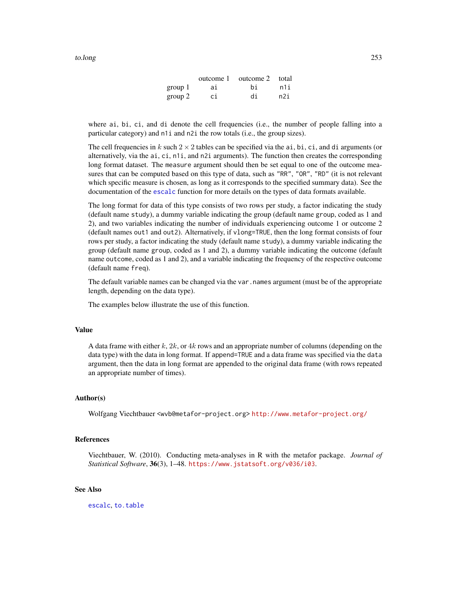|         |     | outcome 1 outcome 2 total |     |
|---------|-----|---------------------------|-----|
| group 1 | ai  | hi                        | n1i |
| group 2 | .ci | di                        | n2i |

<span id="page-252-0"></span>where ai, bi, ci, and di denote the cell frequencies (i.e., the number of people falling into a particular category) and n1i and n2i the row totals (i.e., the group sizes).

The cell frequencies in k such  $2 \times 2$  tables can be specified via the ai, bi, ci, and di arguments (or alternatively, via the ai, ci, n1i, and n2i arguments). The function then creates the corresponding long format dataset. The measure argument should then be set equal to one of the outcome measures that can be computed based on this type of data, such as "RR", "OR", "RD" (it is not relevant which specific measure is chosen, as long as it corresponds to the specified summary data). See the documentation of the [escalc](#page-92-0) function for more details on the types of data formats available.

The long format for data of this type consists of two rows per study, a factor indicating the study (default name study), a dummy variable indicating the group (default name group, coded as 1 and 2), and two variables indicating the number of individuals experiencing outcome 1 or outcome 2 (default names out1 and out2). Alternatively, if vlong=TRUE, then the long format consists of four rows per study, a factor indicating the study (default name study), a dummy variable indicating the group (default name group, coded as 1 and 2), a dummy variable indicating the outcome (default name outcome, coded as 1 and 2), and a variable indicating the frequency of the respective outcome (default name freq).

The default variable names can be changed via the var . names argument (must be of the appropriate length, depending on the data type).

The examples below illustrate the use of this function.

#### Value

A data frame with either k,  $2k$ , or  $4k$  rows and an appropriate number of columns (depending on the data type) with the data in long format. If append=TRUE and a data frame was specified via the data argument, then the data in long format are appended to the original data frame (with rows repeated an appropriate number of times).

# Author(s)

Wolfgang Viechtbauer <wvb@metafor-project.org> <http://www.metafor-project.org/>

# References

Viechtbauer, W. (2010). Conducting meta-analyses in R with the metafor package. *Journal of Statistical Software*, 36(3), 1–48. <https://www.jstatsoft.org/v036/i03>.

# See Also

[escalc](#page-92-0), [to.table](#page-253-0)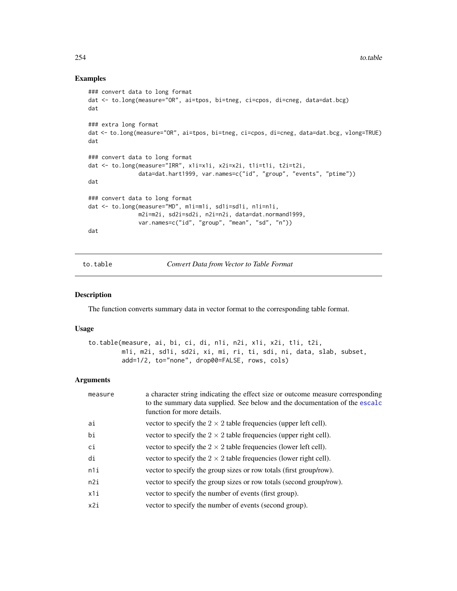# Examples

```
### convert data to long format
dat <- to.long(measure="OR", ai=tpos, bi=tneg, ci=cpos, di=cneg, data=dat.bcg)
dat
### extra long format
dat <- to.long(measure="OR", ai=tpos, bi=tneg, ci=cpos, di=cneg, data=dat.bcg, vlong=TRUE)
dat
### convert data to long format
dat <- to.long(measure="IRR", x1i=x1i, x2i=x2i, t1i=t1i, t2i=t2i,
               data=dat.hart1999, var.names=c("id", "group", "events", "ptime"))
dat
### convert data to long format
dat <- to.long(measure="MD", m1i=m1i, sd1i=sd1i, n1i=n1i,
               m2i=m2i, sd2i=sd2i, n2i=n2i, data=dat.normand1999,
               var.names=c("id", "group", "mean", "sd", "n"))
dat
```
<span id="page-253-0"></span>to.table *Convert Data from Vector to Table Format*

# Description

The function converts summary data in vector format to the corresponding table format.

#### Usage

```
to.table(measure, ai, bi, ci, di, n1i, n2i, x1i, x2i, t1i, t2i,
        m1i, m2i, sd1i, sd2i, xi, mi, ri, ti, sdi, ni, data, slab, subset,
        add=1/2, to="none", drop00=FALSE, rows, cols)
```
# Arguments

| ai<br>vector to specify the $2 \times 2$ table frequencies (upper left cell).<br>bi<br>vector to specify the $2 \times 2$ table frequencies (upper right cell).<br>ci<br>vector to specify the $2 \times 2$ table frequencies (lower left cell).<br>di<br>vector to specify the $2 \times 2$ table frequencies (lower right cell).<br>n1i<br>vector to specify the group sizes or row totals (first group/row).<br>vector to specify the group sizes or row totals (second group/row).<br>n2i<br>x1i<br>vector to specify the number of events (first group).<br>vector to specify the number of events (second group).<br>x2i | measure | a character string indicating the effect size or outcome measure corresponding<br>to the summary data supplied. See below and the documentation of the escalc<br>function for more details. |
|--------------------------------------------------------------------------------------------------------------------------------------------------------------------------------------------------------------------------------------------------------------------------------------------------------------------------------------------------------------------------------------------------------------------------------------------------------------------------------------------------------------------------------------------------------------------------------------------------------------------------------|---------|---------------------------------------------------------------------------------------------------------------------------------------------------------------------------------------------|
|                                                                                                                                                                                                                                                                                                                                                                                                                                                                                                                                                                                                                                |         |                                                                                                                                                                                             |
|                                                                                                                                                                                                                                                                                                                                                                                                                                                                                                                                                                                                                                |         |                                                                                                                                                                                             |
|                                                                                                                                                                                                                                                                                                                                                                                                                                                                                                                                                                                                                                |         |                                                                                                                                                                                             |
|                                                                                                                                                                                                                                                                                                                                                                                                                                                                                                                                                                                                                                |         |                                                                                                                                                                                             |
|                                                                                                                                                                                                                                                                                                                                                                                                                                                                                                                                                                                                                                |         |                                                                                                                                                                                             |
|                                                                                                                                                                                                                                                                                                                                                                                                                                                                                                                                                                                                                                |         |                                                                                                                                                                                             |
|                                                                                                                                                                                                                                                                                                                                                                                                                                                                                                                                                                                                                                |         |                                                                                                                                                                                             |
|                                                                                                                                                                                                                                                                                                                                                                                                                                                                                                                                                                                                                                |         |                                                                                                                                                                                             |

<span id="page-253-1"></span>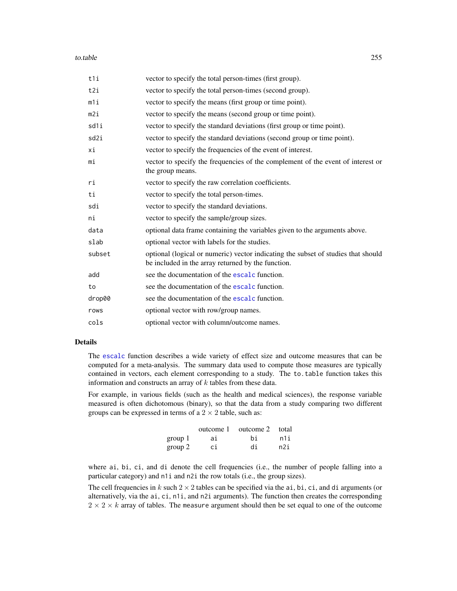#### to.table 255

| t1i    | vector to specify the total person-times (first group).                                                                                 |
|--------|-----------------------------------------------------------------------------------------------------------------------------------------|
| t2i    | vector to specify the total person-times (second group).                                                                                |
| $m1$ i | vector to specify the means (first group or time point).                                                                                |
| m2i    | vector to specify the means (second group or time point).                                                                               |
| sd1i   | vector to specify the standard deviations (first group or time point).                                                                  |
| sd2i   | vector to specify the standard deviations (second group or time point).                                                                 |
| хi     | vector to specify the frequencies of the event of interest.                                                                             |
| mi     | vector to specify the frequencies of the complement of the event of interest or<br>the group means.                                     |
| ri     | vector to specify the raw correlation coefficients.                                                                                     |
| ti     | vector to specify the total person-times.                                                                                               |
| sdi    | vector to specify the standard deviations.                                                                                              |
| ni     | vector to specify the sample/group sizes.                                                                                               |
| data   | optional data frame containing the variables given to the arguments above.                                                              |
| slab   | optional vector with labels for the studies.                                                                                            |
| subset | optional (logical or numeric) vector indicating the subset of studies that should<br>be included in the array returned by the function. |
| add    | see the documentation of the escalc function.                                                                                           |
| to     | see the documentation of the escalc function.                                                                                           |
| drop00 | see the documentation of the escale function.                                                                                           |
| rows   | optional vector with row/group names.                                                                                                   |
| cols   | optional vector with column/outcome names.                                                                                              |

# Details

The [escalc](#page-92-0) function describes a wide variety of effect size and outcome measures that can be computed for a meta-analysis. The summary data used to compute those measures are typically contained in vectors, each element corresponding to a study. The to.table function takes this information and constructs an array of  $k$  tables from these data.

For example, in various fields (such as the health and medical sciences), the response variable measured is often dichotomous (binary), so that the data from a study comparing two different groups can be expressed in terms of a  $2 \times 2$  table, such as:

|         | outcome 1 | outcome 2 total |     |
|---------|-----------|-----------------|-----|
| group 1 | ai        | hi              | n1i |
| group 2 | сi        | di              | n2i |

where ai, bi, ci, and di denote the cell frequencies (i.e., the number of people falling into a particular category) and n1i and n2i the row totals (i.e., the group sizes).

The cell frequencies in k such  $2 \times 2$  tables can be specified via the ai, bi, ci, and di arguments (or alternatively, via the ai, ci, n1i, and n2i arguments). The function then creates the corresponding  $2 \times 2 \times k$  array of tables. The measure argument should then be set equal to one of the outcome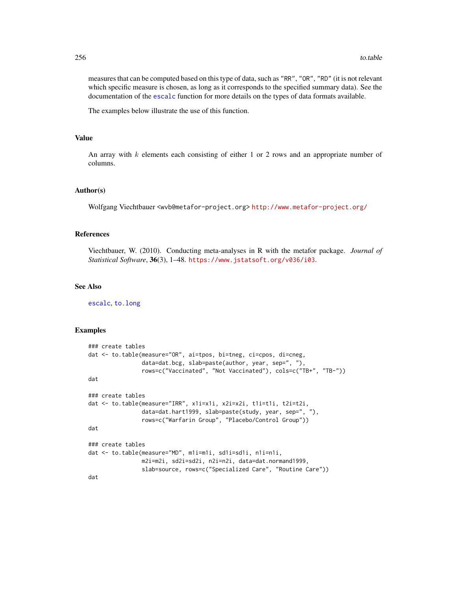measures that can be computed based on this type of data, such as "RR", "OR", "RD" (it is not relevant which specific measure is chosen, as long as it corresponds to the specified summary data). See the documentation of the [escalc](#page-92-0) function for more details on the types of data formats available.

The examples below illustrate the use of this function.

# Value

An array with  $k$  elements each consisting of either 1 or 2 rows and an appropriate number of columns.

#### Author(s)

Wolfgang Viechtbauer <wvb@metafor-project.org> <http://www.metafor-project.org/>

### References

Viechtbauer, W. (2010). Conducting meta-analyses in R with the metafor package. *Journal of Statistical Software*, 36(3), 1–48. <https://www.jstatsoft.org/v036/i03>.

# See Also

[escalc](#page-92-0), [to.long](#page-250-0)

```
### create tables
dat <- to.table(measure="OR", ai=tpos, bi=tneg, ci=cpos, di=cneg,
                data=dat.bcg, slab=paste(author, year, sep=", "),
                rows=c("Vaccinated", "Not Vaccinated"), cols=c("TB+", "TB-"))
dat
### create tables
dat <- to.table(measure="IRR", x1i=x1i, x2i=x2i, t1i=t1i, t2i=t2i,
                data=dat.hart1999, slab=paste(study, year, sep=", "),
                rows=c("Warfarin Group", "Placebo/Control Group"))
dat
### create tables
dat <- to.table(measure="MD", m1i=m1i, sd1i=sd1i, n1i=n1i,
                m2i=m2i, sd2i=sd2i, n2i=n2i, data=dat.normand1999,
                slab=source, rows=c("Specialized Care", "Routine Care"))
dat
```
<span id="page-255-0"></span>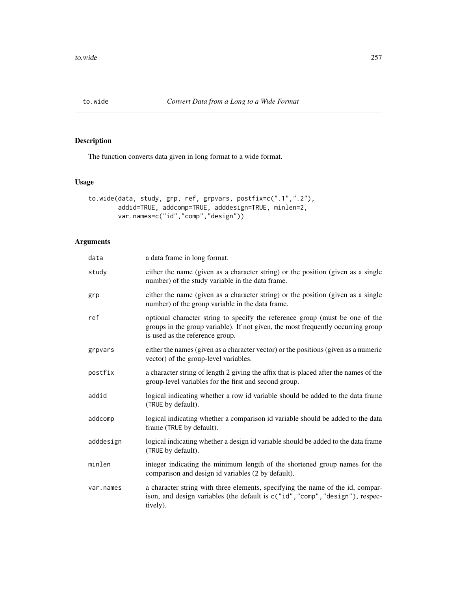<span id="page-256-0"></span>

# Description

The function converts data given in long format to a wide format.

# Usage

```
to.wide(data, study, grp, ref, grpvars, postfix=c(".1",".2"),
        addid=TRUE, addcomp=TRUE, adddesign=TRUE, minlen=2,
       var.names=c("id","comp","design"))
```
# Arguments

| data      | a data frame in long format.                                                                                                                                                                        |
|-----------|-----------------------------------------------------------------------------------------------------------------------------------------------------------------------------------------------------|
| study     | either the name (given as a character string) or the position (given as a single<br>number) of the study variable in the data frame.                                                                |
| grp       | either the name (given as a character string) or the position (given as a single<br>number) of the group variable in the data frame.                                                                |
| ref       | optional character string to specify the reference group (must be one of the<br>groups in the group variable). If not given, the most frequently occurring group<br>is used as the reference group. |
| grpvars   | either the names (given as a character vector) or the positions (given as a numeric<br>vector) of the group-level variables.                                                                        |
| postfix   | a character string of length 2 giving the affix that is placed after the names of the<br>group-level variables for the first and second group.                                                      |
| addid     | logical indicating whether a row id variable should be added to the data frame<br>(TRUE by default).                                                                                                |
| addcomp   | logical indicating whether a comparison id variable should be added to the data<br>frame (TRUE by default).                                                                                         |
| adddesign | logical indicating whether a design id variable should be added to the data frame<br>(TRUE by default).                                                                                             |
| minlen    | integer indicating the minimum length of the shortened group names for the<br>comparison and design id variables (2 by default).                                                                    |
| var.names | a character string with three elements, specifying the name of the id, compar-<br>ison, and design variables (the default is c("id", "comp", "design"), respec-<br>tively).                         |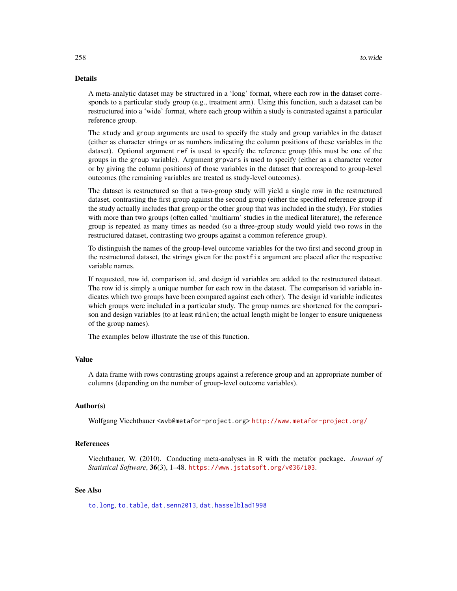# <span id="page-257-0"></span>Details

A meta-analytic dataset may be structured in a 'long' format, where each row in the dataset corresponds to a particular study group (e.g., treatment arm). Using this function, such a dataset can be restructured into a 'wide' format, where each group within a study is contrasted against a particular reference group.

The study and group arguments are used to specify the study and group variables in the dataset (either as character strings or as numbers indicating the column positions of these variables in the dataset). Optional argument ref is used to specify the reference group (this must be one of the groups in the group variable). Argument grpvars is used to specify (either as a character vector or by giving the column positions) of those variables in the dataset that correspond to group-level outcomes (the remaining variables are treated as study-level outcomes).

The dataset is restructured so that a two-group study will yield a single row in the restructured dataset, contrasting the first group against the second group (either the specified reference group if the study actually includes that group or the other group that was included in the study). For studies with more than two groups (often called 'multiarm' studies in the medical literature), the reference group is repeated as many times as needed (so a three-group study would yield two rows in the restructured dataset, contrasting two groups against a common reference group).

To distinguish the names of the group-level outcome variables for the two first and second group in the restructured dataset, the strings given for the postfix argument are placed after the respective variable names.

If requested, row id, comparison id, and design id variables are added to the restructured dataset. The row id is simply a unique number for each row in the dataset. The comparison id variable indicates which two groups have been compared against each other). The design id variable indicates which groups were included in a particular study. The group names are shortened for the comparison and design variables (to at least minlen; the actual length might be longer to ensure uniqueness of the group names).

The examples below illustrate the use of this function.

# Value

A data frame with rows contrasting groups against a reference group and an appropriate number of columns (depending on the number of group-level outcome variables).

# Author(s)

Wolfgang Viechtbauer <wvb@metafor-project.org> <http://www.metafor-project.org/>

# References

Viechtbauer, W. (2010). Conducting meta-analyses in R with the metafor package. *Journal of Statistical Software*, 36(3), 1–48. <https://www.jstatsoft.org/v036/i03>.

# See Also

[to.long](#page-250-0), [to.table](#page-253-0), [dat.senn2013](#page-88-0), [dat.hasselblad1998](#page-60-0)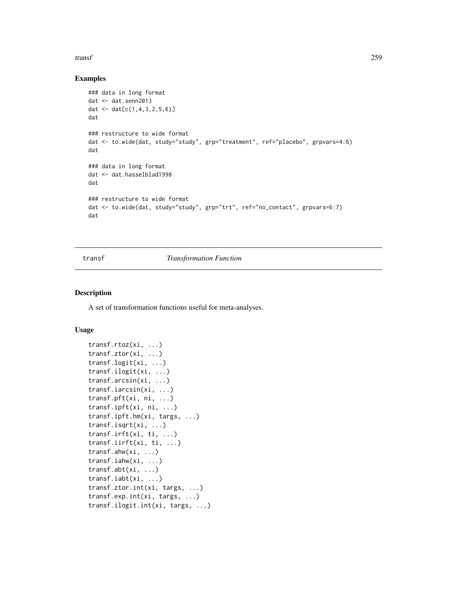#### <span id="page-258-0"></span>transf 259

# Examples

```
### data in long format
dat <- dat.senn2013
dat <- dat[c(1,4,3,2,5,6)]
dat
### restructure to wide format
dat <- to.wide(dat, study="study", grp="treatment", ref="placebo", grpvars=4:6)
dat
### data in long format
dat <- dat.hasselblad1998
dat
### restructure to wide format
dat <- to.wide(dat, study="study", grp="trt", ref="no_contact", grpvars=6:7)
dat
```
# transf *Transformation Function*

#### Description

A set of transformation functions useful for meta-analyses.

# Usage

```
transf.rtoz(xi, ...)
transf.ztor(xi, ...)
transf.logit(xi, ...)
transf.ilogit(xi, ...)
transf.arcsin(xi, ...)
transf.iarcsin(xi, ...)
transf.pft(xi, ni, ...)
transf.ipft(xi, ni, ...)
transf.ipft.hm(xi, targs, ...)
transf.isqrt(xi, ...)
transf.irft(xi, ti, ...)
transf.iirft(xi, ti, ...)
transf.ahw(xi, ...)
transf.iahw(xi, ...)
transf.abt(xi, ...)
transf.iabt(xi, ...)
transf.ztor.int(xi, targs, ...)
transf.exp.int(xi, targs, ...)
transf.ilogit.int(xi, targs, ...)
```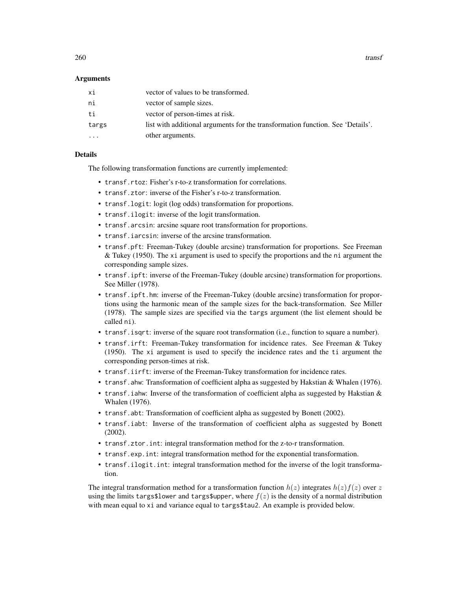260 transformation of the contract of the contract of the contract of the contract of the contract of the contract of the contract of the contract of the contract of the contract of the contract of the contract of the cont

# Arguments

| хi        | vector of values to be transformed.                                            |
|-----------|--------------------------------------------------------------------------------|
| ni        | vector of sample sizes.                                                        |
| ti        | vector of person-times at risk.                                                |
| targs     | list with additional arguments for the transformation function. See 'Details'. |
| $\ddotsc$ | other arguments.                                                               |

# Details

The following transformation functions are currently implemented:

- transf.rtoz: Fisher's r-to-z transformation for correlations.
- transf.ztor: inverse of the Fisher's r-to-z transformation.
- transf.logit: logit (log odds) transformation for proportions.
- transf.ilogit: inverse of the logit transformation.
- transf.arcsin: arcsine square root transformation for proportions.
- transf.iarcsin: inverse of the arcsine transformation.
- transf.pft: Freeman-Tukey (double arcsine) transformation for proportions. See Freeman  $&$  Tukey (1950). The xi argument is used to specify the proportions and the ni argument the corresponding sample sizes.
- transf.ipft: inverse of the Freeman-Tukey (double arcsine) transformation for proportions. See Miller (1978).
- transf.ipft.hm: inverse of the Freeman-Tukey (double arcsine) transformation for proportions using the harmonic mean of the sample sizes for the back-transformation. See Miller (1978). The sample sizes are specified via the targs argument (the list element should be called ni).
- transf.isqrt: inverse of the square root transformation (i.e., function to square a number).
- transf.irft: Freeman-Tukey transformation for incidence rates. See Freeman & Tukey (1950). The xi argument is used to specify the incidence rates and the ti argument the corresponding person-times at risk.
- transf.iirft: inverse of the Freeman-Tukey transformation for incidence rates.
- transf.ahw: Transformation of coefficient alpha as suggested by Hakstian & Whalen (1976).
- transf.iahw: Inverse of the transformation of coefficient alpha as suggested by Hakstian & Whalen (1976).
- transf.abt: Transformation of coefficient alpha as suggested by Bonett (2002).
- transf.iabt: Inverse of the transformation of coefficient alpha as suggested by Bonett (2002).
- transf.ztor.int: integral transformation method for the z-to-r transformation.
- transf.exp.int: integral transformation method for the exponential transformation.
- transf.ilogit.int: integral transformation method for the inverse of the logit transformation.

The integral transformation method for a transformation function  $h(z)$  integrates  $h(z)f(z)$  over z using the limits targs\$10wer and targs\$upper, where  $f(z)$  is the density of a normal distribution with mean equal to xi and variance equal to targs\$tau2. An example is provided below.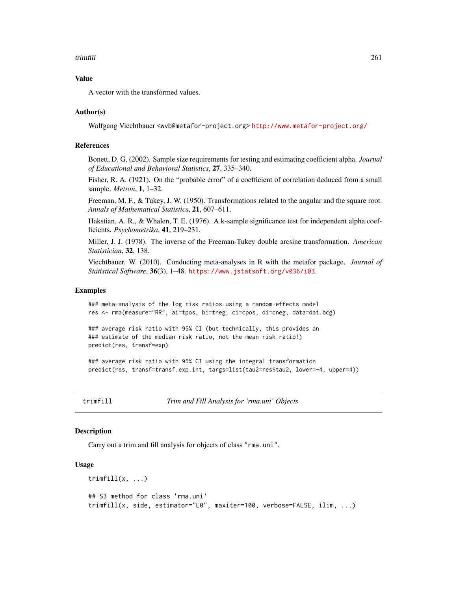# <span id="page-260-0"></span>trimfill the contract of the contract of the contract of the contract of the contract of the contract of the contract of the contract of the contract of the contract of the contract of the contract of the contract of the c

# Value

A vector with the transformed values.

#### Author(s)

Wolfgang Viechtbauer <wvb@metafor-project.org> <http://www.metafor-project.org/>

#### References

Bonett, D. G. (2002). Sample size requirements for testing and estimating coefficient alpha. *Journal of Educational and Behavioral Statistics*, 27, 335–340.

Fisher, R. A. (1921). On the "probable error" of a coefficient of correlation deduced from a small sample. *Metron*, 1, 1–32.

Freeman, M. F., & Tukey, J. W. (1950). Transformations related to the angular and the square root. *Annals of Mathematical Statistics*, 21, 607–611.

Hakstian, A. R., & Whalen, T. E. (1976). A k-sample significance test for independent alpha coefficients. *Psychometrika*, 41, 219–231.

Miller, J. J. (1978). The inverse of the Freeman-Tukey double arcsine transformation. *American Statistician*, 32, 138.

Viechtbauer, W. (2010). Conducting meta-analyses in R with the metafor package. *Journal of Statistical Software*, 36(3), 1–48. <https://www.jstatsoft.org/v036/i03>.

#### Examples

### meta-analysis of the log risk ratios using a random-effects model res <- rma(measure="RR", ai=tpos, bi=tneg, ci=cpos, di=cneg, data=dat.bcg)

### average risk ratio with 95% CI (but technically, this provides an ### estimate of the median risk ratio, not the mean risk ratio!) predict(res, transf=exp)

### average risk ratio with 95% CI using the integral transformation predict(res, transf=transf.exp.int, targs=list(tau2=res\$tau2, lower=-4, upper=4))

trimfill *Trim and Fill Analysis for 'rma.uni' Objects*

# Description

Carry out a trim and fill analysis for objects of class "rma.uni".

#### Usage

```
trimfill(x, \ldots)## S3 method for class 'rma.uni'
trimfill(x, side, estimator="L0", maxiter=100, verbose=FALSE, ilim, ...)
```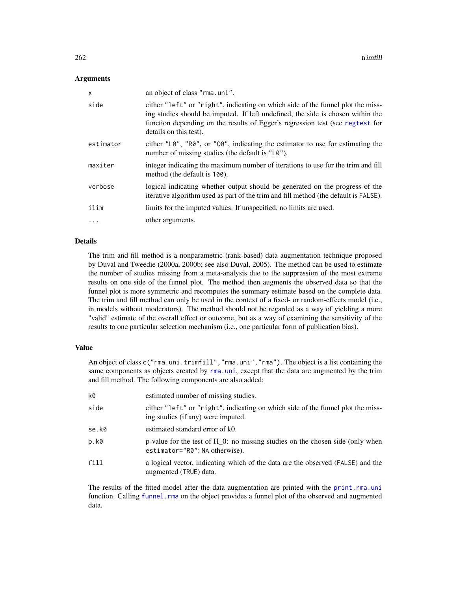# <span id="page-261-0"></span>Arguments

| $\mathsf{x}$ | an object of class "rma.uni".                                                                                                                                                                                                                                                 |
|--------------|-------------------------------------------------------------------------------------------------------------------------------------------------------------------------------------------------------------------------------------------------------------------------------|
| side         | either "left" or "right", indicating on which side of the funnel plot the miss-<br>ing studies should be imputed. If left undefined, the side is chosen within the<br>function depending on the results of Egger's regression test (see regtest for<br>details on this test). |
| estimator    | either $"L\theta"$ , "R0", or "Q0", indicating the estimator to use for estimating the<br>number of missing studies (the default is "L0").                                                                                                                                    |
| maxiter      | integer indicating the maximum number of iterations to use for the trim and fill<br>method (the default is 100).                                                                                                                                                              |
| verbose      | logical indicating whether output should be generated on the progress of the<br>iterative algorithm used as part of the trim and fill method (the default is FALSE).                                                                                                          |
| ilim         | limits for the imputed values. If unspecified, no limits are used.                                                                                                                                                                                                            |
| $\cdots$     | other arguments.                                                                                                                                                                                                                                                              |

# Details

The trim and fill method is a nonparametric (rank-based) data augmentation technique proposed by Duval and Tweedie (2000a, 2000b; see also Duval, 2005). The method can be used to estimate the number of studies missing from a meta-analysis due to the suppression of the most extreme results on one side of the funnel plot. The method then augments the observed data so that the funnel plot is more symmetric and recomputes the summary estimate based on the complete data. The trim and fill method can only be used in the context of a fixed- or random-effects model (i.e., in models without moderators). The method should not be regarded as a way of yielding a more "valid" estimate of the overall effect or outcome, but as a way of examining the sensitivity of the results to one particular selection mechanism (i.e., one particular form of publication bias).

# Value

An object of class c("rma.uni.trimfill","rma.uni","rma"). The object is a list containing the same components as objects created by [rma.uni](#page-235-0), except that the data are augmented by the trim and fill method. The following components are also added:

| k0    | estimated number of missing studies.                                                                                  |
|-------|-----------------------------------------------------------------------------------------------------------------------|
| side  | either "left" or "right", indicating on which side of the funnel plot the miss-<br>ing studies (if any) were imputed. |
| se.k0 | estimated standard error of k0.                                                                                       |
| p.k0  | p-value for the test of H_0: no missing studies on the chosen side (only when<br>estimator="R0"; NA otherwise).       |
| fill  | a logical vector, indicating which of the data are the observed (FALSE) and the<br>augmented (TRUE) data.             |

The results of the fitted model after the data augmentation are printed with the [print.rma.uni](#page-180-0) function. Calling [funnel.rma](#page-129-0) on the object provides a funnel plot of the observed and augmented data.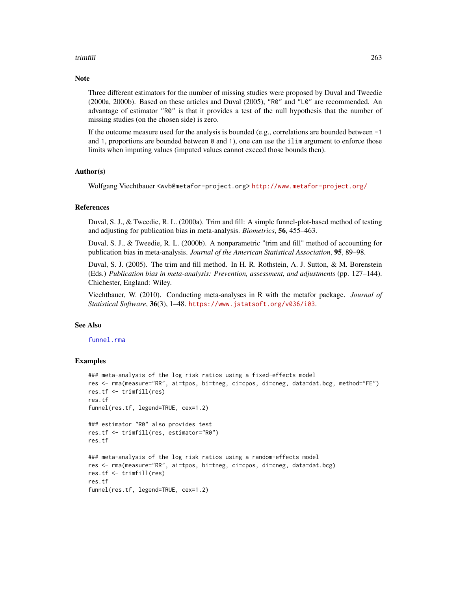# <span id="page-262-0"></span>trimfill 263

## **Note**

Three different estimators for the number of missing studies were proposed by Duval and Tweedie (2000a, 2000b). Based on these articles and Duval (2005), "R0" and "L0" are recommended. An advantage of estimator "R0" is that it provides a test of the null hypothesis that the number of missing studies (on the chosen side) is zero.

If the outcome measure used for the analysis is bounded (e.g., correlations are bounded between  $-1$ ) and 1, proportions are bounded between  $\theta$  and 1), one can use the ilim argument to enforce those limits when imputing values (imputed values cannot exceed those bounds then).

# Author(s)

Wolfgang Viechtbauer <wvb@metafor-project.org> <http://www.metafor-project.org/>

# References

Duval, S. J., & Tweedie, R. L. (2000a). Trim and fill: A simple funnel-plot-based method of testing and adjusting for publication bias in meta-analysis. *Biometrics*, 56, 455–463.

Duval, S. J., & Tweedie, R. L. (2000b). A nonparametric "trim and fill" method of accounting for publication bias in meta-analysis. *Journal of the American Statistical Association*, 95, 89–98.

Duval, S. J. (2005). The trim and fill method. In H. R. Rothstein, A. J. Sutton, & M. Borenstein (Eds.) *Publication bias in meta-analysis: Prevention, assessment, and adjustments* (pp. 127–144). Chichester, England: Wiley.

Viechtbauer, W. (2010). Conducting meta-analyses in R with the metafor package. *Journal of Statistical Software*, 36(3), 1–48. <https://www.jstatsoft.org/v036/i03>.

#### See Also

funnel rma

```
### meta-analysis of the log risk ratios using a fixed-effects model
res <- rma(measure="RR", ai=tpos, bi=tneg, ci=cpos, di=cneg, data=dat.bcg, method="FE")
res.tf <- trimfill(res)
res.tf
funnel(res.tf, legend=TRUE, cex=1.2)
### estimator "R0" also provides test
res.tf <- trimfill(res, estimator="R0")
res.tf
### meta-analysis of the log risk ratios using a random-effects model
res <- rma(measure="RR", ai=tpos, bi=tneg, ci=cpos, di=cneg, data=dat.bcg)
res.tf <- trimfill(res)
res.tf
funnel(res.tf, legend=TRUE, cex=1.2)
```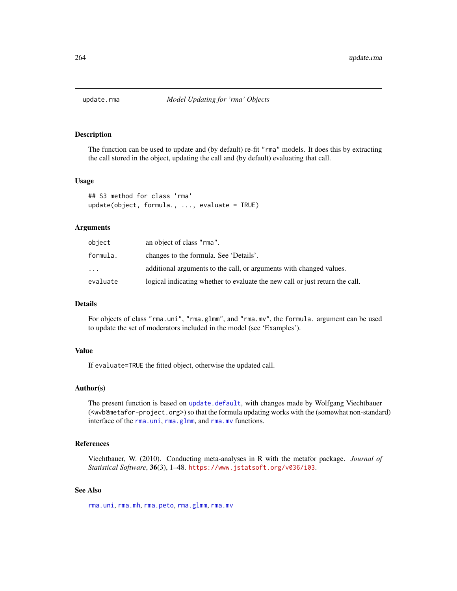<span id="page-263-0"></span>

# Description

The function can be used to update and (by default) re-fit "rma" models. It does this by extracting the call stored in the object, updating the call and (by default) evaluating that call.

# Usage

```
## S3 method for class 'rma'
update(object, formula., ..., evaluate = TRUE)
```
# Arguments

| object   | an object of class "rma".                                                    |
|----------|------------------------------------------------------------------------------|
| formula. | changes to the formula. See 'Details'.                                       |
| $\cdots$ | additional arguments to the call, or arguments with changed values.          |
| evaluate | logical indicating whether to evaluate the new call or just return the call. |

# Details

For objects of class "rma.uni", "rma.glmm", and "rma.mv", the formula. argument can be used to update the set of moderators included in the model (see 'Examples').

# Value

If evaluate=TRUE the fitted object, otherwise the updated call.

# Author(s)

The present function is based on [update.default](#page-0-0), with changes made by Wolfgang Viechtbauer (<wvb@metafor-project.org>) so that the formula updating works with the (somewhat non-standard) interface of the [rma.uni](#page-235-0), [rma.glmm](#page-208-0), and [rma.mv](#page-220-0) functions.

# References

Viechtbauer, W. (2010). Conducting meta-analyses in R with the metafor package. *Journal of Statistical Software*, 36(3), 1–48. <https://www.jstatsoft.org/v036/i03>.

# See Also

[rma.uni](#page-235-0), [rma.mh](#page-216-0), [rma.peto](#page-232-0), [rma.glmm](#page-208-0), [rma.mv](#page-220-0)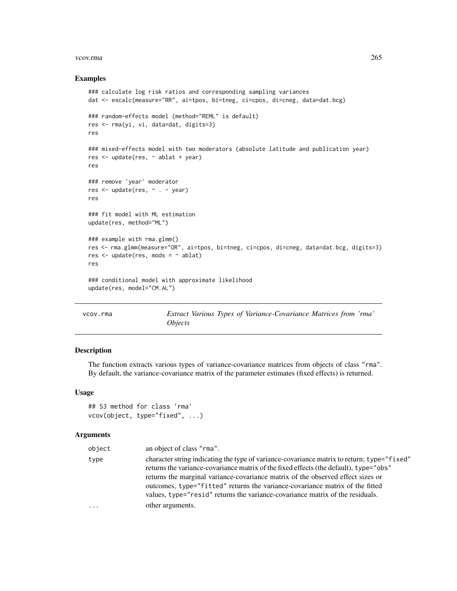#### <span id="page-264-0"></span>vcov.rma 265

# Examples

```
### calculate log risk ratios and corresponding sampling variances
dat <- escalc(measure="RR", ai=tpos, bi=tneg, ci=cpos, di=cneg, data=dat.bcg)
### random-effects model (method="REML" is default)
res <- rma(yi, vi, data=dat, digits=3)
res
### mixed-effects model with two moderators (absolute latitude and publication year)
res <- update(res, ~ ablat + year)
res
### remove 'year' moderator
res <- update(res, ~ . - year)
res
### fit model with ML estimation
update(res, method="ML")
### example with rma.glmm()
res <- rma.glmm(measure="OR", ai=tpos, bi=tneg, ci=cpos, di=cneg, data=dat.bcg, digits=3)
res \leq update(res, mods = \sim ablat)
res
### conditional model with approximate likelihood
update(res, model="CM.AL")
```
vcov.rma *Extract Various Types of Variance-Covariance Matrices from 'rma' Objects*

# Description

The function extracts various types of variance-covariance matrices from objects of class "rma". By default, the variance-covariance matrix of the parameter estimates (fixed effects) is returned.

# Usage

```
## S3 method for class 'rma'
vcov(object, type="fixed", ...)
```
# Arguments

| object   | an object of class "rma".                                                                                                                                                                                                                                                                                                                                                                                                               |
|----------|-----------------------------------------------------------------------------------------------------------------------------------------------------------------------------------------------------------------------------------------------------------------------------------------------------------------------------------------------------------------------------------------------------------------------------------------|
| type     | character string indicating the type of variance-covariance matrix to return; type="fixed"<br>returns the variance-covariance matrix of the fixed effects (the default), type="obs"<br>returns the marginal variance-covariance matrix of the observed effect sizes or<br>outcomes, type="fitted" returns the variance-covariance matrix of the fitted<br>values, type="resid" returns the variance-covariance matrix of the residuals. |
| $\cdots$ | other arguments.                                                                                                                                                                                                                                                                                                                                                                                                                        |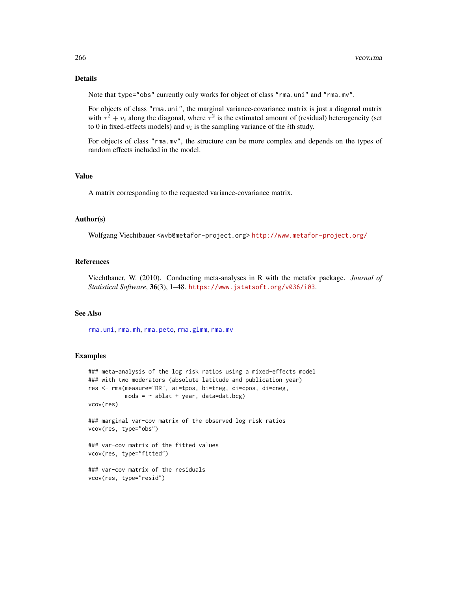# <span id="page-265-0"></span>Details

Note that type="obs" currently only works for object of class "rma.uni" and "rma.mv".

For objects of class "rma.uni", the marginal variance-covariance matrix is just a diagonal matrix with  $\tau^2 + v_i$  along the diagonal, where  $\tau^2$  is the estimated amount of (residual) heterogeneity (set to 0 in fixed-effects models) and  $v_i$  is the sampling variance of the *i*th study.

For objects of class "rma.mv", the structure can be more complex and depends on the types of random effects included in the model.

# Value

A matrix corresponding to the requested variance-covariance matrix.

# Author(s)

Wolfgang Viechtbauer <wvb@metafor-project.org> <http://www.metafor-project.org/>

# References

Viechtbauer, W. (2010). Conducting meta-analyses in R with the metafor package. *Journal of Statistical Software*, 36(3), 1–48. <https://www.jstatsoft.org/v036/i03>.

# See Also

[rma.uni](#page-235-0), [rma.mh](#page-216-0), [rma.peto](#page-232-0), [rma.glmm](#page-208-0), [rma.mv](#page-220-0)

```
### meta-analysis of the log risk ratios using a mixed-effects model
### with two moderators (absolute latitude and publication year)
res <- rma(measure="RR", ai=tpos, bi=tneg, ci=cpos, di=cneg,
          mods = ~ ablat + year, data=dat.bcg)
vcov(res)
### marginal var-cov matrix of the observed log risk ratios
vcov(res, type="obs")
### var-cov matrix of the fitted values
vcov(res, type="fitted")
### var-cov matrix of the residuals
vcov(res, type="resid")
```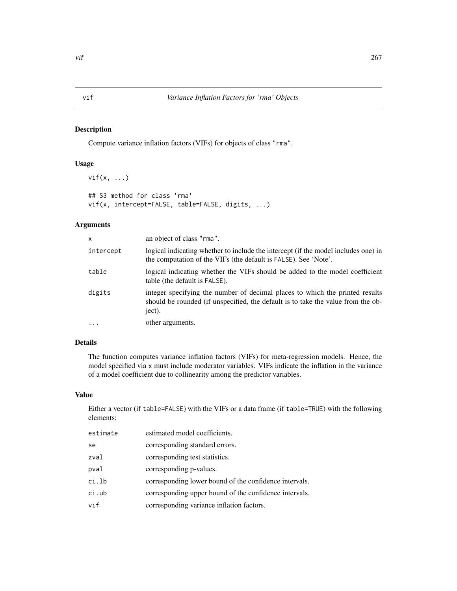# <span id="page-266-0"></span>Description

Compute variance inflation factors (VIFs) for objects of class "rma".

# Usage

```
vif(x, \ldots)## S3 method for class 'rma'
vif(x, intercept=FALSE, table=FALSE, digits, ...)
```
# Arguments

| x         | an object of class "rma".                                                                                                                                                  |
|-----------|----------------------------------------------------------------------------------------------------------------------------------------------------------------------------|
| intercept | logical indicating whether to include the intercept (if the model includes one) in<br>the computation of the VIFs (the default is FALSE). See 'Note'.                      |
| table     | logical indicating whether the VIFs should be added to the model coefficient<br>table (the default is FALSE).                                                              |
| digits    | integer specifying the number of decimal places to which the printed results<br>should be rounded (if unspecified, the default is to take the value from the ob-<br>ject). |
| $\cdots$  | other arguments.                                                                                                                                                           |

# Details

The function computes variance inflation factors (VIFs) for meta-regression models. Hence, the model specified via x must include moderator variables. VIFs indicate the inflation in the variance of a model coefficient due to collinearity among the predictor variables.

# Value

Either a vector (if table=FALSE) with the VIFs or a data frame (if table=TRUE) with the following elements:

| estimate | estimated model coefficients.                          |
|----------|--------------------------------------------------------|
| se       | corresponding standard errors.                         |
| zval     | corresponding test statistics.                         |
| pval     | corresponding p-values.                                |
| ci.lb    | corresponding lower bound of the confidence intervals. |
| ci.ub    | corresponding upper bound of the confidence intervals. |
| vif      | corresponding variance inflation factors.              |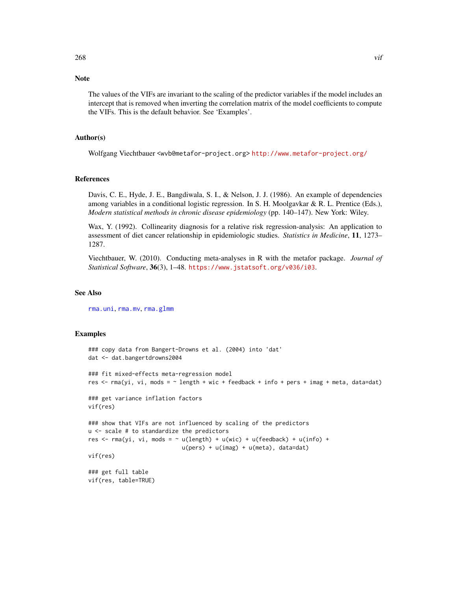# <span id="page-267-0"></span>Note

The values of the VIFs are invariant to the scaling of the predictor variables if the model includes an intercept that is removed when inverting the correlation matrix of the model coefficients to compute the VIFs. This is the default behavior. See 'Examples'.

#### Author(s)

Wolfgang Viechtbauer <wvb@metafor-project.org> <http://www.metafor-project.org/>

#### References

Davis, C. E., Hyde, J. E., Bangdiwala, S. I., & Nelson, J. J. (1986). An example of dependencies among variables in a conditional logistic regression. In S. H. Moolgavkar & R. L. Prentice (Eds.), *Modern statistical methods in chronic disease epidemiology* (pp. 140–147). New York: Wiley.

Wax, Y. (1992). Collinearity diagnosis for a relative risk regression-analysis: An application to assessment of diet cancer relationship in epidemiologic studies. *Statistics in Medicine*, 11, 1273– 1287.

Viechtbauer, W. (2010). Conducting meta-analyses in R with the metafor package. *Journal of Statistical Software*, 36(3), 1–48. <https://www.jstatsoft.org/v036/i03>.

# See Also

[rma.uni](#page-235-0), [rma.mv](#page-220-0), [rma.glmm](#page-208-0)

```
### copy data from Bangert-Drowns et al. (2004) into 'dat'
dat <- dat.bangertdrowns2004
### fit mixed-effects meta-regression model
res <- rma(yi, vi, mods = ~ length + wic + feedback + info + pers + imag + meta, data=dat)
### get variance inflation factors
vif(res)
### show that VIFs are not influenced by scaling of the predictors
u <- scale # to standardize the predictors
res <- rma(yi, vi, mods = \sim u(length) + u(wic) + u(feedback) + u(info) +
                            u(pers) + u(imag) + u(meta), data=dat)
vif(res)
### get full table
vif(res, table=TRUE)
```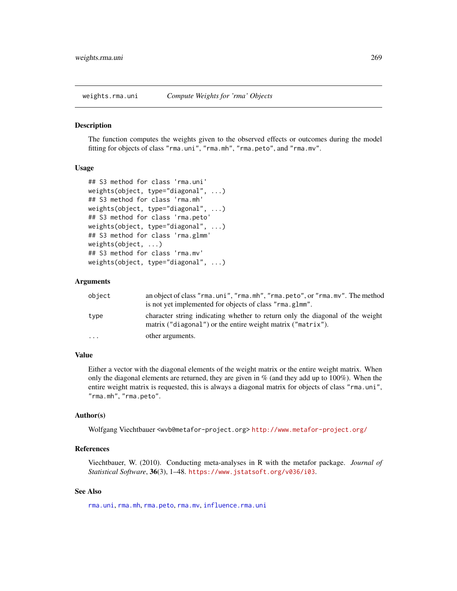<span id="page-268-0"></span>

#### Description

The function computes the weights given to the observed effects or outcomes during the model fitting for objects of class "rma.uni", "rma.mh", "rma.peto", and "rma.mv".

# Usage

```
## S3 method for class 'rma.uni'
weights(object, type="diagonal", ...)
## S3 method for class 'rma.mh'
weights(object, type="diagonal", ...)
## S3 method for class 'rma.peto'
weights(object, type="diagonal", ...)
## S3 method for class 'rma.glmm'
weights(object, ...)
## S3 method for class 'rma.mv'
weights(object, type="diagonal", ...)
```
# Arguments

| object    | an object of class "rma.uni", "rma.mh", "rma.peto", or "rma.mv". The method<br>is not yet implemented for objects of class "rma.glmm".       |
|-----------|----------------------------------------------------------------------------------------------------------------------------------------------|
| type      | character string indicating whether to return only the diagonal of the weight<br>matrix ("diagonal") or the entire weight matrix ("matrix"). |
| $\ddotsc$ | other arguments.                                                                                                                             |

# Value

Either a vector with the diagonal elements of the weight matrix or the entire weight matrix. When only the diagonal elements are returned, they are given in  $%$  (and they add up to 100%). When the entire weight matrix is requested, this is always a diagonal matrix for objects of class "rma.uni", "rma.mh", "rma.peto".

# Author(s)

Wolfgang Viechtbauer <wvb@metafor-project.org> <http://www.metafor-project.org/>

# References

Viechtbauer, W. (2010). Conducting meta-analyses in R with the metafor package. *Journal of Statistical Software*, 36(3), 1–48. <https://www.jstatsoft.org/v036/i03>.

# See Also

[rma.uni](#page-235-0), [rma.mh](#page-216-0), [rma.peto](#page-232-0), [rma.mv](#page-220-0), [influence.rma.uni](#page-141-0)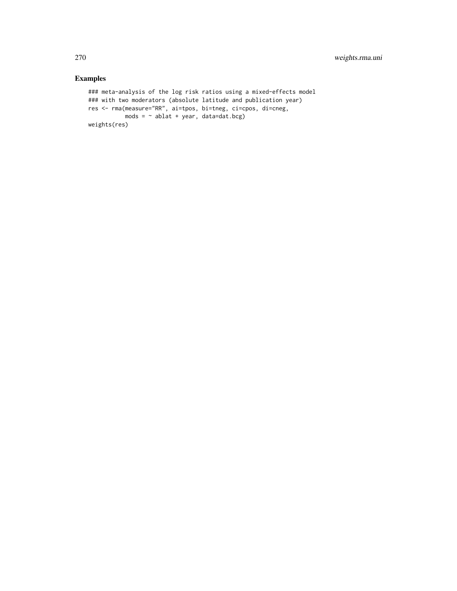```
### meta-analysis of the log risk ratios using a mixed-effects model
### with two moderators (absolute latitude and publication year)
res <- rma(measure="RR", ai=tpos, bi=tneg, ci=cpos, di=cneg,
          mods = \sim ablat + year, data=dat.bcg)
weights(res)
```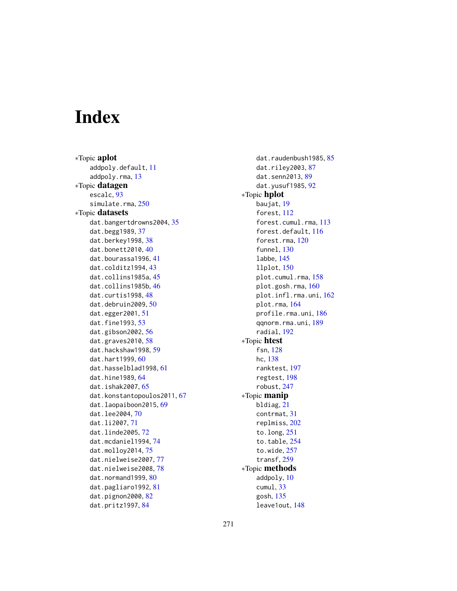# Index

∗Topic aplot addpoly.default, [11](#page-10-0) addpoly.rma, [13](#page-12-0) ∗Topic datagen escalc, [93](#page-92-1) simulate.rma, [250](#page-249-0) ∗Topic datasets dat.bangertdrowns2004, [35](#page-34-0) dat.begg1989, [37](#page-36-0) dat.berkey1998, [38](#page-37-0) dat.bonett2010, [40](#page-39-0) dat.bourassa1996, [41](#page-40-0) dat.colditz1994, [43](#page-42-0) dat.collins1985a, [45](#page-44-0) dat.collins1985b, [46](#page-45-0) dat.curtis1998, [48](#page-47-0) dat.debruin2009, [50](#page-49-0) dat.egger2001, [51](#page-50-0) dat.fine1993, [53](#page-52-0) dat.gibson2002, [56](#page-55-0) dat.graves2010, [58](#page-57-0) dat.hackshaw1998, [59](#page-58-0) dat.hart1999, [60](#page-59-0) dat.hasselblad1998, [61](#page-60-1) dat.hine1989, [64](#page-63-0) dat.ishak2007, [65](#page-64-0) dat.konstantopoulos2011, [67](#page-66-0) dat.laopaiboon2015, [69](#page-68-0) dat.lee2004, [70](#page-69-0) dat.li2007, [71](#page-70-0) dat.linde2005, [72](#page-71-0) dat.mcdaniel1994, [74](#page-73-0) dat.molloy2014, [75](#page-74-0) dat.nielweise2007, [77](#page-76-0) dat.nielweise2008, [78](#page-77-0) dat.normand1999, [80](#page-79-0) dat.pagliaro1992, [81](#page-80-0) dat.pignon2000, [82](#page-81-0) dat.pritz1997, [84](#page-83-0)

dat.raudenbush19[85](#page-84-0), 85 dat.riley2003, [87](#page-86-0) dat.senn2013, [89](#page-88-1) dat.yusuf1985, [92](#page-91-0) ∗Topic hplot baujat, [19](#page-18-0) forest, [112](#page-111-0) forest.cumul.rma, [113](#page-112-0) forest.default, [116](#page-115-0) forest.rma, [120](#page-119-0) funnel, [130](#page-129-1) labbe, [145](#page-144-0) llplot, [150](#page-149-0) plot.cumul.rma, [158](#page-157-0) plot.gosh.rma, [160](#page-159-0) plot.infl.rma.uni, [162](#page-161-0) plot.rma, [164](#page-163-0) profile.rma.uni, [186](#page-185-0) qqnorm.rma.uni, [189](#page-188-0) radial, [192](#page-191-0) ∗Topic htest fsn, [128](#page-127-0) hc, [138](#page-137-0) ranktest, [197](#page-196-0) regtest, [198](#page-197-1) robust, [247](#page-246-0) ∗Topic manip bldiag, [21](#page-20-0) contrmat, [31](#page-30-0) replmiss, [202](#page-201-0) to.long, [251](#page-250-1) to.table, [254](#page-253-1) to.wide, [257](#page-256-0) transf, [259](#page-258-0) ∗Topic methods addpoly, [10](#page-9-0) cumul, [33](#page-32-0) gosh, [135](#page-134-0) leave1out, [148](#page-147-0)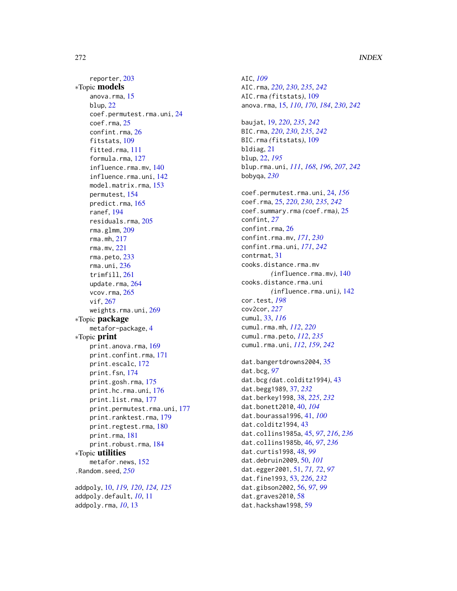reporter, [203](#page-202-0) ∗Topic models anova.rma, [15](#page-14-0) blup, [22](#page-21-0) coef.permutest.rma.uni, [24](#page-23-0) coef.rma, [25](#page-24-0) confint.rma, [26](#page-25-0) fitstats, [109](#page-108-0) fitted.rma, [111](#page-110-0) formula.rma, [127](#page-126-0) influence.rma.mv, [140](#page-139-0) influence.rma.uni, [142](#page-141-1) model.matrix.rma, [153](#page-152-0) permutest, [154](#page-153-0) predict.rma, [165](#page-164-0) ranef, [194](#page-193-0) residuals.rma, [205](#page-204-0) rma.glmm, [209](#page-208-1) rma.mh, [217](#page-216-1) rma.mv, [221](#page-220-1) rma.peto, [233](#page-232-1) rma.uni, [236](#page-235-1) trimfill, [261](#page-260-0) update.rma, [264](#page-263-0) vcov.rma, [265](#page-264-0) vif, [267](#page-266-0) weights.rma.uni, [269](#page-268-0) ∗Topic package metafor-package, [4](#page-3-0) ∗Topic print print.anova.rma, [169](#page-168-0) print.confint.rma, [171](#page-170-0) print.escalc, [172](#page-171-0) print.fsn, [174](#page-173-0) print.gosh.rma, [175](#page-174-0) print.hc.rma.uni, [176](#page-175-0) print.list.rma, [177](#page-176-0) print.permutest.rma.uni, [177](#page-176-0) print.ranktest.rma, [179](#page-178-0) print.regtest.rma, [180](#page-179-0) print.rma, [181](#page-180-1) print.robust.rma, [184](#page-183-0) ∗Topic utilities metafor.news, [152](#page-151-0) .Random.seed, *[250](#page-249-0)* addpoly, [10,](#page-9-0) *[119,](#page-118-0) [120](#page-119-0)*, *[124,](#page-123-0) [125](#page-124-0)* addpoly.default, *[10](#page-9-0)*, [11](#page-10-0) addpoly.rma, *[10](#page-9-0)*, [13](#page-12-0)

AIC, *[109](#page-108-0)* AIC.rma, *[220](#page-219-0)*, *[230](#page-229-0)*, *[235](#page-234-0)*, *[242](#page-241-0)* AIC.rma *(*fitstats*)*, [109](#page-108-0) anova.rma, [15,](#page-14-0) *[110](#page-109-0)*, *[170](#page-169-0)*, *[184](#page-183-0)*, *[230](#page-229-0)*, *[242](#page-241-0)* baujat, [19,](#page-18-0) *[220](#page-219-0)*, *[235](#page-234-0)*, *[242](#page-241-0)* BIC.rma, *[220](#page-219-0)*, *[230](#page-229-0)*, *[235](#page-234-0)*, *[242](#page-241-0)* BIC.rma *(*fitstats*)*, [109](#page-108-0) bldiag, [21](#page-20-0) blup, [22,](#page-21-0) *[195](#page-194-0)* blup.rma.uni, *[111](#page-110-0)*, *[168](#page-167-0)*, *[196](#page-195-0)*, *[207](#page-206-0)*, *[242](#page-241-0)* bobyqa, *[230](#page-229-0)* coef.permutest.rma.uni, [24,](#page-23-0) *[156](#page-155-0)* coef.rma, [25,](#page-24-0) *[220](#page-219-0)*, *[230](#page-229-0)*, *[235](#page-234-0)*, *[242](#page-241-0)* coef.summary.rma *(*coef.rma*)*, [25](#page-24-0) confint, *[27](#page-26-0)* confint.rma, [26](#page-25-0) confint.rma.mv, *[171](#page-170-0)*, *[230](#page-229-0)* confint.rma.uni, *[171](#page-170-0)*, *[242](#page-241-0)* contrmat, [31](#page-30-0) cooks.distance.rma.mv *(*influence.rma.mv*)*, [140](#page-139-0) cooks.distance.rma.uni *(*influence.rma.uni*)*, [142](#page-141-1) cor.test, *[198](#page-197-1)* cov2cor, *[227](#page-226-0)* cumul, [33,](#page-32-0) *[116](#page-115-0)* cumul.rma.mh, *[112](#page-111-0)*, *[220](#page-219-0)* cumul.rma.peto, *[112](#page-111-0)*, *[235](#page-234-0)* cumul.rma.uni, *[112](#page-111-0)*, *[159](#page-158-0)*, *[242](#page-241-0)* dat.bangertdrowns2004, [35](#page-34-0) dat.bcg, *[97](#page-96-0)* dat.bcg *(*dat.colditz1994*)*, [43](#page-42-0) dat.begg1989, [37,](#page-36-0) *[232](#page-231-0)* dat.berkey1998, [38,](#page-37-0) *[225](#page-224-0)*, *[232](#page-231-0)* dat.bonett2010, [40,](#page-39-0) *[104](#page-103-0)* dat.bourassa1996, [41,](#page-40-0) *[100](#page-99-0)* dat.colditz1994, [43](#page-42-0) dat.collins1985a, [45,](#page-44-0) *[97](#page-96-0)*, *[216](#page-215-0)*, *[236](#page-235-1)* dat.collins1985b, [46,](#page-45-0) *[97](#page-96-0)*, *[236](#page-235-1)* dat.curtis1998, [48,](#page-47-0) *[99](#page-98-0)* dat.debruin2009, [50,](#page-49-0) *[101](#page-100-0)* dat.egger2001, [51,](#page-50-0) *[71,](#page-70-0) [72](#page-71-0)*, *[97](#page-96-0)* dat.fine1993, [53,](#page-52-0) *[226](#page-225-0)*, *[232](#page-231-0)* dat.gibson2002, [56,](#page-55-0) *[97](#page-96-0)*, *[99](#page-98-0)* dat.graves2010, [58](#page-57-0) dat.hackshaw1998, [59](#page-58-0)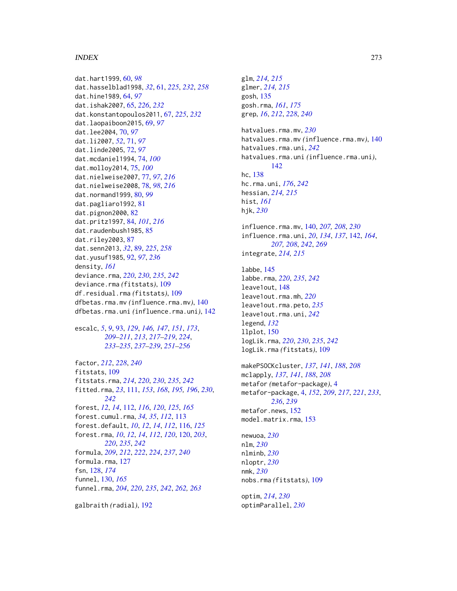# INDEX 273

dat.hart1999, [60,](#page-59-0) *[98](#page-97-0)* dat.hasselblad1998, *[32](#page-31-0)*, [61,](#page-60-1) *[225](#page-224-0)*, *[232](#page-231-0)*, *[258](#page-257-0)* dat.hine1989, [64,](#page-63-0) *[97](#page-96-0)* dat.ishak2007, [65,](#page-64-0) *[226](#page-225-0)*, *[232](#page-231-0)* dat.konstantopoulos2011, [67,](#page-66-0) *[225](#page-224-0)*, *[232](#page-231-0)* dat.laopaiboon2015, [69,](#page-68-0) *[97](#page-96-0)* dat.lee2004, [70,](#page-69-0) *[97](#page-96-0)* dat.li2007, *[52](#page-51-0)*, [71,](#page-70-0) *[97](#page-96-0)* dat.linde2005, [72,](#page-71-0) *[97](#page-96-0)* dat.mcdaniel1994, [74,](#page-73-0) *[100](#page-99-0)* dat.molloy2014, [75,](#page-74-0) *[100](#page-99-0)* dat.nielweise2007, [77,](#page-76-0) *[97](#page-96-0)*, *[216](#page-215-0)* dat.nielweise2008, [78,](#page-77-0) *[98](#page-97-0)*, *[216](#page-215-0)* dat.normand1999, [80,](#page-79-0) *[99](#page-98-0)* dat.pagliaro1992, [81](#page-80-0) dat.pignon2000, [82](#page-81-0) dat.pritz1997, [84,](#page-83-0) *[101](#page-100-0)*, *[216](#page-215-0)* dat.raudenbush1985, [85](#page-84-0) dat.riley2003, [87](#page-86-0) dat.senn2013, *[32](#page-31-0)*, [89,](#page-88-1) *[225](#page-224-0)*, *[258](#page-257-0)* dat.yusuf1985, [92,](#page-91-0) *[97](#page-96-0)*, *[236](#page-235-1)* density, *[161](#page-160-0)* deviance.rma, *[220](#page-219-0)*, *[230](#page-229-0)*, *[235](#page-234-0)*, *[242](#page-241-0)* deviance.rma *(*fitstats*)*, [109](#page-108-0) df.residual.rma *(*fitstats*)*, [109](#page-108-0) dfbetas.rma.mv *(*influence.rma.mv*)*, [140](#page-139-0) dfbetas.rma.uni *(*influence.rma.uni*)*, [142](#page-141-1)

escalc, *[5](#page-4-0)*, *[9](#page-8-0)*, [93,](#page-92-1) *[129](#page-128-0)*, *[146,](#page-145-0) [147](#page-146-0)*, *[151](#page-150-0)*, *[173](#page-172-0)*, *[209](#page-208-1)[–211](#page-210-0)*, *[213](#page-212-0)*, *[217–](#page-216-1)[219](#page-218-0)*, *[224](#page-223-0)*, *[233](#page-232-1)[–235](#page-234-0)*, *[237–](#page-236-0)[239](#page-238-0)*, *[251–](#page-250-1)[256](#page-255-0)*

factor, *[212](#page-211-0)*, *[228](#page-227-0)*, *[240](#page-239-0)* fitstats, [109](#page-108-0) fitstats.rma, *[214](#page-213-0)*, *[220](#page-219-0)*, *[230](#page-229-0)*, *[235](#page-234-0)*, *[242](#page-241-0)* fitted.rma, *[23](#page-22-0)*, [111,](#page-110-0) *[153](#page-152-0)*, *[168](#page-167-0)*, *[195,](#page-194-0) [196](#page-195-0)*, *[230](#page-229-0)*, *[242](#page-241-0)* forest, *[12](#page-11-0)*, *[14](#page-13-0)*, [112,](#page-111-0) *[116](#page-115-0)*, *[120](#page-119-0)*, *[125](#page-124-0)*, *[165](#page-164-0)* forest.cumul.rma, *[34,](#page-33-0) [35](#page-34-0)*, *[112](#page-111-0)*, [113](#page-112-0) forest.default, *[10](#page-9-0)*, *[12](#page-11-0)*, *[14](#page-13-0)*, *[112](#page-111-0)*, [116,](#page-115-0) *[125](#page-124-0)* forest.rma, *[10](#page-9-0)*, *[12](#page-11-0)*, *[14](#page-13-0)*, *[112](#page-111-0)*, *[120](#page-119-0)*, [120,](#page-119-0) *[203](#page-202-0)*, *[220](#page-219-0)*, *[235](#page-234-0)*, *[242](#page-241-0)* formula, *[209](#page-208-1)*, *[212](#page-211-0)*, *[222](#page-221-0)*, *[224](#page-223-0)*, *[237](#page-236-0)*, *[240](#page-239-0)* formula.rma, [127](#page-126-0) fsn, [128,](#page-127-0) *[174](#page-173-0)* funnel, [130,](#page-129-1) *[165](#page-164-0)* funnel.rma, *[204](#page-203-0)*, *[220](#page-219-0)*, *[235](#page-234-0)*, *[242](#page-241-0)*, *[262,](#page-261-0) [263](#page-262-0)*

galbraith *(*radial*)*, [192](#page-191-0)

glm, *[214,](#page-213-0) [215](#page-214-0)* glmer, *[214,](#page-213-0) [215](#page-214-0)* gosh, [135](#page-134-0) gosh.rma, *[161](#page-160-0)*, *[175](#page-174-0)* grep, *[16](#page-15-0)*, *[212](#page-211-0)*, *[228](#page-227-0)*, *[240](#page-239-0)* hatvalues.rma.mv, *[230](#page-229-0)* hatvalues.rma.mv *(*influence.rma.mv*)*, [140](#page-139-0) hatvalues.rma.uni, *[242](#page-241-0)* hatvalues.rma.uni *(*influence.rma.uni*)*, [142](#page-141-1) hc, [138](#page-137-0) hc.rma.uni, *[176](#page-175-0)*, *[242](#page-241-0)* hessian, *[214,](#page-213-0) [215](#page-214-0)* hist, *[161](#page-160-0)* hjk, *[230](#page-229-0)* influence.rma.mv, [140,](#page-139-0) *[207,](#page-206-0) [208](#page-207-0)*, *[230](#page-229-0)* influence.rma.uni, *[20](#page-19-0)*, *[134](#page-133-0)*, *[137](#page-136-0)*, [142,](#page-141-1) *[164](#page-163-0)*,

*[207,](#page-206-0) [208](#page-207-0)*, *[242](#page-241-0)*, *[269](#page-268-0)* integrate, *[214,](#page-213-0) [215](#page-214-0)*

labbe, [145](#page-144-0) labbe.rma, *[220](#page-219-0)*, *[235](#page-234-0)*, *[242](#page-241-0)* leave1out, [148](#page-147-0) leave1out.rma.mh, *[220](#page-219-0)* leave1out.rma.peto, *[235](#page-234-0)* leave1out.rma.uni, *[242](#page-241-0)* legend, *[132](#page-131-0)* llplot, [150](#page-149-0) logLik.rma, *[220](#page-219-0)*, *[230](#page-229-0)*, *[235](#page-234-0)*, *[242](#page-241-0)* logLik.rma *(*fitstats*)*, [109](#page-108-0)

makePSOCKcluster, *[137](#page-136-0)*, *[141](#page-140-0)*, *[188](#page-187-0)*, *[208](#page-207-0)* mclapply, *[137](#page-136-0)*, *[141](#page-140-0)*, *[188](#page-187-0)*, *[208](#page-207-0)* metafor *(*metafor-package*)*, [4](#page-3-0) metafor-package, [4,](#page-3-0) *[152](#page-151-0)*, *[209](#page-208-1)*, *[217](#page-216-1)*, *[221](#page-220-1)*, *[233](#page-232-1)*, *[236](#page-235-1)*, *[239](#page-238-0)* metafor.news, [152](#page-151-0) model.matrix.rma, [153](#page-152-0)

newuoa, *[230](#page-229-0)* nlm, *[230](#page-229-0)* nlminb, *[230](#page-229-0)* nloptr, *[230](#page-229-0)* nmk, *[230](#page-229-0)* nobs.rma *(*fitstats*)*, [109](#page-108-0)

optim, *[214](#page-213-0)*, *[230](#page-229-0)* optimParallel, *[230](#page-229-0)*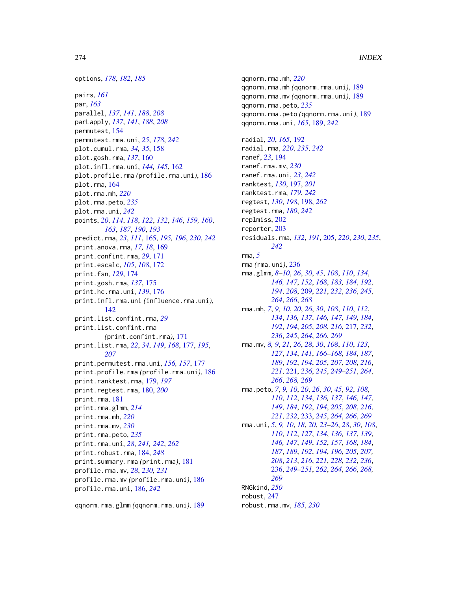pairs, *[161](#page-160-0)* par, *[163](#page-162-0)* parallel, *[137](#page-136-0)*, *[141](#page-140-0)*, *[188](#page-187-0)*, *[208](#page-207-0)* parLapply, *[137](#page-136-0)*, *[141](#page-140-0)*, *[188](#page-187-0)*, *[208](#page-207-0)* permutest, [154](#page-153-0) permutest.rma.uni, *[25](#page-24-0)*, *[178](#page-177-0)*, *[242](#page-241-0)* plot.cumul.rma, *[34,](#page-33-0) [35](#page-34-0)*, [158](#page-157-0) plot.gosh.rma, *[137](#page-136-0)*, [160](#page-159-0) plot.infl.rma.uni, *[144,](#page-143-0) [145](#page-144-0)*, [162](#page-161-0) plot.profile.rma *(*profile.rma.uni*)*, [186](#page-185-0) plot.rma, [164](#page-163-0) plot.rma.mh, *[220](#page-219-0)* plot.rma.peto, *[235](#page-234-0)* plot.rma.uni, *[242](#page-241-0)* points, *[20](#page-19-0)*, *[114](#page-113-0)*, *[118](#page-117-0)*, *[122](#page-121-0)*, *[132](#page-131-0)*, *[146](#page-145-0)*, *[159,](#page-158-0) [160](#page-159-0)*, *[163](#page-162-0)*, *[187](#page-186-0)*, *[190](#page-189-0)*, *[193](#page-192-0)* predict.rma, *[23](#page-22-0)*, *[111](#page-110-0)*, [165,](#page-164-0) *[195,](#page-194-0) [196](#page-195-0)*, *[230](#page-229-0)*, *[242](#page-241-0)* print.anova.rma, *[17,](#page-16-0) [18](#page-17-0)*, [169](#page-168-0) print.confint.rma, *[29](#page-28-0)*, [171](#page-170-0) print.escalc, *[105](#page-104-0)*, *[108](#page-107-0)*, [172](#page-171-0) print.fsn, *[129](#page-128-0)*, [174](#page-173-0) print.gosh.rma, *[137](#page-136-0)*, [175](#page-174-0) print.hc.rma.uni, *[139](#page-138-0)*, [176](#page-175-0) print.infl.rma.uni *(*influence.rma.uni*)*, [142](#page-141-1) print.list.confint.rma, *[29](#page-28-0)* print.list.confint.rma *(*print.confint.rma*)*, [171](#page-170-0) print.list.rma, *[22](#page-21-0)*, *[34](#page-33-0)*, *[149](#page-148-0)*, *[168](#page-167-0)*, [177,](#page-176-0) *[195](#page-194-0)*, *[207](#page-206-0)* print.permutest.rma.uni, *[156,](#page-155-0) [157](#page-156-0)*, [177](#page-176-0) print.profile.rma *(*profile.rma.uni*)*, [186](#page-185-0) print.ranktest.rma, [179,](#page-178-0) *[197](#page-196-0)* print.regtest.rma, [180,](#page-179-0) *[200](#page-199-0)* print.rma, [181](#page-180-1) print.rma.glmm, *[214](#page-213-0)* print.rma.mh, *[220](#page-219-0)* print.rma.mv, *[230](#page-229-0)* print.rma.peto, *[235](#page-234-0)* print.rma.uni, *[28](#page-27-0)*, *[241,](#page-240-0) [242](#page-241-0)*, *[262](#page-261-0)* print.robust.rma, [184,](#page-183-0) *[248](#page-247-0)* print.summary.rma *(*print.rma*)*, [181](#page-180-1) profile.rma.mv, *[28](#page-27-0)*, *[230,](#page-229-0) [231](#page-230-0)* profile.rma.mv *(*profile.rma.uni*)*, [186](#page-185-0) profile.rma.uni, [186,](#page-185-0) *[242](#page-241-0)*

qqnorm.rma.glmm *(*qqnorm.rma.uni*)*, [189](#page-188-0)

qqnorm.rma.mh, *[220](#page-219-0)* qqnorm.rma.mh *(*qqnorm.rma.uni*)*, [189](#page-188-0) qqnorm.rma.mv *(*qqnorm.rma.uni*)*, [189](#page-188-0) qqnorm.rma.peto, *[235](#page-234-0)* qqnorm.rma.peto *(*qqnorm.rma.uni*)*, [189](#page-188-0) qqnorm.rma.uni, *[165](#page-164-0)*, [189,](#page-188-0) *[242](#page-241-0)* radial, *[20](#page-19-0)*, *[165](#page-164-0)*, [192](#page-191-0) radial.rma, *[220](#page-219-0)*, *[235](#page-234-0)*, *[242](#page-241-0)* ranef, *[23](#page-22-0)*, [194](#page-193-0) ranef.rma.mv, *[230](#page-229-0)* ranef.rma.uni, *[23](#page-22-0)*, *[242](#page-241-0)* ranktest, *[130](#page-129-1)*, [197,](#page-196-0) *[201](#page-200-0)* ranktest.rma, *[179](#page-178-0)*, *[242](#page-241-0)* regtest, *[130](#page-129-1)*, *[198](#page-197-1)*, [198,](#page-197-1) *[262](#page-261-0)* regtest.rma, *[180](#page-179-0)*, *[242](#page-241-0)* replmiss, [202](#page-201-0) reporter, [203](#page-202-0) residuals.rma, *[132](#page-131-0)*, *[191](#page-190-0)*, [205,](#page-204-0) *[220](#page-219-0)*, *[230](#page-229-0)*, *[235](#page-234-0)*, *[242](#page-241-0)* rma, *[5](#page-4-0)* rma *(*rma.uni*)*, [236](#page-235-1) rma.glmm, *[8](#page-7-0)[–10](#page-9-0)*, *[26](#page-25-0)*, *[30](#page-29-0)*, *[45](#page-44-0)*, *[108](#page-107-0)*, *[110](#page-109-0)*, *[134](#page-133-0)*, *[146,](#page-145-0) [147](#page-146-0)*, *[152](#page-151-0)*, *[168](#page-167-0)*, *[183,](#page-182-0) [184](#page-183-0)*, *[192](#page-191-0)*, *[194](#page-193-0)*, *[208](#page-207-0)*, [209,](#page-208-1) *[221](#page-220-1)*, *[232](#page-231-0)*, *[236](#page-235-1)*, *[245](#page-244-0)*, *[264](#page-263-0)*, *[266](#page-265-0)*, *[268](#page-267-0)* rma.mh, *[7](#page-6-0)*, *[9,](#page-8-0) [10](#page-9-0)*, *[20](#page-19-0)*, *[26](#page-25-0)*, *[30](#page-29-0)*, *[108](#page-107-0)*, *[110](#page-109-0)*, *[112](#page-111-0)*, *[134](#page-133-0)*, *[136,](#page-135-0) [137](#page-136-0)*, *[146,](#page-145-0) [147](#page-146-0)*, *[149](#page-148-0)*, *[184](#page-183-0)*, *[192](#page-191-0)*, *[194](#page-193-0)*, *[205](#page-204-0)*, *[208](#page-207-0)*, *[216](#page-215-0)*, [217,](#page-216-1) *[232](#page-231-0)*, *[236](#page-235-1)*, *[245](#page-244-0)*, *[264](#page-263-0)*, *[266](#page-265-0)*, *[269](#page-268-0)* rma.mv, *[8,](#page-7-0) [9](#page-8-0)*, *[21](#page-20-0)*, *[26](#page-25-0)*, *[28](#page-27-0)*, *[30](#page-29-0)*, *[108](#page-107-0)*, *[110](#page-109-0)*, *[123](#page-122-0)*, *[127](#page-126-0)*, *[134](#page-133-0)*, *[141](#page-140-0)*, *[166](#page-165-0)[–168](#page-167-0)*, *[184](#page-183-0)*, *[187](#page-186-0)*, *[189](#page-188-0)*, *[192](#page-191-0)*, *[194](#page-193-0)*, *[205](#page-204-0)*, *[207,](#page-206-0) [208](#page-207-0)*, *[216](#page-215-0)*, *[221](#page-220-1)*, [221,](#page-220-1) *[236](#page-235-1)*, *[245](#page-244-0)*, *[249](#page-248-0)[–251](#page-250-1)*, *[264](#page-263-0)*, *[266](#page-265-0)*, *[268,](#page-267-0) [269](#page-268-0)* rma.peto, *[7](#page-6-0)*, *[9,](#page-8-0) [10](#page-9-0)*, *[20](#page-19-0)*, *[26](#page-25-0)*, *[30](#page-29-0)*, *[45](#page-44-0)*, *[92](#page-91-0)*, *[108](#page-107-0)*, *[110](#page-109-0)*, *[112](#page-111-0)*, *[134](#page-133-0)*, *[136,](#page-135-0) [137](#page-136-0)*, *[146,](#page-145-0) [147](#page-146-0)*, *[149](#page-148-0)*, *[184](#page-183-0)*, *[192](#page-191-0)*, *[194](#page-193-0)*, *[205](#page-204-0)*, *[208](#page-207-0)*, *[216](#page-215-0)*, *[221](#page-220-1)*, *[232](#page-231-0)*, [233,](#page-232-1) *[245](#page-244-0)*, *[264](#page-263-0)*, *[266](#page-265-0)*, *[269](#page-268-0)* rma.uni, *[5](#page-4-0)*, *[9,](#page-8-0) [10](#page-9-0)*, *[18](#page-17-0)*, *[20](#page-19-0)*, *[23](#page-22-0)[–26](#page-25-0)*, *[28](#page-27-0)*, *[30](#page-29-0)*, *[108](#page-107-0)*, *[110](#page-109-0)*, *[112](#page-111-0)*, *[127](#page-126-0)*, *[134](#page-133-0)*, *[136,](#page-135-0) [137](#page-136-0)*, *[139](#page-138-0)*, *[146,](#page-145-0) [147](#page-146-0)*, *[149](#page-148-0)*, *[152](#page-151-0)*, *[157](#page-156-0)*, *[168](#page-167-0)*, *[184](#page-183-0)*, *[187](#page-186-0)*, *[189](#page-188-0)*, *[192](#page-191-0)*, *[194](#page-193-0)*, *[196](#page-195-0)*, *[205](#page-204-0)*, *[207,](#page-206-0) [208](#page-207-0)*, *[213](#page-212-0)*, *[216](#page-215-0)*, *[221](#page-220-1)*, *[228](#page-227-0)*, *[232](#page-231-0)*, *[236](#page-235-1)*, [236,](#page-235-1) *[249](#page-248-0)[–251](#page-250-1)*, *[262](#page-261-0)*, *[264](#page-263-0)*, *[266](#page-265-0)*, *[268,](#page-267-0) [269](#page-268-0)* RNGkind, *[250](#page-249-0)* robust, [247](#page-246-0) robust.rma.mv, *[185](#page-184-0)*, *[230](#page-229-0)*

options, *[178](#page-177-0)*, *[182](#page-181-0)*, *[185](#page-184-0)*